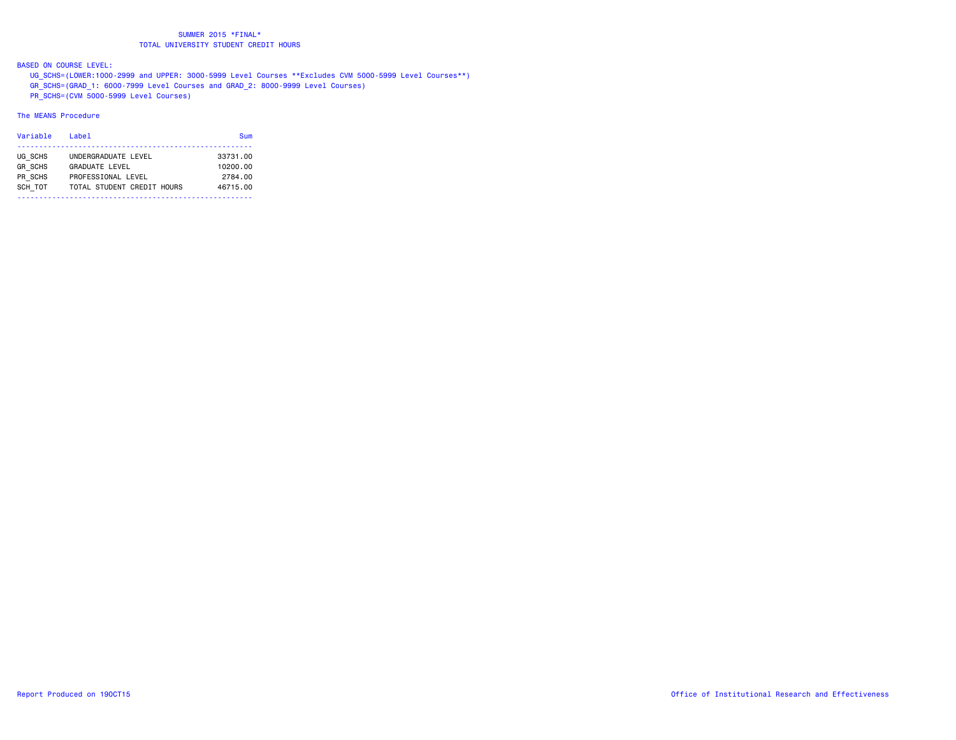BASED ON COURSE LEVEL:

 UG\_SCHS=(LOWER:1000-2999 and UPPER: 3000-5999 Level Courses \*\*Excludes CVM 5000-5999 Level Courses\*\*) GR\_SCHS=(GRAD\_1: 6000-7999 Level Courses and GRAD\_2: 8000-9999 Level Courses) PR\_SCHS=(CVM 5000-5999 Level Courses)

#### The MEANS Procedure

| Variable       | Label                      | Sum      |
|----------------|----------------------------|----------|
| UG SCHS        | UNDERGRADUATE LEVEL        | 33731.00 |
| <b>GR SCHS</b> | <b>GRADUATE LEVEL</b>      | 10200.00 |
| PR SCHS        | PROFESSIONAL LEVEL         | 2784.00  |
| SCH TOT        | TOTAL STUDENT CREDIT HOURS | 46715.00 |
|                |                            |          |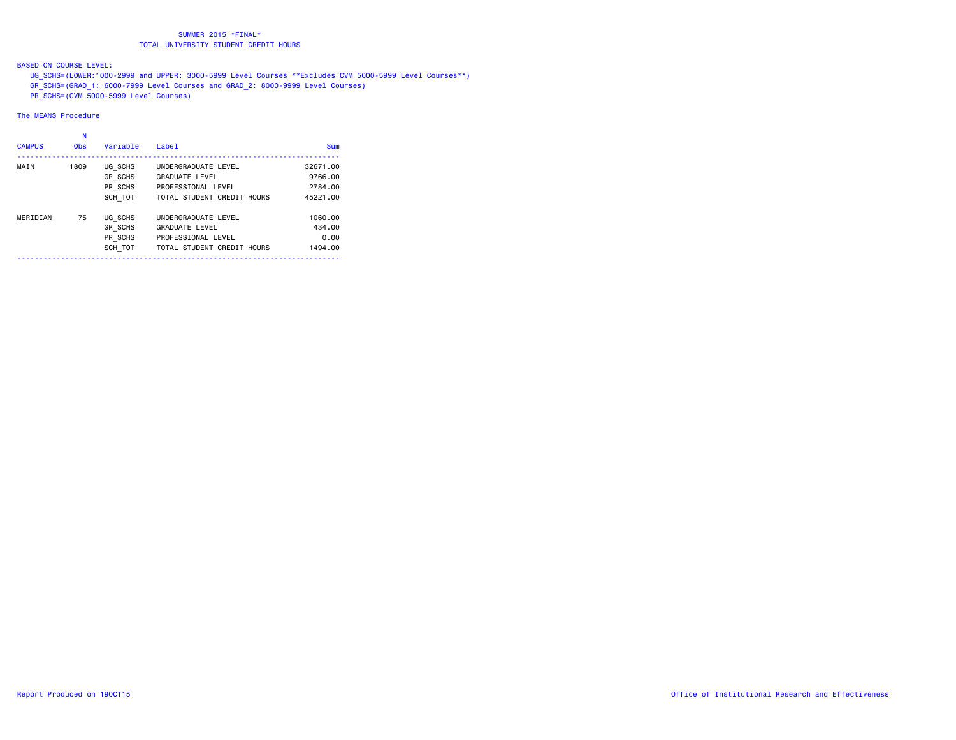BASED ON COURSE LEVEL:

 UG\_SCHS=(LOWER:1000-2999 and UPPER: 3000-5999 Level Courses \*\*Excludes CVM 5000-5999 Level Courses\*\*) GR\_SCHS=(GRAD\_1: 6000-7999 Level Courses and GRAD\_2: 8000-9999 Level Courses) PR\_SCHS=(CVM 5000-5999 Level Courses)

The MEANS Procedure

|               | N          |                |                            |            |
|---------------|------------|----------------|----------------------------|------------|
| <b>CAMPUS</b> | <b>Obs</b> | Variable       | Label                      | <b>Sum</b> |
| MAIN          | 1809       | UG SCHS        | UNDERGRADUATE LEVEL        | 32671.00   |
|               |            | <b>GR SCHS</b> | <b>GRADUATE LEVEL</b>      | 9766.00    |
|               |            | PR SCHS        | PROFESSIONAL LEVEL         | 2784.00    |
|               |            | SCH TOT        | TOTAL STUDENT CREDIT HOURS | 45221.00   |
| MERIDIAN      | 75         | UG SCHS        | UNDERGRADUATE LEVEL        | 1060.00    |
|               |            | <b>GR SCHS</b> | <b>GRADUATE LEVEL</b>      | 434.00     |
|               |            | PR SCHS        | PROFESSIONAL LEVEL         | 0.00       |
|               |            | SCH TOT        | TOTAL STUDENT CREDIT HOURS | 1494.00    |
|               |            |                |                            |            |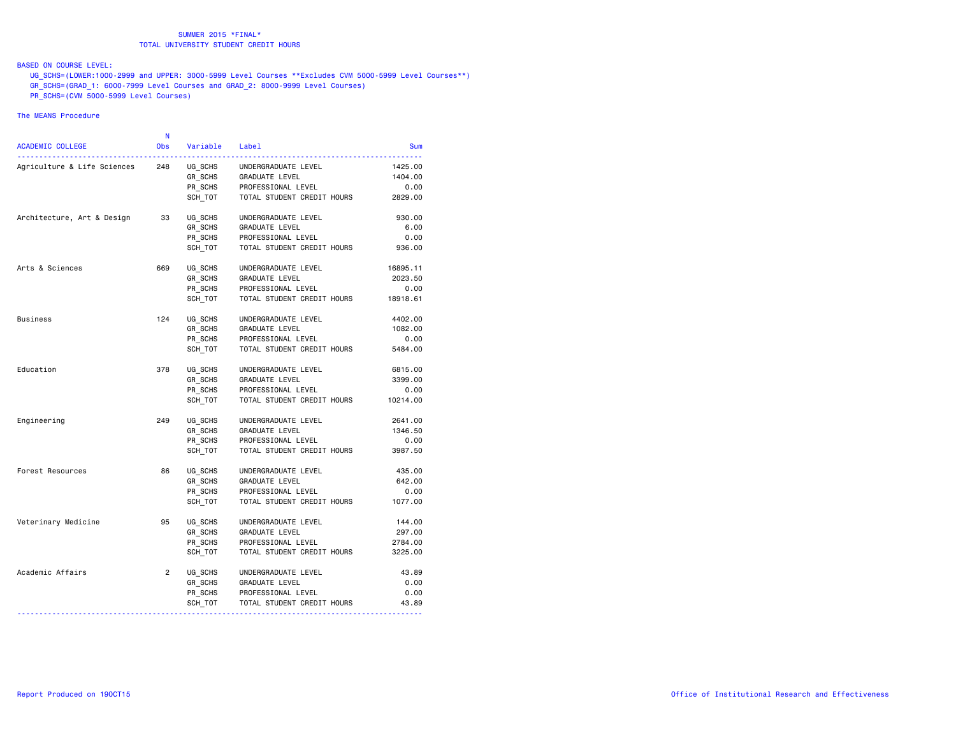# BASED ON COURSE LEVEL:

 UG\_SCHS=(LOWER:1000-2999 and UPPER: 3000-5999 Level Courses \*\*Excludes CVM 5000-5999 Level Courses\*\*) GR\_SCHS=(GRAD\_1: 6000-7999 Level Courses and GRAD\_2: 8000-9999 Level Courses) PR\_SCHS=(CVM 5000-5999 Level Courses)

#### The MEANS Procedure

| ACADEMIC COLLEGE            | N<br>Obs       | Variable | Label                      | Sum      |
|-----------------------------|----------------|----------|----------------------------|----------|
|                             |                |          |                            |          |
| Agriculture & Life Sciences | 248            | UG SCHS  | UNDERGRADUATE LEVEL        | 1425,00  |
|                             |                | GR SCHS  | GRADUATE LEVEL             | 1404.00  |
|                             |                | PR SCHS  | PROFESSIONAL LEVEL         | 0.00     |
|                             |                | SCH TOT  | TOTAL STUDENT CREDIT HOURS | 2829.00  |
| Architecture, Art & Design  | 33             | UG SCHS  | UNDERGRADUATE LEVEL        | 930.00   |
|                             |                | GR SCHS  | <b>GRADUATE LEVEL</b>      | 6.00     |
|                             |                | PR SCHS  | PROFESSIONAL LEVEL         | 0.00     |
|                             |                | SCH TOT  | TOTAL STUDENT CREDIT HOURS | 936.00   |
| Arts & Sciences             | 669            | UG SCHS  | UNDERGRADUATE LEVEL        | 16895.11 |
|                             |                | GR SCHS  | GRADUATE LEVEL             | 2023.50  |
|                             |                | PR SCHS  | PROFESSIONAL LEVEL         | 0.00     |
|                             |                | SCH TOT  | TOTAL STUDENT CREDIT HOURS | 18918.61 |
| <b>Business</b>             | 124            | UG SCHS  | UNDERGRADUATE LEVEL        | 4402.00  |
|                             |                | GR SCHS  | GRADUATE LEVEL             | 1082.00  |
|                             |                | PR SCHS  | PROFESSIONAL LEVEL         | 0.00     |
|                             |                | SCH TOT  | TOTAL STUDENT CREDIT HOURS | 5484.00  |
| Education                   | 378            | UG SCHS  | UNDERGRADUATE LEVEL        | 6815.00  |
|                             |                | GR_SCHS  | GRADUATE LEVEL             | 3399.00  |
|                             |                | PR SCHS  | PROFESSIONAL LEVEL         | 0.00     |
|                             |                | SCH TOT  | TOTAL STUDENT CREDIT HOURS | 10214.00 |
| Engineering                 | 249            | UG SCHS  | UNDERGRADUATE LEVEL        | 2641,00  |
|                             |                | GR SCHS  | GRADUATE LEVEL             | 1346.50  |
|                             |                | PR_SCHS  | PROFESSIONAL LEVEL         | 0.00     |
|                             |                | SCH TOT  | TOTAL STUDENT CREDIT HOURS | 3987.50  |
| Forest Resources            | 86             | UG SCHS  | UNDERGRADUATE LEVEL        | 435.00   |
|                             |                | GR_SCHS  | <b>GRADUATE LEVEL</b>      | 642.00   |
|                             |                | PR SCHS  | PROFESSIONAL LEVEL         | 0.00     |
|                             |                | SCH TOT  | TOTAL STUDENT CREDIT HOURS | 1077.00  |
| Veterinary Medicine         | 95             | UG SCHS  | UNDERGRADUATE LEVEL        | 144.00   |
|                             |                | GR SCHS  | GRADUATE LEVEL             | 297.00   |
|                             |                | PR SCHS  | PROFESSIONAL LEVEL         | 2784.00  |
|                             |                | SCH TOT  | TOTAL STUDENT CREDIT HOURS | 3225.00  |
| Academic Affairs            | $\overline{2}$ | UG SCHS  | UNDERGRADUATE LEVEL        | 43.89    |
|                             |                | GR_SCHS  | GRADUATE LEVEL             | 0.00     |
|                             |                | PR SCHS  | PROFESSIONAL LEVEL         | 0.00     |
|                             |                | SCH_TOT  | TOTAL STUDENT CREDIT HOURS | 43.89    |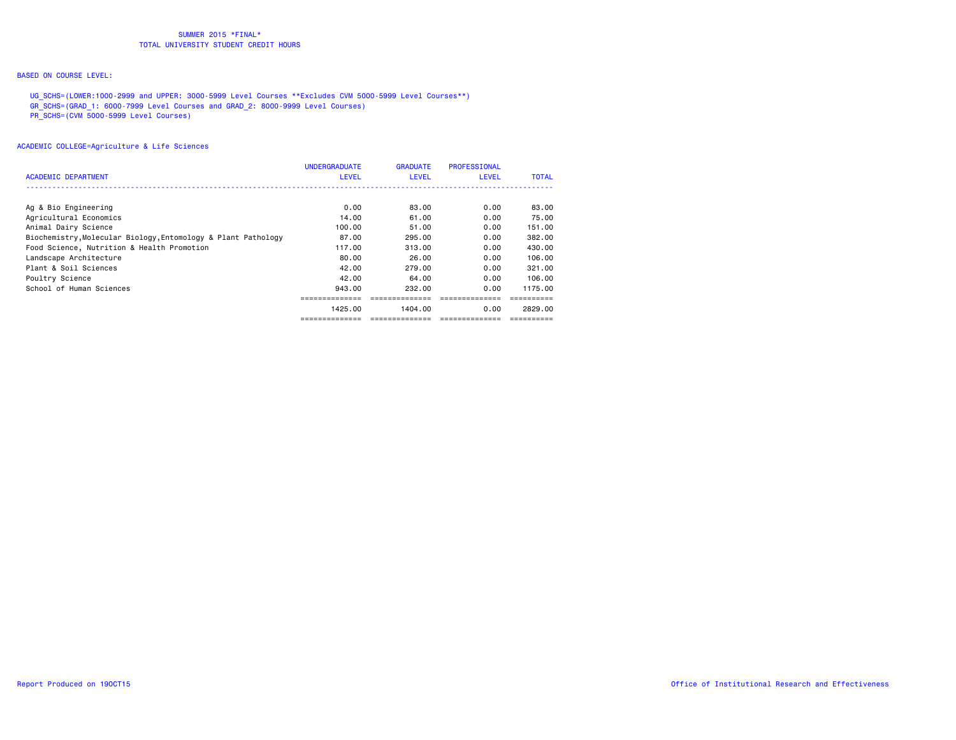# BASED ON COURSE LEVEL:

 UG\_SCHS=(LOWER:1000-2999 and UPPER: 3000-5999 Level Courses \*\*Excludes CVM 5000-5999 Level Courses\*\*) GR\_SCHS=(GRAD\_1: 6000-7999 Level Courses and GRAD\_2: 8000-9999 Level Courses) PR\_SCHS=(CVM 5000-5999 Level Courses)

| <b>ACADEMIC DEPARTMENT</b>                                    | <b>UNDERGRADUATE</b><br><b>LEVEL</b> | <b>GRADUATE</b><br>LEVEL | <b>PROFESSIONAL</b><br><b>LEVEL</b> | <b>TOTAL</b> |
|---------------------------------------------------------------|--------------------------------------|--------------------------|-------------------------------------|--------------|
|                                                               |                                      |                          |                                     |              |
| Ag & Bio Engineering                                          | 0.00                                 | 83.00                    | 0.00                                | 83.00        |
| Agricultural Economics                                        | 14.00                                | 61.00                    | 0.00                                | 75.00        |
| Animal Dairy Science                                          | 100.00                               | 51.00                    | 0.00                                | 151.00       |
| Biochemistry, Molecular Biology, Entomology & Plant Pathology | 87.00                                | 295.00                   | 0.00                                | 382,00       |
| Food Science, Nutrition & Health Promotion                    | 117.00                               | 313.00                   | 0.00                                | 430.00       |
| Landscape Architecture                                        | 80.00                                | 26.00                    | 0.00                                | 106.00       |
| Plant & Soil Sciences                                         | 42.00                                | 279.00                   | 0.00                                | 321.00       |
| Poultry Science                                               | 42.00                                | 64.00                    | 0.00                                | 106.00       |
| School of Human Sciences                                      | 943.00                               | 232.00                   | 0.00                                | 1175.00      |
|                                                               |                                      |                          |                                     |              |
|                                                               | 1425.00                              | 1404.00                  | 0.00                                | 2829.00      |
|                                                               |                                      |                          |                                     |              |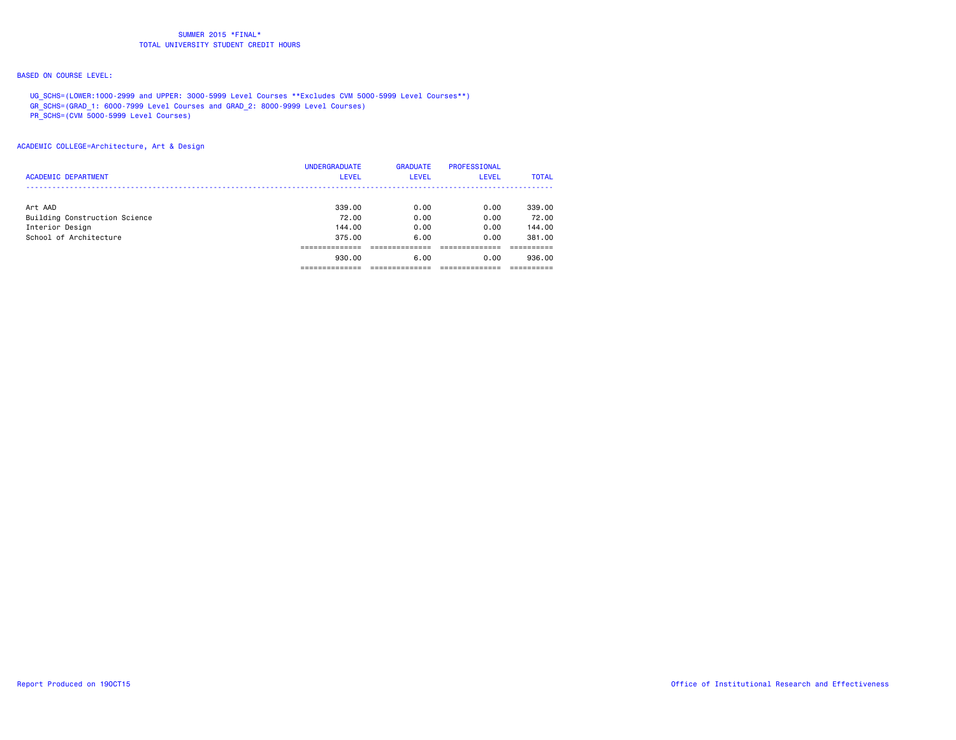# BASED ON COURSE LEVEL:

 UG\_SCHS=(LOWER:1000-2999 and UPPER: 3000-5999 Level Courses \*\*Excludes CVM 5000-5999 Level Courses\*\*) GR\_SCHS=(GRAD\_1: 6000-7999 Level Courses and GRAD\_2: 8000-9999 Level Courses)

PR\_SCHS=(CVM 5000-5999 Level Courses)

| <b>ACADEMIC DEPARTMENT</b>               | <b>UNDERGRADUATE</b><br><b>LEVEL</b> | <b>GRADUATE</b><br><b>LEVEL</b> | <b>PROFESSIONAL</b><br><b>LEVEL</b> | <b>TOTAL</b>    |
|------------------------------------------|--------------------------------------|---------------------------------|-------------------------------------|-----------------|
| Art AAD<br>Building Construction Science | 339.00<br>72.00                      | 0.00<br>0.00                    | 0.00<br>0.00                        | 339.00<br>72.00 |
| Interior Design                          | 144.00                               | 0.00                            | 0.00                                | 144.00          |
| School of Architecture                   | 375.00                               | 6.00                            | 0.00                                | 381.00          |
|                                          | 930.00                               | 6.00                            | 0.00                                | 936.00          |
|                                          |                                      |                                 |                                     |                 |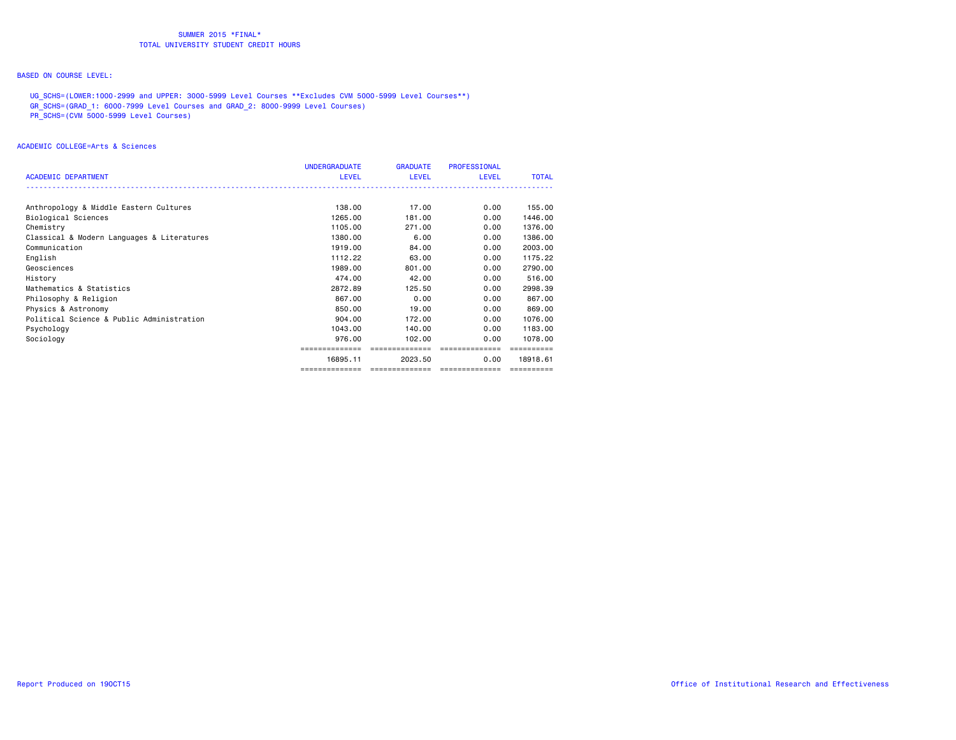# BASED ON COURSE LEVEL:

 UG\_SCHS=(LOWER:1000-2999 and UPPER: 3000-5999 Level Courses \*\*Excludes CVM 5000-5999 Level Courses\*\*) GR\_SCHS=(GRAD\_1: 6000-7999 Level Courses and GRAD\_2: 8000-9999 Level Courses) PR\_SCHS=(CVM 5000-5999 Level Courses)

|                                            | <b>UNDERGRADUATE</b> | <b>GRADUATE</b> | <b>PROFESSIONAL</b> |              |
|--------------------------------------------|----------------------|-----------------|---------------------|--------------|
| <b>ACADEMIC DEPARTMENT</b>                 | <b>LEVEL</b>         | LEVEL           | <b>LEVEL</b>        | <b>TOTAL</b> |
|                                            |                      |                 |                     |              |
| Anthropology & Middle Eastern Cultures     | 138,00               | 17.00           | 0.00                | 155.00       |
| Biological Sciences                        | 1265.00              | 181.00          | 0.00                | 1446.00      |
|                                            |                      |                 |                     |              |
| Chemistry                                  | 1105.00              | 271,00          | 0.00                | 1376.00      |
| Classical & Modern Languages & Literatures | 1380.00              | 6.00            | 0.00                | 1386.00      |
| Communication                              | 1919.00              | 84.00           | 0.00                | 2003.00      |
| English                                    | 1112.22              | 63.00           | 0.00                | 1175.22      |
| Geosciences                                | 1989.00              | 801.00          | 0.00                | 2790.00      |
| History                                    | 474.00               | 42.00           | 0.00                | 516.00       |
| Mathematics & Statistics                   | 2872.89              | 125.50          | 0.00                | 2998.39      |
| Philosophy & Religion                      | 867.00               | 0.00            | 0.00                | 867,00       |
| Physics & Astronomy                        | 850,00               | 19.00           | 0.00                | 869,00       |
| Political Science & Public Administration  | 904.00               | 172.00          | 0.00                | 1076.00      |
| Psychology                                 | 1043.00              | 140.00          | 0.00                | 1183.00      |
| Sociology                                  | 976.00               | 102.00          | 0.00                | 1078.00      |
|                                            | ==============       | ==============  | ==============      |              |
|                                            | 16895.11             | 2023.50         | 0.00                | 18918.61     |
|                                            | ==============       | ==============  | ==============      |              |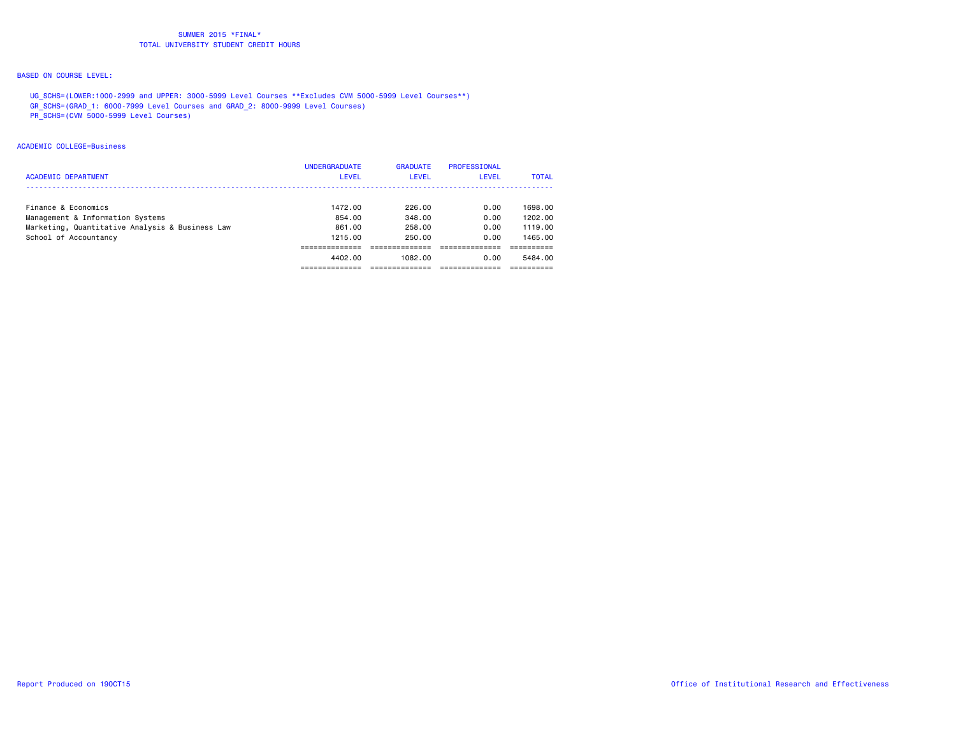# BASED ON COURSE LEVEL:

 UG\_SCHS=(LOWER:1000-2999 and UPPER: 3000-5999 Level Courses \*\*Excludes CVM 5000-5999 Level Courses\*\*) GR\_SCHS=(GRAD\_1: 6000-7999 Level Courses and GRAD\_2: 8000-9999 Level Courses)

PR\_SCHS=(CVM 5000-5999 Level Courses)

## ACADEMIC COLLEGE=Business

| <b>ACADEMIC DEPARTMENT</b>                                                                                                          | <b>UNDERGRADUATE</b><br><b>LEVEL</b>   | <b>GRADUATE</b><br><b>LEVEL</b>      | PROFESSIONAL<br>LEVEL        | <b>TOTAL</b>                             |
|-------------------------------------------------------------------------------------------------------------------------------------|----------------------------------------|--------------------------------------|------------------------------|------------------------------------------|
| Finance & Economics<br>Management & Information Systems<br>Marketing, Quantitative Analysis & Business Law<br>School of Accountancy | 1472.00<br>854.00<br>861.00<br>1215.00 | 226.00<br>348.00<br>258.00<br>250.00 | 0.00<br>0.00<br>0.00<br>0.00 | 1698.00<br>1202.00<br>1119.00<br>1465.00 |
|                                                                                                                                     | 4402.00                                | 1082.00                              | 0.00                         | 5484.00                                  |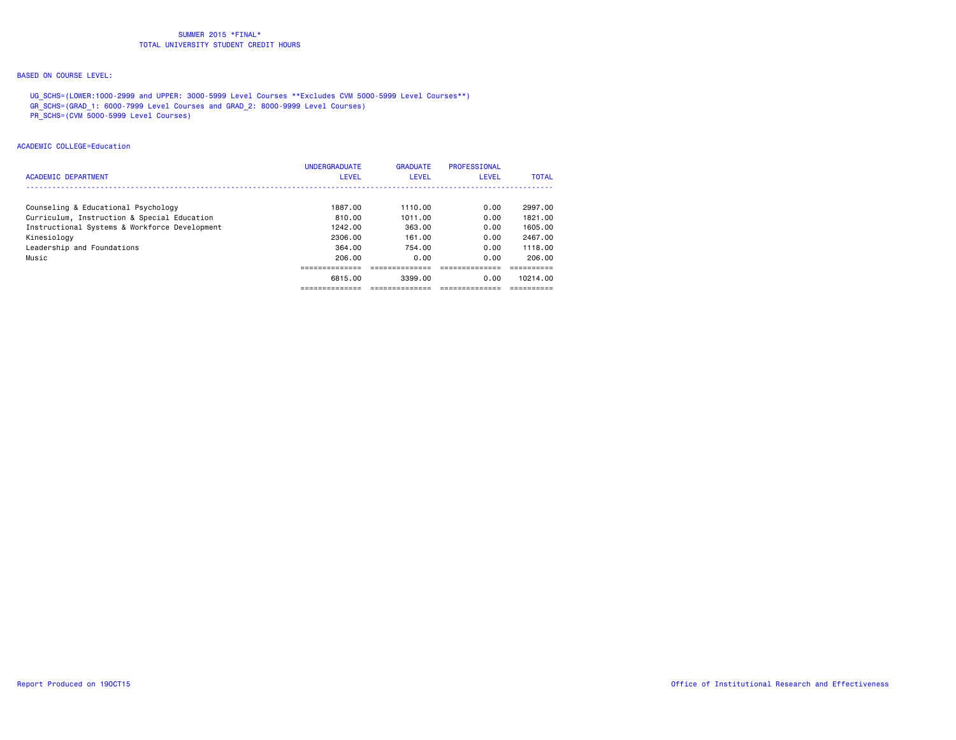# BASED ON COURSE LEVEL:

 UG\_SCHS=(LOWER:1000-2999 and UPPER: 3000-5999 Level Courses \*\*Excludes CVM 5000-5999 Level Courses\*\*) GR\_SCHS=(GRAD\_1: 6000-7999 Level Courses and GRAD\_2: 8000-9999 Level Courses)

PR\_SCHS=(CVM 5000-5999 Level Courses)

## ACADEMIC COLLEGE=Education

| <b>ACADEMIC DEPARTMENT</b>                    | <b>UNDERGRADUATE</b><br><b>LEVEL</b> | <b>GRADUATE</b><br><b>LEVEL</b> | PROFESSIONAL<br><b>LEVEL</b> | <b>TOTAL</b> |
|-----------------------------------------------|--------------------------------------|---------------------------------|------------------------------|--------------|
| Counseling & Educational Psychology           | 1887.00                              | 1110.00                         | 0.00                         | 2997.00      |
| Curriculum, Instruction & Special Education   | 810.00                               | 1011.00                         | 0.00                         | 1821.00      |
| Instructional Systems & Workforce Development | 1242.00                              | 363.00                          | 0.00                         | 1605.00      |
| Kinesiology                                   | 2306.00                              | 161.00                          | 0.00                         | 2467.00      |
| Leadership and Foundations                    | 364.00                               | 754.00                          | 0.00                         | 1118.00      |
| Music                                         | 206.00                               | 0.00                            | 0.00                         | 206.00       |
|                                               |                                      |                                 |                              |              |
|                                               | 6815.00                              | 3399.00                         | 0.00                         | 10214.00     |
|                                               |                                      |                                 |                              |              |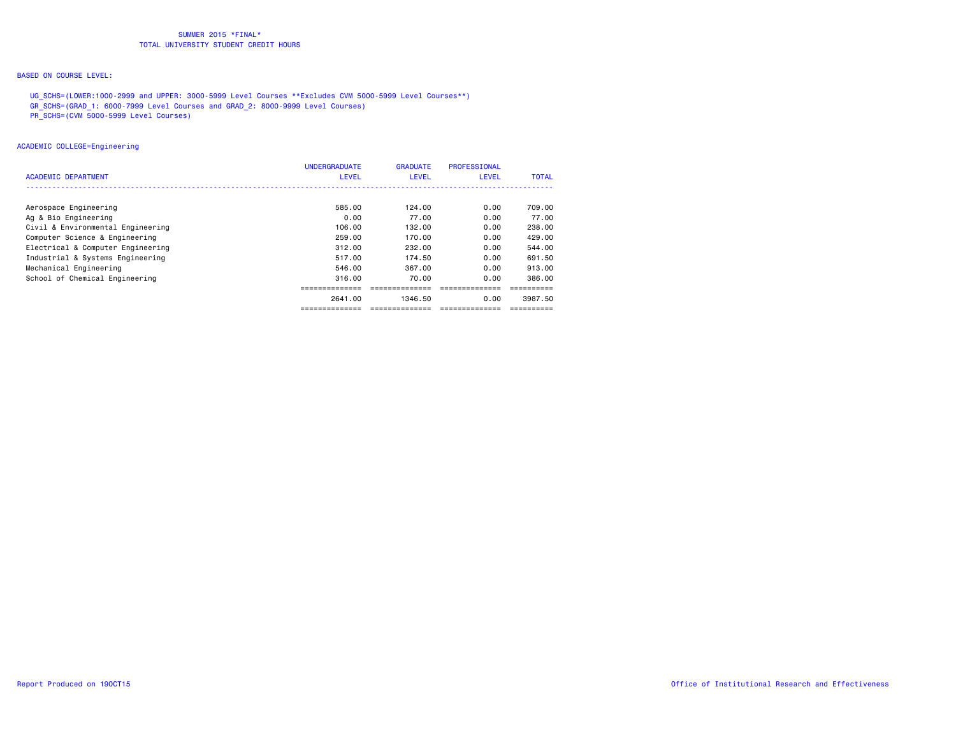# BASED ON COURSE LEVEL:

 UG\_SCHS=(LOWER:1000-2999 and UPPER: 3000-5999 Level Courses \*\*Excludes CVM 5000-5999 Level Courses\*\*) GR\_SCHS=(GRAD\_1: 6000-7999 Level Courses and GRAD\_2: 8000-9999 Level Courses)

PR\_SCHS=(CVM 5000-5999 Level Courses)

## ACADEMIC COLLEGE=Engineering

|                                   | <b>UNDERGRADUATE</b> | <b>GRADUATE</b> | PROFESSIONAL |         |
|-----------------------------------|----------------------|-----------------|--------------|---------|
| ACADEMIC DEPARTMENT               | <b>LEVEL</b>         | LEVEL           | <b>LEVEL</b> | TOTAL   |
|                                   |                      |                 |              |         |
| Aerospace Engineering             | 585.00               | 124.00          | 0.00         | 709.00  |
| Ag & Bio Engineering              | 0.00                 | 77.00           | 0.00         | 77.00   |
| Civil & Environmental Engineering | 106.00               | 132.00          | 0.00         | 238,00  |
| Computer Science & Engineering    | 259.00               | 170.00          | 0.00         | 429.00  |
| Electrical & Computer Engineering | 312.00               | 232.00          | 0.00         | 544.00  |
| Industrial & Systems Engineering  | 517.00               | 174.50          | 0.00         | 691.50  |
| Mechanical Engineering            | 546.00               | 367.00          | 0.00         | 913.00  |
| School of Chemical Engineering    | 316.00               | 70.00           | 0.00         | 386.00  |
|                                   |                      |                 |              |         |
|                                   | 2641.00              | 1346.50         | 0.00         | 3987.50 |
|                                   |                      |                 |              |         |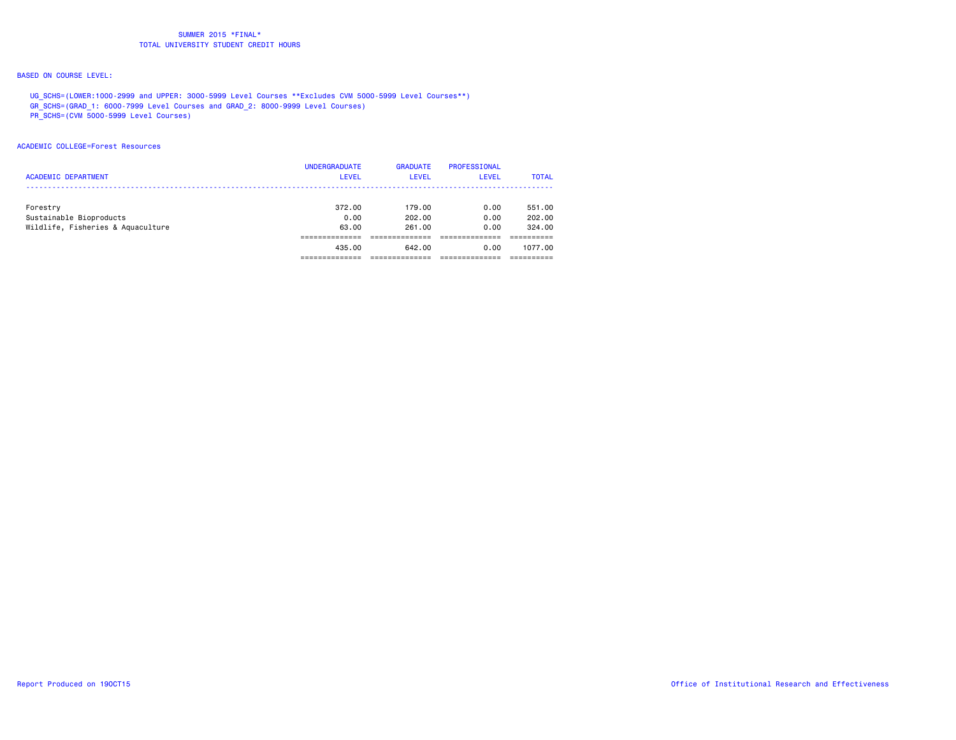# BASED ON COURSE LEVEL:

 UG\_SCHS=(LOWER:1000-2999 and UPPER: 3000-5999 Level Courses \*\*Excludes CVM 5000-5999 Level Courses\*\*) GR\_SCHS=(GRAD\_1: 6000-7999 Level Courses and GRAD\_2: 8000-9999 Level Courses)

PR\_SCHS=(CVM 5000-5999 Level Courses)

### ACADEMIC COLLEGE=Forest Resources

| <b>ACADEMIC DEPARTMENT</b>          | <b>UNDERGRADUATE</b><br><b>LEVEL</b> | <b>GRADUATE</b><br>LEVEL | <b>PROFESSIONAL</b><br>LEVEL | <b>TOTAL</b>     |
|-------------------------------------|--------------------------------------|--------------------------|------------------------------|------------------|
| Forestry<br>Sustainable Bioproducts | 372.00<br>0.00                       | 179.00<br>202.00         | 0.00<br>0.00                 | 551,00<br>202,00 |
| Wildlife, Fisheries & Aquaculture   | 63.00                                | 261.00                   | 0.00                         | 324.00           |
|                                     | 435.00                               | 642.00                   | 0.00                         | 1077.00          |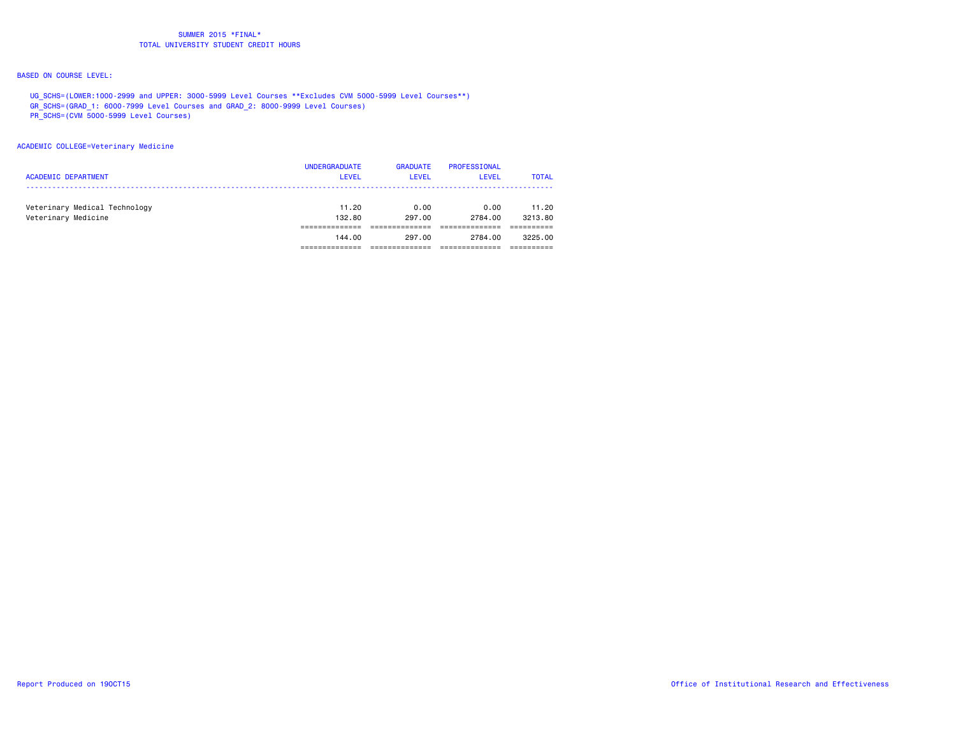# BASED ON COURSE LEVEL:

 UG\_SCHS=(LOWER:1000-2999 and UPPER: 3000-5999 Level Courses \*\*Excludes CVM 5000-5999 Level Courses\*\*) GR\_SCHS=(GRAD\_1: 6000-7999 Level Courses and GRAD\_2: 8000-9999 Level Courses)

PR\_SCHS=(CVM 5000-5999 Level Courses)

#### ACADEMIC COLLEGE=Veterinary Medicine

| <b>ACADEMIC DEPARTMENT</b>                           | <b>UNDERGRADUATE</b><br><b>LEVEL</b> | <b>GRADUATE</b><br><b>LEVEL</b> | PROFESSIONAL<br><b>LEVEL</b> | <b>TOTAL</b>     |
|------------------------------------------------------|--------------------------------------|---------------------------------|------------------------------|------------------|
| Veterinary Medical Technology<br>Veterinary Medicine | 11.20<br>132.80                      | 0.00<br>297.00                  | 0.00<br>2784.00              | 11.20<br>3213.80 |
|                                                      | 144.00                               | 297.00                          | 2784.00                      | 3225.00          |
|                                                      |                                      |                                 |                              |                  |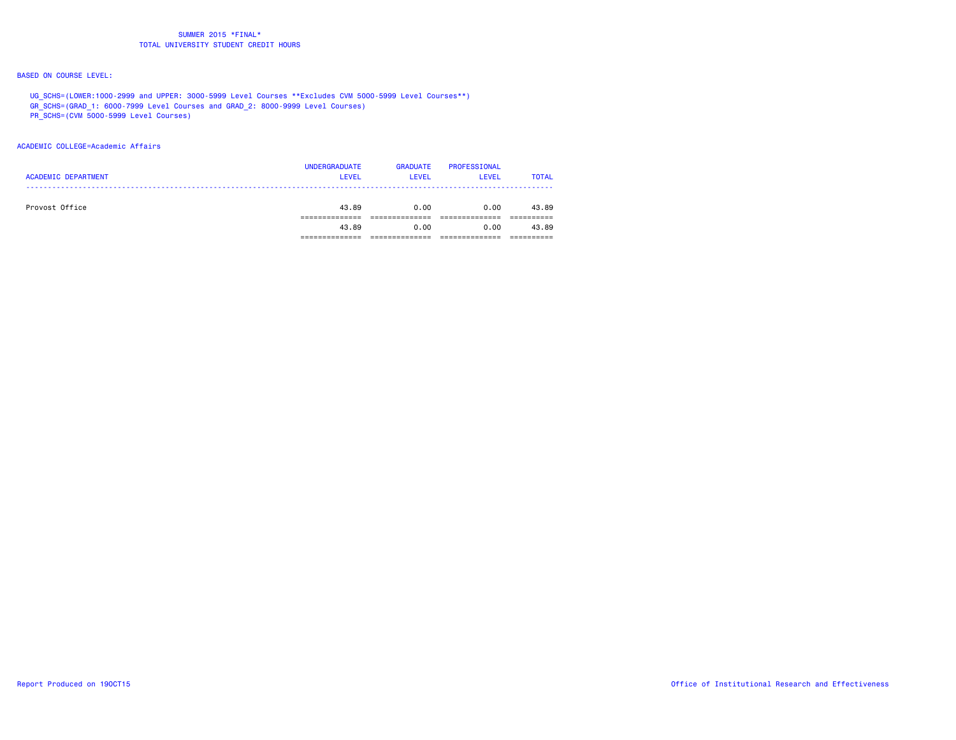# BASED ON COURSE LEVEL:

 UG\_SCHS=(LOWER:1000-2999 and UPPER: 3000-5999 Level Courses \*\*Excludes CVM 5000-5999 Level Courses\*\*) GR\_SCHS=(GRAD\_1: 6000-7999 Level Courses and GRAD\_2: 8000-9999 Level Courses)

PR\_SCHS=(CVM 5000-5999 Level Courses)

## ACADEMIC COLLEGE=Academic Affairs

| <b>ACADEMIC DEPARTMENT</b> | <b>UNDERGRADUATE</b><br><b>LEVEL</b> | <b>GRADUATE</b><br><b>LEVEL</b> | PROFESSIONAL<br><b>LEVEL</b> | <b>TOTAL</b> |
|----------------------------|--------------------------------------|---------------------------------|------------------------------|--------------|
| Provost Office             | 43.89                                | 0.00                            | 0.00                         | 43.89        |
|                            | 43.89                                | 0.00                            | 0.00                         | 43.89        |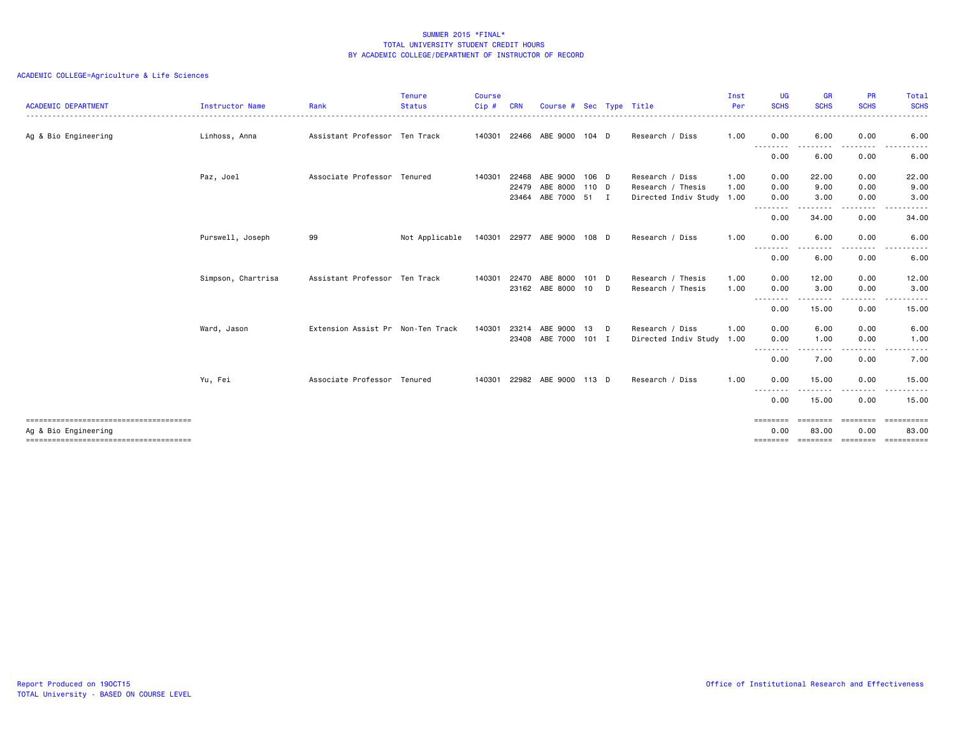| <b>ACADEMIC DEPARTMENT</b>            | <b>Instructor Name</b> | Rank                              | <b>Tenure</b><br><b>Status</b> | <b>Course</b><br>Cip# | <b>CRN</b>     | Course # Sec Type Title     |         |   |                                                | Inst<br>Per | <b>UG</b><br><b>SCHS</b>     | <b>GR</b><br><b>SCHS</b> | <b>PR</b><br><b>SCHS</b> | Total<br><b>SCHS</b>      |
|---------------------------------------|------------------------|-----------------------------------|--------------------------------|-----------------------|----------------|-----------------------------|---------|---|------------------------------------------------|-------------|------------------------------|--------------------------|--------------------------|---------------------------|
| Ag & Bio Engineering                  | Linhoss, Anna          | Assistant Professor Ten Track     |                                |                       |                | 140301 22466 ABE 9000       | $104$ D |   | Research / Diss                                | 1.00        | 0.00<br>$\sim$ $\sim$ $\sim$ | 6.00                     | 0.00                     | 6.00                      |
|                                       |                        |                                   |                                |                       |                |                             |         |   |                                                |             | 0.00                         | 6.00                     | 0.00                     | 6.00                      |
|                                       | Paz, Joel              | Associate Professor Tenured       |                                | 140301                | 22468          | ABE 9000                    | 106 D   |   | Research / Diss                                | 1.00        | 0.00                         | 22.00                    | 0.00                     | 22.00                     |
|                                       |                        |                                   |                                |                       | 22479<br>23464 | ABE 8000<br>ABE 7000 51 I   | 110 D   |   | Research / Thesis<br>Directed Indiv Study 1.00 | 1.00        | 0.00<br>0.00                 | 9.00<br>3.00             | 0.00<br>0.00             | 9.00<br>3.00              |
|                                       |                        |                                   |                                |                       |                |                             |         |   |                                                |             | --------<br>0.00             | . <b>.</b><br>34.00      | .<br>0.00                | 34.00                     |
|                                       | Purswell, Joseph       | 99                                | Not Applicable                 |                       |                | 140301 22977 ABE 9000 108 D |         |   | Research / Diss                                | 1.00        | 0.00<br>$\sim$ $\sim$ $\sim$ | 6.00                     | 0.00                     | 6.00                      |
|                                       |                        |                                   |                                |                       |                |                             |         |   |                                                |             | 0.00                         | 6.00                     | 0.00                     | 6.00                      |
|                                       | Simpson, Chartrisa     | Assistant Professor Ten Track     |                                | 140301                | 22470          | ABE 8000                    | 101 D   |   | Research / Thesis                              | 1.00        | 0.00                         | 12.00                    | 0.00                     | 12.00                     |
|                                       |                        |                                   |                                |                       | 23162          | ABE 8000                    | 10      | D | Research / Thesis                              | 1.00        | 0.00<br>.                    | 3.00                     | 0.00                     | 3.00                      |
|                                       |                        |                                   |                                |                       |                |                             |         |   |                                                |             | 0.00                         | 15.00                    | 0.00                     | 15.00                     |
|                                       | Ward, Jason            | Extension Assist Pr Non-Ten Track |                                | 140301                | 23214<br>23408 | ARF 9000<br>ABE 7000 101 I  | 13      | D | Research / Diss<br>Directed Indiv Study 1.00   | 1.00        | 0.00<br>0.00                 | 6.00<br>1.00             | 0.00<br>0.00             | 6.00<br>1.00              |
|                                       |                        |                                   |                                |                       |                |                             |         |   |                                                |             | $- - -$<br>$- - -$<br>0.00   | 7.00                     | 0.00                     | 7.00                      |
|                                       | Yu, Fei                | Associate Professor Tenured       |                                | 140301                |                | 22982 ABE 9000 113 D        |         |   | Research / Diss                                | 1.00        | 0.00                         | 15.00                    | 0.00                     | 15.00                     |
|                                       |                        |                                   |                                |                       |                |                             |         |   |                                                |             | $\cdots$<br>0.00             | 15.00                    | 0.00                     | 15.00                     |
| Ag & Bio Engineering                  |                        |                                   |                                |                       |                |                             |         |   |                                                |             | ========<br>0.00             | eeeeeee<br>83.00         | eeeeee<br>0.00           | ==========<br>83,00       |
| ------------------------------------- |                        |                                   |                                |                       |                |                             |         |   |                                                |             | ========                     |                          |                          | scorere corerer concerere |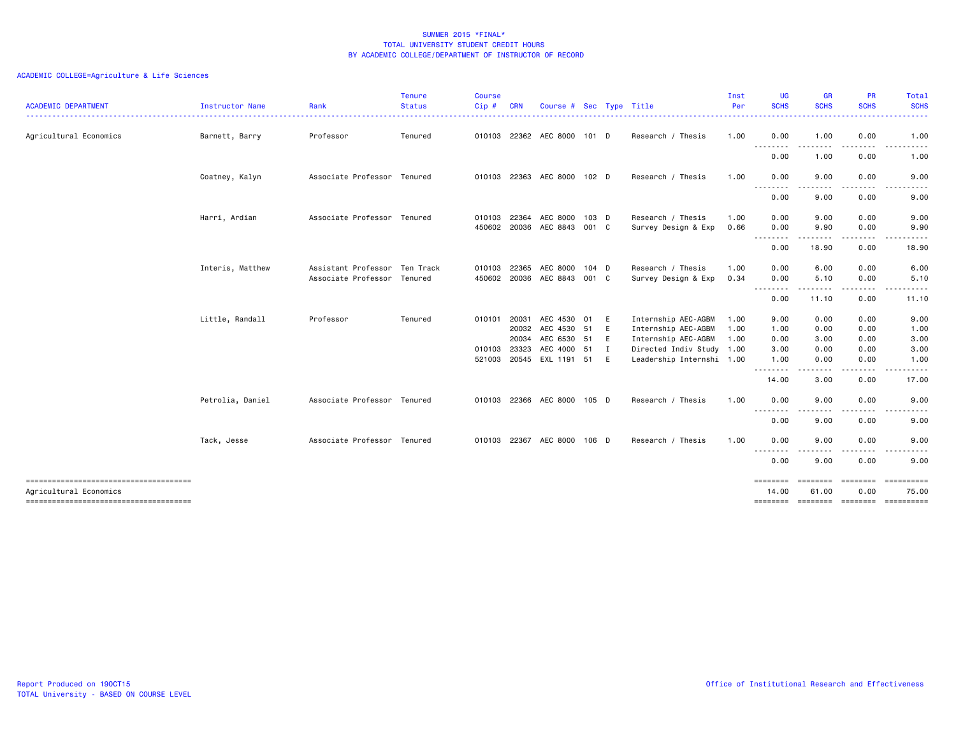| <b>ACADEMIC DEPARTMENT</b>                                      | Instructor Name  | Rank                          | <b>Tenure</b><br><b>Status</b> | Course<br>Cip# | <b>CRN</b> | Course # Sec Type Title |       |             |                           | Inst<br>Per | <b>UG</b><br><b>SCHS</b>     | <b>GR</b><br><b>SCHS</b>                                                                                                          | <b>PR</b><br><b>SCHS</b> | Total<br><b>SCHS</b>                                                                                                              |
|-----------------------------------------------------------------|------------------|-------------------------------|--------------------------------|----------------|------------|-------------------------|-------|-------------|---------------------------|-------------|------------------------------|-----------------------------------------------------------------------------------------------------------------------------------|--------------------------|-----------------------------------------------------------------------------------------------------------------------------------|
| .<br>Agricultural Economics                                     | Barnett, Barry   | Professor                     | Tenured                        | 010103         |            | 22362 AEC 8000          | 101 D |             | Research / Thesis         | 1.00        | .<br>0.00                    | 1.00                                                                                                                              | 0.00                     | $\frac{1}{2} \left( \frac{1}{2} \right) \left( \frac{1}{2} \right) \left( \frac{1}{2} \right) \left( \frac{1}{2} \right)$<br>1.00 |
|                                                                 |                  |                               |                                |                |            |                         |       |             |                           |             | .<br>0.00                    | $\frac{1}{2} \left( \frac{1}{2} \right) \left( \frac{1}{2} \right) \left( \frac{1}{2} \right) \left( \frac{1}{2} \right)$<br>1.00 | . <b>.</b><br>0.00       | 1.00                                                                                                                              |
|                                                                 | Coatney, Kalyn   | Associate Professor Tenured   |                                | 010103         |            | 22363 AEC 8000 102 D    |       |             | Research / Thesis         | 1.00        | 0.00                         | 9.00                                                                                                                              | 0.00                     | 9.00                                                                                                                              |
|                                                                 |                  |                               |                                |                |            |                         |       |             |                           |             | 0.00                         | 9.00                                                                                                                              | 0.00                     | 9.00                                                                                                                              |
|                                                                 | Harri, Ardian    | Associate Professor Tenured   |                                | 010103         | 22364      | AEC 8000                | 103 D |             | Research / Thesis         | 1.00        | 0.00                         | 9.00                                                                                                                              | 0.00                     | 9.00                                                                                                                              |
|                                                                 |                  |                               |                                | 450602         |            | 20036 AEC 8843          | 001 C |             | Survey Design & Exp       | 0.66        | 0.00                         | 9.90                                                                                                                              | 0.00                     | 9.90                                                                                                                              |
|                                                                 |                  |                               |                                |                |            |                         |       |             |                           |             | --------<br>0.00             | .<br>18.90                                                                                                                        | .<br>0.00                | .<br>18.90                                                                                                                        |
|                                                                 | Interis, Matthew | Assistant Professor Ten Track |                                | 010103         | 22365      | AEC 8000                | 104 D |             | Research / Thesis         | 1.00        | 0.00                         | 6.00                                                                                                                              | 0.00                     | 6.00                                                                                                                              |
|                                                                 |                  | Associate Professor Tenured   |                                | 450602         | 20036      | AEC 8843                | 001 C |             | Survey Design & Exp       | 0.34        | 0.00                         | 5.10                                                                                                                              | 0.00                     | 5.10                                                                                                                              |
|                                                                 |                  |                               |                                |                |            |                         |       |             |                           |             | .<br>0.00                    | ------<br>11.10                                                                                                                   | .<br>0.00                | .<br>11.10                                                                                                                        |
|                                                                 | Little, Randall  | Professor                     | Tenured                        | 010101 20031   |            | AEC 4530                | 01    | E           | Internship AEC-AGBM       | 1.00        | 9.00                         | 0.00                                                                                                                              | 0.00                     | 9.00                                                                                                                              |
|                                                                 |                  |                               |                                |                | 20032      | AEC 4530 51             |       | E           | Internship AEC-AGBM       | 1.00        | 1.00                         | 0.00                                                                                                                              | 0.00                     | 1.00                                                                                                                              |
|                                                                 |                  |                               |                                |                | 20034      | AEC 6530 51             |       | E           | Internship AEC-AGBM       | 1.00        | 0.00                         | 3.00                                                                                                                              | 0.00                     | 3.00                                                                                                                              |
|                                                                 |                  |                               |                                | 010103         | 23323      | AEC 4000 51             |       | $\mathbf I$ | Directed Indiv Study 1.00 |             | 3.00                         | 0.00                                                                                                                              | 0.00                     | 3.00                                                                                                                              |
|                                                                 |                  |                               |                                | 521003         |            | 20545 EXL 1191 51       |       | E           | Leadership Internshi 1.00 |             | 1.00<br>--------             | 0.00<br>$\frac{1}{2} \left( \frac{1}{2} \right) \left( \frac{1}{2} \right) \left( \frac{1}{2} \right) \left( \frac{1}{2} \right)$ | 0.00<br>.                | 1.00<br>.                                                                                                                         |
|                                                                 |                  |                               |                                |                |            |                         |       |             |                           |             | 14.00                        | 3.00                                                                                                                              | 0.00                     | 17.00                                                                                                                             |
|                                                                 | Petrolia, Daniel | Associate Professor Tenured   |                                | 010103         |            | 22366 AEC 8000          | 105 D |             | Research / Thesis         | 1.00        | 0.00<br><u>.</u>             | 9.00                                                                                                                              | 0.00                     | 9.00                                                                                                                              |
|                                                                 |                  |                               |                                |                |            |                         |       |             |                           |             | 0.00                         | 9.00                                                                                                                              | ----<br>0.00             | ----<br>9.00                                                                                                                      |
|                                                                 | Tack, Jesse      | Associate Professor Tenured   |                                | 010103         |            | 22367 AEC 8000          | 106 D |             | Research / Thesis         | 1.00        | 0.00                         | 9.00                                                                                                                              | 0.00                     | 9.00                                                                                                                              |
|                                                                 |                  |                               |                                |                |            |                         |       |             |                           |             | $\sim$ $\sim$ $\sim$<br>0.00 | 9.00                                                                                                                              | 0.00                     | 9.00                                                                                                                              |
| -------------------------------------<br>Agricultural Economics |                  |                               |                                |                |            |                         |       |             |                           |             | ========<br>14.00            | ========<br>61.00                                                                                                                 | ========<br>0.00         | $=$ ==========<br>75.00                                                                                                           |
|                                                                 |                  |                               |                                |                |            |                         |       |             |                           |             |                              |                                                                                                                                   |                          | ======== ======== ======== ==========                                                                                             |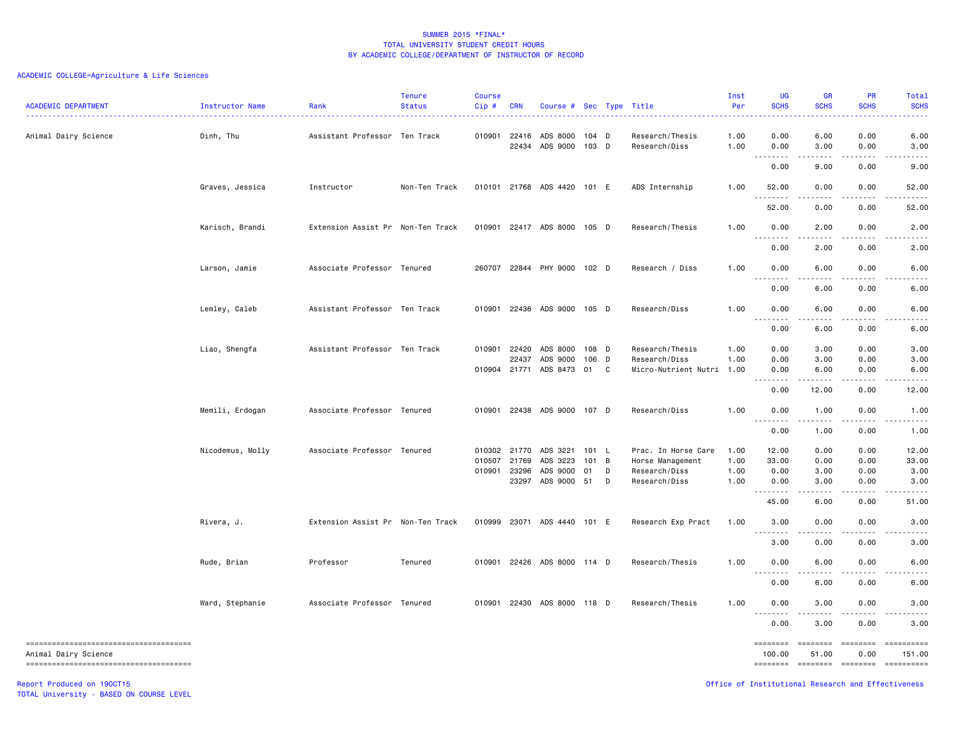# ACADEMIC COLLEGE=Agriculture & Life Sciences

| <b>ACADEMIC DEPARTMENT</b> | Instructor Name  | Rank                              | <b>Tenure</b><br><b>Status</b> | <b>Course</b><br>$Cip$ # | <b>CRN</b>     | Course # Sec Type Title     |                |                |                                  | Inst<br>Per<br>. | <b>UG</b><br><b>SCHS</b><br>222 L  | <b>GR</b><br><b>SCHS</b><br>.                                                                                                     | <b>PR</b><br><b>SCHS</b>                           | Total<br><b>SCHS</b> |
|----------------------------|------------------|-----------------------------------|--------------------------------|--------------------------|----------------|-----------------------------|----------------|----------------|----------------------------------|------------------|------------------------------------|-----------------------------------------------------------------------------------------------------------------------------------|----------------------------------------------------|----------------------|
| Animal Dairy Science       | Dinh, Thu        | Assistant Professor Ten Track     |                                | 010901                   | 22416<br>22434 | ADS 8000<br>ADS 9000        | 104 D<br>103 D |                | Research/Thesis<br>Research/Diss | 1.00<br>1.00     | 0.00<br>0.00                       | 6.00<br>3.00                                                                                                                      | 0.00<br>0.00                                       | 6.00<br>3.00         |
|                            |                  |                                   |                                |                          |                |                             |                |                |                                  |                  | .<br>$\sim$ $\sim$ $\sim$<br>0.00  | .<br>9.00                                                                                                                         | 0.00                                               | 9.00                 |
|                            | Graves, Jessica  | Instructor                        | Non-Ten Track                  |                          |                | 010101 21768 ADS 4420 101 E |                |                | ADS Internship                   | 1.00             | 52.00                              | 0.00                                                                                                                              | 0.00                                               | 52.00                |
|                            |                  |                                   |                                |                          |                |                             |                |                |                                  |                  | 52.00                              | 0.00                                                                                                                              | 0.00                                               | 52.00                |
|                            | Karisch, Brandi  | Extension Assist Pr Non-Ten Track |                                |                          |                | 010901 22417 ADS 8000 105 D |                |                | Research/Thesis                  | 1.00             | 0.00                               | 2.00                                                                                                                              | 0.00                                               | 2.00                 |
|                            |                  |                                   |                                |                          |                |                             |                |                |                                  |                  | $\sim$ $\sim$ $\sim$<br>.<br>0.00  | $\frac{1}{2} \left( \frac{1}{2} \right) \left( \frac{1}{2} \right) \left( \frac{1}{2} \right) \left( \frac{1}{2} \right)$<br>2.00 | .<br>0.00                                          | 2.00                 |
|                            | Larson, Jamie    | Associate Professor Tenured       |                                |                          |                | 260707 22844 PHY 9000 102 D |                |                | Research / Diss                  | 1.00             | 0.00                               | 6.00                                                                                                                              | 0.00                                               | 6.00                 |
|                            |                  |                                   |                                |                          |                |                             |                |                |                                  |                  | $\sim$ $\sim$<br>$- - - -$<br>0.00 | .<br>6.00                                                                                                                         | .<br>0.00                                          | 6.00                 |
|                            | Lemley, Caleb    | Assistant Professor Ten Track     |                                | 010901                   |                | 22436 ADS 9000 105 D        |                |                | Research/Diss                    | 1.00             | 0.00                               | 6.00                                                                                                                              | 0.00                                               | 6.00                 |
|                            |                  |                                   |                                |                          |                |                             |                |                |                                  |                  | ----<br>0.00                       | $\omega$ is a $\omega$<br>6.00                                                                                                    | .<br>0.00                                          | 6.00                 |
|                            | Liao, Shengfa    | Assistant Professor Ten Track     |                                | 010901                   | 22420          | ADS 8000                    | 108 D          |                | Research/Thesis                  | 1.00             | 0.00                               | 3.00                                                                                                                              | 0.00                                               | 3.00                 |
|                            |                  |                                   |                                |                          | 22437          | ADS 9000                    | 106            | $\mathsf{D}$   | Research/Diss                    | 1.00             | 0.00                               | 3.00                                                                                                                              | 0.00                                               | 3.00                 |
|                            |                  |                                   |                                |                          |                | 010904 21771 ADS 8473 01    |                | C              | Micro-Nutrient Nutri 1.00        |                  | 0.00<br>.<br>$\sim$ $\sim$         | 6.00<br>.                                                                                                                         | 0.00<br>.                                          | 6.00                 |
|                            |                  |                                   |                                |                          |                |                             |                |                |                                  |                  | 0.00                               | 12.00                                                                                                                             | 0.00                                               | 12.00                |
|                            | Memili, Erdogan  | Associate Professor Tenured       |                                | 010901                   |                | 22438 ADS 9000 107 D        |                |                | Research/Diss                    | 1.00             | 0.00<br>$\sim$ $\sim$ $\sim$<br>.  | 1.00<br>.                                                                                                                         | 0.00<br>$- - - -$                                  | 1.00                 |
|                            |                  |                                   |                                |                          |                |                             |                |                |                                  |                  | 0.00                               | 1.00                                                                                                                              | 0.00                                               | 1.00                 |
|                            | Nicodemus, Molly | Associate Professor Tenured       |                                | 010302 21770             |                | ADS 3221                    | 101 L          |                | Prac. In Horse Care              | 1.00             | 12.00                              | 0.00                                                                                                                              | 0.00                                               | 12.00                |
|                            |                  |                                   |                                | 010507 21769             |                | ADS 3223                    | 101            | $\overline{B}$ | Horse Management                 | 1.00             | 33.00                              | 0.00                                                                                                                              | 0.00                                               | 33.00                |
|                            |                  |                                   |                                | 010901                   | 23296          | ADS 9000                    | 01             | D              | Research/Diss                    | 1.00             | 0.00                               | 3.00                                                                                                                              | 0.00                                               | 3.00                 |
|                            |                  |                                   |                                |                          | 23297          | ADS 9000 51                 |                | D              | Research/Diss                    | 1.00             | 0.00                               | 3.00                                                                                                                              | 0.00                                               | 3.00                 |
|                            |                  |                                   |                                |                          |                |                             |                |                |                                  |                  | .<br>45.00                         | .<br>6.00                                                                                                                         | 0.00                                               | 51.00                |
|                            | Rivera, J.       | Extension Assist Pr Non-Ten Track |                                | 010999                   |                | 23071 ADS 4440 101 E        |                |                | Research Exp Pract               | 1.00             | 3.00<br>$\sim$ $\sim$ $\sim$       | 0.00                                                                                                                              | 0.00                                               | 3.00                 |
|                            |                  |                                   |                                |                          |                |                             |                |                |                                  |                  | 3.00                               | 0.00                                                                                                                              | 0.00                                               | 3.00                 |
|                            | Rude, Brian      | Professor                         | Tenured                        |                          |                | 010901 22426 ADS 8000 114 D |                |                | Research/Thesis                  | 1.00             | 0.00<br>----                       | 6.00<br>$\frac{1}{2}$                                                                                                             | 0.00                                               | 6.00                 |
|                            |                  |                                   |                                |                          |                |                             |                |                |                                  |                  | 0.00                               | 6.00                                                                                                                              | 0.00                                               | 6.00                 |
|                            | Ward, Stephanie  | Associate Professor Tenured       |                                | 010901                   |                | 22430 ADS 8000 118 D        |                |                | Research/Thesis                  | 1.00             | 0.00<br>.                          | 3.00<br>$- - - -$                                                                                                                 | 0.00                                               | 3.00                 |
|                            |                  |                                   |                                |                          |                |                             |                |                |                                  |                  | 0.00                               | 3.00                                                                                                                              | 0.00                                               | 3.00                 |
| Animal Dairy Science       |                  |                                   |                                |                          |                |                             |                |                |                                  |                  | ========<br>100.00                 | ========<br>51.00                                                                                                                 | ========<br>0.00                                   | ==========<br>151.00 |
|                            |                  |                                   |                                |                          |                |                             |                |                |                                  |                  | ========                           | ========                                                                                                                          | ========                                           | ==========           |
| Report Produced on 190CT15 |                  |                                   |                                |                          |                |                             |                |                |                                  |                  |                                    |                                                                                                                                   | Office of Institutional Research and Effectiveness |                      |

TOTAL University - BASED ON COURSE LEVEL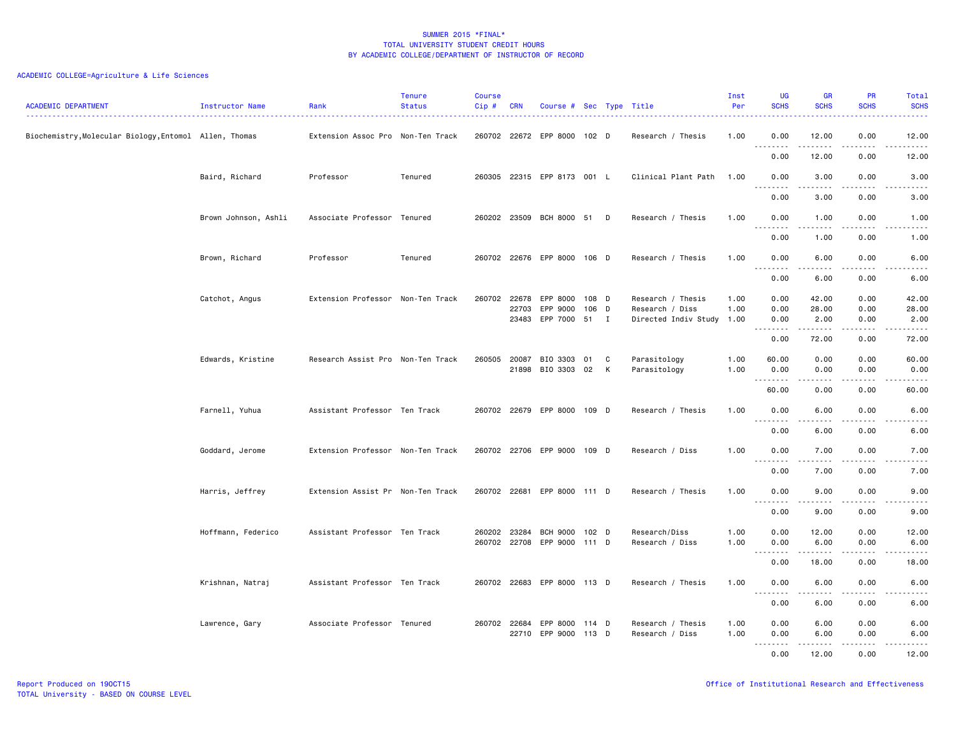| <b>ACADEMIC DEPARTMENT</b>                             | <b>Instructor Name</b> | Rank                              | <b>Tenure</b><br><b>Status</b> | <b>Course</b><br>Cip# | <b>CRN</b> | Course # Sec Type Title     |         |   |                                      | Inst<br>Per  | <b>UG</b><br><b>SCHS</b>                                                                                                                                  | <b>GR</b><br><b>SCHS</b> | PR<br><b>SCHS</b>                   | Total<br><b>SCHS</b>                                                                                                                                          |
|--------------------------------------------------------|------------------------|-----------------------------------|--------------------------------|-----------------------|------------|-----------------------------|---------|---|--------------------------------------|--------------|-----------------------------------------------------------------------------------------------------------------------------------------------------------|--------------------------|-------------------------------------|---------------------------------------------------------------------------------------------------------------------------------------------------------------|
| Biochemistry, Molecular Biology, Entomol Allen, Thomas |                        | Extension Assoc Pro Non-Ten Track |                                |                       |            | 260702 22672 EPP 8000 102 D |         |   | Research / Thesis                    | 1.00         | 0.00<br>$\sim$ $\sim$ $\sim$<br>.                                                                                                                         | 12.00<br>.               | 0.00<br>$\sim$ $\sim$ $\sim$        | 12.00<br>$\frac{1}{2} \left( \frac{1}{2} \right) \left( \frac{1}{2} \right) \left( \frac{1}{2} \right) \left( \frac{1}{2} \right) \left( \frac{1}{2} \right)$ |
|                                                        |                        |                                   |                                |                       |            |                             |         |   |                                      |              | 0.00                                                                                                                                                      | 12.00                    | 0.00                                | 12.00                                                                                                                                                         |
|                                                        | Baird, Richard         | Professor                         | Tenured                        |                       |            | 260305 22315 EPP 8173 001 L |         |   | Clinical Plant Path                  | 1.00         | 0.00<br>.                                                                                                                                                 | 3.00<br><b>.</b>         | 0.00<br>$\sim$ $\sim$ $\sim$ $\sim$ | 3.00<br>$\frac{1}{2} \left( \frac{1}{2} \right) \left( \frac{1}{2} \right) \left( \frac{1}{2} \right) \left( \frac{1}{2} \right) \left( \frac{1}{2} \right)$  |
|                                                        |                        |                                   |                                |                       |            |                             |         |   |                                      |              | 0.00                                                                                                                                                      | 3.00                     | 0.00                                | 3.00                                                                                                                                                          |
|                                                        | Brown Johnson, Ashli   | Associate Professor Tenured       |                                |                       |            | 260202 23509 BCH 8000 51 D  |         |   | Research / Thesis                    | 1.00         | 0.00<br>$- - -$<br><u>.</u>                                                                                                                               | 1.00                     | 0.00                                | 1.00<br>-----                                                                                                                                                 |
|                                                        |                        |                                   |                                |                       |            |                             |         |   |                                      |              | 0.00                                                                                                                                                      | 1.00                     | 0.00                                | 1.00                                                                                                                                                          |
|                                                        | Brown, Richard         | Professor                         | Tenured                        |                       |            | 260702 22676 EPP 8000 106 D |         |   | Research / Thesis                    | 1.00         | 0.00<br>.                                                                                                                                                 | 6.00<br>.                | 0.00<br>$\sim$ $\sim$ $\sim$        | 6.00<br>.                                                                                                                                                     |
|                                                        |                        |                                   |                                |                       |            |                             |         |   |                                      |              | 0.00                                                                                                                                                      | 6.00                     | 0.00                                | 6.00                                                                                                                                                          |
|                                                        | Catchot, Angus         | Extension Professor Non-Ten Track |                                | 260702 22678          | 22703      | EPP 8000 108 D<br>EPP 9000  | $106$ D |   | Research / Thesis<br>Research / Diss | 1.00<br>1.00 | 0.00<br>0.00                                                                                                                                              | 42.00<br>28.00           | 0.00<br>0.00                        | 42.00<br>28.00                                                                                                                                                |
|                                                        |                        |                                   |                                |                       |            | 23483 EPP 7000              | 51 I    |   | Directed Indiv Study 1.00            |              | 0.00                                                                                                                                                      | 2.00                     | 0.00                                | 2.00                                                                                                                                                          |
|                                                        |                        |                                   |                                |                       |            |                             |         |   |                                      |              | .<br>0.00                                                                                                                                                 | <b>.</b><br>72.00        | $- - - -$<br>0.00                   | $- - - - -$<br>72.00                                                                                                                                          |
|                                                        | Edwards, Kristine      | Research Assist Pro Non-Ten Track |                                | 260505 20087          |            | BIO 3303 01                 |         | C | Parasitology                         | 1.00         | 60.00                                                                                                                                                     | 0.00                     | 0.00                                | 60.00                                                                                                                                                         |
|                                                        |                        |                                   |                                |                       |            | 21898 BIO 3303 02           |         | К | Parasitology                         | 1.00         | 0.00<br><u>.</u>                                                                                                                                          | 0.00                     | 0.00                                | 0.00<br>$- - - - -$                                                                                                                                           |
|                                                        |                        |                                   |                                |                       |            |                             |         |   |                                      |              | 60.00                                                                                                                                                     | 0.00                     | 0.00                                | 60.00                                                                                                                                                         |
|                                                        | Farnell, Yuhua         | Assistant Professor Ten Track     |                                |                       |            | 260702 22679 EPP 8000       | 109 D   |   | Research / Thesis                    | 1.00         | 0.00<br>.                                                                                                                                                 | 6.00<br>.                | 0.00<br>$- - - -$                   | 6.00<br>.                                                                                                                                                     |
|                                                        |                        |                                   |                                |                       |            |                             |         |   |                                      |              | 0.00                                                                                                                                                      | 6.00                     | 0.00                                | 6.00                                                                                                                                                          |
|                                                        | Goddard, Jerome        | Extension Professor Non-Ten Track |                                |                       |            | 260702 22706 EPP 9000 109 D |         |   | Research / Diss                      | 1.00         | 0.00<br>$  -$                                                                                                                                             | 7.00<br>.                | 0.00<br>$  -$                       | 7.00<br>.                                                                                                                                                     |
|                                                        |                        |                                   |                                |                       |            |                             |         |   |                                      |              | 0.00                                                                                                                                                      | 7.00                     | 0.00                                | 7.00                                                                                                                                                          |
|                                                        | Harris, Jeffrey        | Extension Assist Pr Non-Ten Track |                                |                       |            | 260702 22681 EPP 8000 111 D |         |   | Research / Thesis                    | 1.00         | 0.00<br>$\sim$ $\sim$ $\sim$<br>$\frac{1}{2} \left( \frac{1}{2} \right) \left( \frac{1}{2} \right) \left( \frac{1}{2} \right) \left( \frac{1}{2} \right)$ | 9.00                     | 0.00                                | 9.00                                                                                                                                                          |
|                                                        |                        |                                   |                                |                       |            |                             |         |   |                                      |              | 0.00                                                                                                                                                      | 9.00                     | 0.00                                | 9.00                                                                                                                                                          |
|                                                        | Hoffmann, Federico     | Assistant Professor Ten Track     |                                | 260202 23284          |            | BCH 9000                    | 102 D   |   | Research/Diss                        | 1.00         | 0.00                                                                                                                                                      | 12.00                    | 0.00                                | 12.00                                                                                                                                                         |
|                                                        |                        |                                   |                                |                       |            | 260702 22708 EPP 9000 111 D |         |   | Research / Diss                      | 1.00         | 0.00<br>.                                                                                                                                                 | 6.00<br>.                | 0.00<br>.                           | 6.00<br>د د د د د                                                                                                                                             |
|                                                        |                        |                                   |                                |                       |            |                             |         |   |                                      |              | 0.00                                                                                                                                                      | 18.00                    | 0.00                                | 18.00                                                                                                                                                         |
|                                                        | Krishnan, Natraj       | Assistant Professor Ten Track     |                                |                       |            | 260702 22683 EPP 8000 113 D |         |   | Research / Thesis                    | 1.00         | 0.00<br>.                                                                                                                                                 | 6.00                     | 0.00                                | 6.00                                                                                                                                                          |
|                                                        |                        |                                   |                                |                       |            |                             |         |   |                                      |              | 0.00                                                                                                                                                      | 6.00                     | 0.00                                | 6.00                                                                                                                                                          |
|                                                        | Lawrence, Gary         | Associate Professor Tenured       |                                |                       |            | 260702 22684 EPP 8000       | 114 D   |   | Research / Thesis                    | 1.00         | 0.00                                                                                                                                                      | 6.00                     | 0.00                                | 6.00                                                                                                                                                          |
|                                                        |                        |                                   |                                |                       |            | 22710 EPP 9000 113 D        |         |   | Research / Diss                      | 1.00         | 0.00<br>.<br>$- - -$                                                                                                                                      | 6.00<br>$\frac{1}{2}$    | 0.00<br>$   -$                      | 6.00<br>$- - - - -$                                                                                                                                           |
|                                                        |                        |                                   |                                |                       |            |                             |         |   |                                      |              | 0.00                                                                                                                                                      | 12.00                    | 0.00                                | 12.00                                                                                                                                                         |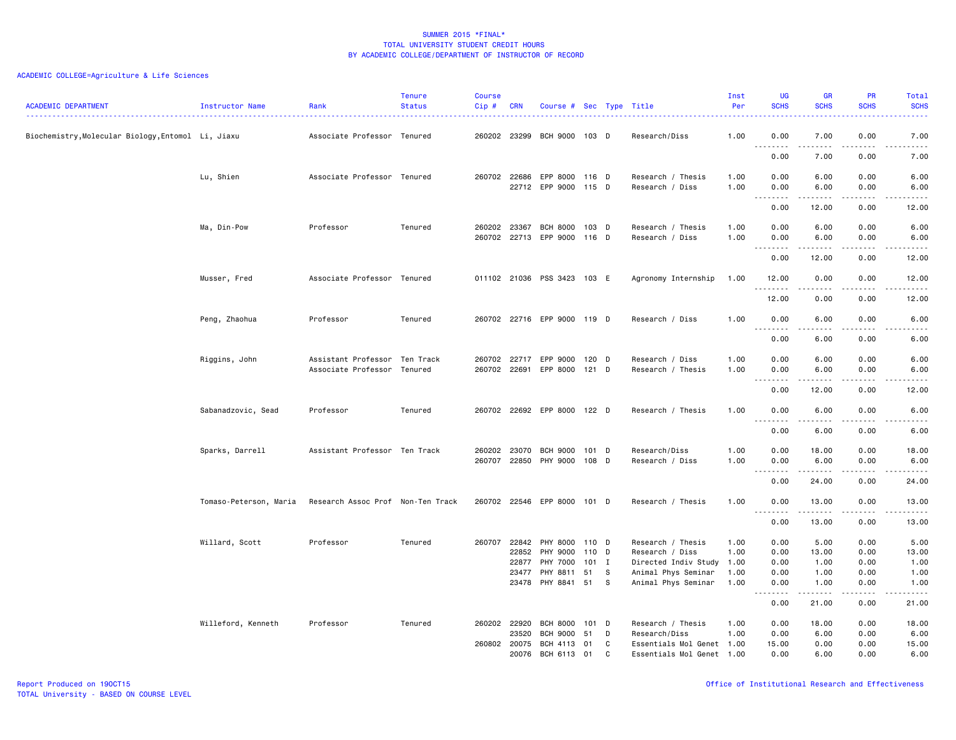| <b>ACADEMIC DEPARTMENT</b>                         | Instructor Name        | Rank                                                         | <b>Tenure</b><br><b>Status</b> | <b>Course</b><br>Cip # | <b>CRN</b>            | Course # Sec Type Title                        |                |        |                                                        | Inst<br>Per  | UG<br><b>SCHS</b>                | <b>GR</b><br><b>SCHS</b>                                                                                                                                                                                                                                                                                                                                                                                                                                                                        | PR<br><b>SCHS</b> | Total<br><b>SCHS</b>                                                                                                                                          |
|----------------------------------------------------|------------------------|--------------------------------------------------------------|--------------------------------|------------------------|-----------------------|------------------------------------------------|----------------|--------|--------------------------------------------------------|--------------|----------------------------------|-------------------------------------------------------------------------------------------------------------------------------------------------------------------------------------------------------------------------------------------------------------------------------------------------------------------------------------------------------------------------------------------------------------------------------------------------------------------------------------------------|-------------------|---------------------------------------------------------------------------------------------------------------------------------------------------------------|
| Biochemistry, Molecular Biology, Entomol Li, Jiaxu |                        | Associate Professor Tenured                                  |                                |                        | 260202 23299          | BCH 9000 103 D                                 |                |        | Research/Diss                                          | 1.00         | 0.00<br>$\sim$ $\sim$<br>د د د د | 7.00<br>$\frac{1}{2}$                                                                                                                                                                                                                                                                                                                                                                                                                                                                           | 0.00<br>.         | 7.00<br>.                                                                                                                                                     |
|                                                    |                        |                                                              |                                |                        |                       |                                                |                |        |                                                        |              | 0.00                             | 7.00                                                                                                                                                                                                                                                                                                                                                                                                                                                                                            | 0.00              | 7.00                                                                                                                                                          |
|                                                    | Lu, Shien              | Associate Professor Tenured                                  |                                |                        | 260702 22686          | EPP 8000 116 D<br>22712 EPP 9000 115 D         |                |        | Research / Thesis<br>Research / Diss                   | 1.00<br>1.00 | 0.00<br>0.00                     | 6.00<br>6.00                                                                                                                                                                                                                                                                                                                                                                                                                                                                                    | 0.00<br>0.00      | 6.00<br>6.00                                                                                                                                                  |
|                                                    |                        |                                                              |                                |                        |                       |                                                |                |        |                                                        |              | .<br>0.00                        | 12.00                                                                                                                                                                                                                                                                                                                                                                                                                                                                                           | .<br>0.00         | $\frac{1}{2} \left( \frac{1}{2} \right) \left( \frac{1}{2} \right) \left( \frac{1}{2} \right) \left( \frac{1}{2} \right) \left( \frac{1}{2} \right)$<br>12.00 |
|                                                    | Ma, Din-Pow            | Professor                                                    | Tenured                        | 260202                 | 23367                 | <b>BCH 8000</b><br>260702 22713 EPP 9000 116 D | $103$ D        |        | Research / Thesis<br>Research / Diss                   | 1.00<br>1.00 | 0.00<br>0.00                     | 6.00<br>6.00                                                                                                                                                                                                                                                                                                                                                                                                                                                                                    | 0.00<br>0.00      | 6.00<br>6.00                                                                                                                                                  |
|                                                    |                        |                                                              |                                |                        |                       |                                                |                |        |                                                        |              | .<br>0.00                        | .<br>12.00                                                                                                                                                                                                                                                                                                                                                                                                                                                                                      | .<br>0.00         | .<br>12.00                                                                                                                                                    |
|                                                    | Musser, Fred           | Associate Professor Tenured                                  |                                |                        |                       | 011102 21036 PSS 3423 103 E                    |                |        | Agronomy Internship                                    | 1.00         | 12.00<br><u>.</u>                | 0.00                                                                                                                                                                                                                                                                                                                                                                                                                                                                                            | 0.00<br>----      | 12.00<br>$- - - - -$                                                                                                                                          |
|                                                    |                        |                                                              |                                |                        |                       |                                                |                |        |                                                        |              | 12.00                            | 0.00                                                                                                                                                                                                                                                                                                                                                                                                                                                                                            | 0.00              | 12.00                                                                                                                                                         |
|                                                    | Peng, Zhaohua          | Professor                                                    | Tenured                        |                        |                       | 260702 22716 EPP 9000 119 D                    |                |        | Research / Diss                                        | 1.00         | 0.00<br><u>.</u>                 | 6.00                                                                                                                                                                                                                                                                                                                                                                                                                                                                                            | 0.00<br>.         | 6.00<br>.                                                                                                                                                     |
|                                                    |                        |                                                              |                                |                        |                       |                                                |                |        |                                                        |              | 0.00                             | 6.00                                                                                                                                                                                                                                                                                                                                                                                                                                                                                            | 0.00              | 6.00                                                                                                                                                          |
|                                                    | Riggins, John          | Assistant Professor Ten Track<br>Associate Professor Tenured |                                | 260702 22691           |                       | 260702 22717 EPP 9000<br>EPP 8000              | 120 D<br>121 D |        | Research / Diss<br>Research / Thesis                   | 1.00<br>1.00 | 0.00<br>0.00                     | 6.00<br>6.00                                                                                                                                                                                                                                                                                                                                                                                                                                                                                    | 0.00<br>0.00      | 6.00<br>6.00                                                                                                                                                  |
|                                                    |                        |                                                              |                                |                        |                       |                                                |                |        |                                                        |              | <u>.</u><br>0.00                 | 12.00                                                                                                                                                                                                                                                                                                                                                                                                                                                                                           | $- - -$<br>0.00   | .<br>12.00                                                                                                                                                    |
|                                                    | Sabanadzovic, Sead     | Professor                                                    | Tenured                        |                        |                       | 260702 22692 EPP 8000 122 D                    |                |        | Research / Thesis                                      | 1.00         | 0.00<br>.                        | 6.00<br>.                                                                                                                                                                                                                                                                                                                                                                                                                                                                                       | 0.00<br>$- - - -$ | 6.00<br>.                                                                                                                                                     |
|                                                    |                        |                                                              |                                |                        |                       |                                                |                |        |                                                        |              | 0.00                             | 6.00                                                                                                                                                                                                                                                                                                                                                                                                                                                                                            | 0.00              | 6.00                                                                                                                                                          |
|                                                    | Sparks, Darrell        | Assistant Professor Ten Track                                |                                |                        | 260202 23070          | BCH 9000<br>260707 22850 PHY 9000              | 101 D<br>108 D |        | Research/Diss<br>Research / Diss                       | 1.00<br>1.00 | 0.00<br>0.00                     | 18.00<br>6.00                                                                                                                                                                                                                                                                                                                                                                                                                                                                                   | 0.00<br>0.00      | 18.00<br>6.00                                                                                                                                                 |
|                                                    |                        |                                                              |                                |                        |                       |                                                |                |        |                                                        |              | .<br>0.00                        | $\begin{array}{cccccccccccccc} \multicolumn{2}{c}{} & \multicolumn{2}{c}{} & \multicolumn{2}{c}{} & \multicolumn{2}{c}{} & \multicolumn{2}{c}{} & \multicolumn{2}{c}{} & \multicolumn{2}{c}{} & \multicolumn{2}{c}{} & \multicolumn{2}{c}{} & \multicolumn{2}{c}{} & \multicolumn{2}{c}{} & \multicolumn{2}{c}{} & \multicolumn{2}{c}{} & \multicolumn{2}{c}{} & \multicolumn{2}{c}{} & \multicolumn{2}{c}{} & \multicolumn{2}{c}{} & \multicolumn{2}{c}{} & \multicolumn{2}{c}{} & \$<br>24.00 | .<br>0.00         | $\frac{1}{2} \left( \frac{1}{2} \right) \left( \frac{1}{2} \right) \left( \frac{1}{2} \right) \left( \frac{1}{2} \right) \left( \frac{1}{2} \right)$<br>24.00 |
|                                                    | Tomaso-Peterson, Maria | Research Assoc Prof Non-Ten Track                            |                                |                        |                       | 260702 22546 EPP 8000                          | 101 D          |        | Research / Thesis                                      | 1.00         | 0.00<br>. <b>.</b>               | 13.00<br>$\frac{1}{2}$                                                                                                                                                                                                                                                                                                                                                                                                                                                                          | 0.00<br>.         | 13.00<br>$\omega$ is a set of                                                                                                                                 |
|                                                    |                        |                                                              |                                |                        |                       |                                                |                |        |                                                        |              | 0.00                             | 13.00                                                                                                                                                                                                                                                                                                                                                                                                                                                                                           | 0.00              | 13.00                                                                                                                                                         |
|                                                    | Willard, Scott         | Professor                                                    | Tenured                        |                        | 22852                 | 260707 22842 PHY 8000 110 D<br>PHY 9000        | 110            | D      | Research / Thesis<br>Research / Diss                   | 1.00<br>1.00 | 0.00<br>0.00                     | 5.00<br>13.00                                                                                                                                                                                                                                                                                                                                                                                                                                                                                   | 0.00<br>0.00      | 5.00<br>13.00                                                                                                                                                 |
|                                                    |                        |                                                              |                                |                        | 22877<br>23477        | <b>PHY 7000</b><br>PHY 8811                    | $101$ I<br>51  | s      | Directed Indiv Study<br>Animal Phys Seminar            | 1.00<br>1.00 | 0.00<br>0.00                     | 1.00<br>1.00                                                                                                                                                                                                                                                                                                                                                                                                                                                                                    | 0.00<br>0.00      | 1.00<br>1.00                                                                                                                                                  |
|                                                    |                        |                                                              |                                |                        | 23478                 | PHY 8841                                       | 51             | - S    | Animal Phys Seminar                                    | 1.00         | 0.00<br>.                        | 1.00<br>$\frac{1}{2} \left( \frac{1}{2} \right) \left( \frac{1}{2} \right) \left( \frac{1}{2} \right) \left( \frac{1}{2} \right) \left( \frac{1}{2} \right) \left( \frac{1}{2} \right)$                                                                                                                                                                                                                                                                                                         | 0.00<br>-----     | 1.00<br>$\frac{1}{2} \left( \frac{1}{2} \right) \left( \frac{1}{2} \right) \left( \frac{1}{2} \right) \left( \frac{1}{2} \right) \left( \frac{1}{2} \right)$  |
|                                                    |                        |                                                              |                                |                        |                       |                                                |                |        |                                                        |              | 0.00                             | 21.00                                                                                                                                                                                                                                                                                                                                                                                                                                                                                           | 0.00              | 21.00                                                                                                                                                         |
|                                                    | Willeford, Kenneth     | Professor                                                    | Tenured                        |                        | 260202 22920          | <b>BCH 8000</b>                                | $101$ D        |        | Research / Thesis                                      | 1.00         | 0.00                             | 18.00                                                                                                                                                                                                                                                                                                                                                                                                                                                                                           | 0.00              | 18.00                                                                                                                                                         |
|                                                    |                        |                                                              |                                |                        | 23520                 | BCH 9000                                       | 51             | D      | Research/Diss                                          | 1.00         | 0.00                             | 6.00                                                                                                                                                                                                                                                                                                                                                                                                                                                                                            | 0.00              | 6.00                                                                                                                                                          |
|                                                    |                        |                                                              |                                |                        | 260802 20075<br>20076 | BCH 4113<br>BCH 6113                           | 01<br>01       | C<br>C | Essentials Mol Genet 1.00<br>Essentials Mol Genet 1.00 |              | 15.00<br>0.00                    | 0.00<br>6.00                                                                                                                                                                                                                                                                                                                                                                                                                                                                                    | 0.00<br>0.00      | 15.00<br>6.00                                                                                                                                                 |
|                                                    |                        |                                                              |                                |                        |                       |                                                |                |        |                                                        |              |                                  |                                                                                                                                                                                                                                                                                                                                                                                                                                                                                                 |                   |                                                                                                                                                               |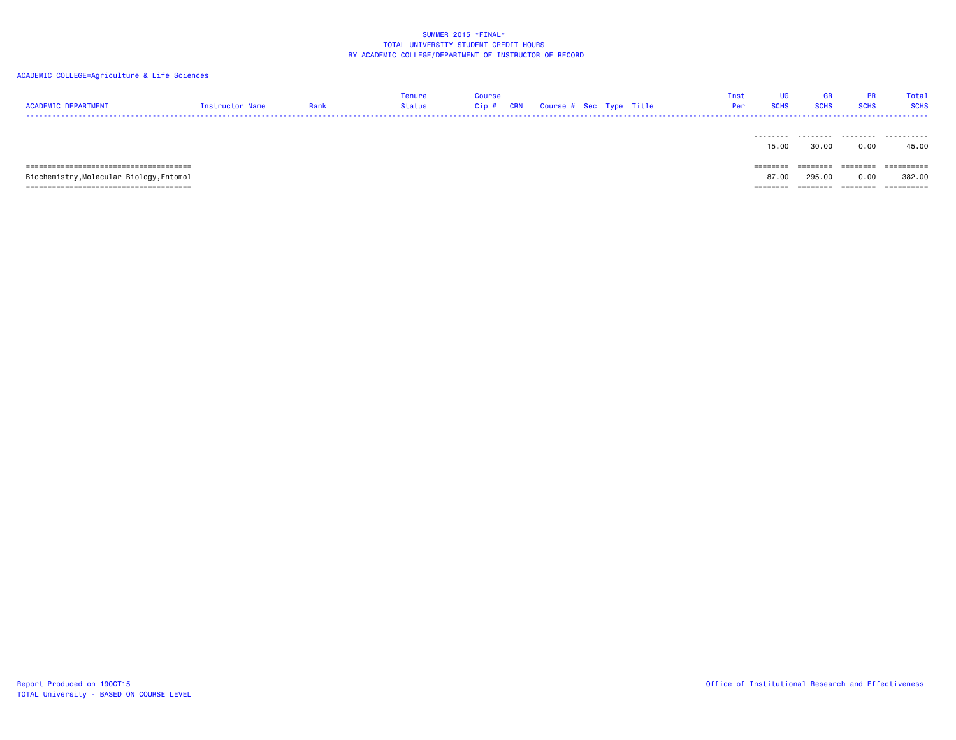| <b>ACADEMIC DEPARTMENT</b>               | <b>Instructor Name</b> | Rank | Tenure<br><b>Status</b> | <b>Course</b><br>Cip# | <b>CRN</b> | Course # Sec Type Title |  | Inst<br>Per | <b>UG</b><br><b>SCHS</b> | GR<br><b>SCHS</b> | <b>PR</b><br><b>SCHS</b> | Total<br><b>SCHS</b> |
|------------------------------------------|------------------------|------|-------------------------|-----------------------|------------|-------------------------|--|-------------|--------------------------|-------------------|--------------------------|----------------------|
|                                          |                        |      |                         |                       |            |                         |  |             | 15.00                    | 30.00             | 0.00                     | 45.00                |
|                                          |                        |      |                         |                       |            |                         |  |             | ========                 | ========          | ========                 | ==========           |
| Biochemistry, Molecular Biology, Entomol |                        |      |                         |                       |            |                         |  |             | 87.00                    | 295.00            | 0.00                     | 382.00               |
|                                          |                        |      |                         |                       |            |                         |  |             | =====                    |                   | -----                    | ==========           |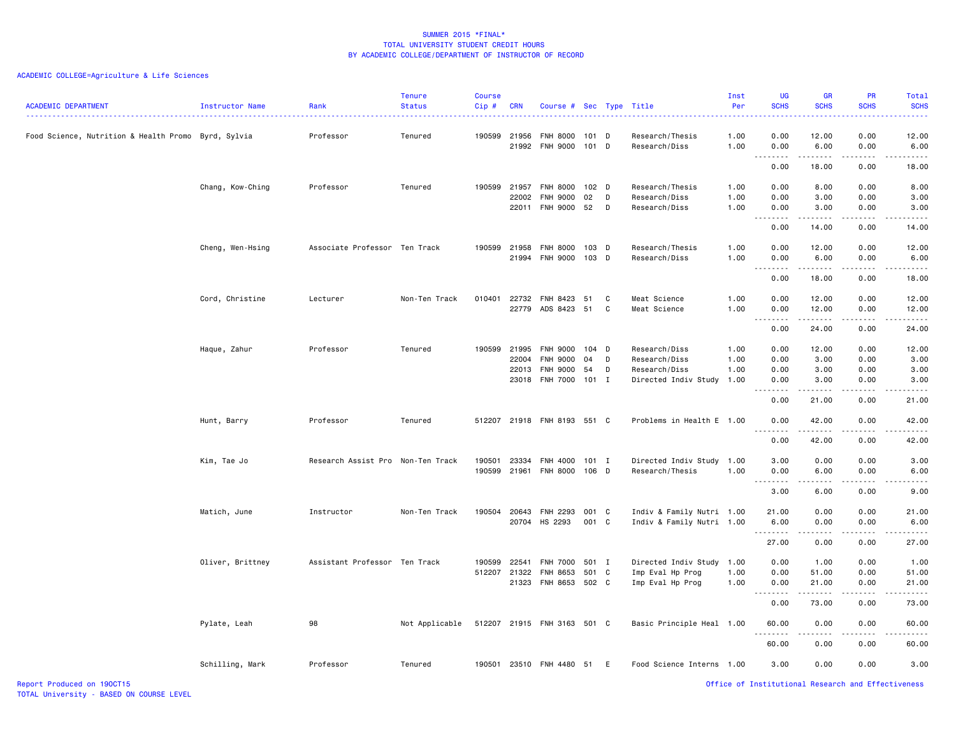# ACADEMIC COLLEGE=Agriculture & Life Sciences

| <b>ACADEMIC DEPARTMENT</b>                          | Instructor Name  | Rank<br>.                         | <b>Tenure</b><br><b>Status</b> | <b>Course</b><br>Cip# | <b>CRN</b> | Course # Sec Type Title                 |         |        | <u>.</u>                         | Inst<br>Per  | <b>UG</b><br><b>SCHS</b>       | <b>GR</b><br><b>SCHS</b> | PR<br><b>SCHS</b> | Total<br><b>SCHS</b> |
|-----------------------------------------------------|------------------|-----------------------------------|--------------------------------|-----------------------|------------|-----------------------------------------|---------|--------|----------------------------------|--------------|--------------------------------|--------------------------|-------------------|----------------------|
| Food Science, Nutrition & Health Promo Byrd, Sylvia |                  | Professor                         | Tenured                        | 190599                | 21956      | <b>FNH 8000</b><br>21992 FNH 9000 101 D | 101 D   |        | Research/Thesis<br>Research/Diss | 1.00<br>1.00 | 0.00<br>0.00                   | 12.00<br>6.00            | 0.00<br>0.00      | 12.00<br>6.00        |
|                                                     |                  |                                   |                                |                       |            |                                         |         |        |                                  |              | .<br>0.00                      | .<br>18.00               | 0.00              | 18.00                |
|                                                     |                  |                                   |                                |                       |            |                                         |         |        |                                  |              |                                |                          |                   |                      |
|                                                     | Chang, Kow-Ching | Professor                         | Tenured                        | 190599 21957          |            | <b>FNH 8000</b>                         | $102$ D |        | Research/Thesis                  | 1.00         | 0.00                           | 8.00                     | 0.00              | 8.00                 |
|                                                     |                  |                                   |                                |                       | 22002      | <b>FNH 9000</b><br>22011 FNH 9000 52    | 02      | D<br>D | Research/Diss<br>Research/Diss   | 1.00<br>1.00 | 0.00<br>0.00                   | 3.00<br>3.00             | 0.00<br>0.00      | 3.00<br>3.00         |
|                                                     |                  |                                   |                                |                       |            |                                         |         |        |                                  |              |                                |                          |                   |                      |
|                                                     |                  |                                   |                                |                       |            |                                         |         |        |                                  |              | 0.00                           | 14.00                    | 0.00              | 14.00                |
|                                                     | Cheng, Wen-Hsing | Associate Professor Ten Track     |                                | 190599                | 21958      | <b>FNH 8000</b>                         | 103 D   |        | Research/Thesis                  | 1.00         | 0.00                           | 12.00                    | 0.00              | 12.00                |
|                                                     |                  |                                   |                                |                       |            | 21994 FNH 9000 103 D                    |         |        | Research/Diss                    | 1.00         | 0.00                           | 6.00                     | 0.00              | 6.00                 |
|                                                     |                  |                                   |                                |                       |            |                                         |         |        |                                  |              | .<br>0.00                      | .<br>18.00               | .<br>0.00         | .<br>18.00           |
|                                                     |                  |                                   |                                |                       |            |                                         |         |        |                                  |              |                                |                          |                   |                      |
|                                                     | Cord, Christine  | Lecturer                          | Non-Ten Track                  | 010401                |            | 22732 FNH 8423                          | 51      | C      | Meat Science                     | 1.00         | 0.00                           | 12.00                    | 0.00              | 12.00                |
|                                                     |                  |                                   |                                |                       |            | 22779 ADS 8423 51                       |         | C      | Meat Science                     | 1.00         | 0.00<br>.                      | 12.00                    | 0.00              | 12.00                |
|                                                     |                  |                                   |                                |                       |            |                                         |         |        |                                  |              | 0.00                           | 24.00                    | 0.00              | 24.00                |
|                                                     | Haque, Zahur     | Professor                         | Tenured                        | 190599                | 21995      | <b>FNH 9000</b>                         | 104 D   |        | Research/Diss                    | 1.00         | 0.00                           | 12.00                    | 0.00              | 12.00                |
|                                                     |                  |                                   |                                |                       | 22004      | <b>FNH 9000</b>                         | 04      | D      | Research/Diss                    | 1.00         | 0.00                           | 3.00                     | 0.00              | 3.00                 |
|                                                     |                  |                                   |                                |                       | 22013      | <b>FNH 9000</b>                         | 54      | D      | Research/Diss                    | 1.00         | 0.00                           | 3.00                     | 0.00              | 3.00                 |
|                                                     |                  |                                   |                                |                       |            | 23018 FNH 7000 101 I                    |         |        | Directed Indiv Study             | 1.00         | 0.00                           | 3.00                     | 0.00              | 3.00                 |
|                                                     |                  |                                   |                                |                       |            |                                         |         |        |                                  |              | 0.00                           | 21.00                    | 0.00              | 21.00                |
|                                                     | Hunt, Barry      | Professor                         | Tenured                        |                       |            | 512207 21918 FNH 8193 551 C             |         |        | Problems in Health E 1.00        |              | 0.00                           | 42.00                    | 0.00              | 42.00                |
|                                                     |                  |                                   |                                |                       |            |                                         |         |        |                                  |              | 0.00                           | 42.00                    | 0.00              | 42.00                |
|                                                     | Kim, Tae Jo      | Research Assist Pro Non-Ten Track |                                | 190501                | 23334      | FNH 4000                                | 101 I   |        | Directed Indiv Study 1.00        |              | 3.00                           | 0.00                     | 0.00              | 3.00                 |
|                                                     |                  |                                   |                                | 190599                | 21961      | FNH 8000 106 D                          |         |        | Research/Thesis                  | 1.00         | 0.00                           | 6.00                     | 0.00              | 6.00                 |
|                                                     |                  |                                   |                                |                       |            |                                         |         |        |                                  |              | .                              | .                        | .                 | .                    |
|                                                     |                  |                                   |                                |                       |            |                                         |         |        |                                  |              | 3.00                           | 6.00                     | 0.00              | 9.00                 |
|                                                     | Matich, June     | Instructor                        | Non-Ten Track                  | 190504                | 20643      | FNH 2293                                | 001 C   |        | Indiv & Family Nutri 1.00        |              | 21.00                          | 0.00                     | 0.00              | 21.00                |
|                                                     |                  |                                   |                                |                       |            | 20704 HS 2293                           | 001 C   |        | Indiv & Family Nutri 1.00        |              | 6.00                           | 0.00                     | 0.00              | 6.00                 |
|                                                     |                  |                                   |                                |                       |            |                                         |         |        |                                  |              | .<br>27.00                     | .<br>0.00                | 0.00              | 27.00                |
|                                                     |                  |                                   |                                |                       |            |                                         |         |        |                                  |              |                                |                          |                   |                      |
|                                                     | Oliver, Brittney | Assistant Professor Ten Track     |                                | 190599                | 22541      | <b>FNH 7000</b>                         | 501 I   |        | Directed Indiv Study 1.00        |              | 0.00                           | 1.00                     | 0.00              | 1.00                 |
|                                                     |                  |                                   |                                | 512207 21322          |            | FNH 8653                                | 501 C   |        | Imp Eval Hp Prog                 | 1.00         | 0.00                           | 51.00                    | 0.00              | 51.00                |
|                                                     |                  |                                   |                                |                       | 21323      | FNH 8653 502 C                          |         |        | Imp Eval Hp Prog                 | 1.00         | 0.00<br>$\frac{1}{2}$<br>$  -$ | 21.00<br>.               | 0.00<br>-----     | 21.00<br>.           |
|                                                     |                  |                                   |                                |                       |            |                                         |         |        |                                  |              | 0.00                           | 73.00                    | 0.00              | 73.00                |
|                                                     | Pylate, Leah     | 98                                | Not Applicable                 |                       |            | 512207 21915 FNH 3163 501 C             |         |        | Basic Principle Heal 1.00        |              | 60.00<br>.                     | 0.00                     | 0.00              | 60.00                |
|                                                     |                  |                                   |                                |                       |            |                                         |         |        |                                  |              | 60.00                          | 0.00                     | 0.00              | 60.00                |
|                                                     | Schilling, Mark  | Professor                         | Tenured                        |                       |            | 190501 23510 FNH 4480 51                |         | E      | Food Science Interns 1.00        |              | 3.00                           | 0.00                     | 0.00              | 3.00                 |

Report Produced on 19OCT15 Office of Institutional Research and Effectiveness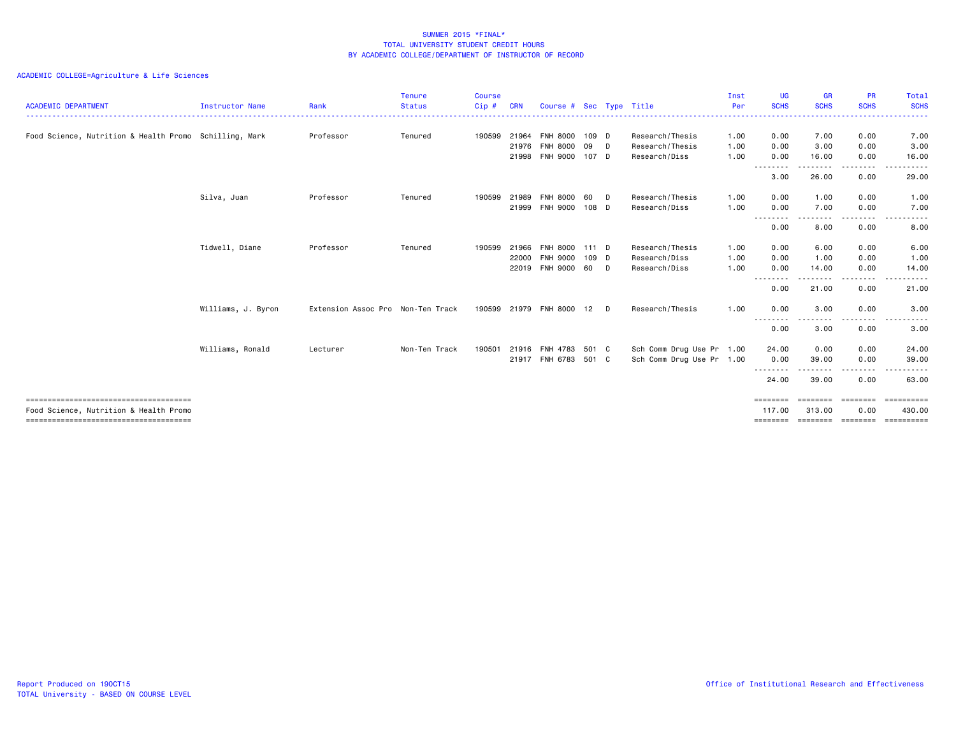|                                                        |                    |                                   | <b>Tenure</b> | <b>Course</b> |            |                         |       |    |                           | Inst | <b>UG</b>          | <b>GR</b>            | <b>PR</b>            | Total                                                                                                                                                        |
|--------------------------------------------------------|--------------------|-----------------------------------|---------------|---------------|------------|-------------------------|-------|----|---------------------------|------|--------------------|----------------------|----------------------|--------------------------------------------------------------------------------------------------------------------------------------------------------------|
| <b>ACADEMIC DEPARTMENT</b>                             | Instructor Name    | Rank                              | <b>Status</b> | Cip#          | <b>CRN</b> | Course # Sec Type Title |       |    |                           | Per  | <b>SCHS</b>        | <b>SCHS</b>          | <b>SCHS</b>          | <b>SCHS</b><br>. <b>.</b>                                                                                                                                    |
| Food Science, Nutrition & Health Promo Schilling, Mark |                    | Professor                         | Tenured       | 190599        | 21964      | <b>FNH 8000</b>         | 109 D |    | Research/Thesis           | 1.00 | 0.00               | 7.00                 | 0.00                 | 7.00                                                                                                                                                         |
|                                                        |                    |                                   |               |               | 21976      | <b>FNH 8000</b>         | 09    | D. | Research/Thesis           | 1.00 | 0.00               | 3.00                 | 0.00                 | 3.00                                                                                                                                                         |
|                                                        |                    |                                   |               |               | 21998      | <b>FNH 9000</b>         | 107 D |    | Research/Diss             | 1.00 | 0.00<br>--------   | 16.00<br>-----       | 0.00<br>. <u>. .</u> | 16.00                                                                                                                                                        |
|                                                        |                    |                                   |               |               |            |                         |       |    |                           |      | 3.00               | 26.00                | 0.00                 | 29.00                                                                                                                                                        |
|                                                        | Silva, Juan        | Professor                         | Tenured       | 190599        | 21989      | <b>FNH 8000</b>         | 60    | D  | Research/Thesis           | 1.00 | 0.00               | 1.00                 | 0.00                 | 1.00                                                                                                                                                         |
|                                                        |                    |                                   |               |               |            | 21999 FNH 9000          | 108 D |    | Research/Diss             | 1.00 | 0.00<br>--------   | 7.00<br>. <b>.</b> . | 0.00<br>.            | 7.00<br>.                                                                                                                                                    |
|                                                        |                    |                                   |               |               |            |                         |       |    |                           |      | 0.00               | 8.00                 | 0.00                 | 8.00                                                                                                                                                         |
|                                                        | Tidwell, Diane     | Professor                         | Tenured       | 190599        | 21966      | <b>FNH 8000</b>         | 111 D |    | Research/Thesis           | 1.00 | 0.00               | 6.00                 | 0.00                 | 6.00                                                                                                                                                         |
|                                                        |                    |                                   |               |               | 22000      | FNH 9000                | 109 D |    | Research/Diss             | 1.00 | 0.00               | 1.00                 | 0.00                 | 1.00                                                                                                                                                         |
|                                                        |                    |                                   |               |               | 22019      | FNH 9000                | 60 D  |    | Research/Diss             | 1.00 | 0.00<br>.          | 14.00<br>-----       | 0.00<br>. <b>.</b>   | 14.00                                                                                                                                                        |
|                                                        |                    |                                   |               |               |            |                         |       |    |                           |      | 0.00               | 21.00                | 0.00                 | 21.00                                                                                                                                                        |
|                                                        | Williams, J. Byron | Extension Assoc Pro Non-Ten Track |               |               |            | 190599 21979 FNH 8000   | 12    | D. | Research/Thesis           | 1.00 | 0.00               | 3.00                 | 0.00                 | 3.00                                                                                                                                                         |
|                                                        |                    |                                   |               |               |            |                         |       |    |                           |      | --------<br>0.00   | $- - -$<br>3.00      | 0.00                 | $\frac{1}{2} \left( \frac{1}{2} \right) \left( \frac{1}{2} \right) \left( \frac{1}{2} \right) \left( \frac{1}{2} \right) \left( \frac{1}{2} \right)$<br>3.00 |
|                                                        | Williams, Ronald   | Lecturer                          | Non-Ten Track | 190501        | 21916      | FNH 4783                | 501 C |    | Sch Comm Drug Use Pr 1.00 |      | 24.00              | 0.00                 | 0.00                 | 24.00                                                                                                                                                        |
|                                                        |                    |                                   |               |               |            | 21917 FNH 6783 501 C    |       |    | Sch Comm Drug Use Pr 1.00 |      | 0.00               | 39.00                | 0.00                 | 39.00                                                                                                                                                        |
|                                                        |                    |                                   |               |               |            |                         |       |    |                           |      | --------<br>24.00  | - - - - -<br>39.00   | 0.00                 | . <b>.</b> .<br>63.00                                                                                                                                        |
| Food Science, Nutrition & Health Promo                 |                    |                                   |               |               |            |                         |       |    |                           |      | ========<br>117,00 | eeeeeee<br>313.00    | ========<br>0.00     | ==========<br>430,00                                                                                                                                         |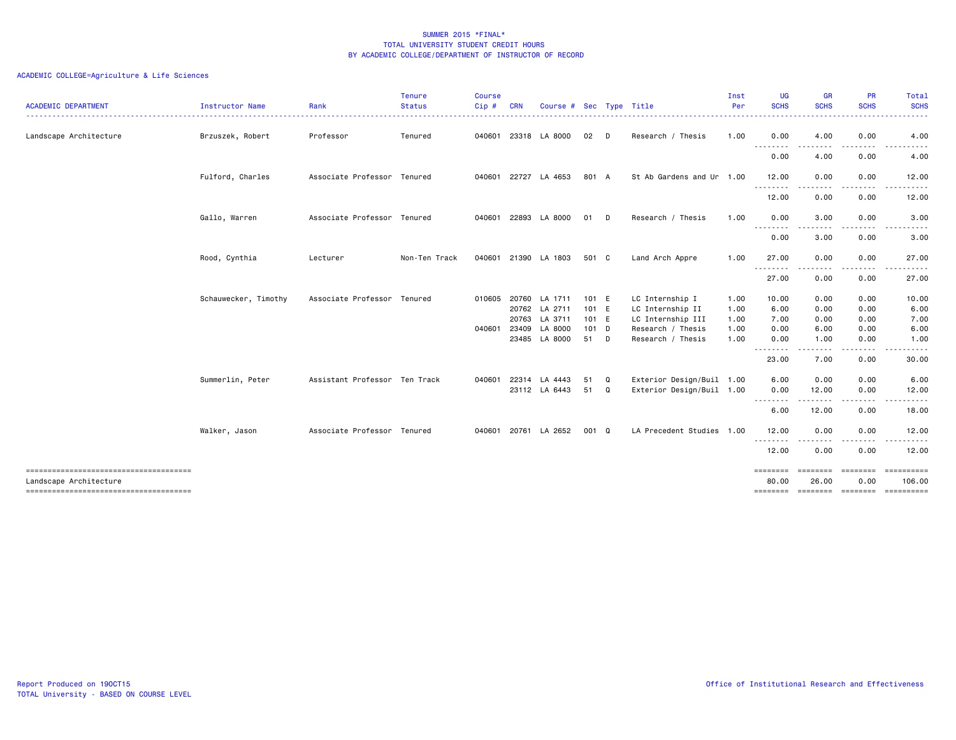| <b>ACADEMIC DEPARTMENT</b><br>.       | Instructor Name      | Rank                          | <b>Tenure</b><br><b>Status</b> | <b>Course</b><br>Cip# | <b>CRN</b> | Course #                 | Sec            |   | Type Title                          | Inst<br>Per  | <b>UG</b><br><b>SCHS</b><br>.   | <b>GR</b><br><b>SCHS</b>  | <b>PR</b><br><b>SCHS</b> | Total<br><b>SCHS</b><br>. <u>.</u> . |
|---------------------------------------|----------------------|-------------------------------|--------------------------------|-----------------------|------------|--------------------------|----------------|---|-------------------------------------|--------------|---------------------------------|---------------------------|--------------------------|--------------------------------------|
| Landscape Architecture                | Brzuszek, Robert     | Professor                     | Tenured                        | 040601                |            | 23318 LA 8000            | 02             | D | Research / Thesis                   | 1.00         | 0.00                            | 4.00                      | 0.00                     | 4.00                                 |
|                                       |                      |                               |                                |                       |            |                          |                |   |                                     |              | .<br>0.00                       | 4.00                      | 0.00                     | 4.00                                 |
|                                       | Fulford, Charles     | Associate Professor Tenured   |                                |                       |            | 040601 22727 LA 4653     | 801 A          |   | St Ab Gardens and Ur 1.00           |              | 12.00                           | 0.00                      | 0.00                     | 12.00                                |
|                                       |                      |                               |                                |                       |            |                          |                |   |                                     |              | -----<br>12.00                  | 0.00                      | 0.00                     | 12.00                                |
|                                       | Gallo, Warren        | Associate Professor Tenured   |                                | 040601                |            | 22893 LA 8000            | 01             | D | Research / Thesis                   | 1.00         | 0.00                            | 3.00                      | 0.00                     | 3.00                                 |
|                                       |                      |                               |                                |                       |            |                          |                |   |                                     |              | <u> - - - - - - - -</u><br>0.00 | 3.00                      | 0.00                     | 3.00                                 |
|                                       | Rood, Cynthia        | Lecturer                      | Non-Ten Track                  | 040601                |            | 21390 LA 1803            | 501 C          |   | Land Arch Appre                     | 1.00         | 27.00                           | 0.00                      | 0.00                     | 27.00                                |
|                                       |                      |                               |                                |                       |            |                          |                |   |                                     |              | .<br>27.00                      | $\frac{1}{2}$<br>0.00     | 0.00                     | .<br>27.00                           |
|                                       | Schauwecker, Timothy | Associate Professor Tenured   |                                | 010605                | 20760      | LA 1711<br>20762 LA 2711 | 101 E<br>101 E |   | LC Internship I<br>LC Internship II | 1.00<br>1.00 | 10.00<br>6.00                   | 0.00<br>0.00              | 0.00<br>0.00             | 10.00<br>6.00                        |
|                                       |                      |                               |                                |                       | 20763      | LA 3711                  | 101 E          |   | LC Internship III                   | 1.00         | 7.00                            | 0.00                      | 0.00                     | 7.00                                 |
|                                       |                      |                               |                                | 040601                | 23409      | LA 8000                  | $101$ D        |   | Research / Thesis                   | 1.00         | 0.00                            | 6.00                      | 0.00                     | 6.00                                 |
|                                       |                      |                               |                                |                       |            | 23485 LA 8000            | 51             | D | Research / Thesis                   | 1.00         | 0.00<br>--------                | 1.00<br>.                 | 0.00<br>. <b>.</b>       | 1.00<br>.                            |
|                                       |                      |                               |                                |                       |            |                          |                |   |                                     |              | 23.00                           | 7.00                      | 0.00                     | 30.00                                |
|                                       | Summerlin, Peter     | Assistant Professor Ten Track |                                | 040601                | 22314      | LA 4443                  | 51             | Q | Exterior Design/Buil 1.00           |              | 6.00                            | 0.00                      | 0.00                     | 6.00                                 |
|                                       |                      |                               |                                |                       |            | 23112 LA 6443            | 51             | Q | Exterior Design/Buil 1.00           |              | 0.00                            | 12.00                     | 0.00                     | 12.00                                |
|                                       |                      |                               |                                |                       |            |                          |                |   |                                     |              | --------<br>6.00                | .<br>12.00                | 0.00                     | 18.00                                |
|                                       | Walker, Jason        | Associate Professor Tenured   |                                | 040601                |            | 20761 LA 2652            | 001 Q          |   | LA Precedent Studies 1.00           |              | 12.00                           | 0.00                      | 0.00                     | 12.00                                |
|                                       |                      |                               |                                |                       |            |                          |                |   |                                     |              | --------<br>12.00               | 0.00                      | 0.00                     | .<br>12.00                           |
| Landscape Architecture                |                      |                               |                                |                       |            |                          |                |   |                                     |              | $=$ = = = = = = =<br>80.00      | ========<br>26.00         | ---------<br>0.00        | -----------<br>106,00                |
| ------------------------------------- |                      |                               |                                |                       |            |                          |                |   |                                     |              |                                 | -------- -------- ------- |                          | ==========                           |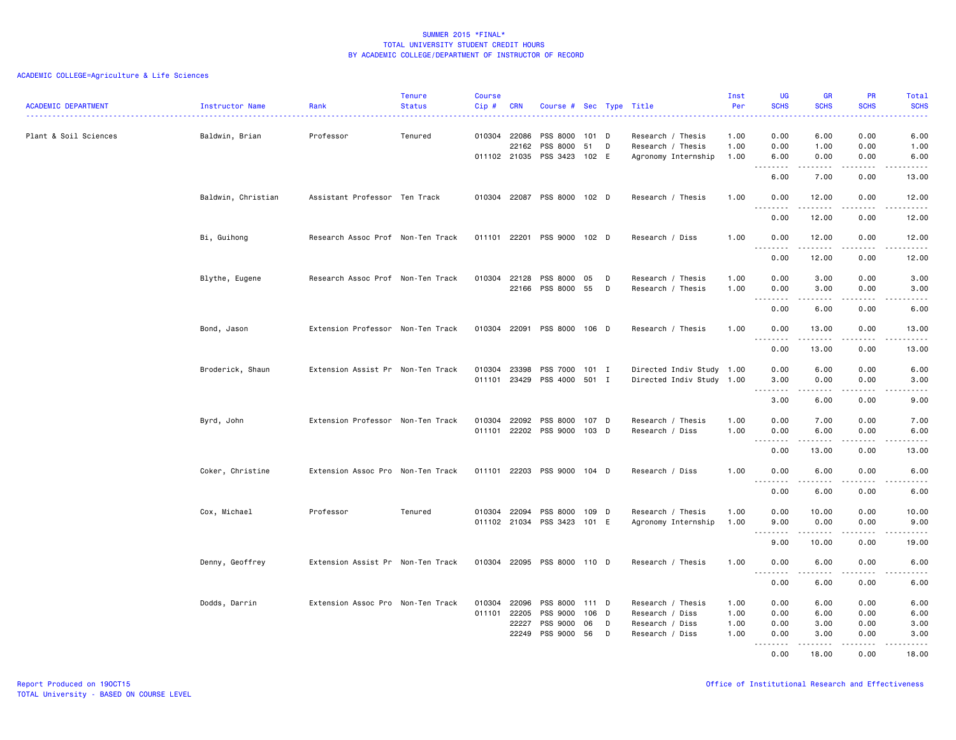| <b>ACADEMIC DEPARTMENT</b> | <b>Instructor Name</b> | Rank<br>.                         | <b>Tenure</b><br><b>Status</b> | <b>Course</b><br>$Cip \#$ | <b>CRN</b>                   | Course # Sec Type Title                                    |                |        |                                          | Inst<br>Per  | <b>UG</b><br><b>SCHS</b> | <b>GR</b><br><b>SCHS</b>        | PR<br><b>SCHS</b><br>.              | Total<br><b>SCHS</b><br>.                                                                                                                                          |
|----------------------------|------------------------|-----------------------------------|--------------------------------|---------------------------|------------------------------|------------------------------------------------------------|----------------|--------|------------------------------------------|--------------|--------------------------|---------------------------------|-------------------------------------|--------------------------------------------------------------------------------------------------------------------------------------------------------------------|
| Plant & Soil Sciences      | Baldwin, Brian         | Professor                         | Tenured                        |                           | 010304 22086<br>22162        | PSS 8000<br>PSS 8000                                       | 101 D<br>51    | D      | Research / Thesis<br>Research / Thesis   | 1.00<br>1.00 | 0.00<br>0.00             | 6.00<br>1.00                    | 0.00<br>0.00                        | 6.00<br>1.00                                                                                                                                                       |
|                            |                        |                                   |                                |                           |                              | 011102 21035 PSS 3423 102 E                                |                |        | Agronomy Internship                      | 1.00         | 6.00<br>.                | 0.00<br><u>.</u>                | 0.00<br>.                           | 6.00<br>$\frac{1}{2} \left( \frac{1}{2} \right) \left( \frac{1}{2} \right) \left( \frac{1}{2} \right) \left( \frac{1}{2} \right) \left( \frac{1}{2} \right)$       |
|                            | Baldwin, Christian     | Assistant Professor Ten Track     |                                |                           |                              | 010304 22087 PSS 8000 102 D                                |                |        | Research / Thesis                        | 1.00         | 6.00<br>0.00             | 7.00<br>12.00                   | 0.00<br>0.00                        | 13.00<br>12.00                                                                                                                                                     |
|                            |                        |                                   |                                |                           |                              |                                                            |                |        |                                          |              | .<br>0.00                | .<br>12.00                      | .<br>0.00                           | .<br>12.00                                                                                                                                                         |
|                            | Bi, Guihong            | Research Assoc Prof Non-Ten Track |                                |                           |                              | 011101 22201 PSS 9000 102 D                                |                |        | Research / Diss                          | 1.00         | 0.00                     | 12.00                           | 0.00                                | 12.00                                                                                                                                                              |
|                            |                        |                                   |                                |                           |                              |                                                            |                |        |                                          |              | .<br>0.00                | .<br>12.00                      | .<br>0.00                           | .<br>12.00                                                                                                                                                         |
|                            | Blythe, Eugene         | Research Assoc Prof Non-Ten Track |                                |                           | 010304 22128                 | PSS 8000                                                   | 05             | D      | Research / Thesis                        | 1.00         | 0.00                     | 3.00                            | 0.00                                | 3.00                                                                                                                                                               |
|                            |                        |                                   |                                |                           |                              | 22166 PSS 8000                                             | 55 D           |        | Research / Thesis                        | 1.00         | 0.00<br>.<br>0.00        | 3.00<br>.<br>6.00               | 0.00<br>$- - - -$<br>0.00           | 3.00<br>. <u>.</u> .<br>6.00                                                                                                                                       |
|                            | Bond, Jason            | Extension Professor Non-Ten Track |                                |                           |                              | 010304 22091 PSS 8000 106 D                                |                |        | Research / Thesis                        | 1.00         | 0.00                     | 13.00                           | 0.00                                | 13.00                                                                                                                                                              |
|                            |                        |                                   |                                |                           |                              |                                                            |                |        |                                          |              | .<br>0.00                | .<br>13.00                      | .<br>0.00                           | .<br>13.00                                                                                                                                                         |
|                            | Broderick, Shaun       | Extension Assist Pr Non-Ten Track |                                |                           | 010304 23398                 | PSS 7000 101 I                                             |                |        | Directed Indiv Study 1.00                |              | 0.00                     | 6.00                            | 0.00                                | 6.00                                                                                                                                                               |
|                            |                        |                                   |                                |                           |                              | 011101 23429 PSS 4000 501 I                                |                |        | Directed Indiv Study 1.00                |              | 3.00                     | 0.00<br>.                       | 0.00<br>.                           | 3.00                                                                                                                                                               |
|                            |                        |                                   |                                |                           |                              |                                                            |                |        |                                          |              | 3.00                     | 6.00                            | 0.00                                | 9.00                                                                                                                                                               |
|                            | Byrd, John             | Extension Professor Non-Ten Track |                                |                           |                              | 010304 22092 PSS 8000 107 D<br>011101 22202 PSS 9000 103 D |                |        | Research / Thesis<br>Research / Diss     | 1.00<br>1.00 | 0.00<br>0.00<br>.        | 7.00<br>6.00<br>المتمام المتعاد | 0.00<br>0.00<br>-----               | 7.00<br>6.00<br>د د د د د                                                                                                                                          |
|                            |                        |                                   |                                |                           |                              |                                                            |                |        |                                          |              | 0.00                     | 13.00                           | 0.00                                | 13.00                                                                                                                                                              |
|                            | Coker, Christine       | Extension Assoc Pro Non-Ten Track |                                |                           |                              | 011101 22203 PSS 9000 104 D                                |                |        | Research / Diss                          | 1.00         | 0.00<br>.                | 6.00                            | 0.00<br>.                           | 6.00                                                                                                                                                               |
|                            |                        |                                   |                                |                           |                              |                                                            |                |        |                                          |              | 0.00                     | 6.00                            | 0.00                                | 6.00                                                                                                                                                               |
|                            | Cox, Michael           | Professor                         | Tenured                        |                           |                              | 010304 22094 PSS 8000 109 D<br>011102 21034 PSS 3423 101 E |                |        | Research / Thesis<br>Agronomy Internship | 1.00<br>1.00 | 0.00<br>9.00             | 10.00<br>0.00                   | 0.00<br>0.00                        | 10.00<br>9.00                                                                                                                                                      |
|                            |                        |                                   |                                |                           |                              |                                                            |                |        |                                          |              | .<br>9.00                | د د د د د<br>10.00              | .<br>0.00                           | د د د د د<br>19.00                                                                                                                                                 |
|                            | Denny, Geoffrey        | Extension Assist Pr Non-Ten Track |                                |                           |                              | 010304 22095 PSS 8000 110 D                                |                |        | Research / Thesis                        | 1.00         | 0.00<br>.                | 6.00<br>.                       | 0.00<br>$\sim$ $\sim$ $\sim$ $\sim$ | 6.00                                                                                                                                                               |
|                            |                        |                                   |                                |                           |                              |                                                            |                |        |                                          |              | 0.00                     | 6.00                            | 0.00                                | 6.00                                                                                                                                                               |
|                            | Dodds, Darrin          | Extension Assoc Pro Non-Ten Track |                                |                           | 010304 22096<br>011101 22205 | PSS 8000<br>PSS 9000                                       | 111 D<br>106 D |        | Research / Thesis<br>Research / Diss     | 1.00<br>1.00 | 0.00<br>0.00             | 6.00<br>6.00                    | 0.00<br>0.00                        | 6.00<br>6.00                                                                                                                                                       |
|                            |                        |                                   |                                |                           | 22227<br>22249               | PSS 9000<br>PSS 9000                                       | 06<br>56       | D<br>D | Research / Diss<br>Research / Diss       | 1.00<br>1.00 | 0.00<br>0.00             | 3.00<br>3.00                    | 0.00<br>0.00                        | 3.00<br>3.00                                                                                                                                                       |
|                            |                        |                                   |                                |                           |                              |                                                            |                |        |                                          |              | .<br>0.00                | .<br>18,00                      | <u>.</u> .<br>0.00                  | $\frac{1}{2} \left( \frac{1}{2} \right) \left( \frac{1}{2} \right) \left( \frac{1}{2} \right) \left( \frac{1}{2} \right) \left( \frac{1}{2} \right)$<br>.<br>18.00 |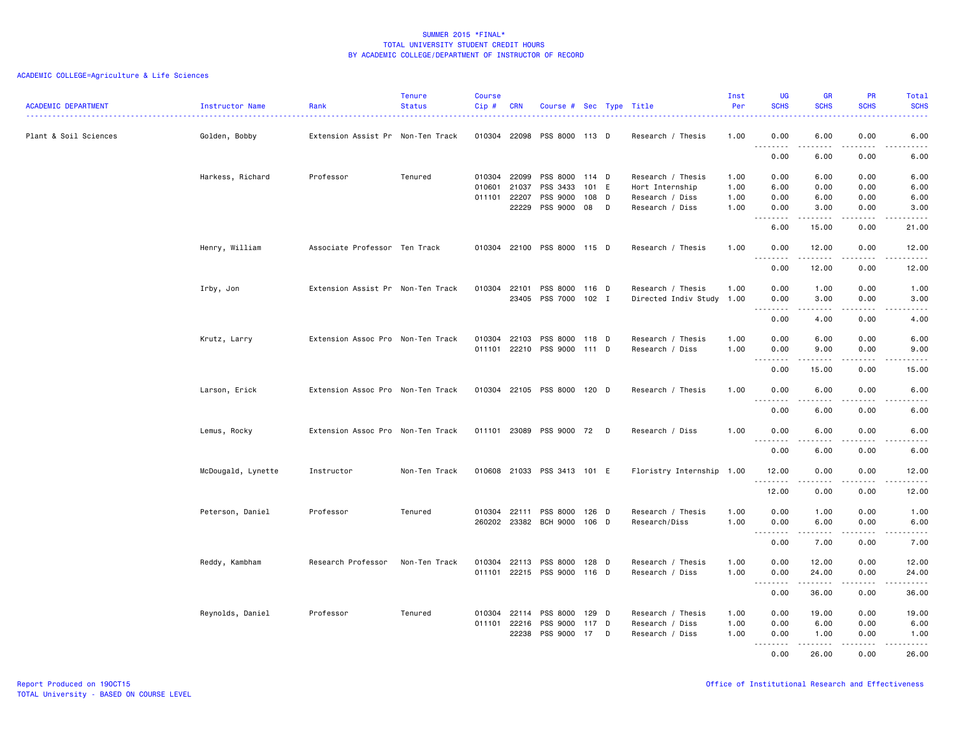| <b>ACADEMIC DEPARTMENT</b> | Instructor Name    | Rank                              | <b>Tenure</b><br><b>Status</b> | <b>Course</b><br>Cip#        | <b>CRN</b>            | Course # Sec Type Title                                    |                      |        |                                                         | Inst<br>Per          | <b>UG</b><br><b>SCHS</b>                                    | <b>GR</b><br><b>SCHS</b>   | PR<br><b>SCHS</b>                   | Total<br><b>SCHS</b>                                                                                                                                         |
|----------------------------|--------------------|-----------------------------------|--------------------------------|------------------------------|-----------------------|------------------------------------------------------------|----------------------|--------|---------------------------------------------------------|----------------------|-------------------------------------------------------------|----------------------------|-------------------------------------|--------------------------------------------------------------------------------------------------------------------------------------------------------------|
| Plant & Soil Sciences      | Golden, Bobby      | Extension Assist Pr Non-Ten Track |                                |                              | 010304 22098          | PSS 8000 113 D                                             |                      |        | Research / Thesis                                       | 1.00                 | 0.00<br>$\sim$ $\sim$ $\sim$ $\sim$<br>$\sim$ $\sim$ $\sim$ | 6.00                       | 0.00<br>.                           | 6.00                                                                                                                                                         |
|                            |                    |                                   |                                |                              |                       |                                                            |                      |        |                                                         |                      | 0.00                                                        | 6.00                       | 0.00                                | 6.00                                                                                                                                                         |
|                            | Harkess, Richard   | Professor                         | Tenured                        | 010304 22099<br>010601 21037 |                       | PSS 8000 114 D<br>PSS 3433                                 | 101 E                |        | Research / Thesis<br>Hort Internship                    | 1.00<br>1.00         | 0.00<br>6.00                                                | 6.00<br>0.00               | 0.00<br>0.00                        | 6.00<br>6.00                                                                                                                                                 |
|                            |                    |                                   |                                | 011101 22207                 | 22229                 | PSS 9000<br>PSS 9000                                       | 108<br>08            | D<br>D | Research / Diss<br>Research / Diss                      | 1.00<br>1.00         | 0.00<br>0.00<br>.                                           | 6.00<br>3.00<br>.          | 0.00<br>0.00<br>$- - - -$           | 6.00<br>3.00<br>$- - - - -$                                                                                                                                  |
|                            |                    |                                   |                                |                              |                       |                                                            |                      |        |                                                         |                      | 6.00                                                        | 15.00                      | 0.00                                | 21.00                                                                                                                                                        |
|                            | Henry, William     | Associate Professor Ten Track     |                                |                              |                       | 010304 22100 PSS 8000 115 D                                |                      |        | Research / Thesis                                       | 1.00                 | 0.00<br>.                                                   | 12.00<br>د د د د د         | 0.00<br>.                           | 12.00<br>.                                                                                                                                                   |
|                            |                    |                                   |                                |                              |                       |                                                            |                      |        |                                                         |                      | 0.00                                                        | 12.00                      | 0.00                                | 12.00                                                                                                                                                        |
|                            | Irby, Jon          | Extension Assist Pr Non-Ten Track |                                | 010304 22101                 | 23405                 | PSS 8000 116 D<br>PSS 7000 102 I                           |                      |        | Research / Thesis<br>Directed Indiv Study 1.00          | 1.00                 | 0.00<br>0.00<br>.                                           | 1.00<br>3.00<br>. <b>.</b> | 0.00<br>0.00<br>$- - - -$           | 1.00<br>3.00<br>.                                                                                                                                            |
|                            |                    |                                   |                                |                              |                       |                                                            |                      |        |                                                         |                      | 0.00                                                        | 4.00                       | 0.00                                | 4.00                                                                                                                                                         |
|                            | Krutz, Larry       | Extension Assoc Pro Non-Ten Track |                                |                              | 010304 22103          | PSS 8000 118 D<br>011101 22210 PSS 9000 111 D              |                      |        | Research / Thesis<br>Research / Diss                    | 1.00<br>1.00         | 0.00<br>0.00<br>.                                           | 6.00<br>9.00<br>$\cdots$   | 0.00<br>0.00<br>.                   | 6.00<br>9.00<br>$- - - - -$                                                                                                                                  |
|                            |                    |                                   |                                |                              |                       |                                                            |                      |        |                                                         |                      | 0.00                                                        | 15.00                      | 0.00                                | 15.00                                                                                                                                                        |
|                            | Larson, Erick      | Extension Assoc Pro Non-Ten Track |                                |                              |                       | 010304 22105 PSS 8000 120 D                                |                      |        | Research / Thesis                                       | 1.00                 | 0.00<br>.                                                   | 6.00                       | 0.00<br>.                           | 6.00<br>.                                                                                                                                                    |
|                            |                    |                                   |                                |                              |                       |                                                            |                      |        |                                                         |                      | 0.00                                                        | 6.00                       | 0.00                                | 6.00                                                                                                                                                         |
|                            | Lemus, Rocky       | Extension Assoc Pro Non-Ten Track |                                |                              |                       | 011101 23089 PSS 9000 72                                   |                      | D      | Research / Diss                                         | 1.00                 | 0.00<br>.                                                   | 6.00<br>.                  | 0.00<br>$\sim$ $\sim$ $\sim$ $\sim$ | 6.00<br>$\frac{1}{2} \left( \frac{1}{2} \right) \left( \frac{1}{2} \right) \left( \frac{1}{2} \right) \left( \frac{1}{2} \right) \left( \frac{1}{2} \right)$ |
|                            |                    |                                   |                                |                              |                       |                                                            |                      |        |                                                         |                      | 0.00                                                        | 6.00                       | 0.00                                | 6.00                                                                                                                                                         |
|                            | McDougald, Lynette | Instructor                        | Non-Ten Track                  |                              |                       | 010608 21033 PSS 3413 101 E                                |                      |        | Floristry Internship 1.00                               |                      | 12.00<br>.                                                  | 0.00<br>.                  | 0.00<br>.                           | 12.00<br>.                                                                                                                                                   |
|                            |                    |                                   |                                |                              |                       |                                                            |                      |        |                                                         |                      | 12.00                                                       | 0.00                       | 0.00                                | 12.00                                                                                                                                                        |
|                            | Peterson, Daniel   | Professor                         | Tenured                        |                              |                       | 010304 22111 PSS 8000<br>260202 23382 BCH 9000 106 D       | 126 D                |        | Research / Thesis<br>Research/Diss                      | 1.00<br>1.00         | 0.00<br>0.00<br>.                                           | 1.00<br>6.00<br>.          | 0.00<br>0.00<br>.                   | 1.00<br>6.00<br>المتماليات                                                                                                                                   |
|                            |                    |                                   |                                |                              |                       |                                                            |                      |        |                                                         |                      | 0.00                                                        | 7.00                       | 0.00                                | 7.00                                                                                                                                                         |
|                            | Reddy, Kambham     | Research Professor                | Non-Ten Track                  |                              |                       | 010304 22113 PSS 8000 128 D<br>011101 22215 PSS 9000 116 D |                      |        | Research / Thesis<br>Research / Diss                    | 1.00<br>1.00         | 0.00<br>0.00<br>$\sim$ $\sim$ $\sim$<br>.                   | 12.00<br>24.00             | 0.00<br>0.00                        | 12.00<br>24.00<br>د د د د د                                                                                                                                  |
|                            |                    |                                   |                                |                              |                       |                                                            |                      |        |                                                         |                      | 0.00                                                        | 36.00                      | 0.00                                | 36.00                                                                                                                                                        |
|                            | Reynolds, Daniel   | Professor                         | Tenured                        |                              | 011101 22216<br>22238 | 010304 22114 PSS 8000<br>PSS 9000<br>PSS 9000              | 129 D<br>117 D<br>17 | D      | Research / Thesis<br>Research / Diss<br>Research / Diss | 1.00<br>1.00<br>1.00 | 0.00<br>0.00<br>0.00                                        | 19.00<br>6.00<br>1.00      | 0.00<br>0.00<br>0.00                | 19.00<br>6.00<br>1.00                                                                                                                                        |
|                            |                    |                                   |                                |                              |                       |                                                            |                      |        |                                                         |                      | <u>.</u><br>0.00                                            | .<br>26.00                 | .<br>0.00                           | .<br>26.00                                                                                                                                                   |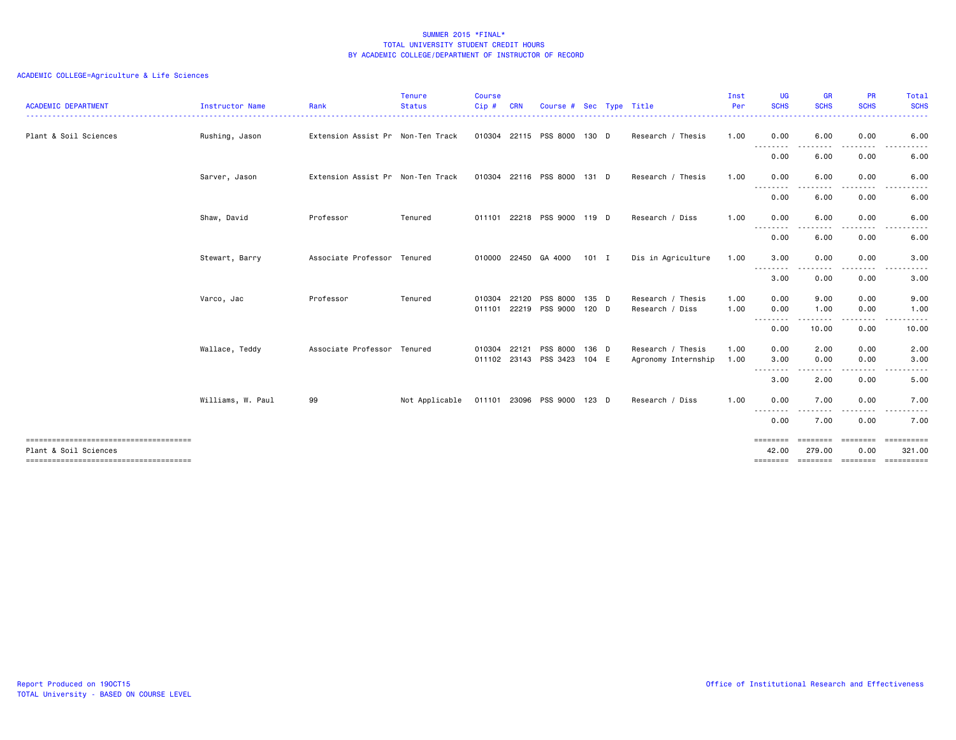| <b>ACADEMIC DEPARTMENT</b> | Instructor Name   | Rank                              | <b>Tenure</b><br><b>Status</b> | <b>Course</b><br>Cip#        | <b>CRN</b> | Course # Sec Type Title                  |                  |                                          | Inst<br>Per  | <b>UG</b><br><b>SCHS</b>        | <b>GR</b><br><b>SCHS</b> | <b>PR</b><br><b>SCHS</b> | Total<br><b>SCHS</b>               |
|----------------------------|-------------------|-----------------------------------|--------------------------------|------------------------------|------------|------------------------------------------|------------------|------------------------------------------|--------------|---------------------------------|--------------------------|--------------------------|------------------------------------|
| Plant & Soil Sciences      | Rushing, Jason    | Extension Assist Pr Non-Ten Track |                                |                              |            | 010304 22115 PSS 8000                    | 130 D            | Research / Thesis                        | 1.00         | 0.00                            | 6.00                     | 0.00                     | 6.00                               |
|                            |                   |                                   |                                |                              |            |                                          |                  |                                          |              | .<br>0.00                       | 6.00                     | 0.00                     | 6.00                               |
|                            | Sarver, Jason     | Extension Assist Pr Non-Ten Track |                                |                              |            | 010304 22116 PSS 8000                    | 131 D            | Research / Thesis                        | 1.00         | 0.00                            | 6.00                     | 0.00                     | 6.00                               |
|                            |                   |                                   |                                |                              |            |                                          |                  |                                          |              | --------<br>0.00                | 6.00                     | 0.00                     | 6.00                               |
|                            | Shaw, David       | Professor                         | Tenured                        |                              |            | 011101 22218 PSS 9000 119 D              |                  | Research / Diss                          | 1.00         | 0.00<br>--------                | 6.00                     | 0.00                     | 6.00                               |
|                            |                   |                                   |                                |                              |            |                                          |                  |                                          |              | 0.00                            | 6.00                     | 0.00                     | 6.00                               |
|                            | Stewart, Barry    | Associate Professor Tenured       |                                |                              |            | 010000 22450 GA 4000                     | $101$ I          | Dis in Agriculture                       | 1.00         | 3.00<br>.                       | 0.00                     | 0.00                     | 3.00                               |
|                            |                   |                                   |                                |                              |            |                                          |                  |                                          |              | 3.00                            | 0.00                     | 0.00                     | 3.00                               |
|                            | Varco, Jac        | Professor                         | Tenured                        | 010304                       | 22120      | <b>PSS 8000</b><br>011101 22219 PSS 9000 | 135 D<br>$120$ D | Research / Thesis<br>Research / Diss     | 1.00<br>1.00 | 0.00<br>0.00                    | 9.00<br>1.00             | 0.00<br>0.00             | 9.00<br>1.00                       |
|                            |                   |                                   |                                |                              |            |                                          |                  |                                          |              | .<br>0.00                       | 10.00                    | 0.00                     | 10.00                              |
|                            | Wallace, Teddy    | Associate Professor Tenured       |                                | 010304 22121<br>011102 23143 |            | PSS 8000<br>PSS 3423                     | 136 D<br>104 E   | Research / Thesis<br>Agronomy Internship | 1.00<br>1.00 | 0.00<br>3.00                    | 2.00<br>0.00             | 0.00<br>0.00             | 2.00<br>3.00                       |
|                            |                   |                                   |                                |                              |            |                                          |                  |                                          |              | --------<br>3.00                | 2.00                     | 0.00                     | 5.00                               |
|                            | Williams, W. Paul | 99                                | Not Applicable                 |                              |            | 011101 23096 PSS 9000                    | 123 D            | Research / Diss                          | 1.00         | 0.00                            | 7.00                     | 0.00                     | 7.00                               |
|                            |                   |                                   |                                |                              |            |                                          |                  |                                          |              | <u> - - - - - - - -</u><br>0.00 | 7.00                     | 0.00                     | 7.00                               |
| Plant & Soil Sciences      |                   |                                   |                                |                              |            |                                          |                  |                                          |              | ========<br>42.00               | <b>EEEEEEE</b><br>279.00 | <b>EDDEDED</b><br>0.00   | ==========<br>321.00<br>========== |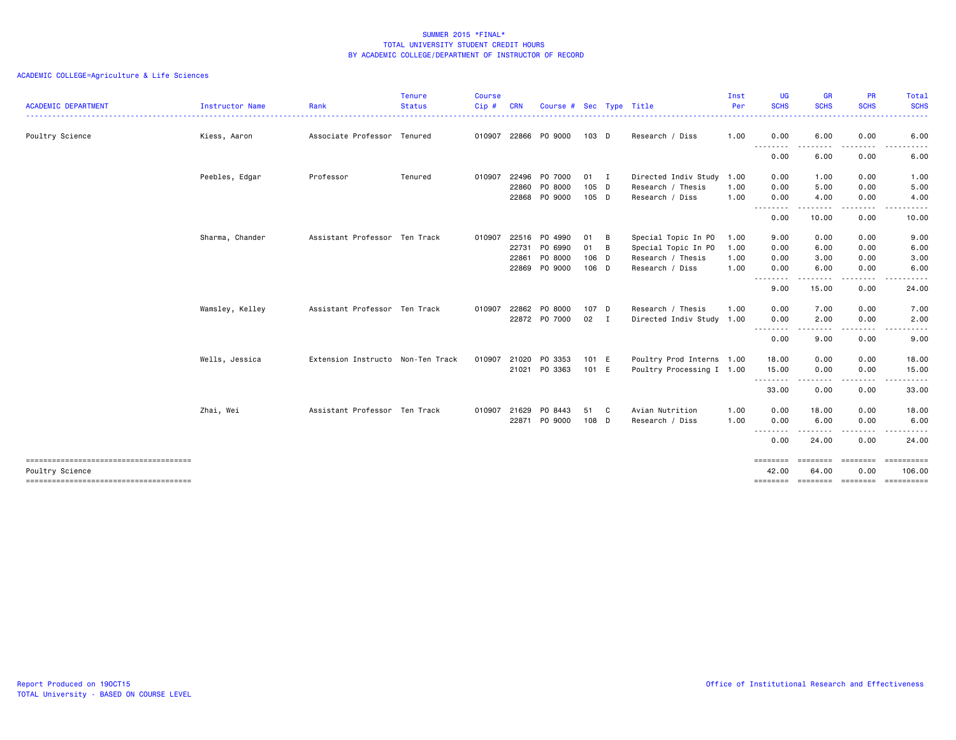| <b>ACADEMIC DEPARTMENT</b> | Instructor Name | Rank                              | <b>Tenure</b><br><b>Status</b> | <b>Course</b><br>Cip# | <b>CRN</b> | Course # Sec Type Title |        |              |                           | Inst<br>Per | <b>UG</b><br><b>SCHS</b>                                                                                                                                                                                                                                                                                                                                                                                  | <b>GR</b><br><b>SCHS</b>                                                                                                          | <b>PR</b><br><b>SCHS</b> | Total<br><b>SCHS</b><br>$\frac{1}{2} \left( \frac{1}{2} \right) \left( \frac{1}{2} \right) \left( \frac{1}{2} \right) \left( \frac{1}{2} \right)$ |
|----------------------------|-----------------|-----------------------------------|--------------------------------|-----------------------|------------|-------------------------|--------|--------------|---------------------------|-------------|-----------------------------------------------------------------------------------------------------------------------------------------------------------------------------------------------------------------------------------------------------------------------------------------------------------------------------------------------------------------------------------------------------------|-----------------------------------------------------------------------------------------------------------------------------------|--------------------------|---------------------------------------------------------------------------------------------------------------------------------------------------|
| Poultry Science            | Kiess, Aaron    | Associate Professor Tenured       |                                | 010907                |            | 22866 PO 9000           | 103 D  |              | Research / Diss           | 1.00        | 0.00                                                                                                                                                                                                                                                                                                                                                                                                      | 6.00                                                                                                                              | 0.00                     | 6.00                                                                                                                                              |
|                            |                 |                                   |                                |                       |            |                         |        |              |                           |             | .<br>0.00                                                                                                                                                                                                                                                                                                                                                                                                 | $\frac{1}{2} \left( \frac{1}{2} \right) \left( \frac{1}{2} \right) \left( \frac{1}{2} \right) \left( \frac{1}{2} \right)$<br>6.00 | .<br>0.00                | $  -$<br>.<br>6.00                                                                                                                                |
|                            | Peebles, Edgar  | Professor                         | Tenured                        | 010907                | 22496      | PO 7000                 | $01$ I |              | Directed Indiv Study 1.00 |             | 0.00                                                                                                                                                                                                                                                                                                                                                                                                      | 1.00                                                                                                                              | 0.00                     | 1.00                                                                                                                                              |
|                            |                 |                                   |                                |                       | 22860      | PO 8000                 | 105 D  |              | Research / Thesis         | 1.00        | 0.00                                                                                                                                                                                                                                                                                                                                                                                                      | 5.00                                                                                                                              | 0.00                     | 5.00                                                                                                                                              |
|                            |                 |                                   |                                |                       | 22868      | PO 9000                 | 105 D  |              | Research / Diss           | 1.00        | 0.00<br>--------                                                                                                                                                                                                                                                                                                                                                                                          | 4.00<br>------                                                                                                                    | 0.00                     | 4.00                                                                                                                                              |
|                            |                 |                                   |                                |                       |            |                         |        |              |                           |             | 0.00                                                                                                                                                                                                                                                                                                                                                                                                      | 10.00                                                                                                                             | 0.00                     | 10.00                                                                                                                                             |
|                            | Sharma, Chander | Assistant Professor Ten Track     |                                | 010907                | 22516      | P0 4990                 | 01     | B            | Special Topic In PO       | 1.00        | 9.00                                                                                                                                                                                                                                                                                                                                                                                                      | 0.00                                                                                                                              | 0.00                     | 9.00                                                                                                                                              |
|                            |                 |                                   |                                |                       | 22731      | PO 6990                 | 01     | B            | Special Topic In PO       | 1.00        | 0.00                                                                                                                                                                                                                                                                                                                                                                                                      | 6.00                                                                                                                              | 0.00                     | 6.00                                                                                                                                              |
|                            |                 |                                   |                                |                       | 22861      | PO 8000                 | 106 D  |              | Research / Thesis         | 1.00        | 0.00                                                                                                                                                                                                                                                                                                                                                                                                      | 3.00                                                                                                                              | 0.00                     | 3.00                                                                                                                                              |
|                            |                 |                                   |                                |                       | 22869      | PO 9000                 | 106 D  |              | Research / Diss           | 1.00        | 0.00<br>.                                                                                                                                                                                                                                                                                                                                                                                                 | 6.00                                                                                                                              | 0.00                     | 6.00                                                                                                                                              |
|                            |                 |                                   |                                |                       |            |                         |        |              |                           |             | 9.00                                                                                                                                                                                                                                                                                                                                                                                                      | 15.00                                                                                                                             | 0.00                     | 24.00                                                                                                                                             |
|                            | Wamsley, Kelley | Assistant Professor Ten Track     |                                | 010907                | 22862      | PO 8000                 | 107 D  |              | Research / Thesis         | 1.00        | 0.00                                                                                                                                                                                                                                                                                                                                                                                                      | 7.00                                                                                                                              | 0.00                     | 7.00                                                                                                                                              |
|                            |                 |                                   |                                |                       |            | 22872 PO 7000           | 02     | $\mathbf{I}$ | Directed Indiv Study 1.00 |             | 0.00<br>$  -$<br>د د د د                                                                                                                                                                                                                                                                                                                                                                                  | 2.00                                                                                                                              | 0.00                     | 2.00                                                                                                                                              |
|                            |                 |                                   |                                |                       |            |                         |        |              |                           |             | 0.00                                                                                                                                                                                                                                                                                                                                                                                                      | 9.00                                                                                                                              | 0.00                     | 9.00                                                                                                                                              |
|                            | Wells, Jessica  | Extension Instructo Non-Ten Track |                                | 010907                | 21020      | PO 3353                 | 101 E  |              | Poultry Prod Interns 1.00 |             | 18.00                                                                                                                                                                                                                                                                                                                                                                                                     | 0.00                                                                                                                              | 0.00                     | 18.00                                                                                                                                             |
|                            |                 |                                   |                                |                       |            | 21021 PO 3363           | 101 E  |              | Poultry Processing I 1.00 |             | 15.00                                                                                                                                                                                                                                                                                                                                                                                                     | 0.00                                                                                                                              | 0.00<br>.                | 15.00<br>$\cdots$                                                                                                                                 |
|                            |                 |                                   |                                |                       |            |                         |        |              |                           |             | .<br>33.00                                                                                                                                                                                                                                                                                                                                                                                                | .<br>0.00                                                                                                                         | 0.00                     | 33.00                                                                                                                                             |
|                            | Zhai, Wei       | Assistant Professor Ten Track     |                                | 010907                | 21629      | PO 8443                 | 51     | C            | Avian Nutrition           | 1.00        | 0.00                                                                                                                                                                                                                                                                                                                                                                                                      | 18.00                                                                                                                             | 0.00                     | 18.00                                                                                                                                             |
|                            |                 |                                   |                                |                       |            | 22871 PO 9000           | 108 D  |              | Research / Diss           | 1.00        | 0.00                                                                                                                                                                                                                                                                                                                                                                                                      | 6.00                                                                                                                              | 0.00                     | 6.00                                                                                                                                              |
|                            |                 |                                   |                                |                       |            |                         |        |              |                           |             | $\frac{1}{2} \frac{1}{2} \frac{1}{2} \frac{1}{2} \frac{1}{2} \frac{1}{2} \frac{1}{2} \frac{1}{2} \frac{1}{2} \frac{1}{2} \frac{1}{2} \frac{1}{2} \frac{1}{2} \frac{1}{2} \frac{1}{2} \frac{1}{2} \frac{1}{2} \frac{1}{2} \frac{1}{2} \frac{1}{2} \frac{1}{2} \frac{1}{2} \frac{1}{2} \frac{1}{2} \frac{1}{2} \frac{1}{2} \frac{1}{2} \frac{1}{2} \frac{1}{2} \frac{1}{2} \frac{1}{2} \frac{$<br>.<br>0.00 | 24.00                                                                                                                             | 0.00                     | 24.00                                                                                                                                             |
|                            |                 |                                   |                                |                       |            |                         |        |              |                           |             | --------                                                                                                                                                                                                                                                                                                                                                                                                  | ---------                                                                                                                         | ---------                | ==========                                                                                                                                        |
| Poultry Science            |                 |                                   |                                |                       |            |                         |        |              |                           |             | 42.00                                                                                                                                                                                                                                                                                                                                                                                                     | 64.00                                                                                                                             | 0.00                     | 106,00                                                                                                                                            |
|                            |                 |                                   |                                |                       |            |                         |        |              |                           |             |                                                                                                                                                                                                                                                                                                                                                                                                           |                                                                                                                                   |                          | ======== ======== ======== =========                                                                                                              |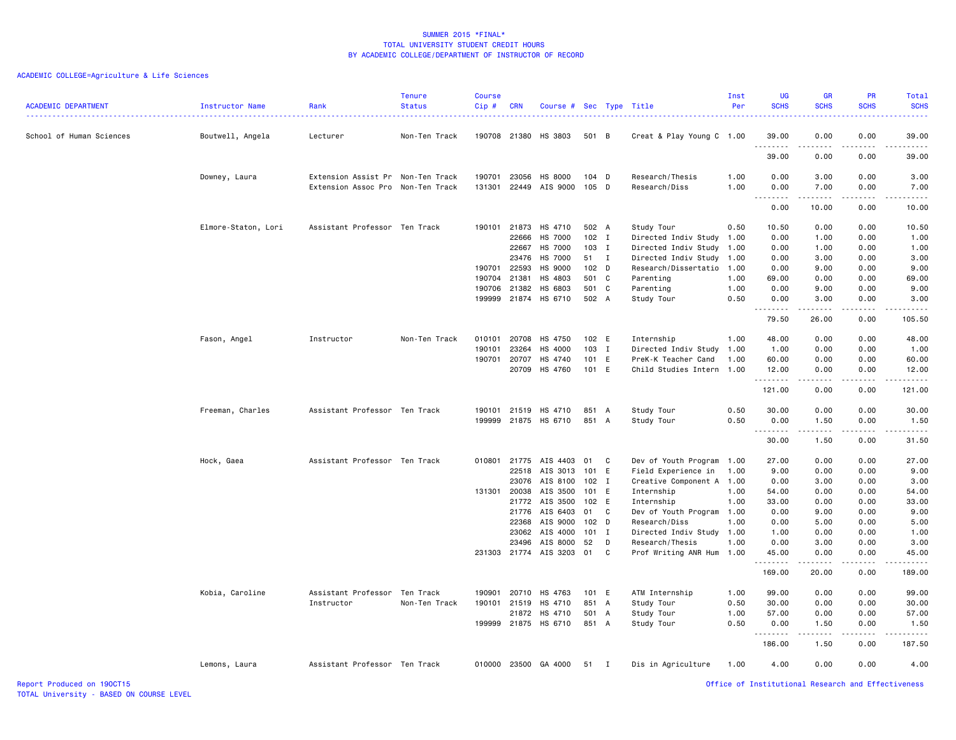| <b>ACADEMIC DEPARTMENT</b> | Instructor Name     | Rank<br>.                         | <b>Tenure</b><br><b>Status</b> | <b>Course</b><br>Cip# | <b>CRN</b>   | Course # Sec Type Title |                  |              |                           | Inst<br>Per | <b>UG</b><br><b>SCHS</b>                           | <b>GR</b><br><b>SCHS</b>                                                                                                                                      | PR<br><b>SCHS</b> | Total<br><b>SCHS</b><br>$\sim$ $\sim$ $\sim$ $\sim$ $\sim$                                                                                                                                |
|----------------------------|---------------------|-----------------------------------|--------------------------------|-----------------------|--------------|-------------------------|------------------|--------------|---------------------------|-------------|----------------------------------------------------|---------------------------------------------------------------------------------------------------------------------------------------------------------------|-------------------|-------------------------------------------------------------------------------------------------------------------------------------------------------------------------------------------|
| School of Human Sciences   | Boutwell, Angela    | Lecturer                          | Non-Ten Track                  |                       |              | 190708 21380 HS 3803    | 501 B            |              | Creat & Play Young C 1.00 |             | 39.00                                              | 0.00                                                                                                                                                          | 0.00              | 39.00                                                                                                                                                                                     |
|                            |                     |                                   |                                |                       |              |                         |                  |              |                           |             | .<br>39.00                                         | 0.00                                                                                                                                                          | 0.00              | 39.00                                                                                                                                                                                     |
|                            | Downey, Laura       | Extension Assist Pr Non-Ten Track |                                | 190701                | 23056        | HS 8000                 | $104$ D          |              | Research/Thesis           | 1.00        | 0.00                                               | 3.00                                                                                                                                                          | 0.00              | 3.00                                                                                                                                                                                      |
|                            |                     | Extension Assoc Pro Non-Ten Track |                                |                       |              | 131301 22449 AIS 9000   | 105 D            |              | Research/Diss             | 1.00        | 0.00                                               | 7.00                                                                                                                                                          | 0.00              | 7.00                                                                                                                                                                                      |
|                            |                     |                                   |                                |                       |              |                         |                  |              |                           |             | 0.00                                               | 10.00                                                                                                                                                         | 0.00              | 10.00                                                                                                                                                                                     |
|                            | Elmore-Staton, Lori | Assistant Professor Ten Track     |                                |                       |              | 190101 21873 HS 4710    | 502 A            |              | Study Tour                | 0.50        | 10.50                                              | 0.00                                                                                                                                                          | 0.00              | 10.50                                                                                                                                                                                     |
|                            |                     |                                   |                                |                       | 22666        | HS 7000                 | $102$ I          |              | Directed Indiv Study 1.00 |             | 0.00                                               | 1.00                                                                                                                                                          | 0.00              | 1.00                                                                                                                                                                                      |
|                            |                     |                                   |                                |                       | 22667        | HS 7000                 | $103$ I          |              | Directed Indiv Study 1.00 |             | 0.00                                               | 1.00                                                                                                                                                          | 0.00              | 1.00                                                                                                                                                                                      |
|                            |                     |                                   |                                |                       | 23476        | HS 7000                 | 51 I             |              | Directed Indiv Study 1.00 |             | 0.00                                               | 3.00                                                                                                                                                          | 0.00              | 3.00                                                                                                                                                                                      |
|                            |                     |                                   |                                | 190701                | 22593        | HS 9000                 | 102 D            |              | Research/Dissertatio      | 1.00        | 0.00                                               | 9.00                                                                                                                                                          | 0.00              | 9.00                                                                                                                                                                                      |
|                            |                     |                                   |                                | 190704                | 21381        | HS 4803                 | 501 C            |              | Parenting                 | 1.00        | 69.00                                              | 0.00                                                                                                                                                          | 0.00              | 69.00                                                                                                                                                                                     |
|                            |                     |                                   |                                | 190706                | 21382        | HS 6803                 | 501 C            |              | Parenting                 | 1.00        | 0.00                                               | 9.00                                                                                                                                                          | 0.00              | 9.00                                                                                                                                                                                      |
|                            |                     |                                   |                                | 199999                |              | 21874 HS 6710           | 502 A            |              | Study Tour                | 0.50        | 0.00                                               | 3.00                                                                                                                                                          | 0.00              | 3.00                                                                                                                                                                                      |
|                            |                     |                                   |                                |                       |              |                         |                  |              |                           |             | 1.1.1.1.1.1.1<br>79.50                             | .<br>26.00                                                                                                                                                    | .<br>0.00         | $\frac{1}{2} \left( \frac{1}{2} \right) \left( \frac{1}{2} \right) \left( \frac{1}{2} \right) \left( \frac{1}{2} \right) \left( \frac{1}{2} \right) \left( \frac{1}{2} \right)$<br>105.50 |
|                            | Fason, Angel        | Instructor                        | Non-Ten Track                  | 010101                | 20708        | HS 4750                 | 102 E            |              | Internship                | 1.00        | 48.00                                              | 0.00                                                                                                                                                          | 0.00              | 48.00                                                                                                                                                                                     |
|                            |                     |                                   |                                | 190101                | 23264        | HS 4000                 | 103              | $\mathbf{I}$ | Directed Indiv Study      | 1.00        | 1.00                                               | 0.00                                                                                                                                                          | 0.00              | 1.00                                                                                                                                                                                      |
|                            |                     |                                   |                                | 190701                | 20707        | HS 4740                 | 101 E            |              | PreK-K Teacher Cand       | 1.00        | 60.00                                              | 0.00                                                                                                                                                          | 0.00              | 60.00                                                                                                                                                                                     |
|                            |                     |                                   |                                |                       |              |                         |                  |              |                           |             |                                                    | 0.00                                                                                                                                                          | 0.00              |                                                                                                                                                                                           |
|                            |                     |                                   |                                |                       |              | 20709 HS 4760           | 101 E            |              | Child Studies Intern 1.00 |             | 12.00<br>.                                         | $\frac{1}{2} \left( \frac{1}{2} \right) \left( \frac{1}{2} \right) \left( \frac{1}{2} \right) \left( \frac{1}{2} \right) \left( \frac{1}{2} \right)$          | .                 | 12.00<br>2.2.2.2.2                                                                                                                                                                        |
|                            |                     |                                   |                                |                       |              |                         |                  |              |                           |             | 121.00                                             | 0.00                                                                                                                                                          | 0.00              | 121.00                                                                                                                                                                                    |
|                            | Freeman, Charles    | Assistant Professor Ten Track     |                                |                       | 190101 21519 | HS 4710                 | 851 A            |              | Study Tour                | 0.50        | 30.00                                              | 0.00                                                                                                                                                          | 0.00              | 30.00                                                                                                                                                                                     |
|                            |                     |                                   |                                |                       |              | 199999 21875 HS 6710    | 851 A            |              | Study Tour                | 0.50        | 0.00                                               | 1.50<br>$\frac{1}{2} \left( \frac{1}{2} \right) \left( \frac{1}{2} \right) \left( \frac{1}{2} \right) \left( \frac{1}{2} \right) \left( \frac{1}{2} \right)$  | 0.00<br>-----     | 1.50<br>$\frac{1}{2} \left( \frac{1}{2} \right) \left( \frac{1}{2} \right) \left( \frac{1}{2} \right) \left( \frac{1}{2} \right) \left( \frac{1}{2} \right)$                              |
|                            |                     |                                   |                                |                       |              |                         |                  |              |                           |             | 30.00                                              | 1.50                                                                                                                                                          | 0.00              | 31.50                                                                                                                                                                                     |
|                            | Hock, Gaea          | Assistant Professor Ten Track     |                                |                       |              | 010801 21775 AIS 4403   | 01               | C            | Dev of Youth Program      | 1.00        | 27.00                                              | 0.00                                                                                                                                                          | 0.00              | 27.00                                                                                                                                                                                     |
|                            |                     |                                   |                                |                       | 22518        | AIS 3013                | 101              | E            | Field Experience in       | 1.00        | 9.00                                               | 0.00                                                                                                                                                          | 0.00              | 9.00                                                                                                                                                                                      |
|                            |                     |                                   |                                |                       | 23076        | AIS 8100                | 102              | $\mathbf{I}$ | Creative Component A      | 1.00        | 0.00                                               | 3.00                                                                                                                                                          | 0.00              | 3.00                                                                                                                                                                                      |
|                            |                     |                                   |                                | 131301                | 20038        | AIS 3500                | 101 E            |              | Internship                | 1.00        | 54.00                                              | 0.00                                                                                                                                                          | 0.00              | 54.00                                                                                                                                                                                     |
|                            |                     |                                   |                                |                       | 21772        | AIS 3500                | 102 E            |              | Internship                | 1.00        | 33.00                                              | 0.00                                                                                                                                                          | 0.00              | 33.00                                                                                                                                                                                     |
|                            |                     |                                   |                                |                       | 21776        | AIS 6403                | 01               | C            | Dev of Youth Program      | 1.00        | 0.00                                               | 9.00                                                                                                                                                          | 0.00              | 9.00                                                                                                                                                                                      |
|                            |                     |                                   |                                |                       | 22368        | AIS 9000                | 102 <sub>D</sub> |              | Research/Diss             | 1.00        | 0.00                                               | 5.00                                                                                                                                                          | 0.00              | 5.00                                                                                                                                                                                      |
|                            |                     |                                   |                                |                       | 23062        | AIS 4000                | 101 I            |              | Directed Indiv Study      | 1.00        | 1.00                                               | 0.00                                                                                                                                                          | 0.00              | 1.00                                                                                                                                                                                      |
|                            |                     |                                   |                                |                       | 23496        | AIS 8000                | 52               | D            | Research/Thesis           | 1.00        | 0.00                                               | 3.00                                                                                                                                                          | 0.00              | 3.00                                                                                                                                                                                      |
|                            |                     |                                   |                                |                       |              | 231303 21774 AIS 3203   | 01               | C            | Prof Writing ANR Hum      | 1.00        | 45.00                                              | 0.00                                                                                                                                                          | 0.00              | 45.00                                                                                                                                                                                     |
|                            |                     |                                   |                                |                       |              |                         |                  |              |                           |             | 1.1.1.1.1.1.1<br>169.00                            | $\frac{1}{2} \left( \frac{1}{2} \right) \left( \frac{1}{2} \right) \left( \frac{1}{2} \right) \left( \frac{1}{2} \right) \left( \frac{1}{2} \right)$<br>20.00 | المتماما<br>0.00  | .<br>189.00                                                                                                                                                                               |
|                            | Kobia, Caroline     | Assistant Professor               | Ten Track                      | 190901                | 20710        | HS 4763                 | 101 E            |              | ATM Internship            | 1.00        | 99.00                                              | 0.00                                                                                                                                                          | 0.00              | 99.00                                                                                                                                                                                     |
|                            |                     | Instructor                        | Non-Ten Track                  |                       | 190101 21519 | HS 4710                 | 851 A            |              | Study Tour                | 0.50        | 30.00                                              | 0.00                                                                                                                                                          | 0.00              | 30.00                                                                                                                                                                                     |
|                            |                     |                                   |                                |                       |              | 21872 HS 4710           | 501              | A            | Study Tour                | 1.00        | 57.00                                              | 0.00                                                                                                                                                          | 0.00              | 57.00                                                                                                                                                                                     |
|                            |                     |                                   |                                | 199999                |              | 21875 HS 6710           | 851 A            |              | Study Tour                | 0.50        | 0.00                                               | 1.50                                                                                                                                                          | 0.00              | 1.50                                                                                                                                                                                      |
|                            |                     |                                   |                                |                       |              |                         |                  |              |                           |             | 186.00                                             | .<br>1.50                                                                                                                                                     | .<br>0.00         | <u>.</u><br>187.50                                                                                                                                                                        |
|                            | Lemons, Laura       | Assistant Professor Ten Track     |                                | 010000                |              | 23500 GA 4000           | 51 I             |              | Dis in Agriculture        | 1.00        | 4.00                                               | 0.00                                                                                                                                                          | 0.00              | 4.00                                                                                                                                                                                      |
| Report Produced on 190CT15 |                     |                                   |                                |                       |              |                         |                  |              |                           |             | Office of Institutional Research and Effectiveness |                                                                                                                                                               |                   |                                                                                                                                                                                           |
|                            |                     |                                   |                                |                       |              |                         |                  |              |                           |             |                                                    |                                                                                                                                                               |                   |                                                                                                                                                                                           |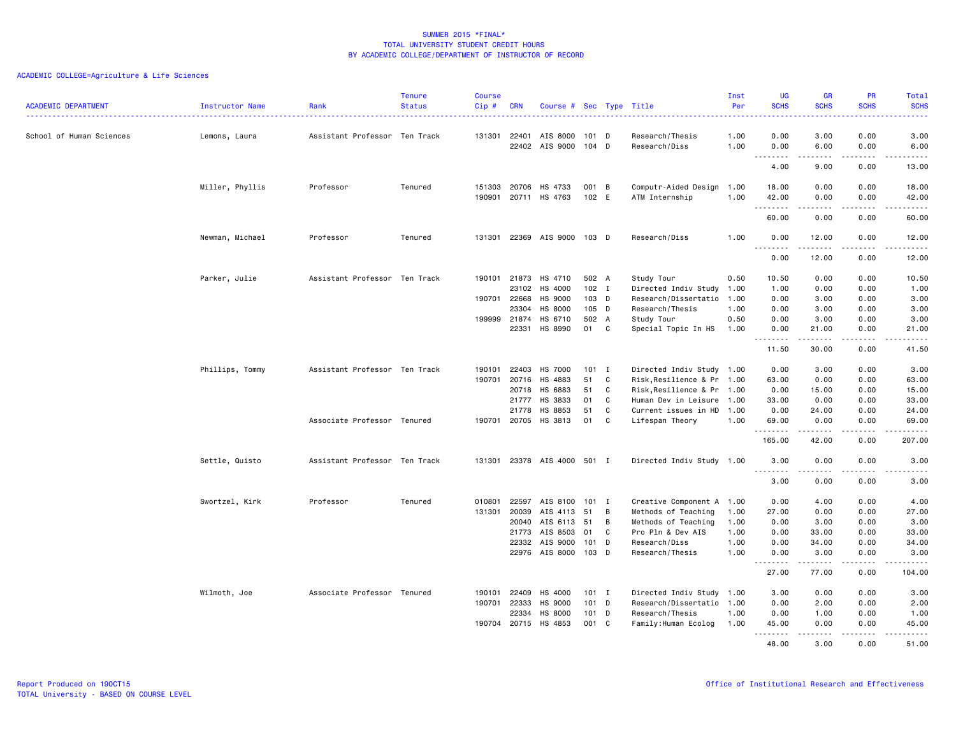| <b>ACADEMIC DEPARTMENT</b> | Instructor Name | Rank                          | <b>Tenure</b><br><b>Status</b> | <b>Course</b><br>Cip# | <b>CRN</b>                              | Course # Sec Type Title                                                                      |                                             |                           |                                                                                                                                  | Inst<br>Per                          | UG<br><b>SCHS</b>                             | <b>GR</b><br><b>SCHS</b>                       | PR<br><b>SCHS</b>                            | Total<br><b>SCHS</b>                                                                                                                                           |
|----------------------------|-----------------|-------------------------------|--------------------------------|-----------------------|-----------------------------------------|----------------------------------------------------------------------------------------------|---------------------------------------------|---------------------------|----------------------------------------------------------------------------------------------------------------------------------|--------------------------------------|-----------------------------------------------|------------------------------------------------|----------------------------------------------|----------------------------------------------------------------------------------------------------------------------------------------------------------------|
| School of Human Sciences   | Lemons, Laura   | Assistant Professor Ten Track |                                | 131301                | 22401                                   | AIS 8000<br>22402 AIS 9000                                                                   | 101 D<br>104 D                              |                           | Research/Thesis<br>Research/Diss                                                                                                 | 1.00<br>1.00                         | 0.00<br>0.00                                  | 3.00<br>6.00                                   | 0.00<br>0.00                                 | 3.00<br>6.00                                                                                                                                                   |
|                            |                 |                               |                                |                       |                                         |                                                                                              |                                             |                           |                                                                                                                                  |                                      | .<br>4.00                                     | -----<br>9.00                                  | .<br>0.00                                    | $\frac{1}{2} \left( \frac{1}{2} \right) \left( \frac{1}{2} \right) \left( \frac{1}{2} \right) \left( \frac{1}{2} \right) \left( \frac{1}{2} \right)$<br>13.00  |
|                            | Miller, Phyllis | Professor                     | Tenured                        |                       | 151303 20706                            | HS 4733<br>190901 20711 HS 4763                                                              | 001 B<br>102 E                              |                           | Computr-Aided Design<br>ATM Internship                                                                                           | 1.00<br>1.00                         | 18.00<br>42.00                                | 0.00<br>0.00                                   | 0.00<br>0.00                                 | 18.00<br>42.00                                                                                                                                                 |
|                            |                 |                               |                                |                       |                                         |                                                                                              |                                             |                           |                                                                                                                                  |                                      | .<br>60.00                                    | $\frac{1}{2}$<br>0.00                          | .<br>0.00                                    | .<br>60.00                                                                                                                                                     |
|                            | Newman, Michael | Professor                     | Tenured                        |                       |                                         | 131301 22369 AIS 9000 103 D                                                                  |                                             |                           | Research/Diss                                                                                                                    | 1.00                                 | 0.00                                          | 12.00                                          | 0.00                                         | 12.00                                                                                                                                                          |
|                            |                 |                               |                                |                       |                                         |                                                                                              |                                             |                           |                                                                                                                                  |                                      | <u>.</u><br>0.00                              | 12.00                                          | 0.00                                         | .<br>12.00                                                                                                                                                     |
|                            | Parker, Julie   | Assistant Professor Ten Track |                                |                       | 190101 21873<br>23102<br>190701 22668   | HS 4710<br>HS 4000<br>HS 9000                                                                | 502 A<br>$102$ I<br>103 D                   |                           | Study Tour<br>Directed Indiv Study<br>Research/Dissertatio                                                                       | 0.50<br>1.00<br>1.00                 | 10.50<br>1.00<br>0.00                         | 0.00<br>0.00<br>3.00                           | 0.00<br>0.00<br>0.00                         | 10.50<br>1.00<br>3.00                                                                                                                                          |
|                            |                 |                               |                                |                       | 23304<br>199999 21874<br>22331          | HS 8000<br>HS 6710<br>HS 8990                                                                | 105 D<br>502 A<br>01 C                      |                           | Research/Thesis<br>Study Tour<br>Special Topic In HS                                                                             | 1.00<br>0.50<br>1.00                 | 0.00<br>0.00<br>0.00                          | 3.00<br>3.00<br>21.00                          | 0.00<br>0.00<br>0.00                         | 3.00<br>3.00<br>21.00                                                                                                                                          |
|                            |                 |                               |                                |                       |                                         |                                                                                              |                                             |                           |                                                                                                                                  |                                      | .<br>11.50                                    | .<br>30.00                                     | .<br>0.00                                    | $\frac{1}{2}$<br>41.50                                                                                                                                         |
|                            | Phillips, Tommy | Assistant Professor Ten Track |                                | 190101<br>190701      | 22403<br>20716<br>20718                 | HS 7000<br>HS 4883<br>HS 6883                                                                | $101$ I<br>51<br>51                         | $\mathbf{C}$<br>C         | Directed Indiv Study 1.00<br>Risk, Resilience & Pr 1.00<br>Risk, Resilience & Pr 1.00                                            |                                      | 0.00<br>63.00<br>0.00                         | 3.00<br>0.00<br>15.00                          | 0.00<br>0.00<br>0.00                         | 3.00<br>63.00<br>15.00                                                                                                                                         |
|                            |                 | Associate Professor Tenured   |                                |                       | 21777<br>21778                          | HS 3833<br>HS 8853<br>190701 20705 HS 3813                                                   | 01<br>51<br>01                              | C<br>C<br>$\mathbf{C}$    | Human Dev in Leisure 1.00<br>Current issues in HD<br>Lifespan Theory                                                             | 1.00<br>1.00                         | 33.00<br>0.00<br>69.00                        | 0.00<br>24.00<br>0.00                          | 0.00<br>0.00<br>0.00                         | 33.00<br>24.00<br>69.00                                                                                                                                        |
|                            |                 |                               |                                |                       |                                         |                                                                                              |                                             |                           |                                                                                                                                  |                                      | <u>.</u><br>165.00                            | .<br>42.00                                     | .<br>0.00                                    | .<br>207.00                                                                                                                                                    |
|                            | Settle, Quisto  | Assistant Professor Ten Track |                                |                       |                                         | 131301 23378 AIS 4000 501 I                                                                  |                                             |                           | Directed Indiv Study 1.00                                                                                                        |                                      | 3.00<br>.                                     | 0.00                                           | 0.00                                         | 3.00<br>.                                                                                                                                                      |
|                            |                 |                               |                                |                       |                                         |                                                                                              |                                             |                           |                                                                                                                                  |                                      | 3.00                                          | 0.00                                           | 0.00                                         | 3.00                                                                                                                                                           |
|                            | Swortzel, Kirk  | Professor                     | Tenured                        | 010801<br>131301      | 21773<br>22332                          | 22597 AIS 8100<br>20039 AIS 4113<br>20040 AIS 6113<br>AIS 8503<br>AIS 9000<br>22976 AIS 8000 | $101$ I<br>51<br>51<br>01<br>101 D<br>103 D | B<br>$\overline{B}$<br>C. | Creative Component A 1.00<br>Methods of Teaching<br>Methods of Teaching<br>Pro Pln & Dev AIS<br>Research/Diss<br>Research/Thesis | 1.00<br>1.00<br>1.00<br>1.00<br>1.00 | 0.00<br>27.00<br>0.00<br>0.00<br>0.00<br>0.00 | 4.00<br>0.00<br>3.00<br>33.00<br>34.00<br>3.00 | 0.00<br>0.00<br>0.00<br>0.00<br>0.00<br>0.00 | 4.00<br>27.00<br>3.00<br>33.00<br>34.00<br>3.00                                                                                                                |
|                            |                 |                               |                                |                       |                                         |                                                                                              |                                             |                           |                                                                                                                                  |                                      | .<br>27.00                                    | .<br>77.00                                     | .<br>0.00                                    | $\frac{1}{2} \left( \frac{1}{2} \right) \left( \frac{1}{2} \right) \left( \frac{1}{2} \right) \left( \frac{1}{2} \right) \left( \frac{1}{2} \right)$<br>104.00 |
|                            | Wilmoth, Joe    | Associate Professor Tenured   |                                | 190101<br>190701      | 22409<br>22333<br>22334<br>190704 20715 | HS 4000<br>HS 9000<br>HS 8000<br>HS 4853                                                     | $101$ I<br>101 D<br>101 D<br>001 C          |                           | Directed Indiv Study<br>Research/Dissertatio<br>Research/Thesis<br>Family:Human Ecolog                                           | 1.00<br>1.00<br>1.00<br>1.00         | 3.00<br>0.00<br>0.00<br>45.00                 | 0.00<br>2.00<br>1.00<br>0.00                   | 0.00<br>0.00<br>0.00<br>0.00                 | 3.00<br>2.00<br>1.00<br>45.00                                                                                                                                  |
|                            |                 |                               |                                |                       |                                         |                                                                                              |                                             |                           |                                                                                                                                  |                                      | .<br>48.00                                    | .<br>3,00                                      | .<br>0.00                                    | $\frac{1}{2} \left( \frac{1}{2} \right) \left( \frac{1}{2} \right) \left( \frac{1}{2} \right) \left( \frac{1}{2} \right) \left( \frac{1}{2} \right)$<br>51.00  |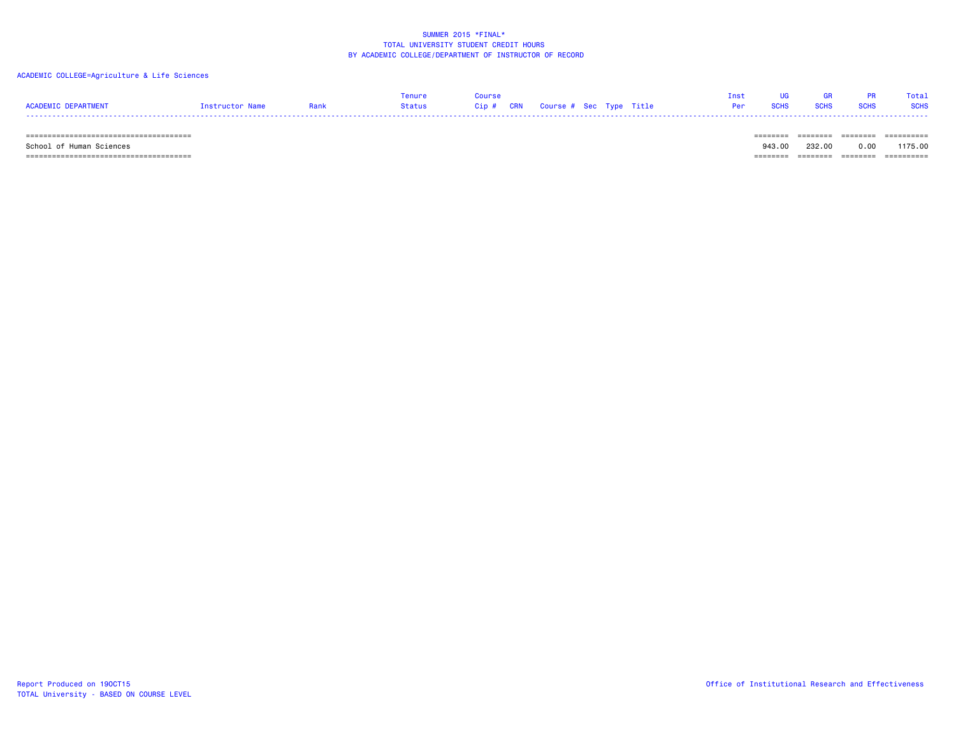## ACADEMIC COLLEGE=Agriculture & Life Sciences

| <b>ACADEMIC DEPARTMENT</b> | Instructor Name | Rank | <b>Tenure</b><br>Status | Course<br>Cip # CRN Course # Sec Type Title |  | Inst<br>Per | <b>SCHS</b> | <b>SCHS</b> | <b>PR</b><br><b>SCHS</b> | Total<br><b>SCHS</b> |
|----------------------------|-----------------|------|-------------------------|---------------------------------------------|--|-------------|-------------|-------------|--------------------------|----------------------|
|                            |                 |      |                         |                                             |  |             | =======     |             |                          | ==========           |
| School of Human Sciences   |                 |      |                         |                                             |  |             | 943.00      | 232.00      | 0.00                     | 1175.00              |

====================================== ======== ======== ======== ==========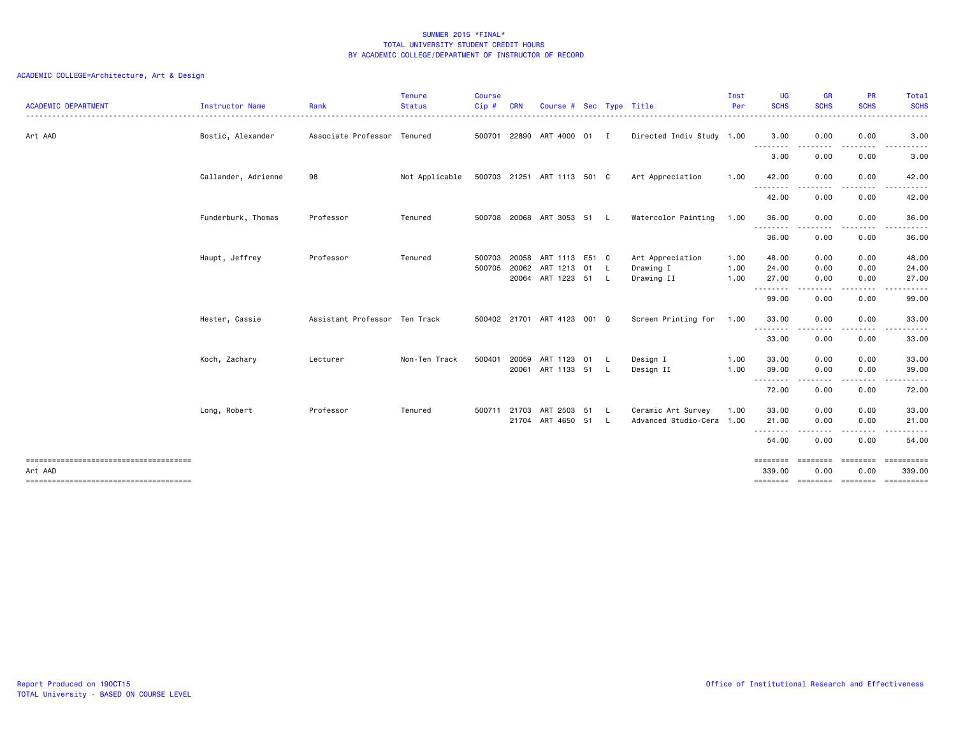| <b>ACADEMIC DEPARTMENT</b>            | Instructor Name     | Rank                          | <b>Tenure</b><br><b>Status</b> | <b>Course</b><br>Cip# | <b>CRN</b>     | Course # Sec Type Title                            |      |                                             | Inst<br>Per  | <b>UG</b><br><b>SCHS</b><br>. | <b>GR</b><br><b>SCHS</b>                                                                                                                                     | <b>PR</b><br><b>SCHS</b><br>. <u>.</u> | Total<br><b>SCHS</b><br>.                       |
|---------------------------------------|---------------------|-------------------------------|--------------------------------|-----------------------|----------------|----------------------------------------------------|------|---------------------------------------------|--------------|-------------------------------|--------------------------------------------------------------------------------------------------------------------------------------------------------------|----------------------------------------|-------------------------------------------------|
| Art AAD                               | Bostic, Alexander   | Associate Professor Tenured   |                                |                       |                | 500701 22890 ART 4000 01 I                         |      | Directed Indiv Study 1.00                   |              | 3.00                          | 0.00                                                                                                                                                         | 0.00                                   | 3.00                                            |
|                                       |                     |                               |                                |                       |                |                                                    |      |                                             |              | .<br>3.00                     | $\cdots$<br>0.00                                                                                                                                             | .<br>0.00                              | .<br>3.00                                       |
|                                       | Callander, Adrienne | 98                            | Not Applicable                 |                       |                | 500703 21251 ART 1113 501 C                        |      | Art Appreciation                            | 1.00         | 42.00                         | 0.00                                                                                                                                                         | 0.00                                   | 42.00                                           |
|                                       |                     |                               |                                |                       |                |                                                    |      |                                             |              | .<br>42.00                    | 0.00                                                                                                                                                         | 0.00                                   | 42.00                                           |
|                                       | Funderburk, Thomas  | Professor                     | Tenured                        |                       |                | 500708 20068 ART 3053 51 L                         |      | Watercolor Painting                         | 1.00         | 36.00<br>.                    | 0.00<br>.                                                                                                                                                    | 0.00<br>.                              | 36.00<br>.                                      |
|                                       |                     |                               |                                |                       |                |                                                    |      |                                             |              | 36.00                         | 0.00                                                                                                                                                         | 0.00                                   | 36.00                                           |
|                                       | Haupt, Jeffrey      | Professor                     | Tenured                        | 500703<br>500705      | 20058<br>20062 | ART 1113 E51 C<br>ART 1213 01<br>20064 ART 1223 51 | - L  | Art Appreciation<br>Drawing I<br>Drawing II | 1.00<br>1.00 | 48.00<br>24.00<br>27.00       | 0.00<br>0.00                                                                                                                                                 | 0.00<br>0.00                           | 48.00<br>24.00                                  |
|                                       |                     |                               |                                |                       |                |                                                    | - L  |                                             | 1.00         | .                             | 0.00                                                                                                                                                         | 0.00                                   | 27.00                                           |
|                                       |                     |                               |                                |                       |                |                                                    |      |                                             |              | 99.00                         | 0.00                                                                                                                                                         | 0.00                                   | 99.00                                           |
|                                       | Hester, Cassie      | Assistant Professor Ten Track |                                |                       |                | 500402 21701 ART 4123 001 Q                        |      | Screen Printing for                         | 1.00         | 33.00<br>.                    | 0.00<br>--------                                                                                                                                             | 0.00<br>.                              | 33.00<br>.                                      |
|                                       |                     |                               |                                |                       |                |                                                    |      |                                             |              | 33.00                         | 0.00                                                                                                                                                         | 0.00                                   | 33.00                                           |
|                                       | Koch, Zachary       | Lecturer                      | Non-Ten Track                  | 500401                | 20059          | ART 1123 01                                        | L.   | Design I                                    | 1.00         | 33.00                         | 0.00                                                                                                                                                         | 0.00                                   | 33.00                                           |
|                                       |                     |                               |                                |                       |                | 20061 ART 1133 51                                  | -L   | Design II                                   | 1.00         | 39.00<br>.                    | 0.00                                                                                                                                                         | 0.00                                   | 39.00<br>. <b>.</b> .                           |
|                                       |                     |                               |                                |                       |                |                                                    |      |                                             |              | 72.00                         | 0.00                                                                                                                                                         | 0.00                                   | 72.00                                           |
|                                       | Long, Robert        | Professor                     | Tenured                        | 500711 21703          |                | ART 2503 51                                        | - Li | Ceramic Art Survey                          | 1.00         | 33.00                         | 0.00                                                                                                                                                         | 0.00                                   | 33.00                                           |
|                                       |                     |                               |                                |                       |                | 21704 ART 4650 51 L                                |      | Advanced Studio-Cera 1.00                   |              | 21.00<br>.                    | 0.00<br>$\frac{1}{2} \left( \frac{1}{2} \right) \left( \frac{1}{2} \right) \left( \frac{1}{2} \right) \left( \frac{1}{2} \right) \left( \frac{1}{2} \right)$ | 0.00<br>-----                          | 21.00<br>.                                      |
|                                       |                     |                               |                                |                       |                |                                                    |      |                                             |              | 54.00                         | 0.00                                                                                                                                                         | 0.00                                   | 54.00                                           |
| ------------------------------------- |                     |                               |                                |                       |                |                                                    |      |                                             |              | ========                      | <b>ESSESSE</b>                                                                                                                                               | ========                               | ==========                                      |
| Art AAD                               |                     |                               |                                |                       |                |                                                    |      |                                             |              | 339.00                        | 0.00                                                                                                                                                         | 0.00                                   | 339.00<br>======== ======== ======== ========== |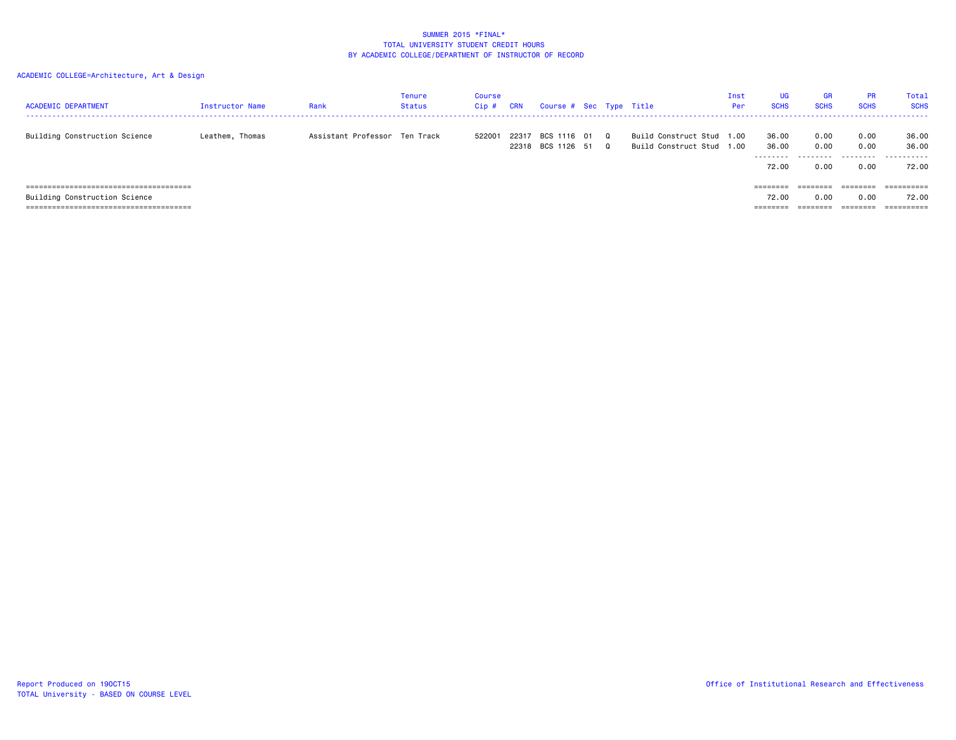| <b>ACADEMIC DEPARTMENT</b>    | Instructor Name | Rank                          | Tenure<br>Status | Course<br>Cip# | <b>CRN</b> | Course # Sec Type Title          |                      |                                                     | Inst<br>Per      | <b>UG</b><br><b>SCHS</b>            | <b>GR</b><br><b>SCHS</b>          | <b>PR</b><br><b>SCHS</b>  | Total<br><b>SCHS</b>         |
|-------------------------------|-----------------|-------------------------------|------------------|----------------|------------|----------------------------------|----------------------|-----------------------------------------------------|------------------|-------------------------------------|-----------------------------------|---------------------------|------------------------------|
| Building Construction Science | Leathem, Thomas | Assistant Professor Ten Track |                  | 522001         | 22317      | BCS 1116 01<br>22318 BCS 1126 51 | $\Omega$<br>$\Omega$ | Build Construct Stud 1.00<br>Build Construct Stud 1 | $\overline{0}$ . | 36.00<br>36.00<br>--------<br>72.00 | 0.00<br>0.00<br>---------<br>0.00 | 0.00<br>0.00<br>.<br>0.00 | 36.00<br>36.00<br>.<br>72.00 |
|                               |                 |                               |                  |                |            |                                  |                      |                                                     |                  | $=$ = = = = = = =                   | ========                          | ========                  |                              |
| Building Construction Science |                 |                               |                  |                |            |                                  |                      |                                                     |                  | 72.00                               | 0.00                              | 0.00                      | 72.00                        |
|                               |                 |                               |                  |                |            |                                  |                      |                                                     |                  | $=$ = = = = = = =                   | ========                          | ========                  | ==========                   |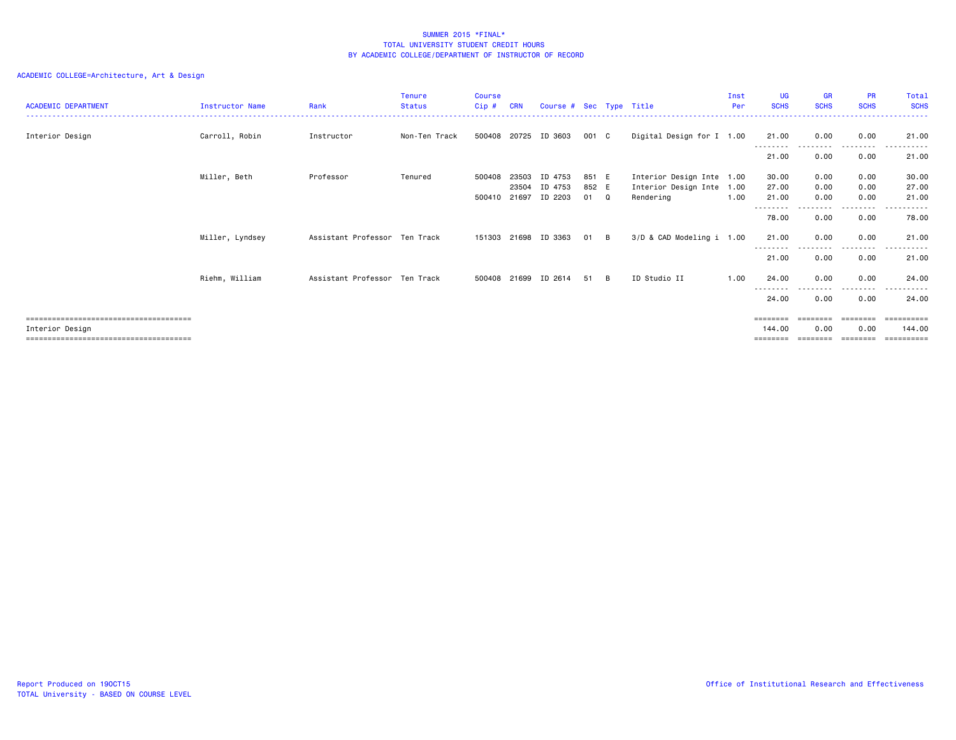| <b>ACADEMIC DEPARTMENT</b> | Instructor Name | Rank                          | <b>Tenure</b><br><b>Status</b> | <b>Course</b><br>Cip# | <b>CRN</b> | Course # Sec Type Title |       |          |                           | Inst<br>Per | <b>UG</b><br><b>SCHS</b> | <b>GR</b><br><b>SCHS</b> | <b>PR</b><br><b>SCHS</b> | Total<br><b>SCHS</b> |
|----------------------------|-----------------|-------------------------------|--------------------------------|-----------------------|------------|-------------------------|-------|----------|---------------------------|-------------|--------------------------|--------------------------|--------------------------|----------------------|
|                            |                 |                               |                                |                       |            |                         |       |          |                           |             |                          |                          |                          |                      |
| Interior Design            | Carroll, Robin  | Instructor                    | Non-Ten Track                  | 500408 20725          |            | ID 3603                 | 001 C |          | Digital Design for I 1.00 |             | 21.00<br>.               | 0.00                     | 0.00<br>--------         | 21.00                |
|                            |                 |                               |                                |                       |            |                         |       |          |                           |             | 21.00                    | 0.00                     | 0.00                     | 21.00                |
|                            | Miller, Beth    | Professor                     | Tenured                        | 500408                | 23503      | ID 4753                 | 851 E |          | Interior Design Inte 1.00 |             | 30.00                    | 0.00                     | 0.00                     | 30.00                |
|                            |                 |                               |                                |                       | 23504      | ID 4753                 | 852 E |          | Interior Design Inte 1.00 |             | 27.00                    | 0.00                     | 0.00                     | 27.00                |
|                            |                 |                               |                                | 500410 21697          |            | ID 2203                 | 01 Q  |          | Rendering                 | 1.00        | 21.00                    | 0.00                     | 0.00                     | 21.00                |
|                            |                 |                               |                                |                       |            |                         |       |          |                           |             |                          |                          |                          |                      |
|                            |                 |                               |                                |                       |            |                         |       |          |                           |             | 78.00                    | 0.00                     | 0.00                     | 78.00                |
|                            | Miller, Lyndsey | Assistant Professor Ten Track |                                | 151303 21698          |            | ID 3363                 | 01    | B.       | 3/D & CAD Modeling i 1.00 |             | 21.00                    | 0.00                     | 0.00<br>.                | 21.00                |
|                            |                 |                               |                                |                       |            |                         |       |          |                           |             | 21.00                    | 0.00                     | 0.00                     | 21.00                |
|                            | Riehm, William  | Assistant Professor Ten Track |                                | 500408 21699          |            | ID 2614                 | 51    | <b>B</b> | ID Studio II              | 1.00        | 24.00                    | 0.00                     | 0.00                     | 24.00                |
|                            |                 |                               |                                |                       |            |                         |       |          |                           |             | --------<br>24.00        | 0.00                     | -----<br>0.00            | 24.00                |
|                            |                 |                               |                                |                       |            |                         |       |          |                           |             | $=$ = = = = = = =        | ----                     | ========                 | ==========           |
| Interior Design            |                 |                               |                                |                       |            |                         |       |          |                           |             | 144.00                   | 0.00                     | 0.00                     | 144,00               |
|                            |                 |                               |                                |                       |            |                         |       |          |                           |             |                          |                          |                          |                      |
|                            |                 |                               |                                |                       |            |                         |       |          |                           |             |                          |                          |                          | =======              |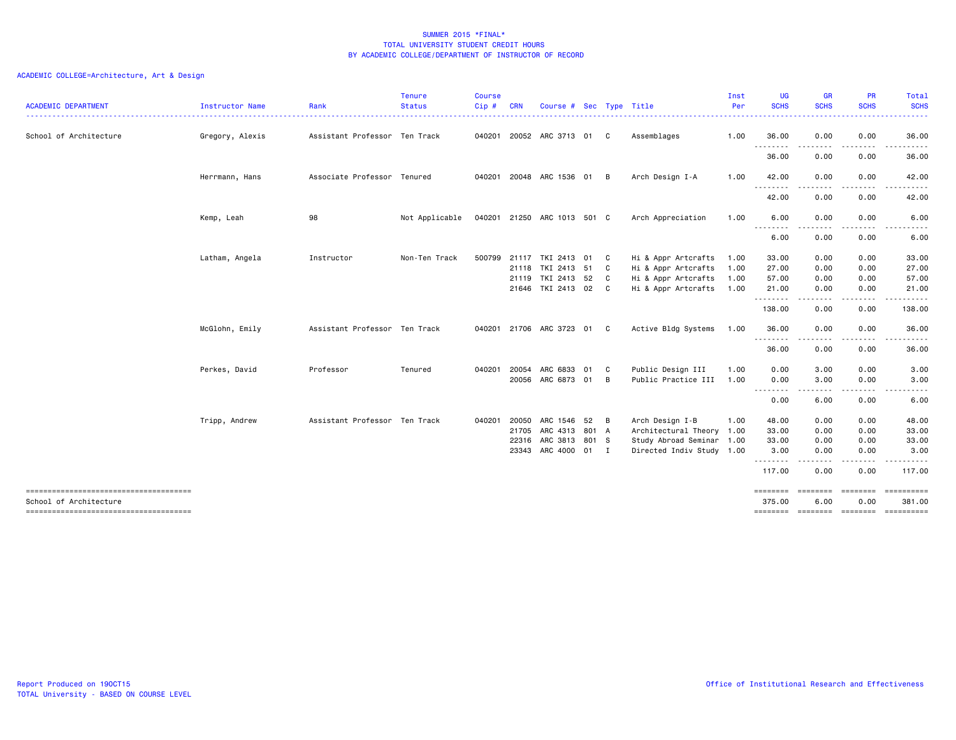| <b>ACADEMIC DEPARTMENT</b>                                      | Instructor Name | Rank                          | <b>Tenure</b><br><b>Status</b> | <b>Course</b><br>Cip# | <b>CRN</b> | Course # Sec Type Title            |                |                                            | Inst<br>Per  | UG<br><b>SCHS</b>                                                                                       | <b>GR</b><br><b>SCHS</b> | PR<br><b>SCHS</b> | Total<br><b>SCHS</b><br>$\frac{1}{2} \left( \frac{1}{2} \right) \left( \frac{1}{2} \right) \left( \frac{1}{2} \right) \left( \frac{1}{2} \right)$ |
|-----------------------------------------------------------------|-----------------|-------------------------------|--------------------------------|-----------------------|------------|------------------------------------|----------------|--------------------------------------------|--------------|---------------------------------------------------------------------------------------------------------|--------------------------|-------------------|---------------------------------------------------------------------------------------------------------------------------------------------------|
| School of Architecture                                          | Gregory, Alexis | Assistant Professor Ten Track |                                | 040201                |            | 20052 ARC 3713 01                  | $\mathbf{C}$   | Assemblages                                | 1.00         | 36.00                                                                                                   | 0.00                     | 0.00              | 36.00                                                                                                                                             |
|                                                                 |                 |                               |                                |                       |            |                                    |                |                                            |              | 36.00                                                                                                   | .<br>0.00                | .<br>0.00         | .<br>36.00                                                                                                                                        |
|                                                                 | Herrmann, Hans  | Associate Professor Tenured   |                                | 040201                |            | 20048 ARC 1536 01 B                |                | Arch Design I-A                            | 1.00         | 42.00                                                                                                   | 0.00                     | 0.00              | 42.00                                                                                                                                             |
|                                                                 |                 |                               |                                |                       |            |                                    |                |                                            |              | $\frac{1}{2} \left( \frac{1}{2} \right) \left( \frac{1}{2} \right) \left( \frac{1}{2} \right)$<br>42.00 | 0.00                     | 0.00              | 42.00                                                                                                                                             |
|                                                                 | Kemp, Leah      | 98                            | Not Applicable                 |                       |            | 040201 21250 ARC 1013 501 C        |                | Arch Appreciation                          | 1.00         | 6.00                                                                                                    | 0.00                     | 0.00              | 6.00                                                                                                                                              |
|                                                                 |                 |                               |                                |                       |            |                                    |                |                                            |              | $\frac{1}{2}$<br>.<br>6.00                                                                              | 0.00                     | 0.00              | 6.00                                                                                                                                              |
|                                                                 | Latham, Angela  | Instructor                    | Non-Ten Track                  | 500799                | 21118      | 21117 TKI 2413 01 C<br>TKI 2413 51 | - C            | Hi & Appr Artcrafts<br>Hi & Appr Artcrafts | 1.00<br>1.00 | 33.00<br>27.00                                                                                          | 0.00<br>0.00             | 0.00<br>0.00      | 33.00<br>27.00                                                                                                                                    |
|                                                                 |                 |                               |                                |                       | 21119      | TKI 2413 52                        | - C            | Hi & Appr Artcrafts                        | 1.00         | 57.00                                                                                                   | 0.00                     | 0.00              | 57.00                                                                                                                                             |
|                                                                 |                 |                               |                                |                       |            | 21646 TKI 2413 02 C                |                | Hi & Appr Artcrafts                        | 1.00         | 21.00                                                                                                   | 0.00                     | 0.00              | 21.00                                                                                                                                             |
|                                                                 |                 |                               |                                |                       |            |                                    |                |                                            |              | .                                                                                                       | .                        | .                 | <u>.</u>                                                                                                                                          |
|                                                                 |                 |                               |                                |                       |            |                                    |                |                                            |              | 138.00                                                                                                  | 0.00                     | 0.00              | 138.00                                                                                                                                            |
|                                                                 | McGlohn, Emily  | Assistant Professor Ten Track |                                | 040201                |            | 21706 ARC 3723 01                  | - C            | Active Bldg Systems                        | 1.00         | 36.00                                                                                                   | 0.00                     | 0.00              | 36.00                                                                                                                                             |
|                                                                 |                 |                               |                                |                       |            |                                    |                |                                            |              | .<br>36.00                                                                                              | $\cdots$<br>0.00         | 0.00              | 36.00                                                                                                                                             |
|                                                                 | Perkes, David   | Professor                     | Tenured                        | 040201                | 20054      | ARC 6833 01                        | C              | Public Design III                          | 1.00         | 0.00                                                                                                    | 3.00                     | 0.00              | 3.00                                                                                                                                              |
|                                                                 |                 |                               |                                |                       |            | 20056 ARC 6873 01                  | B              | Public Practice III                        | 1.00         | 0.00                                                                                                    | 3.00                     | 0.00              | 3.00                                                                                                                                              |
|                                                                 |                 |                               |                                |                       |            |                                    |                |                                            |              | ---------<br>0.00                                                                                       | . <b>.</b><br>6.00       | 0.00              | .<br>6.00                                                                                                                                         |
|                                                                 | Tripp, Andrew   | Assistant Professor Ten Track |                                | 040201                | 20050      | ARC 1546 52                        | $\overline{B}$ | Arch Design I-B                            | 1.00         | 48.00                                                                                                   | 0.00                     | 0.00              | 48.00                                                                                                                                             |
|                                                                 |                 |                               |                                |                       | 21705      | ARC 4313 801 A                     |                | Architectural Theory 1.00                  |              | 33.00                                                                                                   | 0.00                     | 0.00              | 33.00                                                                                                                                             |
|                                                                 |                 |                               |                                |                       | 22316      | ARC 3813 801 S                     |                | Study Abroad Seminar 1.00                  |              | 33.00                                                                                                   | 0.00                     | 0.00              | 33.00                                                                                                                                             |
|                                                                 |                 |                               |                                |                       |            | 23343 ARC 4000 01                  | <b>I</b>       | Directed Indiv Study 1.00                  |              | 3.00                                                                                                    | 0.00                     | 0.00              | 3.00<br>.                                                                                                                                         |
|                                                                 |                 |                               |                                |                       |            |                                    |                |                                            |              | --------<br>117.00                                                                                      | ----<br>0.00             | .<br>0.00         | 117.00                                                                                                                                            |
| -------------------------------------<br>School of Architecture |                 |                               |                                |                       |            |                                    |                |                                            |              | ========<br>375.00                                                                                      | ========<br>6.00         | ========<br>0.00  | ==========<br>381.00                                                                                                                              |
| -------------------------------------                           |                 |                               |                                |                       |            |                                    |                |                                            |              |                                                                                                         |                          |                   | -------- ------- -------- ---------                                                                                                               |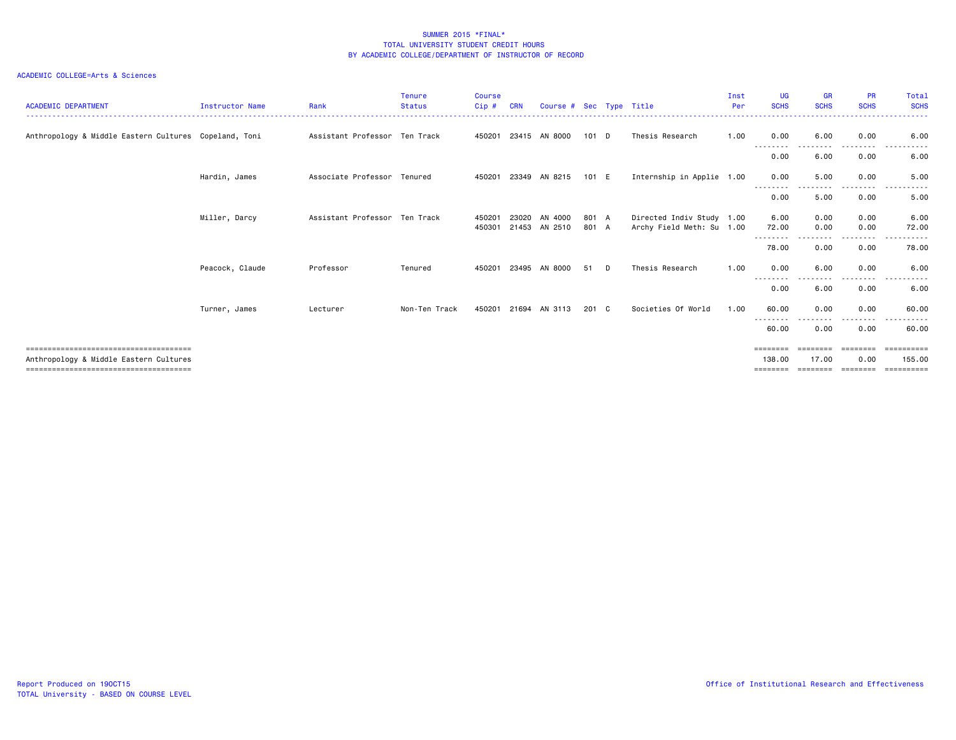| <b>ACADEMIC DEPARTMENT</b>                            | <b>Instructor Name</b> | Rank                          | <b>Tenure</b><br><b>Status</b> | <b>Course</b><br>Cip# | <b>CRN</b> | Course # Sec Type Title |               |   |                           | Inst<br>Per | <b>UG</b><br><b>SCHS</b>    | <b>GR</b><br><b>SCHS</b> | <b>PR</b><br><b>SCHS</b> | Total<br><b>SCHS</b>     |
|-------------------------------------------------------|------------------------|-------------------------------|--------------------------------|-----------------------|------------|-------------------------|---------------|---|---------------------------|-------------|-----------------------------|--------------------------|--------------------------|--------------------------|
| Anthropology & Middle Eastern Cultures Copeland, Toni |                        | Assistant Professor Ten Track |                                |                       |            | 450201 23415 AN 8000    | $101$ D       |   | Thesis Research           | 1.00        | 0.00                        | 6.00                     | 0.00                     | 6.00                     |
|                                                       |                        |                               |                                |                       |            |                         |               |   |                           |             | --------<br>0.00            | 6.00                     | ----<br>0.00             | 6.00                     |
|                                                       | Hardin, James          | Associate Professor Tenured   |                                |                       |            | 450201 23349 AN 8215    | 101 E         |   | Internship in Applie 1.00 |             | 0.00                        | 5.00                     | 0.00                     | 5.00                     |
|                                                       |                        |                               |                                |                       |            |                         |               |   |                           |             | --------<br>0.00            | 5.00                     | - - - -<br>0.00          | 5.00                     |
|                                                       | Miller, Darcy          | Assistant Professor Ten Track |                                | 450201                | 23020      | AN 4000                 | 801 A         |   | Directed Indiv Study 1.00 |             | 6.00                        | 0.00                     | 0.00<br>0.00             | 6.00                     |
|                                                       |                        |                               |                                |                       |            | 450301 21453 AN 2510    | 801 A         |   | Archy Field Meth: Su 1.00 |             | 72.00<br>--------           | 0.00                     | -----<br>$  -$           | 72.00<br>.               |
|                                                       |                        |                               |                                |                       |            |                         |               |   |                           |             | 78.00                       | 0.00                     | 0.00                     | 78.00                    |
|                                                       | Peacock, Claude        | Professor                     | Tenured                        | 450201                | 23495      | AN 8000                 | 51            | D | Thesis Research           | 1.00        | 0.00<br>--------            | 6.00                     | 0.00<br>----             | 6.00<br>.                |
|                                                       |                        |                               |                                |                       |            |                         |               |   |                           |             | 0.00                        | 6.00                     | 0.00                     | 6.00                     |
|                                                       | Turner, James          | Lecturer                      | Non-Ten Track                  |                       |            | 450201 21694 AN 3113    | $201 \quad C$ |   | Societies Of World        | 1.00        | 60.00<br>--------           | 0.00<br>. <i>.</i> .     | 0.00<br>--------         | 60.00<br>------<br>$  -$ |
|                                                       |                        |                               |                                |                       |            |                         |               |   |                           |             | 60.00                       | 0.00                     | 0.00                     | 60.00                    |
| Anthropology & Middle Eastern Cultures                |                        |                               |                                |                       |            |                         |               |   |                           |             | $=$ = = = = = = =<br>138.00 | ========<br>17.00        | ========<br>0.00         | ==========<br>155.00     |
|                                                       |                        |                               |                                |                       |            |                         |               |   |                           |             |                             |                          |                          | ==========               |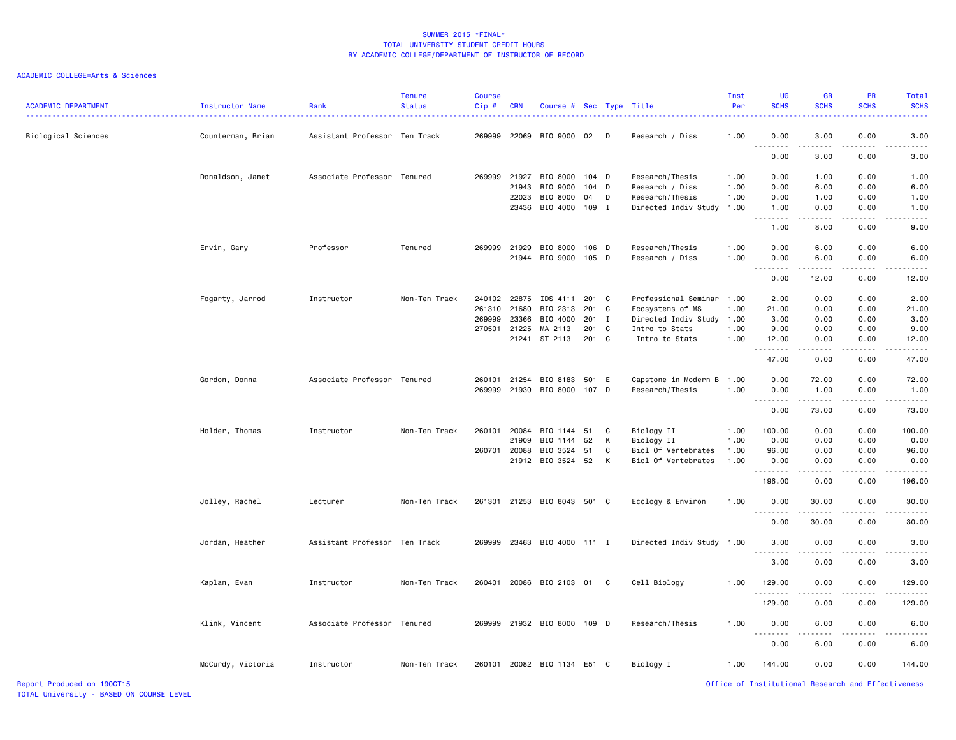| <b>ACADEMIC DEPARTMENT</b> | Instructor Name   | Rank                          | <b>Tenure</b><br><b>Status</b> | Course<br>Cip# | <b>CRN</b> | Course # Sec Type Title     |         |   |                           | Inst<br>Per | <b>UG</b><br><b>SCHS</b>                                                                                                                     | <b>GR</b><br><b>SCHS</b>                                                                                                                                      | PR<br><b>SCHS</b> | Total<br><b>SCHS</b> |
|----------------------------|-------------------|-------------------------------|--------------------------------|----------------|------------|-----------------------------|---------|---|---------------------------|-------------|----------------------------------------------------------------------------------------------------------------------------------------------|---------------------------------------------------------------------------------------------------------------------------------------------------------------|-------------------|----------------------|
| Biological Sciences        | Counterman, Brian | Assistant Professor Ten Track |                                | 269999         |            | 22069 BIO 9000 02           |         | D | Research / Diss           | 1.00        | 0.00                                                                                                                                         | 3.00                                                                                                                                                          | 0.00              | 3.00                 |
|                            |                   |                               |                                |                |            |                             |         |   |                           |             | 0.00                                                                                                                                         | 3.00                                                                                                                                                          | 0.00              | 3.00                 |
|                            | Donaldson, Janet  | Associate Professor Tenured   |                                | 269999         | 21927      | BIO 8000                    | 104 D   |   | Research/Thesis           | 1.00        | 0.00                                                                                                                                         | 1.00                                                                                                                                                          | 0.00              | 1.00                 |
|                            |                   |                               |                                |                | 21943      | BIO 9000                    | $104$ D |   | Research / Diss           | 1.00        | 0.00                                                                                                                                         | 6.00                                                                                                                                                          | 0.00              | 6.00                 |
|                            |                   |                               |                                |                | 22023      | BIO 8000                    | 04      | D | Research/Thesis           | 1.00        | 0.00                                                                                                                                         | 1.00                                                                                                                                                          | 0.00              | 1.00                 |
|                            |                   |                               |                                |                |            | 23436 BIO 4000 109 I        |         |   | Directed Indiv Study      | 1.00        | 1.00<br>$\frac{1}{2} \left( \frac{1}{2} \right) \left( \frac{1}{2} \right) \left( \frac{1}{2} \right) \left( \frac{1}{2} \right)$            | 0.00                                                                                                                                                          | 0.00              | 1.00                 |
|                            |                   |                               |                                |                |            |                             |         |   |                           |             | 1.00                                                                                                                                         | 8.00                                                                                                                                                          | 0.00              | 9.00                 |
|                            | Ervin, Gary       | Professor                     | Tenured                        |                |            | 269999 21929 BIO 8000 106 D |         |   | Research/Thesis           | 1.00        | 0.00                                                                                                                                         | 6.00                                                                                                                                                          | 0.00              | 6.00                 |
|                            |                   |                               |                                |                |            | 21944 BIO 9000 105 D        |         |   | Research / Diss           | 1.00        | 0.00                                                                                                                                         | 6.00                                                                                                                                                          | 0.00              | 6.00                 |
|                            |                   |                               |                                |                |            |                             |         |   |                           |             | <u>.</u><br>0.00                                                                                                                             | $\frac{1}{2} \left( \frac{1}{2} \right) \left( \frac{1}{2} \right) \left( \frac{1}{2} \right) \left( \frac{1}{2} \right) \left( \frac{1}{2} \right)$<br>12.00 | .<br>0.00         | .<br>12.00           |
|                            | Fogarty, Jarrod   | Instructor                    | Non-Ten Track                  | 240102         |            | 22875 IDS 4111              | 201 C   |   | Professional Seminar      | 1.00        | 2.00                                                                                                                                         | 0.00                                                                                                                                                          | 0.00              | 2.00                 |
|                            |                   |                               |                                | 261310         | 21680      | BIO 2313                    | 201 C   |   | Ecosystems of MS          | 1.00        | 21.00                                                                                                                                        | 0.00                                                                                                                                                          | 0.00              | 21.00                |
|                            |                   |                               |                                | 269999         | 23366      | BIO 4000                    | 201 I   |   | Directed Indiv Study      | 1.00        | 3.00                                                                                                                                         | 0.00                                                                                                                                                          | 0.00              | 3.00                 |
|                            |                   |                               |                                | 270501         | 21225      | MA 2113                     | 201 C   |   | Intro to Stats            | 1.00        | 9.00                                                                                                                                         | 0.00                                                                                                                                                          | 0.00              | 9.00                 |
|                            |                   |                               |                                |                |            | 21241 ST 2113               | 201 C   |   | Intro to Stats            | 1.00        | 12.00                                                                                                                                        | 0.00                                                                                                                                                          | 0.00              | 12.00                |
|                            |                   |                               |                                |                |            |                             |         |   |                           |             | -----<br>47.00                                                                                                                               | $\sim$ $\sim$ $\sim$ $\sim$<br>0.00                                                                                                                           | 0.00              | 47.00                |
|                            | Gordon, Donna     | Associate Professor Tenured   |                                | 260101         |            | 21254 BIO 8183 501 E        |         |   | Capstone in Modern B      | 1.00        | 0.00                                                                                                                                         | 72.00                                                                                                                                                         | 0.00              | 72.00                |
|                            |                   |                               |                                | 269999         |            | 21930 BIO 8000              | 107 D   |   | Research/Thesis           | 1.00        | 0.00                                                                                                                                         | 1.00                                                                                                                                                          | 0.00              | 1.00                 |
|                            |                   |                               |                                |                |            |                             |         |   |                           |             | $- - - - -$<br>$- - -$<br>0.00                                                                                                               | .<br>73.00                                                                                                                                                    | .<br>0.00         | . <u>.</u><br>73.00  |
|                            | Holder, Thomas    | Instructor                    | Non-Ten Track                  | 260101         | 20084      | BIO 1144 51                 |         | C | Biology II                | 1.00        | 100.00                                                                                                                                       | 0.00                                                                                                                                                          | 0.00              | 100.00               |
|                            |                   |                               |                                |                | 21909      | BIO 1144                    | 52      | K | Biology II                | 1.00        | 0.00                                                                                                                                         | 0.00                                                                                                                                                          | 0.00              | 0.00                 |
|                            |                   |                               |                                | 260701         | 20088      | BIO 3524                    | 51      | C | Biol Of Vertebrates       | 1.00        | 96.00                                                                                                                                        | 0.00                                                                                                                                                          | 0.00              | 96.00                |
|                            |                   |                               |                                |                |            | 21912 BIO 3524 52           |         | K | Biol Of Vertebrates       | 1.00        | 0.00                                                                                                                                         | 0.00                                                                                                                                                          | 0.00              | 0.00                 |
|                            |                   |                               |                                |                |            |                             |         |   |                           |             | .<br>196.00                                                                                                                                  | .<br>0.00                                                                                                                                                     | .<br>0.00         | .<br>196.00          |
|                            | Jolley, Rachel    | Lecturer                      | Non-Ten Track                  | 261301         |            | 21253 BIO 8043 501 C        |         |   | Ecology & Environ         | 1.00        | 0.00                                                                                                                                         | 30.00                                                                                                                                                         | 0.00              | 30.00                |
|                            |                   |                               |                                |                |            |                             |         |   |                           |             | .<br>0.00                                                                                                                                    | .<br>30.00                                                                                                                                                    | .<br>0.00         | .<br>30.00           |
|                            | Jordan, Heather   | Assistant Professor Ten Track |                                | 269999         |            | 23463 BIO 4000 111 I        |         |   | Directed Indiv Study 1.00 |             | 3.00                                                                                                                                         | 0.00                                                                                                                                                          | 0.00              | 3.00                 |
|                            |                   |                               |                                |                |            |                             |         |   |                           |             | 3.00                                                                                                                                         | د د د د<br>0.00                                                                                                                                               | 0.00              | 3.00                 |
|                            |                   |                               |                                |                |            |                             |         |   |                           |             |                                                                                                                                              |                                                                                                                                                               |                   |                      |
|                            | Kaplan, Evan      | Instructor                    | Non-Ten Track                  | 260401         |            | 20086 BIO 2103 01           |         | C | Cell Biology              | 1.00        | 129.00<br>.                                                                                                                                  | 0.00<br>الماليات المالية                                                                                                                                      | 0.00<br>.         | 129.00<br><u>.</u>   |
|                            |                   |                               |                                |                |            |                             |         |   |                           |             | 129.00                                                                                                                                       | 0.00                                                                                                                                                          | 0.00              | 129.00               |
|                            | Klink, Vincent    | Associate Professor           | Tenured                        | 269999         |            | 21932 BIO 8000 109 D        |         |   | Research/Thesis           | 1.00        | 0.00<br>$\frac{1}{2} \left( \frac{1}{2} \right) \left( \frac{1}{2} \right) \left( \frac{1}{2} \right) \left( \frac{1}{2} \right)$<br>$- - -$ | 6.00<br>.                                                                                                                                                     | 0.00<br>.         | 6.00                 |
|                            |                   |                               |                                |                |            |                             |         |   |                           |             | 0.00                                                                                                                                         | 6.00                                                                                                                                                          | 0.00              | 6.00                 |
|                            | McCurdy, Victoria | Instructor                    | Non-Ten Track                  | 260101         |            | 20082 BIO 1134 E51 C        |         |   | Biology I                 | 1.00        | 144.00                                                                                                                                       | 0.00                                                                                                                                                          | 0.00              | 144.00               |
| Report Produced on 190CT15 |                   |                               |                                |                |            |                             |         |   |                           |             | Office of Institutional Research and Effectiveness                                                                                           |                                                                                                                                                               |                   |                      |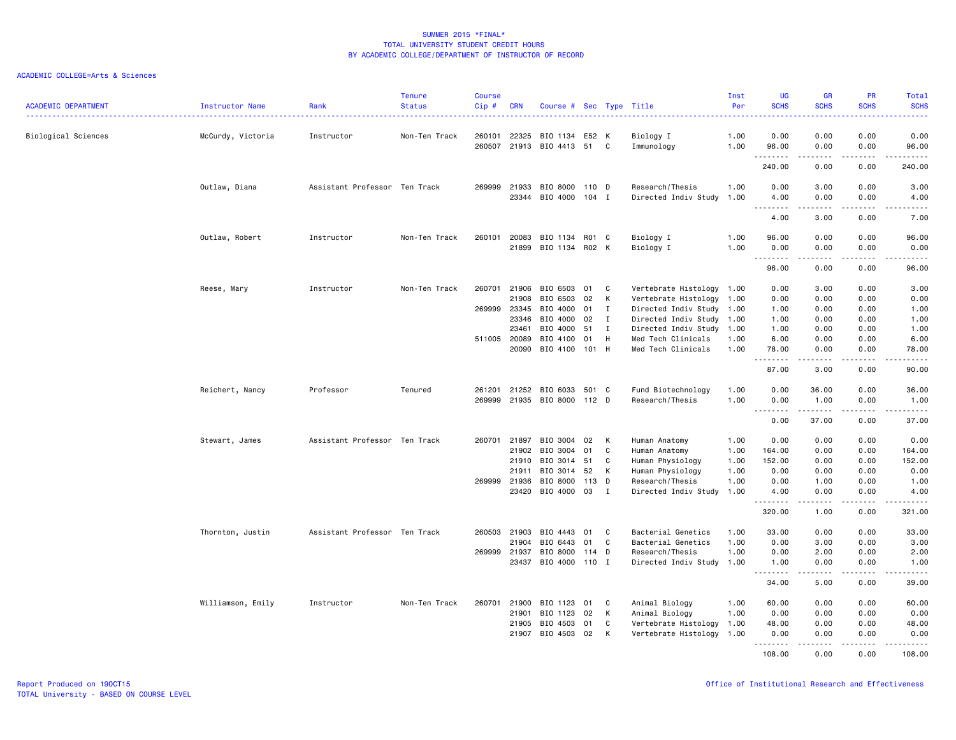| <b>ACADEMIC DEPARTMENT</b> | <b>Instructor Name</b> | Rank                          | <b>Tenure</b><br><b>Status</b> | <b>Course</b><br>Cip # | <b>CRN</b>     | Course # Sec Type Title                       |          |                |                                                        | Inst<br>Per  | <b>UG</b><br><b>SCHS</b>     | <b>GR</b><br><b>SCHS</b> | PR<br><b>SCHS</b>            | Total<br><b>SCHS</b> |
|----------------------------|------------------------|-------------------------------|--------------------------------|------------------------|----------------|-----------------------------------------------|----------|----------------|--------------------------------------------------------|--------------|------------------------------|--------------------------|------------------------------|----------------------|
| Biological Sciences        | McCurdy, Victoria      | Instructor                    | Non-Ten Track                  | 260101                 | 22325          | BIO 1134 E52 K<br>260507 21913 BIO 4413 51    |          | C              | Biology I<br>Immunology                                | 1.00<br>1.00 | 0.00<br>96.00                | 0.00<br>0.00             | 0.00<br>0.00                 | 0.00<br>96.00        |
|                            |                        |                               |                                |                        |                |                                               |          |                |                                                        |              | .<br>240.00                  | -----<br>0.00            | .<br>0.00                    | .<br>240.00          |
|                            | Outlaw, Diana          | Assistant Professor Ten Track |                                | 269999                 | 21933          | BIO 8000<br>23344 BIO 4000 104 I              | 110 D    |                | Research/Thesis<br>Directed Indiv Study                | 1.00<br>1.00 | 0.00<br>4.00                 | 3.00<br>0.00             | 0.00<br>0.00                 | 3.00<br>4.00         |
|                            |                        |                               |                                |                        |                |                                               |          |                |                                                        |              | $\sim$ $\sim$ $\sim$<br>4.00 | .<br>3.00                | $- - - -$<br>0.00            | .<br>7.00            |
|                            | Outlaw, Robert         | Instructor                    | Non-Ten Track                  | 260101                 | 20083          | BIO 1134 R01 C                                |          |                | Biology I                                              | 1.00         | 96.00                        | 0.00                     | 0.00                         | 96.00                |
|                            |                        |                               |                                |                        |                | 21899 BIO 1134 R02 K                          |          |                | Biology I                                              | 1.00         | 0.00<br><u>.</u>             | 0.00                     | 0.00<br>.                    | 0.00<br>-----        |
|                            |                        |                               |                                |                        |                |                                               |          |                |                                                        |              | 96.00                        | 0.00                     | 0.00                         | 96.00                |
|                            | Reese, Mary            | Instructor                    | Non-Ten Track                  | 260701                 | 21906<br>21908 | BIO 6503<br>BIO 6503                          | 01<br>02 | C<br>к         | Vertebrate Histology 1.00<br>Vertebrate Histology 1.00 |              | 0.00<br>0.00                 | 3.00<br>0.00             | 0.00<br>0.00                 | 3.00<br>0.00         |
|                            |                        |                               |                                | 269999                 | 23345          | BIO 4000                                      | 01       | I              | Directed Indiv Study 1.00                              |              | 1.00                         | 0.00                     | 0.00                         | 1.00                 |
|                            |                        |                               |                                |                        | 23346          | BIO 4000                                      | 02       | Ι.             | Directed Indiv Study 1.00                              |              | 1.00                         | 0.00                     | 0.00                         | 1.00                 |
|                            |                        |                               |                                |                        | 23461          | BIO 4000                                      | 51       | I              | Directed Indiv Study 1.00                              |              | 1.00                         | 0.00                     | 0.00                         | 1.00                 |
|                            |                        |                               |                                |                        | 511005 20089   | BIO 4100                                      | 01       | H              | Med Tech Clinicals                                     | 1.00         | 6.00                         | 0.00                     | 0.00                         | 6.00                 |
|                            |                        |                               |                                |                        | 20090          | BIO 4100 101 H                                |          |                | Med Tech Clinicals                                     | 1.00         | 78.00<br>.                   | 0.00                     | 0.00<br>$\sim$ $\sim$ $\sim$ | 78.00<br>.           |
|                            |                        |                               |                                |                        |                |                                               |          |                |                                                        |              | 87.00                        | 3.00                     | 0.00                         | 90.00                |
|                            | Reichert, Nancy        | Professor                     | Tenured                        | 261201                 | 21252          | BIO 6033 501 C<br>269999 21935 BIO 8000 112 D |          |                | Fund Biotechnology                                     | 1.00         | 0.00                         | 36.00                    | 0.00                         | 36.00<br>1.00        |
|                            |                        |                               |                                |                        |                |                                               |          |                | Research/Thesis                                        | 1.00         | 0.00<br>.                    | 1.00<br>.                | 0.00<br>.                    | .                    |
|                            |                        |                               |                                |                        |                |                                               |          |                |                                                        |              | 0.00                         | 37.00                    | 0.00                         | 37.00                |
|                            | Stewart, James         | Assistant Professor Ten Track |                                |                        | 260701 21897   | BIO 3004 02                                   |          | К              | Human Anatomy                                          | 1.00         | 0.00                         | 0.00                     | 0.00                         | 0.00                 |
|                            |                        |                               |                                |                        | 21902          | BIO 3004                                      | 01       | C              | Human Anatomy                                          | 1.00         | 164.00                       | 0.00                     | 0.00                         | 164.00               |
|                            |                        |                               |                                |                        | 21910          | BIO 3014 51                                   |          | C              | Human Physiology                                       | 1.00         | 152.00                       | 0.00                     | 0.00                         | 152.00               |
|                            |                        |                               |                                |                        | 21911          | BIO 3014                                      | 52       | К              | Human Physiology                                       | 1.00         | 0.00                         | 0.00                     | 0.00                         | 0.00                 |
|                            |                        |                               |                                | 269999                 | 21936          | BIO 8000                                      | 113      | D              | Research/Thesis                                        | 1.00         | 0.00                         | 1.00                     | 0.00                         | 1.00                 |
|                            |                        |                               |                                |                        |                | 23420 BIO 4000 03                             |          | $\blacksquare$ | Directed Indiv Study                                   | 1.00         | 4.00<br><u>.</u>             | 0.00<br>.                | 0.00<br>.                    | 4.00                 |
|                            |                        |                               |                                |                        |                |                                               |          |                |                                                        |              | 320.00                       | 1.00                     | 0.00                         | 321.00               |
|                            | Thornton, Justin       | Assistant Professor Ten Track |                                |                        | 260503 21903   | BIO 4443                                      | 01       | C              | Bacterial Genetics                                     | 1.00         | 33.00                        | 0.00                     | 0.00                         | 33.00                |
|                            |                        |                               |                                |                        | 21904          | BIO 6443                                      | 01       | C              | Bacterial Genetics                                     | 1.00         | 0.00                         | 3.00                     | 0.00                         | 3.00                 |
|                            |                        |                               |                                | 269999                 | 21937          | BIO 8000                                      | 114 D    |                | Research/Thesis                                        | 1.00         | 0.00                         | 2.00                     | 0.00                         | 2.00                 |
|                            |                        |                               |                                |                        |                | 23437 BIO 4000 110 I                          |          |                | Directed Indiv Study 1.00                              |              | 1.00<br>.                    | 0.00<br>$- - - - -$      | 0.00<br>.                    | 1.00<br>د د د د د    |
|                            |                        |                               |                                |                        |                |                                               |          |                |                                                        |              | 34.00                        | 5.00                     | 0.00                         | 39.00                |
|                            | Williamson, Emily      | Instructor                    | Non-Ten Track                  | 260701                 | 21900          | BIO 1123                                      | 01       | C              | Animal Biology                                         | 1.00         | 60.00                        | 0.00                     | 0.00                         | 60.00                |
|                            |                        |                               |                                |                        | 21901          | BIO 1123                                      | 02       | К              | Animal Biology                                         | 1.00         | 0.00                         | 0.00                     | 0.00                         | 0.00                 |
|                            |                        |                               |                                |                        | 21905<br>21907 | BIO 4503<br>BIO 4503                          | 01<br>02 | C<br>К         | Vertebrate Histology<br>Vertebrate Histology           | 1.00<br>1.00 | 48.00<br>0.00                | 0.00<br>0.00             | 0.00<br>0.00                 | 48.00<br>0.00        |
|                            |                        |                               |                                |                        |                |                                               |          |                |                                                        |              | .<br>108.00                  | $\frac{1}{2}$<br>0.00    | $\frac{1}{2}$<br>0.00        | .<br>108.00          |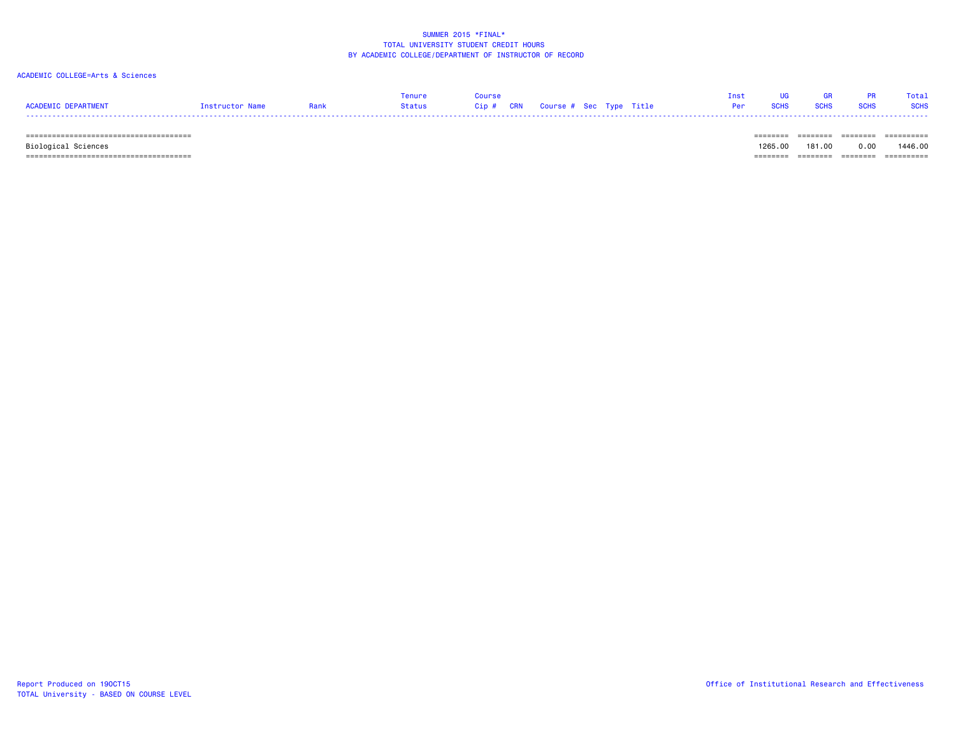## ACADEMIC COLLEGE=Arts & Sciences

| <b>ACADEMIC DEPARTMENT</b> | Instructor Name | Rank | <b>Tenure</b><br>Status | Course<br>Cip # CRN Course # Sec Type Title |  |  | Tnet<br>Per | <b>SCHS</b> | <b>GR</b><br><b>SCHS</b> | <b>PR</b><br><b>SCHS</b> | Total<br><b>SCHS</b> |
|----------------------------|-----------------|------|-------------------------|---------------------------------------------|--|--|-------------|-------------|--------------------------|--------------------------|----------------------|
|                            |                 |      |                         |                                             |  |  |             |             |                          |                          | ==========           |

Biological Sciences 1265.00 181.00 0.00 1446.00

====================================== ======== ======== ======== ==========

TOTAL University - BASED ON COURSE LEVEL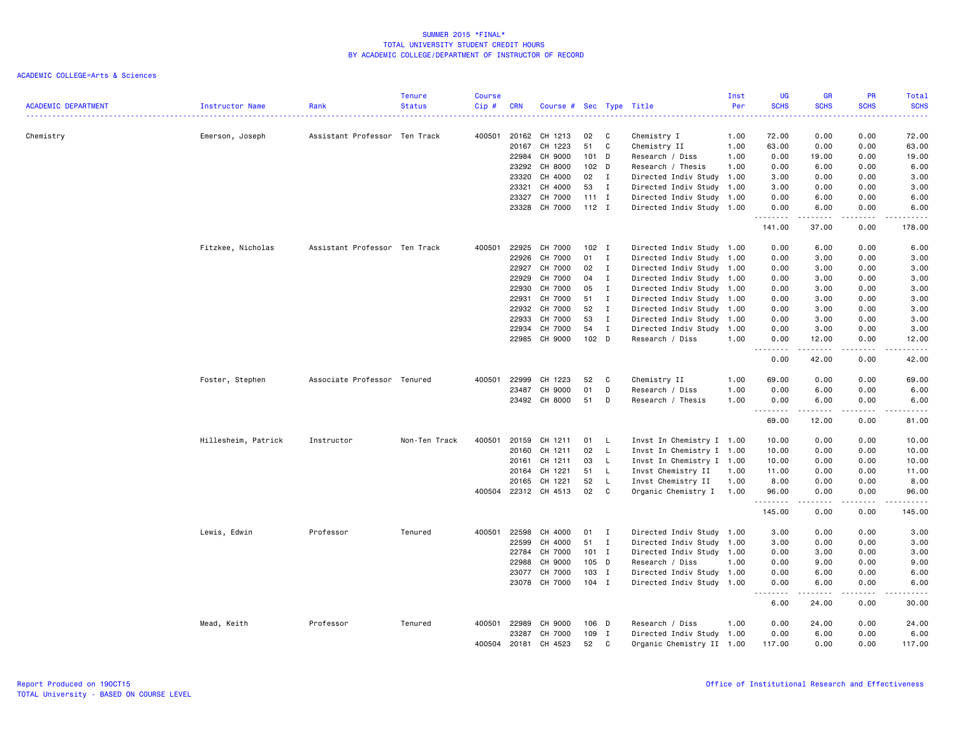| 0.00<br>72.00<br>Chemistry<br>Assistant Professor Ten Track<br>400501<br>20162<br>CH 1213<br>C<br>72.00<br>0.00<br>Emerson, Joseph<br>02<br>Chemistry I<br>1.00<br>20167<br>CH 1223<br>51<br>C<br>63.00<br>0.00<br>0.00<br>63.00<br>Chemistry II<br>1.00<br>22984<br>CH 9000<br>19.00<br>101 D<br>Research / Diss<br>1.00<br>0.00<br>19.00<br>0.00<br>23292<br>CH 8000<br>102 <sub>D</sub><br>Research / Thesis<br>1.00<br>6.00<br>0.00<br>6.00<br>0.00<br>CH 4000<br>02<br>$\mathbf{I}$<br>Directed Indiv Study 1.00<br>3.00<br>0.00<br>0.00<br>3.00<br>23320<br>CH 4000<br>3.00<br>23321<br>53<br>I<br>Directed Indiv Study 1.00<br>3.00<br>0.00<br>0.00<br>CH 7000<br>23327<br>$111$ I<br>Directed Indiv Study 1.00<br>0.00<br>6.00<br>0.00<br>6.00<br>23328<br>CH 7000<br>$112$ I<br>Directed Indiv Study 1.00<br>0.00<br>6.00<br>0.00<br>6.00<br>.<br>.<br>141.00<br>37.00<br>0.00<br>178.00<br>Fitzkee, Nicholas<br>Assistant Professor Ten Track<br>400501<br>22925<br>CH 7000<br>$102$ I<br>Directed Indiv Study 1.00<br>0.00<br>6.00<br>0.00<br>6.00<br>22926<br>CH 7000<br>01<br>0.00<br>3.00<br>0.00<br>3.00<br>$\mathbf{I}$<br>Directed Indiv Study 1.00<br>22927<br>CH 7000<br>02<br>$\mathbf{I}$<br>Directed Indiv Study 1.00<br>0.00<br>3.00<br>0.00<br>3.00<br>22929<br>CH 7000<br>04<br>Directed Indiv Study 1.00<br>0.00<br>0.00<br>3.00<br>$\mathbf{I}$<br>3.00<br>CH 7000<br>05<br>$\mathbf{I}$<br>22930<br>Directed Indiv Study 1.00<br>0.00<br>3.00<br>0.00<br>3.00<br>CH 7000<br>22931<br>51<br>$\mathbf{I}$<br>Directed Indiv Study 1.00<br>0.00<br>3.00<br>0.00<br>3.00<br>22932<br>CH 7000<br>52<br>0.00<br>0.00<br>3.00<br>$\mathbf{I}$<br>Directed Indiv Study 1.00<br>3.00<br>CH 7000<br>53<br>$\mathbf{I}$<br>Directed Indiv Study 1.00<br>0.00<br>3.00<br>0.00<br>3.00<br>22933<br>22934<br>CH 7000<br>54<br>0.00<br>$\bf{I}$<br>Directed Indiv Study 1.00<br>3.00<br>0.00<br>3.00<br>CH 9000<br>22985<br>$102$ D<br>Research / Diss<br>1.00<br>0.00<br>12.00<br>0.00<br>12.00<br>.<br>.<br>.<br>$-$<br>.<br>0.00<br>42.00<br>0.00<br>42.00<br>CH 1223<br>0.00<br>69.00<br>Foster, Stephen<br>Associate Professor Tenured<br>400501<br>22999<br>52<br>C<br>Chemistry II<br>1.00<br>69.00<br>0.00<br>0.00<br>23487<br>CH 9000<br>01<br>D<br>Research / Diss<br>1.00<br>6.00<br>0.00<br>6.00<br>23492<br>CH 8000<br>51<br>D<br>Research / Thesis<br>1.00<br>0.00<br>6.00<br>0.00<br>6.00<br>.<br>.<br>.<br>.<br>69.00<br>12.00<br>0.00<br>81.00<br>Hillesheim, Patrick<br>Non-Ten Track<br>400501<br>20159<br>CH 1211<br>01<br>Invst In Chemistry I 1.00<br>10.00<br>0.00<br>0.00<br>10.00<br>Instructor<br>L.<br>CH 1211<br>02<br>L.<br>10.00<br>20160<br>Invst In Chemistry I 1.00<br>10.00<br>0.00<br>0.00<br>20161<br>CH 1211<br>03<br>L.<br>Invst In Chemistry I 1.00<br>10.00<br>0.00<br>0.00<br>10.00<br>CH 1221<br>51<br>$\mathsf{L}$<br>Invst Chemistry II<br>11.00<br>0.00<br>11.00<br>20164<br>1.00<br>0.00<br>52<br>L.<br>20165<br>CH 1221<br>Invst Chemistry II<br>1.00<br>8.00<br>0.00<br>0.00<br>8.00<br>CH 4513<br>02<br>C<br>400504<br>22312<br>Organic Chemistry I 1.00<br>96.00<br>0.00<br>0.00<br>96.00<br>.<br>145.00<br>0.00<br>0.00<br>145.00<br>Lewis, Edwin<br>Professor<br>Tenured<br>400501<br>22598<br>CH 4000<br>01<br>Directed Indiv Study 1.00<br>3.00<br>0.00<br>0.00<br>3.00<br>$\mathbf{I}$<br>22599<br>CH 4000<br>51<br>$\mathbf{I}$<br>Directed Indiv Study 1.00<br>3.00<br>0.00<br>0.00<br>3.00<br>CH 7000<br>22784<br>101 I<br>Directed Indiv Study 1.00<br>0.00<br>3.00<br>0.00<br>3.00<br>22988<br>CH 9000<br>105 D<br>Research / Diss<br>1.00<br>0.00<br>9.00<br>0.00<br>9.00<br>CH 7000<br>$103$ I<br>23077<br>Directed Indiv Study 1.00<br>0.00<br>6.00<br>0.00<br>6.00<br>CH 7000<br>23078<br>104 I<br>Directed Indiv Study 1.00<br>0.00<br>6.00<br>0.00<br>6.00<br>$\sim$ $\sim$<br>6.00<br>24.00<br>0.00<br>30.00<br>Mead, Keith<br>Professor<br>Tenured<br>400501<br>22989<br>CH 9000<br>106 D<br>Research / Diss<br>1.00<br>0.00<br>24.00<br>0.00<br>24.00<br>23287<br>CH 7000<br>109<br>$\mathbf{I}$<br>Directed Indiv Study 1.00<br>0.00<br>6.00<br>0.00<br>6.00<br>400504<br>20181<br>CH 4523<br>52<br>C<br>Organic Chemistry II 1.00<br>117.00<br>0.00<br>0.00<br>117.00 | <b>ACADEMIC DEPARTMENT</b> | Instructor Name | Rank | <b>Tenure</b><br><b>Status</b> | <b>Course</b><br>Cip# | <b>CRN</b> | Course # Sec Type Title |  | Inst<br>Per | <b>UG</b><br><b>SCHS</b> | <b>GR</b><br><b>SCHS</b> | <b>PR</b><br><b>SCHS</b> | <b>Total</b><br><b>SCHS</b> |
|-----------------------------------------------------------------------------------------------------------------------------------------------------------------------------------------------------------------------------------------------------------------------------------------------------------------------------------------------------------------------------------------------------------------------------------------------------------------------------------------------------------------------------------------------------------------------------------------------------------------------------------------------------------------------------------------------------------------------------------------------------------------------------------------------------------------------------------------------------------------------------------------------------------------------------------------------------------------------------------------------------------------------------------------------------------------------------------------------------------------------------------------------------------------------------------------------------------------------------------------------------------------------------------------------------------------------------------------------------------------------------------------------------------------------------------------------------------------------------------------------------------------------------------------------------------------------------------------------------------------------------------------------------------------------------------------------------------------------------------------------------------------------------------------------------------------------------------------------------------------------------------------------------------------------------------------------------------------------------------------------------------------------------------------------------------------------------------------------------------------------------------------------------------------------------------------------------------------------------------------------------------------------------------------------------------------------------------------------------------------------------------------------------------------------------------------------------------------------------------------------------------------------------------------------------------------------------------------------------------------------------------------------------------------------------------------------------------------------------------------------------------------------------------------------------------------------------------------------------------------------------------------------------------------------------------------------------------------------------------------------------------------------------------------------------------------------------------------------------------------------------------------------------------------------------------------------------------------------------------------------------------------------------------------------------------------------------------------------------------------------------------------------------------------------------------------------------------------------------------------------------------------------------------------------------------------------------------------------------------------------------------------------------------------------------------------------------------------------------------------------------------------------------------------------------------------------------------------------------------------------------------------------------------------------------------------------------------------------------------------------------------------------------------------------------------------------------------------------------------------------------------------------------------------------------------------------------------------------------------------------------------|----------------------------|-----------------|------|--------------------------------|-----------------------|------------|-------------------------|--|-------------|--------------------------|--------------------------|--------------------------|-----------------------------|
|                                                                                                                                                                                                                                                                                                                                                                                                                                                                                                                                                                                                                                                                                                                                                                                                                                                                                                                                                                                                                                                                                                                                                                                                                                                                                                                                                                                                                                                                                                                                                                                                                                                                                                                                                                                                                                                                                                                                                                                                                                                                                                                                                                                                                                                                                                                                                                                                                                                                                                                                                                                                                                                                                                                                                                                                                                                                                                                                                                                                                                                                                                                                                                                                                                                                                                                                                                                                                                                                                                                                                                                                                                                                                                                                                                                                                                                                                                                                                                                                                                                                                                                                                                                                                                                           |                            |                 |      |                                |                       |            |                         |  |             |                          |                          |                          |                             |
|                                                                                                                                                                                                                                                                                                                                                                                                                                                                                                                                                                                                                                                                                                                                                                                                                                                                                                                                                                                                                                                                                                                                                                                                                                                                                                                                                                                                                                                                                                                                                                                                                                                                                                                                                                                                                                                                                                                                                                                                                                                                                                                                                                                                                                                                                                                                                                                                                                                                                                                                                                                                                                                                                                                                                                                                                                                                                                                                                                                                                                                                                                                                                                                                                                                                                                                                                                                                                                                                                                                                                                                                                                                                                                                                                                                                                                                                                                                                                                                                                                                                                                                                                                                                                                                           |                            |                 |      |                                |                       |            |                         |  |             |                          |                          |                          |                             |
|                                                                                                                                                                                                                                                                                                                                                                                                                                                                                                                                                                                                                                                                                                                                                                                                                                                                                                                                                                                                                                                                                                                                                                                                                                                                                                                                                                                                                                                                                                                                                                                                                                                                                                                                                                                                                                                                                                                                                                                                                                                                                                                                                                                                                                                                                                                                                                                                                                                                                                                                                                                                                                                                                                                                                                                                                                                                                                                                                                                                                                                                                                                                                                                                                                                                                                                                                                                                                                                                                                                                                                                                                                                                                                                                                                                                                                                                                                                                                                                                                                                                                                                                                                                                                                                           |                            |                 |      |                                |                       |            |                         |  |             |                          |                          |                          |                             |
|                                                                                                                                                                                                                                                                                                                                                                                                                                                                                                                                                                                                                                                                                                                                                                                                                                                                                                                                                                                                                                                                                                                                                                                                                                                                                                                                                                                                                                                                                                                                                                                                                                                                                                                                                                                                                                                                                                                                                                                                                                                                                                                                                                                                                                                                                                                                                                                                                                                                                                                                                                                                                                                                                                                                                                                                                                                                                                                                                                                                                                                                                                                                                                                                                                                                                                                                                                                                                                                                                                                                                                                                                                                                                                                                                                                                                                                                                                                                                                                                                                                                                                                                                                                                                                                           |                            |                 |      |                                |                       |            |                         |  |             |                          |                          |                          |                             |
|                                                                                                                                                                                                                                                                                                                                                                                                                                                                                                                                                                                                                                                                                                                                                                                                                                                                                                                                                                                                                                                                                                                                                                                                                                                                                                                                                                                                                                                                                                                                                                                                                                                                                                                                                                                                                                                                                                                                                                                                                                                                                                                                                                                                                                                                                                                                                                                                                                                                                                                                                                                                                                                                                                                                                                                                                                                                                                                                                                                                                                                                                                                                                                                                                                                                                                                                                                                                                                                                                                                                                                                                                                                                                                                                                                                                                                                                                                                                                                                                                                                                                                                                                                                                                                                           |                            |                 |      |                                |                       |            |                         |  |             |                          |                          |                          |                             |
|                                                                                                                                                                                                                                                                                                                                                                                                                                                                                                                                                                                                                                                                                                                                                                                                                                                                                                                                                                                                                                                                                                                                                                                                                                                                                                                                                                                                                                                                                                                                                                                                                                                                                                                                                                                                                                                                                                                                                                                                                                                                                                                                                                                                                                                                                                                                                                                                                                                                                                                                                                                                                                                                                                                                                                                                                                                                                                                                                                                                                                                                                                                                                                                                                                                                                                                                                                                                                                                                                                                                                                                                                                                                                                                                                                                                                                                                                                                                                                                                                                                                                                                                                                                                                                                           |                            |                 |      |                                |                       |            |                         |  |             |                          |                          |                          |                             |
|                                                                                                                                                                                                                                                                                                                                                                                                                                                                                                                                                                                                                                                                                                                                                                                                                                                                                                                                                                                                                                                                                                                                                                                                                                                                                                                                                                                                                                                                                                                                                                                                                                                                                                                                                                                                                                                                                                                                                                                                                                                                                                                                                                                                                                                                                                                                                                                                                                                                                                                                                                                                                                                                                                                                                                                                                                                                                                                                                                                                                                                                                                                                                                                                                                                                                                                                                                                                                                                                                                                                                                                                                                                                                                                                                                                                                                                                                                                                                                                                                                                                                                                                                                                                                                                           |                            |                 |      |                                |                       |            |                         |  |             |                          |                          |                          |                             |
|                                                                                                                                                                                                                                                                                                                                                                                                                                                                                                                                                                                                                                                                                                                                                                                                                                                                                                                                                                                                                                                                                                                                                                                                                                                                                                                                                                                                                                                                                                                                                                                                                                                                                                                                                                                                                                                                                                                                                                                                                                                                                                                                                                                                                                                                                                                                                                                                                                                                                                                                                                                                                                                                                                                                                                                                                                                                                                                                                                                                                                                                                                                                                                                                                                                                                                                                                                                                                                                                                                                                                                                                                                                                                                                                                                                                                                                                                                                                                                                                                                                                                                                                                                                                                                                           |                            |                 |      |                                |                       |            |                         |  |             |                          |                          |                          |                             |
|                                                                                                                                                                                                                                                                                                                                                                                                                                                                                                                                                                                                                                                                                                                                                                                                                                                                                                                                                                                                                                                                                                                                                                                                                                                                                                                                                                                                                                                                                                                                                                                                                                                                                                                                                                                                                                                                                                                                                                                                                                                                                                                                                                                                                                                                                                                                                                                                                                                                                                                                                                                                                                                                                                                                                                                                                                                                                                                                                                                                                                                                                                                                                                                                                                                                                                                                                                                                                                                                                                                                                                                                                                                                                                                                                                                                                                                                                                                                                                                                                                                                                                                                                                                                                                                           |                            |                 |      |                                |                       |            |                         |  |             |                          |                          |                          |                             |
|                                                                                                                                                                                                                                                                                                                                                                                                                                                                                                                                                                                                                                                                                                                                                                                                                                                                                                                                                                                                                                                                                                                                                                                                                                                                                                                                                                                                                                                                                                                                                                                                                                                                                                                                                                                                                                                                                                                                                                                                                                                                                                                                                                                                                                                                                                                                                                                                                                                                                                                                                                                                                                                                                                                                                                                                                                                                                                                                                                                                                                                                                                                                                                                                                                                                                                                                                                                                                                                                                                                                                                                                                                                                                                                                                                                                                                                                                                                                                                                                                                                                                                                                                                                                                                                           |                            |                 |      |                                |                       |            |                         |  |             |                          |                          |                          |                             |
|                                                                                                                                                                                                                                                                                                                                                                                                                                                                                                                                                                                                                                                                                                                                                                                                                                                                                                                                                                                                                                                                                                                                                                                                                                                                                                                                                                                                                                                                                                                                                                                                                                                                                                                                                                                                                                                                                                                                                                                                                                                                                                                                                                                                                                                                                                                                                                                                                                                                                                                                                                                                                                                                                                                                                                                                                                                                                                                                                                                                                                                                                                                                                                                                                                                                                                                                                                                                                                                                                                                                                                                                                                                                                                                                                                                                                                                                                                                                                                                                                                                                                                                                                                                                                                                           |                            |                 |      |                                |                       |            |                         |  |             |                          |                          |                          |                             |
|                                                                                                                                                                                                                                                                                                                                                                                                                                                                                                                                                                                                                                                                                                                                                                                                                                                                                                                                                                                                                                                                                                                                                                                                                                                                                                                                                                                                                                                                                                                                                                                                                                                                                                                                                                                                                                                                                                                                                                                                                                                                                                                                                                                                                                                                                                                                                                                                                                                                                                                                                                                                                                                                                                                                                                                                                                                                                                                                                                                                                                                                                                                                                                                                                                                                                                                                                                                                                                                                                                                                                                                                                                                                                                                                                                                                                                                                                                                                                                                                                                                                                                                                                                                                                                                           |                            |                 |      |                                |                       |            |                         |  |             |                          |                          |                          |                             |
|                                                                                                                                                                                                                                                                                                                                                                                                                                                                                                                                                                                                                                                                                                                                                                                                                                                                                                                                                                                                                                                                                                                                                                                                                                                                                                                                                                                                                                                                                                                                                                                                                                                                                                                                                                                                                                                                                                                                                                                                                                                                                                                                                                                                                                                                                                                                                                                                                                                                                                                                                                                                                                                                                                                                                                                                                                                                                                                                                                                                                                                                                                                                                                                                                                                                                                                                                                                                                                                                                                                                                                                                                                                                                                                                                                                                                                                                                                                                                                                                                                                                                                                                                                                                                                                           |                            |                 |      |                                |                       |            |                         |  |             |                          |                          |                          |                             |
|                                                                                                                                                                                                                                                                                                                                                                                                                                                                                                                                                                                                                                                                                                                                                                                                                                                                                                                                                                                                                                                                                                                                                                                                                                                                                                                                                                                                                                                                                                                                                                                                                                                                                                                                                                                                                                                                                                                                                                                                                                                                                                                                                                                                                                                                                                                                                                                                                                                                                                                                                                                                                                                                                                                                                                                                                                                                                                                                                                                                                                                                                                                                                                                                                                                                                                                                                                                                                                                                                                                                                                                                                                                                                                                                                                                                                                                                                                                                                                                                                                                                                                                                                                                                                                                           |                            |                 |      |                                |                       |            |                         |  |             |                          |                          |                          |                             |
|                                                                                                                                                                                                                                                                                                                                                                                                                                                                                                                                                                                                                                                                                                                                                                                                                                                                                                                                                                                                                                                                                                                                                                                                                                                                                                                                                                                                                                                                                                                                                                                                                                                                                                                                                                                                                                                                                                                                                                                                                                                                                                                                                                                                                                                                                                                                                                                                                                                                                                                                                                                                                                                                                                                                                                                                                                                                                                                                                                                                                                                                                                                                                                                                                                                                                                                                                                                                                                                                                                                                                                                                                                                                                                                                                                                                                                                                                                                                                                                                                                                                                                                                                                                                                                                           |                            |                 |      |                                |                       |            |                         |  |             |                          |                          |                          |                             |
|                                                                                                                                                                                                                                                                                                                                                                                                                                                                                                                                                                                                                                                                                                                                                                                                                                                                                                                                                                                                                                                                                                                                                                                                                                                                                                                                                                                                                                                                                                                                                                                                                                                                                                                                                                                                                                                                                                                                                                                                                                                                                                                                                                                                                                                                                                                                                                                                                                                                                                                                                                                                                                                                                                                                                                                                                                                                                                                                                                                                                                                                                                                                                                                                                                                                                                                                                                                                                                                                                                                                                                                                                                                                                                                                                                                                                                                                                                                                                                                                                                                                                                                                                                                                                                                           |                            |                 |      |                                |                       |            |                         |  |             |                          |                          |                          |                             |
|                                                                                                                                                                                                                                                                                                                                                                                                                                                                                                                                                                                                                                                                                                                                                                                                                                                                                                                                                                                                                                                                                                                                                                                                                                                                                                                                                                                                                                                                                                                                                                                                                                                                                                                                                                                                                                                                                                                                                                                                                                                                                                                                                                                                                                                                                                                                                                                                                                                                                                                                                                                                                                                                                                                                                                                                                                                                                                                                                                                                                                                                                                                                                                                                                                                                                                                                                                                                                                                                                                                                                                                                                                                                                                                                                                                                                                                                                                                                                                                                                                                                                                                                                                                                                                                           |                            |                 |      |                                |                       |            |                         |  |             |                          |                          |                          |                             |
|                                                                                                                                                                                                                                                                                                                                                                                                                                                                                                                                                                                                                                                                                                                                                                                                                                                                                                                                                                                                                                                                                                                                                                                                                                                                                                                                                                                                                                                                                                                                                                                                                                                                                                                                                                                                                                                                                                                                                                                                                                                                                                                                                                                                                                                                                                                                                                                                                                                                                                                                                                                                                                                                                                                                                                                                                                                                                                                                                                                                                                                                                                                                                                                                                                                                                                                                                                                                                                                                                                                                                                                                                                                                                                                                                                                                                                                                                                                                                                                                                                                                                                                                                                                                                                                           |                            |                 |      |                                |                       |            |                         |  |             |                          |                          |                          |                             |
|                                                                                                                                                                                                                                                                                                                                                                                                                                                                                                                                                                                                                                                                                                                                                                                                                                                                                                                                                                                                                                                                                                                                                                                                                                                                                                                                                                                                                                                                                                                                                                                                                                                                                                                                                                                                                                                                                                                                                                                                                                                                                                                                                                                                                                                                                                                                                                                                                                                                                                                                                                                                                                                                                                                                                                                                                                                                                                                                                                                                                                                                                                                                                                                                                                                                                                                                                                                                                                                                                                                                                                                                                                                                                                                                                                                                                                                                                                                                                                                                                                                                                                                                                                                                                                                           |                            |                 |      |                                |                       |            |                         |  |             |                          |                          |                          |                             |
|                                                                                                                                                                                                                                                                                                                                                                                                                                                                                                                                                                                                                                                                                                                                                                                                                                                                                                                                                                                                                                                                                                                                                                                                                                                                                                                                                                                                                                                                                                                                                                                                                                                                                                                                                                                                                                                                                                                                                                                                                                                                                                                                                                                                                                                                                                                                                                                                                                                                                                                                                                                                                                                                                                                                                                                                                                                                                                                                                                                                                                                                                                                                                                                                                                                                                                                                                                                                                                                                                                                                                                                                                                                                                                                                                                                                                                                                                                                                                                                                                                                                                                                                                                                                                                                           |                            |                 |      |                                |                       |            |                         |  |             |                          |                          |                          |                             |
|                                                                                                                                                                                                                                                                                                                                                                                                                                                                                                                                                                                                                                                                                                                                                                                                                                                                                                                                                                                                                                                                                                                                                                                                                                                                                                                                                                                                                                                                                                                                                                                                                                                                                                                                                                                                                                                                                                                                                                                                                                                                                                                                                                                                                                                                                                                                                                                                                                                                                                                                                                                                                                                                                                                                                                                                                                                                                                                                                                                                                                                                                                                                                                                                                                                                                                                                                                                                                                                                                                                                                                                                                                                                                                                                                                                                                                                                                                                                                                                                                                                                                                                                                                                                                                                           |                            |                 |      |                                |                       |            |                         |  |             |                          |                          |                          |                             |
|                                                                                                                                                                                                                                                                                                                                                                                                                                                                                                                                                                                                                                                                                                                                                                                                                                                                                                                                                                                                                                                                                                                                                                                                                                                                                                                                                                                                                                                                                                                                                                                                                                                                                                                                                                                                                                                                                                                                                                                                                                                                                                                                                                                                                                                                                                                                                                                                                                                                                                                                                                                                                                                                                                                                                                                                                                                                                                                                                                                                                                                                                                                                                                                                                                                                                                                                                                                                                                                                                                                                                                                                                                                                                                                                                                                                                                                                                                                                                                                                                                                                                                                                                                                                                                                           |                            |                 |      |                                |                       |            |                         |  |             |                          |                          |                          |                             |
|                                                                                                                                                                                                                                                                                                                                                                                                                                                                                                                                                                                                                                                                                                                                                                                                                                                                                                                                                                                                                                                                                                                                                                                                                                                                                                                                                                                                                                                                                                                                                                                                                                                                                                                                                                                                                                                                                                                                                                                                                                                                                                                                                                                                                                                                                                                                                                                                                                                                                                                                                                                                                                                                                                                                                                                                                                                                                                                                                                                                                                                                                                                                                                                                                                                                                                                                                                                                                                                                                                                                                                                                                                                                                                                                                                                                                                                                                                                                                                                                                                                                                                                                                                                                                                                           |                            |                 |      |                                |                       |            |                         |  |             |                          |                          |                          |                             |
|                                                                                                                                                                                                                                                                                                                                                                                                                                                                                                                                                                                                                                                                                                                                                                                                                                                                                                                                                                                                                                                                                                                                                                                                                                                                                                                                                                                                                                                                                                                                                                                                                                                                                                                                                                                                                                                                                                                                                                                                                                                                                                                                                                                                                                                                                                                                                                                                                                                                                                                                                                                                                                                                                                                                                                                                                                                                                                                                                                                                                                                                                                                                                                                                                                                                                                                                                                                                                                                                                                                                                                                                                                                                                                                                                                                                                                                                                                                                                                                                                                                                                                                                                                                                                                                           |                            |                 |      |                                |                       |            |                         |  |             |                          |                          |                          |                             |
|                                                                                                                                                                                                                                                                                                                                                                                                                                                                                                                                                                                                                                                                                                                                                                                                                                                                                                                                                                                                                                                                                                                                                                                                                                                                                                                                                                                                                                                                                                                                                                                                                                                                                                                                                                                                                                                                                                                                                                                                                                                                                                                                                                                                                                                                                                                                                                                                                                                                                                                                                                                                                                                                                                                                                                                                                                                                                                                                                                                                                                                                                                                                                                                                                                                                                                                                                                                                                                                                                                                                                                                                                                                                                                                                                                                                                                                                                                                                                                                                                                                                                                                                                                                                                                                           |                            |                 |      |                                |                       |            |                         |  |             |                          |                          |                          |                             |
|                                                                                                                                                                                                                                                                                                                                                                                                                                                                                                                                                                                                                                                                                                                                                                                                                                                                                                                                                                                                                                                                                                                                                                                                                                                                                                                                                                                                                                                                                                                                                                                                                                                                                                                                                                                                                                                                                                                                                                                                                                                                                                                                                                                                                                                                                                                                                                                                                                                                                                                                                                                                                                                                                                                                                                                                                                                                                                                                                                                                                                                                                                                                                                                                                                                                                                                                                                                                                                                                                                                                                                                                                                                                                                                                                                                                                                                                                                                                                                                                                                                                                                                                                                                                                                                           |                            |                 |      |                                |                       |            |                         |  |             |                          |                          |                          |                             |
|                                                                                                                                                                                                                                                                                                                                                                                                                                                                                                                                                                                                                                                                                                                                                                                                                                                                                                                                                                                                                                                                                                                                                                                                                                                                                                                                                                                                                                                                                                                                                                                                                                                                                                                                                                                                                                                                                                                                                                                                                                                                                                                                                                                                                                                                                                                                                                                                                                                                                                                                                                                                                                                                                                                                                                                                                                                                                                                                                                                                                                                                                                                                                                                                                                                                                                                                                                                                                                                                                                                                                                                                                                                                                                                                                                                                                                                                                                                                                                                                                                                                                                                                                                                                                                                           |                            |                 |      |                                |                       |            |                         |  |             |                          |                          |                          |                             |
|                                                                                                                                                                                                                                                                                                                                                                                                                                                                                                                                                                                                                                                                                                                                                                                                                                                                                                                                                                                                                                                                                                                                                                                                                                                                                                                                                                                                                                                                                                                                                                                                                                                                                                                                                                                                                                                                                                                                                                                                                                                                                                                                                                                                                                                                                                                                                                                                                                                                                                                                                                                                                                                                                                                                                                                                                                                                                                                                                                                                                                                                                                                                                                                                                                                                                                                                                                                                                                                                                                                                                                                                                                                                                                                                                                                                                                                                                                                                                                                                                                                                                                                                                                                                                                                           |                            |                 |      |                                |                       |            |                         |  |             |                          |                          |                          |                             |
|                                                                                                                                                                                                                                                                                                                                                                                                                                                                                                                                                                                                                                                                                                                                                                                                                                                                                                                                                                                                                                                                                                                                                                                                                                                                                                                                                                                                                                                                                                                                                                                                                                                                                                                                                                                                                                                                                                                                                                                                                                                                                                                                                                                                                                                                                                                                                                                                                                                                                                                                                                                                                                                                                                                                                                                                                                                                                                                                                                                                                                                                                                                                                                                                                                                                                                                                                                                                                                                                                                                                                                                                                                                                                                                                                                                                                                                                                                                                                                                                                                                                                                                                                                                                                                                           |                            |                 |      |                                |                       |            |                         |  |             |                          |                          |                          |                             |
|                                                                                                                                                                                                                                                                                                                                                                                                                                                                                                                                                                                                                                                                                                                                                                                                                                                                                                                                                                                                                                                                                                                                                                                                                                                                                                                                                                                                                                                                                                                                                                                                                                                                                                                                                                                                                                                                                                                                                                                                                                                                                                                                                                                                                                                                                                                                                                                                                                                                                                                                                                                                                                                                                                                                                                                                                                                                                                                                                                                                                                                                                                                                                                                                                                                                                                                                                                                                                                                                                                                                                                                                                                                                                                                                                                                                                                                                                                                                                                                                                                                                                                                                                                                                                                                           |                            |                 |      |                                |                       |            |                         |  |             |                          |                          |                          |                             |
|                                                                                                                                                                                                                                                                                                                                                                                                                                                                                                                                                                                                                                                                                                                                                                                                                                                                                                                                                                                                                                                                                                                                                                                                                                                                                                                                                                                                                                                                                                                                                                                                                                                                                                                                                                                                                                                                                                                                                                                                                                                                                                                                                                                                                                                                                                                                                                                                                                                                                                                                                                                                                                                                                                                                                                                                                                                                                                                                                                                                                                                                                                                                                                                                                                                                                                                                                                                                                                                                                                                                                                                                                                                                                                                                                                                                                                                                                                                                                                                                                                                                                                                                                                                                                                                           |                            |                 |      |                                |                       |            |                         |  |             |                          |                          |                          |                             |
|                                                                                                                                                                                                                                                                                                                                                                                                                                                                                                                                                                                                                                                                                                                                                                                                                                                                                                                                                                                                                                                                                                                                                                                                                                                                                                                                                                                                                                                                                                                                                                                                                                                                                                                                                                                                                                                                                                                                                                                                                                                                                                                                                                                                                                                                                                                                                                                                                                                                                                                                                                                                                                                                                                                                                                                                                                                                                                                                                                                                                                                                                                                                                                                                                                                                                                                                                                                                                                                                                                                                                                                                                                                                                                                                                                                                                                                                                                                                                                                                                                                                                                                                                                                                                                                           |                            |                 |      |                                |                       |            |                         |  |             |                          |                          |                          |                             |
|                                                                                                                                                                                                                                                                                                                                                                                                                                                                                                                                                                                                                                                                                                                                                                                                                                                                                                                                                                                                                                                                                                                                                                                                                                                                                                                                                                                                                                                                                                                                                                                                                                                                                                                                                                                                                                                                                                                                                                                                                                                                                                                                                                                                                                                                                                                                                                                                                                                                                                                                                                                                                                                                                                                                                                                                                                                                                                                                                                                                                                                                                                                                                                                                                                                                                                                                                                                                                                                                                                                                                                                                                                                                                                                                                                                                                                                                                                                                                                                                                                                                                                                                                                                                                                                           |                            |                 |      |                                |                       |            |                         |  |             |                          |                          |                          |                             |
|                                                                                                                                                                                                                                                                                                                                                                                                                                                                                                                                                                                                                                                                                                                                                                                                                                                                                                                                                                                                                                                                                                                                                                                                                                                                                                                                                                                                                                                                                                                                                                                                                                                                                                                                                                                                                                                                                                                                                                                                                                                                                                                                                                                                                                                                                                                                                                                                                                                                                                                                                                                                                                                                                                                                                                                                                                                                                                                                                                                                                                                                                                                                                                                                                                                                                                                                                                                                                                                                                                                                                                                                                                                                                                                                                                                                                                                                                                                                                                                                                                                                                                                                                                                                                                                           |                            |                 |      |                                |                       |            |                         |  |             |                          |                          |                          |                             |
|                                                                                                                                                                                                                                                                                                                                                                                                                                                                                                                                                                                                                                                                                                                                                                                                                                                                                                                                                                                                                                                                                                                                                                                                                                                                                                                                                                                                                                                                                                                                                                                                                                                                                                                                                                                                                                                                                                                                                                                                                                                                                                                                                                                                                                                                                                                                                                                                                                                                                                                                                                                                                                                                                                                                                                                                                                                                                                                                                                                                                                                                                                                                                                                                                                                                                                                                                                                                                                                                                                                                                                                                                                                                                                                                                                                                                                                                                                                                                                                                                                                                                                                                                                                                                                                           |                            |                 |      |                                |                       |            |                         |  |             |                          |                          |                          |                             |
|                                                                                                                                                                                                                                                                                                                                                                                                                                                                                                                                                                                                                                                                                                                                                                                                                                                                                                                                                                                                                                                                                                                                                                                                                                                                                                                                                                                                                                                                                                                                                                                                                                                                                                                                                                                                                                                                                                                                                                                                                                                                                                                                                                                                                                                                                                                                                                                                                                                                                                                                                                                                                                                                                                                                                                                                                                                                                                                                                                                                                                                                                                                                                                                                                                                                                                                                                                                                                                                                                                                                                                                                                                                                                                                                                                                                                                                                                                                                                                                                                                                                                                                                                                                                                                                           |                            |                 |      |                                |                       |            |                         |  |             |                          |                          |                          |                             |
|                                                                                                                                                                                                                                                                                                                                                                                                                                                                                                                                                                                                                                                                                                                                                                                                                                                                                                                                                                                                                                                                                                                                                                                                                                                                                                                                                                                                                                                                                                                                                                                                                                                                                                                                                                                                                                                                                                                                                                                                                                                                                                                                                                                                                                                                                                                                                                                                                                                                                                                                                                                                                                                                                                                                                                                                                                                                                                                                                                                                                                                                                                                                                                                                                                                                                                                                                                                                                                                                                                                                                                                                                                                                                                                                                                                                                                                                                                                                                                                                                                                                                                                                                                                                                                                           |                            |                 |      |                                |                       |            |                         |  |             |                          |                          |                          |                             |
|                                                                                                                                                                                                                                                                                                                                                                                                                                                                                                                                                                                                                                                                                                                                                                                                                                                                                                                                                                                                                                                                                                                                                                                                                                                                                                                                                                                                                                                                                                                                                                                                                                                                                                                                                                                                                                                                                                                                                                                                                                                                                                                                                                                                                                                                                                                                                                                                                                                                                                                                                                                                                                                                                                                                                                                                                                                                                                                                                                                                                                                                                                                                                                                                                                                                                                                                                                                                                                                                                                                                                                                                                                                                                                                                                                                                                                                                                                                                                                                                                                                                                                                                                                                                                                                           |                            |                 |      |                                |                       |            |                         |  |             |                          |                          |                          |                             |
|                                                                                                                                                                                                                                                                                                                                                                                                                                                                                                                                                                                                                                                                                                                                                                                                                                                                                                                                                                                                                                                                                                                                                                                                                                                                                                                                                                                                                                                                                                                                                                                                                                                                                                                                                                                                                                                                                                                                                                                                                                                                                                                                                                                                                                                                                                                                                                                                                                                                                                                                                                                                                                                                                                                                                                                                                                                                                                                                                                                                                                                                                                                                                                                                                                                                                                                                                                                                                                                                                                                                                                                                                                                                                                                                                                                                                                                                                                                                                                                                                                                                                                                                                                                                                                                           |                            |                 |      |                                |                       |            |                         |  |             |                          |                          |                          |                             |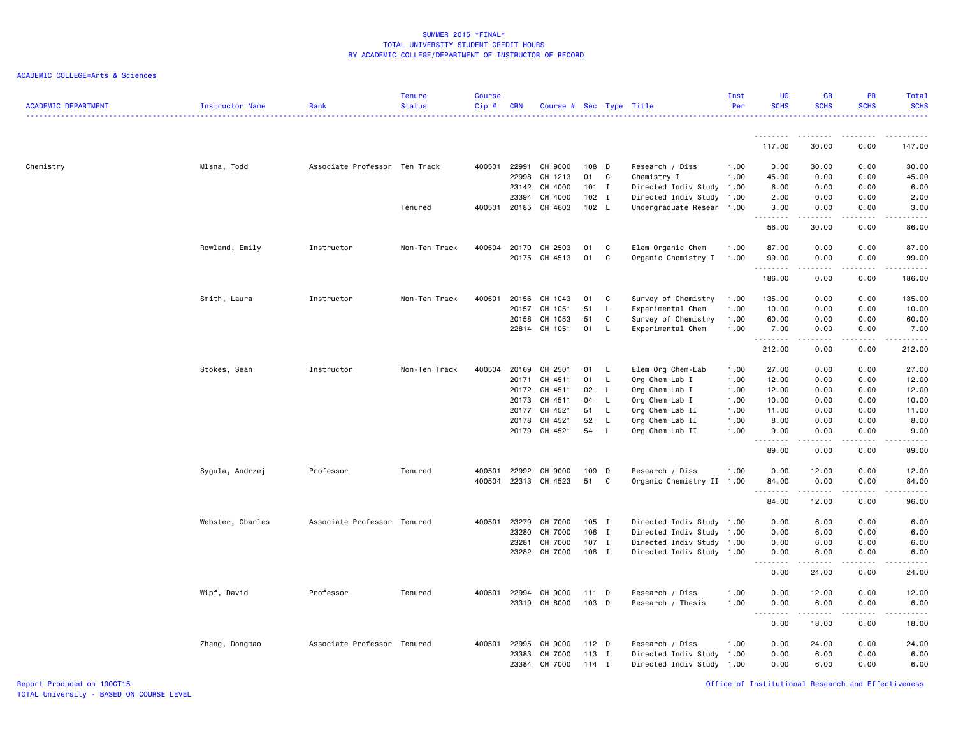## ACADEMIC COLLEGE=Arts & Sciences

| <b>ACADEMIC DEPARTMENT</b> | <b>Instructor Name</b> | Rank                          | <b>Tenure</b><br><b>Status</b> | <b>Course</b><br>Cip# | <b>CRN</b> | Course # Sec Type Title         |              |              |                                                   | Inst<br>Per | <b>UG</b><br><b>SCHS</b> | <b>GR</b><br><b>SCHS</b>                                                                                                                                     | PR<br><b>SCHS</b>                   | Total<br><b>SCHS</b><br>.                                                                                                                            |
|----------------------------|------------------------|-------------------------------|--------------------------------|-----------------------|------------|---------------------------------|--------------|--------------|---------------------------------------------------|-------------|--------------------------|--------------------------------------------------------------------------------------------------------------------------------------------------------------|-------------------------------------|------------------------------------------------------------------------------------------------------------------------------------------------------|
|                            |                        |                               |                                |                       |            |                                 |              |              |                                                   |             | <u>.</u><br>117.00       | 30.00                                                                                                                                                        | 0.00                                | 147.00                                                                                                                                               |
|                            |                        |                               |                                |                       |            |                                 |              |              |                                                   |             |                          |                                                                                                                                                              |                                     |                                                                                                                                                      |
| Chemistry                  | Mlsna, Todd            | Associate Professor Ten Track |                                | 400501                | 22991      | CH 9000                         | 108 D        |              | Research / Diss                                   | 1.00        | 0.00                     | 30.00                                                                                                                                                        | 0.00                                | 30.00                                                                                                                                                |
|                            |                        |                               |                                |                       | 22998      | CH 1213                         | 01           | C            | Chemistry I                                       | 1.00        | 45.00                    | 0.00                                                                                                                                                         | 0.00                                | 45.00                                                                                                                                                |
|                            |                        |                               |                                |                       | 23142      | CH 4000                         | $101$ I      |              | Directed Indiv Study                              | 1.00        | 6.00                     | 0.00                                                                                                                                                         | 0.00                                | 6.00                                                                                                                                                 |
|                            |                        |                               | Tenured                        |                       | 23394      | CH 4000<br>400501 20185 CH 4603 | 102<br>102 L | $\mathbf{I}$ | Directed Indiv Study<br>Undergraduate Resear 1.00 | 1.00        | 2.00<br>3.00             | 0.00<br>0.00                                                                                                                                                 | 0.00<br>0.00                        | 2.00<br>3.00                                                                                                                                         |
|                            |                        |                               |                                |                       |            |                                 |              |              |                                                   |             | .                        | المتمام المتعاد                                                                                                                                              | .                                   | $\frac{1}{2} \left( \frac{1}{2} \right) \left( \frac{1}{2} \right) \left( \frac{1}{2} \right) \left( \frac{1}{2} \right) \left( \frac{1}{2} \right)$ |
|                            |                        |                               |                                |                       |            |                                 |              |              |                                                   |             | 56.00                    | 30.00                                                                                                                                                        | 0.00                                | 86.00                                                                                                                                                |
|                            | Rowland, Emily         | Instructor                    | Non-Ten Track                  | 400504                | 20170      | CH 2503                         | 01           | C            | Elem Organic Chem                                 | 1.00        | 87.00                    | 0.00                                                                                                                                                         | 0.00                                | 87.00                                                                                                                                                |
|                            |                        |                               |                                |                       | 20175      | CH 4513                         | 01           | $\mathtt{C}$ | Organic Chemistry I                               | 1.00        | 99.00                    | 0.00                                                                                                                                                         | 0.00                                | 99.00                                                                                                                                                |
|                            |                        |                               |                                |                       |            |                                 |              |              |                                                   |             | <u>.</u>                 | .                                                                                                                                                            | .                                   | .                                                                                                                                                    |
|                            |                        |                               |                                |                       |            |                                 |              |              |                                                   |             | 186.00                   | 0.00                                                                                                                                                         | 0.00                                | 186.00                                                                                                                                               |
|                            | Smith, Laura           | Instructor                    | Non-Ten Track                  | 400501                | 20156      | CH 1043                         | 01           | C            | Survey of Chemistry                               | 1.00        | 135.00                   | 0.00                                                                                                                                                         | 0.00                                | 135.00                                                                                                                                               |
|                            |                        |                               |                                |                       | 20157      | CH 1051                         | 51           | L            | Experimental Chem                                 | 1.00        | 10.00                    | 0.00                                                                                                                                                         | 0.00                                | 10.00                                                                                                                                                |
|                            |                        |                               |                                |                       | 20158      | CH 1053                         | 51           | C            | Survey of Chemistry                               | 1.00        | 60.00                    | 0.00                                                                                                                                                         | 0.00                                | 60.00                                                                                                                                                |
|                            |                        |                               |                                |                       | 22814      | CH 1051                         | 01           | L            | Experimental Chem                                 | 1.00        | 7.00                     | 0.00                                                                                                                                                         | 0.00                                | 7.00                                                                                                                                                 |
|                            |                        |                               |                                |                       |            |                                 |              |              |                                                   |             | . <b>.</b><br>212.00     | .<br>0.00                                                                                                                                                    | $\sim$ $\sim$ $\sim$ $\sim$<br>0.00 | .<br>212.00                                                                                                                                          |
|                            | Stokes, Sean           | Instructor                    | Non-Ten Track                  | 400504                | 20169      | CH 2501                         | 01           | <b>L</b>     | Elem Org Chem-Lab                                 | 1.00        | 27.00                    | 0.00                                                                                                                                                         | 0.00                                | 27.00                                                                                                                                                |
|                            |                        |                               |                                |                       | 20171      | CH 4511                         | 01           | L.           | Org Chem Lab I                                    | 1.00        | 12.00                    | 0.00                                                                                                                                                         | 0.00                                | 12.00                                                                                                                                                |
|                            |                        |                               |                                |                       | 20172      | CH 4511                         | 02           | L.           | Org Chem Lab I                                    | 1.00        | 12.00                    | 0.00                                                                                                                                                         | 0.00                                | 12.00                                                                                                                                                |
|                            |                        |                               |                                |                       | 20173      | CH 4511                         | 04           | L.           | Org Chem Lab I                                    | 1.00        | 10.00                    | 0.00                                                                                                                                                         | 0.00                                | 10.00                                                                                                                                                |
|                            |                        |                               |                                |                       |            | 20177 CH 4521                   | 51           | L            | Org Chem Lab II                                   | 1.00        | 11.00                    | 0.00                                                                                                                                                         | 0.00                                | 11.00                                                                                                                                                |
|                            |                        |                               |                                |                       | 20178      | CH 4521                         | 52           | L.           | Org Chem Lab II                                   | 1.00        | 8.00                     | 0.00                                                                                                                                                         | 0.00                                | 8.00                                                                                                                                                 |
|                            |                        |                               |                                |                       | 20179      | CH 4521                         | 54           | L            | Org Chem Lab II                                   | 1.00        | 9.00<br>1.1.1.1.1.1.1    | 0.00                                                                                                                                                         | 0.00                                | 9.00<br>22222                                                                                                                                        |
|                            |                        |                               |                                |                       |            |                                 |              |              |                                                   |             | 89.00                    | 0.00                                                                                                                                                         | 0.00                                | 89.00                                                                                                                                                |
|                            | Sygula, Andrzej        | Professor                     | Tenured                        | 400501                | 22992      | CH 9000                         | 109 D        |              | Research / Diss                                   | 1.00        | 0.00                     | 12.00                                                                                                                                                        | 0.00                                | 12.00                                                                                                                                                |
|                            |                        |                               |                                |                       |            | 400504 22313 CH 4523            | 51           | C            | Organic Chemistry II 1.00                         |             | 84.00                    | 0.00                                                                                                                                                         | 0.00                                | 84.00                                                                                                                                                |
|                            |                        |                               |                                |                       |            |                                 |              |              |                                                   |             | .                        | .                                                                                                                                                            | .                                   | .                                                                                                                                                    |
|                            |                        |                               |                                |                       |            |                                 |              |              |                                                   |             | 84.00                    | 12.00                                                                                                                                                        | 0.00                                | 96.00                                                                                                                                                |
|                            | Webster, Charles       | Associate Professor Tenured   |                                | 400501                | 23279      | CH 7000                         | 105 I        |              | Directed Indiv Study 1.00                         |             | 0.00                     | 6.00                                                                                                                                                         | 0.00                                | 6.00                                                                                                                                                 |
|                            |                        |                               |                                |                       | 23280      | CH 7000                         | 106          | I            | Directed Indiv Study 1.00                         |             | 0.00                     | 6.00                                                                                                                                                         | 0.00                                | 6.00                                                                                                                                                 |
|                            |                        |                               |                                |                       | 23281      | CH 7000                         | $107$ I      |              | Directed Indiv Study 1.00                         |             | 0.00                     | 6.00                                                                                                                                                         | 0.00                                | 6.00                                                                                                                                                 |
|                            |                        |                               |                                |                       |            | 23282 CH 7000                   | 108 I        |              | Directed Indiv Study 1.00                         |             | 0.00<br>.                | 6.00<br>$\frac{1}{2} \left( \frac{1}{2} \right) \left( \frac{1}{2} \right) \left( \frac{1}{2} \right) \left( \frac{1}{2} \right) \left( \frac{1}{2} \right)$ | 0.00<br>.                           | 6.00<br>-----                                                                                                                                        |
|                            |                        |                               |                                |                       |            |                                 |              |              |                                                   |             | 0.00                     | 24.00                                                                                                                                                        | 0.00                                | 24.00                                                                                                                                                |
|                            | Wipf, David            | Professor                     | Tenured                        | 400501                | 22994      | CH 9000                         | 111 D        |              | Research / Diss                                   | 1.00        | 0.00                     | 12.00                                                                                                                                                        | 0.00                                | 12.00                                                                                                                                                |
|                            |                        |                               |                                |                       |            | 23319 CH 8000                   | 103 D        |              | Research / Thesis                                 | 1.00        | 0.00                     | 6.00                                                                                                                                                         | 0.00                                | 6.00                                                                                                                                                 |
|                            |                        |                               |                                |                       |            |                                 |              |              |                                                   |             | $\sim$ $\sim$ $\sim$     |                                                                                                                                                              |                                     | -----                                                                                                                                                |
|                            |                        |                               |                                |                       |            |                                 |              |              |                                                   |             | 0.00                     | 18.00                                                                                                                                                        | 0.00                                | 18.00                                                                                                                                                |
|                            | Zhang, Dongmao         | Associate Professor Tenured   |                                | 400501                | 22995      | CH 9000                         | 112 D        |              | Research / Diss                                   | 1.00        | 0.00                     | 24.00                                                                                                                                                        | 0.00                                | 24.00                                                                                                                                                |
|                            |                        |                               |                                |                       | 23383      | CH 7000                         | 113 I        |              | Directed Indiv Study 1.00                         |             | 0.00                     | 6.00                                                                                                                                                         | 0.00                                | 6.00                                                                                                                                                 |
|                            |                        |                               |                                |                       | 23384      | CH 7000                         | $114$ I      |              | Directed Indiv Study 1.00                         |             | 0.00                     | 6.00                                                                                                                                                         | 0.00                                | 6.00                                                                                                                                                 |

Report Produced on 19OCT15 Office of Institutional Research and Effectiveness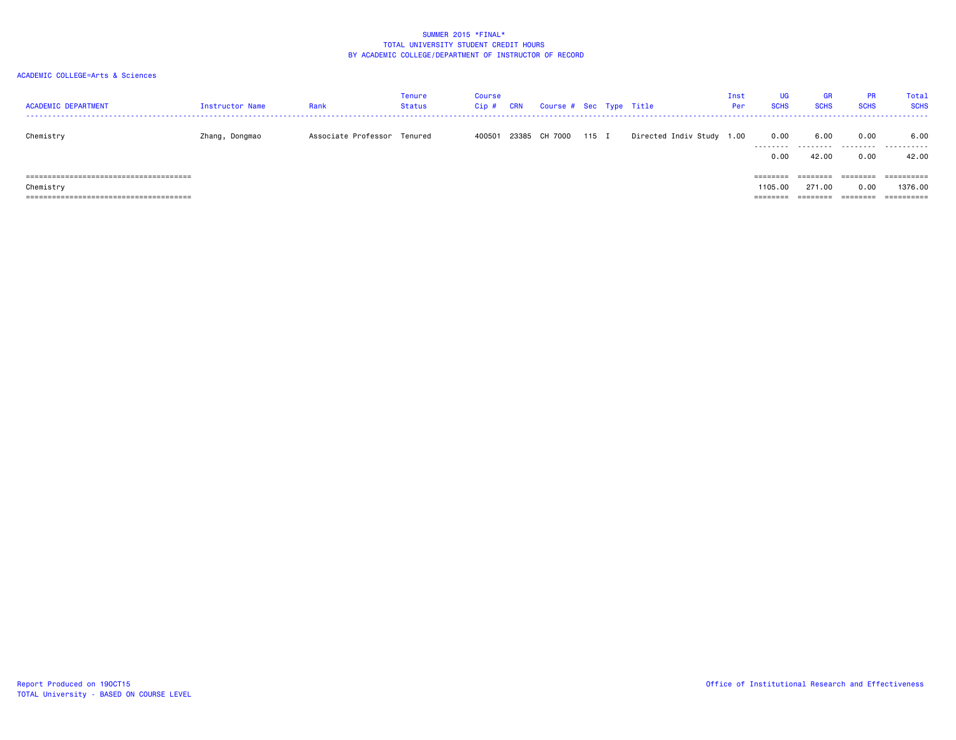| <b>ACADEMIC DEPARTMENT</b> | Instructor Name | Rank                        | <b>Tenure</b><br><b>Status</b> | Course<br>Cip# | <b>CRN</b> | Course # Sec Type Title |       |                           | Inst<br>Per | <b>UG</b><br><b>SCHS</b>                 | <b>GR</b><br><b>SCHS</b>       | <b>PR</b><br><b>SCHS</b>      | Total<br><b>SCHS</b>                |
|----------------------------|-----------------|-----------------------------|--------------------------------|----------------|------------|-------------------------|-------|---------------------------|-------------|------------------------------------------|--------------------------------|-------------------------------|-------------------------------------|
| Chemistry                  | Zhang, Dongmao  | Associate Professor Tenured |                                | 400501         |            | 23385 CH 7000           | 115 I | Directed Indiv Study 1.00 |             | 0.00<br>.<br>0.00                        | 6.00<br>.<br>42.00             | 0.00<br>.<br>0.00             | 6.00<br>.<br>42.00                  |
| Chemistry                  |                 |                             |                                |                |            |                         |       |                           |             | $=$ = = = = = = =<br>1105.00<br>======== | ========<br>271,00<br>======== | ========<br>0.00<br>--------- | ==========<br>1376.00<br>========== |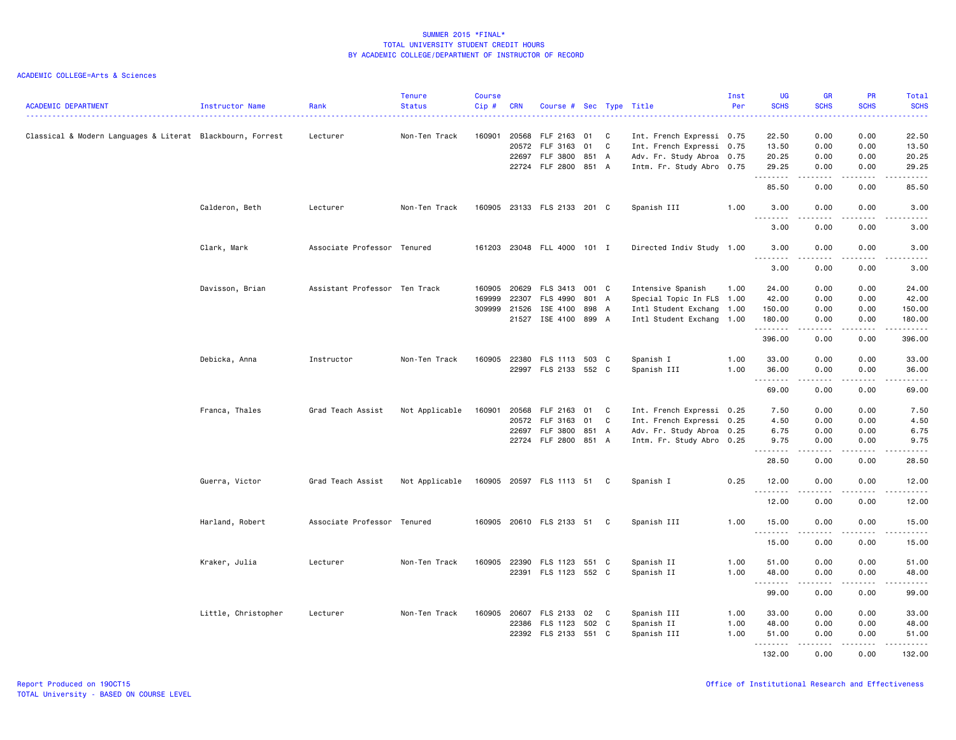| <b>ACADEMIC DEPARTMENT</b>                                 | <b>Instructor Name</b> | Rank                          | <b>Tenure</b><br><b>Status</b> | <b>Course</b><br>Cip#            | <b>CRN</b>              | Course # Sec Type Title                                        |                         |              |                                                                                                                  | Inst<br>Per          | <b>UG</b><br><b>SCHS</b>                          | <b>GR</b><br><b>SCHS</b>                  | PR<br><b>SCHS</b>                             | Total<br><b>SCHS</b>                       |
|------------------------------------------------------------|------------------------|-------------------------------|--------------------------------|----------------------------------|-------------------------|----------------------------------------------------------------|-------------------------|--------------|------------------------------------------------------------------------------------------------------------------|----------------------|---------------------------------------------------|-------------------------------------------|-----------------------------------------------|--------------------------------------------|
| Classical & Modern Languages & Literat Blackbourn, Forrest |                        | Lecturer                      | Non-Ten Track                  | 160901                           | 20568<br>20572<br>22697 | FLF 2163<br>FLF 3163<br>FLF 3800<br>22724 FLF 2800 851 A       | 01 C<br>01<br>851 A     | C            | Int. French Expressi 0.75<br>Int. French Expressi 0.75<br>Adv. Fr. Study Abroa 0.75<br>Intm. Fr. Study Abro 0.75 |                      | 22.50<br>13.50<br>20.25<br>29.25                  | 0.00<br>0.00<br>0.00<br>0.00              | 0.00<br>0.00<br>0.00<br>0.00                  | 22.50<br>13.50<br>20.25<br>29.25           |
|                                                            |                        |                               |                                |                                  |                         |                                                                |                         |              |                                                                                                                  |                      | .<br>85.50                                        | الماليات المالية<br>0.00                  | .<br>0.00                                     | .<br>85.50                                 |
|                                                            | Calderon, Beth         | Lecturer                      | Non-Ten Track                  |                                  |                         | 160905 23133 FLS 2133 201 C                                    |                         |              | Spanish III                                                                                                      | 1.00                 | 3.00                                              | 0.00                                      | 0.00                                          | 3.00                                       |
|                                                            |                        |                               |                                |                                  |                         |                                                                |                         |              |                                                                                                                  |                      | .<br>3.00                                         | 0.00                                      | 0.00                                          | 3.00                                       |
|                                                            | Clark, Mark            | Associate Professor Tenured   |                                |                                  |                         | 161203 23048 FLL 4000 101 I                                    |                         |              | Directed Indiv Study 1.00                                                                                        |                      | 3.00                                              | 0.00                                      | 0.00                                          | 3.00                                       |
|                                                            |                        |                               |                                |                                  |                         |                                                                |                         |              |                                                                                                                  |                      | <u>.</u><br>3.00                                  | .<br>0.00                                 | 0.00                                          | 3.00                                       |
|                                                            | Davisson, Brian        | Assistant Professor Ten Track |                                | 160905<br>169999<br>309999 21526 | 20629<br>22307          | FLS 3413<br>FLS 4990<br>ISE 4100<br>21527 ISE 4100 899 A       | 001 C<br>801 A<br>898 A |              | Intensive Spanish<br>Special Topic In FLS 1.00<br>Intl Student Exchang 1.00<br>Intl Student Exchang 1.00         | 1.00                 | 24.00<br>42.00<br>150.00<br>180.00<br>.<br>396.00 | 0.00<br>0.00<br>0.00<br>0.00<br>.         | 0.00<br>0.00<br>0.00<br>0.00<br>.<br>0.00     | 24.00<br>42.00<br>150.00<br>180.00<br>.    |
|                                                            | Debicka, Anna          | Instructor                    | Non-Ten Track                  | 160905                           | 22380                   | FLS 1113 503 C<br>22997 FLS 2133 552 C                         |                         |              | Spanish I<br>Spanish III                                                                                         | 1.00<br>1.00         | 33.00<br>36.00<br>.                               | 0.00<br>0.00<br>0.00                      | 0.00<br>0.00<br>.                             | 396.00<br>33.00<br>36.00<br>.              |
|                                                            |                        |                               |                                |                                  |                         |                                                                |                         |              |                                                                                                                  |                      | 69.00                                             | .<br>0.00                                 | 0.00                                          | 69.00                                      |
|                                                            | Franca, Thales         | Grad Teach Assist             | Not Applicable                 | 160901                           | 20568<br>20572          | FLF 2163<br>FLF 3163<br>22697 FLF 3800<br>22724 FLF 2800 851 A | 01 C<br>01<br>851 A     | C            | Int. French Expressi 0.25<br>Int. French Expressi 0.25<br>Adv. Fr. Study Abroa 0.25<br>Intm. Fr. Study Abro 0.25 |                      | 7.50<br>4.50<br>6.75<br>9.75<br>.<br>28.50        | 0.00<br>0.00<br>0.00<br>0.00<br>.<br>0.00 | 0.00<br>0.00<br>0.00<br>0.00<br>-----<br>0.00 | 7.50<br>4.50<br>6.75<br>9.75<br>.<br>28.50 |
|                                                            | Guerra, Victor         | Grad Teach Assist             | Not Applicable                 |                                  |                         | 160905 20597 FLS 1113 51                                       |                         | C.           | Spanish I                                                                                                        | 0.25                 | 12.00                                             | 0.00                                      | 0.00                                          | 12.00                                      |
|                                                            |                        |                               |                                |                                  |                         |                                                                |                         |              |                                                                                                                  |                      | <u>.</u><br>12.00                                 | 0.00                                      | 0.00                                          | 12.00                                      |
|                                                            | Harland, Robert        | Associate Professor Tenured   |                                |                                  |                         | 160905 20610 FLS 2133 51 C                                     |                         |              | Spanish III                                                                                                      | 1.00                 | 15.00                                             | 0.00                                      | 0.00                                          | 15.00                                      |
|                                                            |                        |                               |                                |                                  |                         |                                                                |                         |              |                                                                                                                  |                      | <u>.</u><br>15.00                                 | 0.00                                      | 0.00                                          | 15.00                                      |
|                                                            | Kraker, Julia          | Lecturer                      | Non-Ten Track                  | 160905                           | 22390                   | FLS 1123 551 C<br>22391 FLS 1123 552 C                         |                         |              | Spanish II<br>Spanish II                                                                                         | 1.00<br>1.00         | 51.00<br>48.00<br>.                               | 0.00<br>0.00                              | 0.00<br>0.00                                  | 51.00<br>48.00                             |
|                                                            |                        |                               |                                |                                  |                         |                                                                |                         |              |                                                                                                                  |                      | 99.00                                             | 0.00                                      | 0.00                                          | 99.00                                      |
|                                                            | Little, Christopher    | Lecturer                      | Non-Ten Track                  | 160905                           | 22386                   | 20607 FLS 2133<br>FLS 1123<br>22392 FLS 2133 551 C             | 02<br>502 C             | $\mathbf{C}$ | Spanish III<br>Spanish II<br>Spanish III                                                                         | 1.00<br>1.00<br>1.00 | 33.00<br>48.00<br>51.00                           | 0.00<br>0.00<br>0.00                      | 0.00<br>0.00<br>0.00                          | 33.00<br>48.00<br>51.00                    |
|                                                            |                        |                               |                                |                                  |                         |                                                                |                         |              |                                                                                                                  |                      | <u>.</u><br>132.00                                | 0.00                                      | 0.00                                          | 132.00                                     |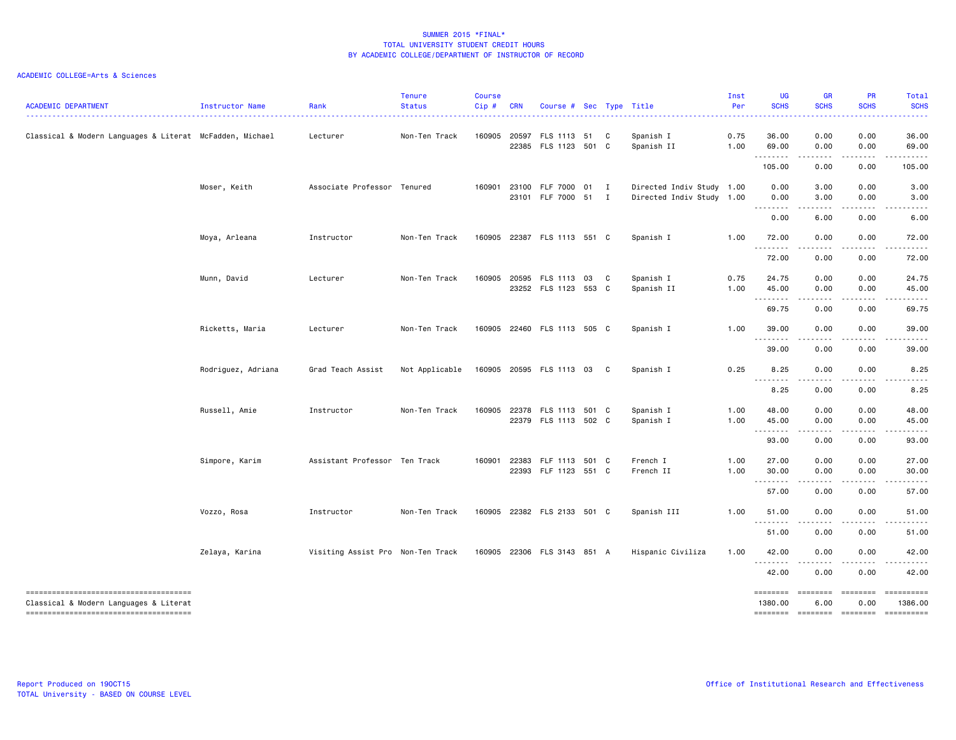| <b>ACADEMIC DEPARTMENT</b>                                                      | Instructor Name    | Rank                              | <b>Tenure</b><br><b>Status</b> | <b>Course</b><br>$Cip$ # | <b>CRN</b>     | Course # Sec Type Title                      |   |                                                        | Inst<br>Per  | <b>UG</b><br><b>SCHS</b>                                  | GR<br><b>SCHS</b><br>----                                                                                                         | PR<br><b>SCHS</b>  | Total<br><b>SCHS</b><br>المتمامين                                                                                                                                                                                                                                                                                                                                                                                                                                                      |
|---------------------------------------------------------------------------------|--------------------|-----------------------------------|--------------------------------|--------------------------|----------------|----------------------------------------------|---|--------------------------------------------------------|--------------|-----------------------------------------------------------|-----------------------------------------------------------------------------------------------------------------------------------|--------------------|----------------------------------------------------------------------------------------------------------------------------------------------------------------------------------------------------------------------------------------------------------------------------------------------------------------------------------------------------------------------------------------------------------------------------------------------------------------------------------------|
| Classical & Modern Languages & Literat McFadden, Michael                        |                    | Lecturer                          | Non-Ten Track                  | 160905                   | 20597          | FLS 1113 51<br>22385 FLS 1123 501 C          | C | Spanish I<br>Spanish II                                | 0.75<br>1.00 | 36.00<br>69.00                                            | 0.00<br>0.00                                                                                                                      | 0.00<br>0.00       | 36.00<br>69.00                                                                                                                                                                                                                                                                                                                                                                                                                                                                         |
|                                                                                 |                    |                                   |                                |                          |                |                                              |   |                                                        |              | .<br>105.00                                               | .<br>0.00                                                                                                                         | 0.00               | 105.00                                                                                                                                                                                                                                                                                                                                                                                                                                                                                 |
|                                                                                 | Moser, Keith       | Associate Professor Tenured       |                                | 160901                   | 23100<br>23101 | FLF 7000 01 I<br>FLF 7000 51 I               |   | Directed Indiv Study 1.00<br>Directed Indiv Study 1.00 |              | 0.00<br>0.00                                              | 3.00<br>3.00                                                                                                                      | 0.00<br>0.00       | 3.00<br>3.00                                                                                                                                                                                                                                                                                                                                                                                                                                                                           |
|                                                                                 |                    |                                   |                                |                          |                |                                              |   |                                                        |              | .<br>0.00                                                 | $\frac{1}{2} \left( \frac{1}{2} \right) \left( \frac{1}{2} \right) \left( \frac{1}{2} \right) \left( \frac{1}{2} \right)$<br>6.00 | .<br>0.00          | .<br>6.00                                                                                                                                                                                                                                                                                                                                                                                                                                                                              |
|                                                                                 | Moya, Arleana      | Instructor                        | Non-Ten Track                  | 160905                   |                | 22387 FLS 1113 551 C                         |   | Spanish I                                              | 1.00         | 72.00<br>--------                                         | 0.00<br>د د د                                                                                                                     | 0.00               | 72.00                                                                                                                                                                                                                                                                                                                                                                                                                                                                                  |
|                                                                                 |                    |                                   |                                |                          |                |                                              |   |                                                        |              | 72.00                                                     | 0.00                                                                                                                              | 0.00               | 72.00                                                                                                                                                                                                                                                                                                                                                                                                                                                                                  |
|                                                                                 | Munn, David        | Lecturer                          | Non-Ten Track                  | 160905                   | 20595          | FLS 1113 03<br>23252 FLS 1123 553 C          | C | Spanish I<br>Spanish II                                | 0.75<br>1.00 | 24.75<br>45.00<br>$\sim$ $\sim$ $\sim$ $\sim$ $\sim$<br>. | 0.00<br>0.00<br>$- - -$                                                                                                           | 0.00<br>0.00       | 24.75<br>45.00                                                                                                                                                                                                                                                                                                                                                                                                                                                                         |
|                                                                                 |                    |                                   |                                |                          |                |                                              |   |                                                        |              | 69.75                                                     | 0.00                                                                                                                              | 0.00               | 69.75                                                                                                                                                                                                                                                                                                                                                                                                                                                                                  |
|                                                                                 | Ricketts, Maria    | Lecturer                          | Non-Ten Track                  |                          |                | 160905 22460 FLS 1113 505 C                  |   | Spanish I                                              | 1.00         | 39.00                                                     | 0.00<br>.                                                                                                                         | 0.00<br>.          | 39.00                                                                                                                                                                                                                                                                                                                                                                                                                                                                                  |
|                                                                                 |                    |                                   |                                |                          |                |                                              |   |                                                        |              | 39.00                                                     | 0.00                                                                                                                              | 0.00               | 39.00                                                                                                                                                                                                                                                                                                                                                                                                                                                                                  |
|                                                                                 | Rodriguez, Adriana | Grad Teach Assist                 | Not Applicable                 |                          |                | 160905 20595 FLS 1113 03                     | C | Spanish I                                              | 0.25         | 8.25<br>$\sim$ $\sim$ $\sim$ $\sim$<br>.                  | 0.00                                                                                                                              | 0.00               | 8.25                                                                                                                                                                                                                                                                                                                                                                                                                                                                                   |
|                                                                                 |                    |                                   |                                |                          |                |                                              |   |                                                        |              | 8.25                                                      | 0.00                                                                                                                              | 0.00               | 8.25                                                                                                                                                                                                                                                                                                                                                                                                                                                                                   |
|                                                                                 | Russell, Amie      | Instructor                        | Non-Ten Track                  | 160905                   |                | 22378 FLS 1113 501 C<br>22379 FLS 1113 502 C |   | Spanish I<br>Spanish I                                 | 1.00<br>1.00 | 48.00<br>45.00                                            | 0.00<br>0.00                                                                                                                      | 0.00<br>0.00       | 48.00<br>45.00                                                                                                                                                                                                                                                                                                                                                                                                                                                                         |
|                                                                                 |                    |                                   |                                |                          |                |                                              |   |                                                        |              | .<br>93.00                                                | 0.00                                                                                                                              | 0.00               | 93.00                                                                                                                                                                                                                                                                                                                                                                                                                                                                                  |
|                                                                                 | Simpore, Karim     | Assistant Professor Ten Track     |                                | 160901                   | 22383          | FLF 1113 501 C                               |   | French I                                               | 1.00         | 27.00                                                     | 0.00                                                                                                                              | 0.00               | 27.00                                                                                                                                                                                                                                                                                                                                                                                                                                                                                  |
|                                                                                 |                    |                                   |                                |                          |                | 22393 FLF 1123 551 C                         |   | French II                                              | 1.00         | 30.00                                                     | 0.00<br>.                                                                                                                         | 0.00<br>. <b>.</b> | 30.00                                                                                                                                                                                                                                                                                                                                                                                                                                                                                  |
|                                                                                 |                    |                                   |                                |                          |                |                                              |   |                                                        |              | 57.00                                                     | 0.00                                                                                                                              | 0.00               | 57.00                                                                                                                                                                                                                                                                                                                                                                                                                                                                                  |
|                                                                                 | Vozzo, Rosa        | Instructor                        | Non-Ten Track                  | 160905                   |                | 22382 FLS 2133 501 C                         |   | Spanish III                                            | 1.00         | 51.00                                                     | 0.00                                                                                                                              | 0.00               | 51.00                                                                                                                                                                                                                                                                                                                                                                                                                                                                                  |
|                                                                                 |                    |                                   |                                |                          |                |                                              |   |                                                        |              | $- - -$<br>51.00                                          | 0.00                                                                                                                              | 0.00               | 51.00                                                                                                                                                                                                                                                                                                                                                                                                                                                                                  |
|                                                                                 | Zelaya, Karina     | Visiting Assist Pro Non-Ten Track |                                |                          |                | 160905 22306 FLS 3143 851 A                  |   | Hispanic Civiliza                                      | 1.00         | 42.00<br><u>.</u>                                         | 0.00<br>$\frac{1}{2}$                                                                                                             | 0.00               | 42.00                                                                                                                                                                                                                                                                                                                                                                                                                                                                                  |
|                                                                                 |                    |                                   |                                |                          |                |                                              |   |                                                        |              | 42.00                                                     | 0.00                                                                                                                              | . <b>.</b><br>0.00 | 42.00                                                                                                                                                                                                                                                                                                                                                                                                                                                                                  |
| -------------------------------------<br>Classical & Modern Languages & Literat |                    |                                   |                                |                          |                |                                              |   |                                                        |              | 1380.00                                                   | 6.00                                                                                                                              | ========<br>0.00   | ==========<br>1386.00                                                                                                                                                                                                                                                                                                                                                                                                                                                                  |
| --------------------------------------                                          |                    |                                   |                                |                          |                |                                              |   |                                                        |              |                                                           |                                                                                                                                   | ========           | $\begin{array}{cccccccccc} \multicolumn{2}{c}{} & \multicolumn{2}{c}{} & \multicolumn{2}{c}{} & \multicolumn{2}{c}{} & \multicolumn{2}{c}{} & \multicolumn{2}{c}{} & \multicolumn{2}{c}{} & \multicolumn{2}{c}{} & \multicolumn{2}{c}{} & \multicolumn{2}{c}{} & \multicolumn{2}{c}{} & \multicolumn{2}{c}{} & \multicolumn{2}{c}{} & \multicolumn{2}{c}{} & \multicolumn{2}{c}{} & \multicolumn{2}{c}{} & \multicolumn{2}{c}{} & \multicolumn{2}{c}{} & \multicolumn{2}{c}{} & \mult$ |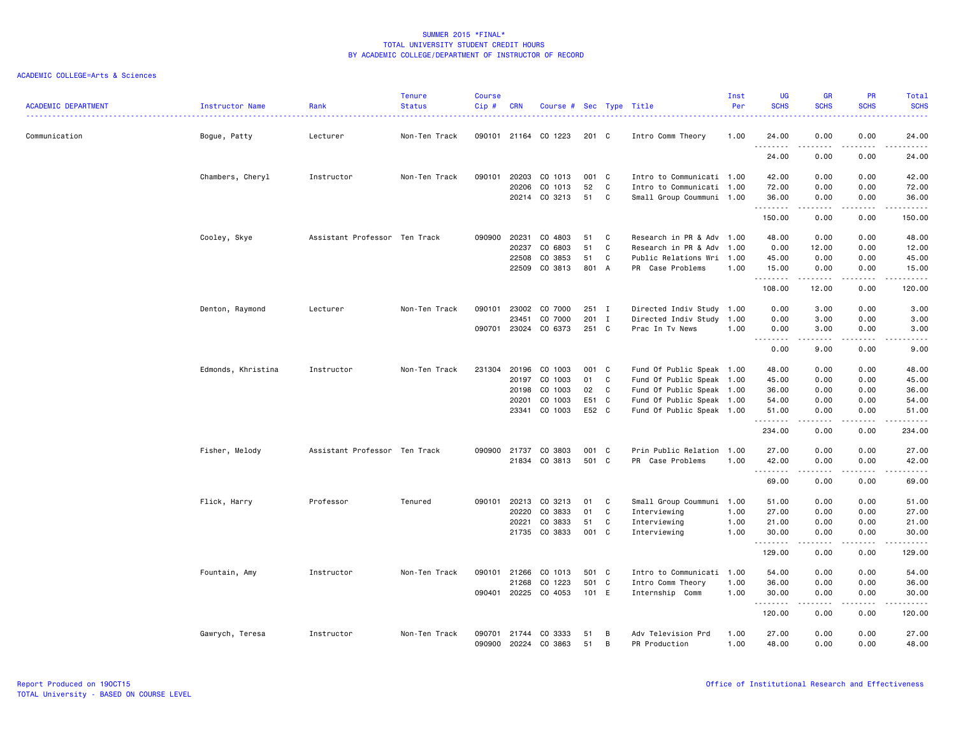| <b>ACADEMIC DEPARTMENT</b> | Instructor Name    | Rank                          | <b>Tenure</b><br><b>Status</b> | <b>Course</b><br>Cip# | <b>CRN</b>   | Course # Sec Type Title |       |   |                           | Inst<br>Per | <b>UG</b><br><b>SCHS</b> | <b>GR</b><br><b>SCHS</b>                                                                                                                                     | <b>PR</b><br><b>SCHS</b>                                                                                                          | Total<br><b>SCHS</b> |
|----------------------------|--------------------|-------------------------------|--------------------------------|-----------------------|--------------|-------------------------|-------|---|---------------------------|-------------|--------------------------|--------------------------------------------------------------------------------------------------------------------------------------------------------------|-----------------------------------------------------------------------------------------------------------------------------------|----------------------|
| Communication              | Bogue, Patty       | Lecturer                      | Non-Ten Track                  |                       |              | 090101 21164 CO 1223    | 201 C |   | Intro Comm Theory         | 1.00        | 24.00<br>.               | 0.00<br>-----                                                                                                                                                | 0.00<br>د د د د                                                                                                                   | 24.00<br>.           |
|                            |                    |                               |                                |                       |              |                         |       |   |                           |             | 24.00                    | 0.00                                                                                                                                                         | 0.00                                                                                                                              | 24.00                |
|                            | Chambers, Cheryl   | Instructor                    | Non-Ten Track                  | 090101                | 20203        | CO 1013                 | 001 C |   | Intro to Communicati 1.00 |             | 42.00                    | 0.00                                                                                                                                                         | 0.00                                                                                                                              | 42.00                |
|                            |                    |                               |                                |                       | 20206        | CO 1013                 | 52    | C | Intro to Communicati 1.00 |             | 72.00                    | 0.00                                                                                                                                                         | 0.00                                                                                                                              | 72.00                |
|                            |                    |                               |                                |                       |              | 20214 CO 3213           | 51    | C | Small Group Coummuni 1.00 |             | 36.00<br>.               | 0.00<br>$- - - - -$                                                                                                                                          | 0.00<br>.                                                                                                                         | 36.00<br>.           |
|                            |                    |                               |                                |                       |              |                         |       |   |                           |             | 150.00                   | 0.00                                                                                                                                                         | 0.00                                                                                                                              | 150.00               |
|                            | Cooley, Skye       | Assistant Professor Ten Track |                                | 090900                | 20231        | CO 4803                 | 51    | C | Research in PR & Adv 1.00 |             | 48.00                    | 0.00                                                                                                                                                         | 0.00                                                                                                                              | 48.00                |
|                            |                    |                               |                                |                       | 20237        | CO 6803                 | 51    | C | Research in PR & Adv 1.00 |             | 0.00                     | 12.00                                                                                                                                                        | 0.00                                                                                                                              | 12.00                |
|                            |                    |                               |                                |                       | 22508        | CO 3853                 | 51    | C | Public Relations Wri 1.00 |             | 45.00                    | 0.00                                                                                                                                                         | 0.00                                                                                                                              | 45.00                |
|                            |                    |                               |                                |                       | 22509        | CO 3813                 | 801 A |   | PR Case Problems          | 1.00        | 15.00<br>.               | 0.00                                                                                                                                                         | 0.00                                                                                                                              | 15.00<br>.           |
|                            |                    |                               |                                |                       |              |                         |       |   |                           |             | 108.00                   | 12.00                                                                                                                                                        | 0.00                                                                                                                              | 120.00               |
|                            | Denton, Raymond    | Lecturer                      | Non-Ten Track                  |                       | 090101 23002 | CO 7000                 | 251 I |   | Directed Indiv Study 1.00 |             | 0.00                     | 3.00                                                                                                                                                         | 0.00                                                                                                                              | 3.00                 |
|                            |                    |                               |                                |                       | 23451        | CO 7000                 | 201 I |   | Directed Indiv Study 1.00 |             | 0.00                     | 3.00                                                                                                                                                         | 0.00                                                                                                                              | 3.00                 |
|                            |                    |                               |                                | 090701                |              | 23024 CO 6373           | 251 C |   | Prac In Tv News           | 1.00        | 0.00                     | 3.00                                                                                                                                                         | 0.00                                                                                                                              | 3.00                 |
|                            |                    |                               |                                |                       |              |                         |       |   |                           |             | .<br>0.00                | .<br>9.00                                                                                                                                                    | 0.00                                                                                                                              | .<br>9.00            |
|                            | Edmonds, Khristina | Instructor                    | Non-Ten Track                  |                       | 231304 20196 | CO 1003                 | 001 C |   | Fund Of Public Speak 1.00 |             | 48.00                    | 0.00                                                                                                                                                         | 0.00                                                                                                                              | 48.00                |
|                            |                    |                               |                                |                       | 20197        | CO 1003                 | 01    | C | Fund Of Public Speak 1.00 |             | 45.00                    | 0.00                                                                                                                                                         | 0.00                                                                                                                              | 45.00                |
|                            |                    |                               |                                |                       | 20198        | CO 1003                 | 02    | C | Fund Of Public Speak 1.00 |             | 36.00                    | 0.00                                                                                                                                                         | 0.00                                                                                                                              | 36.00                |
|                            |                    |                               |                                |                       | 20201        | CO 1003                 | E51 C |   | Fund Of Public Speak 1.00 |             | 54.00                    | 0.00                                                                                                                                                         | 0.00                                                                                                                              | 54.00                |
|                            |                    |                               |                                |                       | 23341        | CO 1003                 | E52 C |   | Fund Of Public Speak 1.00 |             | 51.00<br>.               | 0.00                                                                                                                                                         | 0.00<br>. <b>.</b> .                                                                                                              | 51.00<br>.           |
|                            |                    |                               |                                |                       |              |                         |       |   |                           |             | 234.00                   | 0.00                                                                                                                                                         | 0.00                                                                                                                              | 234.00               |
|                            | Fisher, Melody     | Assistant Professor Ten Track |                                |                       | 090900 21737 | CO 3803                 | 001 C |   | Prin Public Relation 1.00 |             | 27.00                    | 0.00                                                                                                                                                         | 0.00                                                                                                                              | 27.00                |
|                            |                    |                               |                                |                       |              | 21834 CO 3813           | 501 C |   | PR Case Problems          | 1.00        | 42.00                    | 0.00                                                                                                                                                         | 0.00                                                                                                                              | 42.00                |
|                            |                    |                               |                                |                       |              |                         |       |   |                           |             |                          | $\frac{1}{2} \left( \frac{1}{2} \right) \left( \frac{1}{2} \right) \left( \frac{1}{2} \right) \left( \frac{1}{2} \right) \left( \frac{1}{2} \right)$         | د د د د                                                                                                                           | .                    |
|                            |                    |                               |                                |                       |              |                         |       |   |                           |             | 69.00                    | 0.00                                                                                                                                                         | 0.00                                                                                                                              | 69.00                |
|                            | Flick, Harry       | Professor                     | Tenured                        | 090101                | 20213        | CO 3213                 | 01    | C | Small Group Coummuni      | 1.00        | 51.00                    | 0.00                                                                                                                                                         | 0.00                                                                                                                              | 51.00                |
|                            |                    |                               |                                |                       | 20220        | CO 3833                 | 01    | C | Interviewing              | 1.00        | 27.00                    | 0.00                                                                                                                                                         | 0.00                                                                                                                              | 27.00                |
|                            |                    |                               |                                |                       | 20221        | CO 3833                 | 51    | C | Interviewing              | 1.00        | 21.00                    | 0.00                                                                                                                                                         | 0.00                                                                                                                              | 21.00                |
|                            |                    |                               |                                |                       |              | 21735 CO 3833           | 001 C |   | Interviewing              | 1.00        | 30.00<br>.               | 0.00<br>$\frac{1}{2} \left( \frac{1}{2} \right) \left( \frac{1}{2} \right) \left( \frac{1}{2} \right) \left( \frac{1}{2} \right) \left( \frac{1}{2} \right)$ | 0.00<br>.                                                                                                                         | 30.00<br>.           |
|                            |                    |                               |                                |                       |              |                         |       |   |                           |             | 129.00                   | 0.00                                                                                                                                                         | 0.00                                                                                                                              | 129.00               |
|                            | Fountain, Amy      | Instructor                    | Non-Ten Track                  |                       | 090101 21266 | CO 1013                 | 501 C |   | Intro to Communicati 1.00 |             | 54.00                    | 0.00                                                                                                                                                         | 0.00                                                                                                                              | 54.00                |
|                            |                    |                               |                                |                       | 21268        | CO 1223                 | 501 C |   | Intro Comm Theory         | 1.00        | 36.00                    | 0.00                                                                                                                                                         | 0.00                                                                                                                              | 36.00                |
|                            |                    |                               |                                |                       |              | 090401 20225 CO 4053    | 101 E |   | Internship Comm           | 1.00        | 30.00<br>.               | 0.00<br>د د د د                                                                                                                                              | 0.00<br>$\frac{1}{2} \left( \frac{1}{2} \right) \left( \frac{1}{2} \right) \left( \frac{1}{2} \right) \left( \frac{1}{2} \right)$ | 30.00<br>.           |
|                            |                    |                               |                                |                       |              |                         |       |   |                           |             | 120.00                   | 0.00                                                                                                                                                         | 0.00                                                                                                                              | 120.00               |
|                            | Gawrych, Teresa    | Instructor                    | Non-Ten Track                  |                       |              | 090701 21744 CO 3333    | 51    | B | Adv Television Prd        | 1.00        | 27.00                    | 0.00                                                                                                                                                         | 0.00                                                                                                                              | 27,00                |
|                            |                    |                               |                                | 090900                |              | 20224 CO 3863           | 51    | B | PR Production             | 1.00        | 48.00                    | 0.00                                                                                                                                                         | 0.00                                                                                                                              | 48.00                |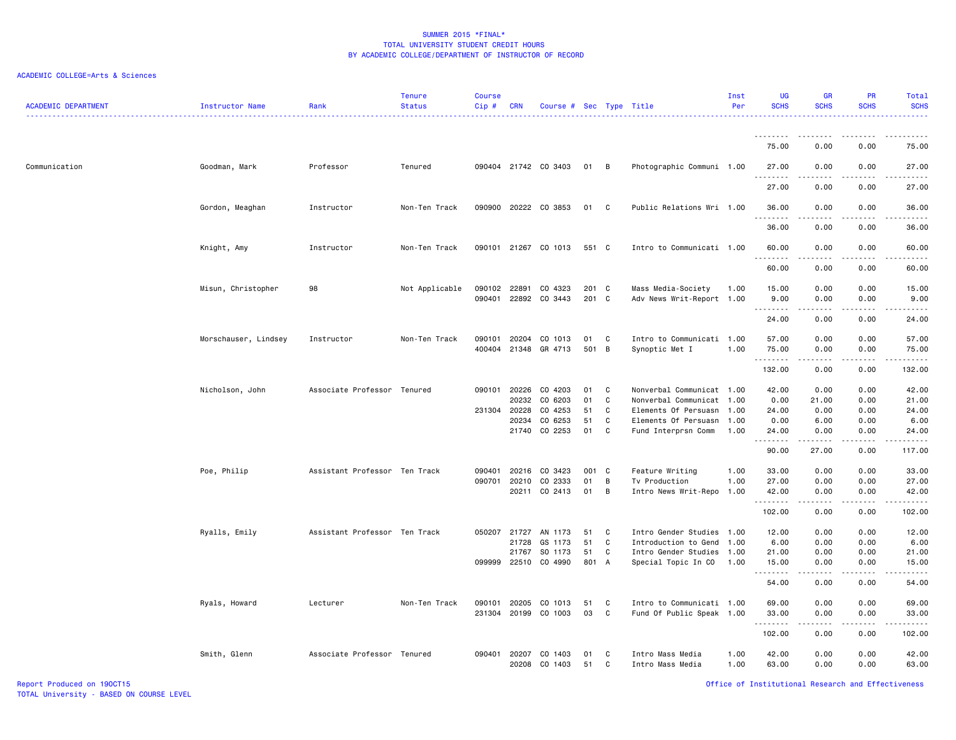# ACADEMIC COLLEGE=Arts & Sciences

| <b>ACADEMIC DEPARTMENT</b> | Instructor Name      | Rank                          | <b>Tenure</b><br><b>Status</b> | <b>Course</b><br>Cip#  | <b>CRN</b>   | Course # Sec Type Title |              |              |                                                        | Inst<br>Per  | <b>UG</b><br><b>SCHS</b> | <b>GR</b><br><b>SCHS</b> | PR<br><b>SCHS</b>                           | Total<br><b>SCHS</b><br>المتمامين                                                                                               |
|----------------------------|----------------------|-------------------------------|--------------------------------|------------------------|--------------|-------------------------|--------------|--------------|--------------------------------------------------------|--------------|--------------------------|--------------------------|---------------------------------------------|---------------------------------------------------------------------------------------------------------------------------------|
|                            |                      |                               |                                |                        |              |                         |              |              |                                                        |              | <u>.</u>                 | .                        | $- - - -$                                   | .                                                                                                                               |
|                            |                      |                               |                                |                        |              |                         |              |              |                                                        |              | 75.00                    | 0.00                     | 0.00                                        | 75.00                                                                                                                           |
| Communication              | Goodman, Mark        | Professor                     | Tenured                        |                        |              | 090404 21742 CO 3403    | 01           | B            | Photographic Communi 1.00                              |              | 27.00<br>.               | 0.00                     | 0.00                                        | 27.00<br>.                                                                                                                      |
|                            |                      |                               |                                |                        |              |                         |              |              |                                                        |              | 27.00                    | 0.00                     | 0.00                                        | 27.00                                                                                                                           |
|                            | Gordon, Meaghan      | Instructor                    | Non-Ten Track                  |                        |              | 090900 20222 CO 3853    | 01           | C            | Public Relations Wri 1.00                              |              | 36.00<br>.               | 0.00                     | 0.00                                        | 36.00<br>.                                                                                                                      |
|                            |                      |                               |                                |                        |              |                         |              |              |                                                        |              | 36.00                    | 0.00                     | 0.00                                        | 36.00                                                                                                                           |
|                            | Knight, Amy          | Instructor                    | Non-Ten Track                  |                        |              | 090101 21267 CO 1013    | 551 C        |              | Intro to Communicati 1.00                              |              | 60.00<br><u>.</u>        | 0.00<br>.                | 0.00<br>$- - - -$                           | 60.00<br>$    -$                                                                                                                |
|                            |                      |                               |                                |                        |              |                         |              |              |                                                        |              | 60.00                    | 0.00                     | 0.00                                        | 60.00                                                                                                                           |
|                            | Misun, Christopher   | 98                            | Not Applicable                 | 090102 22891           | 090401 22892 | CO 4323<br>CO 3443      | 201 C<br>201 | C            | Mass Media-Society<br>Adv News Writ-Report 1.00        | 1.00         | 15.00<br>9.00<br>.       | 0.00<br>0.00             | 0.00<br>0.00<br>.                           | 15.00<br>9.00<br>.                                                                                                              |
|                            |                      |                               |                                |                        |              |                         |              |              |                                                        |              | 24.00                    | 0.00                     | 0.00                                        | 24.00                                                                                                                           |
|                            | Morschauser, Lindsey | Instructor                    | Non-Ten Track                  | 090101<br>400404 21348 | 20204        | CO 1013<br>GR 4713      | 01<br>501    | C<br>B       | Intro to Communicati 1.00<br>Synoptic Met I            | 1.00         | 57.00<br>75.00<br>.      | 0.00<br>0.00             | 0.00<br>0.00<br>$\sim$ $\sim$ $\sim$ $\sim$ | 57.00<br>75.00<br>وعاديات                                                                                                       |
|                            |                      |                               |                                |                        |              |                         |              |              |                                                        |              | 132.00                   | 0.00                     | 0.00                                        | 132.00                                                                                                                          |
|                            | Nicholson, John      | Associate Professor Tenured   |                                | 090101 20226           |              | CO 4203                 | 01           | C            | Nonverbal Communicat 1.00                              |              | 42.00                    | 0.00                     | 0.00                                        | 42.00                                                                                                                           |
|                            |                      |                               |                                | 231304 20228           | 20232        | CO 6203<br>CO 4253      | 01<br>51     | C<br>C       | Nonverbal Communicat 1.00<br>Elements Of Persuasn      | 1.00         | 0.00<br>24.00            | 21.00<br>0.00            | 0.00<br>0.00                                | 21.00<br>24.00                                                                                                                  |
|                            |                      |                               |                                |                        | 20234        | CO 6253                 | 51           | $\mathbf{C}$ | Elements Of Persuasn 1.00                              |              | 0.00                     | 6.00                     | 0.00                                        | 6.00                                                                                                                            |
|                            |                      |                               |                                |                        | 21740        | CO 2253                 | 01           | C            | Fund Interprsn Comm                                    | 1.00         | 24.00<br>.               | 0.00<br>.                | 0.00<br>$\sim$ $\sim$ $\sim$                | 24.00<br>.                                                                                                                      |
|                            |                      |                               |                                |                        |              |                         |              |              |                                                        |              | 90.00                    | 27.00                    | 0.00                                        | 117.00                                                                                                                          |
|                            | Poe, Philip          | Assistant Professor Ten Track |                                | 090401                 | 20216        | CO 3423                 | 001 C        |              | Feature Writing                                        | 1.00         | 33.00                    | 0.00                     | 0.00                                        | 33.00                                                                                                                           |
|                            |                      |                               |                                | 090701                 | 20210        | CO 2333                 | 01           | B            | Tv Production                                          | 1.00         | 27.00                    | 0.00                     | 0.00                                        | 27.00                                                                                                                           |
|                            |                      |                               |                                |                        | 20211        | CO 2413                 | 01           | B            | Intro News Writ-Repo                                   | 1.00         | 42.00<br>.               | 0.00<br>.                | 0.00<br>.                                   | 42.00<br>.                                                                                                                      |
|                            |                      |                               |                                |                        |              |                         |              |              |                                                        |              | 102.00                   | 0.00                     | 0.00                                        | 102.00                                                                                                                          |
|                            | Ryalls, Emily        | Assistant Professor Ten Track |                                | 050207                 | 21727        | AN 1173                 | 51           | C            | Intro Gender Studies 1.00                              |              | 12.00                    | 0.00                     | 0.00                                        | 12.00                                                                                                                           |
|                            |                      |                               |                                |                        | 21728        | GS 1173                 | 51           | C            | Introduction to Gend 1.00                              |              | 6.00                     | 0.00                     | 0.00                                        | 6.00                                                                                                                            |
|                            |                      |                               |                                | 099999 22510           | 21767        | SO 1173                 | 51<br>801 A  | C            | Intro Gender Studies 1.00                              |              | 21.00                    | 0.00<br>0.00             | 0.00                                        | 21.00                                                                                                                           |
|                            |                      |                               |                                |                        |              | CO 4990                 |              |              | Special Topic In CO                                    | 1.00         | 15.00<br>.               | . <b>.</b>               | 0.00<br>.                                   | 15.00<br>.                                                                                                                      |
|                            |                      |                               |                                |                        |              |                         |              |              |                                                        |              | 54.00                    | 0.00                     | 0.00                                        | 54.00                                                                                                                           |
|                            | Ryals, Howard        | Lecturer                      | Non-Ten Track                  | 090101<br>231304 20199 | 20205        | CO 1013<br>CO 1003      | 51<br>03     | C<br>C       | Intro to Communicati 1.00<br>Fund Of Public Speak 1.00 |              | 69.00<br>33.00           | 0.00<br>0.00             | 0.00<br>0.00                                | 69.00<br>33.00                                                                                                                  |
|                            |                      |                               |                                |                        |              |                         |              |              |                                                        |              | .<br>102.00              | .<br>0.00                | .<br>0.00                                   | $\begin{array}{cccccccccc} \bullet & \bullet & \bullet & \bullet & \bullet & \bullet & \bullet & \bullet \end{array}$<br>102.00 |
|                            | Smith, Glenn         | Associate Professor Tenured   |                                | 090401 20207           | 20208        | CO 1403<br>CO 1403      | 01<br>51     | C<br>C       | Intro Mass Media<br>Intro Mass Media                   | 1.00<br>1.00 | 42.00<br>63.00           | 0.00<br>0.00             | 0.00<br>0.00                                | 42.00<br>63.00                                                                                                                  |

Report Produced on 19OCT15 Office of Institutional Research and Effectiveness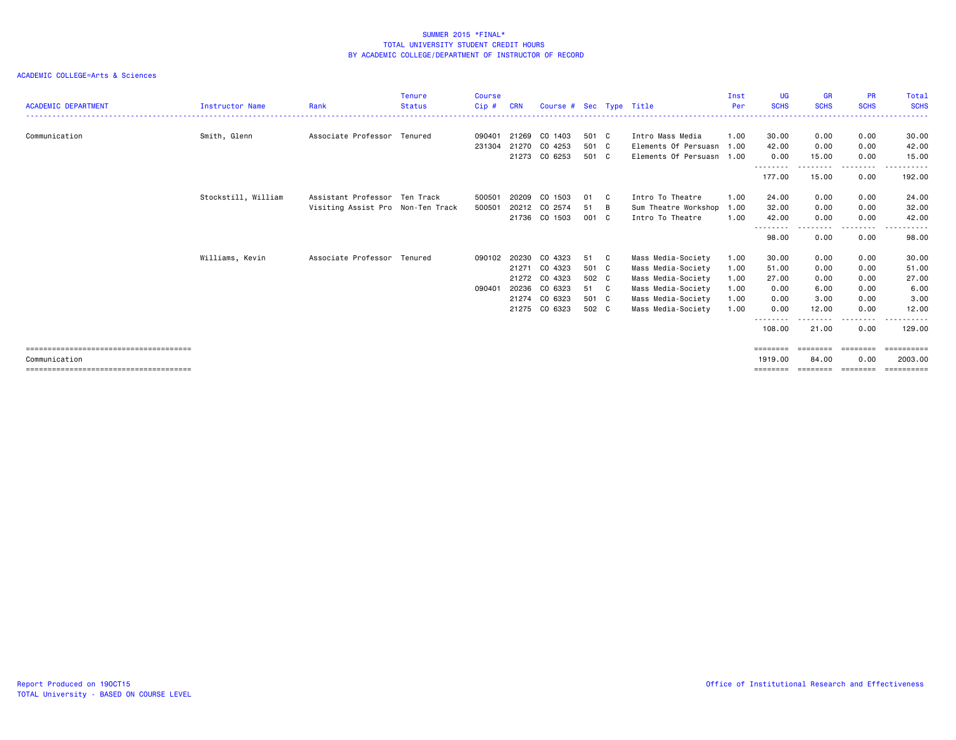| <b>ACADEMIC DEPARTMENT</b> | <b>Instructor Name</b> | Rank                              | <b>Tenure</b><br><b>Status</b> | <b>Course</b><br>Cip# | <b>CRN</b> | Course # Sec Type Title |       |              |                           | Inst<br>Per | <b>UG</b><br><b>SCHS</b> | <b>GR</b><br><b>SCHS</b> | <b>PR</b><br><b>SCHS</b> | Total<br><b>SCHS</b> |
|----------------------------|------------------------|-----------------------------------|--------------------------------|-----------------------|------------|-------------------------|-------|--------------|---------------------------|-------------|--------------------------|--------------------------|--------------------------|----------------------|
|                            |                        |                                   |                                |                       |            |                         |       |              |                           |             |                          |                          |                          |                      |
| Communication              | Smith, Glenn           | Associate Professor Tenured       |                                | 090401                | 21269      | CO 1403                 | 501 C |              | Intro Mass Media          | 1.00        | 30.00                    | 0.00                     | 0.00                     | 30.00                |
|                            |                        |                                   |                                | 231304                | 21270      | CO 4253                 | 501 C |              | Elements Of Persuasn 1.00 |             | 42.00                    | 0.00                     | 0.00                     | 42.00                |
|                            |                        |                                   |                                |                       |            | 21273 CO 6253           | 501 C |              | Elements Of Persuasn 1.00 |             | 0.00                     | 15.00                    | 0.00                     | 15.00                |
|                            |                        |                                   |                                |                       |            |                         |       |              |                           |             | <u>.</u><br>177.00       | <u>.</u><br>15.00        | --------<br>0.00         | .<br>192.00          |
|                            | Stockstill, William    | Assistant Professor Ten Track     |                                | 500501                | 20209      | CO 1503                 | 01    | C.           | Intro To Theatre          | 1.00        | 24.00                    | 0.00                     | 0.00                     | 24.00                |
|                            |                        | Visiting Assist Pro Non-Ten Track |                                | 500501                |            | 20212 CO 2574           | 51    | B            | Sum Theatre Workshop      | 1.00        | 32.00                    | 0.00                     | 0.00                     | 32.00                |
|                            |                        |                                   |                                |                       |            | 21736 CO 1503           | 001 C |              | Intro To Theatre          | 1.00        | 42.00                    | 0.00                     | 0.00                     | 42.00                |
|                            |                        |                                   |                                |                       |            |                         |       |              |                           |             | .<br>98.00               | 0.00                     | $- - - -$<br>0.00        | 98.00                |
|                            | Williams, Kevin        | Associate Professor Tenured       |                                | 090102 20230          |            | CO 4323                 | 51    | $\mathbf{C}$ | Mass Media-Society        | 1.00        | 30.00                    | 0.00                     | 0.00                     | 30.00                |
|                            |                        |                                   |                                |                       | 21271      | CO 4323                 | 501 C |              | Mass Media-Society        | 1.00        | 51.00                    | 0.00                     | 0.00                     | 51.00                |
|                            |                        |                                   |                                |                       |            | 21272 CO 4323           | 502 C |              | Mass Media-Society        | 1.00        | 27.00                    | 0.00                     | 0.00                     | 27.00                |
|                            |                        |                                   |                                | 090401                | 20236      | CO 6323                 | 51 C  |              | Mass Media-Society        | 1.00        | 0.00                     | 6.00                     | 0.00                     | 6.00                 |
|                            |                        |                                   |                                |                       | 21274      | CO 6323                 | 501 C |              | Mass Media-Society        | 1.00        | 0.00                     | 3.00                     | 0.00                     | 3.00                 |
|                            |                        |                                   |                                |                       |            | 21275 CO 6323           | 502 C |              | Mass Media-Society        | 1.00        | 0.00                     | 12.00                    | 0.00                     | 12.00                |
|                            |                        |                                   |                                |                       |            |                         |       |              |                           |             | --------<br>108.00       | 21.00                    | ----<br>0.00             | 129.00               |
|                            |                        |                                   |                                |                       |            |                         |       |              |                           |             | $=$ = = = = = = =        | ---------                | ---------                | ==========           |
| Communication              |                        |                                   |                                |                       |            |                         |       |              |                           |             | 1919,00                  | 84.00                    | 0.00                     | 2003.00              |
|                            |                        |                                   |                                |                       |            |                         |       |              |                           |             | ========                 | ======                   | ========                 |                      |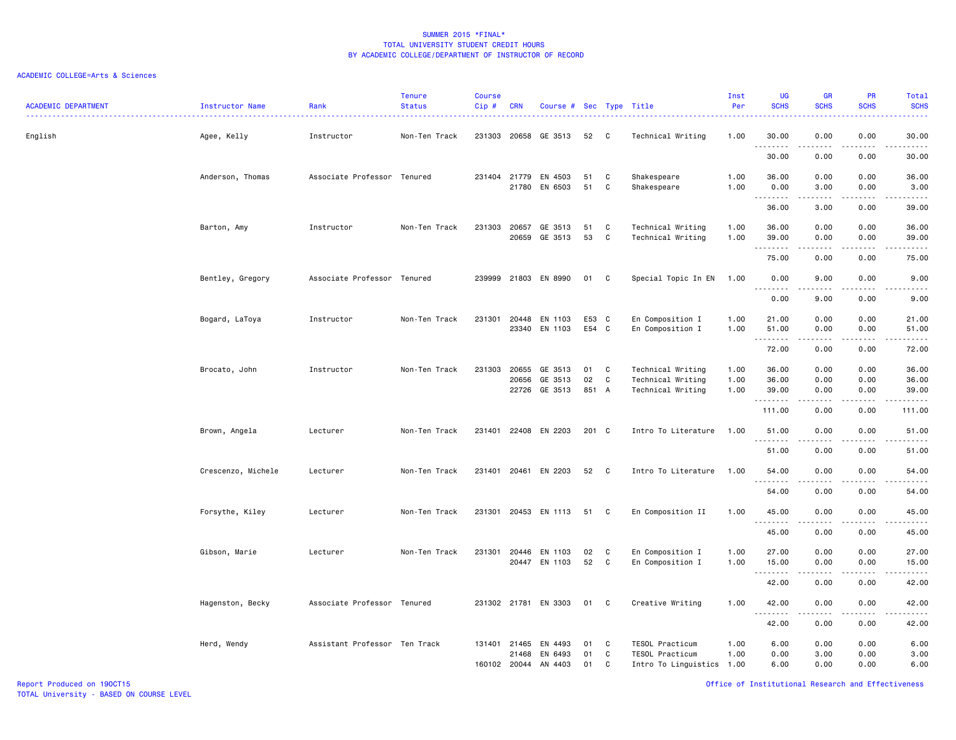| ACADEMIC DEPARTMENT | <b>Instructor Name</b> | Rank                          | <b>Tenure</b><br><b>Status</b> | <b>Course</b><br>Cip# | <b>CRN</b>            | Course # Sec Type Title         |             |        |                                              | Inst<br>Per  | <b>UG</b><br><b>SCHS</b> | <b>GR</b><br><b>SCHS</b>                                                                                                                                     | <b>PR</b><br><b>SCHS</b>            | Total<br><b>SCHS</b><br>$\frac{1}{2} \left( \frac{1}{2} \right) \left( \frac{1}{2} \right) \left( \frac{1}{2} \right) \left( \frac{1}{2} \right)$ |
|---------------------|------------------------|-------------------------------|--------------------------------|-----------------------|-----------------------|---------------------------------|-------------|--------|----------------------------------------------|--------------|--------------------------|--------------------------------------------------------------------------------------------------------------------------------------------------------------|-------------------------------------|---------------------------------------------------------------------------------------------------------------------------------------------------|
| English             | Agee, Kelly            | Instructor                    | Non-Ten Track                  |                       |                       | 231303 20658 GE 3513            | 52          | C      | Technical Writing                            | 1.00         | 30.00<br>.               | 0.00                                                                                                                                                         | 0.00                                | 30.00<br>.                                                                                                                                        |
|                     |                        |                               |                                |                       |                       |                                 |             |        |                                              |              | 30.00                    | 0.00                                                                                                                                                         | 0.00                                | 30.00                                                                                                                                             |
|                     | Anderson, Thomas       | Associate Professor Tenured   |                                |                       | 231404 21779          | EN 4503                         | 51          | C      | Shakespeare                                  | 1.00         | 36.00                    | 0.00                                                                                                                                                         | 0.00                                | 36.00                                                                                                                                             |
|                     |                        |                               |                                |                       | 21780                 | EN 6503                         | 51          | C      | Shakespeare                                  | 1.00         | 0.00<br>1.1.1.1.1.1.1    | 3.00<br>.                                                                                                                                                    | 0.00<br>د د د د                     | 3.00<br>.                                                                                                                                         |
|                     |                        |                               |                                |                       |                       |                                 |             |        |                                              |              | 36.00                    | 3.00                                                                                                                                                         | 0.00                                | 39.00                                                                                                                                             |
|                     | Barton, Amy            | Instructor                    | Non-Ten Track                  |                       | 231303 20657<br>20659 | GE 3513<br>GE 3513              | 51<br>53    | C<br>C | Technical Writing<br>Technical Writing       | 1.00<br>1.00 | 36.00<br>39.00           | 0.00<br>0.00                                                                                                                                                 | 0.00<br>0.00                        | 36.00<br>39.00                                                                                                                                    |
|                     |                        |                               |                                |                       |                       |                                 |             |        |                                              |              | .<br>75.00               | $\sim$ $\sim$ $\sim$ $\sim$<br>0.00                                                                                                                          | د د د د<br>0.00                     | .<br>75.00                                                                                                                                        |
|                     | Bentley, Gregory       | Associate Professor Tenured   |                                |                       |                       | 239999 21803 EN 8990            | 01 C        |        | Special Topic In EN                          | 1.00         | 0.00                     | 9.00                                                                                                                                                         | 0.00                                | 9.00                                                                                                                                              |
|                     |                        |                               |                                |                       |                       |                                 |             |        |                                              |              | 22222<br>0.00            | 9.00                                                                                                                                                         | $\sim$ $\sim$ $\sim$ $\sim$<br>0.00 | .<br>9.00                                                                                                                                         |
|                     | Bogard, LaToya         | Instructor                    | Non-Ten Track                  |                       |                       | 231301 20448 EN 1103            | E53 C       |        | En Composition I                             | 1.00         | 21.00                    | 0.00                                                                                                                                                         | 0.00                                | 21.00                                                                                                                                             |
|                     |                        |                               |                                |                       | 23340                 | EN 1103                         | E54 C       |        | En Composition I                             | 1.00         | 51.00<br>1.1.1.1.1.1.1   | 0.00<br>.                                                                                                                                                    | 0.00<br>$\sim$ $\sim$ $\sim$        | 51.00<br>.                                                                                                                                        |
|                     |                        |                               |                                |                       |                       |                                 |             |        |                                              |              | 72.00                    | 0.00                                                                                                                                                         | 0.00                                | 72.00                                                                                                                                             |
|                     | Brocato, John          | Instructor                    | Non-Ten Track                  | 231303 20655          |                       | GE 3513                         | 01          | C      | Technical Writing                            | 1.00         | 36.00                    | 0.00                                                                                                                                                         | 0.00                                | 36.00                                                                                                                                             |
|                     |                        |                               |                                |                       | 20656                 | GE 3513<br>22726 GE 3513        | 02<br>851 A | C      | Technical Writing<br>Technical Writing       | 1.00<br>1.00 | 36.00<br>39.00           | 0.00<br>0.00                                                                                                                                                 | 0.00<br>0.00                        | 36.00<br>39.00                                                                                                                                    |
|                     |                        |                               |                                |                       |                       |                                 |             |        |                                              |              | .<br>111.00              | $\frac{1}{2} \left( \frac{1}{2} \right) \left( \frac{1}{2} \right) \left( \frac{1}{2} \right) \left( \frac{1}{2} \right) \left( \frac{1}{2} \right)$<br>0.00 | .<br>0.00                           | .<br>111.00                                                                                                                                       |
|                     | Brown, Angela          | Lecturer                      | Non-Ten Track                  |                       |                       | 231401 22408 EN 2203            | 201 C       |        | Intro To Literature                          | 1.00         | 51.00                    | 0.00                                                                                                                                                         | 0.00                                | 51.00                                                                                                                                             |
|                     |                        |                               |                                |                       |                       |                                 |             |        |                                              |              | .<br>51.00               | 0.00                                                                                                                                                         | 0.00                                | دعاعات<br>51.00                                                                                                                                   |
|                     | Crescenzo, Michele     | Lecturer                      | Non-Ten Track                  |                       |                       | 231401 20461 EN 2203            | 52 C        |        | Intro To Literature                          | 1.00         | 54.00                    | 0.00                                                                                                                                                         | 0.00                                | 54.00                                                                                                                                             |
|                     |                        |                               |                                |                       |                       |                                 |             |        |                                              |              | .<br>54.00               | 0.00                                                                                                                                                         | 0.00                                | 54.00                                                                                                                                             |
|                     | Forsythe, Kiley        | Lecturer                      | Non-Ten Track                  |                       |                       | 231301 20453 EN 1113            | 51          | C      | En Composition II                            | 1.00         | 45.00                    | 0.00<br>$\sim$ $\sim$ $\sim$ $\sim$                                                                                                                          | 0.00<br>----                        | 45.00<br>$\frac{1}{2}$                                                                                                                            |
|                     |                        |                               |                                |                       |                       |                                 |             |        |                                              |              | .<br>45.00               | 0.00                                                                                                                                                         | 0.00                                | 45.00                                                                                                                                             |
|                     | Gibson, Marie          | Lecturer                      | Non-Ten Track                  |                       |                       | 231301 20446 EN 1103            | 02          | C      | En Composition I                             | 1.00         | 27.00                    | 0.00                                                                                                                                                         | 0.00                                | 27.00                                                                                                                                             |
|                     |                        |                               |                                |                       |                       | 20447 EN 1103                   | 52          | C      | En Composition I                             | 1.00         | 15.00                    | 0.00<br>-----                                                                                                                                                | 0.00<br>د د د د                     | 15.00<br>.                                                                                                                                        |
|                     |                        |                               |                                |                       |                       |                                 |             |        |                                              |              | 42.00                    | 0.00                                                                                                                                                         | 0.00                                | 42.00                                                                                                                                             |
|                     | Hagenston, Becky       | Associate Professor Tenured   |                                |                       |                       | 231302 21781 EN 3303            | 01 C        |        | Creative Writing                             | 1.00         | 42.00<br>.               | 0.00                                                                                                                                                         | 0.00                                | 42.00                                                                                                                                             |
|                     |                        |                               |                                |                       |                       |                                 |             |        |                                              |              | 42.00                    | 0.00                                                                                                                                                         | 0.00                                | 42.00                                                                                                                                             |
|                     | Herd, Wendy            | Assistant Professor Ten Track |                                |                       | 131401 21465          | EN 4493                         | 01          | C      | TESOL Practicum                              | 1.00         | 6.00                     | 0.00                                                                                                                                                         | 0.00                                | 6.00                                                                                                                                              |
|                     |                        |                               |                                |                       | 21468                 | EN 6493<br>160102 20044 AN 4403 | 01<br>01    | C<br>C | TESOL Practicum<br>Intro To Linguistics 1.00 | 1.00         | 0.00<br>6.00             | 3.00<br>0.00                                                                                                                                                 | 0.00<br>0.00                        | 3.00<br>6.00                                                                                                                                      |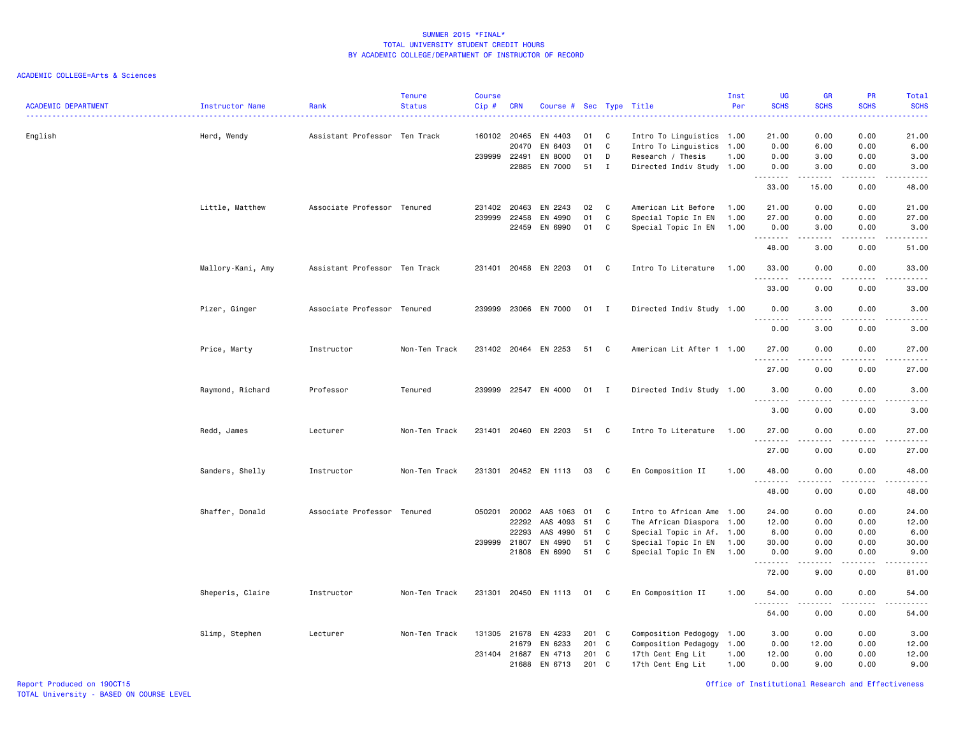| <b>ACADEMIC DEPARTMENT</b> | Instructor Name   | Rank                          | <b>Tenure</b><br><b>Status</b> | <b>Course</b><br>$Cip$ # | <b>CRN</b>            | Course # Sec Type Title |          |                   |                                            | Inst<br>Per  | <b>UG</b><br><b>SCHS</b>           | <b>GR</b><br><b>SCHS</b> | <b>PR</b><br><b>SCHS</b> | <b>Total</b><br><b>SCHS</b>                                                                                                                          |
|----------------------------|-------------------|-------------------------------|--------------------------------|--------------------------|-----------------------|-------------------------|----------|-------------------|--------------------------------------------|--------------|------------------------------------|--------------------------|--------------------------|------------------------------------------------------------------------------------------------------------------------------------------------------|
| English                    | Herd, Wendy       | Assistant Professor Ten Track |                                |                          | 160102 20465          | EN 4403                 | 01       | C                 | Intro To Linguistics 1.00                  |              | 21.00                              | 0.00                     | 0.00                     | 21.00                                                                                                                                                |
|                            |                   |                               |                                |                          | 20470                 | EN 6403                 | 01       | C                 | Intro To Linguistics 1.00                  |              | 0.00                               | 6.00                     | 0.00                     | 6.00                                                                                                                                                 |
|                            |                   |                               |                                | 239999 22491             |                       | EN 8000<br>EN 7000      | 01<br>51 | D<br>$\mathbf{I}$ | Research / Thesis                          | 1.00         | 0.00                               | 3.00                     | 0.00                     | 3.00<br>3.00                                                                                                                                         |
|                            |                   |                               |                                |                          | 22885                 |                         |          |                   | Directed Indiv Study 1.00                  |              | 0.00<br>.                          | 3.00                     | 0.00                     |                                                                                                                                                      |
|                            |                   |                               |                                |                          |                       |                         |          |                   |                                            |              | 33.00                              | 15.00                    | 0.00                     | 48.00                                                                                                                                                |
|                            | Little, Matthew   | Associate Professor Tenured   |                                | 231402 20463             |                       | EN 2243                 | 02       | C                 | American Lit Before                        | 1.00         | 21.00                              | 0.00                     | 0.00                     | 21.00                                                                                                                                                |
|                            |                   |                               |                                | 239999                   | 22458                 | EN 4990                 | 01       | C                 | Special Topic In EN                        | 1.00         | 27.00                              | 0.00                     | 0.00                     | 27.00                                                                                                                                                |
|                            |                   |                               |                                |                          | 22459                 | EN 6990                 | 01       | C                 | Special Topic In EN                        | 1.00         | 0.00<br>.                          | 3.00                     | 0.00                     | 3.00<br>$\frac{1}{2} \left( \frac{1}{2} \right) \left( \frac{1}{2} \right) \left( \frac{1}{2} \right) \left( \frac{1}{2} \right)$                    |
|                            |                   |                               |                                |                          |                       |                         |          |                   |                                            |              | 48.00                              | 3.00                     | 0.00                     | 51.00                                                                                                                                                |
|                            | Mallory-Kani, Amy | Assistant Professor Ten Track |                                | 231401                   |                       | 20458 EN 2203           | 01       | C                 | Intro To Literature                        | 1.00         | 33.00<br>.                         | 0.00                     | 0.00                     | 33.00                                                                                                                                                |
|                            |                   |                               |                                |                          |                       |                         |          |                   |                                            |              | 33.00                              | 0.00                     | 0.00                     | 33.00                                                                                                                                                |
|                            | Pizer, Ginger     | Associate Professor Tenured   |                                | 239999                   |                       | 23066 EN 7000           | 01 I     |                   | Directed Indiv Study 1.00                  |              | 0.00<br>$\sim$ $\sim$ $\sim$<br>.  | 3.00                     | 0.00                     | 3.00                                                                                                                                                 |
|                            |                   |                               |                                |                          |                       |                         |          |                   |                                            |              | 0.00                               | 3.00                     | 0.00                     | 3.00                                                                                                                                                 |
|                            | Price, Marty      | Instructor                    | Non-Ten Track                  |                          |                       | 231402 20464 EN 2253    | 51       | C                 | American Lit After 1 1.00                  |              | 27.00                              | 0.00                     | 0.00                     | 27.00<br>.                                                                                                                                           |
|                            |                   |                               |                                |                          |                       |                         |          |                   |                                            |              | .<br>27.00                         | 0.00                     | 0.00                     | 27.00                                                                                                                                                |
|                            | Raymond, Richard  | Professor                     | Tenured                        | 239999                   |                       | 22547 EN 4000           | 01 I     |                   | Directed Indiv Study 1.00                  |              | 3.00                               | 0.00                     | 0.00                     | 3.00                                                                                                                                                 |
|                            |                   |                               |                                |                          |                       |                         |          |                   |                                            |              | .<br>$\sim$ $\sim$ $\sim$<br>3.00  | 0.00                     | $  -$<br>0.00            | $- - - - -$<br>3.00                                                                                                                                  |
|                            | Redd, James       | Lecturer                      | Non-Ten Track                  |                          |                       | 231401 20460 EN 2203    | 51       | C                 | Intro To Literature                        | 1.00         | 27.00                              | 0.00                     | 0.00                     | 27.00                                                                                                                                                |
|                            |                   |                               |                                |                          |                       |                         |          |                   |                                            |              | 27.00                              | 0.00                     | 0.00                     | 27.00                                                                                                                                                |
|                            | Sanders, Shelly   | Instructor                    | Non-Ten Track                  | 231301                   |                       | 20452 EN 1113           | 03       | C                 | En Composition II                          | 1.00         | 48.00                              | 0.00                     | 0.00                     | 48.00                                                                                                                                                |
|                            |                   |                               |                                |                          |                       |                         |          |                   |                                            |              | .<br>48.00                         | .<br>0.00                | $- - - -$<br>0.00        | .<br>48.00                                                                                                                                           |
|                            | Shaffer, Donald   | Associate Professor Tenured   |                                | 050201                   | 20002                 | AAS 1063                | 01       | C                 | Intro to African Ame 1.00                  |              | 24.00                              | 0.00                     | 0.00                     | 24.00                                                                                                                                                |
|                            |                   |                               |                                |                          | 22292                 | AAS 4093                | 51       | C                 | The African Diaspora 1.00                  |              | 12.00                              | 0.00                     | 0.00                     | 12.00                                                                                                                                                |
|                            |                   |                               |                                |                          | 22293                 | AAS 4990                | 51       | C                 | Special Topic in Af. 1.00                  |              | 6.00                               | 0.00                     | 0.00                     | 6.00                                                                                                                                                 |
|                            |                   |                               |                                |                          | 239999 21807<br>21808 | EN 4990<br>EN 6990      | 51<br>51 | C<br>C            | Special Topic In EN<br>Special Topic In EN | 1.00<br>1.00 | 30.00<br>0.00                      | 0.00<br>9.00             | 0.00<br>0.00             | 30.00<br>9.00                                                                                                                                        |
|                            |                   |                               |                                |                          |                       |                         |          |                   |                                            |              | .                                  | .                        | المتمامين                | $\frac{1}{2} \left( \frac{1}{2} \right) \left( \frac{1}{2} \right) \left( \frac{1}{2} \right) \left( \frac{1}{2} \right) \left( \frac{1}{2} \right)$ |
|                            |                   |                               |                                |                          |                       |                         |          |                   |                                            |              | 72.00                              | 9.00                     | 0.00                     | 81.00                                                                                                                                                |
|                            | Sheperis, Claire  | Instructor                    | Non-Ten Track                  | 231301                   |                       | 20450 EN 1113           | 01 C     |                   | En Composition II                          | 1.00         | 54.00<br>.<br>$\sim$ $\sim$ $\sim$ | 0.00                     | 0.00                     | 54.00                                                                                                                                                |
|                            |                   |                               |                                |                          |                       |                         |          |                   |                                            |              | 54.00                              | 0.00                     | 0.00                     | 54.00                                                                                                                                                |
|                            | Slimp, Stephen    | Lecturer                      | Non-Ten Track                  | 131305                   | 21678                 | EN 4233                 | 201      | $\mathbf{C}$      | Composition Pedogogy 1.00                  |              | 3.00                               | 0.00                     | 0.00                     | 3.00                                                                                                                                                 |
|                            |                   |                               |                                |                          | 21679                 | EN 6233                 | 201 C    |                   | Composition Pedagogy                       | 1.00         | 0.00                               | 12.00                    | 0.00                     | 12.00                                                                                                                                                |
|                            |                   |                               |                                | 231404 21687             |                       | EN 4713                 | 201      | C                 | 17th Cent Eng Lit                          | 1.00         | 12.00                              | 0.00                     | 0.00                     | 12.00                                                                                                                                                |
|                            |                   |                               |                                |                          | 21688                 | EN 6713                 | 201 C    |                   | 17th Cent Eng Lit                          | 1.00         | 0.00                               | 9.00                     | 0.00                     | 9.00                                                                                                                                                 |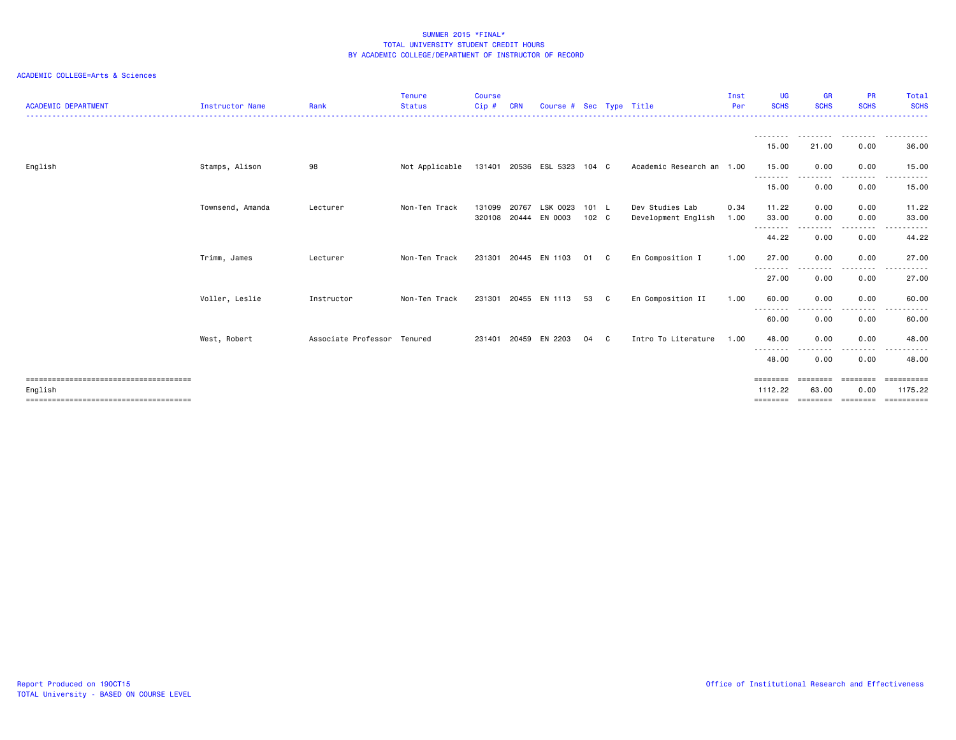| <b>ACADEMIC DEPARTMENT</b> | Instructor Name  | Rank                        | <b>Tenure</b><br><b>Status</b> | <b>Course</b><br>Cip# | <b>CRN</b>     | Course #              |                |    | Sec Type Title                         | Inst<br>Per  | <b>UG</b><br><b>SCHS</b>        | <b>GR</b><br><b>SCHS</b>      | <b>PR</b><br><b>SCHS</b>     | Total<br><b>SCHS</b>  |
|----------------------------|------------------|-----------------------------|--------------------------------|-----------------------|----------------|-----------------------|----------------|----|----------------------------------------|--------------|---------------------------------|-------------------------------|------------------------------|-----------------------|
|                            |                  |                             |                                |                       |                |                       |                |    |                                        |              | 15.00                           | . <u>.</u><br>21.00           | 0.00                         | .<br>36.00            |
| English                    | Stamps, Alison   | 98                          | Not Applicable                 |                       |                | 131401 20536 ESL 5323 | $104 \quad C$  |    | Academic Research an 1.00              |              | 15.00                           | 0.00                          | 0.00                         | 15.00                 |
|                            |                  |                             |                                |                       |                |                       |                |    |                                        |              | --------<br>15.00               | ----<br>0.00                  | -----<br>0.00                | ----------<br>15.00   |
|                            | Townsend, Amanda | Lecturer                    | Non-Ten Track                  | 131099<br>320108      | 20767<br>20444 | LSK 0023<br>EN 0003   | 101 L<br>102 C |    | Dev Studies Lab<br>Development English | 0.34<br>1.00 | 11.22<br>33.00                  | 0.00<br>0.00                  | 0.00<br>0.00                 | 11.22<br>33.00        |
|                            |                  |                             |                                |                       |                |                       |                |    |                                        |              | --------<br>44.22               | ----<br>0.00                  | .<br>0.00                    | .<br>44.22            |
|                            | Trimm, James     | Lecturer                    | Non-Ten Track                  | 231301                |                | 20445 EN 1103         | 01             | C. | En Composition I                       | 1.00         | 27.00<br>--------               | 0.00<br>.                     | 0.00<br>.                    | 27.00                 |
|                            |                  |                             |                                |                       |                |                       |                |    |                                        |              | 27.00                           | 0.00                          | 0.00                         | 27.00                 |
|                            | Voller, Leslie   | Instructor                  | Non-Ten Track                  | 231301                |                | 20455 EN 1113         | 53             | C  | En Composition II                      | 1.00         | 60.00<br>--------               | 0.00<br>.                     | 0.00<br>$\frac{1}{2}$        | 60.00<br>. <b>.</b>   |
|                            |                  |                             |                                |                       |                |                       |                |    |                                        |              | 60.00                           | 0.00                          | 0.00                         | 60.00                 |
|                            | West, Robert     | Associate Professor Tenured |                                | 231401                | 20459          | EN 2203               | 04             | C. | Intro To Literature                    | 1.00         | 48.00<br>--------               | 0.00<br>$  -$                 | 0.00<br>----                 | 48.00<br>.            |
|                            |                  |                             |                                |                       |                |                       |                |    |                                        |              | 48.00                           | 0.00                          | 0.00                         | 48.00                 |
| English                    |                  |                             |                                |                       |                |                       |                |    |                                        |              | ========<br>1112.22<br>======== | ========<br>63.00<br>======== | ========<br>0.00<br>======== | 1175.22<br>========== |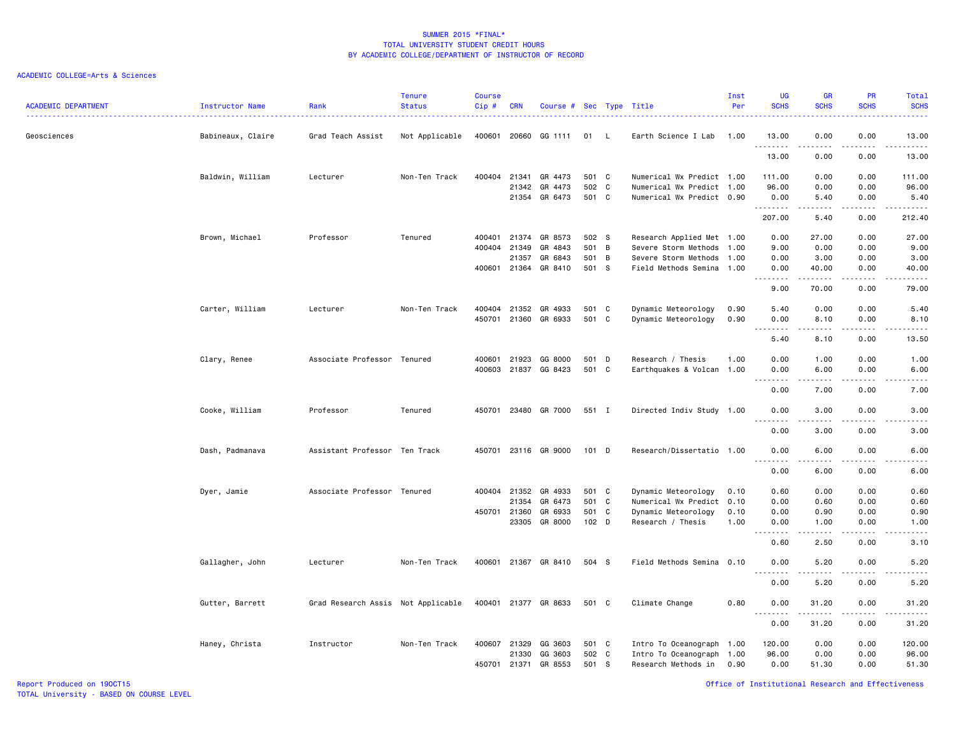| <b>ACADEMIC DEPARTMENT</b> | Instructor Name<br>. | Rank                               | <b>Tenure</b><br><b>Status</b> | <b>Course</b><br>Cip# | <b>CRN</b>     | Course # Sec Type Title |                |                |                                                        | Inst<br>Per | <b>UG</b><br><b>SCHS</b>               | <b>GR</b><br><b>SCHS</b> | <b>PR</b><br><b>SCHS</b>     | <b>Total</b><br><b>SCHS</b> |
|----------------------------|----------------------|------------------------------------|--------------------------------|-----------------------|----------------|-------------------------|----------------|----------------|--------------------------------------------------------|-------------|----------------------------------------|--------------------------|------------------------------|-----------------------------|
| Geosciences                | Babineaux, Claire    | Grad Teach Assist                  | Not Applicable                 | 400601                | 20660          | GG 1111                 | 01             | - L            | Earth Science I Lab                                    | 1.00        | 13.00<br>.                             | 0.00                     | 0.00                         | 13.00<br>.                  |
|                            |                      |                                    |                                |                       |                |                         |                |                |                                                        |             | 13.00                                  | 0.00                     | 0.00                         | 13.00                       |
|                            | Baldwin, William     | Lecturer                           | Non-Ten Track                  | 400404 21341          |                | GR 4473                 | 501 C          |                | Numerical Wx Predict 1.00                              |             | 111.00                                 | 0.00                     | 0.00                         | 111.00                      |
|                            |                      |                                    |                                |                       | 21342<br>21354 | GR 4473<br>GR 6473      | 502 C<br>501 C |                | Numerical Wx Predict 1.00<br>Numerical Wx Predict 0.90 |             | 96.00<br>0.00                          | 0.00<br>5.40             | 0.00<br>0.00                 | 96.00<br>5.40               |
|                            |                      |                                    |                                |                       |                |                         |                |                |                                                        |             | . <b>.</b><br>207.00                   | 5.40                     | $\sim$ $\sim$ $\sim$<br>0.00 | .<br>212.40                 |
|                            | Brown, Michael       | Professor                          | Tenured                        | 400401                | 21374          | GR 8573                 | 502 S          |                | Research Applied Met 1.00                              |             | 0.00                                   | 27.00                    | 0.00                         | 27.00                       |
|                            |                      |                                    |                                | 400404                | 21349          | GR 4843                 | 501            | B              | Severe Storm Methods                                   | 1.00        | 9.00                                   | 0.00                     | 0.00                         | 9.00                        |
|                            |                      |                                    |                                |                       | 21357          | GR 6843                 | 501            | $\overline{B}$ | Severe Storm Methods                                   | 1.00        | 0.00                                   | 3.00                     | 0.00                         | 3.00                        |
|                            |                      |                                    |                                | 400601 21364          |                | GR 8410                 | 501 S          |                | Field Methods Semina 1.00                              |             | 0.00<br>.                              | 40.00<br>.               | 0.00<br>.                    | 40.00<br>.                  |
|                            |                      |                                    |                                |                       |                |                         |                |                |                                                        |             | 9.00                                   | 70.00                    | 0.00                         | 79.00                       |
|                            | Carter, William      | Lecturer                           | Non-Ten Track                  | 400404                | 21352          | GR 4933                 | 501 C          |                | Dynamic Meteorology                                    | 0.90        | 5.40                                   | 0.00                     | 0.00                         | 5.40                        |
|                            |                      |                                    |                                | 450701 21360          |                | GR 6933                 | 501 C          |                | Dynamic Meteorology                                    | 0.90        | 0.00<br>.<br>$ -$                      | 8.10<br>.                | 0.00<br>.                    | 8.10<br>$\frac{1}{2}$       |
|                            |                      |                                    |                                |                       |                |                         |                |                |                                                        |             | 5.40                                   | 8.10                     | 0.00                         | 13.50                       |
|                            | Clary, Renee         | Associate Professor                | Tenured                        | 400601                | 21923          | GG 8000                 | 501 D          |                | Research / Thesis                                      | 1.00        | 0.00                                   | 1.00                     | 0.00                         | 1.00                        |
|                            |                      |                                    |                                | 400603                | 21837          | GG 8423                 | 501 C          |                | Earthquakes & Volcan 1.00                              |             | 0.00                                   | 6.00                     | 0.00                         | 6.00                        |
|                            |                      |                                    |                                |                       |                |                         |                |                |                                                        |             | $\sim$ $\sim$ $\sim$<br>.<br>0.00      | .<br>7.00                | 0.00                         | $\frac{1}{2}$<br>7.00       |
|                            | Cooke, William       | Professor                          | Tenured                        | 450701                |                | 23480 GR 7000           | 551 I          |                | Directed Indiv Study 1.00                              |             | 0.00                                   | 3.00                     | 0.00                         | 3.00                        |
|                            |                      |                                    |                                |                       |                |                         |                |                |                                                        |             | .<br>0.00                              | .<br>3.00                | $- - -$<br>0.00              | 3.00                        |
|                            | Dash, Padmanava      | Assistant Professor Ten Track      |                                |                       |                | 450701 23116 GR 9000    | $101$ D        |                | Research/Dissertatio 1.00                              |             | 0.00                                   | 6.00                     | 0.00                         | 6.00                        |
|                            |                      |                                    |                                |                       |                |                         |                |                |                                                        |             | $\sim$ $\sim$ $\sim$<br>$   -$<br>0.00 | .<br>6.00                | .<br>0.00                    | ----<br>6.00                |
|                            | Dyer, Jamie          | Associate Professor Tenured        |                                | 400404 21352          |                | GR 4933                 | 501 C          |                | Dynamic Meteorology                                    | 0.10        | 0.60                                   | 0.00                     | 0.00                         | 0.60                        |
|                            |                      |                                    |                                |                       | 21354          | GR 6473                 | 501            | C              | Numerical Wx Predict 0.10                              |             | 0.00                                   | 0.60                     | 0.00                         | 0.60                        |
|                            |                      |                                    |                                | 450701 21360          |                | GR 6933                 | 501 C          |                | Dynamic Meteorology                                    | 0.10        | 0.00                                   | 0.90                     | 0.00                         | 0.90                        |
|                            |                      |                                    |                                |                       | 23305          | GR 8000                 | $102$ D        |                | Research / Thesis                                      | 1.00        | 0.00<br>د د د د                        | 1.00<br>.                | 0.00<br>.                    | 1.00<br>$\frac{1}{2}$       |
|                            |                      |                                    |                                |                       |                |                         |                |                |                                                        |             | 0.60                                   | 2.50                     | 0.00                         | 3.10                        |
|                            | Gallagher, John      | Lecturer                           | Non-Ten Track                  | 400601                |                | 21367 GR 8410           | 504 S          |                | Field Methods Semina 0.10                              |             | 0.00<br>$- - -$<br>٠.                  | 5.20<br>.                | 0.00<br>$  -$                | 5.20<br>$- - - -$           |
|                            |                      |                                    |                                |                       |                |                         |                |                |                                                        |             | 0.00                                   | 5.20                     | 0.00                         | 5.20                        |
|                            | Gutter, Barrett      | Grad Research Assis Not Applicable |                                |                       |                | 400401 21377 GR 8633    | 501 C          |                | Climate Change                                         | 0.80        | 0.00<br>$\sim$ $\sim$ $\sim$           | 31.20                    | 0.00                         | 31.20                       |
|                            |                      |                                    |                                |                       |                |                         |                |                |                                                        |             | 0.00                                   | 31.20                    | 0.00                         | 31.20                       |
|                            | Haney, Christa       | Instructor                         | Non-Ten Track                  | 400607 21329          |                | GG 3603                 | 501 C          |                | Intro To Oceanograph 1.00                              |             | 120.00                                 | 0.00                     | 0.00                         | 120.00                      |
|                            |                      |                                    |                                |                       | 21330          | GG 3603                 | 502 C          |                | Intro To Oceanograph 1.00                              |             | 96.00                                  | 0.00                     | 0.00                         | 96.00                       |
|                            |                      |                                    |                                | 450701                | 21371          | GR 8553                 | 501            | - S            | Research Methods in                                    | 0.90        | 0.00                                   | 51.30                    | 0.00                         | 51.30                       |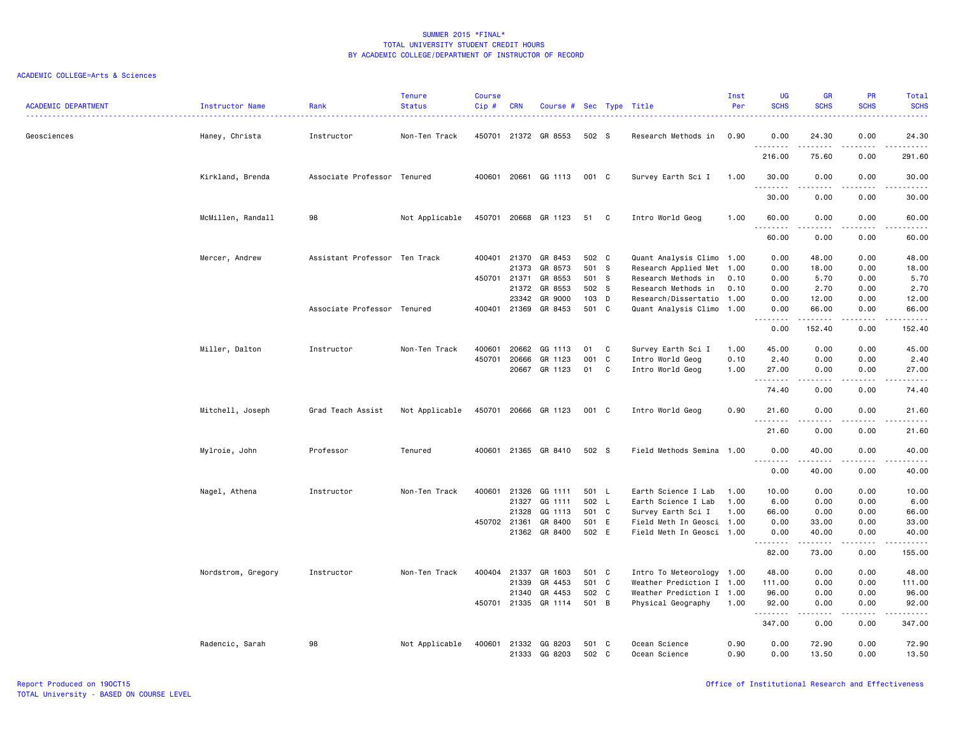| <b>ACADEMIC DEPARTMENT</b> | Instructor Name    | Rank                          | <b>Tenure</b><br><b>Status</b> | <b>Course</b><br>Cip# | <b>CRN</b>   | Course # Sec Type Title |                |    | <u>.</u>                  | Inst<br>Per | <b>UG</b><br><b>SCHS</b>                  | <b>GR</b><br><b>SCHS</b> | <b>PR</b><br><b>SCHS</b>     | Total<br><b>SCHS</b> |
|----------------------------|--------------------|-------------------------------|--------------------------------|-----------------------|--------------|-------------------------|----------------|----|---------------------------|-------------|-------------------------------------------|--------------------------|------------------------------|----------------------|
| Geosciences                | Haney, Christa     | Instructor                    | Non-Ten Track                  |                       |              | 450701 21372 GR 8553    | 502 S          |    | Research Methods in       | 0.90        | 0.00                                      | 24.30                    | 0.00                         | 24.30                |
|                            |                    |                               |                                |                       |              |                         |                |    |                           |             | .<br>216.00                               | .<br>75.60               | $- - - -$<br>0.00            | .<br>291.60          |
|                            | Kirkland, Brenda   | Associate Professor Tenured   |                                | 400601                |              | 20661 GG 1113           | 001 C          |    | Survey Earth Sci I        | 1.00        | 30.00<br>$\omega$ is $\omega$ in $\omega$ | 0.00<br>د د د د          | 0.00<br>$\sim$ $\sim$ $\sim$ | 30.00<br>المتماما    |
|                            |                    |                               |                                |                       |              |                         |                |    |                           |             | 30.00                                     | 0.00                     | 0.00                         | 30.00                |
|                            | McMillen, Randall  | 98                            | Not Applicable                 |                       | 450701 20668 | GR 1123                 | 51 C           |    | Intro World Geog          | 1.00        | 60.00<br>.                                | 0.00                     | 0.00                         | 60.00                |
|                            |                    |                               |                                |                       |              |                         |                |    |                           |             | 60.00                                     | 0.00                     | 0.00                         | 60.00                |
|                            | Mercer, Andrew     | Assistant Professor Ten Track |                                | 400401                | 21370        | GR 8453                 | 502 C          |    | Quant Analysis Climo 1.00 |             | 0.00                                      | 48.00                    | 0.00                         | 48.00                |
|                            |                    |                               |                                |                       | 21373        | GR 8573                 | 501 S          |    | Research Applied Met 1.00 |             | 0.00                                      | 18.00                    | 0.00                         | 18.00                |
|                            |                    |                               |                                | 450701                | 21371        | GR 8553                 | 501 S          |    | Research Methods in       | 0.10        | 0.00                                      | 5.70                     | 0.00                         | 5.70                 |
|                            |                    |                               |                                |                       | 21372        | GR 8553                 | 502 S          |    | Research Methods in       | 0.10        | 0.00                                      | 2.70                     | 0.00                         | 2.70                 |
|                            |                    |                               |                                |                       | 23342        | GR 9000                 | 103 D          |    | Research/Dissertatio 1.00 |             | 0.00                                      | 12.00                    | 0.00                         | 12.00                |
|                            |                    | Associate Professor Tenured   |                                | 400401                | 21369        | GR 8453                 | 501 C          |    | Quant Analysis Climo 1.00 |             | 0.00<br>.                                 | 66.00<br>.               | 0.00<br>.                    | 66.00<br>.           |
|                            |                    |                               |                                |                       |              |                         |                |    |                           |             | 0.00                                      | 152.40                   | 0.00                         | 152.40               |
|                            | Miller, Dalton     | Instructor                    | Non-Ten Track                  | 400601                | 20662        | GG 1113                 | 01             | C  | Survey Earth Sci I        | 1.00        | 45.00                                     | 0.00                     | 0.00                         | 45.00                |
|                            |                    |                               |                                | 450701                | 20666        | GR 1123                 | 001            | C  | Intro World Geog          | 0.10        | 2.40                                      | 0.00                     | 0.00                         | 2.40                 |
|                            |                    |                               |                                |                       | 20667        | GR 1123                 | 01             | C. | Intro World Geog          | 1.00        | 27.00<br>.                                | 0.00                     | 0.00                         | 27,00<br>.           |
|                            |                    |                               |                                |                       |              |                         |                |    |                           |             | 74.40                                     | 0.00                     | 0.00                         | 74.40                |
|                            | Mitchell, Joseph   | Grad Teach Assist             | Not Applicable                 |                       |              | 450701 20666 GR 1123    | 001 C          |    | Intro World Geog          | 0.90        | 21.60<br>.                                | 0.00                     | 0.00<br>$- - - -$            | 21.60<br>.           |
|                            |                    |                               |                                |                       |              |                         |                |    |                           |             | 21.60                                     | 0.00                     | 0.00                         | 21.60                |
|                            | Mylroie, John      | Professor                     | Tenured                        | 400601                |              | 21365 GR 8410           | 502 S          |    | Field Methods Semina 1.00 |             | 0.00<br>. <b>.</b>                        | 40.00<br>.               | 0.00<br>.                    | 40.00<br>.           |
|                            |                    |                               |                                |                       |              |                         |                |    |                           |             | 0.00                                      | 40.00                    | 0.00                         | 40.00                |
|                            | Nagel, Athena      | Instructor                    | Non-Ten Track                  | 400601                | 21326        | GG 1111                 | 501 L          |    | Earth Science I Lab       | 1.00        | 10.00                                     | 0.00                     | 0.00                         | 10.00                |
|                            |                    |                               |                                |                       | 21327        | GG 1111                 | 502 L          |    | Earth Science I Lab       | 1.00        | 6.00                                      | 0.00                     | 0.00                         | 6.00                 |
|                            |                    |                               |                                |                       | 21328        | GG 1113                 | 501 C          |    | Survey Earth Sci I        | 1.00        | 66.00                                     | 0.00                     | 0.00                         | 66.00                |
|                            |                    |                               |                                |                       | 450702 21361 | GR 8400                 | 501 E          |    | Field Meth In Geosci 1.00 |             | 0.00                                      | 33,00                    | 0.00                         | 33.00                |
|                            |                    |                               |                                |                       | 21362        | GR 8400                 | 502 E          |    | Field Meth In Geosci 1.00 |             | 0.00<br>.                                 | 40.00<br>.               | 0.00<br>$\sim$ $\sim$ $\sim$ | 40.00<br>.           |
|                            |                    |                               |                                |                       |              |                         |                |    |                           |             | 82.00                                     | 73.00                    | 0.00                         | 155.00               |
|                            | Nordstrom, Gregory | Instructor                    | Non-Ten Track                  |                       | 400404 21337 | GR 1603                 | 501 C          |    | Intro To Meteorology 1.00 |             | 48.00                                     | 0.00                     | 0.00                         | 48.00                |
|                            |                    |                               |                                |                       | 21339        | GR 4453                 | 501            | C  | Weather Prediction I 1.00 |             | 111.00                                    | 0.00                     | 0.00                         | 111.00               |
|                            |                    |                               |                                |                       | 21340        | GR 4453                 | 502 C          |    | Weather Prediction I 1.00 |             | 96.00                                     | 0.00                     | 0.00                         | 96.00                |
|                            |                    |                               |                                |                       | 450701 21335 | GR 1114                 | 501 B          |    | Physical Geography        | 1.00        | 92.00<br>.                                | 0.00<br>22222            | 0.00<br>.                    | 92.00<br>.           |
|                            |                    |                               |                                |                       |              |                         |                |    |                           |             | 347.00                                    | 0.00                     | 0.00                         | 347.00               |
|                            | Radencic, Sarah    | 98                            | Not Applicable                 | 400601                | 21332        | GG 8203                 | 501 C<br>502 C |    | Ocean Science             | 0.90        | 0.00<br>0.00                              | 72.90<br>13.50           | 0.00<br>0.00                 | 72.90                |
|                            |                    |                               |                                |                       | 21333        | GG 8203                 |                |    | Ocean Science             | 0.90        |                                           |                          |                              | 13.50                |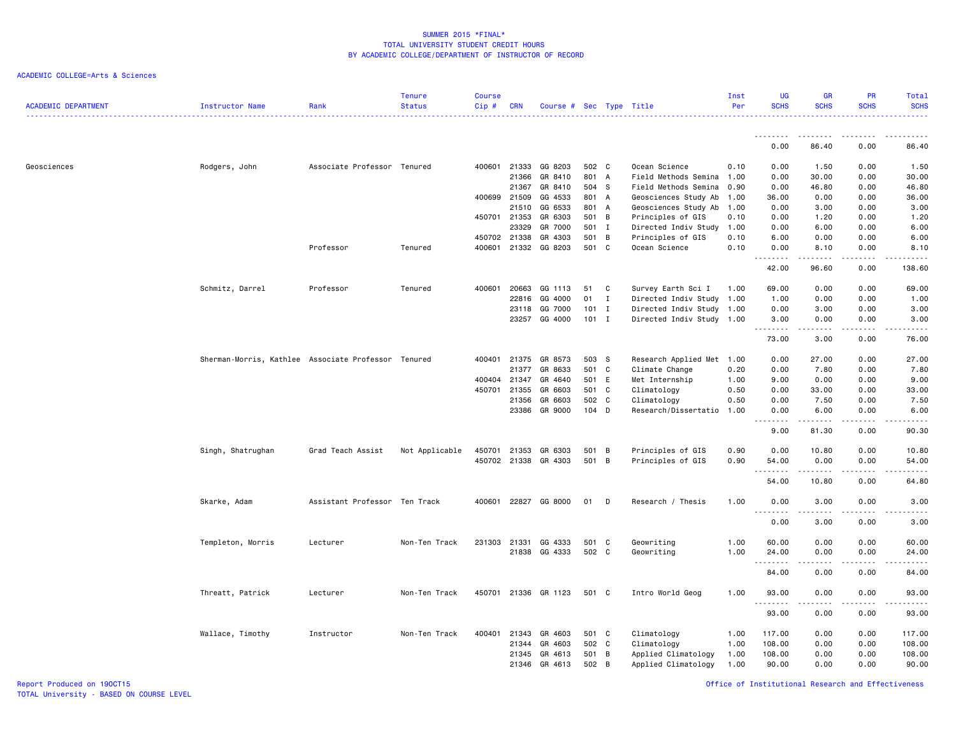| <b>ACADEMIC DEPARTMENT</b> | <b>Instructor Name</b>                              | Rank                          | <b>Tenure</b><br><b>Status</b> | <b>Course</b><br>$Cip$ # | <b>CRN</b>     | Course # Sec Type Title |                |              |                            | Inst<br>Per  | <b>UG</b><br><b>SCHS</b> | <b>GR</b><br><b>SCHS</b>                                                                                                                                     | PR<br><b>SCHS</b>              | Total<br><b>SCHS</b>                                                                                                                                 |
|----------------------------|-----------------------------------------------------|-------------------------------|--------------------------------|--------------------------|----------------|-------------------------|----------------|--------------|----------------------------|--------------|--------------------------|--------------------------------------------------------------------------------------------------------------------------------------------------------------|--------------------------------|------------------------------------------------------------------------------------------------------------------------------------------------------|
|                            |                                                     |                               |                                |                          |                |                         |                |              |                            |              | <u>.</u>                 | .                                                                                                                                                            | $\frac{1}{2}$                  | .                                                                                                                                                    |
|                            |                                                     |                               |                                |                          |                |                         |                |              |                            |              | 0.00                     | 86.40                                                                                                                                                        | 0.00                           | 86.40                                                                                                                                                |
| Geosciences                | Rodgers, John                                       | Associate Professor Tenured   |                                | 400601                   | 21333          | GG 8203                 | 502 C          |              | Ocean Science              | 0.10         | 0.00                     | 1.50                                                                                                                                                         | 0.00                           | 1.50                                                                                                                                                 |
|                            |                                                     |                               |                                |                          | 21366          | GR 8410                 | 801 A          |              | Field Methods Semina       | 1.00         | 0.00                     | 30.00                                                                                                                                                        | 0.00                           | 30.00                                                                                                                                                |
|                            |                                                     |                               |                                |                          | 21367          | GR 8410                 | 504 S          |              | Field Methods Semina 0.90  |              | 0.00                     | 46.80                                                                                                                                                        | 0.00                           | 46.80                                                                                                                                                |
|                            |                                                     |                               |                                | 400699                   | 21509          | GG 4533                 | 801 A          |              | Geosciences Study Ab       | 1.00         | 36.00                    | 0.00                                                                                                                                                         | 0.00                           | 36.00                                                                                                                                                |
|                            |                                                     |                               |                                |                          | 21510          | GG 6533                 | 801 A          |              | Geosciences Study Ab       | 1.00         | 0.00                     | 3.00                                                                                                                                                         | 0.00                           | 3.00                                                                                                                                                 |
|                            |                                                     |                               |                                |                          | 450701 21353   | GR 6303                 | 501 B          |              | Principles of GIS          | 0.10         | 0.00                     | 1.20                                                                                                                                                         | 0.00                           | 1.20                                                                                                                                                 |
|                            |                                                     |                               |                                |                          | 23329          | GR 7000                 | 501            | $\mathbf{I}$ | Directed Indiv Study       | 1.00         | 0.00                     | 6.00                                                                                                                                                         | 0.00                           | 6.00                                                                                                                                                 |
|                            |                                                     |                               |                                |                          | 450702 21338   | GR 4303                 | 501 B          |              | Principles of GIS          | 0.10         | 6.00                     | 0.00                                                                                                                                                         | 0.00                           | 6.00                                                                                                                                                 |
|                            |                                                     | Professor                     | Tenured                        | 400601                   | 21332          | GG 8203                 | 501 C          |              | Ocean Science              | 0.10         | 0.00<br>--------         | 8.10<br>$- - - - -$                                                                                                                                          | 0.00<br>.                      | 8.10<br>.                                                                                                                                            |
|                            |                                                     |                               |                                |                          |                |                         |                |              |                            |              | 42.00                    | 96.60                                                                                                                                                        | 0.00                           | 138.60                                                                                                                                               |
|                            | Schmitz, Darrel                                     | Professor                     | Tenured                        | 400601                   | 20663          | GG 1113                 | 51             | C            | Survey Earth Sci I         | 1.00         | 69.00                    | 0.00                                                                                                                                                         | 0.00                           | 69.00                                                                                                                                                |
|                            |                                                     |                               |                                |                          | 22816          | GG 4000                 | 01             | Ι.           | Directed Indiv Study 1.00  |              | 1.00                     | 0.00                                                                                                                                                         | 0.00                           | 1.00                                                                                                                                                 |
|                            |                                                     |                               |                                |                          | 23118          | GG 7000                 | $101$ I        |              | Directed Indiv Study 1.00  |              | 0.00                     | 3.00                                                                                                                                                         | 0.00                           | 3.00                                                                                                                                                 |
|                            |                                                     |                               |                                |                          | 23257          | GG 4000                 | 101 I          |              | Directed Indiv Study 1.00  |              | 3.00                     | 0.00                                                                                                                                                         | 0.00                           | 3.00                                                                                                                                                 |
|                            |                                                     |                               |                                |                          |                |                         |                |              |                            |              | . <b>.</b><br>73.00      | $\frac{1}{2} \left( \frac{1}{2} \right) \left( \frac{1}{2} \right) \left( \frac{1}{2} \right) \left( \frac{1}{2} \right) \left( \frac{1}{2} \right)$<br>3.00 | الدامات<br>0.00                | -----<br>76.00                                                                                                                                       |
|                            | Sherman-Morris, Kathlee Associate Professor Tenured |                               |                                | 400401                   | 21375          | GR 8573                 | 503 S          |              | Research Applied Met       | 1.00         | 0.00                     | 27.00                                                                                                                                                        | 0.00                           | 27.00                                                                                                                                                |
|                            |                                                     |                               |                                |                          | 21377          | GR 8633                 | 501 C          |              | Climate Change             | 0.20         | 0.00                     | 7.80                                                                                                                                                         | 0.00                           | 7.80                                                                                                                                                 |
|                            |                                                     |                               |                                |                          | 400404 21347   | GR 4640                 | 501 E          |              | Met Internship             | 1.00         | 9.00                     | 0.00                                                                                                                                                         | 0.00                           | 9.00                                                                                                                                                 |
|                            |                                                     |                               |                                | 450701                   | 21355          | GR 6603                 | 501 C          |              | Climatology                | 0.50         | 0.00                     | 33.00                                                                                                                                                        | 0.00                           | 33.00                                                                                                                                                |
|                            |                                                     |                               |                                |                          | 21356          | GR 6603                 | 502 C          |              | Climatology                | 0.50         | 0.00                     | 7.50                                                                                                                                                         | 0.00                           | 7.50                                                                                                                                                 |
|                            |                                                     |                               |                                |                          | 23386          | GR 9000                 | $104$ D        |              | Research/Dissertatio       | 1.00         | 0.00                     | 6.00                                                                                                                                                         | 0.00                           | 6.00                                                                                                                                                 |
|                            |                                                     |                               |                                |                          |                |                         |                |              |                            |              | .<br>9.00                | 81.30                                                                                                                                                        | 0.00                           | 90.30                                                                                                                                                |
|                            | Singh, Shatrughan                                   | Grad Teach Assist             | Not Applicable                 | 450701                   | 21353          | GR 6303                 | 501 B          |              | Principles of GIS          | 0.90         | 0.00                     | 10.80                                                                                                                                                        | 0.00                           | 10.80                                                                                                                                                |
|                            |                                                     |                               |                                |                          | 450702 21338   | GR 4303                 | 501 B          |              | Principles of GIS          | 0.90         | 54.00                    | 0.00                                                                                                                                                         | 0.00                           | 54.00                                                                                                                                                |
|                            |                                                     |                               |                                |                          |                |                         |                |              |                            |              | .                        |                                                                                                                                                              |                                | $\frac{1}{2} \left( \frac{1}{2} \right) \left( \frac{1}{2} \right) \left( \frac{1}{2} \right) \left( \frac{1}{2} \right) \left( \frac{1}{2} \right)$ |
|                            |                                                     |                               |                                |                          |                |                         |                |              |                            |              | 54.00                    | 10.80                                                                                                                                                        | 0.00                           | 64.80                                                                                                                                                |
|                            | Skarke, Adam                                        | Assistant Professor Ten Track |                                | 400601                   | 22827          | GG 8000                 | 01             | D            | Research / Thesis          | 1.00         | 0.00<br>$ -$             | 3.00                                                                                                                                                         | 0.00                           | 3.00                                                                                                                                                 |
|                            |                                                     |                               |                                |                          |                |                         |                |              |                            |              | 0.00                     | 3.00                                                                                                                                                         | 0.00                           | 3.00                                                                                                                                                 |
|                            | Templeton, Morris                                   | Lecturer                      | Non-Ten Track                  | 231303                   | 21331          | GG 4333                 | 501 C          |              | Geowriting                 | 1.00         | 60.00                    | 0.00                                                                                                                                                         | 0.00                           | 60.00                                                                                                                                                |
|                            |                                                     |                               |                                |                          | 21838          | GG 4333                 | 502 C          |              | Geowriting                 | 1.00         | 24.00                    | 0.00                                                                                                                                                         | 0.00                           | 24.00                                                                                                                                                |
|                            |                                                     |                               |                                |                          |                |                         |                |              |                            |              | .<br>84.00               | .<br>0.00                                                                                                                                                    | $\omega$ is a $\omega$<br>0.00 | .<br>84.00                                                                                                                                           |
|                            | Threatt, Patrick                                    | Lecturer                      | Non-Ten Track                  |                          |                | 450701 21336 GR 1123    | 501 C          |              | Intro World Geog           | 1.00         | 93.00                    | 0.00                                                                                                                                                         | 0.00                           | 93.00                                                                                                                                                |
|                            |                                                     |                               |                                |                          |                |                         |                |              |                            |              | .<br>93.00               | 0.00                                                                                                                                                         | 0.00                           | .<br>93.00                                                                                                                                           |
|                            |                                                     |                               |                                |                          |                |                         |                |              |                            |              |                          |                                                                                                                                                              |                                |                                                                                                                                                      |
|                            | Wallace, Timothy                                    | Instructor                    | Non-Ten Track                  | 400401                   | 21343<br>21344 | GR 4603<br>GR 4603      | 501 C<br>502 C |              | Climatology<br>Climatology | 1.00<br>1.00 | 117.00<br>108.00         | 0.00<br>0.00                                                                                                                                                 | 0.00<br>0.00                   | 117.00<br>108.00                                                                                                                                     |
|                            |                                                     |                               |                                |                          | 21345          | GR 4613                 | 501 B          |              | Applied Climatology        | 1.00         | 108.00                   | 0.00                                                                                                                                                         | 0.00                           | 108.00                                                                                                                                               |
|                            |                                                     |                               |                                |                          |                | 21346 GR 4613           | 502 B          |              | Applied Climatology        | 1.00         | 90.00                    | 0.00                                                                                                                                                         | 0.00                           | 90.00                                                                                                                                                |
|                            |                                                     |                               |                                |                          |                |                         |                |              |                            |              |                          |                                                                                                                                                              |                                |                                                                                                                                                      |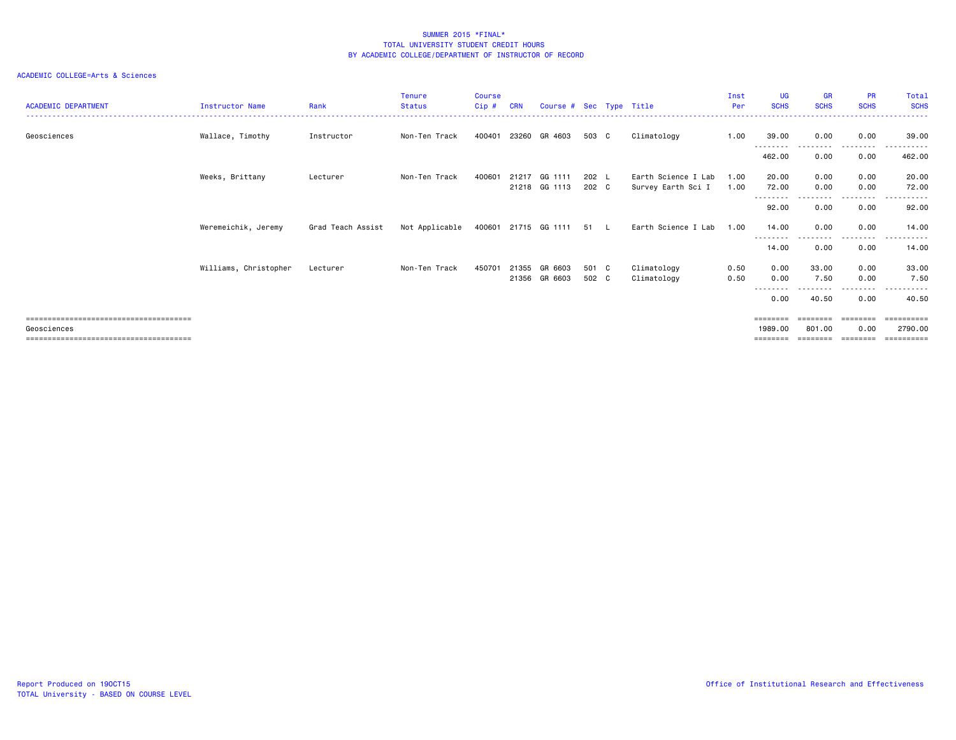| <b>ACADEMIC DEPARTMENT</b> | <b>Instructor Name</b> | Rank              | <b>Tenure</b><br><b>Status</b> | <b>Course</b><br>Cip # | <b>CRN</b> | Course # Sec Type Title   |               |                     | Inst<br>Per | UG<br><b>SCHS</b>  | <b>GR</b><br><b>SCHS</b> | <b>PR</b><br><b>SCHS</b>  | Total<br><b>SCHS</b>  |
|----------------------------|------------------------|-------------------|--------------------------------|------------------------|------------|---------------------------|---------------|---------------------|-------------|--------------------|--------------------------|---------------------------|-----------------------|
| Geosciences                | Wallace, Timothy       | Instructor        | Non-Ten Track                  | 400401                 | 23260      | GR 4603                   | 503 C         | Climatology         | 1.00        | 39.00<br>--------- | 0.00<br>---------        | 0.00<br>- - - - - - - - - | 39.00                 |
|                            |                        |                   |                                |                        |            |                           |               |                     |             | 462.00             | 0.00                     | 0.00                      | 462.00                |
|                            | Weeks, Brittany        | Lecturer          | Non-Ten Track                  | 400601                 | 21217      | GG 1111                   | $202 \quad L$ | Earth Science I Lab | 1.00        | 20.00              | 0.00                     | 0.00                      | 20.00                 |
|                            |                        |                   |                                |                        |            | 21218 GG 1113             | 202 C         | Survey Earth Sci I  | 1.00        | 72.00<br>--------  | 0.00                     | 0.00<br>$\cdots$          | 72.00<br>.            |
|                            |                        |                   |                                |                        |            |                           |               |                     |             | 92.00              | 0.00                     | 0.00                      | 92.00                 |
|                            | Weremeichik, Jeremy    | Grad Teach Assist | Not Applicable                 |                        |            | 400601 21715 GG 1111 51 L |               | Earth Science I Lab | 1.00        | 14.00<br>--------  | 0.00<br>---------        | 0.00<br>.                 | 14.00<br>.            |
|                            |                        |                   |                                |                        |            |                           |               |                     |             | 14.00              | 0.00                     | 0.00                      | 14.00                 |
|                            | Williams, Christopher  | Lecturer          | Non-Ten Track                  | 450701                 | 21355      | GR 6603                   | 501 C         | Climatology         | 0.50        | 0.00               | 33.00                    | 0.00                      | 33.00                 |
|                            |                        |                   |                                |                        | 21356      | GR 6603                   | 502 C         | Climatology         | 0.50        | 0.00               | 7.50                     | 0.00                      | 7.50                  |
|                            |                        |                   |                                |                        |            |                           |               |                     |             | ----<br>0.00       | 40.50                    | .<br>0.00                 | .<br>40.50            |
|                            |                        |                   |                                |                        |            |                           |               |                     |             | ========           | $=$ = = = = = = =        | ========                  | ==========            |
| Geosciences                |                        |                   |                                |                        |            |                           |               |                     |             | 1989.00            | 801.00                   | 0.00                      | 2790.00               |
|                            |                        |                   |                                |                        |            |                           |               |                     |             |                    |                          |                           | $=$ = = = = = = = = = |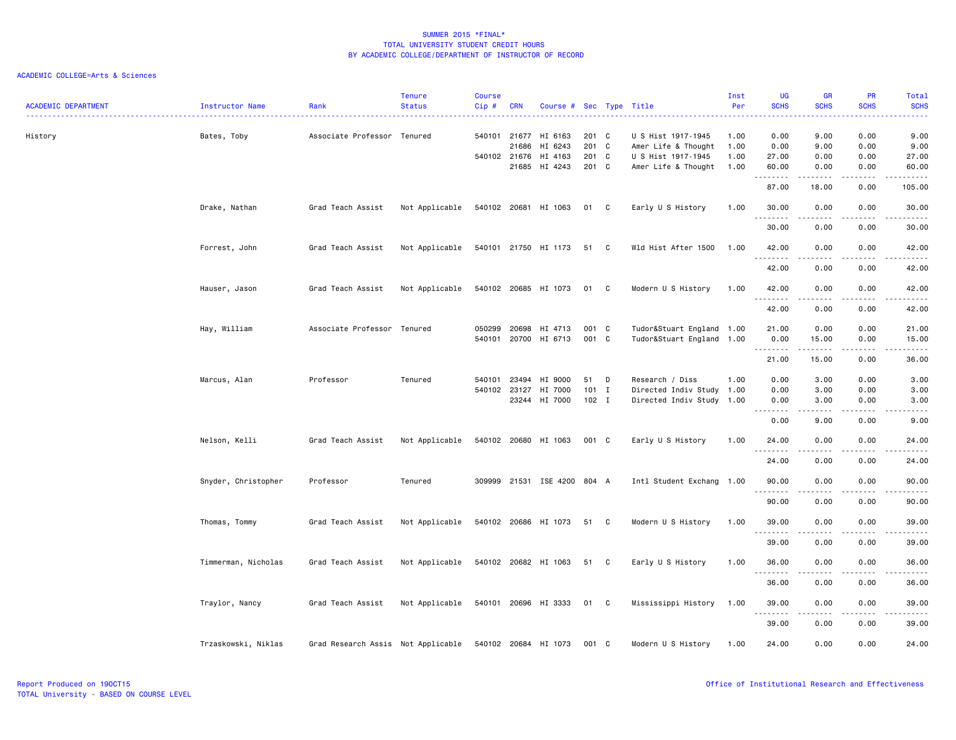| <b>ACADEMIC DEPARTMENT</b> | Instructor Name     | Rank                               | <b>Tenure</b><br><b>Status</b> | <b>Course</b><br>Cip# | CRN                   | Course # Sec Type Title     |                |              |                                           | Inst<br>Per  | <b>UG</b><br><b>SCHS</b>          | <b>GR</b><br><b>SCHS</b>                                                                                                                             | <b>PR</b><br><b>SCHS</b> | Total<br><b>SCHS</b>                                                                                                                                         |
|----------------------------|---------------------|------------------------------------|--------------------------------|-----------------------|-----------------------|-----------------------------|----------------|--------------|-------------------------------------------|--------------|-----------------------------------|------------------------------------------------------------------------------------------------------------------------------------------------------|--------------------------|--------------------------------------------------------------------------------------------------------------------------------------------------------------|
| History                    | Bates, Toby         | Associate Professor Tenured        |                                |                       | 540101 21677<br>21686 | HI 6163<br>HI 6243          | 201 C<br>201   | $\mathbf{C}$ | U S Hist 1917-1945<br>Amer Life & Thought | 1.00<br>1.00 | 0.00<br>0.00                      | 9.00<br>9.00                                                                                                                                         | 0.00<br>0.00             | 9.00<br>9.00                                                                                                                                                 |
|                            |                     |                                    |                                |                       | 540102 21676<br>21685 | HI 4163<br>HI 4243          | 201 C<br>201 C |              | U S Hist 1917-1945<br>Amer Life & Thought | 1.00<br>1.00 | 27.00<br>60.00                    | 0.00<br>0.00                                                                                                                                         | 0.00<br>0.00             | 27.00<br>60.00                                                                                                                                               |
|                            |                     |                                    |                                |                       |                       |                             |                |              |                                           |              | --------                          | $\frac{1}{2} \left( \frac{1}{2} \right) \left( \frac{1}{2} \right) \left( \frac{1}{2} \right) \left( \frac{1}{2} \right) \left( \frac{1}{2} \right)$ | .                        | .                                                                                                                                                            |
|                            |                     |                                    |                                |                       |                       |                             |                |              |                                           |              | 87.00                             | 18.00                                                                                                                                                | 0.00                     | 105.00                                                                                                                                                       |
|                            | Drake, Nathan       | Grad Teach Assist                  | Not Applicable                 |                       |                       | 540102 20681 HI 1063        | 01 C           |              | Early U S History                         | 1.00         | 30.00<br>.                        | 0.00                                                                                                                                                 | 0.00                     | 30.00                                                                                                                                                        |
|                            |                     |                                    |                                |                       |                       |                             |                |              |                                           |              | 30.00                             | 0.00                                                                                                                                                 | 0.00                     | 30.00                                                                                                                                                        |
|                            | Forrest, John       | Grad Teach Assist                  | Not Applicable                 |                       |                       | 540101 21750 HI 1173        | 51 C           |              | Wld Hist After 1500                       | 1.00         | 42.00                             | 0.00                                                                                                                                                 | 0.00                     | 42.00                                                                                                                                                        |
|                            |                     |                                    |                                |                       |                       |                             |                |              |                                           |              | .<br>42.00                        | .<br>0.00                                                                                                                                            | $- - - -$<br>0.00        | .<br>42.00                                                                                                                                                   |
|                            |                     |                                    |                                |                       |                       |                             |                |              |                                           |              |                                   |                                                                                                                                                      |                          |                                                                                                                                                              |
|                            | Hauser, Jason       | Grad Teach Assist                  | Not Applicable                 |                       |                       | 540102 20685 HI 1073        | 01 C           |              | Modern U S History                        | 1.00         | 42.00<br>.                        | 0.00<br>.                                                                                                                                            | 0.00<br>.                | 42.00<br>.                                                                                                                                                   |
|                            |                     |                                    |                                |                       |                       |                             |                |              |                                           |              | 42.00                             | 0.00                                                                                                                                                 | 0.00                     | 42.00                                                                                                                                                        |
|                            | Hay, William        | Associate Professor Tenured        |                                | 050299                | 20698                 | HI 4713                     | 001 C          |              | Tudor&Stuart England 1.00                 |              | 21.00                             | 0.00                                                                                                                                                 | 0.00                     | 21.00                                                                                                                                                        |
|                            |                     |                                    |                                |                       |                       | 540101 20700 HI 6713        | 001 C          |              | Tudor&Stuart England 1.00                 |              | 0.00<br>.                         | 15.00<br>.                                                                                                                                           | 0.00<br>.                | 15.00<br>.                                                                                                                                                   |
|                            |                     |                                    |                                |                       |                       |                             |                |              |                                           |              | 21.00                             | 15.00                                                                                                                                                | 0.00                     | 36.00                                                                                                                                                        |
|                            | Marcus, Alan        | Professor                          | Tenured                        | 540101                | 23494                 | HI 9000                     | 51             | D            | Research / Diss                           | 1.00         | 0.00                              | 3.00                                                                                                                                                 | 0.00                     | 3.00                                                                                                                                                         |
|                            |                     |                                    |                                |                       | 540102 23127          | HI 7000                     | 101 I          |              | Directed Indiv Study 1.00                 |              | 0.00                              | 3.00                                                                                                                                                 | 0.00                     | 3.00                                                                                                                                                         |
|                            |                     |                                    |                                |                       | 23244                 | HI 7000                     | $102$ I        |              | Directed Indiv Study 1.00                 |              | 0.00<br>.<br>$\sim$ $\sim$ $\sim$ | 3.00<br>.                                                                                                                                            | 0.00<br>بالمحامر         | 3.00<br>$\frac{1}{2} \left( \frac{1}{2} \right) \left( \frac{1}{2} \right) \left( \frac{1}{2} \right) \left( \frac{1}{2} \right) \left( \frac{1}{2} \right)$ |
|                            |                     |                                    |                                |                       |                       |                             |                |              |                                           |              | 0.00                              | 9.00                                                                                                                                                 | 0.00                     | 9.00                                                                                                                                                         |
|                            | Nelson, Kelli       | Grad Teach Assist                  | Not Applicable                 |                       |                       | 540102 20680 HI 1063        | 001 C          |              | Early U S History                         | 1.00         | 24.00                             | 0.00                                                                                                                                                 | 0.00                     | 24.00                                                                                                                                                        |
|                            |                     |                                    |                                |                       |                       |                             |                |              |                                           |              | <u>.</u><br>24.00                 | 0.00                                                                                                                                                 | 0.00                     | .<br>24.00                                                                                                                                                   |
|                            |                     |                                    |                                |                       |                       |                             |                |              |                                           |              |                                   |                                                                                                                                                      |                          |                                                                                                                                                              |
|                            | Snyder, Christopher | Professor                          | Tenured                        |                       |                       | 309999 21531 ISE 4200 804 A |                |              | Intl Student Exchang 1.00                 |              | 90.00<br><u>.</u>                 | 0.00<br>.                                                                                                                                            | 0.00<br>.                | 90.00<br>.                                                                                                                                                   |
|                            |                     |                                    |                                |                       |                       |                             |                |              |                                           |              | 90.00                             | 0.00                                                                                                                                                 | 0.00                     | 90.00                                                                                                                                                        |
|                            | Thomas, Tommy       | Grad Teach Assist                  | Not Applicable                 |                       |                       | 540102 20686 HI 1073        | 51 C           |              | Modern U S History                        | 1.00         | 39.00                             | 0.00                                                                                                                                                 | 0.00                     | 39.00                                                                                                                                                        |
|                            |                     |                                    |                                |                       |                       |                             |                |              |                                           |              | .<br>39.00                        | 0.00                                                                                                                                                 | 0.00                     | $\frac{1}{2}$<br>39.00                                                                                                                                       |
|                            |                     |                                    |                                |                       |                       |                             |                |              |                                           |              |                                   |                                                                                                                                                      |                          |                                                                                                                                                              |
|                            | Timmerman, Nicholas | Grad Teach Assist                  | Not Applicable                 |                       |                       | 540102 20682 HI 1063        | 51 C           |              | Early U S History                         | 1.00         | 36.00<br>. <b>.</b>               | 0.00                                                                                                                                                 | 0.00<br>$- - - -$        | 36.00<br>$\frac{1}{2}$                                                                                                                                       |
|                            |                     |                                    |                                |                       |                       |                             |                |              |                                           |              | 36.00                             | 0.00                                                                                                                                                 | 0.00                     | 36.00                                                                                                                                                        |
|                            | Traylor, Nancy      | Grad Teach Assist                  | Not Applicable                 |                       |                       | 540101 20696 HI 3333 01 C   |                |              | Mississippi History                       | 1.00         | 39.00                             | 0.00                                                                                                                                                 | 0.00                     | 39.00                                                                                                                                                        |
|                            |                     |                                    |                                |                       |                       |                             |                |              |                                           |              | .<br>39.00                        | .<br>0.00                                                                                                                                            | .<br>0.00                | .<br>39.00                                                                                                                                                   |
|                            |                     |                                    |                                |                       |                       |                             |                |              |                                           |              |                                   |                                                                                                                                                      |                          |                                                                                                                                                              |
|                            | Trzaskowski, Niklas | Grad Research Assis Not Applicable |                                |                       |                       | 540102 20684 HI 1073        | 001 C          |              | Modern U S History                        | 1.00         | 24.00                             | 0.00                                                                                                                                                 | 0.00                     | 24.00                                                                                                                                                        |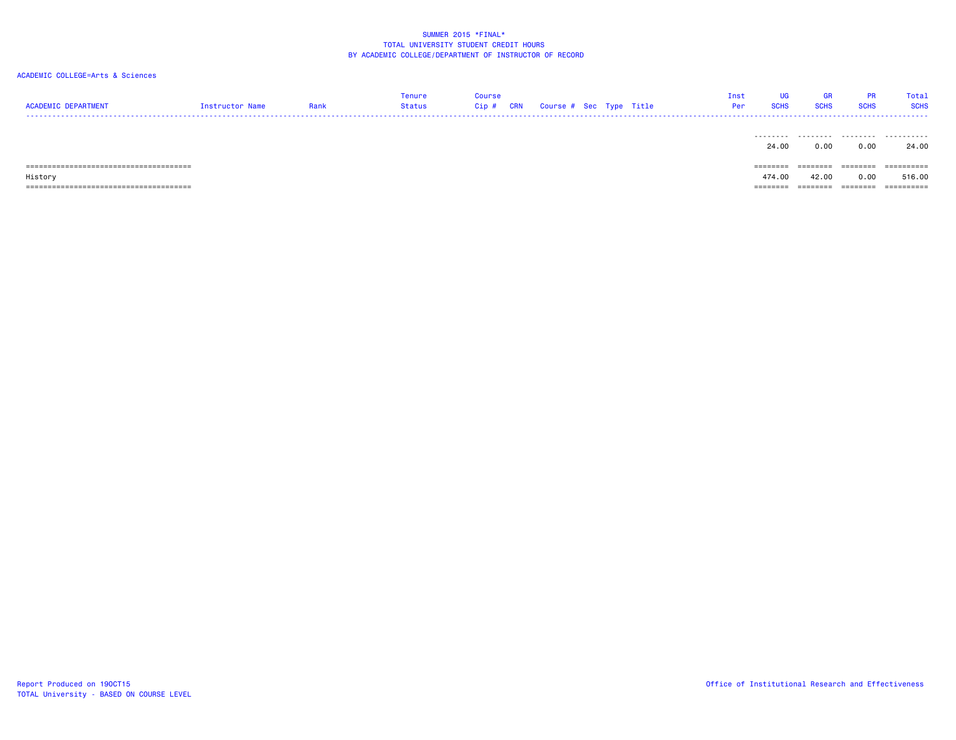| <b>ACADEMIC DEPARTMENT</b> | Instructor Name | Rank | Tenure<br>Status | <b>Course</b><br>Cip# | CRN | Course # Sec Type Title |  | Inst<br>Per | <b>UG</b><br><b>SCHS</b> | GR<br><b>SCHS</b> | <b>PR</b><br><b>SCHS</b> | Total<br><b>SCHS</b> |
|----------------------------|-----------------|------|------------------|-----------------------|-----|-------------------------|--|-------------|--------------------------|-------------------|--------------------------|----------------------|
|                            |                 |      |                  |                       |     |                         |  |             | 24.00                    | <br>0.00          | 0.00                     | 24.00                |
|                            |                 |      |                  |                       |     |                         |  |             | ========                 | ========          | --------                 | ==========           |
| History                    |                 |      |                  |                       |     |                         |  |             | 474.00                   | 42.00             | 0.00                     | 516.00               |
|                            |                 |      |                  |                       |     |                         |  |             | ========                 | ========          | ========                 | ==========           |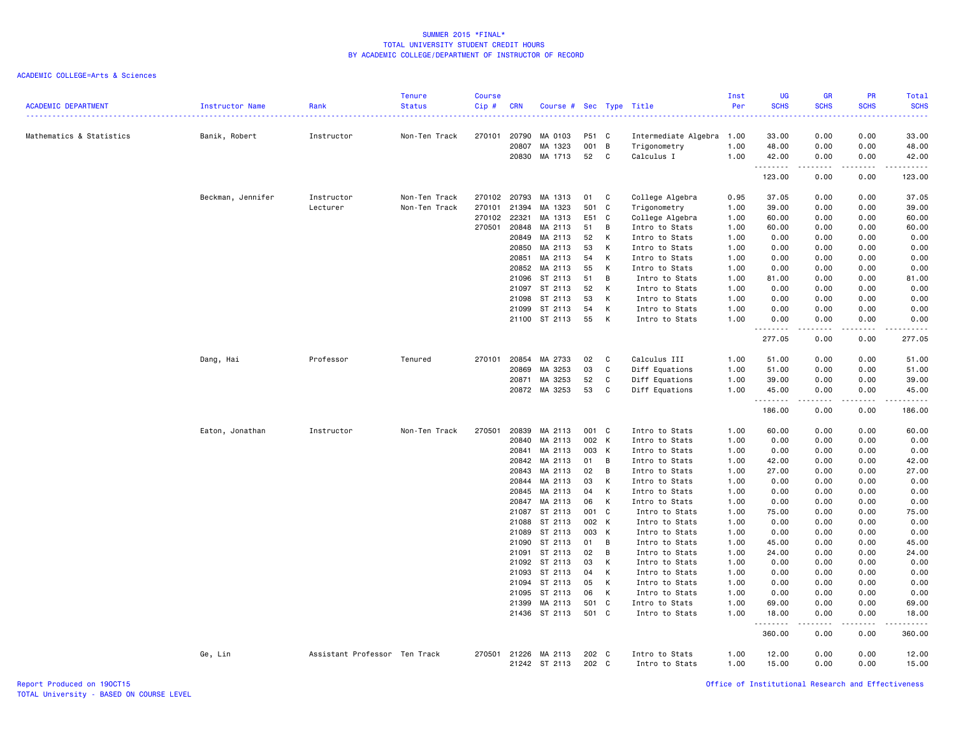# ACADEMIC COLLEGE=Arts & Sciences

| <b>ACADEMIC DEPARTMENT</b> | Instructor Name   | Rank                          | <b>Tenure</b><br><b>Status</b> | <b>Course</b><br>Cip# | <b>CRN</b>     | Course # Sec Type Title  |                |        | . <u>.</u>                       | Inst<br>Per  | <b>UG</b><br><b>SCHS</b> | GR<br><b>SCHS</b> | PR<br><b>SCHS</b> | Total<br><b>SCHS</b><br>. |
|----------------------------|-------------------|-------------------------------|--------------------------------|-----------------------|----------------|--------------------------|----------------|--------|----------------------------------|--------------|--------------------------|-------------------|-------------------|---------------------------|
| Mathematics & Statistics   | Banik, Robert     | Instructor                    | Non-Ten Track                  | 270101 20790          |                | MA 0103                  | P51 C          |        | Intermediate Algebra 1.00        |              | 33.00                    | 0.00              | 0.00              | 33.00                     |
|                            |                   |                               |                                |                       | 20807<br>20830 | MA 1323<br>MA 1713       | 001<br>52      | B<br>C | Trigonometry<br>Calculus I       | 1.00<br>1.00 | 48.00<br>42.00           | 0.00<br>0.00      | 0.00<br>0.00      | 48.00<br>42.00            |
|                            |                   |                               |                                |                       |                |                          |                |        |                                  |              | .<br>123.00              | <b>.</b><br>0.00  | .<br>0.00         | .<br>123.00               |
|                            | Beckman, Jennifer | Instructor<br>Lecturer        | Non-Ten Track<br>Non-Ten Track | 270102<br>270101      | 20793<br>21394 | MA 1313<br>MA 1323       | 01<br>501      | C<br>C | College Algebra<br>Trigonometry  | 0.95<br>1.00 | 37.05<br>39.00           | 0.00<br>0.00      | 0.00<br>0.00      | 37.05<br>39.00            |
|                            |                   |                               |                                | 270102                | 22321          | MA 1313                  | E51            | C      | College Algebra                  | 1.00         | 60.00                    | 0.00              | 0.00              | 60.00                     |
|                            |                   |                               |                                | 270501                | 20848          | MA 2113                  | 51             | В      | Intro to Stats                   | 1.00         | 60.00                    | 0.00              | 0.00              | 60.00                     |
|                            |                   |                               |                                |                       | 20849          | MA 2113                  | 52             | K      | Intro to Stats                   | 1.00         | 0.00                     | 0.00              | 0.00              | 0.00                      |
|                            |                   |                               |                                |                       | 20850          | MA 2113                  | 53             | K      | Intro to Stats                   | 1.00         | 0.00                     | 0.00              | 0.00              | 0.00                      |
|                            |                   |                               |                                |                       | 20851          | MA 2113                  | 54             | K      | Intro to Stats                   | 1.00         | 0.00                     | 0.00              | 0.00              | 0.00                      |
|                            |                   |                               |                                |                       | 20852          | MA 2113                  | 55             | K      | Intro to Stats                   | 1.00         | 0.00                     | 0.00              | 0.00              | 0.00                      |
|                            |                   |                               |                                |                       | 21096          | ST 2113                  | 51             | B      | Intro to Stats                   | 1.00         | 81.00                    | 0.00              | 0.00              | 81.00                     |
|                            |                   |                               |                                |                       | 21097          | ST 2113                  | 52             | K      | Intro to Stats                   | 1.00         | 0.00                     | 0.00              | 0.00              | 0.00                      |
|                            |                   |                               |                                |                       | 21098          | ST 2113                  | 53             | К      | Intro to Stats                   | 1.00         | 0.00                     | 0.00              | 0.00              | 0.00                      |
|                            |                   |                               |                                |                       | 21099          | ST 2113                  | 54             | К      | Intro to Stats                   | 1.00         | 0.00                     | 0.00              | 0.00              | 0.00                      |
|                            |                   |                               |                                |                       |                | 21100 ST 2113            | 55             | К      | Intro to Stats                   | 1.00         | 0.00<br>--------         | 0.00<br>.         | 0.00<br>.         | 0.00<br>.                 |
|                            |                   |                               |                                |                       |                |                          |                |        |                                  |              | 277.05                   | 0.00              | 0.00              | 277.05                    |
|                            | Dang, Hai         | Professor                     | Tenured                        | 270101                | 20854          | MA 2733                  | 02             | C      | Calculus III                     | 1.00         | 51.00                    | 0.00              | 0.00              | 51.00                     |
|                            |                   |                               |                                |                       | 20869          | MA 3253                  | 03             | C      | Diff Equations                   | 1.00         | 51.00                    | 0.00              | 0.00              | 51.00                     |
|                            |                   |                               |                                |                       | 20871          | MA 3253                  | 52             | C      | Diff Equations                   | 1.00         | 39.00                    | 0.00              | 0.00              | 39.00                     |
|                            |                   |                               |                                |                       | 20872          | MA 3253                  | 53             | C      | Diff Equations                   | 1.00         | 45.00<br>.               | 0.00<br>.         | 0.00<br>.         | 45.00<br>.                |
|                            |                   |                               |                                |                       |                |                          |                |        |                                  |              | 186.00                   | 0.00              | 0.00              | 186.00                    |
|                            | Eaton, Jonathan   | Instructor                    | Non-Ten Track                  | 270501                | 20839          | MA 2113                  | 001            | C      | Intro to Stats                   | 1.00         | 60.00                    | 0.00              | 0.00              | 60.00                     |
|                            |                   |                               |                                |                       | 20840          | MA 2113                  | 002 K          |        | Intro to Stats                   | 1.00         | 0.00                     | 0.00              | 0.00              | 0.00                      |
|                            |                   |                               |                                |                       | 20841          | MA 2113                  | 003            | К      | Intro to Stats                   | 1.00         | 0.00                     | 0.00              | 0.00              | 0.00                      |
|                            |                   |                               |                                |                       | 20842          | MA 2113                  | 01             | B      | Intro to Stats                   | 1.00         | 42.00                    | 0.00              | 0.00              | 42.00                     |
|                            |                   |                               |                                |                       | 20843          | MA 2113                  | 02             | B      | Intro to Stats                   | 1.00         | 27.00                    | 0.00              | 0.00              | 27.00                     |
|                            |                   |                               |                                |                       | 20844          | MA 2113                  | 03             | К      | Intro to Stats                   | 1.00         | 0.00                     | 0.00              | 0.00              | 0.00                      |
|                            |                   |                               |                                |                       | 20845          | MA 2113<br>MA 2113       | 04             | К<br>K | Intro to Stats                   | 1.00         | 0.00                     | 0.00              | 0.00              | 0.00                      |
|                            |                   |                               |                                |                       | 20847<br>21087 | ST 2113                  | 06<br>001      | C      | Intro to Stats<br>Intro to Stats | 1.00<br>1.00 | 0.00<br>75.00            | 0.00<br>0.00      | 0.00<br>0.00      | 0.00<br>75.00             |
|                            |                   |                               |                                |                       | 21088          | ST 2113                  | 002 K          |        | Intro to Stats                   | 1.00         | 0.00                     | 0.00              | 0.00              | 0.00                      |
|                            |                   |                               |                                |                       | 21089          | ST 2113                  | 003            | К      | Intro to Stats                   | 1.00         | 0.00                     | 0.00              | 0.00              | 0.00                      |
|                            |                   |                               |                                |                       | 21090          | ST 2113                  | 01             | B      | Intro to Stats                   | 1.00         | 45.00                    | 0.00              | 0.00              | 45.00                     |
|                            |                   |                               |                                |                       | 21091          | ST 2113                  | 02             | B      | Intro to Stats                   | 1.00         | 24.00                    | 0.00              | 0.00              | 24.00                     |
|                            |                   |                               |                                |                       | 21092          | ST 2113                  | 03             | К      | Intro to Stats                   | 1.00         | 0.00                     | 0.00              | 0.00              | 0.00                      |
|                            |                   |                               |                                |                       | 21093          | ST 2113                  | 04             | К      | Intro to Stats                   | 1.00         | 0.00                     | 0.00              | 0.00              | 0.00                      |
|                            |                   |                               |                                |                       | 21094          | ST 2113                  | 05             | К      | Intro to Stats                   | 1.00         | 0.00                     | 0.00              | 0.00              | 0.00                      |
|                            |                   |                               |                                |                       | 21095          | ST 2113                  | 06             | К      | Intro to Stats                   | 1.00         | 0.00                     | 0.00              | 0.00              | 0.00                      |
|                            |                   |                               |                                |                       | 21399          | MA 2113                  | 501            | C      | Intro to Stats                   | 1.00         | 69.00                    | 0.00              | 0.00              | 69.00                     |
|                            |                   |                               |                                |                       |                | 21436 ST 2113            | 501 C          |        | Intro to Stats                   | 1.00         | 18.00<br>.               | 0.00<br><b>.</b>  | 0.00<br>.         | 18.00<br>.                |
|                            |                   |                               |                                |                       |                |                          |                |        |                                  |              | 360.00                   | 0.00              | 0.00              | 360.00                    |
|                            | Ge, Lin           | Assistant Professor Ten Track |                                | 270501                | 21226          | MA 2113<br>21242 ST 2113 | 202 C<br>202 C |        | Intro to Stats<br>Intro to Stats | 1.00<br>1.00 | 12.00<br>15.00           | 0.00<br>0.00      | 0.00<br>0.00      | 12.00<br>15.00            |

Report Produced on 19OCT15 Office of Institutional Research and Effectiveness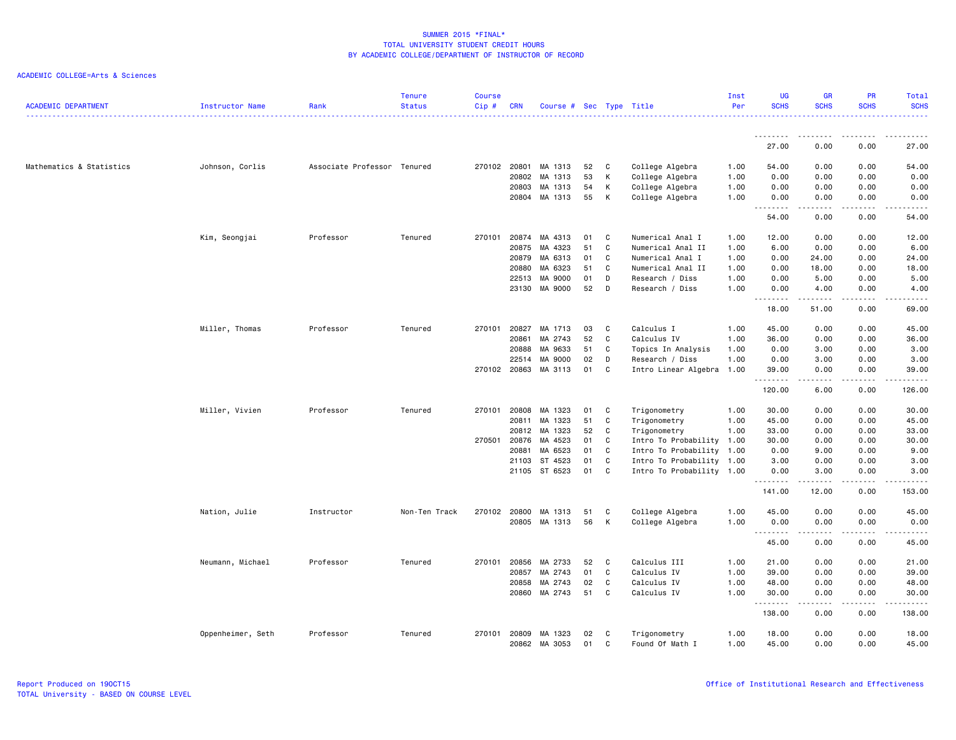| <b>ACADEMIC DEPARTMENT</b> | <b>Instructor Name</b> | Rank                        | <b>Tenure</b><br><b>Status</b> | <b>Course</b><br>Cip# | <b>CRN</b> | Course # Sec Type Title |    |              |                           | Inst<br>Per | <b>UG</b><br><b>SCHS</b> | <b>GR</b><br><b>SCHS</b> | PR<br><b>SCHS</b> | Total<br><b>SCHS</b><br>.                                                                                                                                     |
|----------------------------|------------------------|-----------------------------|--------------------------------|-----------------------|------------|-------------------------|----|--------------|---------------------------|-------------|--------------------------|--------------------------|-------------------|---------------------------------------------------------------------------------------------------------------------------------------------------------------|
|                            |                        |                             |                                |                       |            |                         |    |              |                           |             | --------                 |                          |                   |                                                                                                                                                               |
|                            |                        |                             |                                |                       |            |                         |    |              |                           |             | 27.00                    | 0.00                     | 0.00              | 27.00                                                                                                                                                         |
| Mathematics & Statistics   | Johnson, Corlis        | Associate Professor Tenured |                                | 270102 20801          |            | MA 1313                 | 52 | C            | College Algebra           | 1.00        | 54.00                    | 0.00                     | 0.00              | 54.00                                                                                                                                                         |
|                            |                        |                             |                                |                       | 20802      | MA 1313                 | 53 | К            | College Algebra           | 1.00        | 0.00                     | 0.00                     | 0.00              | 0.00                                                                                                                                                          |
|                            |                        |                             |                                |                       | 20803      | MA 1313                 | 54 | К            | College Algebra           | 1.00        | 0.00                     | 0.00                     | 0.00              | 0.00                                                                                                                                                          |
|                            |                        |                             |                                |                       |            | 20804 MA 1313           | 55 | К            | College Algebra           | 1.00        | 0.00                     | 0.00<br>-----            | 0.00<br>.         | 0.00<br>$\frac{1}{2} \left( \frac{1}{2} \right) \left( \frac{1}{2} \right) \left( \frac{1}{2} \right) \left( \frac{1}{2} \right) \left( \frac{1}{2} \right)$  |
|                            |                        |                             |                                |                       |            |                         |    |              |                           |             | 54.00                    | 0.00                     | 0.00              | 54.00                                                                                                                                                         |
|                            | Kim, Seongjai          | Professor                   | Tenured                        | 270101                | 20874      | MA 4313                 | 01 | C            | Numerical Anal I          | 1.00        | 12.00                    | 0.00                     | 0.00              | 12.00                                                                                                                                                         |
|                            |                        |                             |                                |                       | 20875      | MA 4323                 | 51 | $\mathtt{C}$ | Numerical Anal II         | 1.00        | 6.00                     | 0.00                     | 0.00              | 6.00                                                                                                                                                          |
|                            |                        |                             |                                |                       | 20879      | MA 6313                 | 01 | $\mathtt{C}$ | Numerical Anal I          | 1.00        | 0.00                     | 24.00                    | 0.00              | 24.00                                                                                                                                                         |
|                            |                        |                             |                                |                       | 20880      | MA 6323                 | 51 | C            | Numerical Anal II         | 1.00        | 0.00                     | 18.00                    | 0.00              | 18.00                                                                                                                                                         |
|                            |                        |                             |                                |                       | 22513      | MA 9000                 | 01 | D            | Research / Diss           | 1.00        | 0.00                     | 5.00                     | 0.00              | 5.00                                                                                                                                                          |
|                            |                        |                             |                                |                       |            | 23130 MA 9000           | 52 | D            | Research / Diss           | 1.00        | 0.00<br>.                | 4.00<br>$- - - - -$      | 0.00<br>.         | 4.00<br>22222                                                                                                                                                 |
|                            |                        |                             |                                |                       |            |                         |    |              |                           |             | 18.00                    | 51.00                    | 0.00              | 69.00                                                                                                                                                         |
|                            | Miller, Thomas         | Professor                   | Tenured                        | 270101 20827          |            | MA 1713                 | 03 | C            | Calculus I                | 1.00        | 45.00                    | 0.00                     | 0.00              | 45.00                                                                                                                                                         |
|                            |                        |                             |                                |                       | 20861      | MA 2743                 | 52 | $\mathtt{C}$ | Calculus IV               | 1.00        | 36.00                    | 0.00                     | 0.00              | 36.00                                                                                                                                                         |
|                            |                        |                             |                                |                       | 20888      | MA 9633                 | 51 | C            | Topics In Analysis        | 1.00        | 0.00                     | 3.00                     | 0.00              | 3.00                                                                                                                                                          |
|                            |                        |                             |                                |                       | 22514      | MA 9000                 | 02 | D            | Research / Diss           | 1.00        | 0.00                     | 3.00                     | 0.00              | 3.00                                                                                                                                                          |
|                            |                        |                             |                                |                       |            | 270102 20863 MA 3113    | 01 | C            | Intro Linear Algebra 1.00 |             | 39.00                    | 0.00                     | 0.00              | 39.00                                                                                                                                                         |
|                            |                        |                             |                                |                       |            |                         |    |              |                           |             | .<br>120.00              | -----<br>6.00            | .<br>0.00         | .<br>126.00                                                                                                                                                   |
|                            | Miller, Vivien         | Professor                   | Tenured                        | 270101                | 20808      | MA 1323                 | 01 | C            | Trigonometry              | 1.00        | 30.00                    | 0.00                     | 0.00              | 30.00                                                                                                                                                         |
|                            |                        |                             |                                |                       | 20811      | MA 1323                 | 51 | $\mathtt{C}$ | Trigonometry              | 1.00        | 45.00                    | 0.00                     | 0.00              | 45.00                                                                                                                                                         |
|                            |                        |                             |                                |                       | 20812      | MA 1323                 | 52 | C            | Trigonometry              | 1.00        | 33.00                    | 0.00                     | 0.00              | 33.00                                                                                                                                                         |
|                            |                        |                             |                                | 270501                | 20876      | MA 4523                 | 01 | C            | Intro To Probability      | 1.00        | 30.00                    | 0.00                     | 0.00              | 30.00                                                                                                                                                         |
|                            |                        |                             |                                |                       | 20881      | MA 6523                 | 01 | $\mathtt{C}$ | Intro To Probability 1.00 |             | 0.00                     | 9.00                     | 0.00              | 9.00                                                                                                                                                          |
|                            |                        |                             |                                |                       | 21103      | ST 4523                 | 01 | $\mathbb{C}$ | Intro To Probability 1.00 |             | 3.00                     | 0.00                     | 0.00              | 3.00                                                                                                                                                          |
|                            |                        |                             |                                |                       |            | 21105 ST 6523           | 01 | C            | Intro To Probability 1.00 |             | 0.00<br>.                | 3.00                     | 0.00<br>.         | 3.00<br>.                                                                                                                                                     |
|                            |                        |                             |                                |                       |            |                         |    |              |                           |             | 141.00                   | 12.00                    | 0.00              | 153.00                                                                                                                                                        |
|                            | Nation, Julie          | Instructor                  | Non-Ten Track                  | 270102 20800          |            | MA 1313                 | 51 | C            | College Algebra           | 1.00        | 45.00                    | 0.00                     | 0.00              | 45.00                                                                                                                                                         |
|                            |                        |                             |                                |                       |            | 20805 MA 1313           | 56 | К            | College Algebra           | 1.00        | 0.00                     | 0.00                     | 0.00              | 0.00                                                                                                                                                          |
|                            |                        |                             |                                |                       |            |                         |    |              |                           |             | 45.00                    | 0.00                     | 0.00              | $\frac{1}{2} \left( \frac{1}{2} \right) \left( \frac{1}{2} \right) \left( \frac{1}{2} \right) \left( \frac{1}{2} \right) \left( \frac{1}{2} \right)$<br>45.00 |
|                            | Neumann, Michael       | Professor                   | Tenured                        | 270101                | 20856      | MA 2733                 | 52 | C            | Calculus III              | 1.00        | 21.00                    | 0.00                     | 0.00              | 21.00                                                                                                                                                         |
|                            |                        |                             |                                |                       | 20857      | MA 2743                 | 01 | $\mathtt{C}$ | Calculus IV               | 1.00        | 39.00                    | 0.00                     | 0.00              | 39.00                                                                                                                                                         |
|                            |                        |                             |                                |                       | 20858      | MA 2743                 | 02 | C            | Calculus IV               | 1.00        | 48.00                    | 0.00                     | 0.00              | 48.00                                                                                                                                                         |
|                            |                        |                             |                                |                       |            | 20860 MA 2743           | 51 | C            | Calculus IV               | 1.00        | 30.00<br>. <b>.</b>      | 0.00                     | 0.00<br>.         | 30.00<br>.                                                                                                                                                    |
|                            |                        |                             |                                |                       |            |                         |    |              |                           |             | 138.00                   | -----<br>0.00            | 0.00              | 138.00                                                                                                                                                        |
|                            | Oppenheimer, Seth      | Professor                   | Tenured                        | 270101                | 20809      | MA 1323                 | 02 | C            | Trigonometry              | 1.00        | 18.00                    | 0.00                     | 0.00              | 18.00                                                                                                                                                         |
|                            |                        |                             |                                |                       |            | 20862 MA 3053           | 01 | $\mathbf{C}$ | Found Of Math I           | 1.00        | 45.00                    | 0.00                     | 0.00              | 45.00                                                                                                                                                         |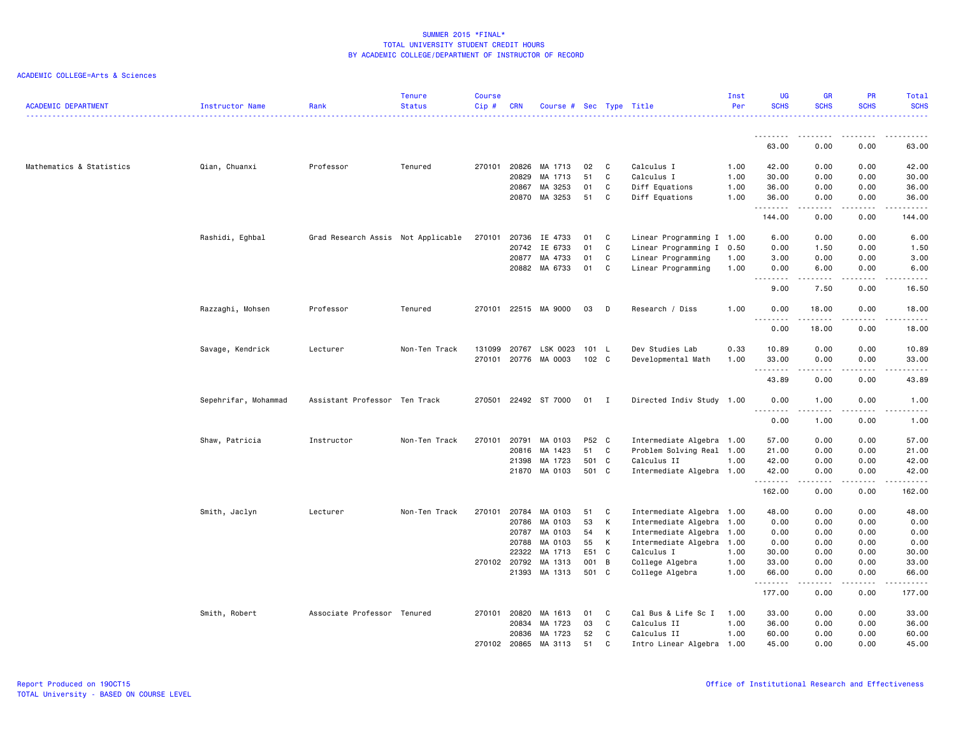| <b>ACADEMIC DEPARTMENT</b> | Instructor Name      | Rank                               | <b>Tenure</b><br><b>Status</b> | <b>Course</b><br>Cip# | <b>CRN</b>   | Course # Sec Type Title |       |                |                           | Inst<br>Per | <b>UG</b><br><b>SCHS</b> | <b>GR</b><br><b>SCHS</b> | <b>PR</b><br><b>SCHS</b> | Total<br><b>SCHS</b>  |
|----------------------------|----------------------|------------------------------------|--------------------------------|-----------------------|--------------|-------------------------|-------|----------------|---------------------------|-------------|--------------------------|--------------------------|--------------------------|-----------------------|
|                            |                      |                                    |                                |                       |              |                         |       |                |                           |             |                          |                          |                          |                       |
|                            |                      |                                    |                                |                       |              |                         |       |                |                           |             | 63.00                    | 0.00                     | 0.00                     | 63.00                 |
| Mathematics & Statistics   | Qian, Chuanxi        | Professor                          | Tenured                        |                       | 270101 20826 | MA 1713                 | 02    | C              | Calculus I                | 1.00        | 42.00                    | 0.00                     | 0.00                     | 42.00                 |
|                            |                      |                                    |                                |                       | 20829        | MA 1713                 | 51    | $\mathbf c$    | Calculus I                | 1.00        | 30.00                    | 0.00                     | 0.00                     | 30.00                 |
|                            |                      |                                    |                                |                       | 20867        | MA 3253                 | 01    | C              | Diff Equations            | 1.00        | 36.00                    | 0.00                     | 0.00                     | 36.00                 |
|                            |                      |                                    |                                |                       | 20870        | MA 3253                 | 51    | C              | Diff Equations            | 1.00        | 36.00<br>.               | 0.00<br><b>.</b>         | 0.00<br>.                | 36.00<br>.            |
|                            |                      |                                    |                                |                       |              |                         |       |                |                           |             | 144.00                   | 0.00                     | 0.00                     | 144.00                |
|                            | Rashidi, Eghbal      | Grad Research Assis Not Applicable |                                | 270101                | 20736        | IE 4733                 | 01    | C              | Linear Programming I 1.00 |             | 6.00                     | 0.00                     | 0.00                     | 6.00                  |
|                            |                      |                                    |                                |                       | 20742        | IE 6733                 | 01    | C              | Linear Programming I 0.50 |             | 0.00                     | 1.50                     | 0.00                     | 1.50                  |
|                            |                      |                                    |                                |                       | 20877        | MA 4733                 | 01    | C              | Linear Programming        | 1.00        | 3.00                     | 0.00                     | 0.00                     | 3.00                  |
|                            |                      |                                    |                                |                       | 20882        | MA 6733                 | 01    | C              | Linear Programming        | 1.00        | 0.00<br>$\sim$ $\sim$ .  | 6.00                     | 0.00                     | 6.00                  |
|                            |                      |                                    |                                |                       |              |                         |       |                |                           |             | 9.00                     | 7.50                     | 0.00                     | 16.50                 |
|                            | Razzaghi, Mohsen     | Professor                          | Tenured                        |                       |              | 270101 22515 MA 9000    | 03    | D              | Research / Diss           | 1.00        | 0.00<br>.                | 18.00<br>.               | 0.00<br>.                | 18.00<br>.            |
|                            |                      |                                    |                                |                       |              |                         |       |                |                           |             | 0.00                     | 18.00                    | 0.00                     | 18.00                 |
|                            | Savage, Kendrick     | Lecturer                           | Non-Ten Track                  | 131099                | 20767        | LSK 0023                | 101 L |                | Dev Studies Lab           | 0.33        | 10.89                    | 0.00                     | 0.00                     | 10.89                 |
|                            |                      |                                    |                                | 270101                | 20776        | MA 0003                 | 102 C |                | Developmental Math        | 1.00        | 33.00<br>$-$             | 0.00                     | 0.00                     | 33.00                 |
|                            |                      |                                    |                                |                       |              |                         |       |                |                           |             | 43.89                    | 0.00                     | 0.00                     | 43.89                 |
|                            | Sepehrifar, Mohammad | Assistant Professor Ten Track      |                                | 270501                |              | 22492 ST 7000           | 01    | $\blacksquare$ | Directed Indiv Study 1.00 |             | 0.00<br>.                | 1.00<br><u>.</u>         | 0.00<br>.                | 1.00<br>$\frac{1}{2}$ |
|                            |                      |                                    |                                |                       |              |                         |       |                |                           |             | 0.00                     | 1.00                     | 0.00                     | 1.00                  |
|                            | Shaw, Patricia       | Instructor                         | Non-Ten Track                  | 270101                | 20791        | MA 0103                 | P52 C |                | Intermediate Algebra 1.00 |             | 57.00                    | 0.00                     | 0.00                     | 57.00                 |
|                            |                      |                                    |                                |                       | 20816        | MA 1423                 | 51    | C              | Problem Solving Real 1.00 |             | 21.00                    | 0.00                     | 0.00                     | 21.00                 |
|                            |                      |                                    |                                |                       | 21398        | MA 1723                 | 501   | $\mathbf{C}$   | Calculus II               | 1.00        | 42.00                    | 0.00                     | 0.00                     | 42.00                 |
|                            |                      |                                    |                                |                       | 21870        | MA 0103                 | 501 C |                | Intermediate Algebra 1.00 |             | 42.00<br>.               | 0.00<br>.                | 0.00<br>.                | 42.00<br>.            |
|                            |                      |                                    |                                |                       |              |                         |       |                |                           |             | 162.00                   | 0.00                     | 0.00                     | 162.00                |
|                            | Smith, Jaclyn        | Lecturer                           | Non-Ten Track                  |                       | 270101 20784 | MA 0103                 | 51    | C              | Intermediate Algebra 1.00 |             | 48.00                    | 0.00                     | 0.00                     | 48.00                 |
|                            |                      |                                    |                                |                       | 20786        | MA 0103                 | 53    | к              | Intermediate Algebra 1.00 |             | 0.00                     | 0.00                     | 0.00                     | 0.00                  |
|                            |                      |                                    |                                |                       | 20787        | MA 0103                 | 54    | K              | Intermediate Algebra 1.00 |             | 0.00                     | 0.00                     | 0.00                     | 0.00                  |
|                            |                      |                                    |                                |                       | 20788        | MA 0103                 | 55    | K              | Intermediate Algebra 1.00 |             | 0.00                     | 0.00                     | 0.00                     | 0.00                  |
|                            |                      |                                    |                                |                       | 22322        | MA 1713                 | E51   | C              | Calculus I                | 1.00        | 30.00                    | 0.00                     | 0.00                     | 30.00                 |
|                            |                      |                                    |                                |                       | 270102 20792 | MA 1313                 | 001   | $\overline{B}$ | College Algebra           | 1.00        | 33.00                    | 0.00                     | 0.00                     | 33.00                 |
|                            |                      |                                    |                                |                       | 21393        | MA 1313                 | 501 C |                | College Algebra           | 1.00        | 66.00<br><u>.</u>        | 0.00<br>.                | 0.00<br>.                | 66.00<br>.            |
|                            |                      |                                    |                                |                       |              |                         |       |                |                           |             | 177.00                   | 0.00                     | 0.00                     | 177.00                |
|                            | Smith, Robert        | Associate Professor Tenured        |                                | 270101                | 20820        | MA 1613                 | 01    | C              | Cal Bus & Life Sc I       | 1.00        | 33.00                    | 0.00                     | 0.00                     | 33.00                 |
|                            |                      |                                    |                                |                       | 20834        | MA 1723                 | 03    | $\mathtt{C}$   | Calculus II               | 1.00        | 36.00                    | 0.00                     | 0.00                     | 36.00                 |
|                            |                      |                                    |                                |                       | 20836        | MA 1723                 | 52    | C              | Calculus II               | 1.00        | 60.00                    | 0.00                     | 0.00                     | 60.00                 |
|                            |                      |                                    |                                | 270102                | 20865        | MA 3113                 | 51    | C.             | Intro Linear Algebra 1.00 |             | 45.00                    | 0.00                     | 0.00                     | 45.00                 |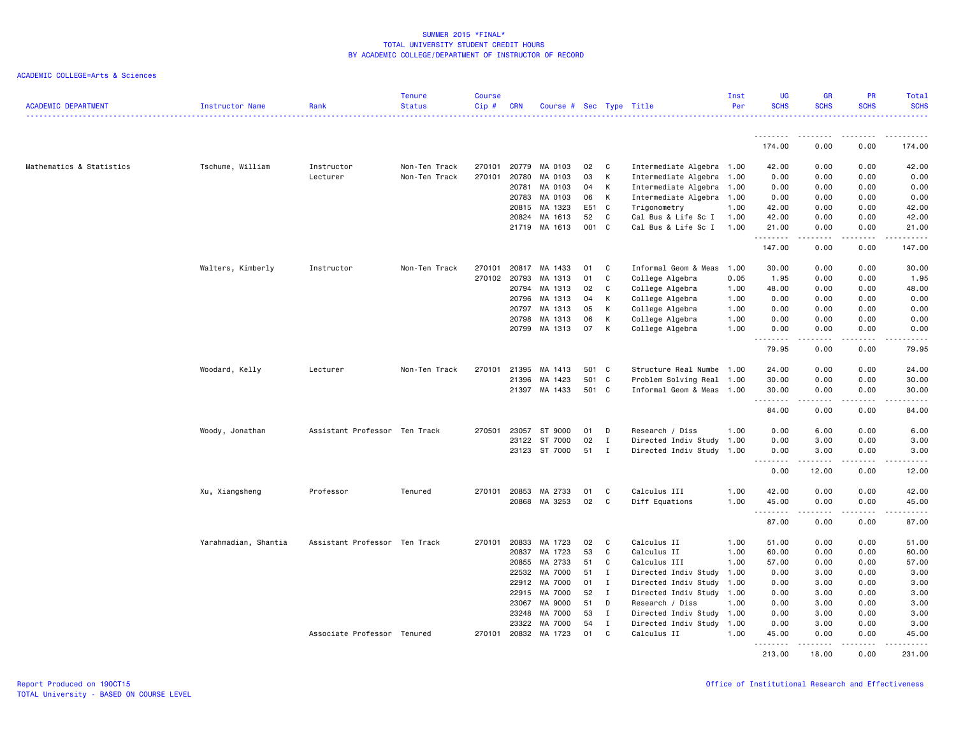| <b>ACADEMIC DEPARTMENT</b> | Instructor Name      | Rank                          | <b>Tenure</b><br><b>Status</b> | <b>Course</b><br>Cip# | <b>CRN</b>   | Course # Sec Type Title |       |              |                           | Inst<br>Per | UG<br><b>SCHS</b> | <b>GR</b><br><b>SCHS</b>                                                                                                                                      | PR<br><b>SCHS</b>     | Total<br><b>SCHS</b><br>.                                                                                                                                     |
|----------------------------|----------------------|-------------------------------|--------------------------------|-----------------------|--------------|-------------------------|-------|--------------|---------------------------|-------------|-------------------|---------------------------------------------------------------------------------------------------------------------------------------------------------------|-----------------------|---------------------------------------------------------------------------------------------------------------------------------------------------------------|
|                            |                      |                               |                                |                       |              |                         |       |              |                           |             | <u>.</u>          | .                                                                                                                                                             | .                     |                                                                                                                                                               |
|                            |                      |                               |                                |                       |              |                         |       |              |                           |             | 174.00            | 0.00                                                                                                                                                          | 0.00                  | 174.00                                                                                                                                                        |
| Mathematics & Statistics   | Tschume, William     | Instructor                    | Non-Ten Track                  | 270101                | 20779        | MA 0103                 | 02    | C            | Intermediate Algebra 1.00 |             | 42.00             | 0.00                                                                                                                                                          | 0.00                  | 42.00                                                                                                                                                         |
|                            |                      | Lecturer                      | Non-Ten Track                  | 270101                | 20780        | MA 0103                 | 03    | K            | Intermediate Algebra 1.00 |             | 0.00              | 0.00                                                                                                                                                          | 0.00                  | 0.00                                                                                                                                                          |
|                            |                      |                               |                                |                       | 20781        | MA 0103                 | 04    | K            | Intermediate Algebra 1.00 |             | 0.00              | 0.00                                                                                                                                                          | 0.00                  | 0.00                                                                                                                                                          |
|                            |                      |                               |                                |                       | 20783        | MA 0103                 | 06    | K            | Intermediate Algebra 1.00 |             | 0.00              | 0.00                                                                                                                                                          | 0.00                  | 0.00                                                                                                                                                          |
|                            |                      |                               |                                |                       | 20815        | MA 1323                 | E51 C |              | Trigonometry              | 1.00        | 42.00             | 0.00                                                                                                                                                          | 0.00                  | 42.00                                                                                                                                                         |
|                            |                      |                               |                                |                       | 20824        | MA 1613                 | 52    | C            | Cal Bus & Life Sc I       | 1.00        | 42.00             | 0.00                                                                                                                                                          | 0.00                  | 42.00                                                                                                                                                         |
|                            |                      |                               |                                |                       | 21719        | MA 1613                 | 001 C |              | Cal Bus & Life Sc I       | 1.00        | 21.00<br>.        | 0.00<br>.                                                                                                                                                     | 0.00<br>.             | 21.00<br>.                                                                                                                                                    |
|                            |                      |                               |                                |                       |              |                         |       |              |                           |             | 147.00            | 0.00                                                                                                                                                          | 0.00                  | 147.00                                                                                                                                                        |
|                            | Walters, Kimberly    | Instructor                    | Non-Ten Track                  | 270101                |              | 20817 MA 1433           | 01    | C.           | Informal Geom & Meas      | 1.00        | 30.00             | 0.00                                                                                                                                                          | 0.00                  | 30.00                                                                                                                                                         |
|                            |                      |                               |                                | 270102                | 20793        | MA 1313                 | 01    | C            | College Algebra           | 0.05        | 1.95              | 0.00                                                                                                                                                          | 0.00                  | 1.95                                                                                                                                                          |
|                            |                      |                               |                                |                       | 20794        | MA 1313                 | 02    | C            | College Algebra           | 1.00        | 48.00             | 0.00                                                                                                                                                          | 0.00                  | 48.00                                                                                                                                                         |
|                            |                      |                               |                                |                       | 20796        | MA 1313                 | 04    | K            | College Algebra           | 1.00        | 0.00              | 0.00                                                                                                                                                          | 0.00                  | 0.00                                                                                                                                                          |
|                            |                      |                               |                                |                       | 20797        | MA 1313                 | 05    | к            | College Algebra           | 1.00        | 0.00              | 0.00                                                                                                                                                          | 0.00                  | 0.00                                                                                                                                                          |
|                            |                      |                               |                                |                       | 20798        | MA 1313                 | 06    | K            | College Algebra           | 1.00        | 0.00              | 0.00                                                                                                                                                          | 0.00                  | 0.00                                                                                                                                                          |
|                            |                      |                               |                                |                       | 20799        | MA 1313                 | 07    | K            | College Algebra           | 1.00        | 0.00<br>.         | 0.00<br>.                                                                                                                                                     | 0.00<br>.             | 0.00<br>$\frac{1}{2} \left( \frac{1}{2} \right) \left( \frac{1}{2} \right) \left( \frac{1}{2} \right) \left( \frac{1}{2} \right) \left( \frac{1}{2} \right)$  |
|                            |                      |                               |                                |                       |              |                         |       |              |                           |             | 79.95             | 0.00                                                                                                                                                          | 0.00                  | 79.95                                                                                                                                                         |
|                            | Woodard, Kelly       | Lecturer                      | Non-Ten Track                  | 270101                | 21395        | MA 1413                 | 501 C |              | Structure Real Numbe      | 1.00        | 24.00             | 0.00                                                                                                                                                          | 0.00                  | 24.00                                                                                                                                                         |
|                            |                      |                               |                                |                       | 21396        | MA 1423                 | 501 C |              | Problem Solving Real      | 1.00        | 30.00             | 0.00                                                                                                                                                          | 0.00                  | 30.00                                                                                                                                                         |
|                            |                      |                               |                                |                       | 21397        | MA 1433                 | 501 C |              | Informal Geom & Meas 1.00 |             | 30.00<br>.        | 0.00<br>.                                                                                                                                                     | 0.00<br>.             | 30.00<br>.                                                                                                                                                    |
|                            |                      |                               |                                |                       |              |                         |       |              |                           |             | 84.00             | 0.00                                                                                                                                                          | 0.00                  | 84.00                                                                                                                                                         |
|                            | Woody, Jonathan      | Assistant Professor Ten Track |                                | 270501                | 23057        | ST 9000                 | 01    | D            | Research / Diss           | 1.00        | 0.00              | 6.00                                                                                                                                                          | 0.00                  | 6.00                                                                                                                                                          |
|                            |                      |                               |                                |                       | 23122        | ST 7000                 | 02    | $\mathbf{I}$ | Directed Indiv Study      | 1.00        | 0.00              | 3.00                                                                                                                                                          | 0.00                  | 3.00                                                                                                                                                          |
|                            |                      |                               |                                |                       |              | 23123 ST 7000           | 51    | $\mathbf{I}$ | Directed Indiv Study 1.00 |             | 0.00              | 3.00                                                                                                                                                          | 0.00                  | 3.00                                                                                                                                                          |
|                            |                      |                               |                                |                       |              |                         |       |              |                           |             | .<br>0.00         | $\frac{1}{2} \left( \frac{1}{2} \right) \left( \frac{1}{2} \right) \left( \frac{1}{2} \right) \left( \frac{1}{2} \right) \left( \frac{1}{2} \right)$<br>12.00 | .<br>0.00             | .<br>12.00                                                                                                                                                    |
|                            | Xu, Xiangsheng       | Professor                     | Tenured                        |                       | 270101 20853 | MA 2733                 | 01    | C            | Calculus III              | 1.00        | 42.00             | 0.00                                                                                                                                                          | 0.00                  | 42.00                                                                                                                                                         |
|                            |                      |                               |                                |                       | 20868        | MA 3253                 | 02    | $\mathbf{C}$ | Diff Equations            | 1.00        | 45.00<br>.        | 0.00<br>.                                                                                                                                                     | 0.00<br>$\frac{1}{2}$ | 45.00<br>$\frac{1}{2} \left( \frac{1}{2} \right) \left( \frac{1}{2} \right) \left( \frac{1}{2} \right) \left( \frac{1}{2} \right) \left( \frac{1}{2} \right)$ |
|                            |                      |                               |                                |                       |              |                         |       |              |                           |             | 87.00             | 0.00                                                                                                                                                          | 0.00                  | 87.00                                                                                                                                                         |
|                            | Yarahmadian, Shantia | Assistant Professor Ten Track |                                | 270101                | 20833        | MA 1723                 | 02    | C            | Calculus II               | 1.00        | 51.00             | 0.00                                                                                                                                                          | 0.00                  | 51.00                                                                                                                                                         |
|                            |                      |                               |                                |                       | 20837        | MA 1723                 | 53    | C            | Calculus II               | 1.00        | 60.00             | 0.00                                                                                                                                                          | 0.00                  | 60.00                                                                                                                                                         |
|                            |                      |                               |                                |                       | 20855        | MA 2733                 | 51    | C            | Calculus III              | 1.00        | 57.00             | 0.00                                                                                                                                                          | 0.00                  | 57.00                                                                                                                                                         |
|                            |                      |                               |                                |                       | 22532        | MA 7000                 | 51    | $\mathbf{I}$ | Directed Indiv Study      | 1.00        | 0.00              | 3.00                                                                                                                                                          | 0.00                  | 3.00                                                                                                                                                          |
|                            |                      |                               |                                |                       | 22912        | MA 7000                 | 01    | $\mathbf{I}$ | Directed Indiv Study      | 1.00        | 0.00              | 3.00                                                                                                                                                          | 0.00                  | 3.00                                                                                                                                                          |
|                            |                      |                               |                                |                       | 22915        | MA 7000                 | 52    | $\mathbf{I}$ | Directed Indiv Study 1.00 |             | 0.00              | 3.00                                                                                                                                                          | 0.00                  | 3.00                                                                                                                                                          |
|                            |                      |                               |                                |                       | 23067        | MA 9000                 | 51    | D            | Research / Diss           | 1.00        | 0.00              | 3.00                                                                                                                                                          | 0.00                  | 3.00                                                                                                                                                          |
|                            |                      |                               |                                |                       | 23248        | MA 7000                 | 53    | $\mathbf{I}$ | Directed Indiv Study      | 1.00        | 0.00              | 3.00                                                                                                                                                          | 0.00                  | 3.00                                                                                                                                                          |
|                            |                      |                               |                                |                       | 23322        | MA 7000                 | 54    | I            | Directed Indiv Study 1.00 |             | 0.00              | 3.00                                                                                                                                                          | 0.00                  | 3.00                                                                                                                                                          |
|                            |                      | Associate Professor Tenured   |                                | 270101                | 20832        | MA 1723                 | 01    | C            | Calculus II               | 1.00        | 45.00<br>.        | 0.00<br><u>.</u>                                                                                                                                              | 0.00<br>.             | 45.00<br>.                                                                                                                                                    |
|                            |                      |                               |                                |                       |              |                         |       |              |                           |             | 213.00            | 18.00                                                                                                                                                         | 0.00                  | 231.00                                                                                                                                                        |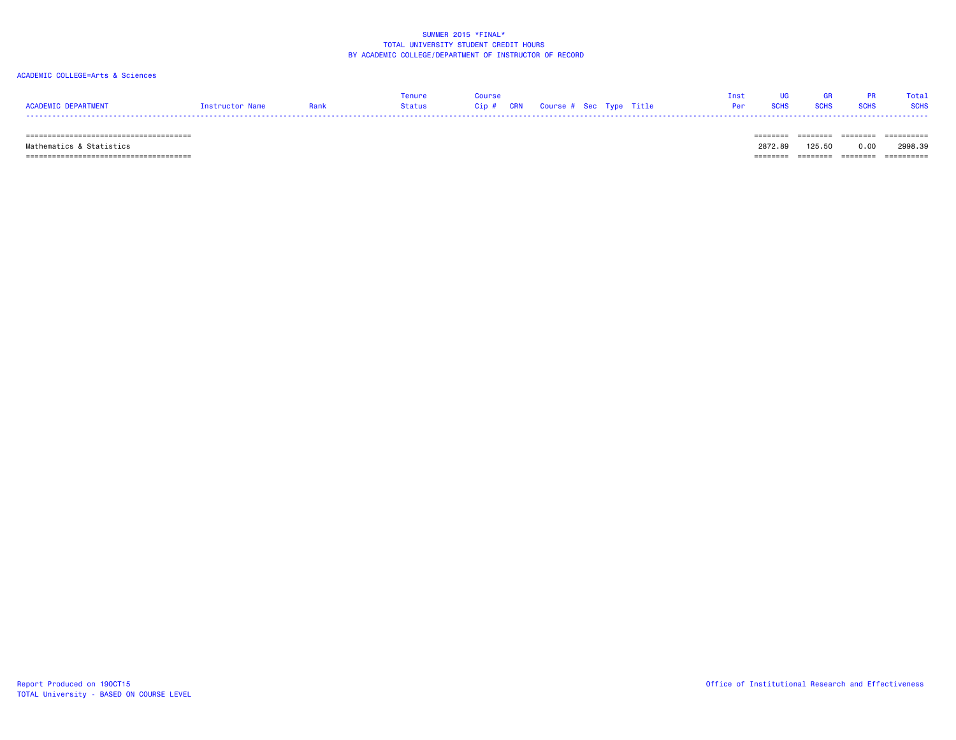## ACADEMIC COLLEGE=Arts & Sciences

| <b>ACADEMIC DEPARTMENT</b> | Instructor Name | Rank | <b>Tenure</b><br>Status | Course<br>Cip # CRN Course # Sec Type Title |  |  | Tnet<br>Per | <b>SCHS</b> | <b>GR</b><br><b>SCHS</b> | <b>PR</b><br><b>SCHS</b> | Total<br><b>SCHS</b> |
|----------------------------|-----------------|------|-------------------------|---------------------------------------------|--|--|-------------|-------------|--------------------------|--------------------------|----------------------|
|                            |                 |      |                         |                                             |  |  |             |             |                          |                          | ==========           |

Mathematics & Statistics 2872.89 125.50 0.00 2998.39

====================================== ======== ======== ======== ==========

TOTAL University - BASED ON COURSE LEVEL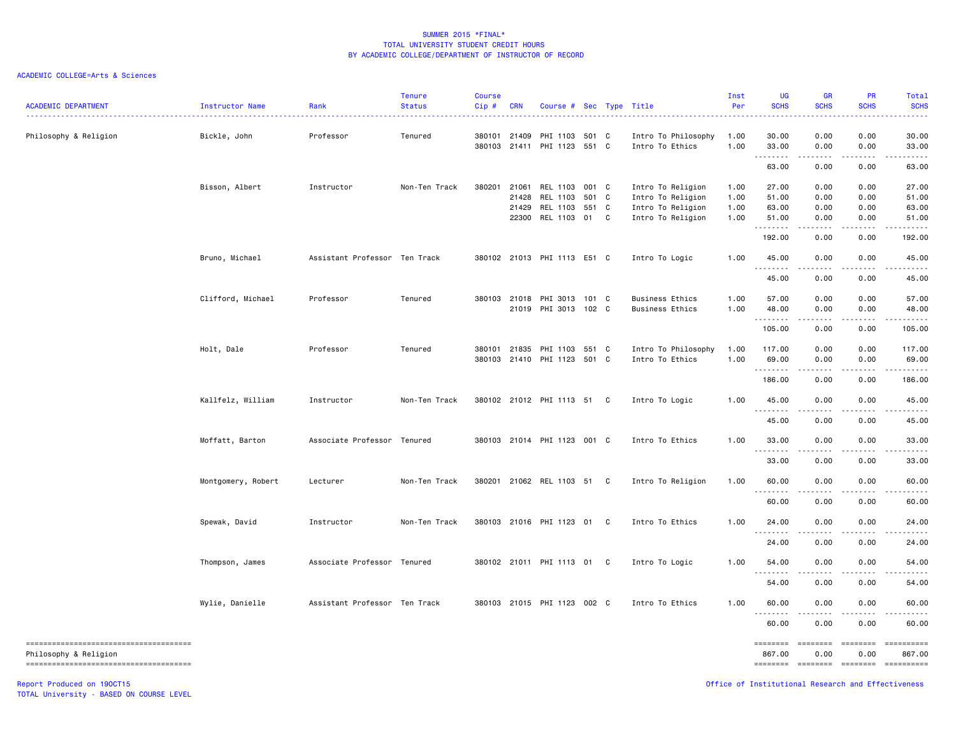## ACADEMIC COLLEGE=Arts & Sciences

| <b>ACADEMIC DEPARTMENT</b>                                      | Instructor Name    | Rank                          | <b>Tenure</b><br><b>Status</b> | <b>Course</b><br>Cip# | <b>CRN</b>   | Course # Sec Type Title     |       |   |                        | Inst<br>Per | UG<br><b>SCHS</b>                                  | <b>GR</b><br><b>SCHS</b>                                                                                                                                                                                                                                                                                                                                                                                                                                                               | PR<br><b>SCHS</b>                                                                                                                                                                                                                                                                                                                                                                                                                                                                      | Total<br><b>SCHS</b> |
|-----------------------------------------------------------------|--------------------|-------------------------------|--------------------------------|-----------------------|--------------|-----------------------------|-------|---|------------------------|-------------|----------------------------------------------------|----------------------------------------------------------------------------------------------------------------------------------------------------------------------------------------------------------------------------------------------------------------------------------------------------------------------------------------------------------------------------------------------------------------------------------------------------------------------------------------|----------------------------------------------------------------------------------------------------------------------------------------------------------------------------------------------------------------------------------------------------------------------------------------------------------------------------------------------------------------------------------------------------------------------------------------------------------------------------------------|----------------------|
| Philosophy & Religion                                           | Bickle, John       | Professor                     | Tenured                        |                       | 380101 21409 | PHI 1103 501 C              |       |   | Intro To Philosophy    | 1.00        | 30.00                                              | 0.00                                                                                                                                                                                                                                                                                                                                                                                                                                                                                   | 0.00                                                                                                                                                                                                                                                                                                                                                                                                                                                                                   | 30.00                |
|                                                                 |                    |                               |                                | 380103                |              | 21411 PHI 1123 551 C        |       |   | Intro To Ethics        | 1.00        | 33.00<br>.                                         | 0.00<br>.                                                                                                                                                                                                                                                                                                                                                                                                                                                                              | 0.00<br>.                                                                                                                                                                                                                                                                                                                                                                                                                                                                              | 33.00<br>.           |
|                                                                 |                    |                               |                                |                       |              |                             |       |   |                        |             | 63.00                                              | 0.00                                                                                                                                                                                                                                                                                                                                                                                                                                                                                   | 0.00                                                                                                                                                                                                                                                                                                                                                                                                                                                                                   | 63.00                |
|                                                                 | Bisson, Albert     | Instructor                    | Non-Ten Track                  | 380201                | 21061        | REL 1103                    | 001 C |   | Intro To Religion      | 1.00        | 27.00                                              | 0.00                                                                                                                                                                                                                                                                                                                                                                                                                                                                                   | 0.00                                                                                                                                                                                                                                                                                                                                                                                                                                                                                   | 27.00                |
|                                                                 |                    |                               |                                |                       | 21428        | REL 1103                    | 501 C |   | Intro To Religion      | 1.00        | 51.00                                              | 0.00                                                                                                                                                                                                                                                                                                                                                                                                                                                                                   | 0.00                                                                                                                                                                                                                                                                                                                                                                                                                                                                                   | 51.00                |
|                                                                 |                    |                               |                                |                       | 21429        | REL 1103                    | 551 C |   | Intro To Religion      | 1.00        | 63.00                                              | 0.00                                                                                                                                                                                                                                                                                                                                                                                                                                                                                   | 0.00                                                                                                                                                                                                                                                                                                                                                                                                                                                                                   | 63.00                |
|                                                                 |                    |                               |                                |                       | 22300        | REL 1103                    | 01    | C | Intro To Religion      | 1.00        | 51.00<br>.                                         | 0.00                                                                                                                                                                                                                                                                                                                                                                                                                                                                                   | 0.00                                                                                                                                                                                                                                                                                                                                                                                                                                                                                   | 51.00                |
|                                                                 |                    |                               |                                |                       |              |                             |       |   |                        |             | 192.00                                             | 0.00                                                                                                                                                                                                                                                                                                                                                                                                                                                                                   | 0.00                                                                                                                                                                                                                                                                                                                                                                                                                                                                                   | 192.00               |
|                                                                 | Bruno, Michael     | Assistant Professor Ten Track |                                |                       |              | 380102 21013 PHI 1113 E51 C |       |   | Intro To Logic         | 1.00        | 45.00                                              | 0.00                                                                                                                                                                                                                                                                                                                                                                                                                                                                                   | 0.00                                                                                                                                                                                                                                                                                                                                                                                                                                                                                   | 45.00                |
|                                                                 |                    |                               |                                |                       |              |                             |       |   |                        |             | 45.00                                              | 0.00                                                                                                                                                                                                                                                                                                                                                                                                                                                                                   | 0.00                                                                                                                                                                                                                                                                                                                                                                                                                                                                                   | 45.00                |
|                                                                 | Clifford, Michael  | Professor                     | Tenured                        |                       | 380103 21018 | PHI 3013 101 C              |       |   | <b>Business Ethics</b> | 1.00        | 57.00                                              | 0.00                                                                                                                                                                                                                                                                                                                                                                                                                                                                                   | 0.00                                                                                                                                                                                                                                                                                                                                                                                                                                                                                   | 57.00                |
|                                                                 |                    |                               |                                |                       |              | 21019 PHI 3013 102 C        |       |   | <b>Business Ethics</b> | 1.00        | 48.00                                              | 0.00                                                                                                                                                                                                                                                                                                                                                                                                                                                                                   | 0.00                                                                                                                                                                                                                                                                                                                                                                                                                                                                                   | 48.00                |
|                                                                 |                    |                               |                                |                       |              |                             |       |   |                        |             | .                                                  | $\frac{1}{2} \left( \frac{1}{2} \right) \left( \frac{1}{2} \right) \left( \frac{1}{2} \right) \left( \frac{1}{2} \right) \left( \frac{1}{2} \right)$                                                                                                                                                                                                                                                                                                                                   | .                                                                                                                                                                                                                                                                                                                                                                                                                                                                                      | -----                |
|                                                                 |                    |                               |                                |                       |              |                             |       |   |                        |             | 105.00                                             | 0.00                                                                                                                                                                                                                                                                                                                                                                                                                                                                                   | 0.00                                                                                                                                                                                                                                                                                                                                                                                                                                                                                   | 105.00               |
|                                                                 | Holt, Dale         | Professor                     | Tenured                        | 380101                | 21835        | PHI 1103 551 C              |       |   | Intro To Philosophy    | 1.00        | 117.00                                             | 0.00                                                                                                                                                                                                                                                                                                                                                                                                                                                                                   | 0.00                                                                                                                                                                                                                                                                                                                                                                                                                                                                                   | 117.00               |
|                                                                 |                    |                               |                                | 380103                |              | 21410 PHI 1123              | 501 C |   | Intro To Ethics        | 1.00        | 69.00                                              | 0.00                                                                                                                                                                                                                                                                                                                                                                                                                                                                                   | 0.00                                                                                                                                                                                                                                                                                                                                                                                                                                                                                   | 69.00                |
|                                                                 |                    |                               |                                |                       |              |                             |       |   |                        |             | .<br>186.00                                        | 0.00                                                                                                                                                                                                                                                                                                                                                                                                                                                                                   | $\frac{1}{2}$<br>0.00                                                                                                                                                                                                                                                                                                                                                                                                                                                                  | 186.00               |
|                                                                 | Kallfelz, William  | Instructor                    | Non-Ten Track                  |                       |              | 380102 21012 PHI 1113 51 C  |       |   | Intro To Logic         | 1.00        | 45.00                                              | 0.00                                                                                                                                                                                                                                                                                                                                                                                                                                                                                   | 0.00                                                                                                                                                                                                                                                                                                                                                                                                                                                                                   | 45.00                |
|                                                                 |                    |                               |                                |                       |              |                             |       |   |                        |             | $\sim$ $\sim$ $\sim$                               |                                                                                                                                                                                                                                                                                                                                                                                                                                                                                        |                                                                                                                                                                                                                                                                                                                                                                                                                                                                                        |                      |
|                                                                 |                    |                               |                                |                       |              |                             |       |   |                        |             | 45.00                                              | 0.00                                                                                                                                                                                                                                                                                                                                                                                                                                                                                   | 0.00                                                                                                                                                                                                                                                                                                                                                                                                                                                                                   | 45.00                |
|                                                                 | Moffatt, Barton    | Associate Professor Tenured   |                                | 380103                |              | 21014 PHI 1123 001 C        |       |   | Intro To Ethics        | 1.00        | 33.00                                              | 0.00                                                                                                                                                                                                                                                                                                                                                                                                                                                                                   | 0.00                                                                                                                                                                                                                                                                                                                                                                                                                                                                                   | 33.00                |
|                                                                 |                    |                               |                                |                       |              |                             |       |   |                        |             | $\sim$ $\sim$ $\sim$<br>33.00                      | 0.00                                                                                                                                                                                                                                                                                                                                                                                                                                                                                   | 0.00                                                                                                                                                                                                                                                                                                                                                                                                                                                                                   | 33.00                |
|                                                                 | Montgomery, Robert | Lecturer                      | Non-Ten Track                  |                       |              | 380201 21062 REL 1103 51 C  |       |   | Intro To Religion      | 1.00        | 60.00                                              | 0.00                                                                                                                                                                                                                                                                                                                                                                                                                                                                                   | 0.00                                                                                                                                                                                                                                                                                                                                                                                                                                                                                   | 60.00                |
|                                                                 |                    |                               |                                |                       |              |                             |       |   |                        |             | 60.00                                              | 0.00                                                                                                                                                                                                                                                                                                                                                                                                                                                                                   | 0.00                                                                                                                                                                                                                                                                                                                                                                                                                                                                                   | 60.00                |
|                                                                 |                    |                               |                                |                       |              |                             |       |   |                        |             |                                                    |                                                                                                                                                                                                                                                                                                                                                                                                                                                                                        |                                                                                                                                                                                                                                                                                                                                                                                                                                                                                        |                      |
|                                                                 | Spewak, David      | Instructor                    | Non-Ten Track                  |                       |              | 380103 21016 PHI 1123       | 01    | C | Intro To Ethics        | 1.00        | 24.00<br>.                                         | 0.00                                                                                                                                                                                                                                                                                                                                                                                                                                                                                   | 0.00                                                                                                                                                                                                                                                                                                                                                                                                                                                                                   | 24.00                |
|                                                                 |                    |                               |                                |                       |              |                             |       |   |                        |             | 24.00                                              | 0.00                                                                                                                                                                                                                                                                                                                                                                                                                                                                                   | 0.00                                                                                                                                                                                                                                                                                                                                                                                                                                                                                   | 24.00                |
|                                                                 | Thompson, James    | Associate Professor Tenured   |                                |                       |              | 380102 21011 PHI 1113 01 C  |       |   | Intro To Logic         | 1.00        | 54.00                                              | 0.00                                                                                                                                                                                                                                                                                                                                                                                                                                                                                   | 0.00                                                                                                                                                                                                                                                                                                                                                                                                                                                                                   | 54.00                |
|                                                                 |                    |                               |                                |                       |              |                             |       |   |                        |             | 54.00                                              | 0.00                                                                                                                                                                                                                                                                                                                                                                                                                                                                                   | 0.00                                                                                                                                                                                                                                                                                                                                                                                                                                                                                   | 54.00                |
|                                                                 | Wylie, Danielle    | Assistant Professor Ten Track |                                |                       |              | 380103 21015 PHI 1123 002 C |       |   | Intro To Ethics        | 1.00        | 60.00                                              | 0.00                                                                                                                                                                                                                                                                                                                                                                                                                                                                                   | 0.00                                                                                                                                                                                                                                                                                                                                                                                                                                                                                   | 60.00                |
|                                                                 |                    |                               |                                |                       |              |                             |       |   |                        |             | .<br>60.00                                         | 0.00                                                                                                                                                                                                                                                                                                                                                                                                                                                                                   | 0.00                                                                                                                                                                                                                                                                                                                                                                                                                                                                                   | 60.00                |
| -------------------------------------                           |                    |                               |                                |                       |              |                             |       |   |                        |             | ========                                           | $\begin{array}{cccccccccc} \multicolumn{2}{c}{} & \multicolumn{2}{c}{} & \multicolumn{2}{c}{} & \multicolumn{2}{c}{} & \multicolumn{2}{c}{} & \multicolumn{2}{c}{} & \multicolumn{2}{c}{} & \multicolumn{2}{c}{} & \multicolumn{2}{c}{} & \multicolumn{2}{c}{} & \multicolumn{2}{c}{} & \multicolumn{2}{c}{} & \multicolumn{2}{c}{} & \multicolumn{2}{c}{} & \multicolumn{2}{c}{} & \multicolumn{2}{c}{} & \multicolumn{2}{c}{} & \multicolumn{2}{c}{} & \multicolumn{2}{c}{} & \mult$ | $\begin{array}{cccccccccc} \multicolumn{2}{c}{} & \multicolumn{2}{c}{} & \multicolumn{2}{c}{} & \multicolumn{2}{c}{} & \multicolumn{2}{c}{} & \multicolumn{2}{c}{} & \multicolumn{2}{c}{} & \multicolumn{2}{c}{} & \multicolumn{2}{c}{} & \multicolumn{2}{c}{} & \multicolumn{2}{c}{} & \multicolumn{2}{c}{} & \multicolumn{2}{c}{} & \multicolumn{2}{c}{} & \multicolumn{2}{c}{} & \multicolumn{2}{c}{} & \multicolumn{2}{c}{} & \multicolumn{2}{c}{} & \multicolumn{2}{c}{} & \mult$ |                      |
| Philosophy & Religion<br>______________________________________ |                    |                               |                                |                       |              |                             |       |   |                        |             | 867.00<br>========                                 | 0.00<br>$=$ ========                                                                                                                                                                                                                                                                                                                                                                                                                                                                   | 0.00<br>$=$ ========                                                                                                                                                                                                                                                                                                                                                                                                                                                                   | 867.00<br>========== |
| Report Produced on 190CT15                                      |                    |                               |                                |                       |              |                             |       |   |                        |             | Office of Institutional Research and Effectiveness |                                                                                                                                                                                                                                                                                                                                                                                                                                                                                        |                                                                                                                                                                                                                                                                                                                                                                                                                                                                                        |                      |

TOTAL University - BASED ON COURSE LEVEL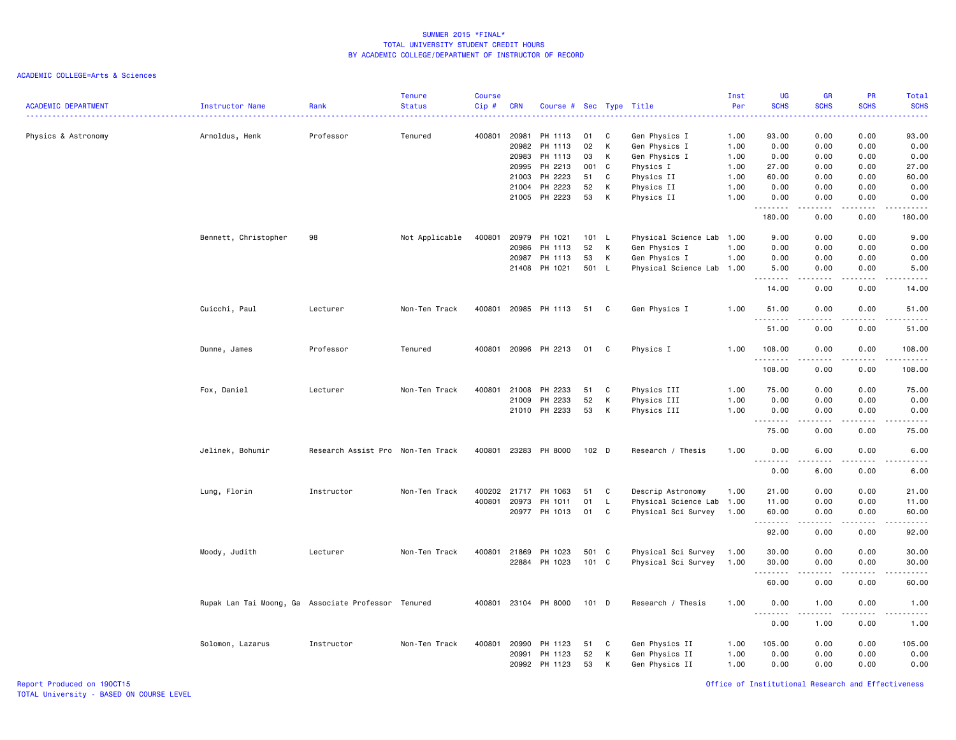| <b>ACADEMIC DEPARTMENT</b> | Instructor Name                                     | Rank                              | <b>Tenure</b><br><b>Status</b> | <b>Course</b><br>Cip# | <b>CRN</b>   | Course # Sec Type Title |         |    |                           | Inst<br>Per | UG<br><b>SCHS</b>            | <b>GR</b><br><b>SCHS</b> | <b>PR</b><br><b>SCHS</b>            | Total<br><b>SCHS</b><br>2.2.2.2. |
|----------------------------|-----------------------------------------------------|-----------------------------------|--------------------------------|-----------------------|--------------|-------------------------|---------|----|---------------------------|-------------|------------------------------|--------------------------|-------------------------------------|----------------------------------|
| Physics & Astronomy        | Arnoldus, Henk                                      | Professor                         | Tenured                        | 400801                | 20981        | PH 1113                 | 01      | C  | Gen Physics I             | 1.00        | 93.00                        | 0.00                     | 0.00                                | 93.00                            |
|                            |                                                     |                                   |                                |                       | 20982        | PH 1113                 | 02      | К  | Gen Physics I             | 1.00        | 0.00                         | 0.00                     | 0.00                                | 0.00                             |
|                            |                                                     |                                   |                                |                       | 20983        | PH 1113                 | 03      | к  | Gen Physics I             | 1.00        | 0.00                         | 0.00                     | 0.00                                | 0.00                             |
|                            |                                                     |                                   |                                |                       | 20995        | PH 2213                 | 001     | C  | Physics I                 | 1.00        | 27.00                        | 0.00                     | 0.00                                | 27.00                            |
|                            |                                                     |                                   |                                |                       | 21003        | PH 2223                 | 51      | C  | Physics II                | 1.00        | 60.00                        | 0.00                     | 0.00                                | 60.00                            |
|                            |                                                     |                                   |                                |                       | 21004        | PH 2223                 | 52      | К  | Physics II                | 1.00        | 0.00                         | 0.00                     | 0.00                                | 0.00                             |
|                            |                                                     |                                   |                                |                       | 21005        | PH 2223                 | 53      | Κ  | Physics II                | 1.00        | 0.00<br>د د د د<br>---       | 0.00                     | 0.00                                | 0.00                             |
|                            |                                                     |                                   |                                |                       |              |                         |         |    |                           |             | 180.00                       | 0.00                     | 0.00                                | 180.00                           |
|                            | Bennett, Christopher                                | 98                                | Not Applicable                 | 400801                | 20979        | PH 1021                 | 101     | L. | Physical Science Lab      | 1.00        | 9.00                         | 0.00                     | 0.00                                | 9.00                             |
|                            |                                                     |                                   |                                |                       | 20986        | PH 1113                 | 52      | К  | Gen Physics I             | 1.00        | 0.00                         | 0.00                     | 0.00                                | 0.00                             |
|                            |                                                     |                                   |                                |                       | 20987        | PH 1113                 | 53      | К  | Gen Physics I             | 1.00        | 0.00                         | 0.00                     | 0.00                                | 0.00                             |
|                            |                                                     |                                   |                                |                       | 21408        | PH 1021                 | 501 L   |    | Physical Science Lab 1.00 |             | 5.00<br>$\sim$               | 0.00                     | 0.00                                | 5.00<br>$\frac{1}{2}$            |
|                            |                                                     |                                   |                                |                       |              |                         |         |    |                           |             | 14.00                        | 0.00                     | 0.00                                | 14.00                            |
|                            | Cuicchi, Paul                                       | Lecturer                          | Non-Ten Track                  | 400801                |              | 20985 PH 1113           | 51      | C  | Gen Physics I             | 1.00        | 51.00<br><u>.</u>            | 0.00<br>.                | 0.00<br>$  -$                       | 51.00<br>.                       |
|                            |                                                     |                                   |                                |                       |              |                         |         |    |                           |             | 51.00                        | 0.00                     | 0.00                                | 51.00                            |
|                            | Dunne, James                                        | Professor                         | Tenured                        | 400801                |              | 20996 PH 2213           | 01      | C  | Physics I                 | 1.00        | 108.00                       | 0.00                     | 0.00                                | 108.00                           |
|                            |                                                     |                                   |                                |                       |              |                         |         |    |                           |             | .<br>108.00                  | .<br>0.00                | .<br>0.00                           | .<br>108.00                      |
|                            | Fox, Daniel                                         | Lecturer                          | Non-Ten Track                  | 400801                | 21008        | PH 2233                 | 51      | C  | Physics III               | 1.00        | 75.00                        | 0.00                     | 0.00                                | 75.00                            |
|                            |                                                     |                                   |                                |                       | 21009        | PH 2233                 | 52      | К  | Physics III               | 1.00        | 0.00                         | 0.00                     | 0.00                                | 0.00                             |
|                            |                                                     |                                   |                                |                       |              | 21010 PH 2233           | 53      | К  | Physics III               | 1.00        | 0.00                         | 0.00                     | 0.00                                | 0.00                             |
|                            |                                                     |                                   |                                |                       |              |                         |         |    |                           |             | .                            | .                        | $\frac{1}{2}$                       | $\frac{1}{2}$                    |
|                            |                                                     |                                   |                                |                       |              |                         |         |    |                           |             | 75.00                        | 0.00                     | 0.00                                | 75.00                            |
|                            | Jelinek, Bohumir                                    | Research Assist Pro Non-Ten Track |                                | 400801                |              | 23283 PH 8000           | 102 D   |    | Research / Thesis         | 1.00        | 0.00<br>.                    | 6.00<br><u>.</u>         | 0.00<br>.                           | 6.00<br>$\cdots$                 |
|                            |                                                     |                                   |                                |                       |              |                         |         |    |                           |             | 0.00                         | 6.00                     | 0.00                                | 6.00                             |
|                            | Lung, Florin                                        | Instructor                        | Non-Ten Track                  |                       | 400202 21717 | PH 1063                 | 51      | C  | Descrip Astronomy         | 1.00        | 21.00                        | 0.00                     | 0.00                                | 21.00                            |
|                            |                                                     |                                   |                                | 400801                | 20973        | PH 1011                 | 01      | L. | Physical Science Lab 1.00 |             | 11.00                        | 0.00                     | 0.00                                | 11.00                            |
|                            |                                                     |                                   |                                |                       |              | 20977 PH 1013           | 01      | C  | Physical Sci Survey       | 1.00        | 60.00<br>.                   | 0.00<br>.                | 0.00<br>$  -$                       | 60.00<br>$\frac{1}{2}$           |
|                            |                                                     |                                   |                                |                       |              |                         |         |    |                           |             | 92.00                        | 0.00                     | 0.00                                | 92.00                            |
|                            | Moody, Judith                                       | Lecturer                          | Non-Ten Track                  |                       | 400801 21869 | PH 1023                 | 501     | C  | Physical Sci Survey       | 1.00        | 30.00                        | 0.00                     | 0.00                                | 30.00                            |
|                            |                                                     |                                   |                                |                       | 22884        | PH 1023                 | 101 C   |    | Physical Sci Survey       | 1.00        | 30.00                        | 0.00                     | 0.00<br>$\sim$ $\sim$ $\sim$ $\sim$ | 30.00<br>$\frac{1}{2}$           |
|                            |                                                     |                                   |                                |                       |              |                         |         |    |                           |             | .<br>60.00                   | 0.00                     | 0.00                                | 60.00                            |
|                            | Rupak Lan Tai Moong, Ga Associate Professor Tenured |                                   |                                |                       |              | 400801 23104 PH 8000    | $101$ D |    | Research / Thesis         | 1.00        | 0.00                         | 1.00                     | 0.00                                | 1.00                             |
|                            |                                                     |                                   |                                |                       |              |                         |         |    |                           |             | $\sim$ $\sim$ $\sim$<br>0.00 | 1.00                     | 0.00                                | 1.00                             |
|                            | Solomon, Lazarus                                    | Instructor                        | Non-Ten Track                  | 400801                | 20990        | PH 1123                 | 51      | C  | Gen Physics II            | 1.00        | 105.00                       | 0.00                     | 0.00                                | 105.00                           |
|                            |                                                     |                                   |                                |                       | 20991        | PH 1123                 | 52      | К  | Gen Physics II            | 1.00        | 0.00                         | 0.00                     | 0.00                                | 0.00                             |
|                            |                                                     |                                   |                                |                       | 20992        | PH 1123                 | 53      | Κ  | Gen Physics II            | 1.00        | 0.00                         | 0.00                     | 0.00                                | 0.00                             |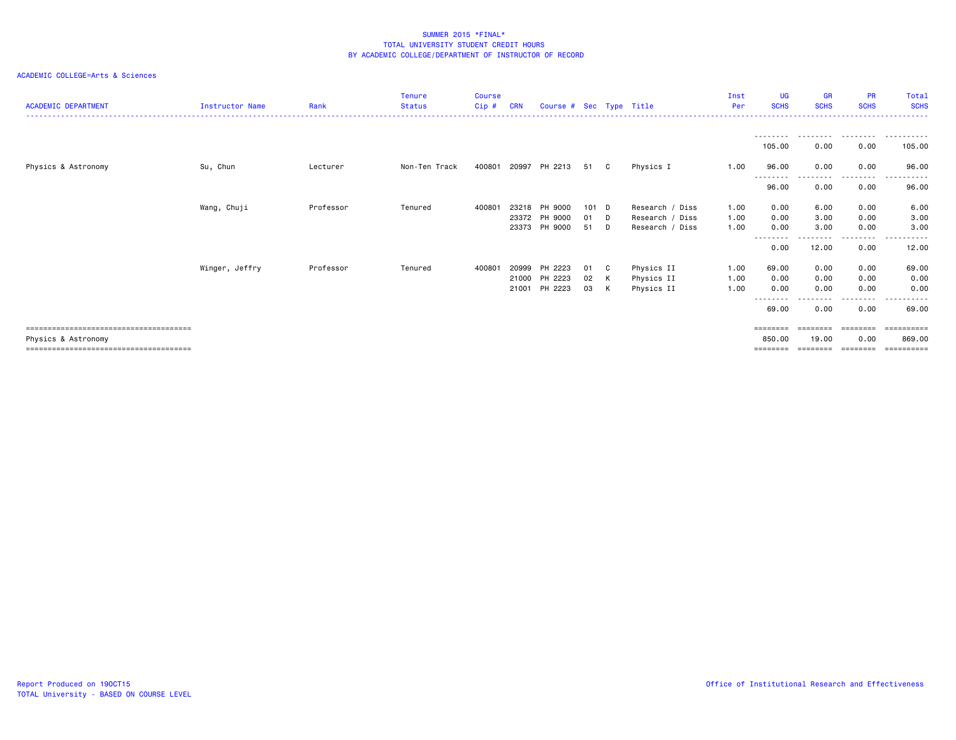| <b>ACADEMIC DEPARTMENT</b> | <b>Instructor Name</b> | Rank      | <b>Tenure</b><br><b>Status</b> | <b>Course</b><br>Cip# | <b>CRN</b> | Course # Sec Type Title |       |          |                 | Inst<br>Per | <b>UG</b><br><b>SCHS</b> | <b>GR</b><br><b>SCHS</b> | <b>PR</b><br><b>SCHS</b> | Total<br><b>SCHS</b><br>---------------- |
|----------------------------|------------------------|-----------|--------------------------------|-----------------------|------------|-------------------------|-------|----------|-----------------|-------------|--------------------------|--------------------------|--------------------------|------------------------------------------|
|                            |                        |           |                                |                       |            |                         |       |          |                 |             | --------<br>105.00       | .<br>0.00                | .<br>0.00                | $  -$<br>105.00                          |
| Physics & Astronomy        | Su, Chun               | Lecturer  | Non-Ten Track                  | 400801                |            | 20997 PH 2213           | 51 C  |          | Physics I       | 1.00        | 96.00<br>--------        | 0.00<br>. <u>.</u> .     | 0.00<br>--------         | 96.00<br>. <b>.</b>                      |
|                            |                        |           |                                |                       |            |                         |       |          |                 |             | 96.00                    | 0.00                     | 0.00                     | 96.00                                    |
|                            | Wang, Chuji            | Professor | Tenured                        | 400801                |            | 23218 PH 9000           | 101 D |          | Research / Diss | 1.00        | 0.00                     | 6.00                     | 0.00                     | 6.00                                     |
|                            |                        |           |                                |                       |            | 23372 PH 9000           | 01    | <b>D</b> | Research / Diss | 1.00        | 0.00                     | 3.00                     | 0.00                     | 3.00                                     |
|                            |                        |           |                                |                       |            | 23373 PH 9000           | 51    | D        | Research / Diss | 1.00        | 0.00<br>--------         | 3.00<br>---------        | 0.00<br>-----            | 3.00<br>.<br>$  -$                       |
|                            |                        |           |                                |                       |            |                         |       |          |                 |             | 0.00                     | 12.00                    | 0.00                     | 12.00                                    |
|                            | Winger, Jeffry         | Professor | Tenured                        | 400801                | 20999      | PH 2223                 | 01    | C C      | Physics II      | 1.00        | 69.00                    | 0.00                     | 0.00                     | 69.00                                    |
|                            |                        |           |                                |                       |            | 21000 PH 2223           | 02    | K        | Physics II      | 1.00        | 0.00                     | 0.00                     | 0.00                     | 0.00                                     |
|                            |                        |           |                                |                       |            | 21001 PH 2223           | 03    | K        | Physics II      | 1.00        | 0.00                     | 0.00                     | 0.00                     | 0.00                                     |
|                            |                        |           |                                |                       |            |                         |       |          |                 |             | ------<br>69.00          | 0.00                     | . <b>.</b><br>0.00       | .<br>69.00                               |
|                            |                        |           |                                |                       |            |                         |       |          |                 |             | ========                 | --------                 | --------                 | ==========                               |
| Physics & Astronomy        |                        |           |                                |                       |            |                         |       |          |                 |             | 850.00                   | 19.00                    | 0.00                     | 869,00                                   |
|                            |                        |           |                                |                       |            |                         |       |          |                 |             |                          |                          |                          |                                          |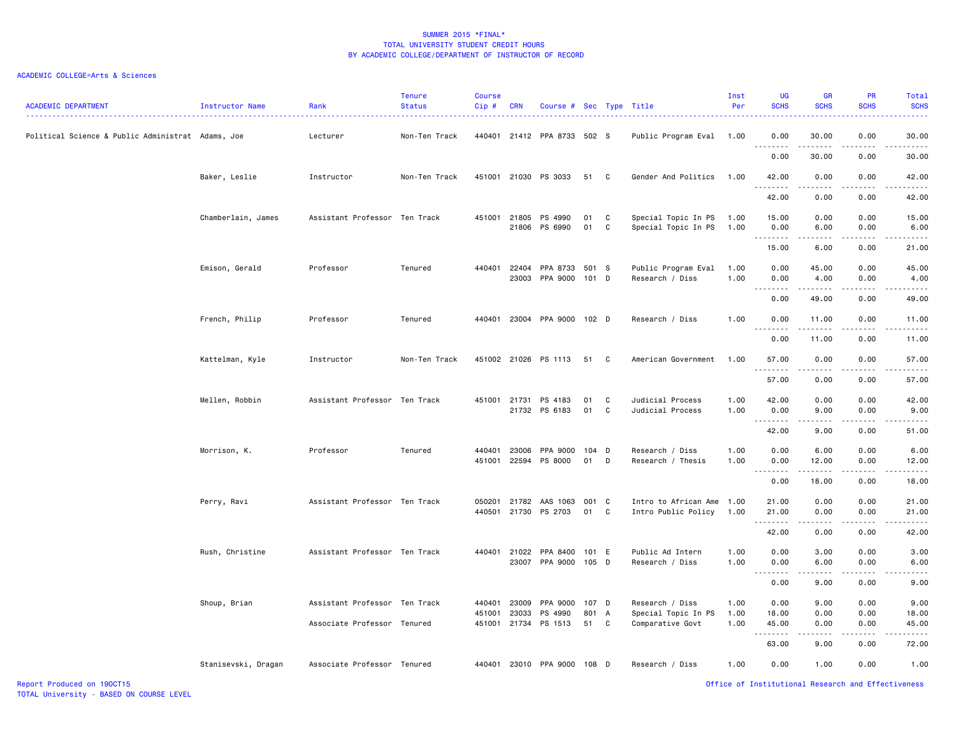| <b>ACADEMIC DEPARTMENT</b>                        | Instructor Name     | Rank                          | <b>Tenure</b><br><b>Status</b> | <b>Course</b><br>Cip# | <b>CRN</b>     | Course # Sec Type Title         |                |                  |                                                  | Inst<br>Per  | <b>UG</b><br><b>SCHS</b>                             | <b>GR</b><br><b>SCHS</b> | <b>PR</b><br><b>SCHS</b>                           | Total<br><b>SCHS</b>                                                                                                                                                                    |
|---------------------------------------------------|---------------------|-------------------------------|--------------------------------|-----------------------|----------------|---------------------------------|----------------|------------------|--------------------------------------------------|--------------|------------------------------------------------------|--------------------------|----------------------------------------------------|-----------------------------------------------------------------------------------------------------------------------------------------------------------------------------------------|
| Political Science & Public Administrat Adams, Joe |                     | Lecturer                      | Non-Ten Track                  |                       |                | 440401 21412 PPA 8733 502 S     |                |                  | Public Program Eval 1.00                         |              | 0.00                                                 | 30.00                    | 0.00                                               | 30.00<br>الداعات الما                                                                                                                                                                   |
|                                                   |                     |                               |                                |                       |                |                                 |                |                  |                                                  |              | 0.00                                                 | 30.00                    | 0.00                                               | 30.00                                                                                                                                                                                   |
|                                                   | Baker, Leslie       | Instructor                    | Non-Ten Track                  |                       |                | 451001 21030 PS 3033            | 51             | C                | Gender And Politics                              | 1.00         | 42.00<br>.                                           | 0.00<br>.                | 0.00<br>$- - - -$                                  | 42.00<br>.                                                                                                                                                                              |
|                                                   |                     |                               |                                |                       |                |                                 |                |                  |                                                  |              | 42.00                                                | 0.00                     | 0.00                                               | 42.00                                                                                                                                                                                   |
|                                                   | Chamberlain, James  | Assistant Professor Ten Track |                                | 451001                | 21805          | PS 4990<br>21806 PS 6990        | 01<br>01       | C<br>$\mathbb C$ | Special Topic In PS<br>Special Topic In PS       | 1.00<br>1.00 | 15.00<br>0.00<br>. <b>.</b>                          | 0.00<br>6.00<br>.        | 0.00<br>0.00<br>.                                  | 15.00<br>6.00<br>.                                                                                                                                                                      |
|                                                   |                     |                               |                                |                       |                |                                 |                |                  |                                                  |              | 15.00                                                | 6.00                     | 0.00                                               | 21.00                                                                                                                                                                                   |
|                                                   | Emison, Gerald      | Professor                     | Tenured                        | 440401                | 22404<br>23003 | PPA 8733 501 S<br>PPA 9000      | 101            | D                | Public Program Eval<br>Research / Diss           | 1.00<br>1.00 | 0.00<br>0.00                                         | 45.00<br>4.00            | 0.00<br>0.00                                       | 45.00<br>4.00                                                                                                                                                                           |
|                                                   |                     |                               |                                |                       |                |                                 |                |                  |                                                  |              | $\sim$ $\sim$<br>$\sim$ $\sim$ $\sim$ $\sim$<br>0.00 | 49.00                    | 0.00                                               | 49.00                                                                                                                                                                                   |
|                                                   | French, Philip      | Professor                     | Tenured                        | 440401                |                | 23004 PPA 9000 102 D            |                |                  | Research / Diss                                  | 1.00         | 0.00                                                 | 11.00                    | 0.00                                               | 11.00                                                                                                                                                                                   |
|                                                   |                     |                               |                                |                       |                |                                 |                |                  |                                                  |              | 0.00                                                 | 11.00                    | 0.00                                               | 11.00                                                                                                                                                                                   |
|                                                   | Kattelman, Kyle     | Instructor                    | Non-Ten Track                  |                       |                | 451002 21026 PS 1113            | 51             | C                | American Government                              | 1.00         | 57.00<br><u>.</u>                                    | 0.00                     | 0.00                                               | 57.00                                                                                                                                                                                   |
|                                                   |                     |                               |                                |                       |                |                                 |                |                  |                                                  |              | 57.00                                                | 0.00                     | 0.00                                               | 57.00                                                                                                                                                                                   |
|                                                   | Mellen, Robbin      | Assistant Professor Ten Track |                                | 451001 21731          |                | PS 4183<br>21732 PS 6183        | 01<br>01       | C<br>C           | Judicial Process<br>Judicial Process             | 1.00<br>1.00 | 42.00<br>0.00                                        | 0.00<br>9.00             | 0.00<br>0.00                                       | 42.00<br>9.00                                                                                                                                                                           |
|                                                   |                     |                               |                                |                       |                |                                 |                |                  |                                                  |              | <u>.</u><br>42.00                                    | ----<br>9.00             | $\frac{1}{2}$<br>0.00                              | $    -$<br>51.00                                                                                                                                                                        |
|                                                   | Morrison, K.        | Professor                     | Tenured                        | 440401<br>451001      | 23006          | PPA 9000<br>22594 PS 8000       | 104 D<br>01    | D                | Research / Diss<br>Research / Thesis             | 1.00<br>1.00 | 0.00<br>0.00                                         | 6.00<br>12.00            | 0.00<br>0.00                                       | 6.00<br>12.00                                                                                                                                                                           |
|                                                   |                     |                               |                                |                       |                |                                 |                |                  |                                                  |              | .<br>$\sim$ $\sim$<br>0.00                           | .<br>18.00               | .<br>0.00                                          | .<br>18.00                                                                                                                                                                              |
|                                                   | Perry, Ravi         | Assistant Professor Ten Track |                                | 050201<br>440501      |                | 21782 AAS 1063<br>21730 PS 2703 | 001<br>01      | <b>C</b><br>C    | Intro to African Ame 1.00<br>Intro Public Policy | 1.00         | 21.00<br>21.00                                       | 0.00<br>0.00             | 0.00<br>0.00                                       | 21.00<br>21.00                                                                                                                                                                          |
|                                                   |                     |                               |                                |                       |                |                                 |                |                  |                                                  |              | .<br>42.00                                           | 0.00                     | 0.00                                               | المتماما<br>42.00                                                                                                                                                                       |
|                                                   | Rush, Christine     | Assistant Professor Ten Track |                                | 440401                | 21022          | PPA 8400<br>23007 PPA 9000      | 101 E<br>105 D |                  | Public Ad Intern<br>Research / Diss              | 1.00<br>1.00 | 0.00<br>0.00                                         | 3.00<br>6.00             | 0.00<br>0.00                                       | 3.00<br>6.00                                                                                                                                                                            |
|                                                   |                     |                               |                                |                       |                |                                 |                |                  |                                                  |              | .<br>0.00                                            | -----<br>9.00            | .<br>0.00                                          | $\frac{1}{2} \left( \frac{1}{2} \right) \left( \frac{1}{2} \right) \left( \frac{1}{2} \right) \left( \frac{1}{2} \right) \left( \frac{1}{2} \right) \left( \frac{1}{2} \right)$<br>9.00 |
|                                                   | Shoup, Brian        | Assistant Professor Ten Track |                                | 440401<br>451001      | 23009<br>23033 | PPA 9000<br>PS 4990             | 107 D<br>801   | A                | Research / Diss<br>Special Topic In PS           | 1.00<br>1.00 | 0.00<br>18.00                                        | 9.00<br>0.00             | 0.00<br>0.00                                       | 9.00<br>18.00                                                                                                                                                                           |
|                                                   |                     | Associate Professor Tenured   |                                | 451001                | 21734          | PS 1513                         | 51             | C                | Comparative Govt                                 | 1.00         | 45.00<br>.                                           | 0.00<br>.                | 0.00<br>.                                          | 45.00<br>.                                                                                                                                                                              |
|                                                   |                     |                               |                                |                       |                |                                 |                |                  |                                                  |              | 63.00                                                | 9.00                     | 0.00                                               | 72.00                                                                                                                                                                                   |
|                                                   | Stanisevski, Dragan | Associate Professor Tenured   |                                | 440401                |                | 23010 PPA 9000                  | 108 D          |                  | Research / Diss                                  | 1.00         | 0.00                                                 | 1.00                     | 0.00                                               | 1.00                                                                                                                                                                                    |
| Report Produced on 190CT15                        |                     |                               |                                |                       |                |                                 |                |                  |                                                  |              |                                                      |                          | Office of Institutional Research and Effectiveness |                                                                                                                                                                                         |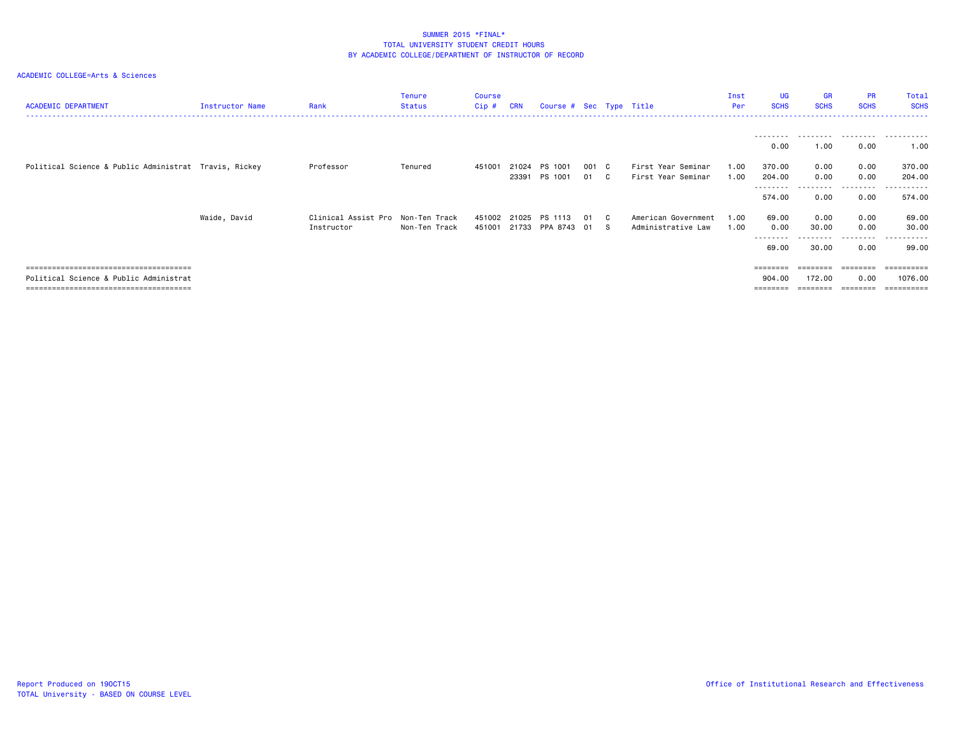| <b>ACADEMIC DEPARTMENT</b>                            | Instructor Name | Rank                                            | Tenure<br><b>Status</b> | Course<br>Cip#   | <b>CRN</b>     | Course # Sec Type Title |             |    |                                           | Inst<br>Per  | <b>UG</b><br><b>SCHS</b>               | <b>GR</b><br><b>SCHS</b> | <b>PR</b><br><b>SCHS</b>       | Total<br><b>SCHS</b>                           |
|-------------------------------------------------------|-----------------|-------------------------------------------------|-------------------------|------------------|----------------|-------------------------|-------------|----|-------------------------------------------|--------------|----------------------------------------|--------------------------|--------------------------------|------------------------------------------------|
|                                                       |                 |                                                 |                         |                  |                |                         |             |    |                                           |              | --------<br>0.00                       | 1.00                     | .<br>0.00                      | .<br>1.00                                      |
| Political Science & Public Administrat Travis, Rickey |                 | Professor                                       | Tenured                 | 451001           | 21024<br>23391 | PS 1001<br>PS 1001      | 001 C<br>01 | C. | First Year Seminar<br>First Year Seminar  | 1.00<br>1.00 | 370.00<br>204.00<br>--------<br>574.00 | 0.00<br>0.00<br>0.00     | 0.00<br>0.00<br>------<br>0.00 | 370.00<br>204.00<br><u>.</u><br>574.00         |
|                                                       | Waide, David    | Clinical Assist Pro Non-Ten Track<br>Instructor | Non-Ten Track           | 451002<br>451001 | 21025<br>21733 | PS 1113<br>PPA 8743     | 01 C<br>01  | -S | American Government<br>Administrative Law | 1.00<br>1.00 | 69.00<br>0.00<br>--------<br>69.00     | 0.00<br>30.00<br>30.00   | 0.00<br>0.00<br>-----<br>0.00  | 69.00<br>30.00<br>99.00                        |
| Political Science & Public Administrat                |                 |                                                 |                         |                  |                |                         |             |    |                                           |              | $=$ = = = = = = =<br>904.00            | ========<br>172.00       | ========<br>0.00               | $=$ = = = = = = = = =<br>1076.00<br>========== |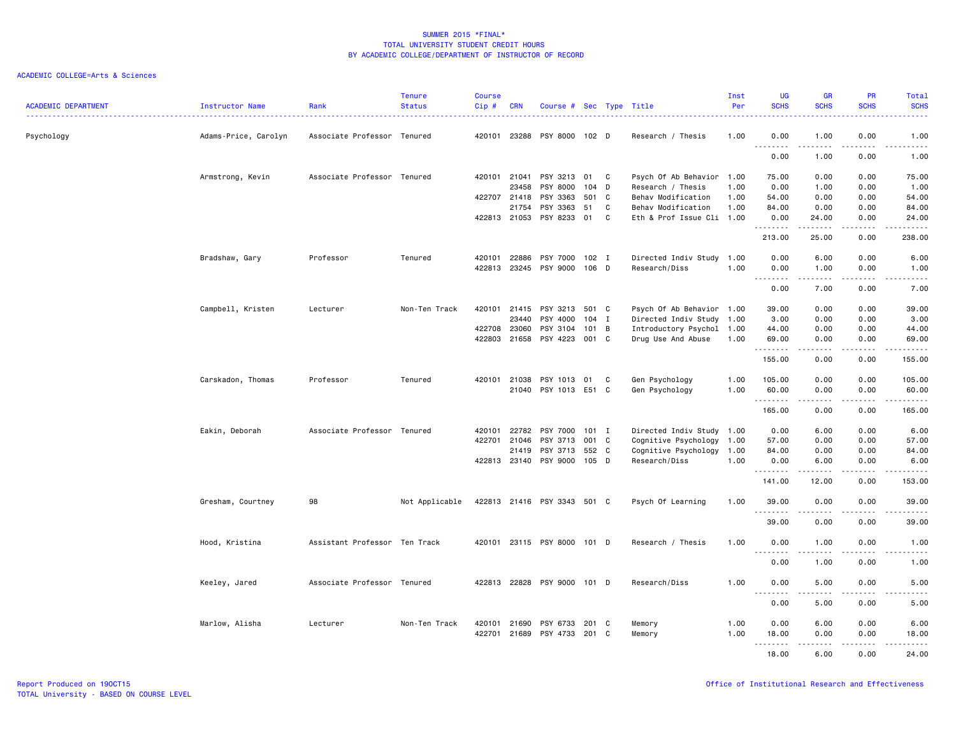| <b>ACADEMIC DEPARTMENT</b> | <b>Instructor Name</b> | Rank                          | <b>Tenure</b><br><b>Status</b> | <b>Course</b><br>Cip# | <b>CRN</b>   | Course # Sec Type Title     |         |   |                           | Inst<br>Per | <b>UG</b><br><b>SCHS</b>              | <b>GR</b><br><b>SCHS</b> | <b>PR</b><br><b>SCHS</b>            | Total<br><b>SCHS</b>                                                                                                                                         |
|----------------------------|------------------------|-------------------------------|--------------------------------|-----------------------|--------------|-----------------------------|---------|---|---------------------------|-------------|---------------------------------------|--------------------------|-------------------------------------|--------------------------------------------------------------------------------------------------------------------------------------------------------------|
| Psychology                 | Adams-Price, Carolyn   | Associate Professor Tenured   |                                |                       |              | 420101 23288 PSY 8000 102 D |         |   | Research / Thesis         | 1.00        | 0.00                                  | 1.00<br>.                | 0.00<br>د د د د                     | 1.00<br>$\frac{1}{2} \left( \frac{1}{2} \right) \left( \frac{1}{2} \right) \left( \frac{1}{2} \right) \left( \frac{1}{2} \right) \left( \frac{1}{2} \right)$ |
|                            |                        |                               |                                |                       |              |                             |         |   |                           |             | 0.00                                  | 1.00                     | 0.00                                | 1.00                                                                                                                                                         |
|                            | Armstrong, Kevin       | Associate Professor Tenured   |                                |                       | 420101 21041 | PSY 3213                    | 01 C    |   | Psych Of Ab Behavior 1.00 |             | 75.00                                 | 0.00                     | 0.00                                | 75.00                                                                                                                                                        |
|                            |                        |                               |                                |                       | 23458        | PSY 8000                    | 104     | D | Research / Thesis         | 1.00        | 0.00                                  | 1.00                     | 0.00                                | 1.00                                                                                                                                                         |
|                            |                        |                               |                                |                       | 422707 21418 | PSY 3363                    | 501 C   |   | Behav Modification        | 1.00        | 54.00                                 | 0.00                     | 0.00                                | 54.00                                                                                                                                                        |
|                            |                        |                               |                                |                       | 21754        | PSY 3363                    | 51      | C | Behav Modification        | 1.00        | 84.00                                 | 0.00                     | 0.00                                | 84.00                                                                                                                                                        |
|                            |                        |                               |                                |                       | 422813 21053 | PSY 8233                    | 01      | C | Eth & Prof Issue Cli 1.00 |             | 0.00<br>.                             | 24.00                    | 0.00                                | 24.00<br>$\frac{1}{2}$                                                                                                                                       |
|                            |                        |                               |                                |                       |              |                             |         |   |                           |             | 213.00                                | 25.00                    | 0.00                                | 238.00                                                                                                                                                       |
|                            | Bradshaw, Gary         | Professor                     | Tenured                        |                       | 420101 22886 | PSY 7000                    | 102 I   |   | Directed Indiv Study 1.00 |             | 0.00                                  | 6.00                     | 0.00                                | 6.00                                                                                                                                                         |
|                            |                        |                               |                                |                       |              | 422813 23245 PSY 9000 106 D |         |   | Research/Diss             | 1.00        | 0.00<br>.                             | 1.00<br>.                | 0.00<br>.                           | 1.00<br>$\frac{1}{2} \left( \frac{1}{2} \right) \left( \frac{1}{2} \right) \left( \frac{1}{2} \right) \left( \frac{1}{2} \right) \left( \frac{1}{2} \right)$ |
|                            |                        |                               |                                |                       |              |                             |         |   |                           |             | 0.00                                  | 7.00                     | 0.00                                | 7.00                                                                                                                                                         |
|                            | Campbell, Kristen      | Lecturer                      | Non-Ten Track                  |                       | 420101 21415 | PSY 3213                    | 501 C   |   | Psych Of Ab Behavior 1.00 |             | 39.00                                 | 0.00                     | 0.00                                | 39.00                                                                                                                                                        |
|                            |                        |                               |                                |                       | 23440        | PSY 4000                    | $104$ I |   | Directed Indiv Study 1.00 |             | 3.00                                  | 0.00                     | 0.00                                | 3.00                                                                                                                                                         |
|                            |                        |                               |                                |                       | 422708 23060 | PSY 3104                    | 101 B   |   | Introductory Psychol 1.00 |             | 44.00                                 | 0.00                     | 0.00                                | 44.00                                                                                                                                                        |
|                            |                        |                               |                                |                       | 422803 21658 | PSY 4223                    | 001 C   |   | Drug Use And Abuse        | 1.00        | 69.00<br>.                            | 0.00<br>.                | 0.00<br>$\sim$ $\sim$ $\sim$ $\sim$ | 69.00<br>ه د د د د .                                                                                                                                         |
|                            |                        |                               |                                |                       |              |                             |         |   |                           |             | 155.00                                | 0.00                     | 0.00                                | 155.00                                                                                                                                                       |
|                            | Carskadon, Thomas      | Professor                     | Tenured                        |                       | 420101 21038 | PSY 1013                    | 01      | C | Gen Psychology            | 1.00        | 105.00                                | 0.00                     | 0.00                                | 105.00                                                                                                                                                       |
|                            |                        |                               |                                |                       |              | 21040 PSY 1013 E51 C        |         |   | Gen Psychology            | 1.00        | 60.00<br>.                            | 0.00<br>.                | 0.00<br>.                           | 60.00<br>.                                                                                                                                                   |
|                            |                        |                               |                                |                       |              |                             |         |   |                           |             | 165.00                                | 0.00                     | 0.00                                | 165.00                                                                                                                                                       |
|                            | Eakin, Deborah         | Associate Professor Tenured   |                                | 420101                | 22782        | PSY 7000                    | 101 I   |   | Directed Indiv Study 1.00 |             | 0.00                                  | 6.00                     | 0.00                                | 6.00                                                                                                                                                         |
|                            |                        |                               |                                |                       | 422701 21046 | PSY 3713                    | 001 C   |   | Cognitive Psychology 1.00 |             | 57.00                                 | 0.00                     | 0.00                                | 57.00                                                                                                                                                        |
|                            |                        |                               |                                |                       | 21419        | PSY 3713                    | 552 C   |   | Cognitive Psychology      | 1.00        | 84.00                                 | 0.00                     | 0.00                                | 84.00                                                                                                                                                        |
|                            |                        |                               |                                |                       |              | 422813 23140 PSY 9000       | $105$ D |   | Research/Diss             | 1.00        | 0.00                                  | 6.00                     | 0.00                                | 6.00                                                                                                                                                         |
|                            |                        |                               |                                |                       |              |                             |         |   |                           |             | .<br>141.00                           | 12.00                    | 0.00                                | -----<br>153.00                                                                                                                                              |
|                            | Gresham, Courtney      | 98                            | Not Applicable                 |                       |              | 422813 21416 PSY 3343 501 C |         |   | Psych Of Learning         | 1.00        | 39.00                                 | 0.00                     | 0.00                                | 39.00                                                                                                                                                        |
|                            |                        |                               |                                |                       |              |                             |         |   |                           |             | .<br>39.00                            | 0.00                     | 0.00                                | $\frac{1}{2} \left( \frac{1}{2} \right) \left( \frac{1}{2} \right) \left( \frac{1}{2} \right) \left( \frac{1}{2} \right)$<br>39.00                           |
|                            | Hood, Kristina         | Assistant Professor Ten Track |                                |                       |              | 420101 23115 PSY 8000 101 D |         |   | Research / Thesis         | 1.00        | 0.00                                  | 1.00                     | 0.00                                | 1.00                                                                                                                                                         |
|                            |                        |                               |                                |                       |              |                             |         |   |                           |             | $- - -$<br>$- - - - -$<br>0.00        | $- - - - -$<br>1.00      | .<br>0.00                           | $- - - - -$<br>1.00                                                                                                                                          |
|                            | Keeley, Jared          | Associate Professor Tenured   |                                |                       |              | 422813 22828 PSY 9000 101 D |         |   | Research/Diss             | 1.00        | 0.00                                  | 5.00                     | 0.00                                | 5.00                                                                                                                                                         |
|                            |                        |                               |                                |                       |              |                             |         |   |                           |             | $\sim$ $\sim$<br>$\sim$ $\sim$ $\sim$ |                          | .                                   |                                                                                                                                                              |
|                            |                        |                               |                                |                       |              |                             |         |   |                           |             | 0.00                                  | 5.00                     | 0.00                                | 5.00                                                                                                                                                         |
|                            | Marlow, Alisha         | Lecturer                      | Non-Ten Track                  |                       | 420101 21690 | PSY 6733                    | 201 C   |   | Memory                    | 1.00        | 0.00                                  | 6.00                     | 0.00                                | 6.00                                                                                                                                                         |
|                            |                        |                               |                                |                       |              | 422701 21689 PSY 4733       | 201 C   |   | Memory                    | 1.00        | 18.00                                 | 0.00                     | 0.00                                | 18.00                                                                                                                                                        |
|                            |                        |                               |                                |                       |              |                             |         |   |                           |             | .<br>18.00                            | $- - - - -$<br>6.00      | .<br>0.00                           | .<br>24.00                                                                                                                                                   |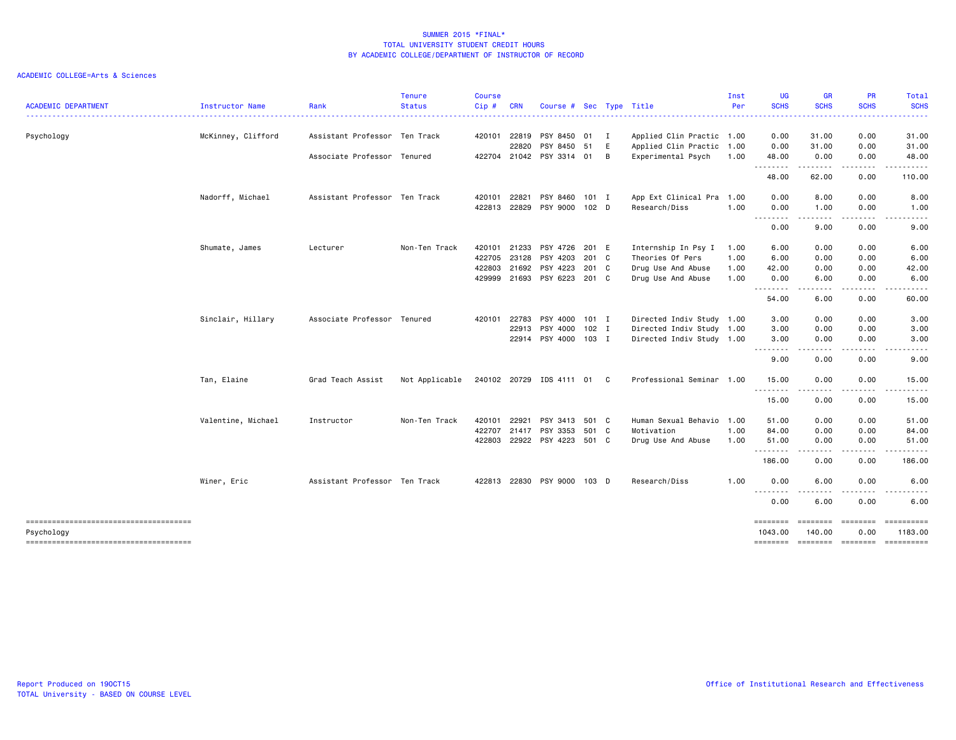|                                        |                    |                               | <b>Tenure</b>  | <b>Course</b> |            |                             |         |              |                                                 | Inst | <b>UG</b>                    | <b>GR</b>                                                                                                                         | <b>PR</b><br><b>SCHS</b> | Total                 |
|----------------------------------------|--------------------|-------------------------------|----------------|---------------|------------|-----------------------------|---------|--------------|-------------------------------------------------|------|------------------------------|-----------------------------------------------------------------------------------------------------------------------------------|--------------------------|-----------------------|
| <b>ACADEMIC DEPARTMENT</b>             | Instructor Name    | Rank                          | <b>Status</b>  | Cip#          | <b>CRN</b> | Course #                    |         |              | Sec Type Title<br>----------------------------- | Per  | <b>SCHS</b><br>. <u>.</u> .  | <b>SCHS</b>                                                                                                                       |                          | <b>SCHS</b><br>.      |
| Psychology                             | McKinney, Clifford | Assistant Professor Ten Track |                | 420101        | 22819      | PSY 8450 01                 |         | $\mathbf{I}$ | Applied Clin Practic 1.00                       |      | 0.00                         | 31.00                                                                                                                             | 0.00                     | 31.00                 |
|                                        |                    |                               |                |               | 22820      | PSY 8450                    | 51      | E            | Applied Clin Practic 1.00                       |      | 0.00                         | 31.00                                                                                                                             | 0.00                     | 31.00                 |
|                                        |                    | Associate Professor Tenured   |                | 422704        |            | 21042 PSY 3314 01           |         | в            | Experimental Psych                              | 1.00 | 48.00<br>--------            | 0.00<br>.                                                                                                                         | 0.00<br>-----            | 48.00<br>.            |
|                                        |                    |                               |                |               |            |                             |         |              |                                                 |      | 48.00                        | 62.00                                                                                                                             | 0.00                     | 110.00                |
|                                        | Nadorff, Michael   | Assistant Professor Ten Track |                | 420101        | 22821      | PSY 8460 101 I              |         |              | App Ext Clinical Pra 1.00                       |      | 0.00                         | 8.00                                                                                                                              | 0.00                     | 8.00                  |
|                                        |                    |                               |                | 422813 22829  |            | PSY 9000 102 D              |         |              | Research/Diss                                   | 1.00 | 0.00                         | 1.00                                                                                                                              | 0.00                     | 1.00                  |
|                                        |                    |                               |                |               |            |                             |         |              |                                                 |      | --------<br>0.00             | $\cdots$<br>9.00                                                                                                                  | .<br>0.00                | -----<br>9.00         |
|                                        | Shumate, James     | Lecturer                      | Non-Ten Track  | 420101        | 21233      | PSY 4726 201 E              |         |              | Internship In Psy I                             | 1.00 | 6.00                         | 0.00                                                                                                                              | 0.00                     | 6.00                  |
|                                        |                    |                               |                | 422705        | 23128      | PSY 4203                    | 201 C   |              | Theories Of Pers                                | 1.00 | 6.00                         | 0.00                                                                                                                              | 0.00                     | 6.00                  |
|                                        |                    |                               |                | 422803        | 21692      | PSY 4223                    | 201 C   |              | Drug Use And Abuse                              | 1.00 | 42.00                        | 0.00                                                                                                                              | 0.00                     | 42.00                 |
|                                        |                    |                               |                | 429999        | 21693      | PSY 6223                    | 201 C   |              | Drug Use And Abuse                              | 1.00 | 0.00<br>--------             | 6.00<br>.                                                                                                                         | 0.00<br>.                | 6.00                  |
|                                        |                    |                               |                |               |            |                             |         |              |                                                 |      | 54.00                        | 6.00                                                                                                                              | 0.00                     | 60.00                 |
|                                        | Sinclair, Hillary  | Associate Professor Tenured   |                | 420101        | 22783      | PSY 4000                    | $101$ I |              | Directed Indiv Study 1.00                       |      | 3.00                         | 0.00                                                                                                                              | 0.00                     | 3.00                  |
|                                        |                    |                               |                |               | 22913      | PSY 4000                    | $102$ I |              | Directed Indiv Study 1.00                       |      | 3.00                         | 0.00                                                                                                                              | 0.00                     | 3.00                  |
|                                        |                    |                               |                |               |            | 22914 PSY 4000 103 I        |         |              | Directed Indiv Study 1.00                       |      | 3.00<br>$- - - -$            | 0.00<br>.                                                                                                                         | 0.00                     | 3.00                  |
|                                        |                    |                               |                |               |            |                             |         |              |                                                 |      | 9.00                         | 0.00                                                                                                                              | 0.00                     | 9.00                  |
|                                        | Tan, Elaine        | Grad Teach Assist             | Not Applicable |               |            | 240102 20729 IDS 4111 01 C  |         |              | Professional Seminar 1.00                       |      | 15.00<br>.                   | 0.00<br>$\cdots$                                                                                                                  | 0.00<br>.                | 15.00<br>.            |
|                                        |                    |                               |                |               |            |                             |         |              |                                                 |      | 15.00                        | 0.00                                                                                                                              | 0.00                     | 15.00                 |
|                                        | Valentine, Michael | Instructor                    | Non-Ten Track  | 420101        | 22921      | PSY 3413 501 C              |         |              | Human Sexual Behavio                            | 1.00 | 51.00                        | 0.00                                                                                                                              | 0.00                     | 51.00                 |
|                                        |                    |                               |                | 422707        | 21417      | PSY 3353                    | 501 C   |              | Motivation                                      | 1.00 | 84.00                        | 0.00                                                                                                                              | 0.00                     | 84.00                 |
|                                        |                    |                               |                | 422803        |            | 22922 PSY 4223 501 C        |         |              | Drug Use And Abuse                              | 1.00 | 51.00<br>--------            | 0.00<br>$\frac{1}{2} \left( \frac{1}{2} \right) \left( \frac{1}{2} \right) \left( \frac{1}{2} \right) \left( \frac{1}{2} \right)$ | 0.00<br>.                | 51.00<br>. <b>.</b> . |
|                                        |                    |                               |                |               |            |                             |         |              |                                                 |      | 186.00                       | 0.00                                                                                                                              | 0.00                     | 186.00                |
|                                        | Winer, Eric        | Assistant Professor Ten Track |                |               |            | 422813 22830 PSY 9000 103 D |         |              | Research/Diss                                   | 1.00 | 0.00                         | 6.00                                                                                                                              | 0.00                     | 6.00                  |
|                                        |                    |                               |                |               |            |                             |         |              |                                                 |      | $\sim$ $\sim$ $\sim$<br>0.00 | 6.00                                                                                                                              | 0.00                     | 6.00                  |
| Psychology                             |                    |                               |                |               |            |                             |         |              |                                                 |      | ========<br>1043.00          | ========<br>140.00                                                                                                                | $= 222222222$<br>0.00    | ==========<br>1183.00 |
| -------------------------------------- |                    |                               |                |               |            |                             |         |              |                                                 |      |                              | -------- -------- -------                                                                                                         |                          | ==========            |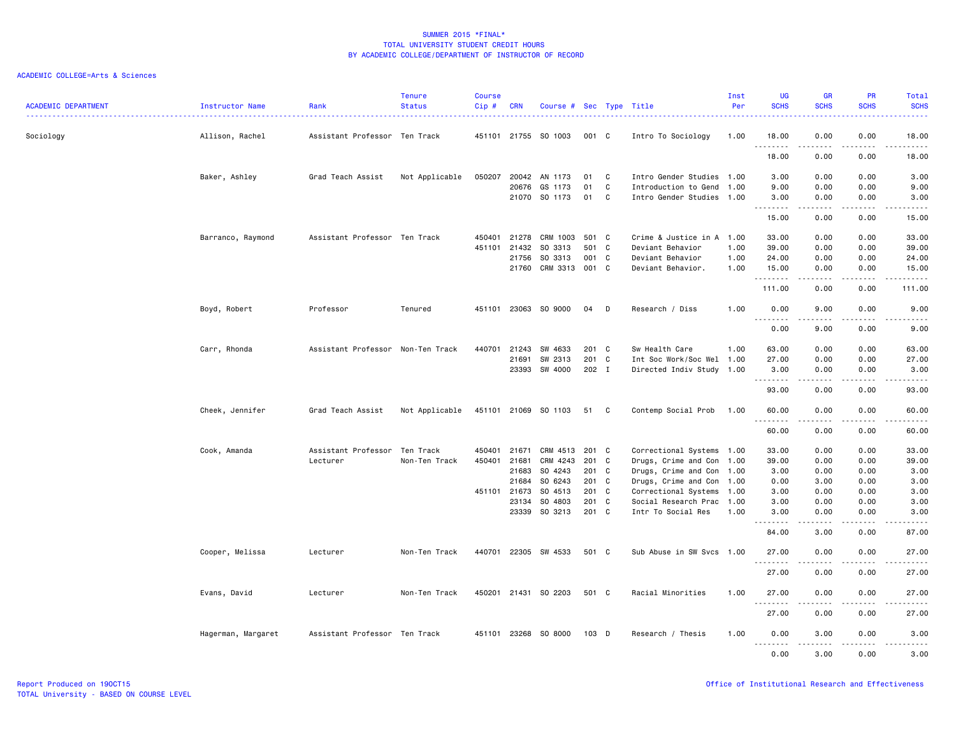| <b>ACADEMIC DEPARTMENT</b> | Instructor Name    | Rank                              | <b>Tenure</b><br><b>Status</b> | <b>Course</b><br>Cip# | <b>CRN</b>     | Course #                 |                |        | Sec Type Title                                    | Inst<br>Per | <b>UG</b><br><b>SCHS</b> | <b>GR</b><br><b>SCHS</b> | <b>PR</b><br><b>SCHS</b> | Total<br><b>SCHS</b>                                                                                                               |
|----------------------------|--------------------|-----------------------------------|--------------------------------|-----------------------|----------------|--------------------------|----------------|--------|---------------------------------------------------|-------------|--------------------------|--------------------------|--------------------------|------------------------------------------------------------------------------------------------------------------------------------|
| Sociology                  | Allison, Rachel    | Assistant Professor Ten Track     |                                |                       |                | 451101 21755 SO 1003     | 001 C          |        | Intro To Sociology                                | 1.00        | 18.00                    | 0.00                     | 0.00                     | 18.00                                                                                                                              |
|                            |                    |                                   |                                |                       |                |                          |                |        |                                                   |             | .<br>18.00               | .<br>0.00                | 0.00                     | .<br>18.00                                                                                                                         |
|                            | Baker, Ashley      | Grad Teach Assist                 | Not Applicable                 | 050207                | 20042          | AN 1173                  | 01             | C      | Intro Gender Studies 1.00                         |             | 3.00                     | 0.00                     | 0.00                     | 3.00                                                                                                                               |
|                            |                    |                                   |                                |                       | 20676          | GS 1173<br>21070 SO 1173 | 01<br>01       | C<br>C | Introduction to Gend<br>Intro Gender Studies 1.00 | 1.00        | 9.00<br>3.00             | 0.00<br>0.00             | 0.00<br>0.00             | 9.00<br>3.00                                                                                                                       |
|                            |                    |                                   |                                |                       |                |                          |                |        |                                                   |             | .<br>15.00               | .<br>0.00                | 0.00                     | $\frac{1}{2} \left( \frac{1}{2} \right) \left( \frac{1}{2} \right) \left( \frac{1}{2} \right) \left( \frac{1}{2} \right)$<br>15.00 |
|                            | Barranco, Raymond  | Assistant Professor Ten Track     |                                |                       | 450401 21278   | CRM 1003                 | 501 C          |        | Crime & Justice in A 1.00                         |             | 33.00                    | 0.00                     | 0.00                     | 33.00                                                                                                                              |
|                            |                    |                                   |                                | 451101                | 21432          | SO 3313                  | 501            | C.     | Deviant Behavior                                  | 1.00        | 39.00                    | 0.00                     | 0.00                     | 39.00                                                                                                                              |
|                            |                    |                                   |                                |                       | 21756          | SO 3313                  | 001 C          |        | Deviant Behavior                                  | 1.00        | 24.00                    | 0.00                     | 0.00                     | 24.00                                                                                                                              |
|                            |                    |                                   |                                |                       |                | 21760 CRM 3313 001 C     |                |        | Deviant Behavior.                                 | 1.00        | 15.00<br>.               | 0.00<br>-----            | 0.00<br>.                | 15.00<br>.                                                                                                                         |
|                            |                    |                                   |                                |                       |                |                          |                |        |                                                   |             | 111.00                   | 0.00                     | 0.00                     | 111.00                                                                                                                             |
|                            | Boyd, Robert       | Professor                         | Tenured                        | 451101                | 23063          | SO 9000                  | 04             | D      | Research / Diss                                   | 1.00        | 0.00                     | 9.00                     | 0.00                     | 9.00                                                                                                                               |
|                            |                    |                                   |                                |                       |                |                          |                |        |                                                   |             | 0.00                     | 9.00                     | 0.00                     | 9.00                                                                                                                               |
|                            | Carr, Rhonda       | Assistant Professor Non-Ten Track |                                | 440701                | 21243          | SW 4633                  | 201 C          |        | Sw Health Care                                    | 1.00        | 63.00                    | 0.00                     | 0.00                     | 63,00                                                                                                                              |
|                            |                    |                                   |                                |                       | 21691          | SW 2313                  | 201 C          |        | Int Soc Work/Soc Wel 1.00                         |             | 27.00                    | 0.00                     | 0.00                     | 27.00                                                                                                                              |
|                            |                    |                                   |                                |                       | 23393          | SW 4000                  | 202 I          |        | Directed Indiv Study 1.00                         |             | 3.00<br>.                | 0.00                     | 0.00                     | 3.00<br>$\sim$ $\sim$ $\sim$ $\sim$                                                                                                |
|                            |                    |                                   |                                |                       |                |                          |                |        |                                                   |             | 93.00                    | 0.00                     | 0.00                     | 93.00                                                                                                                              |
|                            | Cheek, Jennifer    | Grad Teach Assist                 | Not Applicable                 |                       |                | 451101 21069 SO 1103     | 51             | C      | Contemp Social Prob                               | 1.00        | 60.00<br><u>.</u>        | 0.00<br>$   -$           | 0.00                     | 60.00<br><u>.</u>                                                                                                                  |
|                            |                    |                                   |                                |                       |                |                          |                |        |                                                   |             | 60.00                    | 0.00                     | 0.00                     | 60.00                                                                                                                              |
|                            | Cook, Amanda       | Assistant Professor Ten Track     |                                |                       | 450401 21671   | CRM 4513                 | 201 C          |        | Correctional Systems 1.00                         |             | 33.00                    | 0.00                     | 0.00                     | 33.00                                                                                                                              |
|                            |                    | Lecturer                          | Non-Ten Track                  | 450401                | 21681          | CRM 4243                 | 201            | C      | Drugs, Crime and Con 1.00                         |             | 39.00                    | 0.00                     | 0.00                     | 39.00                                                                                                                              |
|                            |                    |                                   |                                |                       | 21683          | SO 4243                  | 201 C          |        | Drugs, Crime and Con 1.00                         |             | 3.00                     | 0.00                     | 0.00                     | 3.00                                                                                                                               |
|                            |                    |                                   |                                |                       | 21684          | SO 6243                  | 201 C          |        | Drugs, Crime and Con 1.00                         |             | 0.00                     | 3.00                     | 0.00                     | 3.00                                                                                                                               |
|                            |                    |                                   |                                |                       | 451101 21673   | SO 4513                  | 201 C          |        | Correctional Systems 1.00                         |             | 3.00                     | 0.00                     | 0.00                     | 3.00                                                                                                                               |
|                            |                    |                                   |                                |                       | 23134<br>23339 | SO 4803<br>SO 3213       | 201 C<br>201 C |        | Social Research Prac 1.00<br>Intr To Social Res   | 1.00        | 3.00<br>3.00             | 0.00<br>0.00             | 0.00<br>0.00             | 3.00<br>3.00                                                                                                                       |
|                            |                    |                                   |                                |                       |                |                          |                |        |                                                   |             | .<br>84.00               | د د د د<br>3.00          | د د د د<br>0.00          | $\omega$ is a set<br>87.00                                                                                                         |
|                            |                    |                                   |                                |                       |                |                          |                |        |                                                   |             |                          |                          |                          |                                                                                                                                    |
|                            | Cooper, Melissa    | Lecturer                          | Non-Ten Track                  |                       | 440701 22305   | SW 4533                  | 501 C          |        | Sub Abuse in SW Svcs 1.00                         |             | 27.00<br>. <b>.</b> .    | 0.00                     | 0.00                     | 27.00                                                                                                                              |
|                            |                    |                                   |                                |                       |                |                          |                |        |                                                   |             | 27.00                    | 0.00                     | 0.00                     | 27.00                                                                                                                              |
|                            | Evans, David       | Lecturer                          | Non-Ten Track                  |                       |                | 450201 21431 SO 2203     | 501 C          |        | Racial Minorities                                 | 1.00        | 27.00<br>.               | 0.00                     | 0.00                     | 27.00<br>$\frac{1}{2} \left( \frac{1}{2} \right) \left( \frac{1}{2} \right) \left( \frac{1}{2} \right) \left( \frac{1}{2} \right)$ |
|                            |                    |                                   |                                |                       |                |                          |                |        |                                                   |             | 27.00                    | 0.00                     | 0.00                     | 27.00                                                                                                                              |
|                            | Hagerman, Margaret | Assistant Professor Ten Track     |                                |                       |                | 451101 23268 SO 8000     | 103 D          |        | Research / Thesis                                 | 1.00        | 0.00<br><u>.</u>         | 3.00<br>.                | 0.00<br>.                | 3.00<br>$\frac{1}{2}$                                                                                                              |
|                            |                    |                                   |                                |                       |                |                          |                |        |                                                   |             | 0.00                     | 3.00                     | 0.00                     | 3.00                                                                                                                               |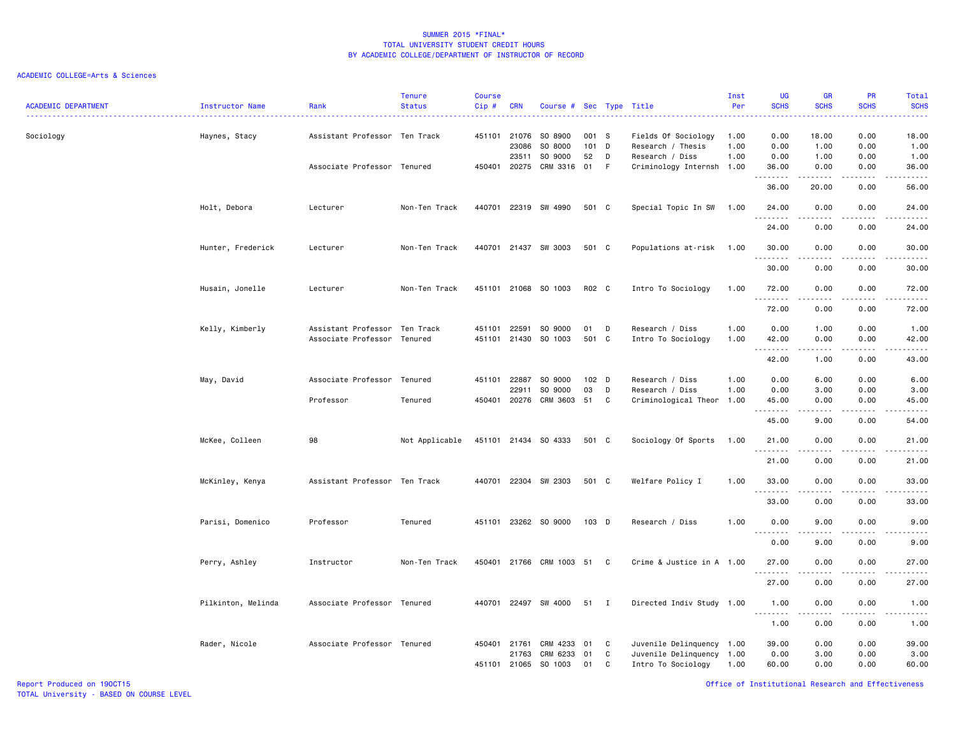## ACADEMIC COLLEGE=Arts & Sciences

| <b>ACADEMIC DEPARTMENT</b> | <b>Instructor Name</b> | Rank                                               | <b>Tenure</b><br><b>Status</b> | <b>Course</b><br>Cip# | <b>CRN</b>                     | Course # Sec Type Title       |                      |              |                                                             | Inst<br>Per          | <b>UG</b><br><b>SCHS</b> | <b>GR</b><br><b>SCHS</b> | PR<br><b>SCHS</b>                   | Total<br><b>SCHS</b><br>.                                                                                                                                     |
|----------------------------|------------------------|----------------------------------------------------|--------------------------------|-----------------------|--------------------------------|-------------------------------|----------------------|--------------|-------------------------------------------------------------|----------------------|--------------------------|--------------------------|-------------------------------------|---------------------------------------------------------------------------------------------------------------------------------------------------------------|
| Sociology                  | Haynes, Stacy          | Assistant Professor Ten Track                      |                                |                       | 451101 21076<br>23086<br>23511 | SO 8900<br>SO 8000<br>SO 9000 | 001 S<br>101 D<br>52 | D            | Fields Of Sociology<br>Research / Thesis<br>Research / Diss | 1.00<br>1.00<br>1.00 | 0.00<br>0.00<br>0.00     | 18.00<br>1.00<br>1.00    | 0.00<br>0.00<br>0.00                | 18.00<br>1.00<br>1.00                                                                                                                                         |
|                            |                        | Associate Professor Tenured                        |                                |                       | 450401 20275                   | CRM 3316                      | 01                   | F            | Criminology Internsh 1.00                                   |                      | 36.00<br>.               | 0.00<br>.                | 0.00<br>$   -$                      | 36.00<br>د د د د د                                                                                                                                            |
|                            |                        |                                                    |                                |                       |                                |                               |                      |              |                                                             |                      | 36.00                    | 20.00                    | 0.00                                | 56.00                                                                                                                                                         |
|                            | Holt, Debora           | Lecturer                                           | Non-Ten Track                  |                       |                                | 440701 22319 SW 4990          | 501 C                |              | Special Topic In SW                                         | 1.00                 | 24.00<br>.               | 0.00<br>.                | 0.00<br>- - - -                     | 24.00<br>د د د د د                                                                                                                                            |
|                            |                        |                                                    |                                |                       |                                |                               |                      |              |                                                             |                      | 24.00                    | 0.00                     | 0.00                                | 24.00                                                                                                                                                         |
|                            | Hunter, Frederick      | Lecturer                                           | Non-Ten Track                  |                       |                                | 440701 21437 SW 3003          | 501 C                |              | Populations at-risk                                         | 1.00                 | 30.00<br>.               | 0.00<br>.                | 0.00<br>$\sim$ $\sim$ $\sim$        | 30.00<br>د د د د د                                                                                                                                            |
|                            |                        |                                                    |                                |                       |                                |                               |                      |              |                                                             |                      | 30.00                    | 0.00                     | 0.00                                | 30.00                                                                                                                                                         |
|                            | Husain, Jonelle        | Lecturer                                           | Non-Ten Track                  |                       |                                | 451101 21068 SO 1003          | R02 C                |              | Intro To Sociology                                          | 1.00                 | 72.00<br>.               | 0.00<br>.                | 0.00<br>$\sim$ $\sim$ $\sim$ $\sim$ | 72.00<br>المتمالين                                                                                                                                            |
|                            |                        |                                                    |                                |                       |                                |                               |                      |              |                                                             |                      | 72.00                    | 0.00                     | 0.00                                | 72.00                                                                                                                                                         |
|                            | Kelly, Kimberly        | Assistant Professor<br>Associate Professor Tenured | Ten Track                      | 451101                | 22591<br>451101 21430          | SO 9000<br>SO 1003            | 01<br>501 C          | D            | Research / Diss<br>Intro To Sociology                       | 1.00<br>1.00         | 0.00<br>42.00            | 1.00<br>0.00             | 0.00<br>0.00                        | 1.00<br>42.00                                                                                                                                                 |
|                            |                        |                                                    |                                |                       |                                |                               |                      |              |                                                             |                      | 42.00                    | 1.00                     | 0.00                                | $\sim$ $\sim$ $\sim$ $\sim$<br>43.00                                                                                                                          |
|                            | May, David             | Associate Professor Tenured                        |                                |                       | 451101 22887                   | SO 9000                       | 102 D                |              | Research / Diss                                             | 1.00                 | 0.00                     | 6.00                     | 0.00                                | 6.00                                                                                                                                                          |
|                            |                        |                                                    |                                |                       | 22911                          | SO 9000                       | 03                   | D            | Research / Diss                                             | 1.00                 | 0.00                     | 3.00                     | 0.00                                | 3.00                                                                                                                                                          |
|                            |                        | Professor                                          | Tenured                        | 450401                | 20276                          | CRM 3603                      | 51                   | C            | Criminological Theor                                        | 1.00                 | 45.00<br>.               | 0.00                     | 0.00                                | 45.00<br>$\frac{1}{2} \left( \frac{1}{2} \right) \left( \frac{1}{2} \right) \left( \frac{1}{2} \right) \left( \frac{1}{2} \right) \left( \frac{1}{2} \right)$ |
|                            |                        |                                                    |                                |                       |                                |                               |                      |              |                                                             |                      | 45.00                    | 9.00                     | 0.00                                | 54.00                                                                                                                                                         |
|                            | McKee, Colleen         | 98                                                 | Not Applicable                 |                       |                                | 451101 21434 SO 4333          | 501 C                |              | Sociology Of Sports                                         | 1.00                 | 21.00<br>.               | 0.00                     | 0.00                                | 21.00<br>.                                                                                                                                                    |
|                            |                        |                                                    |                                |                       |                                |                               |                      |              |                                                             |                      | 21.00                    | 0.00                     | 0.00                                | 21.00                                                                                                                                                         |
|                            | McKinley, Kenya        | Assistant Professor Ten Track                      |                                |                       |                                | 440701 22304 SW 2303          | 501 C                |              | Welfare Policy I                                            | 1.00                 | 33.00<br>.               | 0.00                     | 0.00<br>.                           | 33.00<br>$- - - -$                                                                                                                                            |
|                            |                        |                                                    |                                |                       |                                |                               |                      |              |                                                             |                      | 33.00                    | 0.00                     | 0.00                                | 33.00                                                                                                                                                         |
|                            | Parisi, Domenico       | Professor                                          | Tenured                        |                       |                                | 451101 23262 SO 9000          | 103 D                |              | Research / Diss                                             | 1.00                 | 0.00<br>.                | 9.00<br>.                | 0.00<br>$\sim$ $\sim$ $\sim$ $\sim$ | 9.00<br>$\frac{1}{2} \left( \frac{1}{2} \right) \left( \frac{1}{2} \right) \left( \frac{1}{2} \right) \left( \frac{1}{2} \right) \left( \frac{1}{2} \right)$  |
|                            |                        |                                                    |                                |                       |                                |                               |                      |              |                                                             |                      | 0.00                     | 9.00                     | 0.00                                | 9.00                                                                                                                                                          |
|                            | Perry, Ashley          | Instructor                                         | Non-Ten Track                  |                       |                                | 450401 21766 CRM 1003 51      |                      | C            | Crime & Justice in A 1.00                                   |                      | 27.00                    | 0.00<br>.                | 0.00<br>$\sim$ $\sim$ $\sim$        | 27.00<br>$\sim$ $\sim$ $\sim$ $\sim$                                                                                                                          |
|                            |                        |                                                    |                                |                       |                                |                               |                      |              |                                                             |                      | 27.00                    | 0.00                     | 0.00                                | 27.00                                                                                                                                                         |
|                            | Pilkinton, Melinda     | Associate Professor Tenured                        |                                |                       | 440701 22497                   | SW 4000                       | 51                   | $\mathbf{I}$ | Directed Indiv Study 1.00                                   |                      | 1.00<br>.                | 0.00<br>.                | 0.00<br>.                           | 1.00<br>$\frac{1}{2} \left( \frac{1}{2} \right) \left( \frac{1}{2} \right) \left( \frac{1}{2} \right) \left( \frac{1}{2} \right) \left( \frac{1}{2} \right)$  |
|                            |                        |                                                    |                                |                       |                                |                               |                      |              |                                                             |                      | 1.00                     | 0.00                     | 0.00                                | 1.00                                                                                                                                                          |
|                            | Rader, Nicole          | Associate Professor Tenured                        |                                |                       | 450401 21761                   | CRM 4233                      | 01                   | C            | Juvenile Delinquency 1.00                                   |                      | 39.00                    | 0.00                     | 0.00                                | 39.00                                                                                                                                                         |
|                            |                        |                                                    |                                |                       | 21763<br>451101 21065          | CRM 6233<br>SO 1003           | 01<br>01             | C<br>C       | Juvenile Delinquency 1.00<br>Intro To Sociology             | 1.00                 | 0.00<br>60.00            | 3.00<br>0.00             | 0.00<br>0.00                        | 3.00<br>60.00                                                                                                                                                 |

Report Produced on 19OCT15 Office of Institutional Research and Effectiveness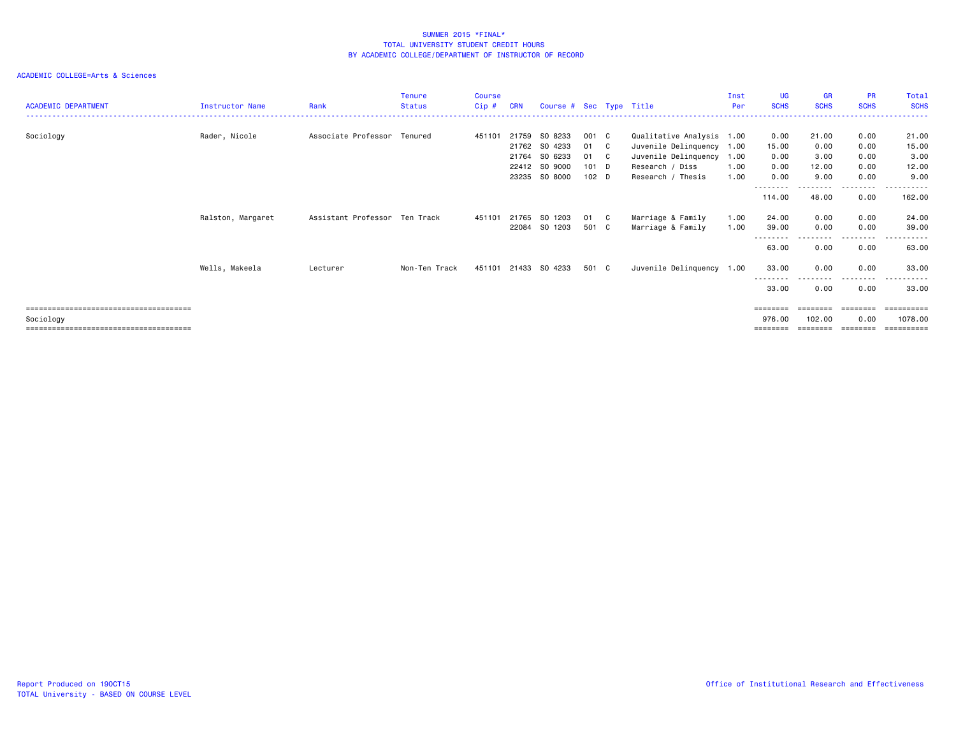| <b>ACADEMIC DEPARTMENT</b> | Instructor Name   | Rank                          | <b>Tenure</b><br><b>Status</b> | Course<br>$Cip$ # | <b>CRN</b> | Course # Sec Type Title |                  |     |                           | Inst<br>Per | <b>UG</b><br><b>SCHS</b> | <b>GR</b><br><b>SCHS</b> | <b>PR</b><br><b>SCHS</b> | Total<br><b>SCHS</b>    |
|----------------------------|-------------------|-------------------------------|--------------------------------|-------------------|------------|-------------------------|------------------|-----|---------------------------|-------------|--------------------------|--------------------------|--------------------------|-------------------------|
|                            |                   |                               |                                |                   |            |                         |                  |     |                           |             |                          |                          |                          |                         |
| Sociology                  | Rader, Nicole     | Associate Professor Tenured   |                                | 451101            |            | 21759 SO 8233           | 001 C            |     | Qualitative Analysis 1.00 |             | 0.00                     | 21.00                    | 0.00                     | 21.00                   |
|                            |                   |                               |                                |                   |            | 21762 SO 4233           | 01               | C . | Juvenile Delinquency 1.00 |             | 15.00                    | 0.00                     | 0.00                     | 15.00                   |
|                            |                   |                               |                                |                   | 21764      | SO 6233                 | 01               | C . | Juvenile Delinquency      | 1.00        | 0.00                     | 3.00                     | 0.00                     | 3.00                    |
|                            |                   |                               |                                |                   |            | 22412 SO 9000           | $101$ D          |     | Research / Diss           | 1.00        | 0.00                     | 12.00                    | 0.00                     | 12.00                   |
|                            |                   |                               |                                |                   | 23235      | SO 8000                 | 102 <sub>D</sub> |     | Research / Thesis         | 1.00        | 0.00                     | 9.00                     | 0.00                     | 9.00                    |
|                            |                   |                               |                                |                   |            |                         |                  |     |                           |             | --------<br>114.00       | 48.00                    | ----<br>0.00             | - - - - - - -<br>162.00 |
|                            | Ralston, Margaret | Assistant Professor Ten Track |                                | 451101            |            | 21765 SO 1203           | 01 C             |     | Marriage & Family         | 1.00        | 24.00                    | 0.00                     | 0.00                     | 24.00                   |
|                            |                   |                               |                                |                   |            | 22084 SO 1203           | 501 C            |     | Marriage & Family         | 1.00        | 39.00                    | 0.00                     | 0.00                     | 39.00                   |
|                            |                   |                               |                                |                   |            |                         |                  |     |                           |             | 63.00                    | 0.00                     | 0.00                     | 63.00                   |
|                            | Wells, Makeela    | Lecturer                      | Non-Ten Track                  |                   |            | 451101 21433 SO 4233    | 501 C            |     | Juvenile Delinquency 1.00 |             | 33.00                    | 0.00                     | 0.00                     | 33.00                   |
|                            |                   |                               |                                |                   |            |                         |                  |     |                           |             | --------<br>33.00        | 0.00                     | --------<br>0.00         | ------<br>33.00         |
|                            |                   |                               |                                |                   |            |                         |                  |     |                           |             | ========                 | ========                 | ========                 |                         |
| Sociology                  |                   |                               |                                |                   |            |                         |                  |     |                           |             | 976.00                   | 102.00                   | 0.00                     | 1078.00                 |
|                            |                   |                               |                                |                   |            |                         |                  |     |                           |             |                          |                          |                          | ==========              |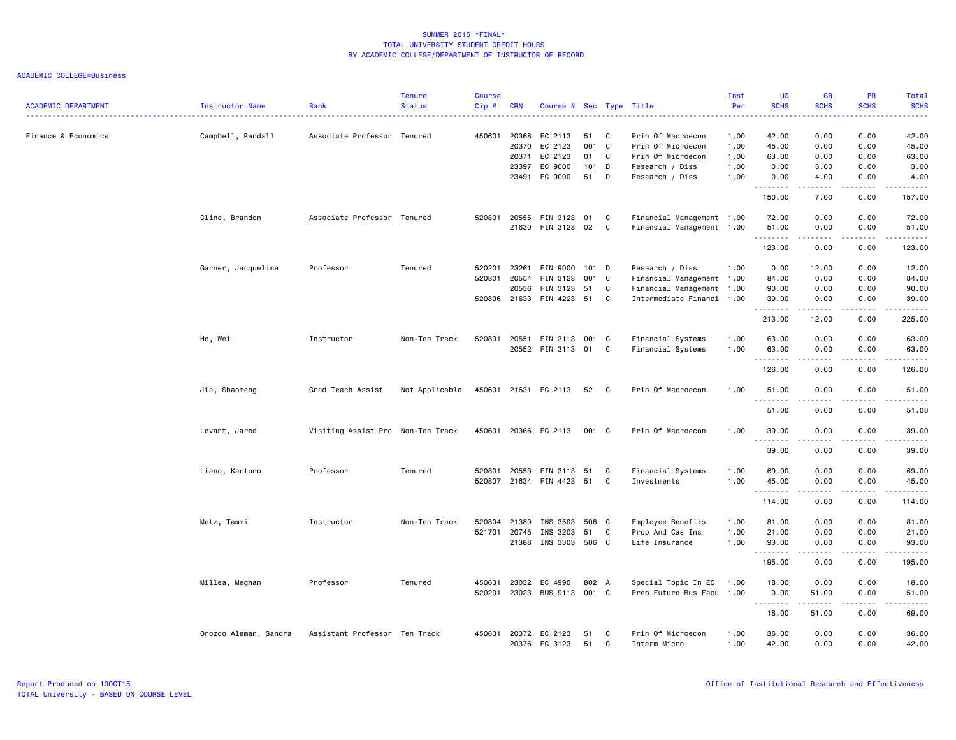| <b>ACADEMIC DEPARTMENT</b> | Instructor Name       | Rank                              | <b>Tenure</b><br><b>Status</b> | <b>Course</b><br>Cip# | <b>CRN</b>                                       | Course # Sec Type Title                                   |                                |                  |                                                                                                        | Inst<br>Per<br>. <u>.</u> .          | <b>UG</b><br><b>SCHS</b><br>.           | <b>GR</b><br><b>SCHS</b>                                                                                                                                             | <b>PR</b><br><b>SCHS</b><br>$\frac{1}{2}$                                                                                                 | Total<br><b>SCHS</b><br>د د د د د                                                                                                                                      |
|----------------------------|-----------------------|-----------------------------------|--------------------------------|-----------------------|--------------------------------------------------|-----------------------------------------------------------|--------------------------------|------------------|--------------------------------------------------------------------------------------------------------|--------------------------------------|-----------------------------------------|----------------------------------------------------------------------------------------------------------------------------------------------------------------------|-------------------------------------------------------------------------------------------------------------------------------------------|------------------------------------------------------------------------------------------------------------------------------------------------------------------------|
| Finance & Economics        | Campbell, Randall     | Associate Professor Tenured       |                                |                       | 450601 20368<br>20370<br>20371<br>23397<br>23491 | EC 2113<br>EC 2123<br>EC 2123<br>EC 9000<br>EC 9000       | 51<br>001<br>01<br>101 D<br>51 | C<br>C<br>C<br>D | Prin Of Macroecon<br>Prin Of Microecon<br>Prin Of Microecon<br>Research / Diss<br>Research / Diss      | 1.00<br>1.00<br>1.00<br>1.00<br>1.00 | 42.00<br>45.00<br>63.00<br>0.00<br>0.00 | 0.00<br>0.00<br>0.00<br>3.00<br>4.00                                                                                                                                 | 0.00<br>0.00<br>0.00<br>0.00<br>0.00                                                                                                      | 42.00<br>45.00<br>63.00<br>3.00<br>4.00                                                                                                                                |
|                            |                       |                                   |                                |                       |                                                  |                                                           |                                |                  |                                                                                                        |                                      | .<br>150.00                             | <u>.</u><br>7.00                                                                                                                                                     | .<br>0.00                                                                                                                                 | <u>.</u><br>157.00                                                                                                                                                     |
|                            | Cline, Brandon        | Associate Professor Tenured       |                                |                       |                                                  | 520801 20555 FIN 3123<br>21630 FIN 3123                   | 01<br>02                       | C<br>C           | Financial Management 1.00<br>Financial Management 1.00                                                 |                                      | 72.00<br>51.00<br>. <b>.</b>            | 0.00<br>0.00<br>$- - - - -$                                                                                                                                          | 0.00<br>0.00<br>.                                                                                                                         | 72.00<br>51.00<br>.                                                                                                                                                    |
|                            |                       |                                   |                                |                       |                                                  |                                                           |                                |                  |                                                                                                        |                                      | 123.00                                  | 0.00                                                                                                                                                                 | 0.00                                                                                                                                      | 123.00                                                                                                                                                                 |
|                            | Garner, Jacqueline    | Professor                         | Tenured                        | 520201                | 23261<br>520801 20554<br>20556                   | FIN 9000<br>FIN 3123<br>FIN 3123<br>520806 21633 FIN 4223 | 101 D<br>001 C<br>51<br>51     | C<br>C           | Research / Diss<br>Financial Management 1.00<br>Financial Management 1.00<br>Intermediate Financi 1.00 | 1.00                                 | 0.00<br>84.00<br>90.00<br>39.00<br>.    | 12.00<br>0.00<br>0.00<br>0.00<br>.                                                                                                                                   | 0.00<br>0.00<br>0.00<br>0.00<br>د د د د                                                                                                   | 12.00<br>84.00<br>90.00<br>39.00                                                                                                                                       |
|                            |                       |                                   |                                |                       |                                                  |                                                           |                                |                  |                                                                                                        |                                      | 213.00                                  | 12.00                                                                                                                                                                | 0.00                                                                                                                                      | 225.00                                                                                                                                                                 |
|                            | He, Wei               | Instructor                        | Non-Ten Track                  |                       |                                                  | 520801 20551 FIN 3113<br>20552 FIN 3113                   | 001 C<br>01                    | C                | Financial Systems<br>Financial Systems                                                                 | 1.00<br>1.00                         | 63.00<br>63.00<br>.                     | 0.00<br>0.00                                                                                                                                                         | 0.00<br>0.00                                                                                                                              | 63.00<br>63.00<br>.                                                                                                                                                    |
|                            |                       |                                   |                                |                       |                                                  |                                                           |                                |                  |                                                                                                        |                                      | 126.00                                  | 0.00                                                                                                                                                                 | 0.00                                                                                                                                      | 126.00                                                                                                                                                                 |
|                            | Jia, Shaomeng         | Grad Teach Assist                 | Not Applicable                 |                       |                                                  | 450601 21631 EC 2113                                      | 52                             | $\mathbf{C}$     | Prin Of Macroecon                                                                                      | 1.00                                 | 51.00<br>.                              | 0.00                                                                                                                                                                 | 0.00<br>$\frac{1}{2} \left( \frac{1}{2} \right) \left( \frac{1}{2} \right) \left( \frac{1}{2} \right) \left( \frac{1}{2} \right)$         | 51.00<br>$\frac{1}{2} \left( \frac{1}{2} \right) \left( \frac{1}{2} \right) \left( \frac{1}{2} \right) \left( \frac{1}{2} \right) \left( \frac{1}{2} \right)$          |
|                            |                       |                                   |                                |                       |                                                  |                                                           |                                |                  |                                                                                                        |                                      | 51.00                                   | 0.00                                                                                                                                                                 | 0.00                                                                                                                                      | 51.00                                                                                                                                                                  |
|                            | Levant, Jared         | Visiting Assist Pro Non-Ten Track |                                |                       |                                                  | 450601 20366 EC 2113                                      | 001 C                          |                  | Prin Of Macroecon                                                                                      | 1.00                                 | 39.00<br><u>.</u>                       | 0.00<br>.                                                                                                                                                            | 0.00<br>$\frac{1}{2}$                                                                                                                     | 39.00<br>.                                                                                                                                                             |
|                            |                       |                                   |                                |                       |                                                  |                                                           |                                |                  |                                                                                                        |                                      | 39.00                                   | 0.00                                                                                                                                                                 | 0.00                                                                                                                                      | 39.00                                                                                                                                                                  |
|                            | Liano, Kartono        | Professor                         | Tenured                        | 520801                | 20553                                            | FIN 3113<br>520807 21634 FIN 4423                         | 51<br>51                       | C<br>C           | Financial Systems<br>Investments                                                                       | 1.00<br>1.00                         | 69.00<br>45.00<br><u>.</u>              | 0.00<br>0.00<br>$\frac{1}{2} \left( \frac{1}{2} \right) \left( \frac{1}{2} \right) \left( \frac{1}{2} \right) \left( \frac{1}{2} \right) \left( \frac{1}{2} \right)$ | 0.00<br>0.00<br>.                                                                                                                         | 69.00<br>45.00<br>.                                                                                                                                                    |
|                            |                       |                                   |                                |                       |                                                  |                                                           |                                |                  |                                                                                                        |                                      | 114.00                                  | 0.00                                                                                                                                                                 | 0.00                                                                                                                                      | 114.00                                                                                                                                                                 |
|                            | Metz, Tammi           | Instructor                        | Non-Ten Track                  | 520804                | 21389<br>521701 20745                            | INS 3503<br>INS 3203<br>21388 INS 3303 506 C              | 506 C<br>51                    | C.               | Employee Benefits<br>Prop And Cas Ins<br>Life Insurance                                                | 1.00<br>1.00<br>1.00                 | 81.00<br>21.00<br>93.00<br>.            | 0.00<br>0.00<br>0.00<br>المتمام المتعاد                                                                                                                              | 0.00<br>0.00<br>0.00<br>.                                                                                                                 | 81.00<br>21.00<br>93.00<br>.                                                                                                                                           |
|                            |                       |                                   |                                |                       |                                                  |                                                           |                                |                  |                                                                                                        |                                      | 195.00                                  | 0.00                                                                                                                                                                 | 0.00                                                                                                                                      | 195.00                                                                                                                                                                 |
|                            | Millea, Meghan        | Professor                         | Tenured                        | 450601<br>520201      | 23032                                            | EC 4990<br>23023 BUS 9113 001 C                           | 802 A                          |                  | Special Topic In EC<br>Prep Future Bus Facu 1.00                                                       | 1.00                                 | 18.00<br>0.00<br>.                      | 0.00<br>51.00<br>.                                                                                                                                                   | 0.00<br>0.00<br>$\frac{1}{2} \left( \frac{1}{2} \right) \left( \frac{1}{2} \right) \left( \frac{1}{2} \right) \left( \frac{1}{2} \right)$ | 18.00<br>51.00<br>$\frac{1}{2} \left( \frac{1}{2} \right) \left( \frac{1}{2} \right) \left( \frac{1}{2} \right) \left( \frac{1}{2} \right) \left( \frac{1}{2} \right)$ |
|                            |                       |                                   |                                |                       |                                                  |                                                           |                                |                  |                                                                                                        |                                      | 18.00                                   | 51.00                                                                                                                                                                | 0.00                                                                                                                                      | 69.00                                                                                                                                                                  |
|                            | Orozco Aleman, Sandra | Assistant Professor Ten Track     |                                | 450601                |                                                  | 20372 EC 2123<br>20376 EC 3123                            | 51<br>51                       | C<br>C           | Prin Of Microecon<br>Interm Micro                                                                      | 1.00<br>1.00                         | 36.00<br>42.00                          | 0.00<br>0.00                                                                                                                                                         | 0.00<br>0.00                                                                                                                              | 36.00<br>42.00                                                                                                                                                         |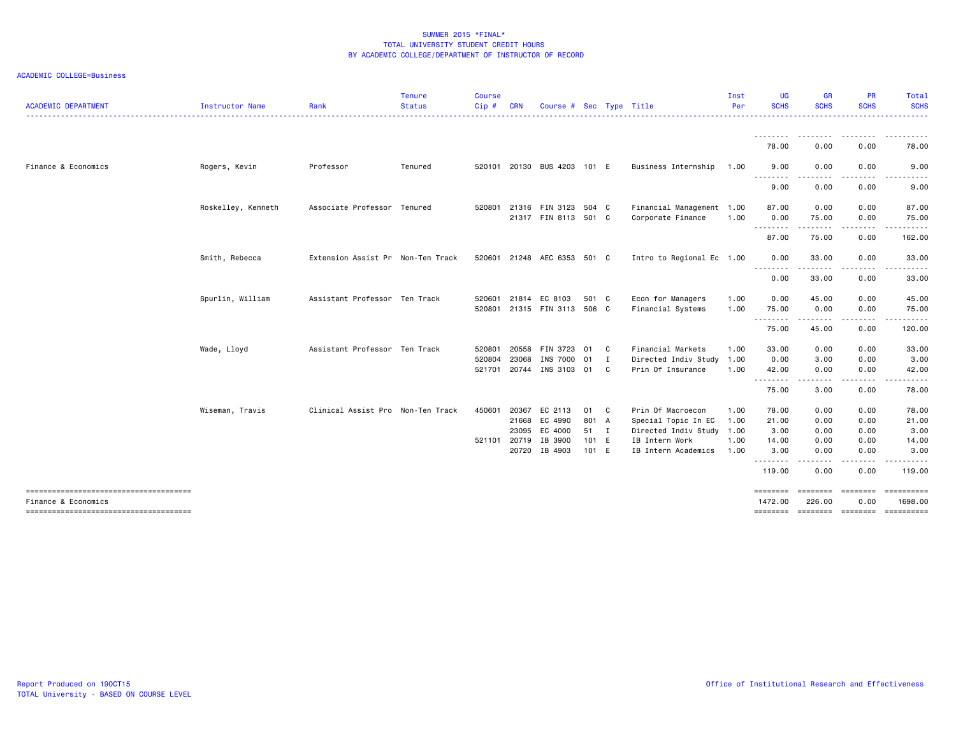| <b>ACADEMIC DEPARTMENT</b>            | Instructor Name    | Rank                              | <b>Tenure</b><br><b>Status</b> | <b>Course</b><br>Cip# | <b>CRN</b> | Course # Sec Type Title               |       |              |                                        | Inst<br>Per  | <b>UG</b><br><b>SCHS</b>  | <b>GR</b><br><b>SCHS</b> | <b>PR</b><br><b>SCHS</b> | Total<br><b>SCHS</b> |
|---------------------------------------|--------------------|-----------------------------------|--------------------------------|-----------------------|------------|---------------------------------------|-------|--------------|----------------------------------------|--------------|---------------------------|--------------------------|--------------------------|----------------------|
|                                       |                    |                                   |                                |                       |            |                                       |       |              |                                        |              |                           |                          |                          |                      |
|                                       |                    |                                   |                                |                       |            |                                       |       |              |                                        |              | 78.00                     | 0.00                     | 0.00                     | 78.00                |
| Finance & Economics                   | Rogers, Kevin      | Professor                         | Tenured                        | 520101                |            | 20130 BUS 4203 101 E                  |       |              | Business Internship                    | 1.00         | 9.00                      | 0.00                     | 0.00                     | 9.00                 |
|                                       |                    |                                   |                                |                       |            |                                       |       |              |                                        |              | 9.00                      | 0.00                     | 0.00                     | 9.00                 |
|                                       | Roskelley, Kenneth | Associate Professor Tenured       |                                | 520801                |            | 21316 FIN 3123 504 C                  |       |              | Financial Management 1.00              |              | 87.00                     | 0.00                     | 0.00                     | 87.00                |
|                                       |                    |                                   |                                |                       |            | 21317 FIN 8113 501 C                  |       |              | Corporate Finance                      | 1.00         | 0.00<br>.                 | 75.00<br>.               | 0.00<br>.                | 75.00<br>.           |
|                                       |                    |                                   |                                |                       |            |                                       |       |              |                                        |              | 87.00                     | 75.00                    | 0.00                     | 162.00               |
|                                       | Smith, Rebecca     | Extension Assist Pr Non-Ten Track |                                | 520601                |            | 21248 AEC 6353 501 C                  |       |              | Intro to Regional Ec 1.00              |              | 0.00                      | 33.00                    | 0.00                     | 33.00                |
|                                       |                    |                                   |                                |                       |            |                                       |       |              |                                        |              | 0.00                      | 33.00                    | 0.00                     | 33.00                |
|                                       | Spurlin, William   | Assistant Professor Ten Track     |                                | 520601<br>520801      |            | 21814 EC 8103<br>21315 FIN 3113 506 C | 501 C |              | Econ for Managers<br>Financial Systems | 1.00<br>1.00 | 0.00<br>75.00             | 45.00<br>0.00            | 0.00<br>0.00             | 45.00<br>75.00       |
|                                       |                    |                                   |                                |                       |            |                                       |       |              |                                        |              | .                         | .                        | -----                    | ------               |
|                                       |                    |                                   |                                |                       |            |                                       |       |              |                                        |              | 75.00                     | 45.00                    | 0.00                     | 120.00               |
|                                       | Wade, Lloyd        | Assistant Professor Ten Track     |                                | 520801                | 20558      | FIN 3723 01                           |       | $\mathbf{C}$ | Financial Markets                      | 1.00         | 33.00                     | 0.00                     | 0.00                     | 33.00                |
|                                       |                    |                                   |                                | 520804                | 23068      | INS 7000 01                           |       | $\mathbf{I}$ | Directed Indiv Study 1.00              |              | 0.00                      | 3.00                     | 0.00                     | 3.00                 |
|                                       |                    |                                   |                                | 521701                | 20744      | INS 3103 01                           |       | - C          | Prin Of Insurance                      | 1.00         | 42.00<br>.                | 0.00<br>-----            | 0.00                     | 42.00                |
|                                       |                    |                                   |                                |                       |            |                                       |       |              |                                        |              | 75.00                     | 3.00                     | 0.00                     | 78.00                |
|                                       | Wiseman, Travis    | Clinical Assist Pro Non-Ten Track |                                | 450601                | 20367      | EC 2113                               | 01    | $\mathbf{C}$ | Prin Of Macroecon                      | 1.00         | 78.00                     | 0.00                     | 0.00                     | 78.00                |
|                                       |                    |                                   |                                |                       | 21668      | EC 4990                               | 801 A |              | Special Topic In EC                    | 1.00         | 21.00                     | 0.00                     | 0.00                     | 21.00                |
|                                       |                    |                                   |                                |                       | 23095      | EC 4000                               | 51 I  |              | Directed Indiv Study 1.00              |              | 3.00                      | 0.00                     | 0.00                     | 3.00                 |
|                                       |                    |                                   |                                | 521101                | 20719      | IB 3900                               | 101 E |              | IB Intern Work                         | 1.00         | 14.00                     | 0.00                     | 0.00                     | 14.00                |
|                                       |                    |                                   |                                |                       | 20720      | IB 4903                               | 101 E |              | IB Intern Academics                    | 1.00         | 3.00                      | 0.00<br>.                | 0.00<br>.                | 3.00                 |
|                                       |                    |                                   |                                |                       |            |                                       |       |              |                                        |              | 119.00                    | 0.00                     | 0.00                     | 119.00               |
| Finance & Economics                   |                    |                                   |                                |                       |            |                                       |       |              |                                        |              | <b>EEEEEEE</b><br>1472.00 | ========<br>226.00       | ========<br>0.00         | 1698.00              |
| ------------------------------------- |                    |                                   |                                |                       |            |                                       |       |              |                                        |              | ========                  |                          | ======== ========        |                      |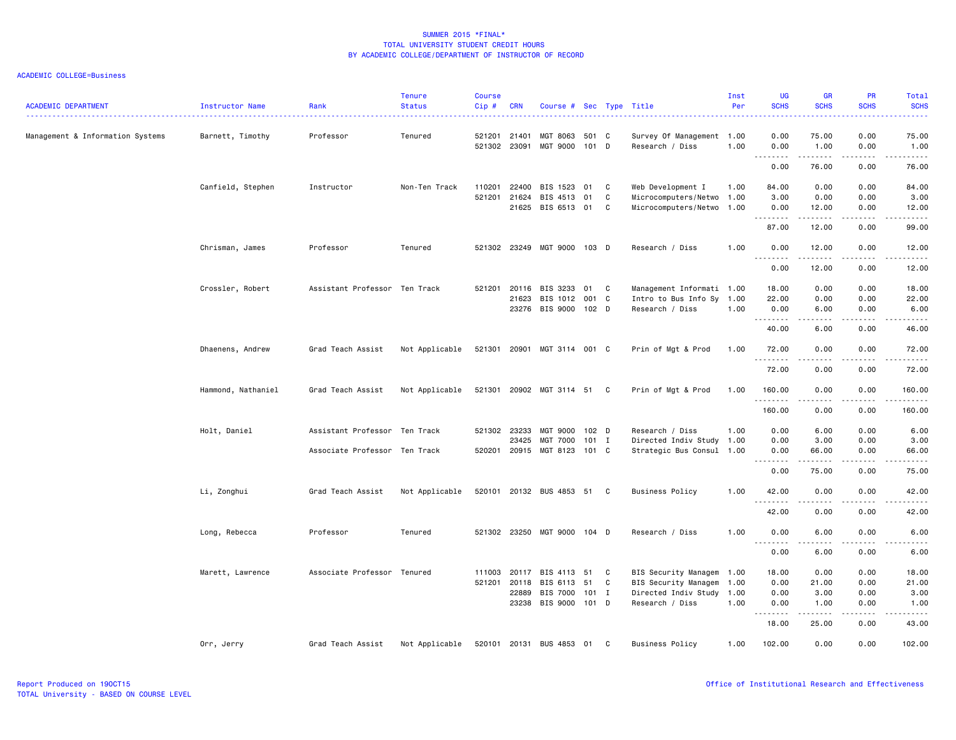| <b>ACADEMIC DEPARTMENT</b>       | <b>Instructor Name</b> | Rank                          | <b>Tenure</b><br><b>Status</b> | <b>Course</b><br>Cip# | <b>CRN</b>                     | Course # Sec Type Title                            |                             |             |                                                                                                        | Inst<br>Per | <b>UG</b><br><b>SCHS</b>                                                                                                                                                                                                                                                                                                                                                                                                                                                                       | <b>GR</b><br><b>SCHS</b>                                                                                                                                      | PR<br><b>SCHS</b>                   | Total<br><b>SCHS</b><br>.                                                                                                                                     |
|----------------------------------|------------------------|-------------------------------|--------------------------------|-----------------------|--------------------------------|----------------------------------------------------|-----------------------------|-------------|--------------------------------------------------------------------------------------------------------|-------------|------------------------------------------------------------------------------------------------------------------------------------------------------------------------------------------------------------------------------------------------------------------------------------------------------------------------------------------------------------------------------------------------------------------------------------------------------------------------------------------------|---------------------------------------------------------------------------------------------------------------------------------------------------------------|-------------------------------------|---------------------------------------------------------------------------------------------------------------------------------------------------------------|
| Management & Information Systems | Barnett, Timothy       | Professor                     | Tenured                        | 521302                | 521201 21401<br>23091          | MGT 8063<br>MGT 9000                               | 501<br>101 D                | C           | Survey Of Management 1.00<br>Research / Diss                                                           | 1.00        | 0.00<br>0.00                                                                                                                                                                                                                                                                                                                                                                                                                                                                                   | 75.00<br>1.00                                                                                                                                                 | 0.00<br>0.00                        | 75.00<br>1.00                                                                                                                                                 |
|                                  |                        |                               |                                |                       |                                |                                                    |                             |             |                                                                                                        |             | $\begin{array}{cccccccccccccc} \multicolumn{2}{c}{} & \multicolumn{2}{c}{} & \multicolumn{2}{c}{} & \multicolumn{2}{c}{} & \multicolumn{2}{c}{} & \multicolumn{2}{c}{} & \multicolumn{2}{c}{} & \multicolumn{2}{c}{} & \multicolumn{2}{c}{} & \multicolumn{2}{c}{} & \multicolumn{2}{c}{} & \multicolumn{2}{c}{} & \multicolumn{2}{c}{} & \multicolumn{2}{c}{} & \multicolumn{2}{c}{} & \multicolumn{2}{c}{} & \multicolumn{2}{c}{} & \multicolumn{2}{c}{} & \multicolumn{2}{c}{} & \$<br>0.00 | $\frac{1}{2} \left( \frac{1}{2} \right) \left( \frac{1}{2} \right) \left( \frac{1}{2} \right) \left( \frac{1}{2} \right) \left( \frac{1}{2} \right)$<br>76.00 | $\sim$ $\sim$ $\sim$ $\sim$<br>0.00 | $\frac{1}{2} \left( \frac{1}{2} \right) \left( \frac{1}{2} \right) \left( \frac{1}{2} \right) \left( \frac{1}{2} \right) \left( \frac{1}{2} \right)$<br>76.00 |
|                                  | Canfield, Stephen      | Instructor                    | Non-Ten Track                  | 110201                | 22400<br>521201 21624<br>21625 | BIS 1523<br>BIS 4513<br>BIS 6513                   | 01<br>01<br>01              | C<br>C<br>C | Web Development I<br>Microcomputers/Netwo 1.00<br>Microcomputers/Netwo 1.00                            | 1.00        | 84.00<br>3.00<br>0.00                                                                                                                                                                                                                                                                                                                                                                                                                                                                          | 0.00<br>0.00<br>12.00                                                                                                                                         | 0.00<br>0.00<br>0.00                | 84.00<br>3.00<br>12.00                                                                                                                                        |
|                                  |                        |                               |                                |                       |                                |                                                    |                             |             |                                                                                                        |             | .<br>87.00                                                                                                                                                                                                                                                                                                                                                                                                                                                                                     | 12.00                                                                                                                                                         | $\sim$ $\sim$ $\sim$<br>0.00        | د د د د د<br>99.00                                                                                                                                            |
|                                  | Chrisman, James        | Professor                     | Tenured                        |                       |                                | 521302 23249 MGT 9000 103 D                        |                             |             | Research / Diss                                                                                        | 1.00        | 0.00<br>$- - -$                                                                                                                                                                                                                                                                                                                                                                                                                                                                                | 12.00                                                                                                                                                         | 0.00                                | 12.00                                                                                                                                                         |
|                                  |                        |                               |                                |                       |                                |                                                    |                             |             |                                                                                                        |             | .<br>0.00                                                                                                                                                                                                                                                                                                                                                                                                                                                                                      | $- - - - -$<br>12.00                                                                                                                                          | $- - - -$<br>0.00                   | $- - - - -$<br>12.00                                                                                                                                          |
|                                  | Crossler, Robert       | Assistant Professor Ten Track |                                | 521201                | 20116<br>21623                 | BIS 3233<br>BIS 1012<br>23276 BIS 9000 102 D       | 01<br>001                   | C<br>C      | Management Informati 1.00<br>Intro to Bus Info Sy 1.00<br>Research / Diss                              | 1.00        | 18.00<br>22.00<br>0.00<br>.                                                                                                                                                                                                                                                                                                                                                                                                                                                                    | 0.00<br>0.00<br>6.00                                                                                                                                          | 0.00<br>0.00<br>0.00<br>.           | 18.00<br>22.00<br>6.00<br>.                                                                                                                                   |
|                                  |                        |                               |                                |                       |                                |                                                    |                             |             |                                                                                                        |             | 40.00                                                                                                                                                                                                                                                                                                                                                                                                                                                                                          | 6.00                                                                                                                                                          | 0.00                                | 46.00                                                                                                                                                         |
|                                  | Dhaenens, Andrew       | Grad Teach Assist             | Not Applicable                 |                       |                                | 521301 20901 MGT 3114 001 C                        |                             |             | Prin of Mgt & Prod                                                                                     | 1.00        | 72.00<br>.                                                                                                                                                                                                                                                                                                                                                                                                                                                                                     | 0.00<br>-----                                                                                                                                                 | 0.00<br>.                           | 72.00<br>.                                                                                                                                                    |
|                                  |                        |                               |                                |                       |                                |                                                    |                             |             |                                                                                                        |             | 72.00                                                                                                                                                                                                                                                                                                                                                                                                                                                                                          | 0.00                                                                                                                                                          | 0.00                                | 72.00                                                                                                                                                         |
|                                  | Hammond, Nathaniel     | Grad Teach Assist             | Not Applicable                 |                       |                                | 521301 20902 MGT 3114 51                           |                             | C           | Prin of Mgt & Prod                                                                                     | 1.00        | 160.00<br>.                                                                                                                                                                                                                                                                                                                                                                                                                                                                                    | 0.00<br>-----                                                                                                                                                 | 0.00<br>.                           | 160.00<br>.                                                                                                                                                   |
|                                  |                        |                               |                                |                       |                                |                                                    |                             |             |                                                                                                        |             | 160.00                                                                                                                                                                                                                                                                                                                                                                                                                                                                                         | 0.00                                                                                                                                                          | 0.00                                | 160.00                                                                                                                                                        |
|                                  | Holt, Daniel           | Assistant Professor Ten Track |                                |                       | 521302 23233<br>23425          | MGT 9000<br>MGT 7000                               | 102 <sub>D</sub><br>$101$ I |             | Research / Diss<br>Directed Indiv Study 1.00                                                           | 1.00        | 0.00<br>0.00                                                                                                                                                                                                                                                                                                                                                                                                                                                                                   | 6.00<br>3.00                                                                                                                                                  | 0.00<br>0.00                        | 6.00<br>3.00                                                                                                                                                  |
|                                  |                        | Associate Professor Ten Track |                                |                       | 520201 20915                   | MGT 8123                                           | 101 C                       |             | Strategic Bus Consul 1.00                                                                              |             | 0.00<br>.                                                                                                                                                                                                                                                                                                                                                                                                                                                                                      | 66.00                                                                                                                                                         | 0.00                                | 66.00<br>د د د د د                                                                                                                                            |
|                                  |                        |                               |                                |                       |                                |                                                    |                             |             |                                                                                                        |             | 0.00                                                                                                                                                                                                                                                                                                                                                                                                                                                                                           | 75.00                                                                                                                                                         | 0.00                                | 75.00                                                                                                                                                         |
|                                  | Li, Zonghui            | Grad Teach Assist             | Not Applicable                 |                       |                                | 520101 20132 BUS 4853 51 C                         |                             |             | <b>Business Policy</b>                                                                                 | 1.00        | 42.00<br>.                                                                                                                                                                                                                                                                                                                                                                                                                                                                                     | 0.00<br>.                                                                                                                                                     | 0.00<br>$  -$                       | 42.00<br>د د د د د                                                                                                                                            |
|                                  |                        |                               |                                |                       |                                |                                                    |                             |             |                                                                                                        |             | 42.00                                                                                                                                                                                                                                                                                                                                                                                                                                                                                          | 0.00                                                                                                                                                          | 0.00                                | 42.00                                                                                                                                                         |
|                                  | Long, Rebecca          | Professor                     | Tenured                        |                       | 521302 23250                   | MGT 9000 104 D                                     |                             |             | Research / Diss                                                                                        | 1.00        | 0.00<br>$\frac{1}{2}$<br>-----                                                                                                                                                                                                                                                                                                                                                                                                                                                                 | 6.00<br>.                                                                                                                                                     | 0.00<br>$\frac{1}{2}$               | 6.00<br>$- - - - -$                                                                                                                                           |
|                                  |                        |                               |                                |                       |                                |                                                    |                             |             |                                                                                                        |             | 0.00                                                                                                                                                                                                                                                                                                                                                                                                                                                                                           | 6.00                                                                                                                                                          | 0.00                                | 6.00                                                                                                                                                          |
|                                  | Marett, Lawrence       | Associate Professor Tenured   |                                | 111003                | 20117<br>521201 20118<br>22889 | BIS 4113<br>BIS 6113<br>BIS 7000<br>23238 BIS 9000 | 51<br>51<br>101 I<br>101 D  | C<br>C      | BIS Security Managem 1.00<br>BIS Security Managem 1.00<br>Directed Indiv Study 1.00<br>Research / Diss | 1.00        | 18.00<br>0.00<br>0.00<br>0.00<br>$\sim$ $\sim$ $\sim$<br>.                                                                                                                                                                                                                                                                                                                                                                                                                                     | 0.00<br>21.00<br>3.00<br>1.00<br>.                                                                                                                            | 0.00<br>0.00<br>0.00<br>0.00<br>.   | 18.00<br>21.00<br>3.00<br>1.00<br>-----                                                                                                                       |
|                                  |                        |                               |                                |                       |                                |                                                    |                             |             |                                                                                                        |             | 18.00                                                                                                                                                                                                                                                                                                                                                                                                                                                                                          | 25.00                                                                                                                                                         | 0.00                                | 43.00                                                                                                                                                         |
|                                  | Orr, Jerry             | Grad Teach Assist             | Not Applicable                 |                       |                                | 520101 20131 BUS 4853 01                           |                             | C           | <b>Business Policy</b>                                                                                 | 1.00        | 102.00                                                                                                                                                                                                                                                                                                                                                                                                                                                                                         | 0.00                                                                                                                                                          | 0.00                                | 102.00                                                                                                                                                        |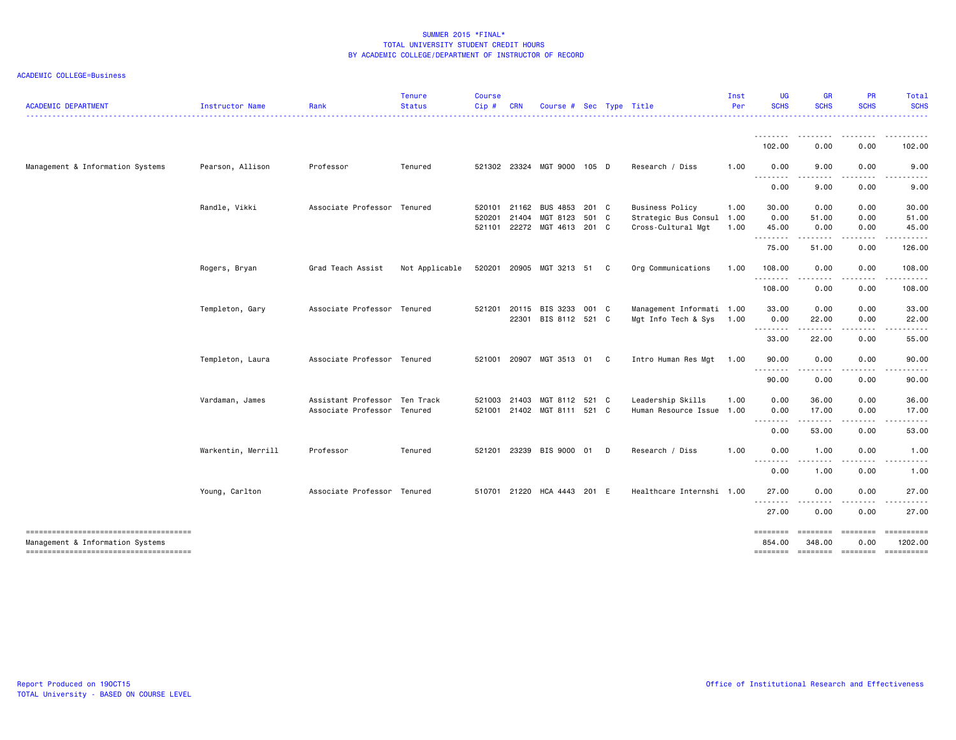| <b>ACADEMIC DEPARTMENT</b>                                                 | Instructor Name    | Rank                                                         | <b>Tenure</b><br><b>Status</b> | <b>Course</b><br>$Cip$ # | <b>CRN</b>     | Course # Sec Type Title                |       |   |                                                     | Inst<br>Per | UG<br><b>SCHS</b>                               | GR<br><b>SCHS</b>                                                                                                                                                                       | <b>PR</b><br><b>SCHS</b> | Total<br><b>SCHS</b>                |
|----------------------------------------------------------------------------|--------------------|--------------------------------------------------------------|--------------------------------|--------------------------|----------------|----------------------------------------|-------|---|-----------------------------------------------------|-------------|-------------------------------------------------|-----------------------------------------------------------------------------------------------------------------------------------------------------------------------------------------|--------------------------|-------------------------------------|
|                                                                            |                    |                                                              |                                |                          |                |                                        |       |   |                                                     |             | <u>.</u><br>102.00                              | .<br>0.00                                                                                                                                                                               | 0.00                     | 102.00                              |
| Management & Information Systems                                           | Pearson, Allison   | Professor                                                    | Tenured                        |                          |                | 521302 23324 MGT 9000 105 D            |       |   | Research / Diss                                     | 1.00        | 0.00                                            | 9.00                                                                                                                                                                                    | 0.00                     | 9.00                                |
|                                                                            |                    |                                                              |                                |                          |                |                                        |       |   |                                                     |             | <u>.</u><br>0.00                                | 9.00                                                                                                                                                                                    | 0.00                     | 9.00                                |
|                                                                            | Randle, Vikki      | Associate Professor                                          | Tenured                        | 520101<br>520201         | 21162<br>21404 | BUS 4853 201 C<br>MGT 8123             | 501 C |   | <b>Business Policy</b><br>Strategic Bus Consul 1.00 | 1.00        | 30.00<br>0.00                                   | 0.00<br>51.00                                                                                                                                                                           | 0.00<br>0.00             | 30.00<br>51.00                      |
|                                                                            |                    |                                                              |                                | 521101                   |                | 22272 MGT 4613 201 C                   |       |   | Cross-Cultural Mgt                                  | 1.00        | 45.00<br>.                                      | 0.00<br>$\frac{1}{2} \left( \frac{1}{2} \right) \left( \frac{1}{2} \right) \left( \frac{1}{2} \right) \left( \frac{1}{2} \right) \left( \frac{1}{2} \right) \left( \frac{1}{2} \right)$ | 0.00<br>.                | 45.00                               |
|                                                                            |                    |                                                              |                                |                          |                |                                        |       |   |                                                     |             | 75.00                                           | 51.00                                                                                                                                                                                   | 0.00                     | 126.00                              |
|                                                                            | Rogers, Bryan      | Grad Teach Assist                                            | Not Applicable                 | 520201                   |                | 20905 MGT 3213 51                      |       | C | Org Communications                                  | 1.00        | 108.00                                          | 0.00                                                                                                                                                                                    | 0.00                     | 108.00                              |
|                                                                            |                    |                                                              |                                |                          |                |                                        |       |   |                                                     |             | 108.00                                          | 0.00                                                                                                                                                                                    | 0.00                     | 108.00                              |
|                                                                            | Templeton, Gary    | Associate Professor Tenured                                  |                                | 521201                   | 20115          | BIS 3233<br>22301 BIS 8112 521 C       | 001 C |   | Management Informati 1.00<br>Mgt Info Tech & Sys    | 1.00        | 33.00<br>0.00                                   | 0.00<br>22.00                                                                                                                                                                           | 0.00<br>0.00             | 33.00<br>22.00                      |
|                                                                            |                    |                                                              |                                |                          |                |                                        |       |   |                                                     |             | --------<br>33.00                               | 22.00                                                                                                                                                                                   | 0.00                     | 55.00                               |
|                                                                            | Templeton, Laura   | Associate Professor Tenured                                  |                                | 521001                   |                | 20907 MGT 3513 01                      |       | C | Intro Human Res Mgt                                 | 1.00        | 90.00<br>.                                      | 0.00<br>----                                                                                                                                                                            | 0.00                     | 90.00                               |
|                                                                            |                    |                                                              |                                |                          |                |                                        |       |   |                                                     |             | 90.00                                           | 0.00                                                                                                                                                                                    | 0.00                     | 90.00                               |
|                                                                            | Vardaman, James    | Assistant Professor Ten Track<br>Associate Professor Tenured |                                | 521003<br>521001         | 21403          | MGT 8112 521 C<br>21402 MGT 8111 521 C |       |   | Leadership Skills<br>Human Resource Issue 1.00      | 1.00        | 0.00<br>0.00                                    | 36.00<br>17.00                                                                                                                                                                          | 0.00<br>0.00             | 36.00<br>17.00                      |
|                                                                            |                    |                                                              |                                |                          |                |                                        |       |   |                                                     |             | --------<br>0.00                                | .<br>53.00                                                                                                                                                                              | 0.00                     | 53.00                               |
|                                                                            | Warkentin, Merrill | Professor                                                    | Tenured                        | 521201                   |                | 23239 BIS 9000 01                      |       | D | Research / Diss                                     | 1.00        | 0.00<br>$- - -$                                 | 1.00                                                                                                                                                                                    | 0.00                     | 1.00                                |
|                                                                            |                    |                                                              |                                |                          |                |                                        |       |   |                                                     |             | 0.00                                            | 1.00                                                                                                                                                                                    | 0.00                     | 1.00                                |
|                                                                            | Young, Carlton     | Associate Professor Tenured                                  |                                |                          |                | 510701 21220 HCA 4443                  | 201 E |   | Healthcare Internshi 1.00                           |             | 27.00<br>.                                      | 0.00                                                                                                                                                                                    | 0.00                     | 27.00                               |
|                                                                            |                    |                                                              |                                |                          |                |                                        |       |   |                                                     |             | 27.00                                           | 0.00                                                                                                                                                                                    | 0.00                     | 27.00                               |
| Management & Information Systems<br>-------------------------------------- |                    |                                                              |                                |                          |                |                                        |       |   |                                                     |             | eessesses<br>854.00<br>-------- ------- ------- | ---------<br>348.00                                                                                                                                                                     | ========<br>0.00         | ==========<br>1202.00<br>========== |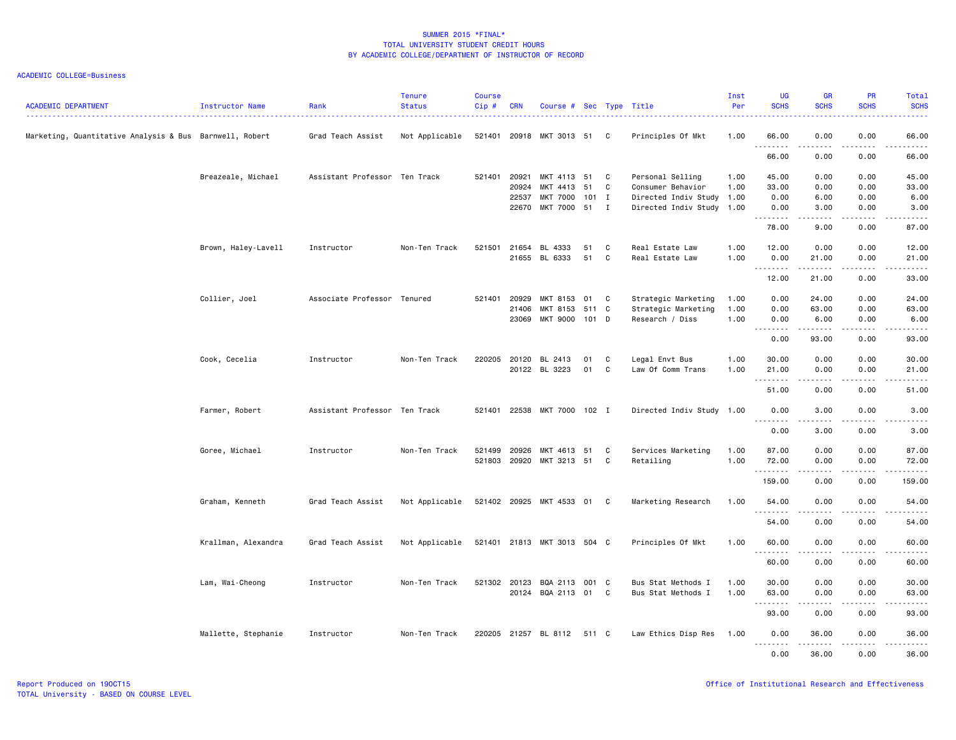| <b>ACADEMIC DEPARTMENT</b>                              | Instructor Name     | Rank                          | <b>Tenure</b><br><b>Status</b> | Course<br>Cip# | <b>CRN</b>   | Course # Sec Type Title     |       |   |                           | Inst<br>Per | UG<br><b>SCHS</b>                 | <b>GR</b><br><b>SCHS</b> | <b>PR</b><br><b>SCHS</b>            | Total<br><b>SCHS</b>                                                                                                               |
|---------------------------------------------------------|---------------------|-------------------------------|--------------------------------|----------------|--------------|-----------------------------|-------|---|---------------------------|-------------|-----------------------------------|--------------------------|-------------------------------------|------------------------------------------------------------------------------------------------------------------------------------|
| Marketing, Quantitative Analysis & Bus Barnwell, Robert |                     | Grad Teach Assist             | Not Applicable                 | 521401         |              | 20918 MKT 3013 51 C         |       |   | Principles Of Mkt         | 1.00        | 66.00<br>a al<br>.                | 0.00                     | 0.00                                | 66.00<br>$- - - -$                                                                                                                 |
|                                                         |                     |                               |                                |                |              |                             |       |   |                           |             | 66.00                             | 0.00                     | 0.00                                | 66.00                                                                                                                              |
|                                                         | Breazeale, Michael  | Assistant Professor Ten Track |                                | 521401         | 20921        | MKT 4113 51                 |       | C | Personal Selling          | 1.00        | 45.00                             | 0.00                     | 0.00                                | 45.00                                                                                                                              |
|                                                         |                     |                               |                                |                | 20924        | MKT 4413                    | 51    | C | Consumer Behavior         | 1.00        | 33.00                             | 0.00                     | 0.00                                | 33.00                                                                                                                              |
|                                                         |                     |                               |                                |                | 22537        | <b>MKT 7000</b>             | 101 I |   | Directed Indiv Study 1.00 |             | 0.00                              | 6.00                     | 0.00                                | 6.00                                                                                                                               |
|                                                         |                     |                               |                                |                | 22670        | MKT 7000                    | 51    | I | Directed Indiv Study 1.00 |             | 0.00<br>.                         | 3.00<br>.                | 0.00<br>$\frac{1}{2}$               | 3.00<br>د د د د د                                                                                                                  |
|                                                         |                     |                               |                                |                |              |                             |       |   |                           |             | 78.00                             | 9.00                     | 0.00                                | 87.00                                                                                                                              |
|                                                         | Brown, Haley-Lavell | Instructor                    | Non-Ten Track                  | 521501         | 21654        | BL 4333                     | 51    | C | Real Estate Law           | 1.00        | 12.00                             | 0.00                     | 0.00                                | 12.00                                                                                                                              |
|                                                         |                     |                               |                                |                |              | 21655 BL 6333               | 51    | C | Real Estate Law           | 1.00        | 0.00                              | 21.00                    | 0.00                                | 21.00                                                                                                                              |
|                                                         |                     |                               |                                |                |              |                             |       |   |                           |             | <u>.</u><br>12.00                 | 21.00                    | $  -$<br>0.00                       | $\omega$ $\omega$ $\omega$ $\omega$ .<br>33.00                                                                                     |
|                                                         | Collier, Joel       | Associate Professor Tenured   |                                | 521401         | 20929        | MKT 8153                    | 01    | C | Strategic Marketing       | 1.00        | 0.00                              | 24.00                    | 0.00                                | 24.00                                                                                                                              |
|                                                         |                     |                               |                                |                | 21406        | MKT 8153                    | 511 C |   | Strategic Marketing       | 1.00        | 0.00                              | 63.00                    | 0.00                                | 63.00                                                                                                                              |
|                                                         |                     |                               |                                |                | 23069        | MKT 9000                    | 101 D |   | Research / Diss           | 1.00        | 0.00                              | 6.00                     | 0.00                                | 6.00                                                                                                                               |
|                                                         |                     |                               |                                |                |              |                             |       |   |                           |             | $\sim$ $\sim$ $\sim$<br>.<br>0.00 | 93.00                    | 0.00                                | -----<br>93.00                                                                                                                     |
|                                                         | Cook, Cecelia       | Instructor                    | Non-Ten Track                  |                | 220205 20120 | BL 2413                     | 01    | C | Legal Envt Bus            | 1.00        | 30.00                             | 0.00                     | 0.00                                | 30.00                                                                                                                              |
|                                                         |                     |                               |                                |                |              | 20122 BL 3223               | 01    | C | Law Of Comm Trans         | 1.00        | 21.00                             | 0.00                     | 0.00                                | 21.00                                                                                                                              |
|                                                         |                     |                               |                                |                |              |                             |       |   |                           |             | <u>.</u><br>51.00                 | 0.00                     | 0.00                                | . <u>.</u> .<br>51.00                                                                                                              |
|                                                         |                     |                               |                                |                |              |                             |       |   |                           |             |                                   |                          |                                     |                                                                                                                                    |
|                                                         | Farmer, Robert      | Assistant Professor Ten Track |                                |                |              | 521401 22538 MKT 7000 102 I |       |   | Directed Indiv Study 1.00 |             | 0.00<br><u>.</u>                  | 3.00                     | 0.00                                | 3.00                                                                                                                               |
|                                                         |                     |                               |                                |                |              |                             |       |   |                           |             | 0.00                              | 3.00                     | 0.00                                | 3.00                                                                                                                               |
|                                                         | Goree, Michael      | Instructor                    | Non-Ten Track                  | 521499         | 20926        | MKT 4613                    | 51    | C | Services Marketing        | 1.00        | 87.00                             | 0.00                     | 0.00                                | 87.00                                                                                                                              |
|                                                         |                     |                               |                                | 521803         |              | 20920 MKT 3213              | 51    | C | Retailing                 | 1.00        | 72.00                             | 0.00                     | 0.00                                | 72.00                                                                                                                              |
|                                                         |                     |                               |                                |                |              |                             |       |   |                           |             | .<br>159.00                       | 0.00                     | ----<br>0.00                        | .<br>159.00                                                                                                                        |
|                                                         | Graham, Kenneth     | Grad Teach Assist             | Not Applicable                 |                |              | 521402 20925 MKT 4533 01 C  |       |   | Marketing Research        | 1.00        | 54.00                             | 0.00                     | 0.00                                | 54.00                                                                                                                              |
|                                                         |                     |                               |                                |                |              |                             |       |   |                           |             |                                   |                          |                                     | <u>.</u>                                                                                                                           |
|                                                         |                     |                               |                                |                |              |                             |       |   |                           |             | 54.00                             | 0.00                     | 0.00                                | 54.00                                                                                                                              |
|                                                         | Krallman, Alexandra | Grad Teach Assist             | Not Applicable                 |                |              | 521401 21813 MKT 3013 504 C |       |   | Principles Of Mkt         | 1.00        | 60.00<br>.                        | 0.00<br>.                | 0.00<br>$\sim$ $\sim$ $\sim$ $\sim$ | 60.00<br>$\sim$ $\sim$ $\sim$ $\sim$ $\sim$                                                                                        |
|                                                         |                     |                               |                                |                |              |                             |       |   |                           |             | 60.00                             | 0.00                     | 0.00                                | 60.00                                                                                                                              |
|                                                         | Lam, Wai-Cheong     | Instructor                    | Non-Ten Track                  |                | 521302 20123 | BQA 2113                    | 001 C |   | Bus Stat Methods I        | 1.00        | 30.00                             | 0.00                     | 0.00                                | 30.00                                                                                                                              |
|                                                         |                     |                               |                                |                |              | 20124 BQA 2113 01 C         |       |   | Bus Stat Methods I        | 1.00        | 63.00                             | 0.00                     | 0.00                                | 63.00                                                                                                                              |
|                                                         |                     |                               |                                |                |              |                             |       |   |                           |             | <u>.</u><br>93.00                 | 0.00                     | .<br>0.00                           | $\frac{1}{2} \left( \frac{1}{2} \right) \left( \frac{1}{2} \right) \left( \frac{1}{2} \right) \left( \frac{1}{2} \right)$<br>93.00 |
|                                                         | Mallette, Stephanie | Instructor                    | Non-Ten Track                  |                |              | 220205 21257 BL 8112        | 511 C |   | Law Ethics Disp Res       | 1.00        | 0.00                              | 36.00                    | 0.00<br>$   -$                      | 36.00<br>.                                                                                                                         |
|                                                         |                     |                               |                                |                |              |                             |       |   |                           |             | .<br>0.00                         | . <u>.</u><br>36.00      | 0.00                                | 36.00                                                                                                                              |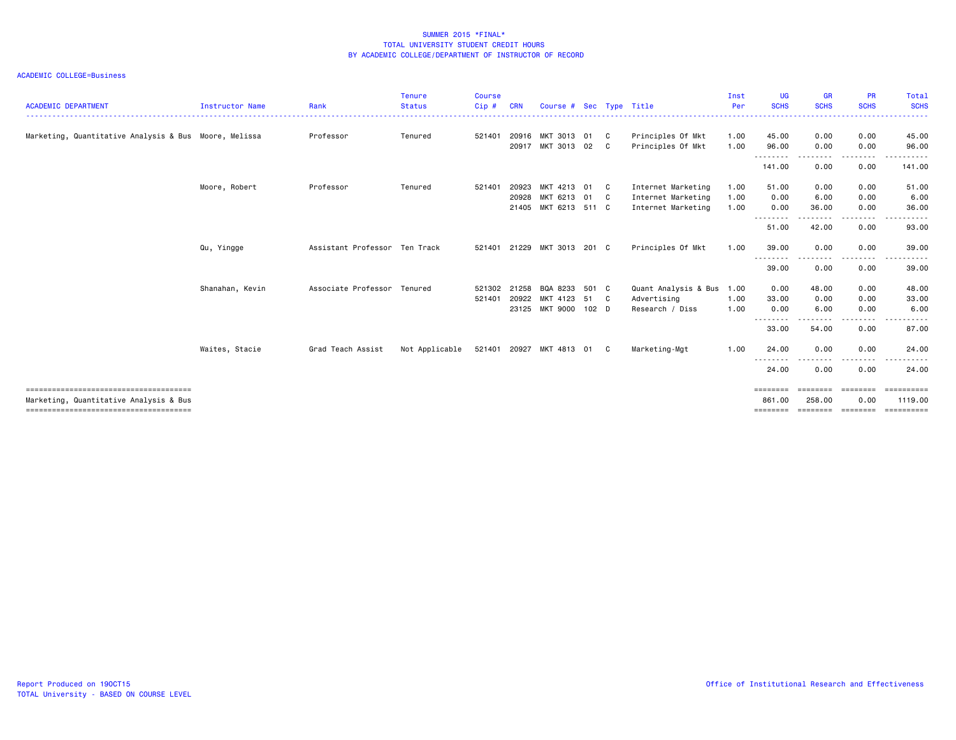| <b>ACADEMIC DEPARTMENT</b>                            | <b>Instructor Name</b> | Rank                          | <b>Tenure</b><br><b>Status</b> | <b>Course</b><br>Cip# | <b>CRN</b>              | Course # Sec Type Title                      |               |                    |                                                                | Inst<br>Per          | <b>UG</b><br><b>SCHS</b>          | <b>GR</b><br><b>SCHS</b> | <b>PR</b><br><b>SCHS</b>             | Total<br><b>SCHS</b><br>.   |
|-------------------------------------------------------|------------------------|-------------------------------|--------------------------------|-----------------------|-------------------------|----------------------------------------------|---------------|--------------------|----------------------------------------------------------------|----------------------|-----------------------------------|--------------------------|--------------------------------------|-----------------------------|
| Marketing, Quantitative Analysis & Bus Moore, Melissa |                        | Professor                     | Tenured                        | 521401                | 20916<br>20917          | MKT 3013<br>MKT 3013                         | 01<br>02      | C<br>C             | Principles Of Mkt<br>Principles Of Mkt                         | 1.00<br>1.00         | 45.00<br>96.00                    | 0.00<br>0.00             | 0.00<br>0.00                         | 45.00<br>96.00              |
|                                                       |                        |                               |                                |                       |                         |                                              |               |                    |                                                                |                      | .<br>141.00                       | 0.00                     | -----<br>0.00                        | .<br>141.00                 |
|                                                       | Moore, Robert          | Professor                     | Tenured                        | 521401                | 20923<br>20928<br>21405 | MKT 4213<br>MKT 6213 01<br>MKT 6213 511 C    | 01            | C.<br>$\mathbf{C}$ | Internet Marketing<br>Internet Marketing<br>Internet Marketing | 1.00<br>1.00<br>1.00 | 51.00<br>0.00<br>0.00             | 0.00<br>6.00<br>36.00    | 0.00<br>0.00<br>0.00                 | 51.00<br>6.00<br>36.00      |
|                                                       |                        |                               |                                |                       |                         |                                              |               |                    |                                                                |                      | .<br>51.00                        | ------<br>42.00          | --------<br>0.00                     | .<br>93.00                  |
|                                                       | Qu, Yingge             | Assistant Professor Ten Track |                                | 521401                | 21229                   | MKT 3013                                     | 201 C         |                    | Principles Of Mkt                                              | 1.00                 | 39.00<br>---<br>$  -$             | 0.00                     | 0.00                                 | 39.00<br>. <b>.</b> .       |
|                                                       |                        |                               |                                |                       |                         |                                              |               |                    |                                                                |                      | 39.00                             | 0.00                     | 0.00                                 | 39.00                       |
|                                                       | Shanahan, Kevin        | Associate Professor           | Tenured                        | 521302<br>521401      | 21258<br>20922          | BQA 8233<br>MKT 4123<br>23125 MKT 9000 102 D | 501 C<br>51 C |                    | Quant Analysis & Bus<br>Advertising<br>Research / Diss         | 1.00<br>1.00<br>1.00 | 0.00<br>33.00<br>0.00<br>-------- | 48.00<br>0.00<br>6.00    | 0.00<br>0.00<br>0.00<br>. <u>. .</u> | 48.00<br>33.00<br>6.00<br>. |
|                                                       |                        |                               |                                |                       |                         |                                              |               |                    |                                                                |                      | 33.00                             | 54.00                    | 0.00                                 | 87.00                       |
|                                                       | Waites, Stacie         | Grad Teach Assist             | Not Applicable                 |                       |                         | 521401 20927 MKT 4813 01                     |               | C                  | Marketing-Mgt                                                  | 1.00                 | 24.00<br>.                        | 0.00                     | 0.00                                 | 24.00                       |
|                                                       |                        |                               |                                |                       |                         |                                              |               |                    |                                                                |                      | 24.00<br>========                 | 0.00<br>========         | 0.00                                 | 24.00<br><b>SEREESERS</b>   |
| Marketing, Quantitative Analysis & Bus                |                        |                               |                                |                       |                         |                                              |               |                    |                                                                |                      | 861.00<br>========                | 258.00<br>========       | ========<br>0.00<br>========         | 1119.00<br>==========       |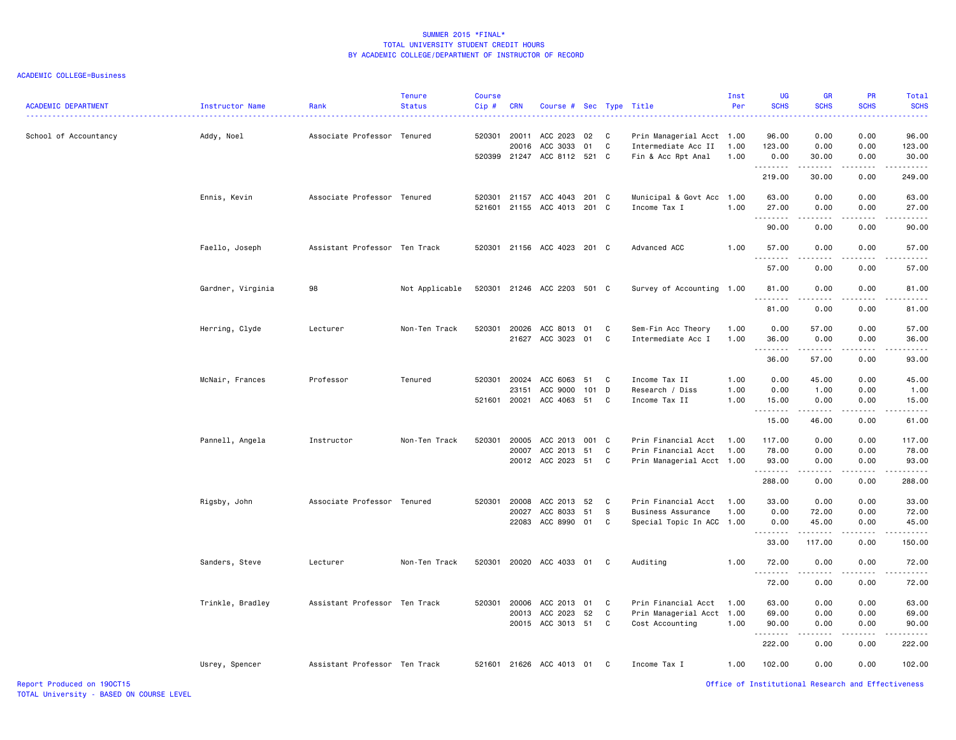| <b>ACADEMIC DEPARTMENT</b> | Instructor Name   | Rank                          | <b>Tenure</b><br><b>Status</b> | <b>Course</b><br>Cip# | <b>CRN</b>              | Course # Sec Type Title                           |                 |              |                                                                         | Inst<br>Per          | <b>UG</b><br><b>SCHS</b>      | <b>GR</b><br><b>SCHS</b>              | <b>PR</b><br><b>SCHS</b>              | Total<br><b>SCHS</b>          |
|----------------------------|-------------------|-------------------------------|--------------------------------|-----------------------|-------------------------|---------------------------------------------------|-----------------|--------------|-------------------------------------------------------------------------|----------------------|-------------------------------|---------------------------------------|---------------------------------------|-------------------------------|
| School of Accountancy      | Addy, Noel        | Associate Professor Tenured   |                                | 520301 20011          | 20016                   | ACC 2023<br>ACC 3033<br>520399 21247 ACC 8112 521 | 02<br>01        | C<br>C<br>C. | Prin Managerial Acct 1.00<br>Intermediate Acc II<br>Fin & Acc Rpt Anal  | 1.00<br>1.00         | 96.00<br>123.00<br>0.00       | 0.00<br>0.00<br>30.00                 | 0.00<br>0.00<br>0.00                  | 96.00<br>123.00<br>30.00      |
|                            |                   |                               |                                |                       |                         |                                                   |                 |              |                                                                         |                      | . <b>.</b><br>219.00          | .<br>30.00                            | المتماما<br>0.00                      | .<br>249.00                   |
|                            | Ennis, Kevin      | Associate Professor Tenured   |                                | 520301<br>521601      |                         | 21157 ACC 4043<br>21155 ACC 4013 201 C            | 201 C           |              | Municipal & Govt Acc<br>Income Tax I                                    | 1.00<br>1.00         | 63.00<br>27.00<br>.           | 0.00<br>0.00<br>.                     | 0.00<br>0.00<br>.                     | 63.00<br>27.00<br>.           |
|                            |                   |                               |                                |                       |                         |                                                   |                 |              |                                                                         |                      | 90.00                         | 0.00                                  | 0.00                                  | 90.00                         |
|                            | Faello, Joseph    | Assistant Professor Ten Track |                                |                       |                         | 520301 21156 ACC 4023 201 C                       |                 |              | Advanced ACC                                                            | 1.00                 | 57.00<br><u>.</u>             | 0.00<br>- - - -                       | 0.00                                  | 57.00                         |
|                            |                   |                               |                                |                       |                         |                                                   |                 |              |                                                                         |                      | 57.00                         | 0.00                                  | 0.00                                  | 57.00                         |
|                            | Gardner, Virginia | 98                            | Not Applicable                 |                       |                         | 520301 21246 ACC 2203 501 C                       |                 |              | Survey of Accounting 1.00                                               |                      | 81.00<br>.                    | 0.00<br>-----                         | 0.00<br>.                             | 81.00<br>.                    |
|                            |                   |                               |                                |                       |                         |                                                   |                 |              |                                                                         |                      | 81.00                         | 0.00                                  | 0.00                                  | 81.00                         |
|                            | Herring, Clyde    | Lecturer                      | Non-Ten Track                  | 520301                | 20026<br>21627          | ACC 8013<br>ACC 3023                              | 01<br>01        | C<br>C       | Sem-Fin Acc Theory<br>Intermediate Acc I                                | 1.00<br>1.00         | 0.00<br>36.00<br><u>.</u>     | 57.00<br>0.00                         | 0.00<br>0.00                          | 57.00<br>36.00                |
|                            |                   |                               |                                |                       |                         |                                                   |                 |              |                                                                         |                      | 36.00                         | 57.00                                 | 0.00                                  | 93.00                         |
|                            | McNair, Frances   | Professor                     | Tenured                        | 520301<br>521601      | 20024<br>23151<br>20021 | ACC 6063<br>ACC 9000<br>ACC 4063                  | 51<br>101<br>51 | C<br>D<br>C  | Income Tax II<br>Research / Diss<br>Income Tax II                       | 1.00<br>1.00<br>1.00 | 0.00<br>0.00<br>15.00         | 45.00<br>1.00<br>0.00                 | 0.00<br>0.00<br>0.00                  | 45.00<br>1.00<br>15.00        |
|                            |                   |                               |                                |                       |                         |                                                   |                 |              |                                                                         |                      | .<br>15.00                    | .<br>46.00                            | .<br>0.00                             | .<br>61.00                    |
|                            | Pannell, Angela   | Instructor                    | Non-Ten Track                  | 520301                | 20005<br>20007          | ACC 2013<br>ACC 2013<br>20012 ACC 2023 51         | 001 C<br>51     | C<br>C       | Prin Financial Acct<br>Prin Financial Acct<br>Prin Managerial Acct 1.00 | 1.00<br>1.00         | 117.00<br>78.00<br>93.00<br>. | 0.00<br>0.00<br>0.00<br>$\frac{1}{2}$ | 0.00<br>0.00<br>0.00<br>المتمام المنا | 117.00<br>78.00<br>93.00<br>. |
|                            |                   |                               |                                |                       |                         |                                                   |                 |              |                                                                         |                      | 288.00                        | 0.00                                  | 0.00                                  | 288.00                        |
|                            | Rigsby, John      | Associate Professor Tenured   |                                | 520301                | 20008<br>20027<br>22083 | ACC 2013<br>ACC 8033<br>ACC 8990 01               | 52<br>51        | C<br>s<br>C  | Prin Financial Acct<br>Business Assurance<br>Special Topic In ACC 1.00  | 1.00<br>1.00         | 33.00<br>0.00<br>0.00<br>.    | 0.00<br>72.00<br>45.00                | 0.00<br>0.00<br>0.00<br>.             | 33.00<br>72.00<br>45.00<br>.  |
|                            |                   |                               |                                |                       |                         |                                                   |                 |              |                                                                         |                      | 33.00                         | 117.00                                | 0.00                                  | 150.00                        |
|                            | Sanders, Steve    | Lecturer                      | Non-Ten Track                  | 520301                |                         | 20020 ACC 4033 01                                 |                 | C            | Auditing                                                                | 1.00                 | 72.00<br>.                    | 0.00                                  | 0.00                                  | 72.00                         |
|                            |                   |                               |                                |                       |                         |                                                   |                 |              |                                                                         |                      | 72.00                         | 0.00                                  | 0.00                                  | 72.00                         |
|                            | Trinkle, Bradley  | Assistant Professor Ten Track |                                | 520301                | 20006<br>20013<br>20015 | ACC 2013<br>ACC 2023<br>ACC 3013 51               | 01<br>52        | C<br>C<br>C  | Prin Financial Acct<br>Prin Managerial Acct 1.00<br>Cost Accounting     | 1.00<br>1.00         | 63.00<br>69.00<br>90.00       | 0.00<br>0.00<br>0.00                  | 0.00<br>0.00<br>0.00                  | 63.00<br>69.00<br>90.00       |
|                            |                   |                               |                                |                       |                         |                                                   |                 |              |                                                                         |                      | <u>.</u><br>222.00            | 0.00                                  | 0.00                                  | $   -$<br>222.00              |
|                            | Usrey, Spencer    | Assistant Professor Ten Track |                                |                       |                         | 521601 21626 ACC 4013 01                          |                 | C.           | Income Tax I                                                            | 1.00                 | 102.00                        | 0.00                                  | 0.00                                  | 102.00                        |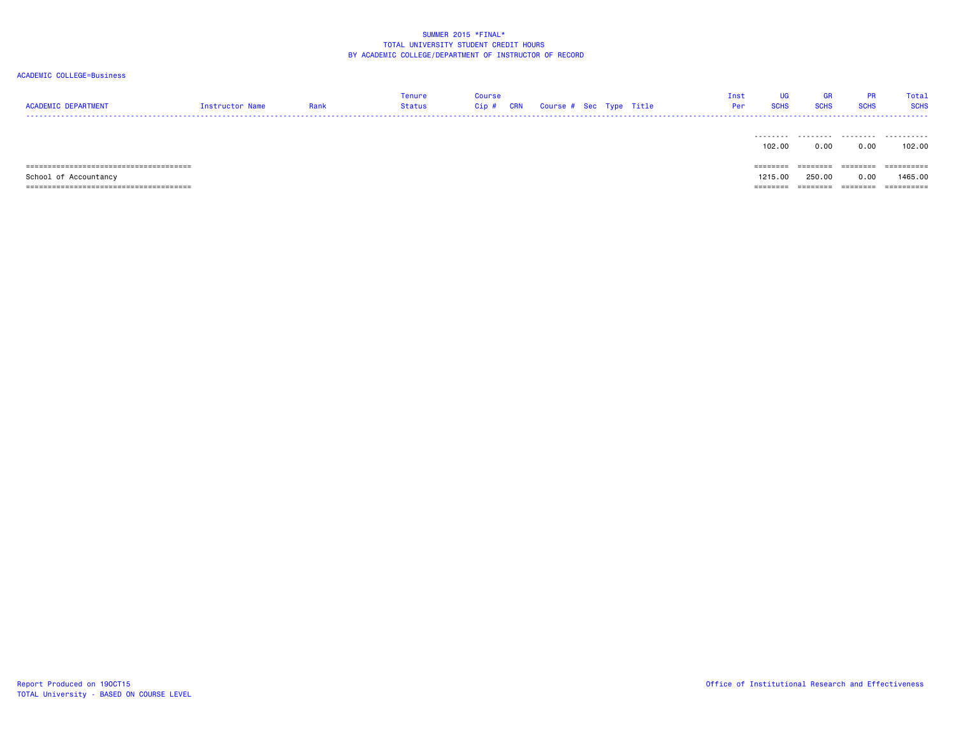| <b>ACADEMIC DEPARTMENT</b> | Instructor Name | Rank | Tenure<br><b>Status</b> | <b>Course</b><br>Cip# | CRN | Course # Sec Type Title |  | Inst<br>Per | UG<br><b>SCHS</b> | <b>GR</b><br><b>SCHS</b> | <b>PR</b><br><b>SCHS</b> | Total<br><b>SCHS</b> |
|----------------------------|-----------------|------|-------------------------|-----------------------|-----|-------------------------|--|-------------|-------------------|--------------------------|--------------------------|----------------------|
|                            |                 |      |                         |                       |     |                         |  |             | 102.00            | 0.00                     | 0.00                     | 102.00               |
|                            |                 |      |                         |                       |     |                         |  |             | $=$ = = = = = = = | ========                 | $=$ = = = = = = =        | ==========           |
| School of Accountancy      |                 |      |                         |                       |     |                         |  |             | 1215.00           | 250,00                   | 0.00                     | 1465.00              |
|                            |                 |      |                         |                       |     |                         |  |             | ========          | ========                 | ========                 | ==========           |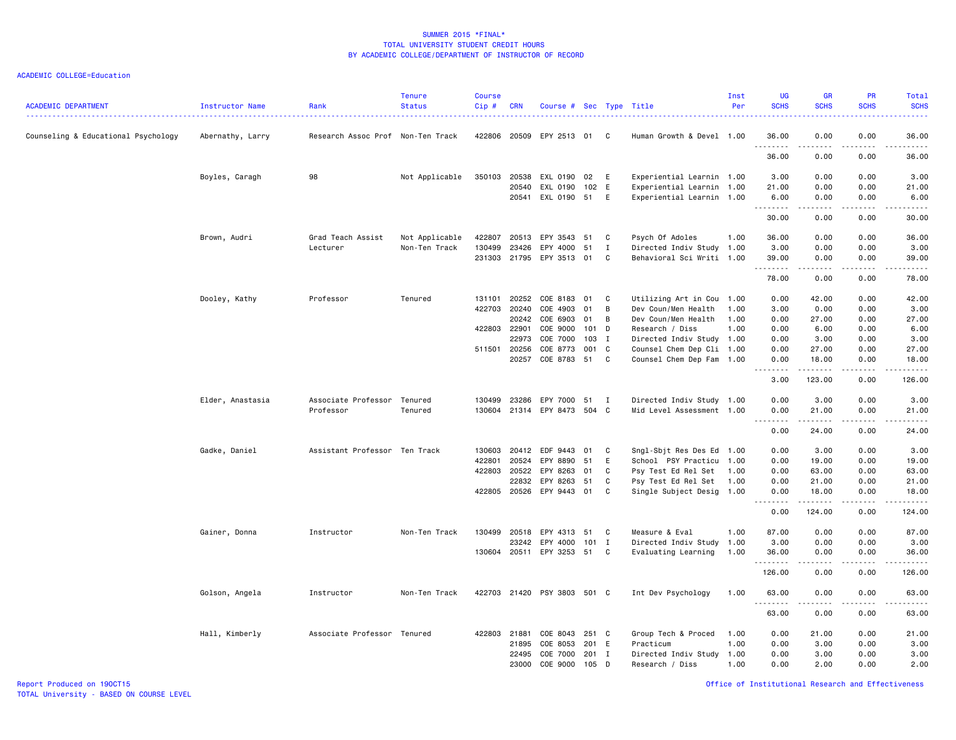| <b>ACADEMIC DEPARTMENT</b>          | Instructor Name  | Rank                              | <b>Tenure</b><br><b>Status</b> | <b>Course</b><br>Cip# | <b>CRN</b> | Course # Sec Type Title |            |                  |                                                        | Inst<br>Per | <b>UG</b><br><b>SCHS</b>                                                                                                                                                                                                                               | <b>GR</b><br><b>SCHS</b>                                                                                                                                     | <b>PR</b><br><b>SCHS</b>     | Total<br><b>SCHS</b>                                                                                                              |
|-------------------------------------|------------------|-----------------------------------|--------------------------------|-----------------------|------------|-------------------------|------------|------------------|--------------------------------------------------------|-------------|--------------------------------------------------------------------------------------------------------------------------------------------------------------------------------------------------------------------------------------------------------|--------------------------------------------------------------------------------------------------------------------------------------------------------------|------------------------------|-----------------------------------------------------------------------------------------------------------------------------------|
| Counseling & Educational Psychology | Abernathy, Larry | Research Assoc Prof Non-Ten Track |                                | 422806                | 20509      | EPY 2513                | 01         | C                | Human Growth & Devel 1.00                              |             | 36.00<br>.                                                                                                                                                                                                                                             | 0.00                                                                                                                                                         | 0.00                         | 36.00                                                                                                                             |
|                                     |                  |                                   |                                |                       |            |                         |            |                  |                                                        |             | 36.00                                                                                                                                                                                                                                                  | 0.00                                                                                                                                                         | 0.00                         | 36.00                                                                                                                             |
|                                     | Boyles, Caragh   | 98                                | Not Applicable                 | 350103 20538          |            | EXL 0190                | 02         | E                | Experiential Learnin 1.00                              |             | 3.00                                                                                                                                                                                                                                                   | 0.00                                                                                                                                                         | 0.00                         | 3.00                                                                                                                              |
|                                     |                  |                                   |                                |                       | 20540      | EXL 0190                | 102 E      |                  | Experiential Learnin 1.00                              |             | 21.00                                                                                                                                                                                                                                                  | 0.00                                                                                                                                                         | 0.00                         | 21.00                                                                                                                             |
|                                     |                  |                                   |                                |                       | 20541      | EXL 0190 51             |            | E                | Experiential Learnin 1.00                              |             | 6.00<br>.                                                                                                                                                                                                                                              | 0.00                                                                                                                                                         | 0.00                         | 6.00<br>$\frac{1}{2} \left( \frac{1}{2} \right) \left( \frac{1}{2} \right) \left( \frac{1}{2} \right) \left( \frac{1}{2} \right)$ |
|                                     |                  |                                   |                                |                       |            |                         |            |                  |                                                        |             | 30.00                                                                                                                                                                                                                                                  | 0.00                                                                                                                                                         | 0.00                         | 30.00                                                                                                                             |
|                                     | Brown, Audri     | Grad Teach Assist                 | Not Applicable                 | 422807                | 20513      | EPY 3543                | 51         | C                | Psych Of Adoles                                        | 1.00        | 36.00                                                                                                                                                                                                                                                  | 0.00                                                                                                                                                         | 0.00                         | 36.00                                                                                                                             |
|                                     |                  | Lecturer                          | Non-Ten Track                  | 130499                | 23426      | EPY 4000                | 51         | I                | Directed Indiv Study 1.00                              |             | 3.00                                                                                                                                                                                                                                                   | 0.00                                                                                                                                                         | 0.00                         | 3.00                                                                                                                              |
|                                     |                  |                                   |                                | 231303                | 21795      | EPY 3513                | 01         | C                | Behavioral Sci Writi 1.00                              |             | 39.00<br>.                                                                                                                                                                                                                                             | 0.00<br>.                                                                                                                                                    | 0.00<br>المتماما             | 39.00<br>.                                                                                                                        |
|                                     |                  |                                   |                                |                       |            |                         |            |                  |                                                        |             | 78.00                                                                                                                                                                                                                                                  | 0.00                                                                                                                                                         | 0.00                         | 78.00                                                                                                                             |
|                                     | Dooley, Kathy    | Professor                         | Tenured                        | 131101                | 20252      | COE 8183                | 01         | C                | Utilizing Art in Cou 1.00                              |             | 0.00                                                                                                                                                                                                                                                   | 42.00                                                                                                                                                        | 0.00                         | 42.00                                                                                                                             |
|                                     |                  |                                   |                                | 422703                | 20240      | COE 4903                | 01         | B                | Dev Coun/Men Health                                    | 1.00        | 3.00                                                                                                                                                                                                                                                   | 0.00                                                                                                                                                         | 0.00                         | 3.00                                                                                                                              |
|                                     |                  |                                   |                                |                       | 20242      | COE 6903                | 01         | B                | Dev Coun/Men Health                                    | 1.00        | 0.00                                                                                                                                                                                                                                                   | 27.00                                                                                                                                                        | 0.00                         | 27.00                                                                                                                             |
|                                     |                  |                                   |                                | 422803                | 22901      | COE 9000                | 101        | D                | Research / Diss                                        | 1.00        | 0.00                                                                                                                                                                                                                                                   | 6.00                                                                                                                                                         | 0.00                         | 6.00                                                                                                                              |
|                                     |                  |                                   |                                | 511501 20256          | 22973      | COE 7000<br>COE 8773    | 103<br>001 | $\mathbf I$<br>C | Directed Indiv Study 1.00<br>Counsel Chem Dep Cli 1.00 |             | 0.00<br>0.00                                                                                                                                                                                                                                           | 3.00<br>27.00                                                                                                                                                | 0.00<br>0.00                 | 3.00<br>27.00                                                                                                                     |
|                                     |                  |                                   |                                |                       | 20257      | COE 8783                | 51         | C                | Counsel Chem Dep Fam 1.00                              |             | 0.00                                                                                                                                                                                                                                                   | 18.00                                                                                                                                                        | 0.00                         | 18.00                                                                                                                             |
|                                     |                  |                                   |                                |                       |            |                         |            |                  |                                                        |             | $\frac{1}{2} \left( \frac{1}{2} \right) \left( \frac{1}{2} \right) \left( \frac{1}{2} \right) \left( \frac{1}{2} \right) \left( \frac{1}{2} \right)$<br>$\frac{1}{2} \left( \frac{1}{2} \right) \left( \frac{1}{2} \right) \left( \frac{1}{2} \right)$ | <u>.</u>                                                                                                                                                     | .                            | .                                                                                                                                 |
|                                     |                  |                                   |                                |                       |            |                         |            |                  |                                                        |             | 3.00                                                                                                                                                                                                                                                   | 123.00                                                                                                                                                       | 0.00                         | 126.00                                                                                                                            |
|                                     | Elder, Anastasia | Associate Professor               | Tenured                        | 130499                | 23286      | EPY 7000                | 51 I       |                  | Directed Indiv Study 1.00                              |             | 0.00                                                                                                                                                                                                                                                   | 3.00                                                                                                                                                         | 0.00                         | 3.00                                                                                                                              |
|                                     |                  | Professor                         | Tenured                        | 130604                |            | 21314 EPY 8473 504 C    |            |                  | Mid Level Assessment 1.00                              |             | 0.00<br>.                                                                                                                                                                                                                                              | 21.00<br>$\frac{1}{2}$                                                                                                                                       | 0.00<br>$\sim$ $\sim$ $\sim$ | 21.00<br>.                                                                                                                        |
|                                     |                  |                                   |                                |                       |            |                         |            |                  |                                                        |             | 0.00                                                                                                                                                                                                                                                   | 24.00                                                                                                                                                        | 0.00                         | 24.00                                                                                                                             |
|                                     | Gadke, Daniel    | Assistant Professor Ten Track     |                                | 130603                | 20412      | EDF 9443                | 01         | C                | Sngl-Sbjt Res Des Ed 1.00                              |             | 0.00                                                                                                                                                                                                                                                   | 3.00                                                                                                                                                         | 0.00                         | 3.00                                                                                                                              |
|                                     |                  |                                   |                                | 422801                | 20524      | EPY 8890                | 51         | E                | School PSY Practicu 1.00                               |             | 0.00                                                                                                                                                                                                                                                   | 19.00                                                                                                                                                        | 0.00                         | 19.00                                                                                                                             |
|                                     |                  |                                   |                                | 422803                | 20522      | EPY 8263                | 01         | C                | Psy Test Ed Rel Set                                    | 1.00        | 0.00                                                                                                                                                                                                                                                   | 63.00                                                                                                                                                        | 0.00                         | 63.00                                                                                                                             |
|                                     |                  |                                   |                                |                       | 22832      | EPY 8263                | 51         | C                | Psy Test Ed Rel Set 1.00                               |             | 0.00                                                                                                                                                                                                                                                   | 21.00                                                                                                                                                        | 0.00                         | 21.00                                                                                                                             |
|                                     |                  |                                   |                                | 422805                | 20526      | EPY 9443                | 01         | C                | Single Subject Desig 1.00                              |             | 0.00<br>.<br>$\sim$ $\sim$ $\sim$                                                                                                                                                                                                                      | 18.00<br>.                                                                                                                                                   | 0.00<br>.                    | 18.00<br>.                                                                                                                        |
|                                     |                  |                                   |                                |                       |            |                         |            |                  |                                                        |             | 0.00                                                                                                                                                                                                                                                   | 124.00                                                                                                                                                       | 0.00                         | 124.00                                                                                                                            |
|                                     | Gainer, Donna    | Instructor                        | Non-Ten Track                  | 130499                | 20518      | EPY 4313                | 51         | C                | Measure & Eval                                         | 1.00        | 87.00                                                                                                                                                                                                                                                  | 0.00                                                                                                                                                         | 0.00                         | 87.00                                                                                                                             |
|                                     |                  |                                   |                                |                       | 23242      | EPY 4000                | 101 I      |                  | Directed Indiv Study                                   | 1.00        | 3.00                                                                                                                                                                                                                                                   | 0.00                                                                                                                                                         | 0.00                         | 3.00                                                                                                                              |
|                                     |                  |                                   |                                |                       |            | 130604 20511 EPY 3253   | 51         | C <sub>c</sub>   | Evaluating Learning                                    | 1.00        | 36.00<br>.                                                                                                                                                                                                                                             | 0.00<br>$\frac{1}{2} \left( \frac{1}{2} \right) \left( \frac{1}{2} \right) \left( \frac{1}{2} \right) \left( \frac{1}{2} \right) \left( \frac{1}{2} \right)$ | 0.00<br>.                    | 36.00<br>.                                                                                                                        |
|                                     |                  |                                   |                                |                       |            |                         |            |                  |                                                        |             | 126.00                                                                                                                                                                                                                                                 | 0.00                                                                                                                                                         | 0.00                         | 126.00                                                                                                                            |
|                                     | Golson, Angela   | Instructor                        | Non-Ten Track                  | 422703                |            | 21420 PSY 3803 501 C    |            |                  | Int Dev Psychology                                     | 1.00        | 63.00<br>.                                                                                                                                                                                                                                             | 0.00                                                                                                                                                         | 0.00                         | 63.00                                                                                                                             |
|                                     |                  |                                   |                                |                       |            |                         |            |                  |                                                        |             | 63.00                                                                                                                                                                                                                                                  | .<br>0.00                                                                                                                                                    | .<br>0.00                    | .<br>63.00                                                                                                                        |
|                                     | Hall, Kimberly   | Associate Professor Tenured       |                                | 422803                | 21881      | COE 8043                | 251        | C                | Group Tech & Proced                                    | 1.00        | 0.00                                                                                                                                                                                                                                                   | 21.00                                                                                                                                                        | 0.00                         | 21.00                                                                                                                             |
|                                     |                  |                                   |                                |                       | 21895      | COE 8053                | 201        | E                | Practicum                                              | 1.00        | 0.00                                                                                                                                                                                                                                                   | 3.00                                                                                                                                                         | 0.00                         | 3.00                                                                                                                              |
|                                     |                  |                                   |                                |                       | 22495      | COE 7000                | 201        | I                | Directed Indiv Study                                   | 1.00        | 0.00                                                                                                                                                                                                                                                   | 3.00                                                                                                                                                         | 0.00                         | 3.00                                                                                                                              |
|                                     |                  |                                   |                                |                       | 23000      | COE 9000                | 105        | D                | Research / Diss                                        | 1.00        | 0.00                                                                                                                                                                                                                                                   | 2.00                                                                                                                                                         | 0.00                         | 2.00                                                                                                                              |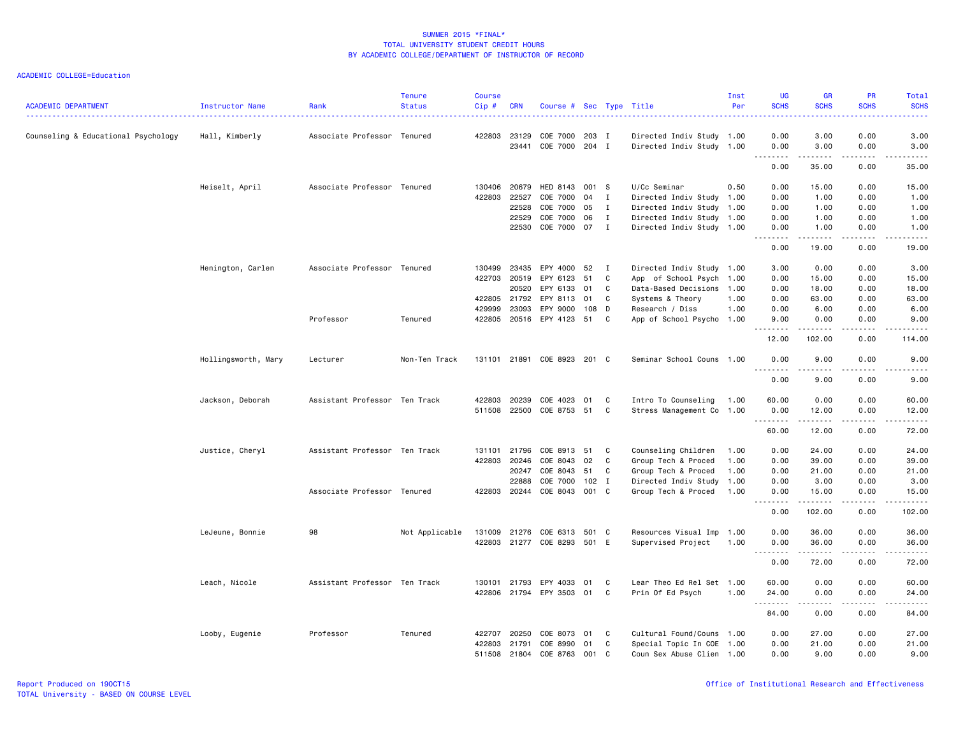| <b>ACADEMIC DEPARTMENT</b>          | Instructor Name     | Rank                          | <b>Tenure</b><br><b>Status</b> | <b>Course</b><br>Cip# | <b>CRN</b>   | Course # Sec Type Title     |         |              |                           | Inst<br>Per | <b>UG</b><br><b>SCHS</b> | <b>GR</b><br><b>SCHS</b> | PR<br><b>SCHS</b>                   | Total<br><b>SCHS</b> |
|-------------------------------------|---------------------|-------------------------------|--------------------------------|-----------------------|--------------|-----------------------------|---------|--------------|---------------------------|-------------|--------------------------|--------------------------|-------------------------------------|----------------------|
| Counseling & Educational Psychology | Hall, Kimberly      | Associate Professor Tenured   |                                | 422803                | 23129        | COE 7000                    | 203 I   |              | Directed Indiv Study 1.00 |             | 0.00                     | 3.00                     | 0.00                                | 3.00                 |
|                                     |                     |                               |                                |                       | 23441        | COE 7000                    | 204 I   |              | Directed Indiv Study 1.00 |             | 0.00<br><b></b>          | 3.00<br>.                | 0.00<br>.                           | 3.00<br>المتمامين    |
|                                     |                     |                               |                                |                       |              |                             |         |              |                           |             | 0.00                     | 35.00                    | 0.00                                | 35.00                |
|                                     | Heiselt, April      | Associate Professor Tenured   |                                | 130406                | 20679        | HED 8143                    | 001 S   |              | U/Cc Seminar              | 0.50        | 0.00                     | 15.00                    | 0.00                                | 15.00                |
|                                     |                     |                               |                                | 422803                | 22527        | COE 7000                    | 04      | $\mathbf{I}$ | Directed Indiv Study 1.00 |             | 0.00                     | 1.00                     | 0.00                                | 1.00                 |
|                                     |                     |                               |                                |                       | 22528        | COE 7000                    | 05      | Ι.           | Directed Indiv Study 1.00 |             | 0.00                     | 1.00                     | 0.00                                | 1.00                 |
|                                     |                     |                               |                                |                       | 22529        | COE 7000                    | 06      | I            | Directed Indiv Study 1.00 |             | 0.00                     | 1.00                     | 0.00                                | 1.00                 |
|                                     |                     |                               |                                |                       | 22530        | COE 7000                    | 07 I    |              | Directed Indiv Study 1.00 |             | 0.00<br>.                | 1.00<br>.                | 0.00<br>.                           | 1.00                 |
|                                     |                     |                               |                                |                       |              |                             |         |              |                           |             | 0.00                     | 19.00                    | 0.00                                | 19.00                |
|                                     | Henington, Carlen   | Associate Professor Tenured   |                                | 130499                | 23435        | EPY 4000                    | 52      | I            | Directed Indiv Study 1.00 |             | 3.00                     | 0.00                     | 0.00                                | 3.00                 |
|                                     |                     |                               |                                | 422703                | 20519        | EPY 6123                    | 51      | C            | App of School Psych 1.00  |             | 0.00                     | 15.00                    | 0.00                                | 15.00                |
|                                     |                     |                               |                                |                       | 20520        | EPY 6133                    | 01      | C            | Data-Based Decisions 1.00 |             | 0.00                     | 18.00                    | 0.00                                | 18.00                |
|                                     |                     |                               |                                |                       | 422805 21792 | EPY 8113                    | 01      | C            | Systems & Theory          | 1.00        | 0.00                     | 63.00                    | 0.00                                | 63.00                |
|                                     |                     |                               |                                | 429999                | 23093        | EPY 9000                    | 108     | D            | Research / Diss           | 1.00        | 0.00                     | 6.00                     | 0.00                                | 6.00                 |
|                                     |                     | Professor                     | Tenured                        |                       |              | 422805 20516 EPY 4123       | 51      | C            | App of School Psycho 1.00 |             | 9.00<br>.                | 0.00<br>.                | 0.00<br>$- - - -$                   | 9.00<br>$- - - - -$  |
|                                     |                     |                               |                                |                       |              |                             |         |              |                           |             | 12.00                    | 102.00                   | 0.00                                | 114.00               |
|                                     | Hollingsworth, Mary | Lecturer                      | Non-Ten Track                  |                       |              | 131101 21891 COE 8923 201 C |         |              | Seminar School Couns 1.00 |             | 0.00                     | 9.00                     | 0.00                                | 9.00                 |
|                                     |                     |                               |                                |                       |              |                             |         |              |                           |             | .<br>0.00                | .<br>9.00                | $\sim$ $\sim$ $\sim$<br>0.00        | .<br>9.00            |
|                                     | Jackson, Deborah    | Assistant Professor Ten Track |                                | 422803                | 20239        | COE 4023                    | 01      | C            | Intro To Counseling       | 1.00        | 60.00                    | 0.00                     | 0.00                                | 60.00                |
|                                     |                     |                               |                                |                       | 511508 22500 | COE 8753                    | 51      | C            | Stress Management Co 1.00 |             | 0.00                     | 12.00                    | 0.00                                | 12.00                |
|                                     |                     |                               |                                |                       |              |                             |         |              |                           |             | .<br>60.00               | .<br>12.00               | $\sim$ $\sim$ $\sim$ $\sim$<br>0.00 | .<br>72.00           |
|                                     |                     |                               |                                |                       |              |                             |         |              |                           |             |                          |                          |                                     |                      |
|                                     | Justice, Cheryl     | Assistant Professor Ten Track |                                |                       | 131101 21796 | COE 8913 51                 |         | C            | Counseling Children       | 1.00        | 0.00                     | 24.00                    | 0.00                                | 24.00                |
|                                     |                     |                               |                                | 422803                | 20246        | COE 8043                    | 02      | C            | Group Tech & Proced       | 1.00        | 0.00                     | 39.00                    | 0.00                                | 39.00                |
|                                     |                     |                               |                                |                       | 20247        | COE 8043                    | 51      | C            | Group Tech & Proced       | 1.00        | 0.00                     | 21.00                    | 0.00                                | 21.00                |
|                                     |                     |                               |                                |                       | 22888        | COE 7000                    | $102$ I |              | Directed Indiv Study 1.00 |             | 0.00                     | 3.00                     | 0.00                                | 3.00                 |
|                                     |                     | Associate Professor Tenured   |                                |                       | 422803 20244 | COE 8043                    | 001 C   |              | Group Tech & Proced       | 1.00        | 0.00<br>.                | 15.00                    | 0.00<br>.                           | 15.00<br>.           |
|                                     |                     |                               |                                |                       |              |                             |         |              |                           |             | 0.00                     | 102.00                   | 0.00                                | 102.00               |
|                                     | LeJeune, Bonnie     | 98                            | Not Applicable                 | 131009                | 21276        | COE 6313                    | 501 C   |              | Resources Visual Imp 1.00 |             | 0.00                     | 36.00                    | 0.00                                | 36.00                |
|                                     |                     |                               |                                |                       |              | 422803 21277 COE 8293 501 E |         |              | Supervised Project        | 1.00        | 0.00                     | 36.00                    | 0.00                                | 36.00                |
|                                     |                     |                               |                                |                       |              |                             |         |              |                           |             | .                        | .                        | .                                   | .                    |
|                                     |                     |                               |                                |                       |              |                             |         |              |                           |             | 0.00                     | 72.00                    | 0.00                                | 72.00                |
|                                     | Leach, Nicole       | Assistant Professor Ten Track |                                | 130101                | 21793        | EPY 4033                    | 01      | C            | Lear Theo Ed Rel Set 1.00 |             | 60.00                    | 0.00                     | 0.00                                | 60.00                |
|                                     |                     |                               |                                |                       |              | 422806 21794 EPY 3503       | 01      | C            | Prin Of Ed Psych          | 1.00        | 24.00<br><u>.</u>        | 0.00                     | 0.00                                | 24.00<br>$    -$     |
|                                     |                     |                               |                                |                       |              |                             |         |              |                           |             | 84.00                    | 0.00                     | 0.00                                | 84.00                |
|                                     | Looby, Eugenie      | Professor                     | Tenured                        | 422707                | 20250        | COE 8073                    | 01      | C            | Cultural Found/Couns 1.00 |             | 0.00                     | 27.00                    | 0.00                                | 27.00                |
|                                     |                     |                               |                                | 422803                | 21791        | COE 8990                    | 01      | C            | Special Topic In COE 1.00 |             | 0.00                     | 21.00                    | 0.00                                | 21.00                |
|                                     |                     |                               |                                | 511508                |              | 21804 COE 8763              | 001     | C            | Coun Sex Abuse Clien 1.00 |             | 0.00                     | 9.00                     | 0.00                                | 9.00                 |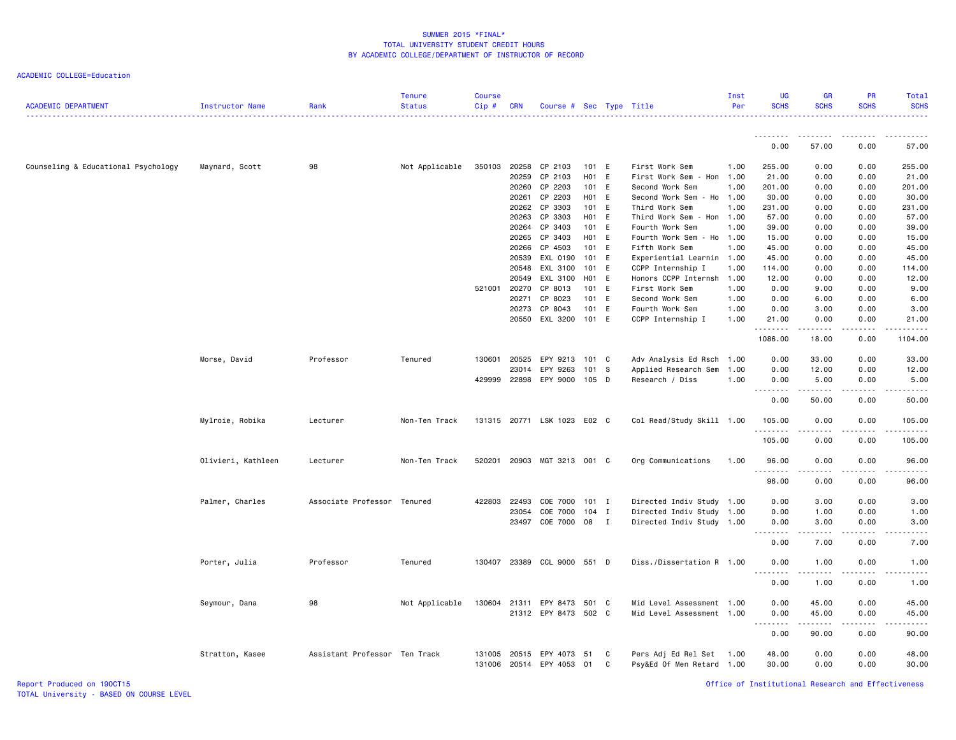| <b>ACADEMIC DEPARTMENT</b>          | Instructor Name    | Rank                          | <b>Tenure</b><br><b>Status</b> | <b>Course</b><br>Cip# | <b>CRN</b> | Course # Sec Type Title          |         |   |                                                       | Inst<br>Per | <b>UG</b><br><b>SCHS</b>               | <b>GR</b><br><b>SCHS</b>                                                                                                                                      | <b>PR</b><br><b>SCHS</b> | Total<br><b>SCHS</b>                                                                                                                                            |
|-------------------------------------|--------------------|-------------------------------|--------------------------------|-----------------------|------------|----------------------------------|---------|---|-------------------------------------------------------|-------------|----------------------------------------|---------------------------------------------------------------------------------------------------------------------------------------------------------------|--------------------------|-----------------------------------------------------------------------------------------------------------------------------------------------------------------|
|                                     |                    |                               |                                |                       |            |                                  |         |   |                                                       |             | --------                               | $\cdots \cdots \cdots$                                                                                                                                        |                          |                                                                                                                                                                 |
|                                     |                    |                               |                                |                       |            |                                  |         |   |                                                       |             | 0.00                                   | 57.00                                                                                                                                                         | 0.00                     | 57.00                                                                                                                                                           |
| Counseling & Educational Psychology | Maynard, Scott     | 98                            | Not Applicable                 | 350103                | 20258      | CP 2103                          | 101 E   |   | First Work Sem                                        | 1.00        | 255.00                                 | 0.00                                                                                                                                                          | 0.00                     | 255.00                                                                                                                                                          |
|                                     |                    |                               |                                |                       | 20259      | CP 2103                          | H01 E   |   | First Work Sem - Hon                                  | 1.00        | 21.00                                  | 0.00                                                                                                                                                          | 0.00                     | 21.00                                                                                                                                                           |
|                                     |                    |                               |                                |                       | 20260      | CP 2203                          | 101 E   |   | Second Work Sem                                       | 1.00        | 201.00                                 | 0.00                                                                                                                                                          | 0.00                     | 201.00                                                                                                                                                          |
|                                     |                    |                               |                                |                       | 20261      | CP 2203                          | H01 E   |   | Second Work Sem<br>- Ho                               | 1.00        | 30.00                                  | 0.00                                                                                                                                                          | 0.00                     | 30.00                                                                                                                                                           |
|                                     |                    |                               |                                |                       | 20262      | CP 3303                          | 101 E   |   | Third Work Sem                                        | 1.00        | 231.00                                 | 0.00                                                                                                                                                          | 0.00                     | 231.00                                                                                                                                                          |
|                                     |                    |                               |                                |                       | 20263      | CP 3303                          | H01 E   |   | Third Work Sem - Hon 1.00                             |             | 57.00                                  | 0.00                                                                                                                                                          | 0.00                     | 57.00                                                                                                                                                           |
|                                     |                    |                               |                                |                       | 20264      | CP 3403                          | 101 E   |   | Fourth Work Sem                                       | 1.00        | 39.00                                  | 0.00                                                                                                                                                          | 0.00                     | 39.00                                                                                                                                                           |
|                                     |                    |                               |                                |                       | 20265      | CP 3403                          | H01 E   |   | Fourth Work Sem - Ho                                  | 1.00        | 15.00                                  | 0.00                                                                                                                                                          | 0.00                     | 15.00                                                                                                                                                           |
|                                     |                    |                               |                                |                       | 20266      | CP 4503                          | 101 E   |   | Fifth Work Sem                                        | 1.00        | 45.00                                  | 0.00                                                                                                                                                          | 0.00                     | 45.00                                                                                                                                                           |
|                                     |                    |                               |                                |                       | 20539      | EXL 0190                         | 101 E   |   | Experiential Learnin                                  | 1.00        | 45.00                                  | 0.00                                                                                                                                                          | 0.00                     | 45.00                                                                                                                                                           |
|                                     |                    |                               |                                |                       | 20548      | EXL 3100                         | 101 E   |   | CCPP Internship I                                     | 1.00        | 114.00                                 | 0.00                                                                                                                                                          | 0.00                     | 114.00                                                                                                                                                          |
|                                     |                    |                               |                                |                       | 20549      | EXL 3100                         | H01 E   |   | Honors CCPP Internsh                                  | 1.00        | 12.00                                  | 0.00                                                                                                                                                          | 0.00                     | 12.00                                                                                                                                                           |
|                                     |                    |                               |                                | 521001                | 20270      | CP 8013                          | 101 E   |   | First Work Sem                                        | 1.00        | 0.00                                   | 9.00                                                                                                                                                          | 0.00                     | 9.00                                                                                                                                                            |
|                                     |                    |                               |                                |                       | 20271      | CP 8023                          | 101 E   |   | Second Work Sem                                       | 1.00        | 0.00                                   | 6.00                                                                                                                                                          | 0.00                     | 6.00                                                                                                                                                            |
|                                     |                    |                               |                                |                       | 20273      | CP 8043                          | 101 E   |   | Fourth Work Sem                                       | 1.00        | 0.00                                   | 3.00                                                                                                                                                          | 0.00                     | 3.00                                                                                                                                                            |
|                                     |                    |                               |                                |                       | 20550      | EXL 3200                         | 101 E   |   | CCPP Internship I                                     | 1.00        | 21.00                                  | 0.00                                                                                                                                                          | 0.00                     | 21.00                                                                                                                                                           |
|                                     |                    |                               |                                |                       |            |                                  |         |   |                                                       |             | .<br>1086.00                           | $\frac{1}{2} \left( \frac{1}{2} \right) \left( \frac{1}{2} \right) \left( \frac{1}{2} \right) \left( \frac{1}{2} \right) \left( \frac{1}{2} \right)$<br>18.00 | .<br>0.00                | $\frac{1}{2} \left( \frac{1}{2} \right) \left( \frac{1}{2} \right) \left( \frac{1}{2} \right) \left( \frac{1}{2} \right) \left( \frac{1}{2} \right)$<br>1104.00 |
|                                     |                    | Professor                     | Tenured                        | 130601                | 20525      | EPY 9213                         | 101 C   |   |                                                       |             |                                        | 33.00                                                                                                                                                         | 0.00                     | 33.00                                                                                                                                                           |
|                                     | Morse, David       |                               |                                |                       |            |                                  |         |   | Adv Analysis Ed Rsch 1.00                             |             | 0.00                                   |                                                                                                                                                               |                          |                                                                                                                                                                 |
|                                     |                    |                               |                                |                       | 23014      | EPY 9263                         | 101 S   |   | Applied Research Sem                                  | 1.00        | 0.00                                   | 12.00                                                                                                                                                         | 0.00                     | 12.00                                                                                                                                                           |
|                                     |                    |                               |                                | 429999                |            | 22898 EPY 9000                   | 105 D   |   | Research / Diss                                       | 1.00        | 0.00<br>$\sim$ $\sim$<br>$- - -$       | 5.00<br>$\frac{1}{2} \left( \frac{1}{2} \right) \left( \frac{1}{2} \right) \left( \frac{1}{2} \right) \left( \frac{1}{2} \right) \left( \frac{1}{2} \right)$  | 0.00                     | 5.00                                                                                                                                                            |
|                                     |                    |                               |                                |                       |            |                                  |         |   |                                                       |             | 0.00                                   | 50.00                                                                                                                                                         | 0.00                     | 50.00                                                                                                                                                           |
|                                     | Mylroie, Robika    | Lecturer                      | Non-Ten Track                  |                       |            | 131315 20771 LSK 1023 E02 C      |         |   | Col Read/Study Skill 1.00                             |             | 105.00<br>.                            | 0.00<br>.                                                                                                                                                     | 0.00<br>$- - - - -$      | 105.00<br><b>.</b>                                                                                                                                              |
|                                     |                    |                               |                                |                       |            |                                  |         |   |                                                       |             | 105.00                                 | 0.00                                                                                                                                                          | 0.00                     | 105.00                                                                                                                                                          |
|                                     | Olivieri, Kathleen | Lecturer                      | Non-Ten Track                  | 520201                |            | 20903 MGT 3213 001 C             |         |   | Org Communications                                    | 1.00        | 96.00<br>.                             | 0.00<br>$\frac{1}{2}$                                                                                                                                         | 0.00<br>.                | 96.00<br>المتمام المنا                                                                                                                                          |
|                                     |                    |                               |                                |                       |            |                                  |         |   |                                                       |             | 96.00                                  | 0.00                                                                                                                                                          | 0.00                     | 96.00                                                                                                                                                           |
|                                     | Palmer, Charles    | Associate Professor           | Tenured                        | 422803                | 22493      | COE 7000                         | $101$ I |   | Directed Indiv Study 1.00                             |             | 0.00                                   | 3.00                                                                                                                                                          | 0.00                     | 3.00                                                                                                                                                            |
|                                     |                    |                               |                                |                       | 23054      | COE 7000                         | $104$ I |   | Directed Indiv Study 1.00                             |             | 0.00                                   | 1.00                                                                                                                                                          | 0.00                     | 1.00                                                                                                                                                            |
|                                     |                    |                               |                                |                       | 23497      | COE 7000 08 I                    |         |   | Directed Indiv Study 1.00                             |             | 0.00                                   | 3.00                                                                                                                                                          | 0.00                     | 3.00                                                                                                                                                            |
|                                     |                    |                               |                                |                       |            |                                  |         |   |                                                       |             | .<br>$\sim$ $\sim$<br>0.00             | .<br>7.00                                                                                                                                                     | .<br>0.00                | $\frac{1}{2}$<br>7.00                                                                                                                                           |
|                                     | Porter, Julia      | Professor                     | Tenured                        | 130407                |            | 23389 CCL 9000 551 D             |         |   | Diss./Dissertation R 1.00                             |             | 0.00                                   | 1.00                                                                                                                                                          | 0.00                     | 1.00                                                                                                                                                            |
|                                     |                    |                               |                                |                       |            |                                  |         |   |                                                       |             | $\sim$ $\sim$<br>$\frac{1}{2}$<br>0.00 | .<br>1.00                                                                                                                                                     | .<br>0.00                | $\frac{1}{2}$<br>1.00                                                                                                                                           |
|                                     |                    |                               |                                |                       |            |                                  |         |   |                                                       |             |                                        |                                                                                                                                                               |                          |                                                                                                                                                                 |
|                                     | Seymour, Dana      | 98                            | Not Applicable                 | 130604                | 21311      | EPY 8473                         | 501 C   |   | Mid Level Assessment 1.00                             |             | 0.00                                   | 45.00                                                                                                                                                         | 0.00                     | 45.00                                                                                                                                                           |
|                                     |                    |                               |                                |                       |            | 21312 EPY 8473 502 C             |         |   | Mid Level Assessment 1.00                             |             | 0.00                                   | 45.00                                                                                                                                                         | 0.00                     | 45.00                                                                                                                                                           |
|                                     |                    |                               |                                |                       |            |                                  |         |   |                                                       |             | .                                      | .                                                                                                                                                             | .                        | .                                                                                                                                                               |
|                                     |                    |                               |                                |                       |            |                                  |         |   |                                                       |             | 0.00                                   | 90.00                                                                                                                                                         | 0.00                     | 90.00                                                                                                                                                           |
|                                     |                    | Assistant Professor Ten Track |                                |                       |            |                                  | 51      | C |                                                       |             | 48.00                                  | 0.00                                                                                                                                                          | 0.00                     | 48.00                                                                                                                                                           |
|                                     | Stratton, Kasee    |                               |                                | 131005<br>131006      |            | 20515 EPY 4073<br>20514 EPY 4053 | 01      | C | Pers Adj Ed Rel Set 1.00<br>Psy&Ed Of Men Retard 1.00 |             | 30.00                                  | 0.00                                                                                                                                                          | 0.00                     | 30.00                                                                                                                                                           |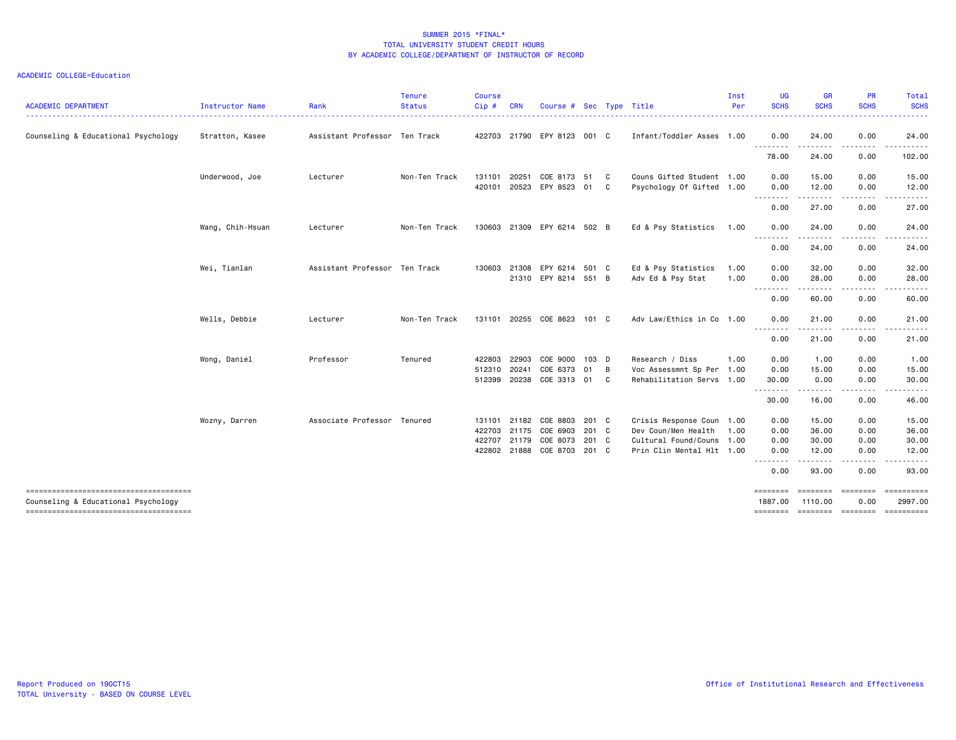| <b>ACADEMIC DEPARTMENT</b>                                                   | Instructor Name  | Rank                          | <b>Tenure</b><br><b>Status</b> | <b>Course</b><br>Cip# | <b>CRN</b>   | Course #                    | Sec   |                            | Type Title                | Inst<br>Per | <b>UG</b><br><b>SCHS</b>    | <b>GR</b><br><b>SCHS</b> | <b>PR</b><br><b>SCHS</b> | Total<br><b>SCHS</b>                            |
|------------------------------------------------------------------------------|------------------|-------------------------------|--------------------------------|-----------------------|--------------|-----------------------------|-------|----------------------------|---------------------------|-------------|-----------------------------|--------------------------|--------------------------|-------------------------------------------------|
| Counseling & Educational Psychology                                          | Stratton, Kasee  | Assistant Professor Ten Track |                                |                       |              | 422703 21790 EPY 8123 001 C |       |                            | Infant/Toddler Asses 1.00 |             | .<br>0.00                   | 24.00                    | 0.00                     | 24.00                                           |
|                                                                              |                  |                               |                                |                       |              |                             |       |                            |                           |             | <u>.</u><br>78.00           | 24.00                    | 0.00                     | 102.00                                          |
|                                                                              | Underwood, Joe   | Lecturer                      | Non-Ten Track                  | 131101                | 20251        | COE 8173 51                 |       | $\overline{\phantom{a}}$ C | Couns Gifted Student 1.00 |             | 0.00                        | 15.00                    | 0.00                     | 15.00                                           |
|                                                                              |                  |                               |                                | 420101 20523          |              | EPY 8523                    | 01    | C.                         | Psychology Of Gifted 1.00 |             | 0.00<br>---------           | 12.00<br>.               | 0.00<br>.                | 12.00<br>.                                      |
|                                                                              |                  |                               |                                |                       |              |                             |       |                            |                           |             | 0.00                        | 27.00                    | 0.00                     | 27.00                                           |
|                                                                              | Wang, Chih-Hsuan | Lecturer                      | Non-Ten Track                  |                       |              | 130603 21309 EPY 6214 502 B |       |                            | Ed & Psy Statistics       | 1.00        | 0.00                        | 24.00                    | 0.00                     | 24.00                                           |
|                                                                              |                  |                               |                                |                       |              |                             |       |                            |                           |             | $- - -$<br><u>.</u><br>0.00 | 24.00                    | $\cdots$<br>0.00         | 24.00                                           |
|                                                                              | Wei, Tianlan     | Assistant Professor Ten Track |                                |                       |              | 130603 21308 EPY 6214 501 C |       |                            | Ed & Psy Statistics       | 1.00        | 0.00                        | 32.00                    | 0.00                     | 32.00                                           |
|                                                                              |                  |                               |                                |                       |              | 21310 EPY 8214 551 B        |       |                            | Adv Ed & Psy Stat         | 1.00        | 0.00<br>.                   | 28.00<br>.               | 0.00<br>.                | 28.00<br>------                                 |
|                                                                              |                  |                               |                                |                       |              |                             |       |                            |                           |             | 0.00                        | 60.00                    | 0.00                     | 60.00                                           |
|                                                                              | Wells, Debbie    | Lecturer                      | Non-Ten Track                  |                       |              | 131101 20255 COE 8623 101 C |       |                            | Adv Law/Ethics in Co 1.00 |             | 0.00<br>.                   | 21.00<br>.               | 0.00<br>-----            | 21.00<br>------                                 |
|                                                                              |                  |                               |                                |                       |              |                             |       |                            |                           |             | 0.00                        | 21.00                    | 0.00                     | 21.00                                           |
|                                                                              | Wong, Daniel     | Professor                     | Tenured                        | 422803                | 22903        | COE 9000 103 D              |       |                            | Research / Diss           | 1.00        | 0.00                        | 1.00                     | 0.00                     | 1.00                                            |
|                                                                              |                  |                               |                                | 512310                | 20241        | COE 6373<br>COE 3313 01     | 01    | $\overline{B}$             | Voc Assessmnt Sp Per 1.00 |             | 0.00                        | 15.00                    | 0.00<br>0.00             | 15.00                                           |
|                                                                              |                  |                               |                                |                       | 512399 20238 |                             |       | C.                         | Rehabilitation Servs 1.00 |             | 30.00<br>.                  | 0.00<br>. <b>.</b>       | $- - - - -$              | 30.00<br>.                                      |
|                                                                              |                  |                               |                                |                       |              |                             |       |                            |                           |             | 30.00                       | 16.00                    | 0.00                     | 46.00                                           |
|                                                                              | Wozny, Darren    | Associate Professor Tenured   |                                |                       |              | 131101 21182 COE 8803       | 201 C |                            | Crisis Response Coun 1.00 |             | 0.00                        | 15.00                    | 0.00                     | 15.00                                           |
|                                                                              |                  |                               |                                | 422703                |              | 21175 COE 6903              | 201 C |                            | Dev Coun/Men Health       | 1.00        | 0.00                        | 36.00                    | 0.00                     | 36.00                                           |
|                                                                              |                  |                               |                                |                       | 422707 21179 | COE 8073                    | 201 C |                            | Cultural Found/Couns 1.00 |             | 0.00                        | 30.00                    | 0.00                     | 30.00                                           |
|                                                                              |                  |                               |                                |                       |              | 422802 21888 COE 8703       | 201 C |                            | Prin Clin Mental Hlt 1.00 |             | 0.00<br>.                   | 12.00<br>.               | 0.00<br>.                | 12.00                                           |
|                                                                              |                  |                               |                                |                       |              |                             |       |                            |                           |             | 0.00                        | 93.00                    | 0.00                     | 93.00                                           |
| -------------------------------------                                        |                  |                               |                                |                       |              |                             |       |                            |                           |             | ========                    | ========                 | ========                 | ==========                                      |
| Counseling & Educational Psychology<br>------------------------------------- |                  |                               |                                |                       |              |                             |       |                            |                           |             | 1887.00                     | 1110.00                  | 0.00                     | 2997.00<br>======== ======== ======== ========= |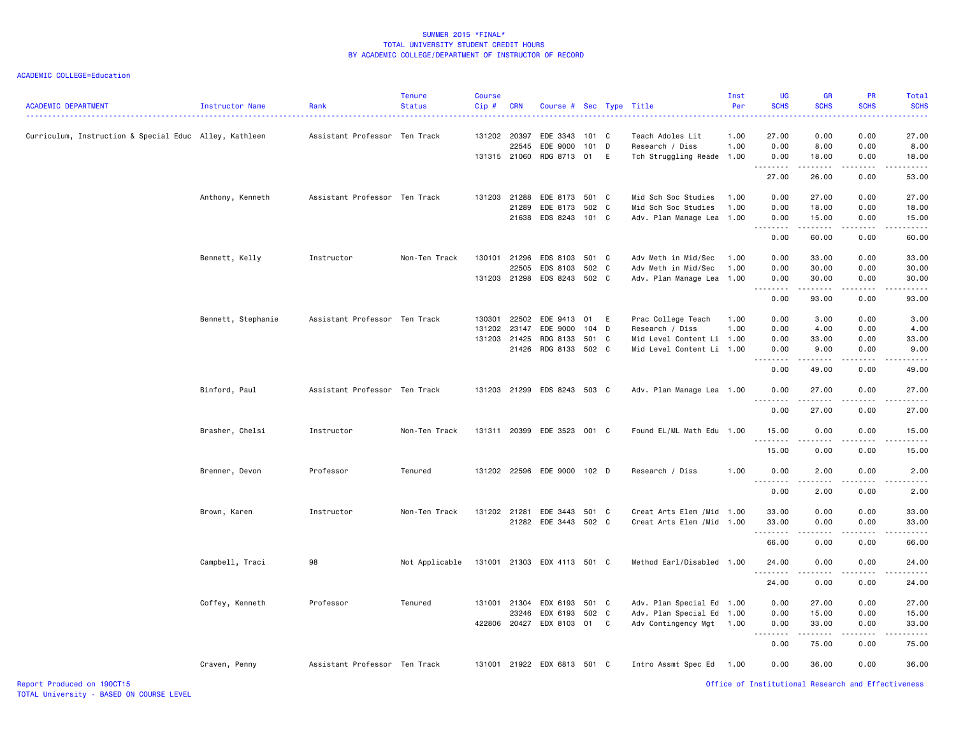| <b>ACADEMIC DEPARTMENT</b>                             | Instructor Name    | Rank                          | <b>Tenure</b><br><b>Status</b> | <b>Course</b><br>Cip# | <b>CRN</b>   | Course # Sec Type Title     |       |   |                            | Inst<br>Per | <b>UG</b><br><b>SCHS</b> | <b>GR</b><br><b>SCHS</b> | <b>PR</b><br><b>SCHS</b>                           | Total<br><b>SCHS</b>                                                                                                                                         |
|--------------------------------------------------------|--------------------|-------------------------------|--------------------------------|-----------------------|--------------|-----------------------------|-------|---|----------------------------|-------------|--------------------------|--------------------------|----------------------------------------------------|--------------------------------------------------------------------------------------------------------------------------------------------------------------|
| Curriculum, Instruction & Special Educ Alley, Kathleen |                    | Assistant Professor Ten Track |                                |                       | 131202 20397 | EDE 3343                    | 101 C |   | Teach Adoles Lit           | 1.00        | 27.00                    | 0.00                     | 0.00                                               | 27.00                                                                                                                                                        |
|                                                        |                    |                               |                                |                       | 22545        | EDE 9000                    | 101 D |   | Research / Diss            | 1.00        | 0.00                     | 8.00                     | 0.00                                               | 8.00                                                                                                                                                         |
|                                                        |                    |                               |                                |                       |              | 131315 21060 RDG 8713 01    |       | E | Tch Struggling Reade 1.00  |             | 0.00<br>.                | 18.00<br>.               | 0.00<br>22222                                      | 18.00<br>.                                                                                                                                                   |
|                                                        |                    |                               |                                |                       |              |                             |       |   |                            |             | 27.00                    | 26.00                    | 0.00                                               | 53.00                                                                                                                                                        |
|                                                        | Anthony, Kenneth   | Assistant Professor Ten Track |                                |                       |              | 131203 21288 EDE 8173 501 C |       |   | Mid Sch Soc Studies        | 1.00        | 0.00                     | 27.00                    | 0.00                                               | 27.00                                                                                                                                                        |
|                                                        |                    |                               |                                |                       |              | 21289 EDE 8173 502 C        |       |   | Mid Sch Soc Studies        | 1.00        | 0.00                     | 18.00                    | 0.00                                               | 18.00                                                                                                                                                        |
|                                                        |                    |                               |                                |                       |              | 21638 EDS 8243 101 C        |       |   | Adv. Plan Manage Lea 1.00  |             | 0.00<br>.                | 15.00<br>.               | 0.00<br>22222                                      | 15.00<br>.                                                                                                                                                   |
|                                                        |                    |                               |                                |                       |              |                             |       |   |                            |             | 0.00                     | 60.00                    | 0.00                                               | 60.00                                                                                                                                                        |
|                                                        | Bennett, Kelly     | Instructor                    | Non-Ten Track                  | 130101                |              | 21296 EDS 8103 501 C        |       |   | Adv Meth in Mid/Sec        | 1.00        | 0.00                     | 33.00                    | 0.00                                               | 33.00                                                                                                                                                        |
|                                                        |                    |                               |                                |                       | 22505        | EDS 8103 502 C              |       |   | Adv Meth in Mid/Sec        | 1.00        | 0.00                     | 30.00                    | 0.00                                               | 30.00                                                                                                                                                        |
|                                                        |                    |                               |                                | 131203                |              | 21298 EDS 8243 502 C        |       |   | Adv. Plan Manage Lea       | 1.00        | 0.00<br>.                | 30.00<br>.               | 0.00<br>.                                          | 30.00<br>.                                                                                                                                                   |
|                                                        |                    |                               |                                |                       |              |                             |       |   |                            |             | 0.00                     | 93.00                    | 0.00                                               | 93.00                                                                                                                                                        |
|                                                        | Bennett, Stephanie | Assistant Professor Ten Track |                                | 130301                | 22502        | EDE 9413                    | 01    | E | Prac College Teach         | 1.00        | 0.00                     | 3.00                     | 0.00                                               | 3.00                                                                                                                                                         |
|                                                        |                    |                               |                                | 131202                | 23147        | EDE 9000                    | 104 D |   | Research / Diss            | 1.00        | 0.00                     | 4.00                     | 0.00                                               | 4.00                                                                                                                                                         |
|                                                        |                    |                               |                                |                       | 131203 21425 | RDG 8133 501 C              |       |   | Mid Level Content Li 1.00  |             | 0.00                     | 33.00                    | 0.00                                               | 33.00                                                                                                                                                        |
|                                                        |                    |                               |                                |                       |              | 21426 RDG 8133 502 C        |       |   | Mid Level Content Li 1.00  |             | 0.00<br>22222            | 9.00<br>.                | 0.00<br>.                                          | 9.00<br>$\frac{1}{2} \left( \frac{1}{2} \right) \left( \frac{1}{2} \right) \left( \frac{1}{2} \right) \left( \frac{1}{2} \right) \left( \frac{1}{2} \right)$ |
|                                                        |                    |                               |                                |                       |              |                             |       |   |                            |             | 0.00                     | 49.00                    | 0.00                                               | 49.00                                                                                                                                                        |
|                                                        | Binford, Paul      | Assistant Professor Ten Track |                                |                       |              | 131203 21299 EDS 8243 503 C |       |   | Adv. Plan Manage Lea 1.00  |             | 0.00<br><u>.</u>         | 27.00                    | 0.00                                               | 27.00                                                                                                                                                        |
|                                                        |                    |                               |                                |                       |              |                             |       |   |                            |             | 0.00                     | .<br>27.00               | .<br>0.00                                          | . <u>.</u> .<br>27.00                                                                                                                                        |
|                                                        | Brasher, Chelsi    | Instructor                    | Non-Ten Track                  |                       |              | 131311 20399 EDE 3523 001 C |       |   | Found EL/ML Math Edu 1.00  |             | 15.00                    | 0.00                     | 0.00                                               | 15.00                                                                                                                                                        |
|                                                        |                    |                               |                                |                       |              |                             |       |   |                            |             | .<br>15.00               | .<br>0.00                | .<br>0.00                                          | .<br>15.00                                                                                                                                                   |
|                                                        | Brenner, Devon     | Professor                     | Tenured                        |                       |              | 131202 22596 EDE 9000 102 D |       |   | Research / Diss            | 1.00        | 0.00<br>.                | 2.00<br>$- - - -$        | 0.00                                               | 2.00                                                                                                                                                         |
|                                                        |                    |                               |                                |                       |              |                             |       |   |                            |             | 0.00                     | 2.00                     | 0.00                                               | 2.00                                                                                                                                                         |
|                                                        | Brown, Karen       | Instructor                    | Non-Ten Track                  |                       | 131202 21281 | EDE 3443 501 C              |       |   | Creat Arts Elem /Mid 1.00  |             | 33.00                    | 0.00                     | 0.00                                               | 33.00                                                                                                                                                        |
|                                                        |                    |                               |                                |                       |              | 21282 EDE 3443 502 C        |       |   | Creat Arts Elem / Mid 1.00 |             | 33.00                    | 0.00                     | 0.00                                               | 33.00                                                                                                                                                        |
|                                                        |                    |                               |                                |                       |              |                             |       |   |                            |             | .<br>66.00               | .<br>0.00                | 0.00                                               | .<br>66.00                                                                                                                                                   |
|                                                        | Campbell, Traci    | 98                            | Not Applicable                 |                       |              | 131001 21303 EDX 4113 501 C |       |   | Method Earl/Disabled 1.00  |             | 24.00                    | 0.00                     | 0.00                                               | 24.00                                                                                                                                                        |
|                                                        |                    |                               |                                |                       |              |                             |       |   |                            |             | .<br>24.00               | .<br>0.00                | .<br>0.00                                          | 24.00                                                                                                                                                        |
|                                                        | Coffey, Kenneth    | Professor                     | Tenured                        |                       | 131001 21304 | EDX 6193                    | 501 C |   | Adv. Plan Special Ed 1.00  |             | 0.00                     | 27.00                    | 0.00                                               | 27.00                                                                                                                                                        |
|                                                        |                    |                               |                                |                       |              | 23246 EDX 6193 502 C        |       |   | Adv. Plan Special Ed 1.00  |             | 0.00                     | 15.00                    | 0.00                                               | 15.00                                                                                                                                                        |
|                                                        |                    |                               |                                | 422806                |              | 20427 EDX 8103 01 C         |       |   | Adv Contingency Mgt        | 1.00        | 0.00                     | 33.00                    | 0.00                                               | 33.00                                                                                                                                                        |
|                                                        |                    |                               |                                |                       |              |                             |       |   |                            |             | .<br>0.00                | .<br>75.00               | .<br>0.00                                          | .<br>75.00                                                                                                                                                   |
|                                                        | Craven, Penny      | Assistant Professor Ten Track |                                |                       |              | 131001 21922 EDX 6813 501 C |       |   | Intro Assmt Spec Ed        | 1.00        | 0.00                     | 36.00                    | 0.00                                               | 36.00                                                                                                                                                        |
| Report Produced on 190CT15                             |                    |                               |                                |                       |              |                             |       |   |                            |             |                          |                          | Office of Institutional Research and Effectiveness |                                                                                                                                                              |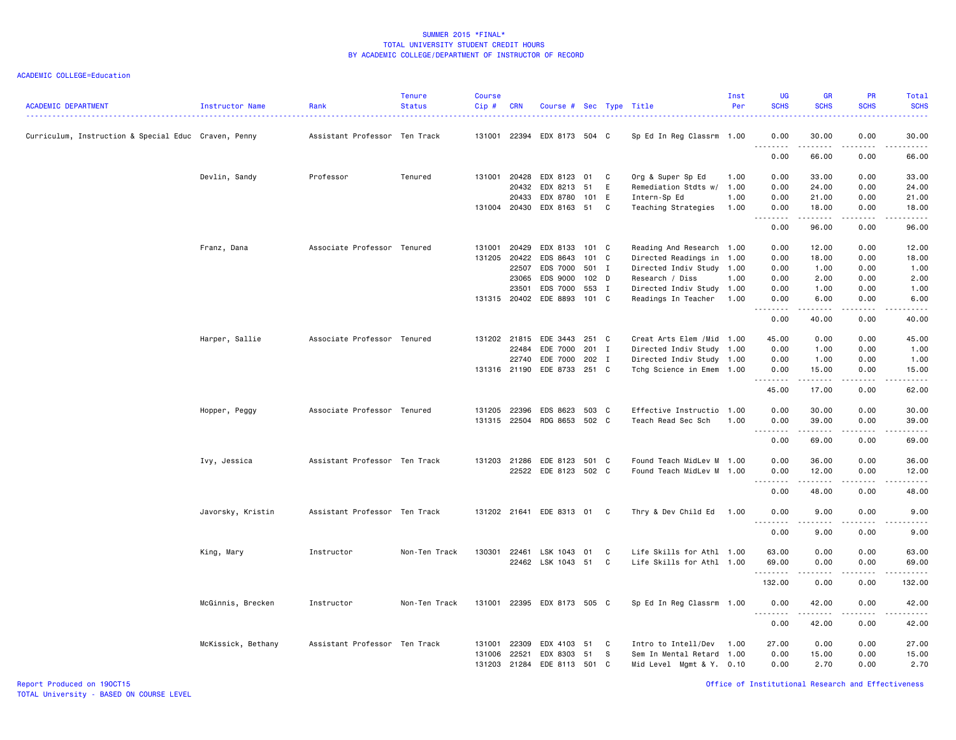| <b>ACADEMIC DEPARTMENT</b>                           | Instructor Name    | Rank                          | <b>Tenure</b><br><b>Status</b> | <b>Course</b><br>Cip# | <b>CRN</b> | Course # Sec Type Title     |       |   |                            | Inst<br>Per | <b>UG</b><br><b>SCHS</b>            | <b>GR</b><br><b>SCHS</b>                                                                                                                             | PR<br><b>SCHS</b> | Total<br><b>SCHS</b>                                                                                                               |
|------------------------------------------------------|--------------------|-------------------------------|--------------------------------|-----------------------|------------|-----------------------------|-------|---|----------------------------|-------------|-------------------------------------|------------------------------------------------------------------------------------------------------------------------------------------------------|-------------------|------------------------------------------------------------------------------------------------------------------------------------|
| Curriculum, Instruction & Special Educ Craven, Penny |                    | Assistant Professor Ten Track |                                |                       |            | 131001 22394 EDX 8173 504 C |       |   | Sp Ed In Reg Classrm 1.00  |             | 0.00<br>.                           | 30.00<br>.                                                                                                                                           | 0.00<br>$- - - -$ | 30.00<br>$\frac{1}{2}$                                                                                                             |
|                                                      |                    |                               |                                |                       |            |                             |       |   |                            |             | 0.00                                | 66.00                                                                                                                                                | 0.00              | 66.00                                                                                                                              |
|                                                      | Devlin, Sandy      | Professor                     | Tenured                        | 131001 20428          |            | EDX 8123                    | 01 C  |   | Org & Super Sp Ed          | 1.00        | 0.00                                | 33.00                                                                                                                                                | 0.00              | 33.00                                                                                                                              |
|                                                      |                    |                               |                                |                       | 20432      | EDX 8213                    | 51    | E | Remediation Stdts w/       | 1.00        | 0.00                                | 24.00                                                                                                                                                | 0.00              | 24.00                                                                                                                              |
|                                                      |                    |                               |                                |                       | 20433      | EDX 8780                    | 101 E |   | Intern-Sp Ed               | 1.00        | 0.00                                | 21.00                                                                                                                                                | 0.00              | 21.00                                                                                                                              |
|                                                      |                    |                               |                                |                       |            | 131004 20430 EDX 8163 51    |       | C | Teaching Strategies        | 1.00        | 0.00<br>$\sim$ $\sim$ $\sim$ $\sim$ | 18.00<br>.                                                                                                                                           | 0.00<br>د د د د   | 18.00<br>$\frac{1}{2} \left( \frac{1}{2} \right) \left( \frac{1}{2} \right) \left( \frac{1}{2} \right) \left( \frac{1}{2} \right)$ |
|                                                      |                    |                               |                                |                       |            |                             |       |   |                            |             | 0.00                                | 96.00                                                                                                                                                | 0.00              | 96.00                                                                                                                              |
|                                                      | Franz, Dana        | Associate Professor Tenured   |                                | 131001                | 20429      | EDX 8133                    | 101 C |   | Reading And Research 1.00  |             | 0.00                                | 12.00                                                                                                                                                | 0.00              | 12.00                                                                                                                              |
|                                                      |                    |                               |                                | 131205                | 20422      | EDS 8643                    | 101   | C | Directed Readings in 1.00  |             | 0.00                                | 18.00                                                                                                                                                | 0.00              | 18.00                                                                                                                              |
|                                                      |                    |                               |                                |                       | 22507      | EDS 7000                    | 501 I |   | Directed Indiv Study 1.00  |             | 0.00                                | 1.00                                                                                                                                                 | 0.00              | 1.00                                                                                                                               |
|                                                      |                    |                               |                                |                       | 23065      | EDS 9000                    | 102 D |   | Research / Diss            | 1.00        | 0.00                                | 2.00                                                                                                                                                 | 0.00              | 2.00                                                                                                                               |
|                                                      |                    |                               |                                |                       | 23501      | EDS 7000                    | 553 I |   | Directed Indiv Study 1.00  |             | 0.00                                | 1.00                                                                                                                                                 | 0.00              | 1.00                                                                                                                               |
|                                                      |                    |                               |                                |                       |            | 131315 20402 EDE 8893       | 101 C |   | Readings In Teacher        | 1.00        | 0.00                                | 6.00                                                                                                                                                 | 0.00              | 6.00                                                                                                                               |
|                                                      |                    |                               |                                |                       |            |                             |       |   |                            |             | .<br>0.00                           | $\omega$ is a set of<br>40.00                                                                                                                        | .<br>0.00         | .<br>40.00                                                                                                                         |
|                                                      |                    |                               |                                |                       |            |                             |       |   |                            |             |                                     |                                                                                                                                                      |                   |                                                                                                                                    |
|                                                      | Harper, Sallie     | Associate Professor Tenured   |                                | 131202 21815          |            | EDE 3443                    | 251 C |   | Creat Arts Elem / Mid 1.00 |             | 45.00                               | 0.00                                                                                                                                                 | 0.00              | 45.00                                                                                                                              |
|                                                      |                    |                               |                                |                       | 22484      | EDE 7000                    | 201 I |   | Directed Indiv Study 1.00  |             | 0.00                                | 1.00                                                                                                                                                 | 0.00              | 1.00                                                                                                                               |
|                                                      |                    |                               |                                |                       | 22740      | EDE 7000                    | 202 I |   | Directed Indiv Study 1.00  |             | 0.00                                | 1.00                                                                                                                                                 | 0.00              | 1.00                                                                                                                               |
|                                                      |                    |                               |                                |                       |            | 131316 21190 EDE 8733 251 C |       |   | Tchg Science in Emem 1.00  |             | 0.00<br>.                           | 15.00<br>.                                                                                                                                           | 0.00<br>.         | 15.00<br>.                                                                                                                         |
|                                                      |                    |                               |                                |                       |            |                             |       |   |                            |             | 45.00                               | 17.00                                                                                                                                                | 0.00              | 62.00                                                                                                                              |
|                                                      | Hopper, Peggy      | Associate Professor Tenured   |                                | 131205 22396          |            | EDS 8623                    | 503 C |   | Effective Instructio 1.00  |             | 0.00                                | 30.00                                                                                                                                                | 0.00              | 30.00                                                                                                                              |
|                                                      |                    |                               |                                |                       |            | 131315 22504 RDG 8653       | 502 C |   | Teach Read Sec Sch         | 1.00        | 0.00                                | 39.00                                                                                                                                                | 0.00              | 39.00                                                                                                                              |
|                                                      |                    |                               |                                |                       |            |                             |       |   |                            |             | .                                   | .                                                                                                                                                    | .                 | .                                                                                                                                  |
|                                                      |                    |                               |                                |                       |            |                             |       |   |                            |             | 0.00                                | 69.00                                                                                                                                                | 0.00              | 69.00                                                                                                                              |
|                                                      | Ivy, Jessica       | Assistant Professor Ten Track |                                | 131203 21286          |            | EDE 8123                    | 501 C |   | Found Teach MidLev M 1.00  |             | 0.00                                | 36.00                                                                                                                                                | 0.00              | 36.00                                                                                                                              |
|                                                      |                    |                               |                                |                       |            | 22522 EDE 8123 502 C        |       |   | Found Teach MidLev M 1.00  |             | 0.00                                | 12.00                                                                                                                                                | 0.00              | 12.00                                                                                                                              |
|                                                      |                    |                               |                                |                       |            |                             |       |   |                            |             | .                                   | $\frac{1}{2} \left( \frac{1}{2} \right) \left( \frac{1}{2} \right) \left( \frac{1}{2} \right) \left( \frac{1}{2} \right) \left( \frac{1}{2} \right)$ | $\frac{1}{2}$     | .                                                                                                                                  |
|                                                      |                    |                               |                                |                       |            |                             |       |   |                            |             | 0.00                                | 48.00                                                                                                                                                | 0.00              | 48.00                                                                                                                              |
|                                                      | Javorsky, Kristin  | Assistant Professor Ten Track |                                |                       |            | 131202 21641 EDE 8313 01 C  |       |   | Thry & Dev Child Ed        | 1.00        | 0.00<br>$\sim$ $\sim$ $\sim$<br>.   | 9.00<br>$- - - - -$                                                                                                                                  | 0.00<br>.         | 9.00<br>.                                                                                                                          |
|                                                      |                    |                               |                                |                       |            |                             |       |   |                            |             | 0.00                                | 9.00                                                                                                                                                 | 0.00              | 9.00                                                                                                                               |
|                                                      | King, Mary         | Instructor                    | Non-Ten Track                  | 130301                | 22461      | LSK 1043                    | 01    | C | Life Skills for Athl 1.00  |             | 63.00                               | 0.00                                                                                                                                                 | 0.00              | 63.00                                                                                                                              |
|                                                      |                    |                               |                                |                       |            | 22462 LSK 1043              | 51    | C | Life Skills for Athl 1.00  |             | 69.00                               | 0.00                                                                                                                                                 | 0.00              | 69.00                                                                                                                              |
|                                                      |                    |                               |                                |                       |            |                             |       |   |                            |             | .                                   |                                                                                                                                                      | . <u>. .</u>      | .                                                                                                                                  |
|                                                      |                    |                               |                                |                       |            |                             |       |   |                            |             | 132.00                              | 0.00                                                                                                                                                 | 0.00              | 132.00                                                                                                                             |
|                                                      | McGinnis, Brecken  | Instructor                    | Non-Ten Track                  |                       |            | 131001 22395 EDX 8173       | 505 C |   | Sp Ed In Reg Classrm 1.00  |             | 0.00<br><u>.</u>                    | 42.00                                                                                                                                                | 0.00              | 42.00<br>$\frac{1}{2} \left( \frac{1}{2} \right) \left( \frac{1}{2} \right) \left( \frac{1}{2} \right) \left( \frac{1}{2} \right)$ |
|                                                      |                    |                               |                                |                       |            |                             |       |   |                            |             | 0.00                                | 42.00                                                                                                                                                | 0.00              | 42.00                                                                                                                              |
|                                                      | McKissick, Bethany | Assistant Professor Ten Track |                                | 131001                | 22309      | EDX 4103                    | 51    | C | Intro to Intell/Dev        | 1.00        | 27.00                               | 0.00                                                                                                                                                 | 0.00              | 27.00                                                                                                                              |
|                                                      |                    |                               |                                | 131006                | 22521      | EDX 8303                    | 51    | S | Sem In Mental Retard 1.00  |             | 0.00                                | 15.00                                                                                                                                                | 0.00              | 15.00                                                                                                                              |
|                                                      |                    |                               |                                |                       |            | 131203 21284 EDE 8113       | 501 C |   | Mid Level Mgmt & Y. 0.10   |             | 0.00                                | 2.70                                                                                                                                                 | 0.00              | 2.70                                                                                                                               |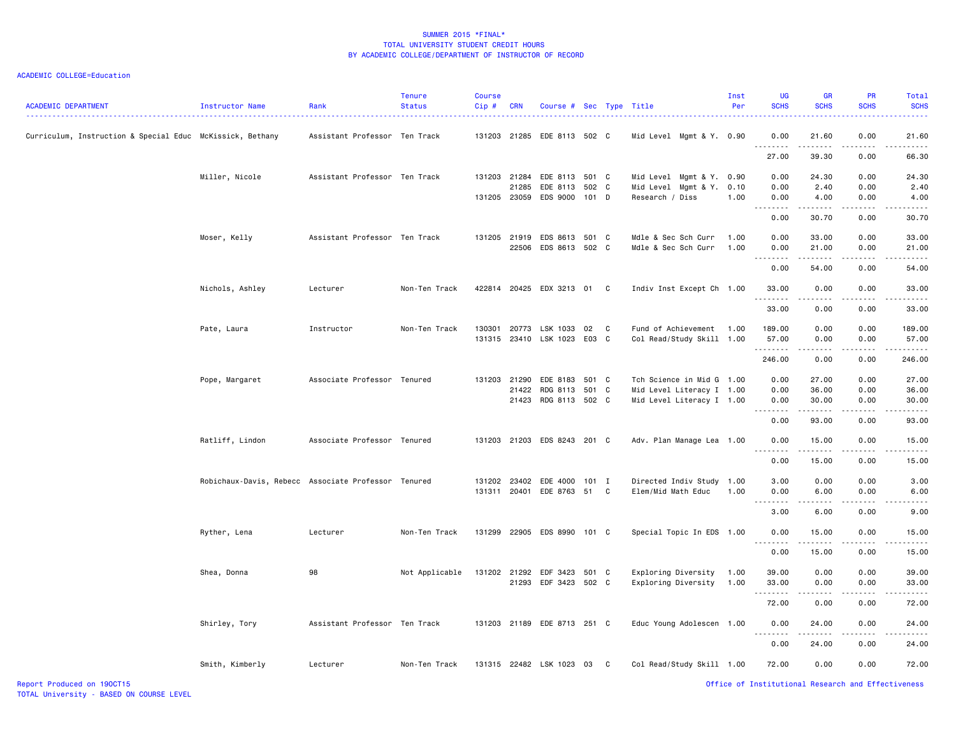| <b>ACADEMIC DEPARTMENT</b>                                | Instructor Name                                     | Rank                          | <b>Tenure</b><br><b>Status</b> | Course<br>$Cip$ # | <b>CRN</b> | Course # Sec Type Title                       |         |    |                                                        | Inst<br>Per  | <b>UG</b><br><b>SCHS</b>                           | <b>GR</b><br><b>SCHS</b>                                                                                                                                      | <b>PR</b><br><b>SCHS</b> | Total<br><b>SCHS</b> |
|-----------------------------------------------------------|-----------------------------------------------------|-------------------------------|--------------------------------|-------------------|------------|-----------------------------------------------|---------|----|--------------------------------------------------------|--------------|----------------------------------------------------|---------------------------------------------------------------------------------------------------------------------------------------------------------------|--------------------------|----------------------|
| Curriculum, Instruction & Special Educ McKissick, Bethany |                                                     | Assistant Professor Ten Track |                                |                   |            | 131203 21285 EDE 8113 502 C                   |         |    | Mid Level Mgmt & Y. 0.90                               |              | 0.00<br>.                                          | 21.60<br>.                                                                                                                                                    | 0.00                     | 21.60                |
|                                                           |                                                     |                               |                                |                   |            |                                               |         |    |                                                        |              | 27.00                                              | 39.30                                                                                                                                                         | 0.00                     | 66.30                |
|                                                           | Miller, Nicole                                      | Assistant Professor Ten Track |                                |                   |            | 131203 21284 EDE 8113 501 C                   |         |    | Mid Level Mgmt & Y. 0.90                               |              | 0.00                                               | 24.30                                                                                                                                                         | 0.00                     | 24.30                |
|                                                           |                                                     |                               |                                |                   |            | 21285 EDE 8113 502 C<br>131205 23059 EDS 9000 | $101$ D |    | Mid Level Mgmt & Y.<br>Research / Diss                 | 0.10<br>1.00 | 0.00<br>0.00                                       | 2.40<br>4.00                                                                                                                                                  | 0.00<br>0.00             | 2.40<br>4.00         |
|                                                           |                                                     |                               |                                |                   |            |                                               |         |    |                                                        |              | 0.00                                               | .<br>30.70                                                                                                                                                    | .<br>0.00                | .<br>30.70           |
|                                                           | Moser, Kelly                                        | Assistant Professor Ten Track |                                | 131205            |            | 21919 EDS 8613 501 C<br>22506 EDS 8613 502 C  |         |    | Mdle & Sec Sch Curr<br>Mdle & Sec Sch Curr             | 1.00<br>1.00 | 0.00<br>0.00                                       | 33.00<br>21.00                                                                                                                                                | 0.00<br>0.00             | 33.00<br>21.00       |
|                                                           |                                                     |                               |                                |                   |            |                                               |         |    |                                                        |              | 0.00                                               | 54.00                                                                                                                                                         | 0.00                     | 54.00                |
|                                                           |                                                     |                               |                                |                   |            |                                               |         |    |                                                        |              |                                                    |                                                                                                                                                               |                          |                      |
|                                                           | Nichols, Ashley                                     | Lecturer                      | Non-Ten Track                  |                   |            | 422814 20425 EDX 3213 01                      |         | C  | Indiv Inst Except Ch 1.00                              |              | 33.00                                              | 0.00                                                                                                                                                          | 0.00                     | 33.00                |
|                                                           |                                                     |                               |                                |                   |            |                                               |         |    |                                                        |              | 33.00                                              | 0.00                                                                                                                                                          | 0.00                     | 33.00                |
|                                                           | Pate, Laura                                         | Instructor                    | Non-Ten Track                  | 130301            |            | 20773 LSK 1033<br>131315 23410 LSK 1023 E03 C | 02      | C  | Fund of Achievement<br>Col Read/Study Skill 1.00       | 1.00         | 189.00<br>57.00                                    | 0.00<br>0.00                                                                                                                                                  | 0.00<br>0.00             | 189.00<br>57.00      |
|                                                           |                                                     |                               |                                |                   |            |                                               |         |    |                                                        |              | .<br>246.00                                        | .<br>0.00                                                                                                                                                     | .<br>0.00                | 246.00               |
|                                                           | Pope, Margaret                                      | Associate Professor Tenured   |                                |                   |            | 131203 21290 EDE 8183 501 C                   |         |    | Tch Science in Mid G 1.00                              |              | 0.00                                               | 27.00                                                                                                                                                         | 0.00                     | 27.00                |
|                                                           |                                                     |                               |                                |                   |            | 21422 RDG 8113 501 C<br>21423 RDG 8113 502 C  |         |    | Mid Level Literacy I 1.00<br>Mid Level Literacy I 1.00 |              | 0.00<br>0.00                                       | 36.00<br>30.00                                                                                                                                                | 0.00<br>0.00             | 36.00<br>30.00       |
|                                                           |                                                     |                               |                                |                   |            |                                               |         |    |                                                        |              | 0.00                                               | 93.00                                                                                                                                                         | 0.00                     | 93.00                |
|                                                           | Ratliff, Lindon                                     | Associate Professor Tenured   |                                |                   |            | 131203 21203 EDS 8243 201 C                   |         |    | Adv. Plan Manage Lea 1.00                              |              | 0.00                                               | 15.00                                                                                                                                                         | 0.00                     | 15.00                |
|                                                           |                                                     |                               |                                |                   |            |                                               |         |    |                                                        |              | .<br>0.00                                          | 15.00                                                                                                                                                         | 0.00                     | 15.00                |
|                                                           | Robichaux-Davis, Rebecc Associate Professor Tenured |                               |                                |                   |            | 131202 23402 EDE 4000 101 I                   |         |    | Directed Indiv Study 1.00                              |              | 3.00                                               | 0.00                                                                                                                                                          | 0.00                     | 3.00                 |
|                                                           |                                                     |                               |                                |                   |            | 131311 20401 EDE 8763 51 C                    |         |    | Elem/Mid Math Educ                                     | 1.00         | 0.00                                               | 6.00                                                                                                                                                          | 0.00                     | 6.00                 |
|                                                           |                                                     |                               |                                |                   |            |                                               |         |    |                                                        |              | 3.00                                               | 6.00                                                                                                                                                          | 0.00                     | 9.00                 |
|                                                           | Ryther, Lena                                        | Lecturer                      | Non-Ten Track                  |                   |            | 131299 22905 EDS 8990 101 C                   |         |    | Special Topic In EDS 1.00                              |              | 0.00<br>--------                                   | 15.00<br>. <b>.</b> .                                                                                                                                         | 0.00<br>.                | 15.00                |
|                                                           |                                                     |                               |                                |                   |            |                                               |         |    |                                                        |              | 0.00                                               | 15.00                                                                                                                                                         | 0.00                     | 15.00                |
|                                                           | Shea, Donna                                         | 98                            | Not Applicable                 |                   |            | 131202 21292 EDF 3423 501 C                   |         |    | Exploring Diversity                                    | 1.00<br>1.00 | 39.00                                              | 0.00<br>0.00                                                                                                                                                  | 0.00<br>0.00             | 39.00                |
|                                                           |                                                     |                               |                                |                   |            | 21293 EDF 3423 502 C                          |         |    | Exploring Diversity                                    |              | 33.00<br>.                                         | .                                                                                                                                                             | .                        | 33.00<br>.           |
|                                                           |                                                     |                               |                                |                   |            |                                               |         |    |                                                        |              | 72.00                                              | 0.00                                                                                                                                                          | 0.00                     | 72.00                |
|                                                           | Shirley, Tory                                       | Assistant Professor Ten Track |                                |                   |            | 131203 21189 EDE 8713 251 C                   |         |    | Educ Young Adolescen 1.00                              |              | 0.00<br>.                                          | 24.00<br>$\frac{1}{2} \left( \frac{1}{2} \right) \left( \frac{1}{2} \right) \left( \frac{1}{2} \right) \left( \frac{1}{2} \right) \left( \frac{1}{2} \right)$ | 0.00<br>.                | 24.00                |
|                                                           |                                                     |                               |                                |                   |            |                                               |         |    |                                                        |              | 0.00                                               | 24.00                                                                                                                                                         | 0.00                     | 24.00                |
|                                                           | Smith, Kimberly                                     | Lecturer                      | Non-Ten Track                  |                   |            | 131315 22482 LSK 1023                         | 03      | C. | Col Read/Study Skill 1.00                              |              | 72.00                                              | 0.00                                                                                                                                                          | 0.00                     | 72.00                |
| Report Produced on 190CT15                                |                                                     |                               |                                |                   |            |                                               |         |    |                                                        |              | Office of Institutional Research and Effectiveness |                                                                                                                                                               |                          |                      |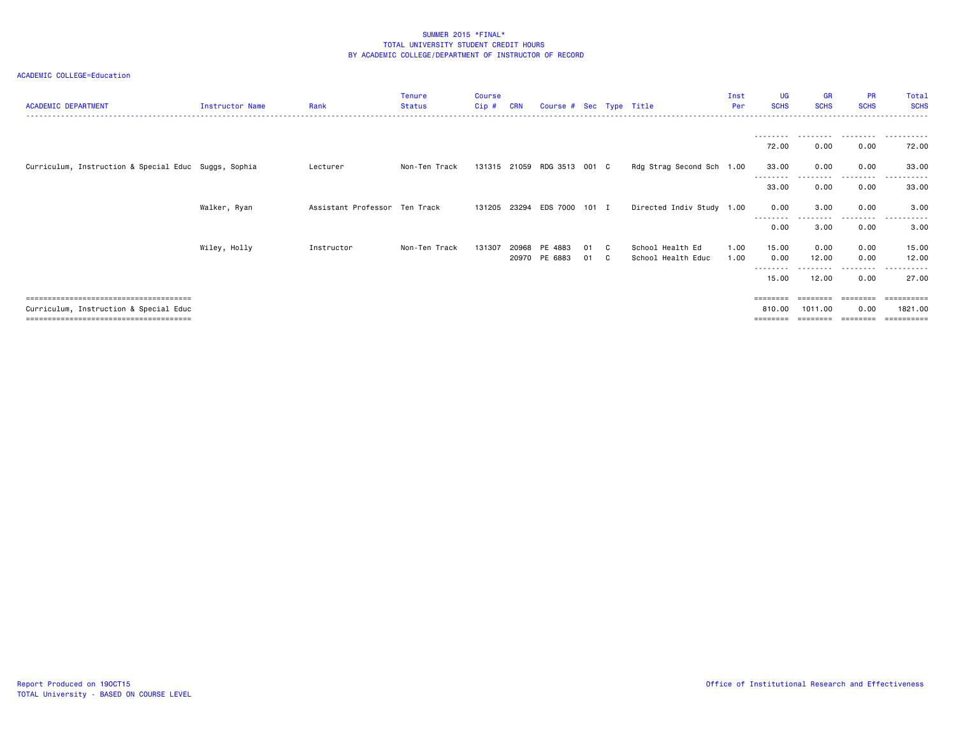| <b>ACADEMIC DEPARTMENT</b>                           | Instructor Name | Rank                          | <b>Tenure</b><br><b>Status</b> | <b>Course</b><br>Cip# | <b>CRN</b> | Course # Sec Type Title     |       |    |                           | Inst<br>Per | <b>UG</b><br><b>SCHS</b> | <b>GR</b><br><b>SCHS</b> | <b>PR</b><br><b>SCHS</b> | Total<br><b>SCHS</b> |
|------------------------------------------------------|-----------------|-------------------------------|--------------------------------|-----------------------|------------|-----------------------------|-------|----|---------------------------|-------------|--------------------------|--------------------------|--------------------------|----------------------|
|                                                      |                 |                               |                                |                       |            |                             |       |    |                           |             | ---------                |                          | .                        | .                    |
|                                                      |                 |                               |                                |                       |            |                             |       |    |                           |             | 72.00                    | 0.00                     | 0.00                     | 72.00                |
| Curriculum, Instruction & Special Educ Suggs, Sophia |                 | Lecturer                      | Non-Ten Track                  | 131315 21059          |            | RDG 3513                    | 001 C |    | Rdg Strag Second Sch 1.00 |             | 33.00<br>--------        | 0.00                     | 0.00<br>.                | 33.00<br>.           |
|                                                      |                 |                               |                                |                       |            |                             |       |    |                           |             | 33.00                    | 0.00                     | 0.00                     | 33.00                |
|                                                      | Walker, Ryan    | Assistant Professor Ten Track |                                |                       |            | 131205 23294 EDS 7000 101 I |       |    | Directed Indiv Study 1.00 |             | 0.00                     | 3.00                     | 0.00                     | 3.00                 |
|                                                      |                 |                               |                                |                       |            |                             |       |    |                           |             | --------<br>0.00         | 3.00                     | --------<br>0.00         | .<br>3.00            |
|                                                      | Wiley, Holly    | Instructor                    | Non-Ten Track                  | 131307                | 20968      | PE 4883                     | 01    | C. | School Health Ed          | 1.00        | 15.00                    | 0.00                     | 0.00                     | 15.00                |
|                                                      |                 |                               |                                |                       |            | 20970 PE 6883               | 01    | C. | School Health Educ        | 1.00        | 0.00                     | 12.00                    | 0.00                     | 12.00                |
|                                                      |                 |                               |                                |                       |            |                             |       |    |                           |             | --------<br>15.00        | 12.00                    | 0.00                     | 27.00                |
|                                                      |                 |                               |                                |                       |            |                             |       |    |                           |             | $=$ =======              |                          | ========                 |                      |
| Curriculum, Instruction & Special Educ               |                 |                               |                                |                       |            |                             |       |    |                           |             | 810.00<br>========       | 1011.00                  | 0.00<br>========         | 1821.00              |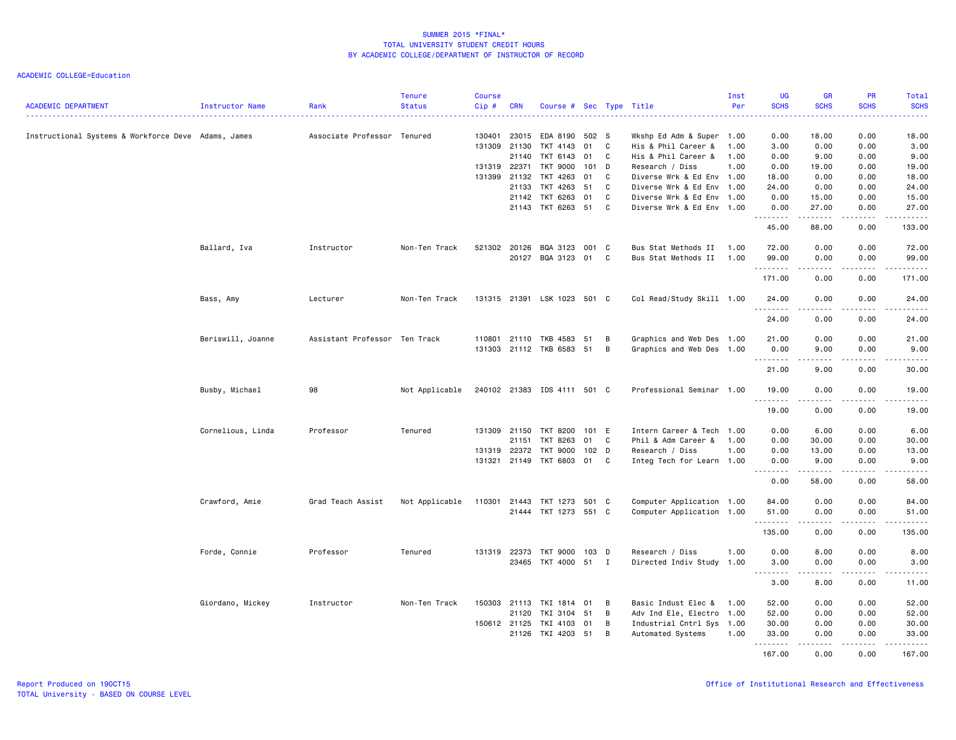| <b>ACADEMIC DEPARTMENT</b>                          | Instructor Name   | Rank                          | <b>Tenure</b><br><b>Status</b> | <b>Course</b><br>Cip# | <b>CRN</b>   | Course # Sec Type Title                           |         |              |                           | Inst<br>Per | UG<br><b>SCHS</b>   | <b>GR</b><br><b>SCHS</b> | <b>PR</b><br><b>SCHS</b> | Total<br><b>SCHS</b> |
|-----------------------------------------------------|-------------------|-------------------------------|--------------------------------|-----------------------|--------------|---------------------------------------------------|---------|--------------|---------------------------|-------------|---------------------|--------------------------|--------------------------|----------------------|
| Instructional Systems & Workforce Deve Adams, James |                   | Associate Professor Tenured   |                                | 130401                | 23015        | EDA 8190                                          | 502 S   |              | Wkshp Ed Adm & Super 1.00 |             | 0.00                | 18.00                    | 0.00                     | 18.00                |
|                                                     |                   |                               |                                | 131309                | 21130        | TKT 4143                                          | 01      | C            | His & Phil Career &       | 1.00        | 3.00                | 0.00                     | 0.00                     | 3.00                 |
|                                                     |                   |                               |                                |                       | 21140        | TKT 6143                                          | 01      | C            | His & Phil Career &       | 1.00        | 0.00                | 9.00                     | 0.00                     | 9.00                 |
|                                                     |                   |                               |                                |                       | 131319 22371 | TKT 9000                                          | 101 D   |              | Research / Diss           | 1.00        | 0.00                | 19.00                    | 0.00                     | 19.00                |
|                                                     |                   |                               |                                | 131399                | 21132        | TKT 4263                                          | 01      | C            | Diverse Wrk & Ed Env 1.00 |             | 18.00               | 0.00                     | 0.00                     | 18.00                |
|                                                     |                   |                               |                                |                       | 21133        | TKT 4263                                          | 51      | C            | Diverse Wrk & Ed Env 1.00 |             | 24.00               | 0.00                     | 0.00                     | 24.00                |
|                                                     |                   |                               |                                |                       | 21142        | TKT 6263                                          | 01      | C            | Diverse Wrk & Ed Env 1.00 |             | 0.00                | 15.00                    | 0.00                     | 15.00                |
|                                                     |                   |                               |                                |                       | 21143        | TKT 6263 51                                       |         | C            | Diverse Wrk & Ed Env 1.00 |             | 0.00<br>.           | 27.00<br>.               | 0.00<br>.                | 27.00<br>.           |
|                                                     |                   |                               |                                |                       |              |                                                   |         |              |                           |             | 45.00               | 88.00                    | 0.00                     | 133.00               |
|                                                     | Ballard, Iva      | Instructor                    | Non-Ten Track                  |                       | 521302 20126 | BQA 3123                                          | 001 C   |              | Bus Stat Methods II       | 1.00        | 72.00               | 0.00                     | 0.00                     | 72.00                |
|                                                     |                   |                               |                                |                       |              | 20127 BQA 3123 01 C                               |         |              | Bus Stat Methods II       | 1.00        | 99.00<br><u>.</u>   | 0.00<br>.                | 0.00<br>.                | 99.00<br>.           |
|                                                     |                   |                               |                                |                       |              |                                                   |         |              |                           |             | 171.00              | 0.00                     | 0.00                     | 171.00               |
|                                                     | Bass, Amy         | Lecturer                      | Non-Ten Track                  |                       |              | 131315 21391 LSK 1023 501 C                       |         |              | Col Read/Study Skill 1.00 |             | 24.00               | 0.00                     | 0.00                     | 24.00                |
|                                                     |                   |                               |                                |                       |              |                                                   |         |              |                           |             | .<br>24.00          | $\frac{1}{2}$<br>0.00    | $\frac{1}{2}$<br>0.00    | .<br>24.00           |
|                                                     |                   |                               |                                |                       |              |                                                   | 51      | B            | Graphics and Web Des 1.00 |             |                     | 0.00                     | 0.00                     |                      |
|                                                     | Beriswill, Joanne | Assistant Professor Ten Track |                                |                       |              | 110801 21110 TKB 4583<br>131303 21112 TKB 6583 51 |         | B            | Graphics and Web Des 1.00 |             | 21.00<br>0.00       | 9.00                     | 0.00                     | 21.00<br>9.00        |
|                                                     |                   |                               |                                |                       |              |                                                   |         |              |                           |             | <u>.</u>            | .                        | .                        | . <u>.</u> .         |
|                                                     |                   |                               |                                |                       |              |                                                   |         |              |                           |             | 21.00               | 9.00                     | 0.00                     | 30.00                |
|                                                     | Busby, Michael    | 98                            | Not Applicable                 |                       |              | 240102 21383 IDS 4111 501 C                       |         |              | Professional Seminar 1.00 |             | 19.00<br>.          | 0.00                     | 0.00                     | 19.00                |
|                                                     |                   |                               |                                |                       |              |                                                   |         |              |                           |             | 19.00               | 0.00                     | 0.00                     | 19.00                |
|                                                     | Cornelious, Linda | Professor                     | Tenured                        |                       | 131309 21150 | TKT 8200                                          | 101 E   |              | Intern Career & Tech 1.00 |             | 0.00                | 6.00                     | 0.00                     | 6.00                 |
|                                                     |                   |                               |                                |                       | 21151        | TKT 8263                                          | 01      | $\mathbf{C}$ | Phil & Adm Career &       | 1.00        | 0.00                | 30.00                    | 0.00                     | 30.00                |
|                                                     |                   |                               |                                | 131319                | 22372        | <b>TKT 9000</b>                                   | 102 D   |              | Research / Diss           | 1.00        | 0.00                | 13.00                    | 0.00                     | 13.00                |
|                                                     |                   |                               |                                |                       |              | 131321 21149 TKT 6803 01                          |         | C            | Integ Tech for Learn 1.00 |             | 0.00<br><u>.</u>    | 9.00<br><u>.</u>         | 0.00<br>.                | 9.00<br>. <u>.</u> . |
|                                                     |                   |                               |                                |                       |              |                                                   |         |              |                           |             | 0.00                | 58.00                    | 0.00                     | 58.00                |
|                                                     | Crawford, Amie    | Grad Teach Assist             | Not Applicable                 | 110301 21443          |              | TKT 1273 501 C                                    |         |              | Computer Application 1.00 |             | 84.00               | 0.00                     | 0.00                     | 84.00                |
|                                                     |                   |                               |                                |                       |              | 21444 TKT 1273 551 C                              |         |              | Computer Application 1.00 |             | 51.00<br>. <b>.</b> | 0.00                     | 0.00                     | 51.00                |
|                                                     |                   |                               |                                |                       |              |                                                   |         |              |                           |             | 135.00              | 0.00                     | 0.00                     | 135.00               |
|                                                     | Forde, Connie     | Professor                     | Tenured                        |                       | 131319 22373 | TKT 9000                                          | $103$ D |              | Research / Diss           | 1.00        | 0.00                | 8.00                     | 0.00                     | 8.00                 |
|                                                     |                   |                               |                                |                       |              | 23465 TKT 4000 51 I                               |         |              | Directed Indiv Study 1.00 |             | 3.00                | 0.00                     | 0.00                     | 3.00                 |
|                                                     |                   |                               |                                |                       |              |                                                   |         |              |                           |             | .<br>3.00           | .<br>8.00                | .<br>0.00                | .<br>11.00           |
|                                                     | Giordano, Mickey  | Instructor                    | Non-Ten Track                  | 150303                | 21113        | TKI 1814                                          | 01      | B            | Basic Indust Elec &       | 1.00        | 52.00               | 0.00                     | 0.00                     | 52.00                |
|                                                     |                   |                               |                                |                       | 21120        | TKI 3104                                          | 51      | B            | Adv Ind Ele, Electro 1.00 |             | 52.00               | 0.00                     | 0.00                     | 52.00                |
|                                                     |                   |                               |                                |                       | 150612 21125 | TKI 4103                                          | 01      | B            | Industrial Cntrl Sys 1.00 |             | 30.00               | 0.00                     | 0.00                     | 30.00                |
|                                                     |                   |                               |                                |                       | 21126        | TKI 4203 51                                       |         | B            | Automated Systems         | 1.00        | 33.00<br>.          | 0.00                     | 0.00                     | 33.00<br>.           |
|                                                     |                   |                               |                                |                       |              |                                                   |         |              |                           |             | 167.00              | 0.00                     | 0.00                     | 167.00               |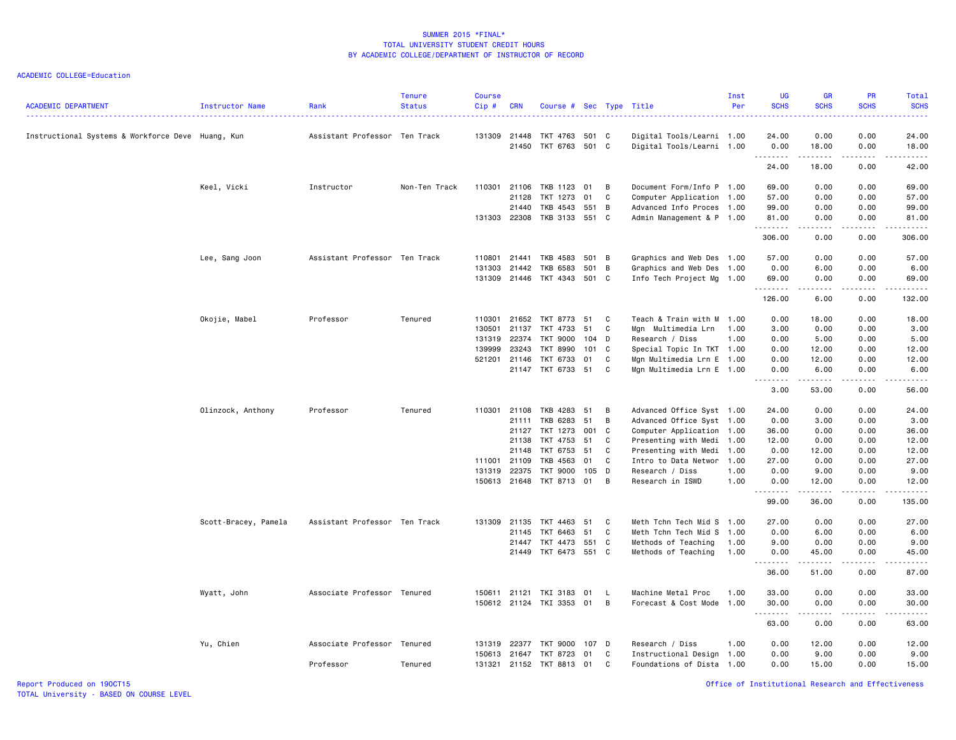ACADEMIC COLLEGE=Education

| <b>ACADEMIC DEPARTMENT</b>                        | Instructor Name      | Rank                          | <b>Tenure</b><br><b>Status</b> | <b>Course</b><br>Cip# | <b>CRN</b>   | Course # Sec Type Title     |       |          |                           | Inst<br>Per | <b>UG</b><br><b>SCHS</b>                                                                                                                                                                                                                                                                                                                                                                                                                                                                        | <b>GR</b><br><b>SCHS</b>                                                                                                                                      | <b>PR</b><br><b>SCHS</b>                                                                                                                                     | Total<br><b>SCHS</b><br>$- - - -$ |
|---------------------------------------------------|----------------------|-------------------------------|--------------------------------|-----------------------|--------------|-----------------------------|-------|----------|---------------------------|-------------|-------------------------------------------------------------------------------------------------------------------------------------------------------------------------------------------------------------------------------------------------------------------------------------------------------------------------------------------------------------------------------------------------------------------------------------------------------------------------------------------------|---------------------------------------------------------------------------------------------------------------------------------------------------------------|--------------------------------------------------------------------------------------------------------------------------------------------------------------|-----------------------------------|
| Instructional Systems & Workforce Deve Huang, Kun |                      | Assistant Professor Ten Track |                                | 131309                | 21448        | TKT 4763 501 C              |       |          | Digital Tools/Learni 1.00 |             | 24.00                                                                                                                                                                                                                                                                                                                                                                                                                                                                                           | 0.00                                                                                                                                                          | 0.00                                                                                                                                                         | 24.00                             |
|                                                   |                      |                               |                                |                       |              | 21450 TKT 6763 501 C        |       |          | Digital Tools/Learni 1.00 |             | 0.00<br><u>.</u>                                                                                                                                                                                                                                                                                                                                                                                                                                                                                | 18.00<br>$\frac{1}{2} \left( \frac{1}{2} \right) \left( \frac{1}{2} \right) \left( \frac{1}{2} \right) \left( \frac{1}{2} \right) \left( \frac{1}{2} \right)$ | 0.00<br>.                                                                                                                                                    | 18.00                             |
|                                                   |                      |                               |                                |                       |              |                             |       |          |                           |             | 24.00                                                                                                                                                                                                                                                                                                                                                                                                                                                                                           | 18.00                                                                                                                                                         | 0.00                                                                                                                                                         | 42.00                             |
|                                                   | Keel, Vicki          | Instructor                    | Non-Ten Track                  | 110301 21106          |              | TKB 1123                    | 01    | B        | Document Form/Info P 1.00 |             | 69.00                                                                                                                                                                                                                                                                                                                                                                                                                                                                                           | 0.00                                                                                                                                                          | 0.00                                                                                                                                                         | 69.00                             |
|                                                   |                      |                               |                                |                       | 21128        | TKT 1273                    | 01    | C        | Computer Application 1.00 |             | 57.00                                                                                                                                                                                                                                                                                                                                                                                                                                                                                           | 0.00                                                                                                                                                          | 0.00                                                                                                                                                         | 57.00                             |
|                                                   |                      |                               |                                |                       | 21440        | TKB 4543 551 B              |       |          | Advanced Info Proces 1.00 |             | 99.00                                                                                                                                                                                                                                                                                                                                                                                                                                                                                           | 0.00                                                                                                                                                          | 0.00                                                                                                                                                         | 99.00                             |
|                                                   |                      |                               |                                |                       |              | 131303 22308 TKB 3133 551 C |       |          | Admin Management & P 1.00 |             | 81.00<br><u>.</u>                                                                                                                                                                                                                                                                                                                                                                                                                                                                               | 0.00<br>$\frac{1}{2} \left( \frac{1}{2} \right) \left( \frac{1}{2} \right) \left( \frac{1}{2} \right) \left( \frac{1}{2} \right) \left( \frac{1}{2} \right)$  | 0.00<br>$\frac{1}{2} \left( \frac{1}{2} \right) \left( \frac{1}{2} \right) \left( \frac{1}{2} \right) \left( \frac{1}{2} \right) \left( \frac{1}{2} \right)$ | 81.00<br>.                        |
|                                                   |                      |                               |                                |                       |              |                             |       |          |                           |             | 306.00                                                                                                                                                                                                                                                                                                                                                                                                                                                                                          | 0.00                                                                                                                                                          | 0.00                                                                                                                                                         | 306.00                            |
|                                                   | Lee, Sang Joon       | Assistant Professor Ten Track |                                | 110801                | 21441        | TKB 4583 501 B              |       |          | Graphics and Web Des 1.00 |             | 57.00                                                                                                                                                                                                                                                                                                                                                                                                                                                                                           | 0.00                                                                                                                                                          | 0.00                                                                                                                                                         | 57.00                             |
|                                                   |                      |                               |                                | 131303                | 21442        | TKB 6583                    | 501 B |          | Graphics and Web Des 1.00 |             | 0.00                                                                                                                                                                                                                                                                                                                                                                                                                                                                                            | 6.00                                                                                                                                                          | 0.00                                                                                                                                                         | 6.00                              |
|                                                   |                      |                               |                                |                       |              | 131309 21446 TKT 4343 501 C |       |          | Info Tech Project Mg 1.00 |             | 69.00<br><u>.</u>                                                                                                                                                                                                                                                                                                                                                                                                                                                                               | 0.00<br>.                                                                                                                                                     | 0.00<br>.                                                                                                                                                    | 69.00<br>.                        |
|                                                   |                      |                               |                                |                       |              |                             |       |          |                           |             | 126.00                                                                                                                                                                                                                                                                                                                                                                                                                                                                                          | 6.00                                                                                                                                                          | 0.00                                                                                                                                                         | 132.00                            |
|                                                   | Okojie, Mabel        | Professor                     | Tenured                        |                       |              | 110301 21652 TKT 8773       | 51    | C        | Teach & Train with M 1.00 |             | 0.00                                                                                                                                                                                                                                                                                                                                                                                                                                                                                            | 18.00                                                                                                                                                         | 0.00                                                                                                                                                         | 18.00                             |
|                                                   |                      |                               |                                | 130501                | 21137        | TKT 4733                    | 51    | C        | Mgn Multimedia Lrn        | 1.00        | 3.00                                                                                                                                                                                                                                                                                                                                                                                                                                                                                            | 0.00                                                                                                                                                          | 0.00                                                                                                                                                         | 3.00                              |
|                                                   |                      |                               |                                | 131319                | 22374        | <b>TKT 9000</b>             | 104 D |          | Research / Diss           | 1.00        | 0.00                                                                                                                                                                                                                                                                                                                                                                                                                                                                                            | 5.00                                                                                                                                                          | 0.00                                                                                                                                                         | 5.00                              |
|                                                   |                      |                               |                                | 139999                | 23243        | TKT 8990                    | 101 C |          | Special Topic In TKT 1.00 |             | 0.00                                                                                                                                                                                                                                                                                                                                                                                                                                                                                            | 12.00                                                                                                                                                         | 0.00                                                                                                                                                         | 12.00                             |
|                                                   |                      |                               |                                | 521201 21146          |              | TKT 6733                    | 01    | C        | Mgn Multimedia Lrn E 1.00 |             | 0.00                                                                                                                                                                                                                                                                                                                                                                                                                                                                                            | 12.00                                                                                                                                                         | 0.00                                                                                                                                                         | 12.00                             |
|                                                   |                      |                               |                                |                       |              | 21147 TKT 6733 51           |       | C        | Mgn Multimedia Lrn E 1.00 |             | 0.00<br>$\sim$ $\sim$ $\sim$ $\sim$<br>$\sim$ $\sim$                                                                                                                                                                                                                                                                                                                                                                                                                                            | 6.00                                                                                                                                                          | 0.00                                                                                                                                                         | 6.00                              |
|                                                   |                      |                               |                                |                       |              |                             |       |          |                           |             | 3.00                                                                                                                                                                                                                                                                                                                                                                                                                                                                                            | 53.00                                                                                                                                                         | 0.00                                                                                                                                                         | 56.00                             |
|                                                   | Olinzock, Anthony    | Professor                     | Tenured                        | 110301 21108          |              | TKB 4283                    | 51    | В        | Advanced Office Syst 1.00 |             | 24.00                                                                                                                                                                                                                                                                                                                                                                                                                                                                                           | 0.00                                                                                                                                                          | 0.00                                                                                                                                                         | 24.00                             |
|                                                   |                      |                               |                                |                       | 21111        | TKB 6283                    | 51    | B        | Advanced Office Syst 1.00 |             | 0.00                                                                                                                                                                                                                                                                                                                                                                                                                                                                                            | 3.00                                                                                                                                                          | 0.00                                                                                                                                                         | 3.00                              |
|                                                   |                      |                               |                                |                       | 21127        | TKT 1273 001 C              |       |          | Computer Application 1.00 |             | 36.00                                                                                                                                                                                                                                                                                                                                                                                                                                                                                           | 0.00                                                                                                                                                          | 0.00                                                                                                                                                         | 36.00                             |
|                                                   |                      |                               |                                |                       | 21138        | TKT 4753 51                 |       | C        | Presenting with Medi 1.00 |             | 12.00                                                                                                                                                                                                                                                                                                                                                                                                                                                                                           | 0.00                                                                                                                                                          | 0.00                                                                                                                                                         | 12.00                             |
|                                                   |                      |                               |                                |                       | 21148        | TKT 6753                    | 51    | C        | Presenting with Medi 1.00 |             | 0.00                                                                                                                                                                                                                                                                                                                                                                                                                                                                                            | 12.00                                                                                                                                                         | 0.00                                                                                                                                                         | 12.00                             |
|                                                   |                      |                               |                                | 111001 21109          |              | TKB 4563                    | 01    | C        | Intro to Data Networ 1.00 |             | 27.00                                                                                                                                                                                                                                                                                                                                                                                                                                                                                           | 0.00                                                                                                                                                          | 0.00                                                                                                                                                         | 27.00                             |
|                                                   |                      |                               |                                | 131319                | 22375        | TKT 9000                    | 105   | D        | Research / Diss           | 1.00        | 0.00                                                                                                                                                                                                                                                                                                                                                                                                                                                                                            | 9.00                                                                                                                                                          | 0.00                                                                                                                                                         | 9.00                              |
|                                                   |                      |                               |                                |                       |              | 150613 21648 TKT 8713 01    |       | B        | Research in ISWD          | 1.00        | 0.00<br><u>.</u>                                                                                                                                                                                                                                                                                                                                                                                                                                                                                | 12.00<br>$- - - - -$                                                                                                                                          | 0.00<br>$   -$                                                                                                                                               | 12.00<br>.                        |
|                                                   |                      |                               |                                |                       |              |                             |       |          |                           |             | 99.00                                                                                                                                                                                                                                                                                                                                                                                                                                                                                           | 36.00                                                                                                                                                         | 0.00                                                                                                                                                         | 135.00                            |
|                                                   | Scott-Bracey, Pamela | Assistant Professor Ten Track |                                | 131309 21135          |              | TKT 4463                    | 51    | C        | Meth Tchn Tech Mid S 1.00 |             | 27.00                                                                                                                                                                                                                                                                                                                                                                                                                                                                                           | 0.00                                                                                                                                                          | 0.00                                                                                                                                                         | 27.00                             |
|                                                   |                      |                               |                                |                       | 21145        | TKT 6463                    | 51    | C        | Meth Tchn Tech Mid S      | 1.00        | 0.00                                                                                                                                                                                                                                                                                                                                                                                                                                                                                            | 6.00                                                                                                                                                          | 0.00                                                                                                                                                         | 6.00                              |
|                                                   |                      |                               |                                |                       | 21447        | TKT 4473                    | 551 C |          | Methods of Teaching       | 1.00        | 9.00                                                                                                                                                                                                                                                                                                                                                                                                                                                                                            | 0.00                                                                                                                                                          | 0.00                                                                                                                                                         | 9.00                              |
|                                                   |                      |                               |                                |                       |              | 21449 TKT 6473 551 C        |       |          | Methods of Teaching       | 1.00        | 0.00<br><u>.</u>                                                                                                                                                                                                                                                                                                                                                                                                                                                                                | 45.00<br>.                                                                                                                                                    | 0.00<br>.                                                                                                                                                    | 45.00<br>.                        |
|                                                   |                      |                               |                                |                       |              |                             |       |          |                           |             | 36.00                                                                                                                                                                                                                                                                                                                                                                                                                                                                                           | 51.00                                                                                                                                                         | 0.00                                                                                                                                                         | 87.00                             |
|                                                   | Wyatt, John          | Associate Professor Tenured   |                                |                       | 150611 21121 | TKI 3183                    | 01    | <b>L</b> | Machine Metal Proc        | 1.00        | 33.00                                                                                                                                                                                                                                                                                                                                                                                                                                                                                           | 0.00                                                                                                                                                          | 0.00                                                                                                                                                         | 33.00                             |
|                                                   |                      |                               |                                |                       |              | 150612 21124 TKI 3353       | 01    | В        | Forecast & Cost Mode 1.00 |             | 30.00<br>$\begin{array}{cccccccccccccc} \multicolumn{2}{c}{} & \multicolumn{2}{c}{} & \multicolumn{2}{c}{} & \multicolumn{2}{c}{} & \multicolumn{2}{c}{} & \multicolumn{2}{c}{} & \multicolumn{2}{c}{} & \multicolumn{2}{c}{} & \multicolumn{2}{c}{} & \multicolumn{2}{c}{} & \multicolumn{2}{c}{} & \multicolumn{2}{c}{} & \multicolumn{2}{c}{} & \multicolumn{2}{c}{} & \multicolumn{2}{c}{} & \multicolumn{2}{c}{} & \multicolumn{2}{c}{} & \multicolumn{2}{c}{} & \multicolumn{2}{c}{} & \$ | 0.00<br><u>.</u>                                                                                                                                              | 0.00<br>.                                                                                                                                                    | 30.00<br>.                        |
|                                                   |                      |                               |                                |                       |              |                             |       |          |                           |             | 63.00                                                                                                                                                                                                                                                                                                                                                                                                                                                                                           | 0.00                                                                                                                                                          | 0.00                                                                                                                                                         | 63.00                             |
|                                                   | Yu, Chien            | Associate Professor Tenured   |                                | 131319                | 22377        | TKT 9000                    | 107 D |          | Research / Diss           | 1.00        | 0.00                                                                                                                                                                                                                                                                                                                                                                                                                                                                                            | 12.00                                                                                                                                                         | 0.00                                                                                                                                                         | 12.00                             |
|                                                   |                      |                               |                                | 150613                | 21647        | TKT 8723                    | 01    | C        | Instructional Design      | 1.00        | 0.00                                                                                                                                                                                                                                                                                                                                                                                                                                                                                            | 9.00                                                                                                                                                          | 0.00                                                                                                                                                         | 9.00                              |
|                                                   |                      | Professor                     | Tenured                        |                       |              | 131321 21152 TKT 8813 01    |       | C        | Foundations of Dista 1.00 |             | 0.00                                                                                                                                                                                                                                                                                                                                                                                                                                                                                            | 15.00                                                                                                                                                         | 0.00                                                                                                                                                         | 15.00                             |

Report Produced on 19OCT15 Office of Institutional Research and Effectiveness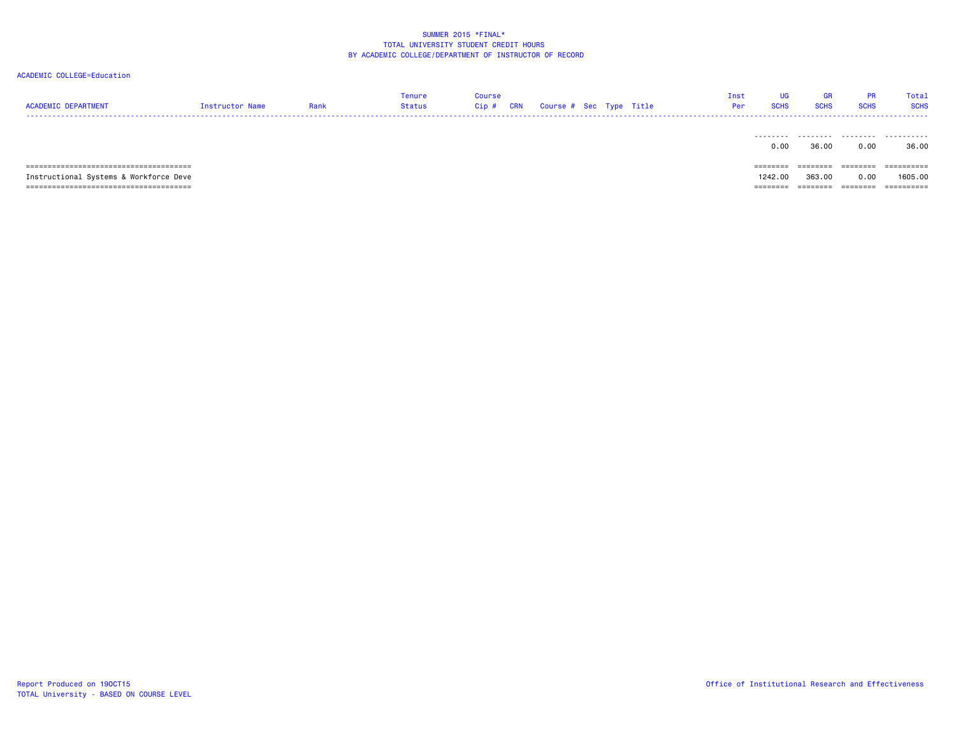| <b>ACADEMIC DEPARTMENT</b>             | Instructor Name | Rank | Tenure<br>Status | <b>Course</b><br>Cip# | <b>CRN</b> | Course # Sec Type Title |  |  | UG<br>Inst<br><b>SCHS</b><br>Per | GR<br><b>SCHS</b> | <b>PR</b><br><b>SCHS</b> | Total<br><b>SCHS</b>  |
|----------------------------------------|-----------------|------|------------------|-----------------------|------------|-------------------------|--|--|----------------------------------|-------------------|--------------------------|-----------------------|
|                                        |                 |      |                  |                       |            |                         |  |  | .<br>0.00                        | .<br>36.00        | .<br>0.00                | .<br>36.00            |
|                                        |                 |      |                  |                       |            |                         |  |  | ========                         | ========          | ========                 | $=$ = = = = = = = = = |
| Instructional Systems & Workforce Deve |                 |      |                  |                       |            |                         |  |  | 1242.00                          | 363.00            | 0.00                     | 1605.00               |
|                                        |                 |      |                  |                       |            |                         |  |  | =====                            |                   | ------                   | ==========            |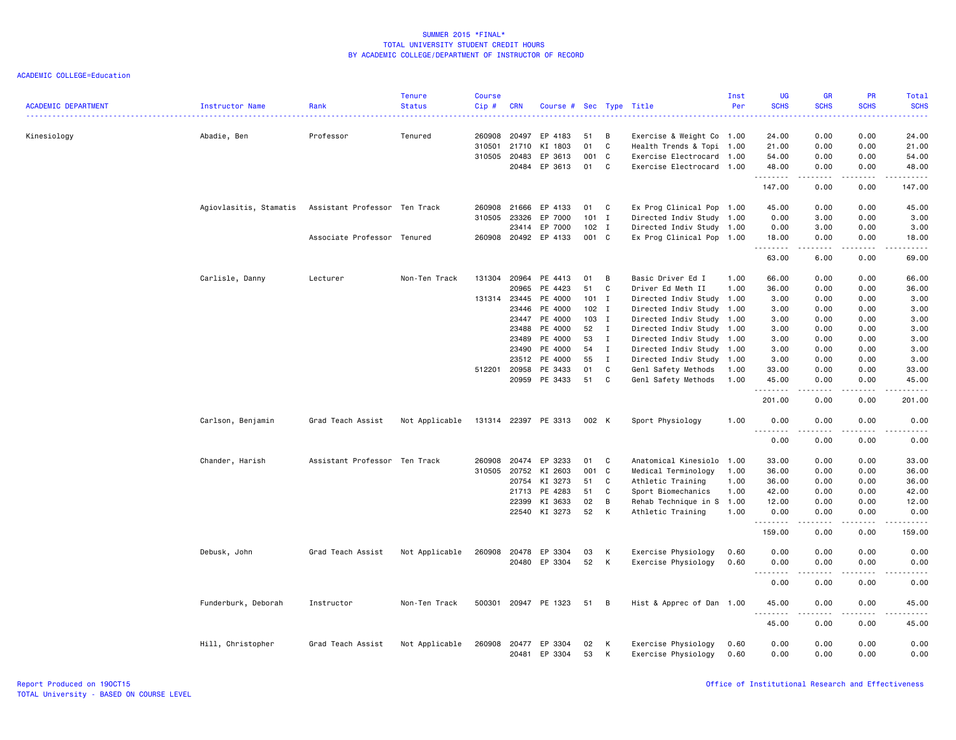| <b>ACADEMIC DEPARTMENT</b> | Instructor Name        | Rank                          | <b>Tenure</b><br><b>Status</b> | <b>Course</b><br>Cip# | <b>CRN</b>     | Course # Sec Type Title |          |              |                                            | Inst<br>Per  | <b>UG</b><br><b>SCHS</b> | <b>GR</b><br><b>SCHS</b>                                                                                                          | PR<br><b>SCHS</b> | Total<br><b>SCHS</b>   |
|----------------------------|------------------------|-------------------------------|--------------------------------|-----------------------|----------------|-------------------------|----------|--------------|--------------------------------------------|--------------|--------------------------|-----------------------------------------------------------------------------------------------------------------------------------|-------------------|------------------------|
| Kinesiology                | Abadie, Ben            | Professor                     | Tenured                        | 260908                | 20497          | EP 4183                 | 51       | В            | Exercise & Weight Co 1.00                  |              | 24.00                    | 0.00                                                                                                                              | 0.00              | 24.00                  |
|                            |                        |                               |                                | 310501                | 21710          | KI 1803                 | 01       | C            | Health Trends & Topi 1.00                  |              | 21.00                    | 0.00                                                                                                                              | 0.00              | 21.00                  |
|                            |                        |                               |                                | 310505                | 20483          | EP 3613                 | 001      | C            | Exercise Electrocard 1.00                  |              | 54.00                    | 0.00                                                                                                                              | 0.00              | 54.00                  |
|                            |                        |                               |                                |                       |                | 20484 EP 3613           | 01       | C            | Exercise Electrocard 1.00                  |              | 48.00<br><u>.</u>        | 0.00<br>$\frac{1}{2}$                                                                                                             | 0.00              | 48.00<br>$\frac{1}{2}$ |
|                            |                        |                               |                                |                       |                |                         |          |              |                                            |              | 147.00                   | 0.00                                                                                                                              | 0.00              | 147.00                 |
|                            | Agiovlasitis, Stamatis | Assistant Professor Ten Track |                                | 260908                | 21666          | EP 4133                 | 01 C     |              | Ex Prog Clinical Pop 1.00                  |              | 45.00                    | 0.00                                                                                                                              | 0.00              | 45.00                  |
|                            |                        |                               |                                | 310505                | 23326          | EP 7000                 | 101      | $\mathbf I$  | Directed Indiv Study 1.00                  |              | 0.00                     | 3.00                                                                                                                              | 0.00              | 3.00                   |
|                            |                        |                               |                                |                       | 23414          | EP 7000                 | $102$ I  |              | Directed Indiv Study 1.00                  |              | 0.00                     | 3.00                                                                                                                              | 0.00              | 3.00                   |
|                            |                        | Associate Professor Tenured   |                                | 260908                |                | 20492 EP 4133           | 001 C    |              | Ex Prog Clinical Pop 1.00                  |              | 18.00<br>.               | 0.00<br>$\frac{1}{2} \left( \frac{1}{2} \right) \left( \frac{1}{2} \right) \left( \frac{1}{2} \right) \left( \frac{1}{2} \right)$ | 0.00<br>.         | 18.00<br>$\cdots$      |
|                            |                        |                               |                                |                       |                |                         |          |              |                                            |              | 63.00                    | 6.00                                                                                                                              | 0.00              | 69.00                  |
|                            | Carlisle, Danny        | Lecturer                      | Non-Ten Track                  | 131304                | 20964          | PE 4413                 | 01       | B            | Basic Driver Ed I                          | 1.00         | 66.00                    | 0.00                                                                                                                              | 0.00              | 66.00                  |
|                            |                        |                               |                                |                       | 20965          | PE 4423                 | 51       | C            | Driver Ed Meth II                          | 1.00         | 36.00                    | 0.00                                                                                                                              | 0.00              | 36.00                  |
|                            |                        |                               |                                |                       | 131314 23445   | PE 4000                 | 101 I    |              | Directed Indiv Study 1.00                  |              | 3.00                     | 0.00                                                                                                                              | 0.00              | 3.00                   |
|                            |                        |                               |                                |                       | 23446          | PE 4000                 | 102 I    |              | Directed Indiv Study 1.00                  |              | 3.00                     | 0.00                                                                                                                              | 0.00              | 3.00                   |
|                            |                        |                               |                                |                       | 23447          | PE 4000                 | 103 I    |              | Directed Indiv Study 1.00                  |              | 3.00                     | 0.00                                                                                                                              | 0.00              | 3.00                   |
|                            |                        |                               |                                |                       | 23488          | PE 4000                 | 52       | $\mathbf{I}$ | Directed Indiv Study 1.00                  |              | 3.00                     | 0.00                                                                                                                              | 0.00              | 3.00                   |
|                            |                        |                               |                                |                       | 23489          | PE 4000                 | 53       | I            | Directed Indiv Study 1.00                  |              | 3.00                     | 0.00                                                                                                                              | 0.00              | 3.00                   |
|                            |                        |                               |                                |                       | 23490          | PE 4000                 | 54       | Ι.           | Directed Indiv Study 1.00                  |              | 3.00                     | 0.00                                                                                                                              | 0.00              | 3.00                   |
|                            |                        |                               |                                |                       | 23512          | PE 4000                 | 55       | $\mathbf I$  | Directed Indiv Study 1.00                  |              | 3.00                     | 0.00                                                                                                                              | 0.00              | 3.00                   |
|                            |                        |                               |                                | 512201                | 20958          | PE 3433                 | 01       | C            | Genl Safety Methods                        | 1.00         | 33.00                    | 0.00                                                                                                                              | 0.00              | 33.00                  |
|                            |                        |                               |                                |                       | 20959          | PE 3433                 | 51       | $\mathtt{C}$ | Genl Safety Methods                        | 1.00         | 45.00                    | 0.00                                                                                                                              | 0.00              | 45.00                  |
|                            |                        |                               |                                |                       |                |                         |          |              |                                            |              | 201.00                   | 0.00                                                                                                                              | 0.00              | 201.00                 |
|                            | Carlson, Benjamin      | Grad Teach Assist             | Not Applicable                 |                       |                | 131314 22397 PE 3313    | 002 K    |              | Sport Physiology                           | 1.00         | 0.00                     | 0.00<br>.                                                                                                                         | 0.00              | 0.00                   |
|                            |                        |                               |                                |                       |                |                         |          |              |                                            |              | 0.00                     | 0.00                                                                                                                              | 0.00              | 0.00                   |
|                            | Chander, Harish        | Assistant Professor           | Ten Track                      | 260908                | 20474          | EP 3233                 | 01       | C            | Anatomical Kinesiolo                       | 1.00         | 33.00                    | 0.00                                                                                                                              | 0.00              | 33.00                  |
|                            |                        |                               |                                | 310505                | 20752          | KI 2603                 | 001      | C            | Medical Terminology                        | 1.00         | 36.00                    | 0.00                                                                                                                              | 0.00              | 36.00                  |
|                            |                        |                               |                                |                       | 20754          | KI 3273                 | 51       | C            | Athletic Training                          | 1.00         | 36.00                    | 0.00                                                                                                                              | 0.00              | 36.00                  |
|                            |                        |                               |                                |                       | 21713          | PE 4283                 | 51       | C            | Sport Biomechanics                         | 1.00         | 42.00                    | 0.00                                                                                                                              | 0.00              | 42.00                  |
|                            |                        |                               |                                |                       | 22399          | KI 3633                 | 02       | B            | Rehab Technique in S                       | 1.00         | 12.00                    | 0.00                                                                                                                              | 0.00              | 12.00                  |
|                            |                        |                               |                                |                       |                | 22540 KI 3273           | 52       | К            | Athletic Training                          | 1.00         | 0.00                     | 0.00                                                                                                                              | 0.00              | 0.00                   |
|                            |                        |                               |                                |                       |                |                         |          |              |                                            |              | 159.00                   | .<br>0.00                                                                                                                         | 0.00              | 159.00                 |
|                            | Debusk, John           | Grad Teach Assist             | Not Applicable                 | 260908                | 20478          | EP 3304                 | 03       | К            | Exercise Physiology                        | 0.60         | 0.00                     | 0.00                                                                                                                              | 0.00              | 0.00                   |
|                            |                        |                               |                                |                       |                | 20480 EP 3304           | 52       | К            | Exercise Physiology                        | 0.60         | 0.00                     | 0.00                                                                                                                              | 0.00              | 0.00                   |
|                            |                        |                               |                                |                       |                |                         |          |              |                                            |              | $\sim$ $\sim$            |                                                                                                                                   |                   |                        |
|                            |                        |                               |                                |                       |                |                         |          |              |                                            |              | 0.00                     | 0.00                                                                                                                              | 0.00              | 0.00                   |
|                            | Funderburk, Deborah    | Instructor                    | Non-Ten Track                  | 500301                |                | 20947 PE 1323           | 51       | B            | Hist & Apprec of Dan 1.00                  |              | 45.00<br>.               | 0.00<br>----                                                                                                                      | 0.00              | 45.00                  |
|                            |                        |                               |                                |                       |                |                         |          |              |                                            |              | 45.00                    | 0.00                                                                                                                              | 0.00              | 45.00                  |
|                            | Hill, Christopher      | Grad Teach Assist             | Not Applicable                 | 260908                | 20477<br>20481 | EP 3304<br>EP 3304      | 02<br>53 | К<br>к       | Exercise Physiology<br>Exercise Physiology | 0.60<br>0.60 | 0.00<br>0.00             | 0.00<br>0.00                                                                                                                      | 0.00<br>0.00      | 0.00<br>0.00           |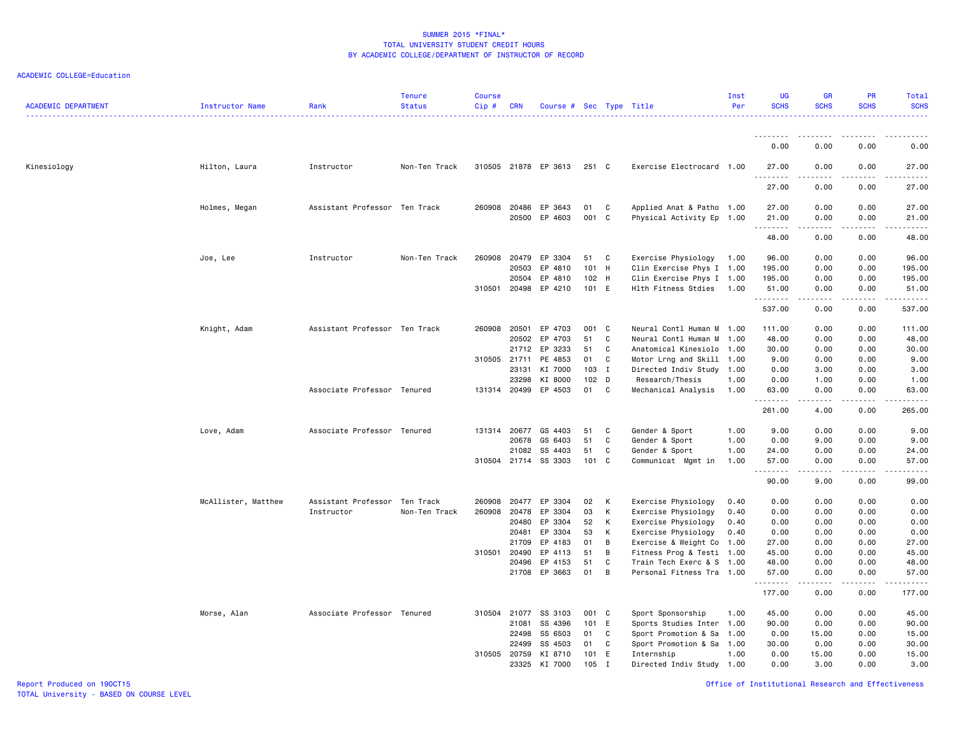ACADEMIC COLLEGE=Education

| <b>ACADEMIC DEPARTMENT</b> | Instructor Name     | Rank                          | <b>Tenure</b><br><b>Status</b> | <b>Course</b><br>Cip# | <b>CRN</b>   | Course # Sec Type Title |       |   |                           | Inst<br>Per | <b>UG</b><br><b>SCHS</b> | <b>GR</b><br><b>SCHS</b> | <b>PR</b><br><b>SCHS</b> | <b>Total</b><br><b>SCHS</b><br>. |
|----------------------------|---------------------|-------------------------------|--------------------------------|-----------------------|--------------|-------------------------|-------|---|---------------------------|-------------|--------------------------|--------------------------|--------------------------|----------------------------------|
|                            |                     |                               |                                |                       |              |                         |       |   |                           |             |                          |                          |                          |                                  |
|                            |                     |                               |                                |                       |              |                         |       |   |                           |             | 0.00                     | 0.00                     | 0.00                     | 0.00                             |
| Kinesiology                | Hilton, Laura       | Instructor                    | Non-Ten Track                  |                       |              | 310505 21878 EP 3613    | 251 C |   | Exercise Electrocard 1.00 |             | 27.00<br>.               | 0.00<br>.                | 0.00<br>.                | 27.00<br>$\frac{1}{2}$           |
|                            |                     |                               |                                |                       |              |                         |       |   |                           |             | 27.00                    | 0.00                     | 0.00                     | 27.00                            |
|                            | Holmes, Megan       | Assistant Professor Ten Track |                                | 260908                | 20486        | EP 3643                 | 01    | C | Applied Anat & Patho 1.00 |             | 27.00                    | 0.00                     | 0.00                     | 27.00                            |
|                            |                     |                               |                                |                       | 20500        | EP 4603                 | 001   | C | Physical Activity Ep 1.00 |             | 21.00<br>.               | 0.00<br>.                | 0.00<br>.                | 21.00<br>.                       |
|                            |                     |                               |                                |                       |              |                         |       |   |                           |             | 48.00                    | 0.00                     | 0.00                     | 48.00                            |
|                            | Joe, Lee            | Instructor                    | Non-Ten Track                  | 260908                | 20479        | EP 3304                 | 51    | C | Exercise Physiology       | 1.00        | 96.00                    | 0.00                     | 0.00                     | 96.00                            |
|                            |                     |                               |                                |                       | 20503        | EP 4810                 | 101   | H | Clin Exercise Phys I 1.00 |             | 195.00                   | 0.00                     | 0.00                     | 195.00                           |
|                            |                     |                               |                                |                       | 20504        | EP 4810                 | 102   | H | Clin Exercise Phys I 1.00 |             | 195.00                   | 0.00                     | 0.00                     | 195.00                           |
|                            |                     |                               |                                | 310501                | 20498        | EP 4210                 | 101 E |   | Hlth Fitness Stdies       | 1.00        | 51.00<br>.               | 0.00                     | 0.00                     | 51.00                            |
|                            |                     |                               |                                |                       |              |                         |       |   |                           |             | 537.00                   | 0.00                     | 0.00                     | 537.00                           |
|                            | Knight, Adam        | Assistant Professor Ten Track |                                | 260908                | 20501        | EP 4703                 | 001 C |   | Neural Contl Human M 1.00 |             | 111.00                   | 0.00                     | 0.00                     | 111.00                           |
|                            |                     |                               |                                |                       | 20502        | EP 4703                 | 51    | C | Neural Contl Human M 1.00 |             | 48.00                    | 0.00                     | 0.00                     | 48.00                            |
|                            |                     |                               |                                |                       | 21712        | EP 3233                 | 51    | C | Anatomical Kinesiolo 1.00 |             | 30.00                    | 0.00                     | 0.00                     | 30.00                            |
|                            |                     |                               |                                | 310505 21711          |              | PE 4853                 | 01    | C | Motor Lrng and Skill 1.00 |             | 9.00                     | 0.00                     | 0.00                     | 9.00                             |
|                            |                     |                               |                                |                       | 23131        | KI 7000                 | 103 I |   | Directed Indiv Study 1.00 |             | 0.00                     | 3.00                     | 0.00                     | 3.00                             |
|                            |                     |                               |                                |                       | 23298        | KI 8000                 | 102 D |   | Research/Thesis           | 1.00        | 0.00                     | 1.00                     | 0.00                     | 1.00                             |
|                            |                     | Associate Professor Tenured   |                                |                       | 131314 20499 | EP 4503                 | 01    | C | Mechanical Analysis       | 1.00        | 63.00<br>.               | 0.00<br>.                | 0.00<br>.                | 63.00                            |
|                            |                     |                               |                                |                       |              |                         |       |   |                           |             | 261.00                   | 4.00                     | 0.00                     | 265.00                           |
|                            | Love, Adam          | Associate Professor Tenured   |                                |                       | 131314 20677 | GS 4403                 | 51    | C | Gender & Sport            | 1.00        | 9.00                     | 0.00                     | 0.00                     | 9.00                             |
|                            |                     |                               |                                |                       | 20678        | GS 6403                 | 51    | C | Gender & Sport            | 1.00        | 0.00                     | 9.00                     | 0.00                     | 9.00                             |
|                            |                     |                               |                                |                       | 21082        | SS 4403                 | 51    | C | Gender & Sport            | 1.00        | 24.00                    | 0.00                     | 0.00                     | 24.00                            |
|                            |                     |                               |                                |                       | 310504 21714 | SS 3303                 | 101   | C | Communicat Mgmt in        | 1.00        | 57.00<br><u>.</u>        | 0.00                     | 0.00                     | 57.00<br>.                       |
|                            |                     |                               |                                |                       |              |                         |       |   |                           |             | 90.00                    | 9.00                     | 0.00                     | 99.00                            |
|                            | McAllister, Matthew | Assistant Professor Ten Track |                                | 260908                | 20477        | EP 3304                 | 02    | K | Exercise Physiology       | 0.40        | 0.00                     | 0.00                     | 0.00                     | 0.00                             |
|                            |                     | Instructor                    | Non-Ten Track                  | 260908                | 20478        | EP 3304                 | 03    | К | Exercise Physiology       | 0.40        | 0.00                     | 0.00                     | 0.00                     | 0.00                             |
|                            |                     |                               |                                |                       | 20480        | EP 3304                 | 52    | К | Exercise Physiology       | 0.40        | 0.00                     | 0.00                     | 0.00                     | 0.00                             |
|                            |                     |                               |                                |                       | 20481        | EP 3304                 | 53    | K | Exercise Physiology       | 0.40        | 0.00                     | 0.00                     | 0.00                     | 0.00                             |
|                            |                     |                               |                                |                       | 21709        | EP 4183                 | 01    | В | Exercise & Weight Co 1.00 |             | 27.00                    | 0.00                     | 0.00                     | 27.00                            |
|                            |                     |                               |                                | 310501 20490          |              | EP 4113                 | 51    | B | Fitness Prog & Testi 1.00 |             | 45.00                    | 0.00                     | 0.00                     | 45.00                            |
|                            |                     |                               |                                |                       | 20496        | EP 4153                 | 51    | C | Train Tech Exerc & S 1.00 |             | 48.00                    | 0.00                     | 0.00                     | 48.00                            |
|                            |                     |                               |                                |                       |              | 21708 EP 3663           | 01    | B | Personal Fitness Tra 1.00 |             | 57.00<br><u>.</u>        | 0.00<br>$\frac{1}{2}$    | 0.00<br>المالم المالية   | 57.00<br>.                       |
|                            |                     |                               |                                |                       |              |                         |       |   |                           |             | 177.00                   | 0.00                     | 0.00                     | 177.00                           |
|                            | Morse, Alan         | Associate Professor Tenured   |                                |                       | 310504 21077 | SS 3103                 | 001 C |   | Sport Sponsorship         | 1.00        | 45.00                    | 0.00                     | 0.00                     | 45.00                            |
|                            |                     |                               |                                |                       | 21081        | SS 4396                 | 101   | E | Sports Studies Inter 1.00 |             | 90.00                    | 0.00                     | 0.00                     | 90.00                            |
|                            |                     |                               |                                |                       | 22498        | SS 6503                 | 01    | C | Sport Promotion & Sa      | 1.00        | 0.00                     | 15.00                    | 0.00                     | 15.00                            |
|                            |                     |                               |                                |                       | 22499        | SS 4503                 | 01    | C | Sport Promotion & Sa      | 1.00        | 30.00                    | 0.00                     | 0.00                     | 30.00                            |
|                            |                     |                               |                                | 310505                | 20759        | KI 8710                 | 101   | E | Internship                | 1.00        | 0.00                     | 15.00<br>3.00            | 0.00<br>0.00             | 15.00                            |
|                            |                     |                               |                                |                       | 23325        | KI 7000                 | 105   | I | Directed Indiv Study 1.00 |             | 0.00                     |                          |                          | 3.00                             |

Report Produced on 19OCT15 Office of Institutional Research and Effectiveness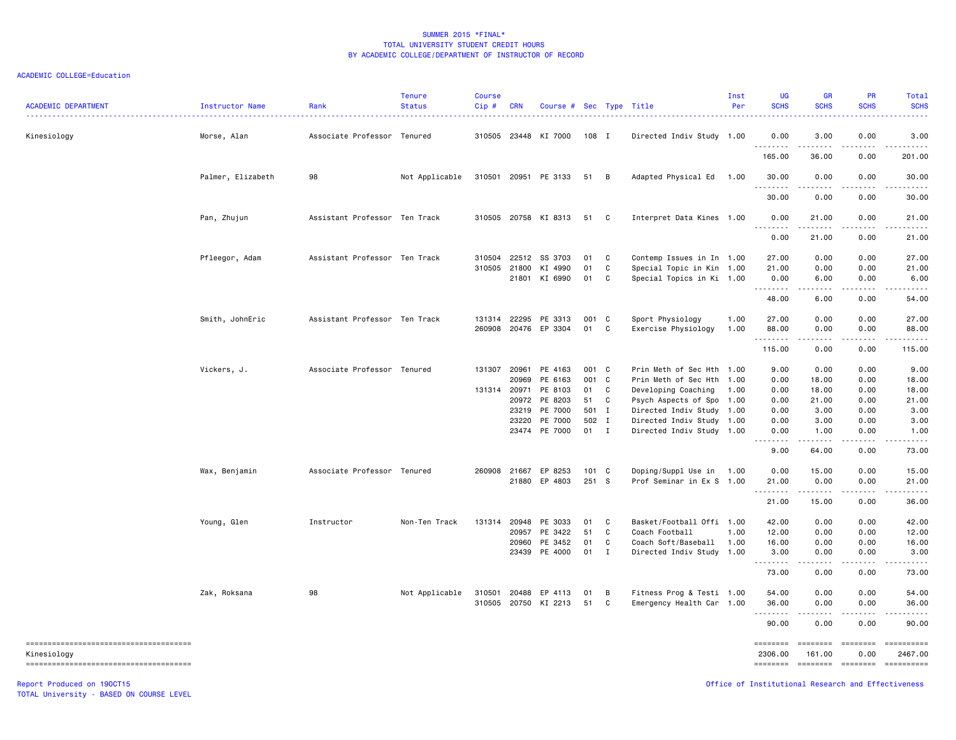#### ACADEMIC COLLEGE=Education

| <b>ACADEMIC DEPARTMENT</b> | <b>Instructor Name</b> | Rank                          | <b>Tenure</b><br><b>Status</b> | <b>Course</b><br>Cip# | <b>CRN</b>     | Course # Sec Type Title  |               |              |                                                        | Inst<br>Per  | <b>UG</b><br><b>SCHS</b>                           | <b>GR</b><br><b>SCHS</b>                                                                                                                                     | <b>PR</b><br><b>SCHS</b> | <b>Total</b><br><b>SCHS</b>                                                                                                                                                                                                                                                                                                                                                                                                            |
|----------------------------|------------------------|-------------------------------|--------------------------------|-----------------------|----------------|--------------------------|---------------|--------------|--------------------------------------------------------|--------------|----------------------------------------------------|--------------------------------------------------------------------------------------------------------------------------------------------------------------|--------------------------|----------------------------------------------------------------------------------------------------------------------------------------------------------------------------------------------------------------------------------------------------------------------------------------------------------------------------------------------------------------------------------------------------------------------------------------|
| Kinesiology                | Morse, Alan            | Associate Professor Tenured   |                                |                       |                | 310505 23448 KI 7000     | 108 I         |              | Directed Indiv Study 1.00                              |              | 0.00                                               | 3.00                                                                                                                                                         | 0.00                     | 3.00                                                                                                                                                                                                                                                                                                                                                                                                                                   |
|                            |                        |                               |                                |                       |                |                          |               |              |                                                        |              | .<br>165.00                                        | $- - - - -$<br>36.00                                                                                                                                         | $\frac{1}{2}$<br>0.00    | .<br>201.00                                                                                                                                                                                                                                                                                                                                                                                                                            |
|                            | Palmer, Elizabeth      | 98                            | Not Applicable                 |                       |                | 310501 20951 PE 3133     | 51            | B            | Adapted Physical Ed 1.00                               |              | 30.00                                              | 0.00                                                                                                                                                         | 0.00                     | 30.00                                                                                                                                                                                                                                                                                                                                                                                                                                  |
|                            |                        |                               |                                |                       |                |                          |               |              |                                                        |              | .<br>30.00                                         | $- - - -$<br>0.00                                                                                                                                            | .<br>0.00                | .<br>30.00                                                                                                                                                                                                                                                                                                                                                                                                                             |
|                            | Pan, Zhujun            | Assistant Professor Ten Track |                                |                       |                | 310505 20758 KI 8313     | 51            | C            | Interpret Data Kines 1.00                              |              | 0.00<br>.                                          | 21.00<br>.                                                                                                                                                   | 0.00<br>.                | 21.00<br>$\cdots$                                                                                                                                                                                                                                                                                                                                                                                                                      |
|                            |                        |                               |                                |                       |                |                          |               |              |                                                        |              | 0.00                                               | 21.00                                                                                                                                                        | 0.00                     | 21.00                                                                                                                                                                                                                                                                                                                                                                                                                                  |
|                            | Pfleegor, Adam         | Assistant Professor Ten Track |                                | 310504                | 22512          | SS 3703                  | 01            | C            | Contemp Issues in In 1.00                              |              | 27.00                                              | 0.00                                                                                                                                                         | 0.00                     | 27.00                                                                                                                                                                                                                                                                                                                                                                                                                                  |
|                            |                        |                               |                                | 310505                | 21800<br>21801 | KI 4990<br>KI 6990       | 01<br>01      | C<br>C       | Special Topic in Kin 1.00<br>Special Topics in Ki 1.00 |              | 21.00<br>0.00                                      | 0.00<br>6.00                                                                                                                                                 | 0.00<br>0.00             | 21.00<br>6.00                                                                                                                                                                                                                                                                                                                                                                                                                          |
|                            |                        |                               |                                |                       |                |                          |               |              |                                                        |              | . <b>.</b><br>48.00                                | $\frac{1}{2} \left( \frac{1}{2} \right) \left( \frac{1}{2} \right) \left( \frac{1}{2} \right) \left( \frac{1}{2} \right) \left( \frac{1}{2} \right)$<br>6.00 | د د د د<br>0.00          | .<br>54.00                                                                                                                                                                                                                                                                                                                                                                                                                             |
|                            |                        |                               |                                |                       |                |                          |               |              |                                                        |              |                                                    |                                                                                                                                                              |                          |                                                                                                                                                                                                                                                                                                                                                                                                                                        |
|                            | Smith, JohnEric        | Assistant Professor Ten Track |                                | 131314<br>260908      | 22295          | PE 3313<br>20476 EP 3304 | 001 C<br>01   | C            | Sport Physiology<br>Exercise Physiology                | 1.00<br>1.00 | 27.00<br>88.00                                     | 0.00<br>0.00                                                                                                                                                 | 0.00<br>0.00             | 27.00<br>88.00                                                                                                                                                                                                                                                                                                                                                                                                                         |
|                            |                        |                               |                                |                       |                |                          |               |              |                                                        |              | .<br>115.00                                        | .<br>0.00                                                                                                                                                    | .<br>0.00                | .<br>115.00                                                                                                                                                                                                                                                                                                                                                                                                                            |
|                            | Vickers, J.            | Associate Professor Tenured   |                                | 131307 20961          |                | PE 4163                  | 001 C         |              | Prin Meth of Sec Hth 1.00                              |              | 9.00                                               | 0.00                                                                                                                                                         | 0.00                     | 9.00                                                                                                                                                                                                                                                                                                                                                                                                                                   |
|                            |                        |                               |                                |                       | 20969          | PE 6163                  | 001           | $\mathbf{C}$ | Prin Meth of Sec Hth 1.00                              |              | 0.00                                               | 18.00                                                                                                                                                        | 0.00                     | 18.00                                                                                                                                                                                                                                                                                                                                                                                                                                  |
|                            |                        |                               |                                | 131314                | 20971          | PE 8103                  | 01            | C            | Developing Coaching                                    | 1.00         | 0.00                                               | 18.00                                                                                                                                                        | 0.00                     | 18.00                                                                                                                                                                                                                                                                                                                                                                                                                                  |
|                            |                        |                               |                                |                       | 20972          | PE 8203                  | 51            | C            | Psych Aspects of Spo 1.00                              |              | 0.00                                               | 21.00                                                                                                                                                        | 0.00                     | 21.00                                                                                                                                                                                                                                                                                                                                                                                                                                  |
|                            |                        |                               |                                |                       | 23219          | PE 7000                  | 501 I         |              | Directed Indiv Study 1.00                              |              | 0.00                                               | 3.00                                                                                                                                                         | 0.00                     | 3.00                                                                                                                                                                                                                                                                                                                                                                                                                                   |
|                            |                        |                               |                                |                       | 23220          | PE 7000                  | 502           | $\mathbf{I}$ | Directed Indiv Study 1.00                              |              | 0.00                                               | 3.00                                                                                                                                                         | 0.00                     | 3.00                                                                                                                                                                                                                                                                                                                                                                                                                                   |
|                            |                        |                               |                                |                       | 23474          | PE 7000                  | 01 I          |              | Directed Indiv Study 1.00                              |              | 0.00<br>$\sim 100$                                 | 1.00                                                                                                                                                         | 0.00                     | 1.00                                                                                                                                                                                                                                                                                                                                                                                                                                   |
|                            |                        |                               |                                |                       |                |                          |               |              |                                                        |              | 9.00                                               | 64.00                                                                                                                                                        | 0.00                     | 73.00                                                                                                                                                                                                                                                                                                                                                                                                                                  |
|                            | Wax, Benjamin          | Associate Professor Tenured   |                                | 260908                | 21667          | EP 8253                  | $101 \quad C$ |              | Doping/Suppl Use in 1.00                               |              | 0.00                                               | 15.00                                                                                                                                                        | 0.00                     | 15.00                                                                                                                                                                                                                                                                                                                                                                                                                                  |
|                            |                        |                               |                                |                       |                | 21880 EP 4803            | 251 S         |              | Prof Seminar in Ex S 1.00                              |              | 21.00<br>.                                         | 0.00<br><u>.</u>                                                                                                                                             | 0.00<br>.                | 21.00<br>.                                                                                                                                                                                                                                                                                                                                                                                                                             |
|                            |                        |                               |                                |                       |                |                          |               |              |                                                        |              | 21.00                                              | 15.00                                                                                                                                                        | 0.00                     | 36.00                                                                                                                                                                                                                                                                                                                                                                                                                                  |
|                            | Young, Glen            | Instructor                    | Non-Ten Track                  | 131314                | 20948          | PE 3033                  | 01            | C            | Basket/Football Offi 1.00                              |              | 42.00                                              | 0.00                                                                                                                                                         | 0.00                     | 42.00                                                                                                                                                                                                                                                                                                                                                                                                                                  |
|                            |                        |                               |                                |                       | 20957          | PE 3422                  | 51            | C            | Coach Football                                         | 1.00         | 12.00                                              | 0.00                                                                                                                                                         | 0.00                     | 12.00                                                                                                                                                                                                                                                                                                                                                                                                                                  |
|                            |                        |                               |                                |                       | 20960          | PE 3452                  | 01            | C            | Coach Soft/Baseball                                    | 1.00         | 16.00                                              | 0.00                                                                                                                                                         | 0.00                     | 16.00                                                                                                                                                                                                                                                                                                                                                                                                                                  |
|                            |                        |                               |                                |                       | 23439          | PE 4000                  | 01            | $\;$ I       | Directed Indiv Study 1.00                              |              | 3.00<br>.                                          | 0.00                                                                                                                                                         | 0.00                     | 3.00<br>$\cdots$                                                                                                                                                                                                                                                                                                                                                                                                                       |
|                            |                        |                               |                                |                       |                |                          |               |              |                                                        |              | 73.00                                              | 0.00                                                                                                                                                         | 0.00                     | 73.00                                                                                                                                                                                                                                                                                                                                                                                                                                  |
|                            | Zak, Roksana           | 98                            | Not Applicable                 | 310501                | 20488          | EP 4113                  | 01            | B            | Fitness Prog & Testi 1.00                              |              | 54.00                                              | 0.00                                                                                                                                                         | 0.00                     | 54.00                                                                                                                                                                                                                                                                                                                                                                                                                                  |
|                            |                        |                               |                                |                       |                | 310505 20750 KI 2213     | 51            | C            | Emergency Health Car 1.00                              |              | 36.00<br><u>.</u>                                  | 0.00                                                                                                                                                         | 0.00                     | 36.00                                                                                                                                                                                                                                                                                                                                                                                                                                  |
|                            |                        |                               |                                |                       |                |                          |               |              |                                                        |              | 90.00                                              | 0.00                                                                                                                                                         | 0.00                     | 90.00                                                                                                                                                                                                                                                                                                                                                                                                                                  |
| Kinesiology                |                        |                               |                                |                       |                |                          |               |              |                                                        |              | ========<br>2306.00                                | ========<br>161.00                                                                                                                                           | $=$ =======<br>0.00      | $\begin{minipage}{0.9\linewidth} \hspace*{-0.2cm} \textbf{1} & \textbf{2} & \textbf{3} & \textbf{5} & \textbf{6} & \textbf{7} \\ \textbf{5} & \textbf{6} & \textbf{7} & \textbf{8} & \textbf{9} & \textbf{10} & \textbf{10} \\ \textbf{6} & \textbf{8} & \textbf{8} & \textbf{9} & \textbf{10} & \textbf{10} & \textbf{10} \\ \textbf{10} & \textbf{10} & \textbf{10} & \textbf{10} & \textbf{10} & \textbf{10} & \textbf{$<br>2467.00 |
|                            |                        |                               |                                |                       |                |                          |               |              |                                                        |              | ========                                           | ========                                                                                                                                                     | ========                 |                                                                                                                                                                                                                                                                                                                                                                                                                                        |
| Report Produced on 190CT15 |                        |                               |                                |                       |                |                          |               |              |                                                        |              | Office of Institutional Research and Effectiveness |                                                                                                                                                              |                          |                                                                                                                                                                                                                                                                                                                                                                                                                                        |

TOTAL University - BASED ON COURSE LEVEL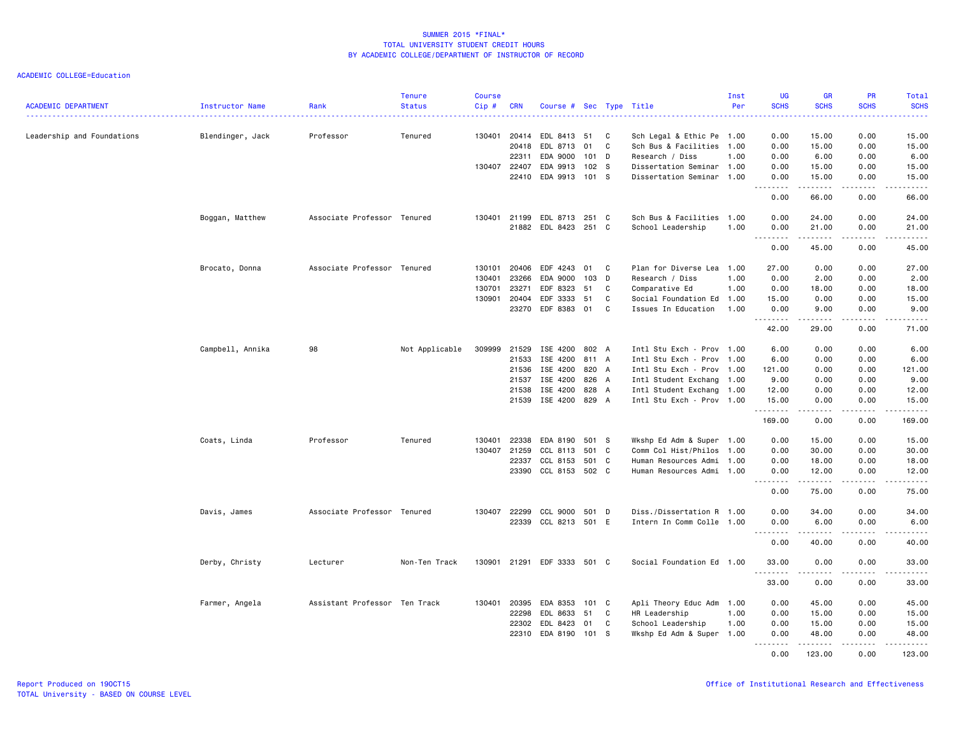| <b>ACADEMIC DEPARTMENT</b> | <b>Instructor Name</b> | Rank                          | <b>Tenure</b><br><b>Status</b> | <b>Course</b><br>Cip# | <b>CRN</b>   | Course # Sec Type Title     |                  |    |                           | Inst<br>Per | <b>UG</b><br><b>SCHS</b>                                                                                                          | <b>GR</b><br><b>SCHS</b>                                                                                                                                     | PR<br><b>SCHS</b>                   | Total<br><b>SCHS</b> |
|----------------------------|------------------------|-------------------------------|--------------------------------|-----------------------|--------------|-----------------------------|------------------|----|---------------------------|-------------|-----------------------------------------------------------------------------------------------------------------------------------|--------------------------------------------------------------------------------------------------------------------------------------------------------------|-------------------------------------|----------------------|
| Leadership and Foundations | Blendinger, Jack       | Professor                     | Tenured                        |                       | 130401 20414 | EDL 8413                    | 51               | C  | Sch Legal & Ethic Pe 1.00 |             | $\frac{1}{2} \left( \frac{1}{2} \right) \left( \frac{1}{2} \right) \left( \frac{1}{2} \right) \left( \frac{1}{2} \right)$<br>0.00 | 15.00                                                                                                                                                        | 0.00                                | والمستناب<br>15.00   |
|                            |                        |                               |                                |                       | 20418        | EDL 8713                    | 01               | C  | Sch Bus & Facilities 1.00 |             | 0.00                                                                                                                              | 15.00                                                                                                                                                        | 0.00                                | 15.00                |
|                            |                        |                               |                                |                       | 22311        | EDA 9000                    | $101$ D          |    | Research / Diss           | 1.00        | 0.00                                                                                                                              | 6.00                                                                                                                                                         | 0.00                                | 6.00                 |
|                            |                        |                               |                                |                       | 130407 22407 | EDA 9913                    | 102 <sub>5</sub> |    | Dissertation Seminar 1.00 |             | 0.00                                                                                                                              | 15.00                                                                                                                                                        | 0.00                                | 15.00                |
|                            |                        |                               |                                |                       | 22410        | EDA 9913 101 S              |                  |    | Dissertation Seminar 1.00 |             | 0.00                                                                                                                              | 15.00<br>22222                                                                                                                                               | 0.00                                | 15.00                |
|                            |                        |                               |                                |                       |              |                             |                  |    |                           |             | .<br>0.00                                                                                                                         | 66.00                                                                                                                                                        | $\sim$ $\sim$ $\sim$ $\sim$<br>0.00 | .<br>66.00           |
|                            | Boggan, Matthew        | Associate Professor Tenured   |                                |                       | 130401 21199 | EDL 8713 251 C              |                  |    | Sch Bus & Facilities 1.00 |             | 0.00                                                                                                                              | 24.00                                                                                                                                                        | 0.00                                | 24.00                |
|                            |                        |                               |                                |                       |              | 21882 EDL 8423 251 C        |                  |    | School Leadership         | 1.00        | 0.00                                                                                                                              | 21.00                                                                                                                                                        | 0.00                                | 21.00                |
|                            |                        |                               |                                |                       |              |                             |                  |    |                           |             | .                                                                                                                                 | . <b>.</b>                                                                                                                                                   | .                                   | .                    |
|                            |                        |                               |                                |                       |              |                             |                  |    |                           |             | 0.00                                                                                                                              | 45.00                                                                                                                                                        | 0.00                                | 45.00                |
|                            | Brocato, Donna         | Associate Professor Tenured   |                                | 130101                | 20406        | EDF 4243                    | 01               | C  | Plan for Diverse Lea 1.00 |             | 27.00                                                                                                                             | 0.00                                                                                                                                                         | 0.00                                | 27.00                |
|                            |                        |                               |                                | 130401                | 23266        | EDA 9000                    | 103 D            |    | Research / Diss           | 1.00        | 0.00                                                                                                                              | 2.00                                                                                                                                                         | 0.00                                | 2.00                 |
|                            |                        |                               |                                | 130701                | 23271        | EDF 8323                    | 51               | C  | Comparative Ed            | 1.00        | 0.00                                                                                                                              | 18.00                                                                                                                                                        | 0.00                                | 18.00                |
|                            |                        |                               |                                | 130901                | 20404        | EDF 3333                    | 51               | C  | Social Foundation Ed 1.00 |             | 15.00                                                                                                                             | 0.00                                                                                                                                                         | 0.00                                | 15.00                |
|                            |                        |                               |                                |                       | 23270        | EDF 8383 01                 |                  | C. | Issues In Education       | 1.00        | 0.00<br>.                                                                                                                         | 9.00<br>.                                                                                                                                                    | 0.00<br>.                           | 9.00<br>.            |
|                            |                        |                               |                                |                       |              |                             |                  |    |                           |             | 42.00                                                                                                                             | 29.00                                                                                                                                                        | 0.00                                | 71.00                |
|                            | Campbell, Annika       | 98                            | Not Applicable                 | 309999                | 21529        | ISE 4200 802 A              |                  |    | Intl Stu Exch - Prov 1.00 |             | 6.00                                                                                                                              | 0.00                                                                                                                                                         | 0.00                                | 6.00                 |
|                            |                        |                               |                                |                       | 21533        | ISE 4200                    | 811 A            |    | Intl Stu Exch - Prov 1.00 |             | 6.00                                                                                                                              | 0.00                                                                                                                                                         | 0.00                                | 6.00                 |
|                            |                        |                               |                                |                       | 21536        | ISE 4200                    | 820 A            |    | Intl Stu Exch - Prov 1.00 |             | 121.00                                                                                                                            | 0.00                                                                                                                                                         | 0.00                                | 121.00               |
|                            |                        |                               |                                |                       | 21537        | ISE 4200                    | 826 A            |    | Intl Student Exchang 1.00 |             | 9.00                                                                                                                              | 0.00                                                                                                                                                         | 0.00                                | 9.00                 |
|                            |                        |                               |                                |                       | 21538        | ISE 4200                    | 828 A            |    | Intl Student Exchang 1.00 |             | 12.00                                                                                                                             | 0.00                                                                                                                                                         | 0.00                                | 12.00                |
|                            |                        |                               |                                |                       | 21539        | ISE 4200 829 A              |                  |    | Intl Stu Exch - Prov 1.00 |             | 15.00                                                                                                                             | 0.00                                                                                                                                                         | 0.00<br>.                           | 15.00                |
|                            |                        |                               |                                |                       |              |                             |                  |    |                           |             | .<br>169.00                                                                                                                       | $\frac{1}{2} \left( \frac{1}{2} \right) \left( \frac{1}{2} \right) \left( \frac{1}{2} \right) \left( \frac{1}{2} \right) \left( \frac{1}{2} \right)$<br>0.00 | 0.00                                | .<br>169.00          |
|                            | Coats, Linda           | Professor                     | Tenured                        | 130401                | 22338        | EDA 8190                    | 501 S            |    | Wkshp Ed Adm & Super 1.00 |             | 0.00                                                                                                                              | 15.00                                                                                                                                                        | 0.00                                | 15.00                |
|                            |                        |                               |                                | 130407                | 21259        | CCL 8113                    | 501              | C  | Comm Col Hist/Philos 1.00 |             | 0.00                                                                                                                              | 30.00                                                                                                                                                        | 0.00                                | 30.00                |
|                            |                        |                               |                                |                       | 22337        | CCL 8153                    | 501 C            |    | Human Resources Admi 1.00 |             | 0.00                                                                                                                              | 18.00                                                                                                                                                        | 0.00                                | 18.00                |
|                            |                        |                               |                                |                       |              | 23390 CCL 8153 502 C        |                  |    | Human Resources Admi 1.00 |             | 0.00                                                                                                                              | 12.00                                                                                                                                                        | 0.00                                | 12.00                |
|                            |                        |                               |                                |                       |              |                             |                  |    |                           |             | .<br>0.00                                                                                                                         | .<br>75.00                                                                                                                                                   | .<br>0.00                           | .<br>75.00           |
|                            | Davis, James           | Associate Professor Tenured   |                                | 130407                | 22299        | <b>CCL 9000</b>             | 501              | D  | Diss./Dissertation R 1.00 |             | 0.00                                                                                                                              | 34.00                                                                                                                                                        | 0.00                                | 34.00                |
|                            |                        |                               |                                |                       |              | 22339 CCL 8213 501 E        |                  |    | Intern In Comm Colle 1.00 |             | 0.00                                                                                                                              | 6.00                                                                                                                                                         | 0.00                                | 6.00                 |
|                            |                        |                               |                                |                       |              |                             |                  |    |                           |             | .<br>0.00                                                                                                                         | . <u>.</u><br>40.00                                                                                                                                          | .<br>0.00                           | .<br>40.00           |
|                            | Derby, Christy         | Lecturer                      | Non-Ten Track                  |                       |              | 130901 21291 EDF 3333 501 C |                  |    | Social Foundation Ed 1.00 |             | 33.00                                                                                                                             | 0.00                                                                                                                                                         | 0.00                                | 33.00                |
|                            |                        |                               |                                |                       |              |                             |                  |    |                           |             | .<br>33.00                                                                                                                        | .<br>0.00                                                                                                                                                    | .<br>0.00                           | .<br>33.00           |
|                            | Farmer, Angela         | Assistant Professor Ten Track |                                | 130401                | 20395        | EDA 8353                    | 101              | C  | Apli Theory Educ Adm 1.00 |             | 0.00                                                                                                                              | 45.00                                                                                                                                                        | 0.00                                | 45.00                |
|                            |                        |                               |                                |                       | 22298        | EDL 8633                    | 51               | C  | HR Leadership             | 1.00        | 0.00                                                                                                                              | 15.00                                                                                                                                                        | 0.00                                | 15.00                |
|                            |                        |                               |                                |                       | 22302        | EDL 8423                    | 01               | C  | School Leadership         | 1.00        | 0.00                                                                                                                              | 15.00                                                                                                                                                        | 0.00                                | 15.00                |
|                            |                        |                               |                                |                       | 22310        | EDA 8190                    | 101 S            |    | Wkshp Ed Adm & Super 1.00 |             | 0.00                                                                                                                              | 48.00<br>.                                                                                                                                                   | 0.00<br>.                           | 48.00<br>.           |
|                            |                        |                               |                                |                       |              |                             |                  |    |                           |             | <b></b><br>0.00                                                                                                                   | 123.00                                                                                                                                                       | 0.00                                | 123.00               |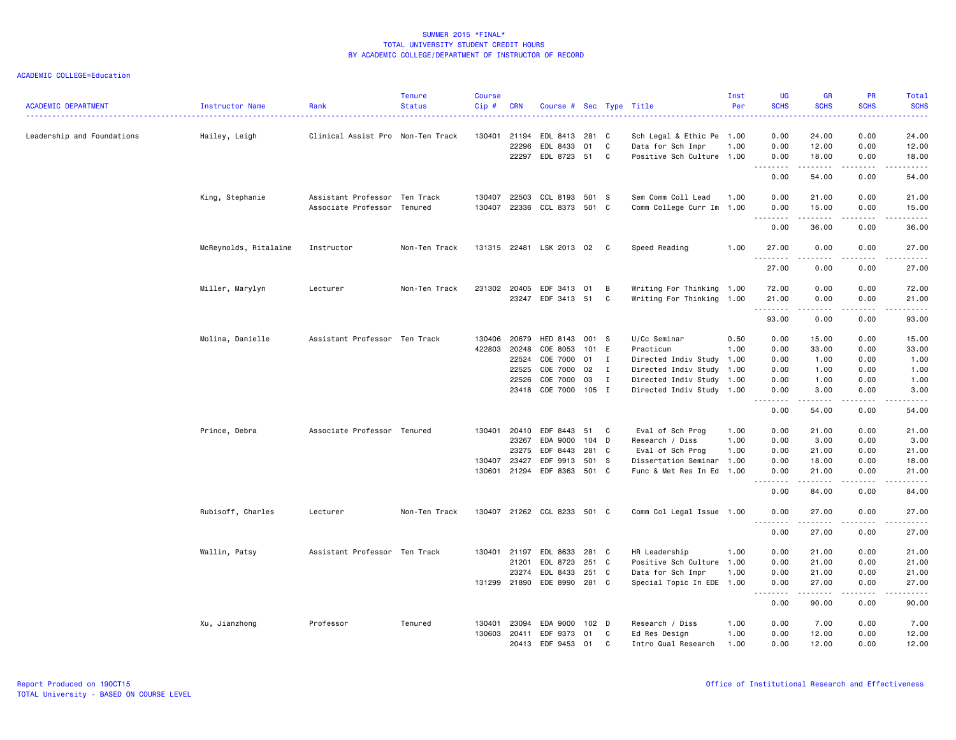| <b>ACADEMIC DEPARTMENT</b> | Instructor Name       | Rank                              | <b>Tenure</b><br><b>Status</b> | <b>Course</b><br>Cip# | <b>CRN</b>   | Course # Sec Type Title     |       |              |                           | Inst<br>Per | <b>UG</b><br><b>SCHS</b>            | <b>GR</b><br><b>SCHS</b>                                                                                                                                     | <b>PR</b><br><b>SCHS</b>            | Total<br><b>SCHS</b>  |
|----------------------------|-----------------------|-----------------------------------|--------------------------------|-----------------------|--------------|-----------------------------|-------|--------------|---------------------------|-------------|-------------------------------------|--------------------------------------------------------------------------------------------------------------------------------------------------------------|-------------------------------------|-----------------------|
| Leadership and Foundations | Hailey, Leigh         | Clinical Assist Pro Non-Ten Track |                                |                       | 130401 21194 | EDL 8413                    | 281 C |              | Sch Legal & Ethic Pe 1.00 |             | 0.00                                | 24.00                                                                                                                                                        | 0.00                                | 24.00                 |
|                            |                       |                                   |                                |                       | 22296        | EDL 8433                    | 01    | C            | Data for Sch Impr         | 1.00        | 0.00                                | 12.00                                                                                                                                                        | 0.00                                | 12.00                 |
|                            |                       |                                   |                                |                       |              | 22297 EDL 8723              | 51    | C            | Positive Sch Culture 1.00 |             | 0.00                                | 18.00                                                                                                                                                        | 0.00                                | 18.00                 |
|                            |                       |                                   |                                |                       |              |                             |       |              |                           |             | .<br>0.00                           | .<br>54.00                                                                                                                                                   | .<br>0.00                           | .<br>54.00            |
|                            | King, Stephanie       | Assistant Professor Ten Track     |                                | 130407                | 22503        | CCL 8193                    | 501 S |              | Sem Comm Coll Lead        | 1.00        | 0.00                                | 21.00                                                                                                                                                        | 0.00                                | 21.00                 |
|                            |                       | Associate Professor Tenured       |                                | 130407                | 22336        | CCL 8373                    | 501 C |              | Comm College Curr Im 1.00 |             | 0.00<br>$- - - - -$<br>$- - -$      | 15.00                                                                                                                                                        | 0.00                                | 15.00                 |
|                            |                       |                                   |                                |                       |              |                             |       |              |                           |             | 0.00                                | 36.00                                                                                                                                                        | 0.00                                | 36.00                 |
|                            | McReynolds, Ritalaine | Instructor                        | Non-Ten Track                  |                       |              | 131315 22481 LSK 2013 02 C  |       |              | Speed Reading             | 1.00        | 27.00<br>.                          | 0.00                                                                                                                                                         | 0.00<br>$\sim$ $\sim$ $\sim$ $\sim$ | 27.00<br>.            |
|                            |                       |                                   |                                |                       |              |                             |       |              |                           |             | 27.00                               | 0.00                                                                                                                                                         | 0.00                                | 27.00                 |
|                            | Miller, Marylyn       | Lecturer                          | Non-Ten Track                  | 231302                | 20405        | EDF 3413                    | 01    | B            | Writing For Thinking 1.00 |             | 72.00                               | 0.00                                                                                                                                                         | 0.00                                | 72.00                 |
|                            |                       |                                   |                                |                       |              | 23247 EDF 3413 51           |       | C            | Writing For Thinking 1.00 |             | 21.00<br>.                          | 0.00<br>.                                                                                                                                                    | 0.00<br>$\frac{1}{2}$               | 21.00<br>.            |
|                            |                       |                                   |                                |                       |              |                             |       |              |                           |             | 93.00                               | 0.00                                                                                                                                                         | 0.00                                | 93.00                 |
|                            | Molina, Danielle      | Assistant Professor Ten Track     |                                | 130406                | 20679        | HED 8143                    | 001 S |              | U/Cc Seminar              | 0.50        | 0.00                                | 15.00                                                                                                                                                        | 0.00                                | 15.00                 |
|                            |                       |                                   |                                | 422803                | 20248        | COE 8053                    | 101 E |              | Practicum                 | 1.00        | 0.00                                | 33.00                                                                                                                                                        | 0.00                                | 33.00                 |
|                            |                       |                                   |                                |                       | 22524        | COE 7000                    | 01    | $\mathbf{I}$ | Directed Indiv Study 1.00 |             | 0.00                                | 1.00                                                                                                                                                         | 0.00                                | 1.00                  |
|                            |                       |                                   |                                |                       | 22525        | COE 7000                    | 02    | I            | Directed Indiv Study 1.00 |             | 0.00                                | 1.00                                                                                                                                                         | 0.00                                | 1.00                  |
|                            |                       |                                   |                                |                       | 22526        | COE 7000                    | 03    | I            | Directed Indiv Study 1.00 |             | 0.00                                | 1.00                                                                                                                                                         | 0.00                                | 1.00                  |
|                            |                       |                                   |                                |                       |              | 23418 COE 7000 105 I        |       |              | Directed Indiv Study 1.00 |             | 0.00<br>.<br>$\sim$ $\sim$          | 3.00<br>$\frac{1}{2} \left( \frac{1}{2} \right) \left( \frac{1}{2} \right) \left( \frac{1}{2} \right) \left( \frac{1}{2} \right) \left( \frac{1}{2} \right)$ | 0.00<br>.                           | 3.00<br>$\frac{1}{2}$ |
|                            |                       |                                   |                                |                       |              |                             |       |              |                           |             | 0.00                                | 54.00                                                                                                                                                        | 0.00                                | 54.00                 |
|                            | Prince, Debra         | Associate Professor Tenured       |                                | 130401                | 20410        | EDF 8443                    | 51    | C            | Eval of Sch Prog          | 1.00        | 0.00                                | 21.00                                                                                                                                                        | 0.00                                | 21.00                 |
|                            |                       |                                   |                                |                       | 23267        | EDA 9000                    | 104 D |              | Research / Diss           | 1.00        | 0.00                                | 3.00                                                                                                                                                         | 0.00                                | 3.00                  |
|                            |                       |                                   |                                |                       | 23275        | EDF 8443                    | 281 C |              | Eval of Sch Prog          | 1.00        | 0.00                                | 21.00                                                                                                                                                        | 0.00                                | 21.00                 |
|                            |                       |                                   |                                | 130407                | 23427        | EDF 9913                    | 501   | - S          | Dissertation Seminar 1.00 |             | 0.00                                | 18.00                                                                                                                                                        | 0.00                                | 18.00                 |
|                            |                       |                                   |                                |                       |              | 130601 21294 EDF 8363       | 501 C |              | Func & Met Res In Ed 1.00 |             | 0.00<br>$\sim$ $\sim$ $\sim$ $\sim$ | 21.00<br>$- - - - -$                                                                                                                                         | 0.00<br>.                           | 21.00<br>.            |
|                            |                       |                                   |                                |                       |              |                             |       |              |                           |             | 0.00                                | 84.00                                                                                                                                                        | 0.00                                | 84.00                 |
|                            | Rubisoff, Charles     | Lecturer                          | Non-Ten Track                  |                       |              | 130407 21262 CCL 8233 501 C |       |              | Comm Col Legal Issue 1.00 |             | 0.00<br>.                           | 27.00<br>.                                                                                                                                                   | 0.00<br>.                           | 27.00<br>.            |
|                            |                       |                                   |                                |                       |              |                             |       |              |                           |             | 0.00                                | 27.00                                                                                                                                                        | 0.00                                | 27.00                 |
|                            | Wallin, Patsy         | Assistant Professor Ten Track     |                                |                       | 130401 21197 | EDL 8633                    | 281 C |              | HR Leadership             | 1.00        | 0.00                                | 21.00                                                                                                                                                        | 0.00                                | 21.00                 |
|                            |                       |                                   |                                |                       | 21201        | EDL 8723                    | 251 C |              | Positive Sch Culture 1.00 |             | 0.00                                | 21.00                                                                                                                                                        | 0.00                                | 21.00                 |
|                            |                       |                                   |                                |                       | 23274        | EDL 8433                    | 251 C |              | Data for Sch Impr         | 1.00        | 0.00                                | 21.00                                                                                                                                                        | 0.00                                | 21.00                 |
|                            |                       |                                   |                                |                       |              | 131299 21890 EDE 8990       | 281 C |              | Special Topic In EDE 1.00 |             | 0.00<br>$ -$<br>-----               | 27.00<br>$- - - - -$                                                                                                                                         | 0.00<br>.                           | 27.00<br>$- - - - -$  |
|                            |                       |                                   |                                |                       |              |                             |       |              |                           |             | 0.00                                | 90.00                                                                                                                                                        | 0.00                                | 90.00                 |
|                            | Xu, Jianzhong         | Professor                         | Tenured                        | 130401                | 23094        | EDA 9000                    | 102 D |              | Research / Diss           | 1.00        | 0.00                                | 7.00                                                                                                                                                         | 0.00                                | 7.00                  |
|                            |                       |                                   |                                |                       | 130603 20411 | EDF 9373                    | 01    | C            | Ed Res Design             | 1.00        | 0.00                                | 12.00                                                                                                                                                        | 0.00                                | 12.00                 |
|                            |                       |                                   |                                |                       | 20413        | EDF 9453                    | 01    | C            | Intro Qual Research       | 1.00        | 0.00                                | 12.00                                                                                                                                                        | 0.00                                | 12.00                 |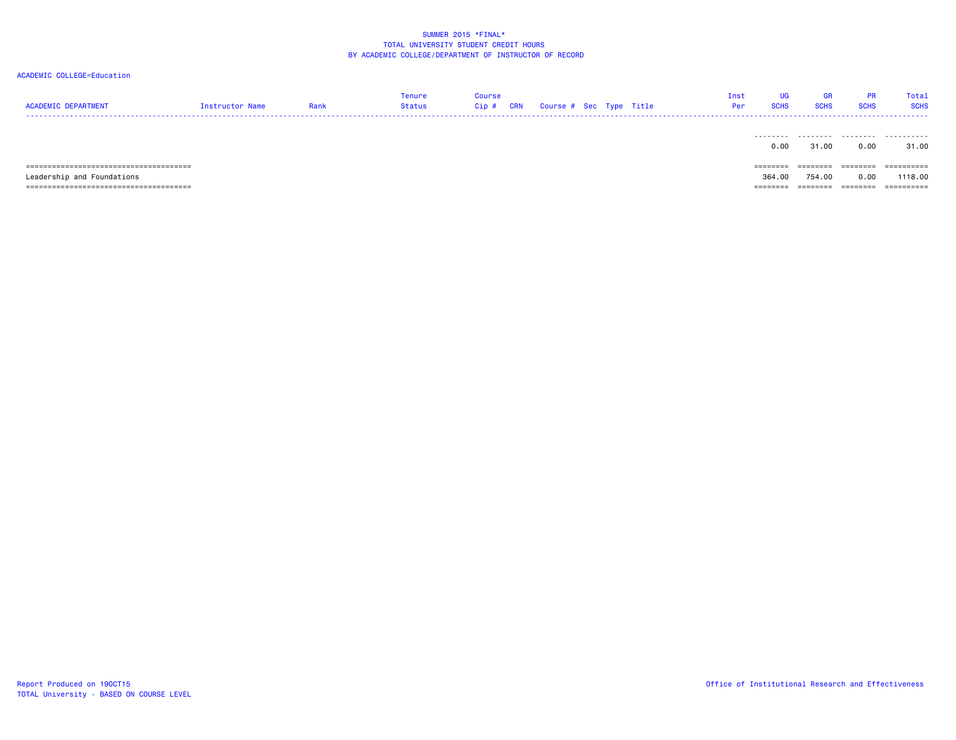| <b>ACADEMIC DEPARTMENT</b>                | Instructor Name | Rank | Tenure<br>Status | <b>Course</b><br>Cip# | CRN | Course # Sec Type Title |  | Inst<br>Per | UG<br><b>SCHS</b> | <b>GR</b><br><b>SCHS</b> | <b>PR</b><br><b>SCHS</b> | Total<br><b>SCHS</b> |
|-------------------------------------------|-----------------|------|------------------|-----------------------|-----|-------------------------|--|-------------|-------------------|--------------------------|--------------------------|----------------------|
|                                           |                 |      |                  |                       |     |                         |  |             | .<br>0.00         | .<br>31.00               | 0.00                     | .<br>31.00           |
|                                           |                 |      |                  |                       |     |                         |  |             | ========          |                          | ========                 | ==========           |
| Leadership and Foundations                |                 |      |                  |                       |     |                         |  |             | 364,00            | 754.00                   | 0.00                     | 1118,00              |
| ===============================<br>====== |                 |      |                  |                       |     |                         |  |             | =======           | ========                 | =======                  | ==========           |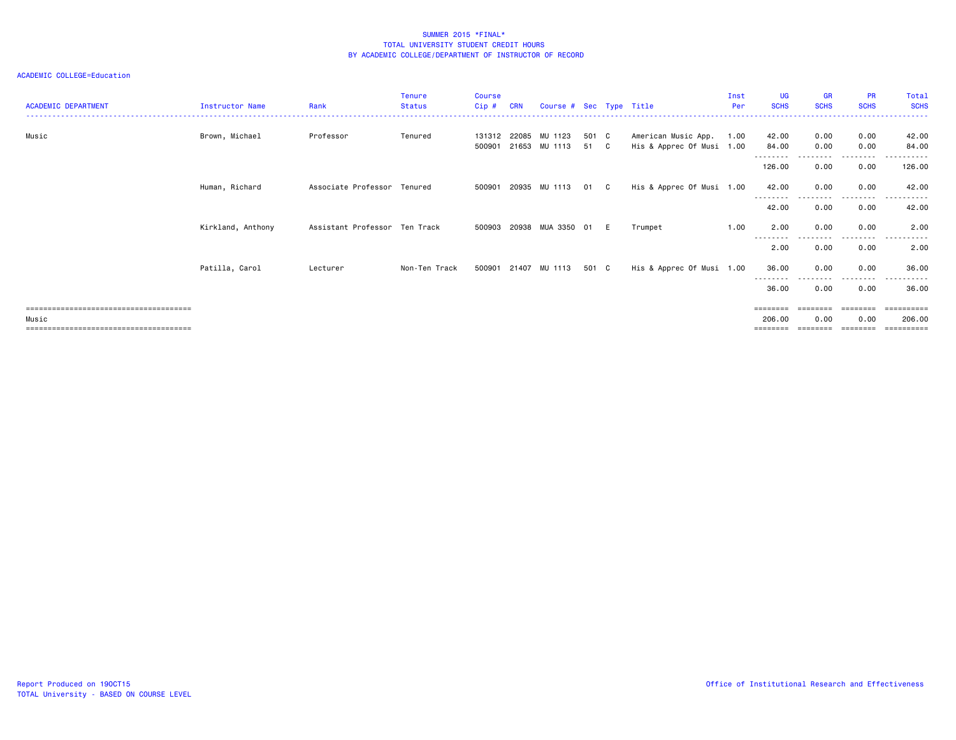| <b>ACADEMIC DEPARTMENT</b> | <b>Instructor Name</b> | Rank                          | <b>Tenure</b><br><b>Status</b> | <b>Course</b><br>Cip# | <b>CRN</b> | Course # Sec Type Title                      |               |   |                                                  | Inst<br>Per | <b>UG</b><br><b>SCHS</b> | <b>GR</b><br><b>SCHS</b> | <b>PR</b><br><b>SCHS</b> | Total<br><b>SCHS</b>              |
|----------------------------|------------------------|-------------------------------|--------------------------------|-----------------------|------------|----------------------------------------------|---------------|---|--------------------------------------------------|-------------|--------------------------|--------------------------|--------------------------|-----------------------------------|
| Music                      | Brown, Michael         | Professor                     | Tenured                        |                       |            | 131312 22085 MU 1123<br>500901 21653 MU 1113 | 501 C<br>51 C |   | American Music App.<br>His & Apprec Of Musi 1.00 | 1.00        | 42.00<br>84.00           | 0.00<br>0.00             | 0.00<br>0.00             | 42.00<br>84.00                    |
|                            |                        |                               |                                |                       |            |                                              |               |   |                                                  |             | 126.00                   | 0.00                     | 0.00                     | 126.00                            |
|                            | Human, Richard         | Associate Professor Tenured   |                                |                       |            | 500901 20935 MU 1113                         | 01 C          |   | His & Apprec Of Musi 1.00                        |             | 42.00<br>--------        | 0.00<br>$  -$            | 0.00<br>--------         | 42.00<br>.                        |
|                            |                        |                               |                                |                       |            |                                              |               |   |                                                  |             | 42.00                    | 0.00                     | 0.00                     | 42.00                             |
|                            | Kirkland, Anthony      | Assistant Professor Ten Track |                                |                       |            | 500903 20938 MUA 3350 01                     |               | E | Trumpet                                          | 1.00        | 2.00<br>--------         | 0.00                     | 0.00<br>---------        | 2.00<br>$- - - -$<br>. <b>.</b> . |
|                            |                        |                               |                                |                       |            |                                              |               |   |                                                  |             | 2.00                     | 0.00                     | 0.00                     | 2.00                              |
|                            | Patilla, Carol         | Lecturer                      | Non-Ten Track                  |                       |            | 500901 21407 MU 1113                         | 501 C         |   | His & Apprec Of Musi 1.00                        |             | 36.00<br>--------        | 0.00                     | 0.00<br>----             | 36.00                             |
|                            |                        |                               |                                |                       |            |                                              |               |   |                                                  |             | 36.00                    | 0.00                     | 0.00                     | 36.00                             |
| Music                      |                        |                               |                                |                       |            |                                              |               |   |                                                  |             | $=$ =======<br>206,00    | ========<br>0.00         | 0.00                     | ==========<br>206,00<br>          |
|                            |                        |                               |                                |                       |            |                                              |               |   |                                                  |             |                          |                          |                          |                                   |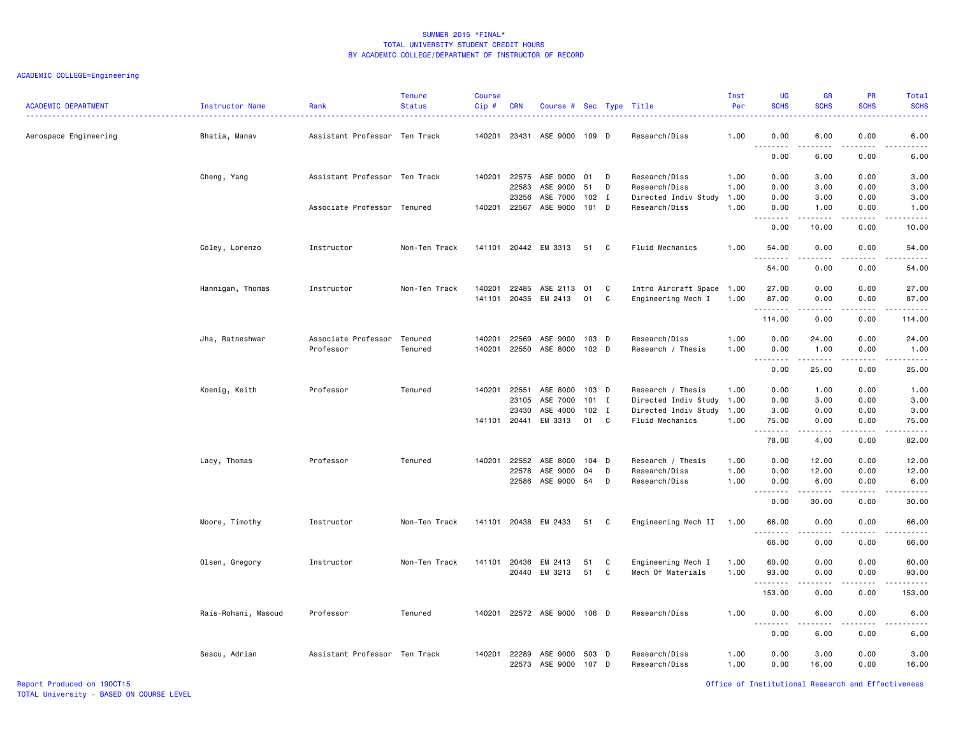| <b>ACADEMIC DEPARTMENT</b> | Instructor Name     | Rank                          | <b>Tenure</b><br><b>Status</b> | <b>Course</b><br>Cip# | <b>CRN</b>     | Course # Sec Type Title     |                  |    |                                | Inst<br>Per  | <b>UG</b><br><b>SCHS</b>                                    | <b>GR</b><br><b>SCHS</b>                                                                                                                                     | <b>PR</b><br><b>SCHS</b> | Total<br><b>SCHS</b>                                                                                                                                                                      |
|----------------------------|---------------------|-------------------------------|--------------------------------|-----------------------|----------------|-----------------------------|------------------|----|--------------------------------|--------------|-------------------------------------------------------------|--------------------------------------------------------------------------------------------------------------------------------------------------------------|--------------------------|-------------------------------------------------------------------------------------------------------------------------------------------------------------------------------------------|
| Aerospace Engineering      | Bhatia, Manav       | Assistant Professor Ten Track |                                | 140201                |                | 23431 ASE 9000 109 D        |                  |    | Research/Diss                  | 1.00         | 0.00<br>$\sim$ $\sim$ $\sim$<br>$\sim$ $\sim$ $\sim$ $\sim$ | 6.00<br>$- - - -$                                                                                                                                            | 0.00<br>- - - -          | 6.00                                                                                                                                                                                      |
|                            |                     |                               |                                |                       |                |                             |                  |    |                                |              | 0.00                                                        | 6.00                                                                                                                                                         | 0.00                     | 6.00                                                                                                                                                                                      |
|                            | Cheng, Yang         | Assistant Professor Ten Track |                                |                       | 140201 22575   | ASE 9000                    | 01               | D  | Research/Diss                  | 1.00         | 0.00                                                        | 3.00                                                                                                                                                         | 0.00                     | 3.00                                                                                                                                                                                      |
|                            |                     |                               |                                |                       | 22583          | ASE 9000                    | 51               | D  | Research/Diss                  | 1.00         | 0.00                                                        | 3.00                                                                                                                                                         | 0.00                     | 3.00                                                                                                                                                                                      |
|                            |                     |                               |                                |                       | 23256          | ASE 7000                    | $102$ I          |    | Directed Indiv Study           | 1.00         | 0.00                                                        | 3.00                                                                                                                                                         | 0.00                     | 3.00                                                                                                                                                                                      |
|                            |                     | Associate Professor Tenured   |                                | 140201                | 22567          | ASE 9000 101 D              |                  |    | Research/Diss                  | 1.00         | 0.00<br>والمحامر<br>$\sim$ $\sim$                           | 1.00<br>.                                                                                                                                                    | 0.00<br>د د د د          | 1.00<br>$\frac{1}{2} \left( \frac{1}{2} \right) \left( \frac{1}{2} \right) \left( \frac{1}{2} \right) \left( \frac{1}{2} \right)$                                                         |
|                            |                     |                               |                                |                       |                |                             |                  |    |                                |              | 0.00                                                        | 10.00                                                                                                                                                        | 0.00                     | 10.00                                                                                                                                                                                     |
|                            | Coley, Lorenzo      | Instructor                    | Non-Ten Track                  | 141101                |                | 20442 EM 3313               | 51               | C. | Fluid Mechanics                | 1.00         | 54.00<br>.                                                  | 0.00<br>.                                                                                                                                                    | 0.00<br>د د د د          | 54.00<br>المتماما                                                                                                                                                                         |
|                            |                     |                               |                                |                       |                |                             |                  |    |                                |              | 54.00                                                       | 0.00                                                                                                                                                         | 0.00                     | 54.00                                                                                                                                                                                     |
|                            | Hannigan, Thomas    | Instructor                    | Non-Ten Track                  | 140201                | 22485          | ASE 2113                    | 01               | C  | Intro Aircraft Space 1.00      |              | 27.00                                                       | 0.00                                                                                                                                                         | 0.00                     | 27.00                                                                                                                                                                                     |
|                            |                     |                               |                                | 141101                | 20435          | EM 2413                     | 01               | C  | Engineering Mech I             | 1.00         | 87.00                                                       | 0.00                                                                                                                                                         | 0.00                     | 87.00                                                                                                                                                                                     |
|                            |                     |                               |                                |                       |                |                             |                  |    |                                |              | .<br>114.00                                                 | $\frac{1}{2} \left( \frac{1}{2} \right) \left( \frac{1}{2} \right) \left( \frac{1}{2} \right) \left( \frac{1}{2} \right) \left( \frac{1}{2} \right)$<br>0.00 | .<br>0.00                | $\frac{1}{2} \left( \frac{1}{2} \right) \left( \frac{1}{2} \right) \left( \frac{1}{2} \right) \left( \frac{1}{2} \right) \left( \frac{1}{2} \right) \left( \frac{1}{2} \right)$<br>114.00 |
|                            | Jha, Ratneshwar     | Associate Professor           | Tenured                        | 140201                | 22569          | ASE 9000                    | 103 D            |    | Research/Diss                  | 1.00         | 0.00                                                        | 24.00                                                                                                                                                        | 0.00                     | 24.00                                                                                                                                                                                     |
|                            |                     | Professor                     | Tenured                        | 140201                | 22550          | ASE 8000                    | 102 <sub>D</sub> |    | Research / Thesis              | 1.00         | 0.00                                                        | 1.00                                                                                                                                                         | 0.00                     | 1.00                                                                                                                                                                                      |
|                            |                     |                               |                                |                       |                |                             |                  |    |                                |              | .<br>$\sim$ $\sim$ $\sim$                                   | .                                                                                                                                                            | د د د د                  | $\sim$ $\sim$ $\sim$ $\sim$ $\sim$                                                                                                                                                        |
|                            |                     |                               |                                |                       |                |                             |                  |    |                                |              | 0.00                                                        | 25.00                                                                                                                                                        | 0.00                     | 25.00                                                                                                                                                                                     |
|                            | Koenig, Keith       | Professor                     | Tenured                        | 140201                | 22551          | ASE 8000                    | 103 D            |    | Research / Thesis              | 1.00         | 0.00                                                        | 1.00                                                                                                                                                         | 0.00                     | 1.00                                                                                                                                                                                      |
|                            |                     |                               |                                |                       | 23105          | ASE 7000                    | 101 I            |    | Directed Indiv Study 1.00      |              | 0.00                                                        | 3.00                                                                                                                                                         | 0.00                     | 3.00                                                                                                                                                                                      |
|                            |                     |                               |                                |                       | 23430          | ASE 4000                    | 102 I            |    | Directed Indiv Study           | 1.00         | 3.00                                                        | 0.00                                                                                                                                                         | 0.00                     | 3.00                                                                                                                                                                                      |
|                            |                     |                               |                                | 141101 20441          |                | EM 3313                     | 01               | C  | Fluid Mechanics                | 1.00         | 75.00<br>.                                                  | 0.00<br><u>.</u>                                                                                                                                             | 0.00<br>.                | 75.00<br>.                                                                                                                                                                                |
|                            |                     |                               |                                |                       |                |                             |                  |    |                                |              | 78.00                                                       | 4.00                                                                                                                                                         | 0.00                     | 82.00                                                                                                                                                                                     |
|                            | Lacy, Thomas        | Professor                     | Tenured                        | 140201                | 22552          | ASE 8000                    | $104$ D          |    | Research / Thesis              | 1.00         | 0.00                                                        | 12.00                                                                                                                                                        | 0.00                     | 12.00                                                                                                                                                                                     |
|                            |                     |                               |                                |                       | 22578          | ASE 9000                    | 04               | D  | Research/Diss                  | 1.00         | 0.00                                                        | 12.00                                                                                                                                                        | 0.00                     | 12.00                                                                                                                                                                                     |
|                            |                     |                               |                                |                       | 22586          | ASE 9000                    | 54               | D  | Research/Diss                  | 1.00         | 0.00                                                        | 6.00                                                                                                                                                         | 0.00                     | 6.00                                                                                                                                                                                      |
|                            |                     |                               |                                |                       |                |                             |                  |    |                                |              | .<br>$\sim$ $\sim$ $\sim$<br>0.00                           | .<br>30.00                                                                                                                                                   | المتمالين<br>0.00        | $\frac{1}{2} \left( \frac{1}{2} \right) \left( \frac{1}{2} \right) \left( \frac{1}{2} \right) \left( \frac{1}{2} \right) \left( \frac{1}{2} \right)$<br>30.00                             |
|                            | Moore, Timothy      | Instructor                    | Non-Ten Track                  | 141101                | 20438          | EM 2433                     | 51               | C  | Engineering Mech II            | 1.00         | 66.00                                                       | 0.00                                                                                                                                                         | 0.00                     | 66.00                                                                                                                                                                                     |
|                            |                     |                               |                                |                       |                |                             |                  |    |                                |              | . <b>.</b><br>66.00                                         | 0.00                                                                                                                                                         | 0.00                     | $\frac{1}{2}$<br>66.00                                                                                                                                                                    |
|                            | Olsen, Gregory      | Instructor                    | Non-Ten Track                  | 141101 20436          |                | EM 2413                     | 51               | C  | Engineering Mech I             | 1.00         | 60.00                                                       | 0.00                                                                                                                                                         | 0.00                     | 60.00                                                                                                                                                                                     |
|                            |                     |                               |                                |                       | 20440          | EM 3213                     | 51               | C  | Mech Of Materials              | 1.00         | 93.00                                                       | 0.00                                                                                                                                                         | 0.00                     | 93.00                                                                                                                                                                                     |
|                            |                     |                               |                                |                       |                |                             |                  |    |                                |              | .                                                           |                                                                                                                                                              |                          | .                                                                                                                                                                                         |
|                            |                     |                               |                                |                       |                |                             |                  |    |                                |              | 153.00                                                      | 0.00                                                                                                                                                         | 0.00                     | 153.00                                                                                                                                                                                    |
|                            | Rais-Rohani, Masoud | Professor                     | Tenured                        |                       |                | 140201 22572 ASE 9000 106 D |                  |    | Research/Diss                  | 1.00         | 0.00<br>$\sim$ $\sim$ $\sim$<br>.                           | 6.00<br>.                                                                                                                                                    | 0.00<br>د د د د          | 6.00<br>----                                                                                                                                                                              |
|                            |                     |                               |                                |                       |                |                             |                  |    |                                |              | 0.00                                                        | 6.00                                                                                                                                                         | 0.00                     | 6.00                                                                                                                                                                                      |
|                            | Sescu, Adrian       | Assistant Professor Ten Track |                                | 140201                | 22289<br>22573 | ASE 9000<br>ASE 9000        | 503 D<br>107 D   |    | Research/Diss<br>Research/Diss | 1.00<br>1.00 | 0.00<br>0.00                                                | 3.00<br>16.00                                                                                                                                                | 0.00<br>0.00             | 3.00<br>16.00                                                                                                                                                                             |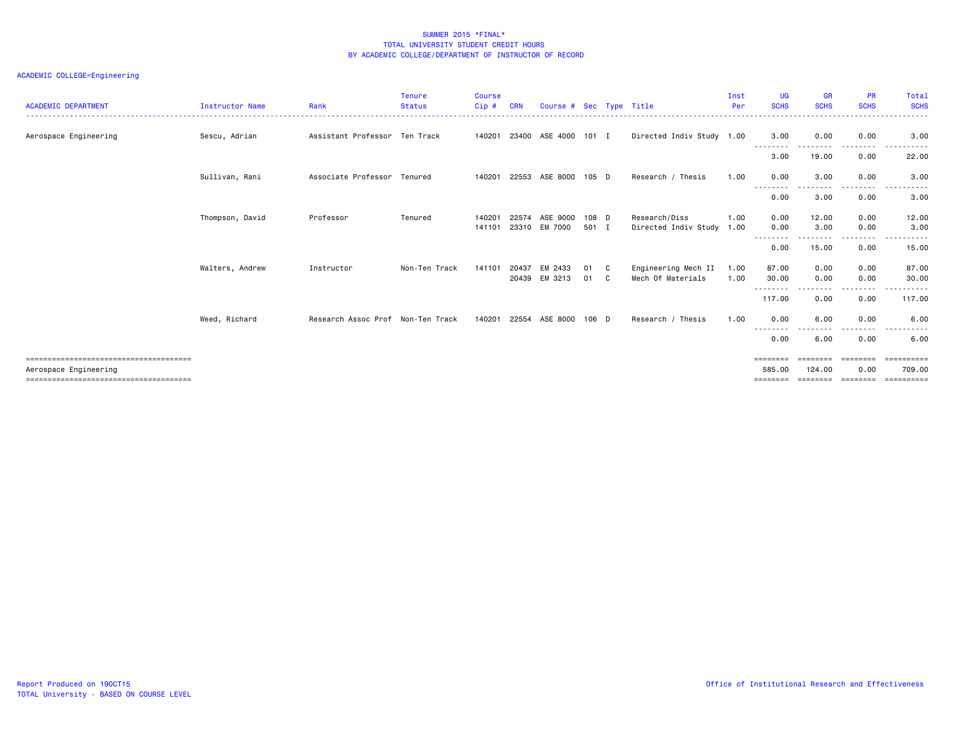| <b>ACADEMIC DEPARTMENT</b> | <b>Instructor Name</b> | Rank                              | <b>Tenure</b><br><b>Status</b> | <b>Course</b><br>$C$ ip $#$ |       | Course # Sec Type Title |       |     |                           | Inst<br>Per | <b>UG</b><br><b>SCHS</b> | <b>GR</b><br><b>SCHS</b> | <b>PR</b><br><b>SCHS</b> | Total<br><b>SCHS</b>        |
|----------------------------|------------------------|-----------------------------------|--------------------------------|-----------------------------|-------|-------------------------|-------|-----|---------------------------|-------------|--------------------------|--------------------------|--------------------------|-----------------------------|
|                            |                        |                                   |                                |                             |       |                         |       |     |                           |             |                          |                          | ---------------------    | . <b>.</b>                  |
| Aerospace Engineering      | Sescu, Adrian          | Assistant Professor Ten Track     |                                | 140201                      |       | 23400 ASE 4000 101 I    |       |     | Directed Indiv Study 1.00 |             | 3.00<br>---------        | 0.00<br>--------         | 0.00<br>--------         | 3.00<br>------<br>$- - - -$ |
|                            |                        |                                   |                                |                             |       |                         |       |     |                           |             | 3.00                     | 19.00                    | 0.00                     | 22.00                       |
|                            | Sullivan, Rani         | Associate Professor Tenured       |                                | 140201                      |       | 22553 ASE 8000          | 105 D |     | Research / Thesis         | 1.00        | 0.00<br>--------         | 3.00                     | 0.00                     | 3.00                        |
|                            |                        |                                   |                                |                             |       |                         |       |     |                           |             | 0.00                     | 3.00                     | 0.00                     | 3.00                        |
|                            | Thompson, David        | Professor                         | Tenured                        | 140201                      | 22574 | ASE 9000                | 108 D |     | Research/Diss             | 1.00        | 0.00                     | 12.00                    | 0.00                     | 12.00                       |
|                            |                        |                                   |                                | 141101                      |       | 23310 EM 7000           | 501 I |     | Directed Indiv Study 1.00 |             | 0.00                     | 3.00                     | 0.00                     | 3.00                        |
|                            |                        |                                   |                                |                             |       |                         |       |     |                           |             | --------<br>0.00         | 15.00                    | .<br>0.00                | 15.00                       |
|                            | Walters, Andrew        | Instructor                        | Non-Ten Track                  | 141101                      | 20437 | EM 2433                 | 01    | - C | Engineering Mech II       | 1.00        | 87.00                    | 0.00                     | 0.00                     | 87.00                       |
|                            |                        |                                   |                                |                             | 20439 | EM 3213                 | 01    | C   | Mech Of Materials         | 1.00        | 30.00                    | 0.00                     | 0.00                     | 30.00                       |
|                            |                        |                                   |                                |                             |       |                         |       |     |                           |             | --------<br>117.00       | 0.00                     | <u>.</u><br>0.00         | .<br>117.00                 |
|                            | Weed, Richard          | Research Assoc Prof Non-Ten Track |                                | 140201                      |       | 22554 ASE 8000          | 106 D |     | Research / Thesis         | 1.00        | 0.00<br>--------         | 6.00                     | 0.00<br>--------         | 6.00<br>$\cdots$<br>.       |
|                            |                        |                                   |                                |                             |       |                         |       |     |                           |             | 0.00                     | 6.00                     | 0.00                     | 6.00                        |
|                            |                        |                                   |                                |                             |       |                         |       |     |                           |             | ========                 | eeeeeee                  | ========                 | -----------                 |
| Aerospace Engineering      |                        |                                   |                                |                             |       |                         |       |     |                           |             | 585.00                   | 124.00                   | 0.00                     | 709,00                      |
|                            |                        |                                   |                                |                             |       |                         |       |     |                           |             | ========                 | ========                 | ---------                | ==========                  |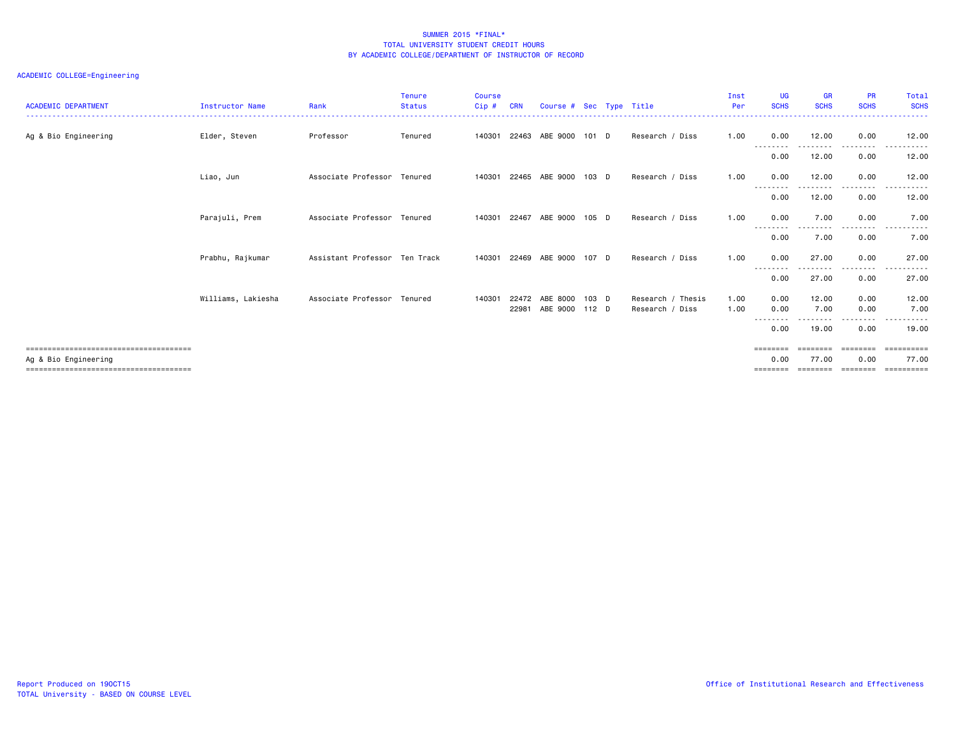| <b>ACADEMIC DEPARTMENT</b> | <b>Instructor Name</b> | Rank                          | <b>Tenure</b><br><b>Status</b> | <b>Course</b><br>Cip# | <b>CRN</b>     | Course # Sec Type Title     |         |                                      | Inst<br>Per  | <b>UG</b><br><b>SCHS</b>            | <b>GR</b><br><b>SCHS</b>   | <b>PR</b><br><b>SCHS</b> | Total<br><b>SCHS</b> |
|----------------------------|------------------------|-------------------------------|--------------------------------|-----------------------|----------------|-----------------------------|---------|--------------------------------------|--------------|-------------------------------------|----------------------------|--------------------------|----------------------|
| Ag & Bio Engineering       | Elder, Steven          | Professor                     | Tenured                        |                       |                | 140301 22463 ABE 9000 101 D |         | Research / Diss                      | 1.00         | 0.00                                | 12.00                      | 0.00                     | 12.00                |
|                            |                        |                               |                                |                       |                |                             |         |                                      |              | --------<br>0.00                    | 12.00                      | -----<br>0.00            | 12.00                |
|                            | Liao, Jun              | Associate Professor Tenured   |                                | 140301                | 22465          | ABE 9000                    | $103$ D | Research / Diss                      | 1.00         | 0.00<br>--------                    | 12.00                      | 0.00                     | 12.00                |
|                            |                        |                               |                                |                       |                |                             |         |                                      |              | 0.00                                | 12.00                      | 0.00                     | 12.00                |
|                            | Parajuli, Prem         | Associate Professor Tenured   |                                |                       |                | 140301 22467 ABE 9000       | 105 D   | Research / Diss                      | 1.00         | 0.00<br>--------                    | 7.00                       | 0.00<br>--------         | 7.00<br>.<br>.       |
|                            |                        |                               |                                |                       |                |                             |         |                                      |              | 0.00                                | 7.00                       | 0.00                     | 7.00                 |
|                            | Prabhu, Rajkumar       | Assistant Professor Ten Track |                                | 140301 22469          |                | ABE 9000                    | 107 D   | Research / Diss                      | 1.00         | 0.00                                | 27.00                      | 0.00<br>.                | 27.00                |
|                            |                        |                               |                                |                       |                |                             |         |                                      |              | 0.00                                | 27.00                      | 0.00                     | 27.00                |
|                            | Williams, Lakiesha     | Associate Professor Tenured   |                                | 140301                | 22472<br>22981 | ABE 8000<br>ABE 9000 112 D  | 103 D   | Research / Thesis<br>Research / Diss | 1.00<br>1.00 | 0.00<br>0.00<br>$- - -$<br>$\cdots$ | 12.00<br>7.00              | 0.00<br>0.00             | 12.00<br>7.00        |
|                            |                        |                               |                                |                       |                |                             |         |                                      |              | 0.00                                | 19.00                      | 0.00                     | 19,00                |
|                            |                        |                               |                                |                       |                |                             |         |                                      |              | $=$ = = = = = = =                   | ========                   | <b>CODDEDGE</b>          | ==========           |
| Ag & Bio Engineering       |                        |                               |                                |                       |                |                             |         |                                      |              | 0.00<br>========                    | 77.00<br>================= | 0.00                     | 77.00<br>----------- |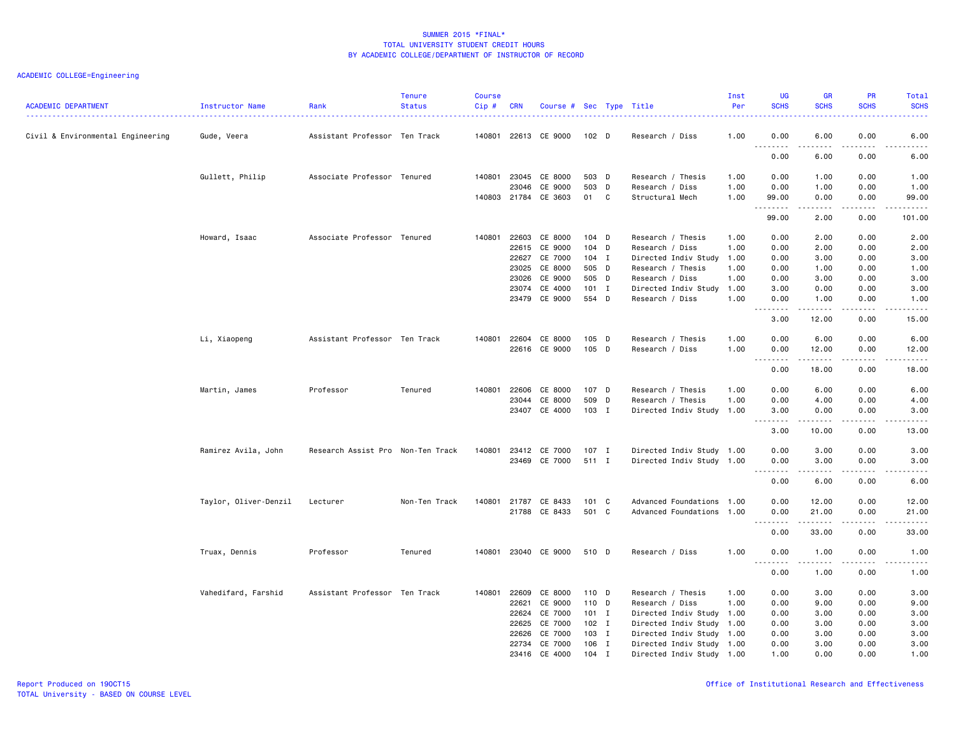| <b>ACADEMIC DEPARTMENT</b>        | <b>Instructor Name</b> | Rank                              | <b>Tenure</b><br><b>Status</b> | <b>Course</b><br>$Cip \#$ | <b>CRN</b>   | Course # Sec Type Title |                |   |                                                | Inst<br>Per  | <b>UG</b><br><b>SCHS</b>          | <b>GR</b><br><b>SCHS</b>                                                                                                                                     | PR<br><b>SCHS</b>                   | Total<br><b>SCHS</b><br>-----                                                                                                                                |
|-----------------------------------|------------------------|-----------------------------------|--------------------------------|---------------------------|--------------|-------------------------|----------------|---|------------------------------------------------|--------------|-----------------------------------|--------------------------------------------------------------------------------------------------------------------------------------------------------------|-------------------------------------|--------------------------------------------------------------------------------------------------------------------------------------------------------------|
| Civil & Environmental Engineering | Gude, Veera            | Assistant Professor Ten Track     |                                |                           |              | 140801 22613 CE 9000    | $102$ D        |   | Research / Diss                                | 1.00         | 0.00<br>$\sim$ $\sim$ $\sim$      | 6.00                                                                                                                                                         | 0.00<br>$- - -$                     | 6.00<br><u>.</u>                                                                                                                                             |
|                                   |                        |                                   |                                |                           |              |                         |                |   |                                                |              | د د د د<br>0.00                   | .<br>6.00                                                                                                                                                    | 0.00                                | 6.00                                                                                                                                                         |
|                                   | Gullett, Philip        | Associate Professor Tenured       |                                |                           | 140801 23045 | CE 8000                 | 503 D          |   | Research / Thesis                              | 1.00         | 0.00                              | 1.00                                                                                                                                                         | 0.00                                | 1.00                                                                                                                                                         |
|                                   |                        |                                   |                                |                           | 23046        | CE 9000                 | 503 D          |   | Research / Diss                                | 1.00         | 0.00                              | 1.00                                                                                                                                                         | 0.00                                | 1.00                                                                                                                                                         |
|                                   |                        |                                   |                                |                           |              | 140803 21784 CE 3603    | 01 C           |   | Structural Mech                                | 1.00         | 99.00<br>.                        | 0.00<br>.                                                                                                                                                    | 0.00<br>.                           | 99.00<br>.                                                                                                                                                   |
|                                   |                        |                                   |                                |                           |              |                         |                |   |                                                |              | 99.00                             | 2.00                                                                                                                                                         | 0.00                                | 101.00                                                                                                                                                       |
|                                   | Howard, Isaac          | Associate Professor Tenured       |                                | 140801                    | 22603        | CE 8000                 | $104$ D        |   | Research / Thesis                              | 1.00         | 0.00                              | 2.00                                                                                                                                                         | 0.00                                | 2.00                                                                                                                                                         |
|                                   |                        |                                   |                                |                           | 22615        | CE 9000                 | 104 D          |   | Research / Diss                                | 1.00         | 0.00                              | 2.00                                                                                                                                                         | 0.00                                | 2.00                                                                                                                                                         |
|                                   |                        |                                   |                                |                           | 22627        | CE 7000                 | 104 I          |   | Directed Indiv Study                           | 1.00         | 0.00                              | 3.00                                                                                                                                                         | 0.00                                | 3.00                                                                                                                                                         |
|                                   |                        |                                   |                                |                           | 23025        | CE 8000                 | 505 D          |   | Research / Thesis                              | 1.00         | 0.00                              | 1.00                                                                                                                                                         | 0.00                                | 1.00                                                                                                                                                         |
|                                   |                        |                                   |                                |                           | 23026        | CE 9000                 | 505 D          |   | Research / Diss                                | 1.00         | 0.00                              | 3.00                                                                                                                                                         | 0.00                                | 3.00                                                                                                                                                         |
|                                   |                        |                                   |                                |                           | 23074        | CE 4000                 | $101$ I        |   | Directed Indiv Study                           | 1.00         | 3.00                              | 0.00                                                                                                                                                         | 0.00                                | 3.00                                                                                                                                                         |
|                                   |                        |                                   |                                |                           | 23479        | CE 9000                 | 554 D          |   | Research / Diss                                | 1.00         | 0.00<br>-----                     | 1.00<br>.                                                                                                                                                    | 0.00<br>$\sim$ $\sim$ $\sim$ $\sim$ | 1.00<br>$- - - - -$                                                                                                                                          |
|                                   |                        |                                   |                                |                           |              |                         |                |   |                                                |              | 3.00                              | 12.00                                                                                                                                                        | 0.00                                | 15.00                                                                                                                                                        |
|                                   | Li, Xiaopeng           | Assistant Professor Ten Track     |                                |                           | 140801 22604 | CE 8000                 | $105$ D        |   | Research / Thesis                              | 1.00         | 0.00                              | 6.00                                                                                                                                                         | 0.00                                | 6.00                                                                                                                                                         |
|                                   |                        |                                   |                                |                           |              | 22616 CE 9000           | 105 D          |   | Research / Diss                                | 1.00         | 0.00                              | 12.00                                                                                                                                                        | 0.00                                | 12.00                                                                                                                                                        |
|                                   |                        |                                   |                                |                           |              |                         |                |   |                                                |              | $\sim$ $\sim$ $\sim$<br>.<br>0.00 | $- - - - -$<br>18.00                                                                                                                                         | .<br>0.00                           | د د د د د<br>18.00                                                                                                                                           |
|                                   |                        |                                   |                                |                           |              |                         |                |   |                                                |              |                                   |                                                                                                                                                              |                                     |                                                                                                                                                              |
|                                   | Martin, James          | Professor                         | Tenured                        | 140801                    | 22606        | CE 8000<br>CE 8000      | 107 D<br>509 D |   | Research / Thesis                              | 1.00<br>1.00 | 0.00<br>0.00                      | 6.00<br>4.00                                                                                                                                                 | 0.00<br>0.00                        | 6.00<br>4.00                                                                                                                                                 |
|                                   |                        |                                   |                                |                           | 23044        | 23407 CE 4000           | 103 I          |   | Research / Thesis<br>Directed Indiv Study 1.00 |              | 3.00                              | 0.00                                                                                                                                                         | 0.00                                | 3.00                                                                                                                                                         |
|                                   |                        |                                   |                                |                           |              |                         |                |   |                                                |              | .<br>$- - -$                      | $\frac{1}{2} \left( \frac{1}{2} \right) \left( \frac{1}{2} \right) \left( \frac{1}{2} \right) \left( \frac{1}{2} \right) \left( \frac{1}{2} \right)$         | .                                   | $\frac{1}{2} \left( \frac{1}{2} \right) \left( \frac{1}{2} \right) \left( \frac{1}{2} \right) \left( \frac{1}{2} \right) \left( \frac{1}{2} \right)$         |
|                                   |                        |                                   |                                |                           |              |                         |                |   |                                                |              | 3.00                              | 10.00                                                                                                                                                        | 0.00                                | 13.00                                                                                                                                                        |
|                                   | Ramirez Avila, John    | Research Assist Pro Non-Ten Track |                                | 140801                    |              | 23412 CE 7000           | $107$ I        |   | Directed Indiv Study 1.00                      |              | 0.00                              | 3.00                                                                                                                                                         | 0.00                                | 3.00                                                                                                                                                         |
|                                   |                        |                                   |                                |                           |              | 23469 CE 7000           | 511 I          |   | Directed Indiv Study 1.00                      |              | 0.00                              | 3.00                                                                                                                                                         | 0.00                                | 3.00                                                                                                                                                         |
|                                   |                        |                                   |                                |                           |              |                         |                |   |                                                |              | .<br>0.00                         | $\frac{1}{2} \left( \frac{1}{2} \right) \left( \frac{1}{2} \right) \left( \frac{1}{2} \right) \left( \frac{1}{2} \right) \left( \frac{1}{2} \right)$<br>6.00 | .<br>0.00                           | المتمام المتعاد<br>6.00                                                                                                                                      |
|                                   | Taylor, Oliver-Denzil  | Lecturer                          | Non-Ten Track                  | 140801                    | 21787        | CE 8433                 | $101 \quad C$  |   | Advanced Foundations 1.00                      |              | 0.00                              | 12.00                                                                                                                                                        | 0.00                                | 12.00                                                                                                                                                        |
|                                   |                        |                                   |                                |                           | 21788        | CE 8433                 | 501 C          |   | Advanced Foundations 1.00                      |              | 0.00                              | 21.00                                                                                                                                                        | 0.00                                | 21.00                                                                                                                                                        |
|                                   |                        |                                   |                                |                           |              |                         |                |   |                                                |              | .                                 | .                                                                                                                                                            | $- - - -$                           | $- - - - -$                                                                                                                                                  |
|                                   |                        |                                   |                                |                           |              |                         |                |   |                                                |              | 0.00                              | 33.00                                                                                                                                                        | 0.00                                | 33.00                                                                                                                                                        |
|                                   | Truax, Dennis          | Professor                         | Tenured                        |                           |              | 140801 23040 CE 9000    | 510 D          |   | Research / Diss                                | 1.00         | 0.00<br>.                         | 1.00<br>-----                                                                                                                                                | 0.00<br>.                           | 1.00<br>$\frac{1}{2} \left( \frac{1}{2} \right) \left( \frac{1}{2} \right) \left( \frac{1}{2} \right) \left( \frac{1}{2} \right) \left( \frac{1}{2} \right)$ |
|                                   |                        |                                   |                                |                           |              |                         |                |   |                                                |              | 0.00                              | 1.00                                                                                                                                                         | 0.00                                | 1.00                                                                                                                                                         |
|                                   | Vahedifard, Farshid    | Assistant Professor Ten Track     |                                |                           | 140801 22609 | CE 8000                 | 110 D          |   | Research / Thesis                              | 1.00         | 0.00                              | 3.00                                                                                                                                                         | 0.00                                | 3.00                                                                                                                                                         |
|                                   |                        |                                   |                                |                           | 22621        | CE 9000                 | 110 D          |   | Research / Diss                                | 1.00         | 0.00                              | 9.00                                                                                                                                                         | 0.00                                | 9.00                                                                                                                                                         |
|                                   |                        |                                   |                                |                           | 22624        | CE 7000                 | $101$ I        |   | Directed Indiv Study 1.00                      |              | 0.00                              | 3.00                                                                                                                                                         | 0.00                                | 3.00                                                                                                                                                         |
|                                   |                        |                                   |                                |                           | 22625        | CE 7000                 | $102$ I        |   | Directed Indiv Study 1.00                      |              | 0.00                              | 3.00                                                                                                                                                         | 0.00                                | 3.00                                                                                                                                                         |
|                                   |                        |                                   |                                |                           | 22626        | CE 7000                 | 103 I          |   | Directed Indiv Study 1.00                      |              | 0.00                              | 3.00                                                                                                                                                         | 0.00                                | 3.00                                                                                                                                                         |
|                                   |                        |                                   |                                |                           | 22734        | CE 7000                 | 106 I          |   | Directed Indiv Study 1.00                      |              | 0.00                              | 3.00                                                                                                                                                         | 0.00                                | 3.00                                                                                                                                                         |
|                                   |                        |                                   |                                |                           | 23416        | CE 4000                 | 104            | I | Directed Indiv Study 1.00                      |              | 1.00                              | 0.00                                                                                                                                                         | 0.00                                | 1.00                                                                                                                                                         |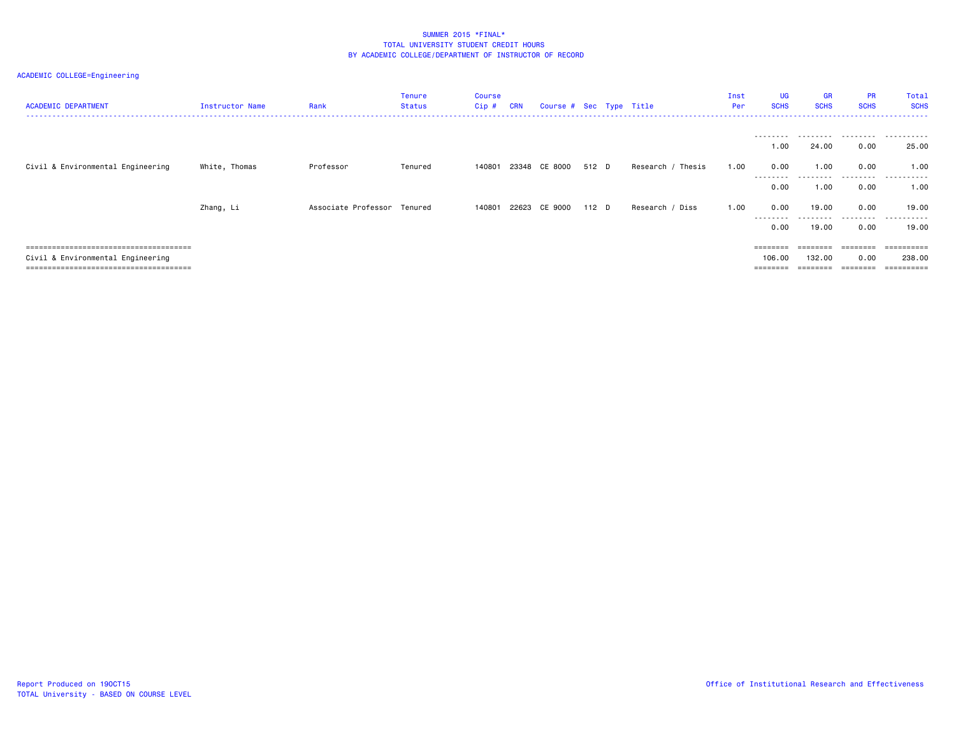| ACADEMIC DEPARTMENT               | Instructor Name | Rank                        | <b>Tenure</b><br><b>Status</b> | Course<br>$Cip$ # | <b>CRN</b> | Course # Sec Type Title |       |                   | Inst<br>Per | <b>UG</b><br><b>SCHS</b> | <b>GR</b><br><b>SCHS</b> | <b>PR</b><br><b>SCHS</b> | Total<br><b>SCHS</b> |
|-----------------------------------|-----------------|-----------------------------|--------------------------------|-------------------|------------|-------------------------|-------|-------------------|-------------|--------------------------|--------------------------|--------------------------|----------------------|
|                                   |                 |                             |                                |                   |            |                         |       |                   |             | ---------<br>1.00        | .<br>24.00               | .<br>0.00                | .<br>25.00           |
| Civil & Environmental Engineering | White, Thomas   | Professor                   | Tenured                        | 140801            |            | 23348 CE 8000           | 512 D | Research / Thesis | 1.00        | 0.00<br>--------         | 1.00<br>.                | 0.00<br>.                | 1.00<br>.            |
|                                   |                 |                             |                                |                   |            |                         |       |                   |             | 0.00                     | 1.00                     | 0.00                     | 1.00                 |
|                                   | Zhang, Li       | Associate Professor Tenured |                                | 140801            |            | 22623 CE 9000           | 112 D | Research / Diss   | 1.00        | 0.00<br>--------         | 19.00                    | 0.00                     | 19.00<br>----------  |
|                                   |                 |                             |                                |                   |            |                         |       |                   |             | 0.00                     | 19.00                    | 0.00                     | 19.00                |
|                                   |                 |                             |                                |                   |            |                         |       |                   |             | $=$ = = = = = = =        | ========                 | ========                 |                      |
| Civil & Environmental Engineering |                 |                             |                                |                   |            |                         |       |                   |             | 106.00                   | 132.00                   | 0.00                     | 238,00               |
|                                   |                 |                             |                                |                   |            |                         |       |                   |             |                          |                          |                          | ========             |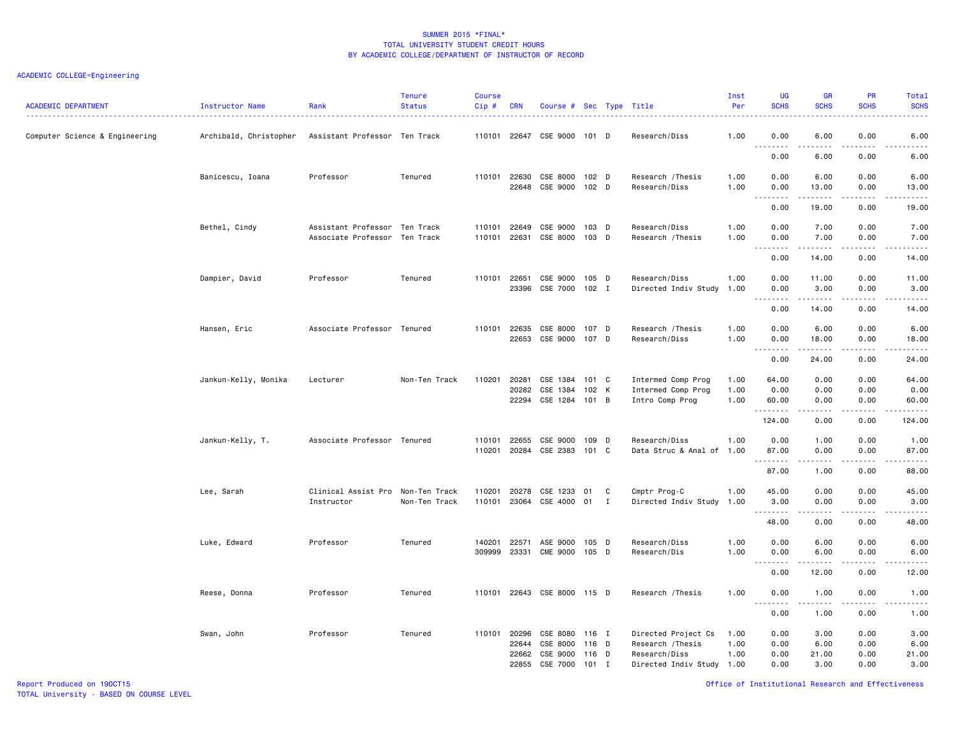| Computer Science & Engineering<br>Archibald, Christopher<br>Assistant Professor Ten Track<br>110101 22647 CSE 9000 101 D<br>Research/Diss<br>1.00<br>0.00<br>6.00<br>0.00<br>6.00<br>$\sim$ $\sim$<br>$- - -$<br>0.00<br>6.00<br>6.00<br>0.00<br>Professor<br>110101 22630<br>CSE 8000 102 D<br>1.00<br>0.00<br>6.00<br>0.00<br>6.00<br>Banicescu, Ioana<br>Tenured<br>Research / Thesis<br>22648<br>CSE 9000<br>102 D<br>Research/Diss<br>1.00<br>0.00<br>13.00<br>0.00<br>13.00<br>$\sim$ $\sim$ $\sim$<br>.<br>$\sim$ $\sim$ $\sim$ $\sim$<br>$\frac{1}{2} \left( \frac{1}{2} \right) \left( \frac{1}{2} \right) \left( \frac{1}{2} \right) \left( \frac{1}{2} \right) \left( \frac{1}{2} \right)$<br>0.00<br>19.00<br>0.00<br>19.00<br>Assistant Professor Ten Track<br>CSE 9000<br>0.00<br>7.00<br>7.00<br>Bethel, Cindy<br>110101 22649<br>103 D<br>Research/Diss<br>1.00<br>0.00<br>110101 22631<br>CSE 8000 103 D<br>Associate Professor Ten Track<br>Research / Thesis<br>1.00<br>0.00<br>7.00<br>0.00<br>7.00<br>.<br>.<br>0.00<br>14.00<br>0.00<br>14.00<br>Professor<br>Tenured<br>110101 22651<br>CSE 9000 105 D<br>Research/Diss<br>1.00<br>0.00<br>11.00<br>0.00<br>Dampier, David<br>11.00<br>23396<br>CSE 7000<br>102 I<br>Directed Indiv Study<br>1.00<br>0.00<br>3.00<br>0.00<br>3.00<br>.<br>$\sim$ $\sim$ $\sim$<br>$\sim$ $\sim$ $\sim$ $\sim$<br>.<br>0.00<br>14.00<br>0.00<br>14.00<br>Associate Professor Tenured<br>110101 22635<br>CSE 8000<br>107 D<br>Research / Thesis<br>1.00<br>0.00<br>6.00<br>0.00<br>6.00<br>Hansen, Eric<br>22653<br>CSE 9000 107 D<br>0.00<br>Research/Diss<br>1.00<br>0.00<br>18.00<br>18.00<br>$\sim$ $\sim$<br>$\sim$ $\sim$ $\sim$<br>0.00<br>24.00<br>0.00<br>24.00<br>Jankun-Kelly, Monika<br>Lecturer<br>Non-Ten Track<br>110201 20281<br>CSE 1384 101 C<br>Intermed Comp Prog<br>64.00<br>0.00<br>0.00<br>64.00<br>1.00<br>CSE 1384<br>102 K<br>0.00<br>0.00<br>20282<br>Intermed Comp Prog<br>1.00<br>0.00<br>0.00<br>22294 CSE 1284 101 B<br>1.00<br>60.00<br>0.00<br>0.00<br>60.00<br>Intro Comp Prog<br>.<br>.<br>124.00<br>0.00<br>0.00<br>124.00<br>Research/Diss<br>1.00<br>0.00<br>0.00<br>Jankun-Kelly, T.<br>Associate Professor Tenured<br>110101 22655<br>CSE 9000<br>109 D<br>1.00<br>1.00<br>20284 CSE 2383<br>87.00<br>110201<br>101 C<br>Data Struc & Anal of 1.00<br>0.00<br>0.00<br>87.00<br>. <b>.</b><br>$\omega$ is a set of<br>.<br>.<br>87.00<br>1.00<br>0.00<br>88.00<br>Clinical Assist Pro<br>110201<br>20278<br>CSE 1233<br>Cmptr Prog-C<br>1.00<br>45.00<br>0.00<br>0.00<br>Lee, Sarah<br>Non-Ten Track<br>01<br>C<br>45.00<br>23064 CSE 4000 01<br>Directed Indiv Study<br>Instructor<br>Non-Ten Track<br>110101<br>I<br>1.00<br>3.00<br>0.00<br>0.00<br>3.00<br>.<br>0.00<br>48.00<br>0.00<br>48.00<br>22571<br>105 D<br>Research/Diss<br>1.00<br>0.00<br>6.00<br>0.00<br>6.00<br>Luke, Edward<br>Professor<br>Tenured<br>140201<br>ASE 9000<br>23331<br><b>CME 9000</b><br>309999<br>105 D<br>Research/Dis<br>1.00<br>0.00<br>6.00<br>0.00<br>6.00<br>.<br>$\omega$ is a set of<br>.<br>$\frac{1}{2} \left( \frac{1}{2} \right) \left( \frac{1}{2} \right) \left( \frac{1}{2} \right) \left( \frac{1}{2} \right)$<br>$\sim$ $\sim$ $\sim$<br>0.00<br>12.00<br>0.00<br>12.00<br>Professor<br>Tenured<br>110101 22643 CSE 8000 115 D<br>Research / Thesis<br>1.00<br>0.00<br>1.00<br>0.00<br>Reese, Donna<br>1.00<br>.<br>.<br>$- - - -$<br>$\frac{1}{2}$<br>0.00<br>1.00<br>0.00<br>1.00<br>Tenured<br>Directed Project Cs<br>Swan, John<br>Professor<br>110101<br>20296<br>CSE 8080<br>116 I<br>1.00<br>0.00<br>3.00<br>0.00<br>3.00<br>CSE 8000<br>Research / Thesis<br>0.00<br>22644<br>116 D<br>1.00<br>6.00<br>0.00<br>6.00<br>CSE 9000<br>0.00<br>21.00<br>0.00<br>21.00<br>22662<br>116 D<br>Research/Diss<br>1.00<br>22855<br>CSE 7000<br>101<br>Directed Indiv Study 1.00<br>0.00<br>3.00<br>0.00<br>3.00<br>$\mathbf{I}$ | <b>ACADEMIC DEPARTMENT</b> | Instructor Name | Rank | <b>Tenure</b><br><b>Status</b> | <b>Course</b><br>Cip# | <b>CRN</b> | Course # Sec Type Title |  | Inst<br>Per | UG<br><b>SCHS</b> | <b>GR</b><br><b>SCHS</b> | PR<br><b>SCHS</b> | Total<br><b>SCHS</b><br>$\frac{1}{2} \left( \frac{1}{2} \right) \left( \frac{1}{2} \right) \left( \frac{1}{2} \right) \left( \frac{1}{2} \right) \left( \frac{1}{2} \right)$ |
|-------------------------------------------------------------------------------------------------------------------------------------------------------------------------------------------------------------------------------------------------------------------------------------------------------------------------------------------------------------------------------------------------------------------------------------------------------------------------------------------------------------------------------------------------------------------------------------------------------------------------------------------------------------------------------------------------------------------------------------------------------------------------------------------------------------------------------------------------------------------------------------------------------------------------------------------------------------------------------------------------------------------------------------------------------------------------------------------------------------------------------------------------------------------------------------------------------------------------------------------------------------------------------------------------------------------------------------------------------------------------------------------------------------------------------------------------------------------------------------------------------------------------------------------------------------------------------------------------------------------------------------------------------------------------------------------------------------------------------------------------------------------------------------------------------------------------------------------------------------------------------------------------------------------------------------------------------------------------------------------------------------------------------------------------------------------------------------------------------------------------------------------------------------------------------------------------------------------------------------------------------------------------------------------------------------------------------------------------------------------------------------------------------------------------------------------------------------------------------------------------------------------------------------------------------------------------------------------------------------------------------------------------------------------------------------------------------------------------------------------------------------------------------------------------------------------------------------------------------------------------------------------------------------------------------------------------------------------------------------------------------------------------------------------------------------------------------------------------------------------------------------------------------------------------------------------------------------------------------------------------------------------------------------------------------------------------------------------------------------------------------------------------------------------------------------------------------------------------------------------------------------------------------------------------------------------------------------------------------------------------------------------------------------------------------------------------------------------------------------------------------------------------------------------------------------------------------------------------------------------------------------------------------------------------------|----------------------------|-----------------|------|--------------------------------|-----------------------|------------|-------------------------|--|-------------|-------------------|--------------------------|-------------------|------------------------------------------------------------------------------------------------------------------------------------------------------------------------------|
|                                                                                                                                                                                                                                                                                                                                                                                                                                                                                                                                                                                                                                                                                                                                                                                                                                                                                                                                                                                                                                                                                                                                                                                                                                                                                                                                                                                                                                                                                                                                                                                                                                                                                                                                                                                                                                                                                                                                                                                                                                                                                                                                                                                                                                                                                                                                                                                                                                                                                                                                                                                                                                                                                                                                                                                                                                                                                                                                                                                                                                                                                                                                                                                                                                                                                                                                                                                                                                                                                                                                                                                                                                                                                                                                                                                                                                                                                                                               |                            |                 |      |                                |                       |            |                         |  |             |                   |                          |                   |                                                                                                                                                                              |
|                                                                                                                                                                                                                                                                                                                                                                                                                                                                                                                                                                                                                                                                                                                                                                                                                                                                                                                                                                                                                                                                                                                                                                                                                                                                                                                                                                                                                                                                                                                                                                                                                                                                                                                                                                                                                                                                                                                                                                                                                                                                                                                                                                                                                                                                                                                                                                                                                                                                                                                                                                                                                                                                                                                                                                                                                                                                                                                                                                                                                                                                                                                                                                                                                                                                                                                                                                                                                                                                                                                                                                                                                                                                                                                                                                                                                                                                                                                               |                            |                 |      |                                |                       |            |                         |  |             |                   |                          |                   |                                                                                                                                                                              |
|                                                                                                                                                                                                                                                                                                                                                                                                                                                                                                                                                                                                                                                                                                                                                                                                                                                                                                                                                                                                                                                                                                                                                                                                                                                                                                                                                                                                                                                                                                                                                                                                                                                                                                                                                                                                                                                                                                                                                                                                                                                                                                                                                                                                                                                                                                                                                                                                                                                                                                                                                                                                                                                                                                                                                                                                                                                                                                                                                                                                                                                                                                                                                                                                                                                                                                                                                                                                                                                                                                                                                                                                                                                                                                                                                                                                                                                                                                                               |                            |                 |      |                                |                       |            |                         |  |             |                   |                          |                   |                                                                                                                                                                              |
|                                                                                                                                                                                                                                                                                                                                                                                                                                                                                                                                                                                                                                                                                                                                                                                                                                                                                                                                                                                                                                                                                                                                                                                                                                                                                                                                                                                                                                                                                                                                                                                                                                                                                                                                                                                                                                                                                                                                                                                                                                                                                                                                                                                                                                                                                                                                                                                                                                                                                                                                                                                                                                                                                                                                                                                                                                                                                                                                                                                                                                                                                                                                                                                                                                                                                                                                                                                                                                                                                                                                                                                                                                                                                                                                                                                                                                                                                                                               |                            |                 |      |                                |                       |            |                         |  |             |                   |                          |                   |                                                                                                                                                                              |
|                                                                                                                                                                                                                                                                                                                                                                                                                                                                                                                                                                                                                                                                                                                                                                                                                                                                                                                                                                                                                                                                                                                                                                                                                                                                                                                                                                                                                                                                                                                                                                                                                                                                                                                                                                                                                                                                                                                                                                                                                                                                                                                                                                                                                                                                                                                                                                                                                                                                                                                                                                                                                                                                                                                                                                                                                                                                                                                                                                                                                                                                                                                                                                                                                                                                                                                                                                                                                                                                                                                                                                                                                                                                                                                                                                                                                                                                                                                               |                            |                 |      |                                |                       |            |                         |  |             |                   |                          |                   |                                                                                                                                                                              |
|                                                                                                                                                                                                                                                                                                                                                                                                                                                                                                                                                                                                                                                                                                                                                                                                                                                                                                                                                                                                                                                                                                                                                                                                                                                                                                                                                                                                                                                                                                                                                                                                                                                                                                                                                                                                                                                                                                                                                                                                                                                                                                                                                                                                                                                                                                                                                                                                                                                                                                                                                                                                                                                                                                                                                                                                                                                                                                                                                                                                                                                                                                                                                                                                                                                                                                                                                                                                                                                                                                                                                                                                                                                                                                                                                                                                                                                                                                                               |                            |                 |      |                                |                       |            |                         |  |             |                   |                          |                   |                                                                                                                                                                              |
|                                                                                                                                                                                                                                                                                                                                                                                                                                                                                                                                                                                                                                                                                                                                                                                                                                                                                                                                                                                                                                                                                                                                                                                                                                                                                                                                                                                                                                                                                                                                                                                                                                                                                                                                                                                                                                                                                                                                                                                                                                                                                                                                                                                                                                                                                                                                                                                                                                                                                                                                                                                                                                                                                                                                                                                                                                                                                                                                                                                                                                                                                                                                                                                                                                                                                                                                                                                                                                                                                                                                                                                                                                                                                                                                                                                                                                                                                                                               |                            |                 |      |                                |                       |            |                         |  |             |                   |                          |                   |                                                                                                                                                                              |
|                                                                                                                                                                                                                                                                                                                                                                                                                                                                                                                                                                                                                                                                                                                                                                                                                                                                                                                                                                                                                                                                                                                                                                                                                                                                                                                                                                                                                                                                                                                                                                                                                                                                                                                                                                                                                                                                                                                                                                                                                                                                                                                                                                                                                                                                                                                                                                                                                                                                                                                                                                                                                                                                                                                                                                                                                                                                                                                                                                                                                                                                                                                                                                                                                                                                                                                                                                                                                                                                                                                                                                                                                                                                                                                                                                                                                                                                                                                               |                            |                 |      |                                |                       |            |                         |  |             |                   |                          |                   |                                                                                                                                                                              |
|                                                                                                                                                                                                                                                                                                                                                                                                                                                                                                                                                                                                                                                                                                                                                                                                                                                                                                                                                                                                                                                                                                                                                                                                                                                                                                                                                                                                                                                                                                                                                                                                                                                                                                                                                                                                                                                                                                                                                                                                                                                                                                                                                                                                                                                                                                                                                                                                                                                                                                                                                                                                                                                                                                                                                                                                                                                                                                                                                                                                                                                                                                                                                                                                                                                                                                                                                                                                                                                                                                                                                                                                                                                                                                                                                                                                                                                                                                                               |                            |                 |      |                                |                       |            |                         |  |             |                   |                          |                   |                                                                                                                                                                              |
|                                                                                                                                                                                                                                                                                                                                                                                                                                                                                                                                                                                                                                                                                                                                                                                                                                                                                                                                                                                                                                                                                                                                                                                                                                                                                                                                                                                                                                                                                                                                                                                                                                                                                                                                                                                                                                                                                                                                                                                                                                                                                                                                                                                                                                                                                                                                                                                                                                                                                                                                                                                                                                                                                                                                                                                                                                                                                                                                                                                                                                                                                                                                                                                                                                                                                                                                                                                                                                                                                                                                                                                                                                                                                                                                                                                                                                                                                                                               |                            |                 |      |                                |                       |            |                         |  |             |                   |                          |                   |                                                                                                                                                                              |
|                                                                                                                                                                                                                                                                                                                                                                                                                                                                                                                                                                                                                                                                                                                                                                                                                                                                                                                                                                                                                                                                                                                                                                                                                                                                                                                                                                                                                                                                                                                                                                                                                                                                                                                                                                                                                                                                                                                                                                                                                                                                                                                                                                                                                                                                                                                                                                                                                                                                                                                                                                                                                                                                                                                                                                                                                                                                                                                                                                                                                                                                                                                                                                                                                                                                                                                                                                                                                                                                                                                                                                                                                                                                                                                                                                                                                                                                                                                               |                            |                 |      |                                |                       |            |                         |  |             |                   |                          |                   |                                                                                                                                                                              |
|                                                                                                                                                                                                                                                                                                                                                                                                                                                                                                                                                                                                                                                                                                                                                                                                                                                                                                                                                                                                                                                                                                                                                                                                                                                                                                                                                                                                                                                                                                                                                                                                                                                                                                                                                                                                                                                                                                                                                                                                                                                                                                                                                                                                                                                                                                                                                                                                                                                                                                                                                                                                                                                                                                                                                                                                                                                                                                                                                                                                                                                                                                                                                                                                                                                                                                                                                                                                                                                                                                                                                                                                                                                                                                                                                                                                                                                                                                                               |                            |                 |      |                                |                       |            |                         |  |             |                   |                          |                   |                                                                                                                                                                              |
|                                                                                                                                                                                                                                                                                                                                                                                                                                                                                                                                                                                                                                                                                                                                                                                                                                                                                                                                                                                                                                                                                                                                                                                                                                                                                                                                                                                                                                                                                                                                                                                                                                                                                                                                                                                                                                                                                                                                                                                                                                                                                                                                                                                                                                                                                                                                                                                                                                                                                                                                                                                                                                                                                                                                                                                                                                                                                                                                                                                                                                                                                                                                                                                                                                                                                                                                                                                                                                                                                                                                                                                                                                                                                                                                                                                                                                                                                                                               |                            |                 |      |                                |                       |            |                         |  |             |                   |                          |                   |                                                                                                                                                                              |
|                                                                                                                                                                                                                                                                                                                                                                                                                                                                                                                                                                                                                                                                                                                                                                                                                                                                                                                                                                                                                                                                                                                                                                                                                                                                                                                                                                                                                                                                                                                                                                                                                                                                                                                                                                                                                                                                                                                                                                                                                                                                                                                                                                                                                                                                                                                                                                                                                                                                                                                                                                                                                                                                                                                                                                                                                                                                                                                                                                                                                                                                                                                                                                                                                                                                                                                                                                                                                                                                                                                                                                                                                                                                                                                                                                                                                                                                                                                               |                            |                 |      |                                |                       |            |                         |  |             |                   |                          |                   |                                                                                                                                                                              |
|                                                                                                                                                                                                                                                                                                                                                                                                                                                                                                                                                                                                                                                                                                                                                                                                                                                                                                                                                                                                                                                                                                                                                                                                                                                                                                                                                                                                                                                                                                                                                                                                                                                                                                                                                                                                                                                                                                                                                                                                                                                                                                                                                                                                                                                                                                                                                                                                                                                                                                                                                                                                                                                                                                                                                                                                                                                                                                                                                                                                                                                                                                                                                                                                                                                                                                                                                                                                                                                                                                                                                                                                                                                                                                                                                                                                                                                                                                                               |                            |                 |      |                                |                       |            |                         |  |             |                   |                          |                   |                                                                                                                                                                              |
|                                                                                                                                                                                                                                                                                                                                                                                                                                                                                                                                                                                                                                                                                                                                                                                                                                                                                                                                                                                                                                                                                                                                                                                                                                                                                                                                                                                                                                                                                                                                                                                                                                                                                                                                                                                                                                                                                                                                                                                                                                                                                                                                                                                                                                                                                                                                                                                                                                                                                                                                                                                                                                                                                                                                                                                                                                                                                                                                                                                                                                                                                                                                                                                                                                                                                                                                                                                                                                                                                                                                                                                                                                                                                                                                                                                                                                                                                                                               |                            |                 |      |                                |                       |            |                         |  |             |                   |                          |                   |                                                                                                                                                                              |
|                                                                                                                                                                                                                                                                                                                                                                                                                                                                                                                                                                                                                                                                                                                                                                                                                                                                                                                                                                                                                                                                                                                                                                                                                                                                                                                                                                                                                                                                                                                                                                                                                                                                                                                                                                                                                                                                                                                                                                                                                                                                                                                                                                                                                                                                                                                                                                                                                                                                                                                                                                                                                                                                                                                                                                                                                                                                                                                                                                                                                                                                                                                                                                                                                                                                                                                                                                                                                                                                                                                                                                                                                                                                                                                                                                                                                                                                                                                               |                            |                 |      |                                |                       |            |                         |  |             |                   |                          |                   |                                                                                                                                                                              |
|                                                                                                                                                                                                                                                                                                                                                                                                                                                                                                                                                                                                                                                                                                                                                                                                                                                                                                                                                                                                                                                                                                                                                                                                                                                                                                                                                                                                                                                                                                                                                                                                                                                                                                                                                                                                                                                                                                                                                                                                                                                                                                                                                                                                                                                                                                                                                                                                                                                                                                                                                                                                                                                                                                                                                                                                                                                                                                                                                                                                                                                                                                                                                                                                                                                                                                                                                                                                                                                                                                                                                                                                                                                                                                                                                                                                                                                                                                                               |                            |                 |      |                                |                       |            |                         |  |             |                   |                          |                   |                                                                                                                                                                              |
|                                                                                                                                                                                                                                                                                                                                                                                                                                                                                                                                                                                                                                                                                                                                                                                                                                                                                                                                                                                                                                                                                                                                                                                                                                                                                                                                                                                                                                                                                                                                                                                                                                                                                                                                                                                                                                                                                                                                                                                                                                                                                                                                                                                                                                                                                                                                                                                                                                                                                                                                                                                                                                                                                                                                                                                                                                                                                                                                                                                                                                                                                                                                                                                                                                                                                                                                                                                                                                                                                                                                                                                                                                                                                                                                                                                                                                                                                                                               |                            |                 |      |                                |                       |            |                         |  |             |                   |                          |                   |                                                                                                                                                                              |
|                                                                                                                                                                                                                                                                                                                                                                                                                                                                                                                                                                                                                                                                                                                                                                                                                                                                                                                                                                                                                                                                                                                                                                                                                                                                                                                                                                                                                                                                                                                                                                                                                                                                                                                                                                                                                                                                                                                                                                                                                                                                                                                                                                                                                                                                                                                                                                                                                                                                                                                                                                                                                                                                                                                                                                                                                                                                                                                                                                                                                                                                                                                                                                                                                                                                                                                                                                                                                                                                                                                                                                                                                                                                                                                                                                                                                                                                                                                               |                            |                 |      |                                |                       |            |                         |  |             |                   |                          |                   |                                                                                                                                                                              |
|                                                                                                                                                                                                                                                                                                                                                                                                                                                                                                                                                                                                                                                                                                                                                                                                                                                                                                                                                                                                                                                                                                                                                                                                                                                                                                                                                                                                                                                                                                                                                                                                                                                                                                                                                                                                                                                                                                                                                                                                                                                                                                                                                                                                                                                                                                                                                                                                                                                                                                                                                                                                                                                                                                                                                                                                                                                                                                                                                                                                                                                                                                                                                                                                                                                                                                                                                                                                                                                                                                                                                                                                                                                                                                                                                                                                                                                                                                                               |                            |                 |      |                                |                       |            |                         |  |             |                   |                          |                   |                                                                                                                                                                              |
|                                                                                                                                                                                                                                                                                                                                                                                                                                                                                                                                                                                                                                                                                                                                                                                                                                                                                                                                                                                                                                                                                                                                                                                                                                                                                                                                                                                                                                                                                                                                                                                                                                                                                                                                                                                                                                                                                                                                                                                                                                                                                                                                                                                                                                                                                                                                                                                                                                                                                                                                                                                                                                                                                                                                                                                                                                                                                                                                                                                                                                                                                                                                                                                                                                                                                                                                                                                                                                                                                                                                                                                                                                                                                                                                                                                                                                                                                                                               |                            |                 |      |                                |                       |            |                         |  |             |                   |                          |                   |                                                                                                                                                                              |
|                                                                                                                                                                                                                                                                                                                                                                                                                                                                                                                                                                                                                                                                                                                                                                                                                                                                                                                                                                                                                                                                                                                                                                                                                                                                                                                                                                                                                                                                                                                                                                                                                                                                                                                                                                                                                                                                                                                                                                                                                                                                                                                                                                                                                                                                                                                                                                                                                                                                                                                                                                                                                                                                                                                                                                                                                                                                                                                                                                                                                                                                                                                                                                                                                                                                                                                                                                                                                                                                                                                                                                                                                                                                                                                                                                                                                                                                                                                               |                            |                 |      |                                |                       |            |                         |  |             |                   |                          |                   |                                                                                                                                                                              |
|                                                                                                                                                                                                                                                                                                                                                                                                                                                                                                                                                                                                                                                                                                                                                                                                                                                                                                                                                                                                                                                                                                                                                                                                                                                                                                                                                                                                                                                                                                                                                                                                                                                                                                                                                                                                                                                                                                                                                                                                                                                                                                                                                                                                                                                                                                                                                                                                                                                                                                                                                                                                                                                                                                                                                                                                                                                                                                                                                                                                                                                                                                                                                                                                                                                                                                                                                                                                                                                                                                                                                                                                                                                                                                                                                                                                                                                                                                                               |                            |                 |      |                                |                       |            |                         |  |             |                   |                          |                   |                                                                                                                                                                              |
|                                                                                                                                                                                                                                                                                                                                                                                                                                                                                                                                                                                                                                                                                                                                                                                                                                                                                                                                                                                                                                                                                                                                                                                                                                                                                                                                                                                                                                                                                                                                                                                                                                                                                                                                                                                                                                                                                                                                                                                                                                                                                                                                                                                                                                                                                                                                                                                                                                                                                                                                                                                                                                                                                                                                                                                                                                                                                                                                                                                                                                                                                                                                                                                                                                                                                                                                                                                                                                                                                                                                                                                                                                                                                                                                                                                                                                                                                                                               |                            |                 |      |                                |                       |            |                         |  |             |                   |                          |                   |                                                                                                                                                                              |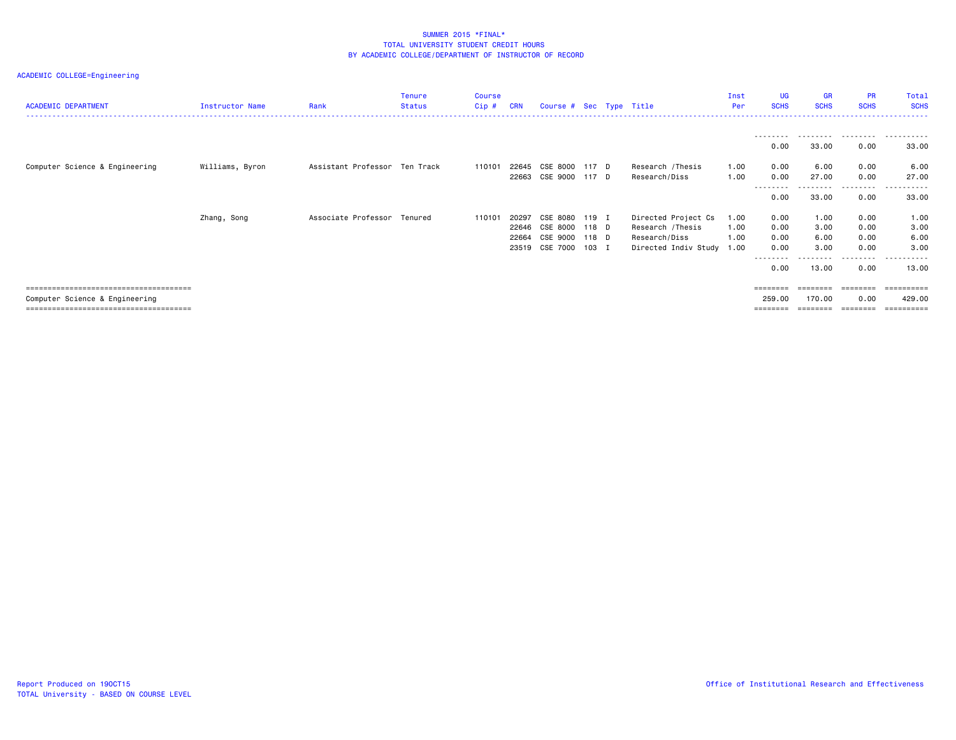| <b>ACADEMIC DEPARTMENT</b>     | Instructor Name | Rank                          | Tenure<br><b>Status</b> | <b>Course</b><br>Cip# | <b>CRN</b> | Course # Sec Type Title |       |                           | Inst<br>Per | <b>UG</b><br><b>SCHS</b> | <b>GR</b><br><b>SCHS</b> | <b>PR</b><br><b>SCHS</b> | Total<br><b>SCHS</b> |
|--------------------------------|-----------------|-------------------------------|-------------------------|-----------------------|------------|-------------------------|-------|---------------------------|-------------|--------------------------|--------------------------|--------------------------|----------------------|
|                                |                 |                               |                         |                       |            |                         |       |                           |             | .                        | .                        |                          | .                    |
|                                |                 |                               |                         |                       |            |                         |       |                           |             | 0.00                     | 33.00                    | 0.00                     | 33.00                |
| Computer Science & Engineering | Williams, Byron | Assistant Professor Ten Track |                         | 110101                | 22645      | CSE 8000 117 D          |       | Research /Thesis          | 1.00        | 0.00                     | 6.00                     | 0.00                     | 6.00                 |
|                                |                 |                               |                         |                       | 22663      | CSE 9000 117 D          |       | Research/Diss             | 1.00        | 0.00                     | 27.00                    | 0.00                     | 27.00                |
|                                |                 |                               |                         |                       |            |                         |       |                           |             | 0.00                     | 33.00                    | .<br>0.00                | ------<br>33.00      |
|                                | Zhang, Song     | Associate Professor Tenured   |                         | 110101                | 20297      | CSE 8080 119 I          |       | Directed Project Cs       | 1.00        | 0.00                     | 1.00                     | 0.00                     | 1.00                 |
|                                |                 |                               |                         |                       |            | 22646 CSE 8000 118 D    |       | Research /Thesis          | 1.00        | 0.00                     | 3.00                     | 0.00                     | 3.00                 |
|                                |                 |                               |                         |                       |            | 22664 CSE 9000 118 D    |       | Research/Diss             | 1.00        | 0.00                     | 6.00                     | 0.00                     | 6.00                 |
|                                |                 |                               |                         |                       | 23519      | CSE 7000                | 103 I | Directed Indiv Study 1.00 |             | 0.00                     | 3.00                     | 0.00                     | 3.00                 |
|                                |                 |                               |                         |                       |            |                         |       |                           |             | ---------<br>0.00        | 13.00                    | .<br>0.00                | .<br>13.00           |
|                                |                 |                               |                         |                       |            |                         |       |                           |             |                          |                          |                          |                      |
| Computer Science & Engineering |                 |                               |                         |                       |            |                         |       |                           |             | 259.00                   | 170.00                   | 0.00                     | 429.00               |
|                                |                 |                               |                         |                       |            |                         |       |                           |             |                          |                          |                          | ==========           |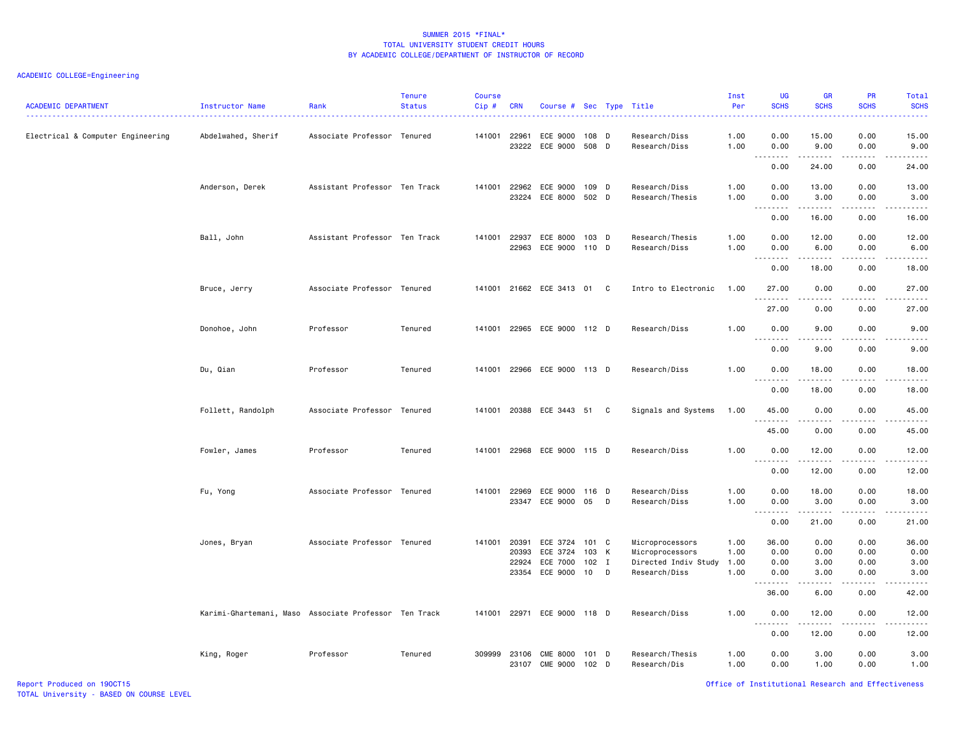# ACADEMIC COLLEGE=Engineering

| <b>ACADEMIC DEPARTMENT</b>        | <b>Instructor Name</b>                                | Rank                          | <b>Tenure</b><br><b>Status</b> | <b>Course</b><br>Cip# | <b>CRN</b>     | Course # Sec Type Title            |                |   |                                    | Inst<br>Per  | <b>UG</b><br><b>SCHS</b>          | <b>GR</b><br><b>SCHS</b>                     | PR<br><b>SCHS</b>                        | Total<br><b>SCHS</b>                                                                                                                                          |
|-----------------------------------|-------------------------------------------------------|-------------------------------|--------------------------------|-----------------------|----------------|------------------------------------|----------------|---|------------------------------------|--------------|-----------------------------------|----------------------------------------------|------------------------------------------|---------------------------------------------------------------------------------------------------------------------------------------------------------------|
| Electrical & Computer Engineering | Abdelwahed, Sherif                                    | Associate Professor Tenured   |                                | 141001                | 22961<br>23222 | ECE 9000<br>ECE 9000               | 108 D<br>508 D |   | Research/Diss<br>Research/Diss     | 1.00<br>1.00 | 0.00<br>0.00                      | 15.00<br>9.00                                | 0.00<br>0.00                             | 15.00<br>9.00                                                                                                                                                 |
|                                   |                                                       |                               |                                |                       |                |                                    |                |   |                                    |              | .<br>$\sim$ $\sim$ $\sim$<br>0.00 | .<br>24.00                                   | .<br>0.00                                | $\sim$<br>24.00                                                                                                                                               |
|                                   | Anderson, Derek                                       | Assistant Professor Ten Track |                                | 141001                | 22962          | ECE 9000<br>23224 ECE 8000 502 D   | 109 D          |   | Research/Diss<br>Research/Thesis   | 1.00<br>1.00 | 0.00<br>0.00<br>.                 | 13.00<br>3.00                                | 0.00<br>0.00                             | 13.00<br>3.00<br>د د د د د                                                                                                                                    |
|                                   |                                                       |                               |                                |                       |                |                                    |                |   |                                    |              | 0.00                              | 16.00                                        | 0.00                                     | 16.00                                                                                                                                                         |
|                                   | Ball, John                                            | Assistant Professor Ten Track |                                | 141001 22937          | 22963          | ECE 8000<br>ECE 9000               | 103 D<br>110 D |   | Research/Thesis<br>Research/Diss   | 1.00<br>1.00 | 0.00<br>0.00<br>.                 | 12.00<br>6.00<br>$\sim$ $\sim$ $\sim$ $\sim$ | 0.00<br>0.00<br>$\omega = \omega/\omega$ | 12.00<br>6.00<br>$\sim$ $\sim$ $\sim$ $\sim$ $\sim$                                                                                                           |
|                                   |                                                       |                               |                                |                       |                |                                    |                |   |                                    |              | 0.00                              | 18.00                                        | 0.00                                     | 18.00                                                                                                                                                         |
|                                   | Bruce, Jerry                                          | Associate Professor Tenured   |                                |                       |                | 141001 21662 ECE 3413 01           |                | C | Intro to Electronic                | 1.00         | 27.00<br>.                        | 0.00                                         | 0.00                                     | 27.00<br>$\frac{1}{2} \left( \frac{1}{2} \right) \left( \frac{1}{2} \right) \left( \frac{1}{2} \right) \left( \frac{1}{2} \right) \left( \frac{1}{2} \right)$ |
|                                   |                                                       |                               |                                |                       |                |                                    |                |   |                                    |              | 27.00                             | 0.00                                         | 0.00                                     | 27.00                                                                                                                                                         |
|                                   | Donohoe, John                                         | Professor                     | Tenured                        |                       |                | 141001 22965 ECE 9000 112 D        |                |   | Research/Diss                      | 1.00         | 0.00<br>$- - -$<br>.              | 9.00                                         | 0.00                                     | 9.00<br>$- - - -$                                                                                                                                             |
|                                   |                                                       |                               |                                |                       |                |                                    |                |   |                                    |              | 0.00                              | 9.00                                         | 0.00                                     | 9.00                                                                                                                                                          |
|                                   | Du, Qian                                              | Professor                     | Tenured                        |                       |                | 141001 22966 ECE 9000 113 D        |                |   | Research/Diss                      | 1.00         | 0.00<br>.                         | 18.00<br>-----                               | 0.00<br>$   -$                           | 18.00<br>$\frac{1}{2} \left( \frac{1}{2} \right) \left( \frac{1}{2} \right) \left( \frac{1}{2} \right) \left( \frac{1}{2} \right) \left( \frac{1}{2} \right)$ |
|                                   |                                                       |                               |                                |                       |                |                                    |                |   |                                    |              | 0.00                              | 18.00                                        | 0.00                                     | 18.00                                                                                                                                                         |
|                                   | Follett, Randolph                                     | Associate Professor Tenured   |                                |                       |                | 141001 20388 ECE 3443 51 C         |                |   | Signals and Systems                | 1.00         | 45.00<br>.                        | 0.00<br>-----                                | 0.00<br>$-$ - $-$ -                      | 45.00<br>.                                                                                                                                                    |
|                                   |                                                       |                               |                                |                       |                |                                    |                |   |                                    |              | 45.00                             | 0.00                                         | 0.00                                     | 45.00                                                                                                                                                         |
|                                   | Fowler, James                                         | Professor                     | Tenured                        |                       |                | 141001 22968 ECE 9000 115 D        |                |   | Research/Diss                      | 1.00         | 0.00<br>.                         | 12.00<br>د د د د د                           | 0.00<br>$\sim$ $\sim$ $\sim$ $\sim$      | 12.00<br>د د د د د                                                                                                                                            |
|                                   |                                                       |                               |                                |                       |                |                                    |                |   |                                    |              | 0.00                              | 12.00                                        | 0.00                                     | 12.00                                                                                                                                                         |
|                                   | Fu, Yong                                              | Associate Professor Tenured   |                                | 141001                | 22969          | ECE 9000<br>23347 ECE 9000         | 116 D<br>05    | D | Research/Diss<br>Research/Diss     | 1.00<br>1.00 | 0.00<br>0.00<br>.                 | 18.00<br>3.00<br>.                           | 0.00<br>0.00<br>.                        | 18.00<br>3.00<br>.                                                                                                                                            |
|                                   |                                                       |                               |                                |                       |                |                                    |                |   |                                    |              | 0.00                              | 21.00                                        | 0.00                                     | 21.00                                                                                                                                                         |
|                                   | Jones, Bryan                                          | Associate Professor Tenured   |                                | 141001                | 20391<br>20393 | ECE 3724<br>ECE 3724               | 101 C<br>103 K |   | Microprocessors<br>Microprocessors | 1.00<br>1.00 | 36.00<br>0.00                     | 0.00<br>0.00                                 | 0.00<br>0.00                             | 36.00<br>0.00                                                                                                                                                 |
|                                   |                                                       |                               |                                |                       | 22924          | ECE 7000                           | $102$ I        |   | Directed Indiv Study               | 1.00         | 0.00                              | 3.00                                         | 0.00                                     | 3.00                                                                                                                                                          |
|                                   |                                                       |                               |                                |                       |                | 23354 ECE 9000                     | 10             | D | Research/Diss                      | 1.00         | 0.00<br>.                         | 3.00<br>.                                    | 0.00<br>$\frac{1}{2}$                    | 3.00<br>$- - - - -$                                                                                                                                           |
|                                   |                                                       |                               |                                |                       |                |                                    |                |   |                                    |              | 36.00                             | 6.00                                         | 0.00                                     | 42.00                                                                                                                                                         |
|                                   | Karimi-Ghartemani, Maso Associate Professor Ten Track |                               |                                |                       |                | 141001 22971 ECE 9000 118 D        |                |   | Research/Diss                      | 1.00         | 0.00<br>$- - -$<br><u>.</u>       | 12.00<br>. <u>.</u> .                        | 0.00<br>$- - - -$                        | 12.00<br>.                                                                                                                                                    |
|                                   |                                                       |                               |                                |                       |                |                                    |                |   |                                    |              | 0.00                              | 12.00                                        | 0.00                                     | 12.00                                                                                                                                                         |
|                                   | King, Roger                                           | Professor                     | Tenured                        | 309999                | 23106<br>23107 | <b>CME 8000</b><br><b>CME 9000</b> | 101 D<br>102 D |   | Research/Thesis<br>Research/Dis    | 1.00<br>1.00 | 0.00<br>0.00                      | 3.00<br>1.00                                 | 0.00<br>0.00                             | 3.00<br>1.00                                                                                                                                                  |

Report Produced on 19OCT15 Office of Institutional Research and Effectiveness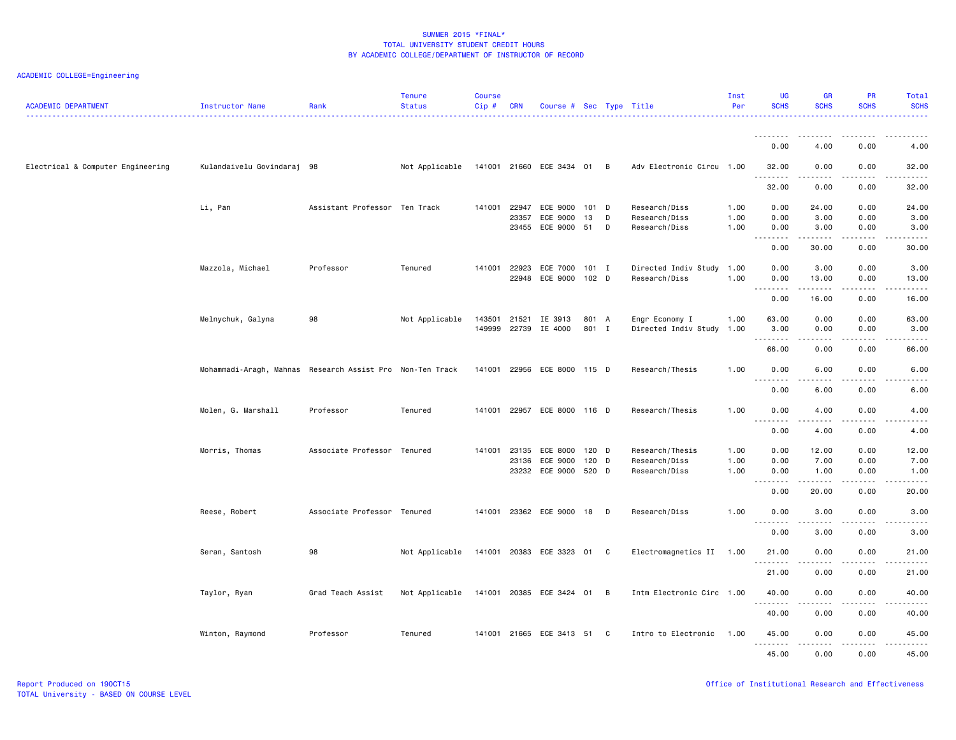| <b>ACADEMIC DEPARTMENT</b>        | Instructor Name                                           | Rank                          | <b>Tenure</b><br><b>Status</b> | <b>Course</b><br>Cip# | <b>CRN</b> | Course # Sec Type Title    |         |   |                           | Inst<br>Per | <b>UG</b><br><b>SCHS</b>          | <b>GR</b><br><b>SCHS</b>                                                                                                          | <b>PR</b><br><b>SCHS</b> | Total<br><b>SCHS</b>  |
|-----------------------------------|-----------------------------------------------------------|-------------------------------|--------------------------------|-----------------------|------------|----------------------------|---------|---|---------------------------|-------------|-----------------------------------|-----------------------------------------------------------------------------------------------------------------------------------|--------------------------|-----------------------|
|                                   |                                                           |                               |                                |                       |            |                            |         |   |                           |             |                                   |                                                                                                                                   |                          |                       |
|                                   |                                                           |                               |                                |                       |            |                            |         |   |                           |             | 0.00                              | 4.00                                                                                                                              | 0.00                     | 4.00                  |
| Electrical & Computer Engineering | Kulandaivelu Govindaraj 98                                |                               | Not Applicable                 |                       |            | 141001 21660 ECE 3434 01 B |         |   | Adv Electronic Circu 1.00 |             | 32.00<br>.                        | 0.00<br>----                                                                                                                      | 0.00                     | 32.00                 |
|                                   |                                                           |                               |                                |                       |            |                            |         |   |                           |             | 32.00                             | 0.00                                                                                                                              | 0.00                     | 32.00                 |
|                                   | Li, Pan                                                   | Assistant Professor Ten Track |                                | 141001                | 22947      | ECE 9000                   | 101 D   |   | Research/Diss             | 1.00        | 0.00                              | 24.00                                                                                                                             | 0.00                     | 24.00                 |
|                                   |                                                           |                               |                                |                       | 23357      | ECE 9000                   | 13      | D | Research/Diss             | 1.00        | 0.00                              | 3.00                                                                                                                              | 0.00                     | 3.00                  |
|                                   |                                                           |                               |                                |                       |            | 23455 ECE 9000             | 51      | D | Research/Diss             | 1.00        | 0.00<br>.<br>$\sim$ $\sim$ $\sim$ | 3.00<br>.                                                                                                                         | 0.00<br>.                | 3.00<br>$\cdots$      |
|                                   |                                                           |                               |                                |                       |            |                            |         |   |                           |             | 0.00                              | 30.00                                                                                                                             | 0.00                     | 30.00                 |
|                                   | Mazzola, Michael                                          | Professor                     | Tenured                        | 141001                | 22923      | ECE 7000                   | 101 I   |   | Directed Indiv Study 1.00 |             | 0.00                              | 3.00                                                                                                                              | 0.00                     | 3.00                  |
|                                   |                                                           |                               |                                |                       | 22948      | ECE 9000 102 D             |         |   | Research/Diss             | 1.00        | 0.00                              | 13.00                                                                                                                             | 0.00                     | 13.00                 |
|                                   |                                                           |                               |                                |                       |            |                            |         |   |                           |             | .<br>$\sim$ $\sim$<br>0.00        | 16.00                                                                                                                             | 0.00                     | 16.00                 |
|                                   | Melnychuk, Galyna                                         | 98                            | Not Applicable                 | 143501                | 21521      | IE 3913                    | 801 A   |   | Engr Economy I            | 1.00        | 63.00                             | 0.00                                                                                                                              | 0.00                     | 63.00                 |
|                                   |                                                           |                               |                                | 149999                |            | 22739 IE 4000              | 801 I   |   | Directed Indiv Study 1.00 |             | 3.00                              | 0.00                                                                                                                              | 0.00                     | 3.00                  |
|                                   |                                                           |                               |                                |                       |            |                            |         |   |                           |             | .                                 | .                                                                                                                                 | .                        | .                     |
|                                   |                                                           |                               |                                |                       |            |                            |         |   |                           |             | 66.00                             | 0.00                                                                                                                              | 0.00                     | 66.00                 |
|                                   | Mohammadi-Aragh, Mahnas Research Assist Pro Non-Ten Track |                               |                                | 141001                |            | 22956 ECE 8000 115 D       |         |   | Research/Thesis           | 1.00        | 0.00<br>$\sim$ $\sim$             | 6.00                                                                                                                              | 0.00                     | 6.00                  |
|                                   |                                                           |                               |                                |                       |            |                            |         |   |                           |             | 0.00                              | 6.00                                                                                                                              | 0.00                     | 6.00                  |
|                                   | Molen, G. Marshall                                        | Professor                     | Tenured                        | 141001                |            | 22957 ECE 8000 116 D       |         |   | Research/Thesis           | 1.00        | 0.00                              | 4.00                                                                                                                              | 0.00                     | 4.00                  |
|                                   |                                                           |                               |                                |                       |            |                            |         |   |                           |             | $\sim$ $\sim$<br>.                |                                                                                                                                   |                          |                       |
|                                   |                                                           |                               |                                |                       |            |                            |         |   |                           |             | 0.00                              | 4.00                                                                                                                              | 0.00                     | 4.00                  |
|                                   | Morris, Thomas                                            | Associate Professor Tenured   |                                | 141001 23135          |            | ECE 8000                   | $120$ D |   | Research/Thesis           | 1.00        | 0.00                              | 12.00                                                                                                                             | 0.00                     | 12.00                 |
|                                   |                                                           |                               |                                |                       | 23136      | ECE 9000                   | 120     | D | Research/Diss             | 1.00        | 0.00                              | 7.00                                                                                                                              | 0.00                     | 7.00                  |
|                                   |                                                           |                               |                                |                       |            | 23232 ECE 9000             | 520 D   |   | Research/Diss             | 1.00        | 0.00<br>.                         | 1.00<br>. <u>.</u>                                                                                                                | 0.00<br>.                | 1.00<br>.             |
|                                   |                                                           |                               |                                |                       |            |                            |         |   |                           |             | 0.00                              | 20.00                                                                                                                             | 0.00                     | 20.00                 |
|                                   | Reese, Robert                                             | Associate Professor Tenured   |                                | 141001                |            | 23362 ECE 9000 18          |         | D | Research/Diss             | 1.00        | 0.00                              | 3.00                                                                                                                              | 0.00                     | 3.00                  |
|                                   |                                                           |                               |                                |                       |            |                            |         |   |                           |             | د د د د<br>0.00                   | $\frac{1}{2} \left( \frac{1}{2} \right) \left( \frac{1}{2} \right) \left( \frac{1}{2} \right) \left( \frac{1}{2} \right)$<br>3.00 | .<br>0.00                | $- - - -$<br>3.00     |
|                                   |                                                           |                               |                                |                       |            |                            |         |   |                           |             |                                   |                                                                                                                                   |                          |                       |
|                                   | Seran, Santosh                                            | 98                            | Not Applicable                 |                       |            | 141001 20383 ECE 3323 01 C |         |   | Electromagnetics II 1.00  |             | 21.00<br>.                        | 0.00                                                                                                                              | 0.00                     | 21.00                 |
|                                   |                                                           |                               |                                |                       |            |                            |         |   |                           |             | 21.00                             | 0.00                                                                                                                              | 0.00                     | 21.00                 |
|                                   | Taylor, Ryan                                              | Grad Teach Assist             | Not Applicable                 |                       |            | 141001 20385 ECE 3424 01   |         | B | Intm Electronic Circ 1.00 |             | 40.00                             | 0.00                                                                                                                              | 0.00                     | 40.00                 |
|                                   |                                                           |                               |                                |                       |            |                            |         |   |                           |             | <b></b><br>40.00                  | <u>.</u><br>0.00                                                                                                                  | .<br>0.00                | . <b>.</b> .<br>40.00 |
|                                   |                                                           |                               |                                |                       |            |                            |         |   |                           |             |                                   |                                                                                                                                   |                          |                       |
|                                   | Winton, Raymond                                           | Professor                     | Tenured                        |                       |            | 141001 21665 ECE 3413 51 C |         |   | Intro to Electronic       | 1.00        | 45.00<br>.                        | 0.00<br>.                                                                                                                         | 0.00<br>.                | 45.00<br>.            |
|                                   |                                                           |                               |                                |                       |            |                            |         |   |                           |             | 45.00                             | 0.00                                                                                                                              | 0.00                     | 45.00                 |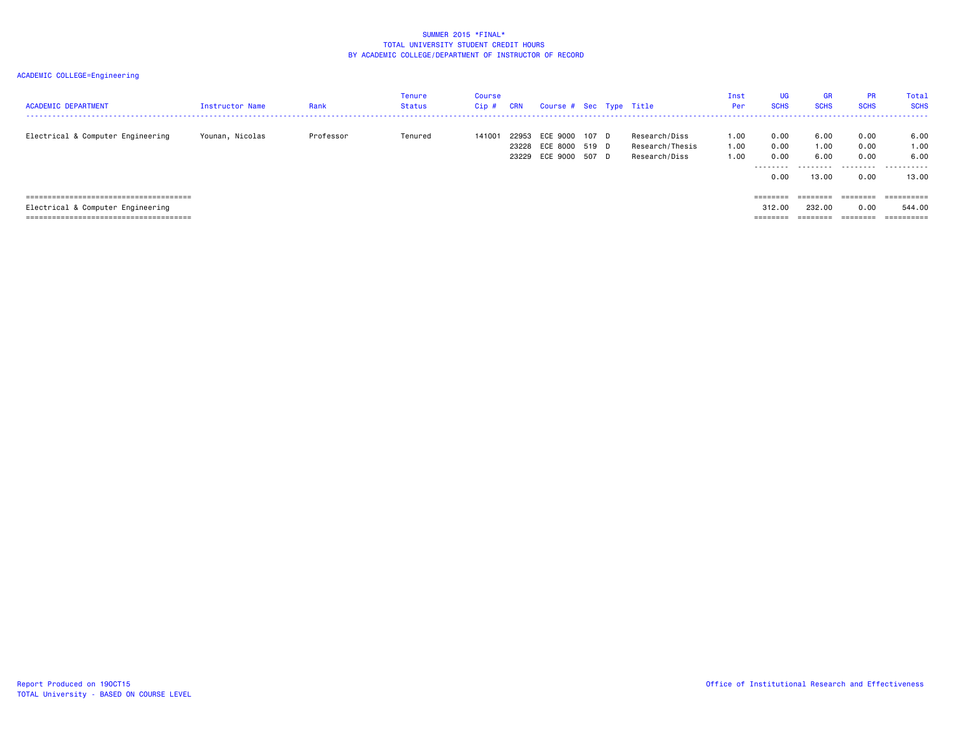| <b>ACADEMIC DEPARTMENT</b>        | Instructor Name | Rank      | <b>Tenure</b><br><b>Status</b> | Course<br>$Cip$ # | <b>CRN</b> | Course # Sec Type Title                      |                         |                                                   | Inst<br>Per          | UG<br><b>SCHS</b>                        | <b>GR</b><br><b>SCHS</b>      | <b>PR</b><br><b>SCHS</b>                  | Total<br><b>SCHS</b>               |
|-----------------------------------|-----------------|-----------|--------------------------------|-------------------|------------|----------------------------------------------|-------------------------|---------------------------------------------------|----------------------|------------------------------------------|-------------------------------|-------------------------------------------|------------------------------------|
| Electrical & Computer Engineering | Younan, Nicolas | Professor | Tenured                        | 141001            | 22953      | ECE 9000<br>23228 ECE 8000<br>23229 ECE 9000 | 107 D<br>519 D<br>507 D | Research/Diss<br>Research/Thesis<br>Research/Diss | 1.00<br>1.00<br>1.00 | 0.00<br>0.00<br>0.00<br>--------<br>0.00 | 6.00<br>1.00<br>6.00<br>13.00 | 0.00<br>0.00<br>0.00<br>---------<br>0.00 | 6.00<br>1.00<br>6.00<br>.<br>13.00 |
|                                   |                 |           |                                |                   |            |                                              |                         |                                                   |                      | $=$ =======                              | $=$ = = = = = = =             | ========                                  |                                    |
| Electrical & Computer Engineering |                 |           |                                |                   |            |                                              |                         |                                                   |                      | 312,00                                   | 232.00                        | 0.00                                      | 544.00                             |
|                                   |                 |           |                                |                   |            |                                              |                         |                                                   |                      | ========                                 | --------<br>--------          | ========                                  | ==========                         |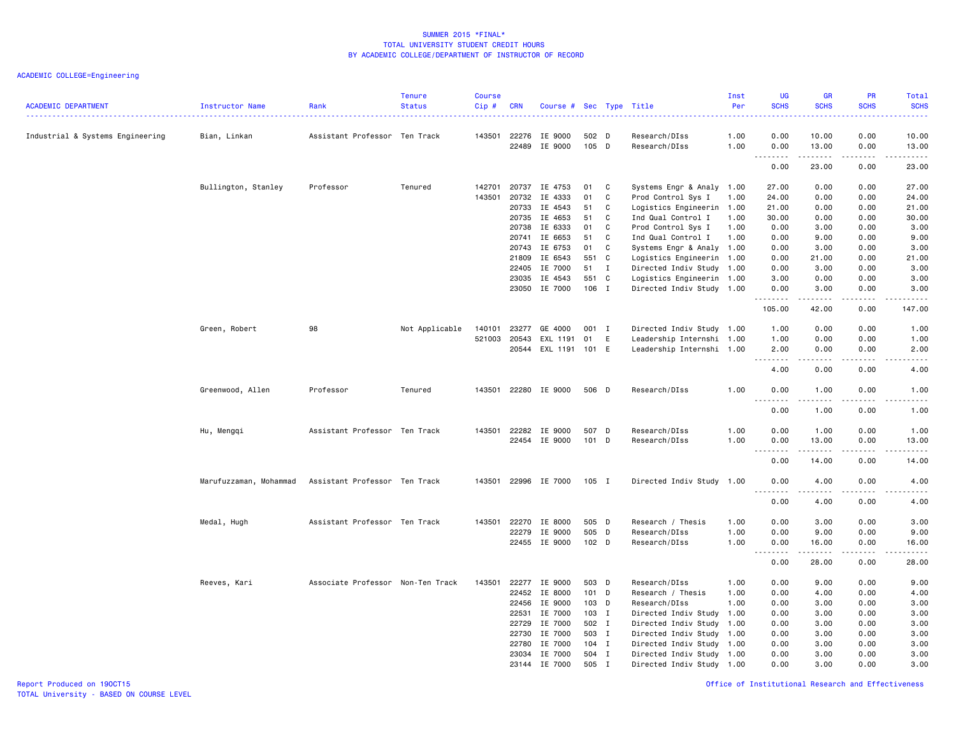| <b>ACADEMIC DEPARTMENT</b>       | Instructor Name        | Rank                              | <b>Tenure</b><br><b>Status</b> | <b>Course</b><br>Cip# | <b>CRN</b>     | Course # Sec Type Title |                |              |                                | Inst<br>Per  | <b>UG</b><br><b>SCHS</b>          | <b>GR</b><br><b>SCHS</b>                                                                                                                                     | PR<br><b>SCHS</b>            | Total<br><b>SCHS</b><br>$\frac{1}{2} \left( \frac{1}{2} \right) \left( \frac{1}{2} \right) \left( \frac{1}{2} \right) \left( \frac{1}{2} \right)$             |
|----------------------------------|------------------------|-----------------------------------|--------------------------------|-----------------------|----------------|-------------------------|----------------|--------------|--------------------------------|--------------|-----------------------------------|--------------------------------------------------------------------------------------------------------------------------------------------------------------|------------------------------|---------------------------------------------------------------------------------------------------------------------------------------------------------------|
| Industrial & Systems Engineering | Bian, Linkan           | Assistant Professor Ten Track     |                                | 143501                | 22276<br>22489 | IE 9000<br>IE 9000      | 502 D<br>105 D |              | Research/DIss<br>Research/DIss | 1.00<br>1.00 | 0.00<br>0.00                      | 10.00<br>13.00                                                                                                                                               | 0.00<br>0.00                 | 10.00<br>13.00                                                                                                                                                |
|                                  |                        |                                   |                                |                       |                |                         |                |              |                                |              | $\sim$ $\sim$ $\sim$<br>0.00      | $\frac{1}{2}$<br>23.00                                                                                                                                       | $\sim$ $\sim$ $\sim$<br>0.00 | $\frac{1}{2} \left( \frac{1}{2} \right) \left( \frac{1}{2} \right) \left( \frac{1}{2} \right) \left( \frac{1}{2} \right) \left( \frac{1}{2} \right)$<br>23.00 |
|                                  | Bullington, Stanley    | Professor                         | Tenured                        | 142701                | 20737          | IE 4753                 | 01             | C            | Systems Engr & Analy 1.00      |              | 27.00                             | 0.00                                                                                                                                                         | 0.00                         | 27.00                                                                                                                                                         |
|                                  |                        |                                   |                                | 143501                | 20732          | IE 4333                 | 01             | C            | Prod Control Sys I             | 1.00         | 24.00                             | 0.00                                                                                                                                                         | 0.00                         | 24.00                                                                                                                                                         |
|                                  |                        |                                   |                                |                       | 20733          | IE 4543                 | 51             | C            | Logistics Engineerin 1.00      |              | 21.00                             | 0.00                                                                                                                                                         | 0.00                         | 21.00                                                                                                                                                         |
|                                  |                        |                                   |                                |                       | 20735          | IE 4653                 | 51             | C            | Ind Qual Control I             | 1.00         | 30.00                             | 0.00                                                                                                                                                         | 0.00                         | 30.00                                                                                                                                                         |
|                                  |                        |                                   |                                |                       | 20738          | IE 6333                 | 01             | C            | Prod Control Sys I             | 1.00         | 0.00                              | 3.00                                                                                                                                                         | 0.00                         | 3.00                                                                                                                                                          |
|                                  |                        |                                   |                                |                       | 20741          | IE 6653                 | 51             | C            | Ind Qual Control I             | 1.00         | 0.00                              | 9.00                                                                                                                                                         | 0.00                         | 9.00                                                                                                                                                          |
|                                  |                        |                                   |                                |                       | 20743          | IE 6753                 | 01             | C            | Systems Engr & Analy 1.00      |              | 0.00                              | 3.00                                                                                                                                                         | 0.00                         | 3.00                                                                                                                                                          |
|                                  |                        |                                   |                                |                       | 21809          | IE 6543                 | 551            | C            | Logistics Engineerin 1.00      |              | 0.00                              | 21.00                                                                                                                                                        | 0.00                         | 21.00                                                                                                                                                         |
|                                  |                        |                                   |                                |                       | 22405          | IE 7000                 | 51             | $\mathbf{I}$ | Directed Indiv Study 1.00      |              | 0.00                              | 3.00                                                                                                                                                         | 0.00                         | 3.00                                                                                                                                                          |
|                                  |                        |                                   |                                |                       | 23035          | IE 4543                 | 551            | C            | Logistics Engineerin 1.00      |              | 3.00                              | 0.00                                                                                                                                                         | 0.00                         | 3.00                                                                                                                                                          |
|                                  |                        |                                   |                                |                       | 23050          | IE 7000                 | 106            | $\mathbf{I}$ | Directed Indiv Study 1.00      |              | 0.00<br>.                         | 3.00                                                                                                                                                         | 0.00                         | 3.00<br>.                                                                                                                                                     |
|                                  |                        |                                   |                                |                       |                |                         |                |              |                                |              | 105.00                            | 42.00                                                                                                                                                        | 0.00                         | 147.00                                                                                                                                                        |
|                                  | Green, Robert          | 98                                | Not Applicable                 | 140101                | 23277          | GE 4000                 | 001 I          |              | Directed Indiv Study 1.00      |              | 1.00                              | 0.00                                                                                                                                                         | 0.00                         | 1.00                                                                                                                                                          |
|                                  |                        |                                   |                                | 521003                | 20543          | EXL 1191                | 01             | E            | Leadership Internshi 1.00      |              | 1.00                              | 0.00                                                                                                                                                         | 0.00                         | 1.00                                                                                                                                                          |
|                                  |                        |                                   |                                |                       | 20544          | EXL 1191 101 E          |                |              | Leadership Internshi 1.00      |              | 2.00                              | 0.00                                                                                                                                                         | 0.00                         | 2.00                                                                                                                                                          |
|                                  |                        |                                   |                                |                       |                |                         |                |              |                                |              | .<br>4.00                         | <b>.</b><br>0.00                                                                                                                                             | .<br>0.00                    | .<br>4.00                                                                                                                                                     |
|                                  | Greenwood, Allen       | Professor                         | Tenured                        | 143501                |                | 22280 IE 9000           | 506 D          |              | Research/DIss                  | 1.00         | 0.00<br>.                         | 1.00                                                                                                                                                         | 0.00                         | 1.00                                                                                                                                                          |
|                                  |                        |                                   |                                |                       |                |                         |                |              |                                |              | 0.00                              | 1.00                                                                                                                                                         | 0.00                         | 1.00                                                                                                                                                          |
|                                  | Hu, Mengqi             | Assistant Professor Ten Track     |                                | 143501                | 22282          | IE 9000                 | 507 D          |              | Research/DIss                  | 1.00         | 0.00                              | 1.00                                                                                                                                                         | 0.00                         | 1.00                                                                                                                                                          |
|                                  |                        |                                   |                                |                       |                | 22454 IE 9000           | $101$ D        |              | Research/DIss                  | 1.00         | 0.00                              | 13.00                                                                                                                                                        | 0.00                         | 13.00                                                                                                                                                         |
|                                  |                        |                                   |                                |                       |                |                         |                |              |                                |              | ----                              |                                                                                                                                                              | $\sim$ $\sim$ $\sim$         | $\frac{1}{2} \left( \frac{1}{2} \right) \left( \frac{1}{2} \right) \left( \frac{1}{2} \right) \left( \frac{1}{2} \right) \left( \frac{1}{2} \right)$          |
|                                  |                        |                                   |                                |                       |                |                         |                |              |                                |              | 0.00                              | 14.00                                                                                                                                                        | 0.00                         | 14.00                                                                                                                                                         |
|                                  | Marufuzzaman, Mohammad | Assistant Professor Ten Track     |                                |                       |                | 143501 22996 IE 7000    | 105 I          |              | Directed Indiv Study 1.00      |              | 0.00<br>.                         | 4.00<br>$\frac{1}{2} \left( \frac{1}{2} \right) \left( \frac{1}{2} \right) \left( \frac{1}{2} \right) \left( \frac{1}{2} \right) \left( \frac{1}{2} \right)$ | 0.00<br>.                    | 4.00<br>$\frac{1}{2} \left( \frac{1}{2} \right) \left( \frac{1}{2} \right) \left( \frac{1}{2} \right) \left( \frac{1}{2} \right) \left( \frac{1}{2} \right)$  |
|                                  |                        |                                   |                                |                       |                |                         |                |              |                                |              | 0.00                              | 4.00                                                                                                                                                         | 0.00                         | 4.00                                                                                                                                                          |
|                                  | Medal, Hugh            | Assistant Professor Ten Track     |                                | 143501                | 22270          | IE 8000                 | 505            | D            | Research / Thesis              | 1.00         | 0.00                              | 3.00                                                                                                                                                         | 0.00                         | 3.00                                                                                                                                                          |
|                                  |                        |                                   |                                |                       | 22279          | IE 9000                 | 505 D          |              | Research/DIss                  | 1.00         | 0.00                              | 9.00                                                                                                                                                         | 0.00                         | 9.00                                                                                                                                                          |
|                                  |                        |                                   |                                |                       |                | 22455 IE 9000           | 102 D          |              | Research/DIss                  | 1.00         | 0.00                              | 16.00                                                                                                                                                        | 0.00                         | 16.00                                                                                                                                                         |
|                                  |                        |                                   |                                |                       |                |                         |                |              |                                |              | $\sim$ $\sim$ $\sim$<br>.<br>0.00 | .<br>28.00                                                                                                                                                   | .<br>0.00                    | $    -$<br>28.00                                                                                                                                              |
|                                  | Reeves, Kari           | Associate Professor Non-Ten Track |                                | 143501                | 22277          | IE 9000                 | 503 D          |              | Research/DIss                  | 1.00         | 0.00                              | 9.00                                                                                                                                                         | 0.00                         | 9.00                                                                                                                                                          |
|                                  |                        |                                   |                                |                       | 22452          | IE 8000                 | 101 D          |              | Research / Thesis              | 1.00         | 0.00                              | 4.00                                                                                                                                                         | 0.00                         | 4.00                                                                                                                                                          |
|                                  |                        |                                   |                                |                       | 22456          | IE 9000                 | 103            | D            | Research/DIss                  | 1.00         | 0.00                              | 3.00                                                                                                                                                         | 0.00                         | 3.00                                                                                                                                                          |
|                                  |                        |                                   |                                |                       | 22531          | IE 7000                 | 103 I          |              | Directed Indiv Study 1.00      |              | 0.00                              | 3.00                                                                                                                                                         | 0.00                         | 3.00                                                                                                                                                          |
|                                  |                        |                                   |                                |                       | 22729          | IE 7000                 | 502 I          |              | Directed Indiv Study           | 1.00         | 0.00                              | 3.00                                                                                                                                                         | 0.00                         | 3.00                                                                                                                                                          |
|                                  |                        |                                   |                                |                       | 22730          | IE 7000                 | 503 I          |              | Directed Indiv Study 1.00      |              | 0.00                              | 3.00                                                                                                                                                         | 0.00                         | 3.00                                                                                                                                                          |
|                                  |                        |                                   |                                |                       | 22780          | IE 7000                 | $104$ I        |              | Directed Indiv Study 1.00      |              | 0.00                              | 3.00                                                                                                                                                         | 0.00                         | 3.00                                                                                                                                                          |
|                                  |                        |                                   |                                |                       | 23034          | IE 7000                 | 504            | $\mathbf{I}$ | Directed Indiv Study 1.00      |              | 0.00                              | 3.00                                                                                                                                                         | 0.00                         | 3.00                                                                                                                                                          |
|                                  |                        |                                   |                                |                       | 23144          | IE 7000                 | 505 I          |              | Directed Indiv Study 1.00      |              | 0.00                              | 3.00                                                                                                                                                         | 0.00                         | 3.00                                                                                                                                                          |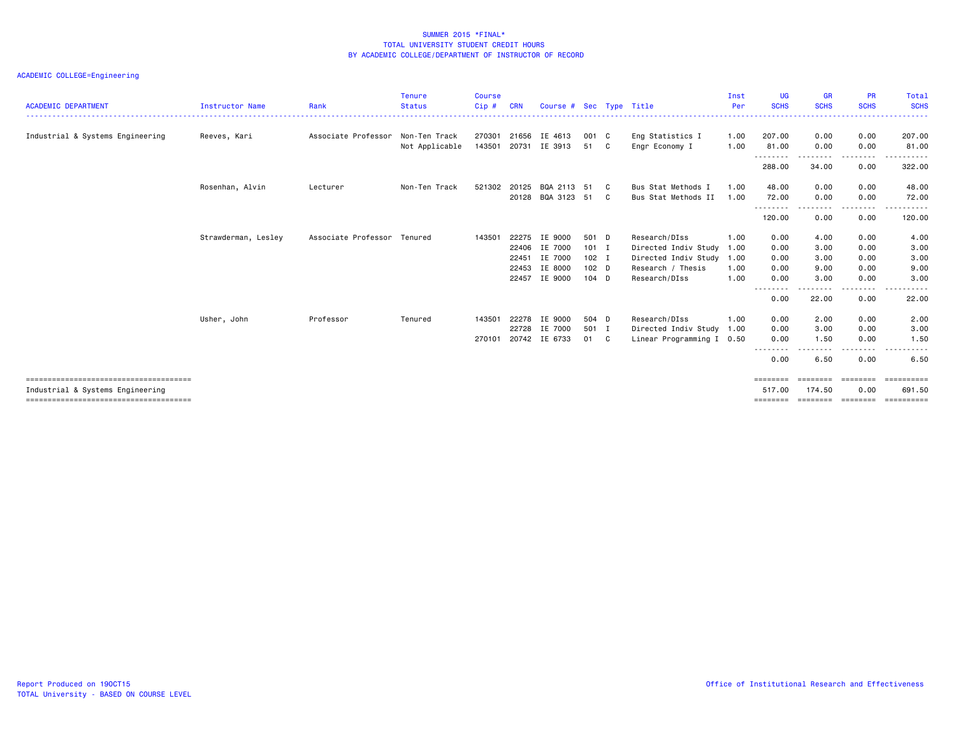| <b>ACADEMIC DEPARTMENT</b>       | <b>Instructor Name</b> | Rank                        | <b>Tenure</b><br><b>Status</b> | <b>Course</b><br>Cip# | <b>CRN</b> | Course # Sec Type Title |         |   |                           | Inst<br>Per | <b>UG</b><br><b>SCHS</b> | <b>GR</b><br><b>SCHS</b> | <b>PR</b><br><b>SCHS</b>                                                                                                          | Total<br><b>SCHS</b><br>. <u>.</u> |
|----------------------------------|------------------------|-----------------------------|--------------------------------|-----------------------|------------|-------------------------|---------|---|---------------------------|-------------|--------------------------|--------------------------|-----------------------------------------------------------------------------------------------------------------------------------|------------------------------------|
| Industrial & Systems Engineering | Reeves, Kari           | Associate Professor         | Non-Ten Track                  | 270301                | 21656      | IE 4613                 | 001 C   |   | Eng Statistics I          | 1.00        | 207.00                   | 0.00                     | 0.00                                                                                                                              | 207.00                             |
|                                  |                        |                             | Not Applicable                 | 143501                | 20731      | IE 3913                 | 51 C    |   | Engr Economy I            | 1.00        | 81.00<br>.               | 0.00                     | 0.00<br>$\frac{1}{2} \left( \frac{1}{2} \right) \left( \frac{1}{2} \right) \left( \frac{1}{2} \right) \left( \frac{1}{2} \right)$ | 81.00<br>.                         |
|                                  |                        |                             |                                |                       |            |                         |         |   |                           |             | 288.00                   | 34.00                    | 0.00                                                                                                                              | 322.00                             |
|                                  | Rosenhan, Alvin        | Lecturer                    | Non-Ten Track                  | 521302                | 20125      | BQA 2113                | -51     | C | Bus Stat Methods I        | 1.00        | 48.00                    | 0.00                     | 0.00                                                                                                                              | 48.00                              |
|                                  |                        |                             |                                |                       |            | 20128 BQA 3123          | 51      | C | Bus Stat Methods II       | 1.00        | 72.00<br>--------        | 0.00                     | 0.00                                                                                                                              | 72.00                              |
|                                  |                        |                             |                                |                       |            |                         |         |   |                           |             | 120.00                   | 0.00                     | 0.00                                                                                                                              | 120.00                             |
|                                  | Strawderman, Lesley    | Associate Professor Tenured |                                | 143501                | 22275      | IE 9000                 | 501 D   |   | Research/DIss             | 1.00        | 0.00                     | 4.00                     | 0.00                                                                                                                              | 4.00                               |
|                                  |                        |                             |                                |                       | 22406      | IE 7000                 | $101$ I |   | Directed Indiv Study      | 1.00        | 0.00                     | 3.00                     | 0.00                                                                                                                              | 3.00                               |
|                                  |                        |                             |                                |                       | 22451      | IE 7000                 | $102$ I |   | Directed Indiv Study 1.00 |             | 0.00                     | 3.00                     | 0.00                                                                                                                              | 3.00                               |
|                                  |                        |                             |                                |                       | 22453      | IE 8000                 | $102$ D |   | Research / Thesis         | 1.00        | 0.00                     | 9.00                     | 0.00                                                                                                                              | 9.00                               |
|                                  |                        |                             |                                |                       | 22457      | IE 9000                 | $104$ D |   | Research/DIss             | 1.00        | 0.00                     | 3.00                     | 0.00                                                                                                                              | 3.00                               |
|                                  |                        |                             |                                |                       |            |                         |         |   |                           |             | --------<br>0.00         | . <b>.</b><br>22.00      | ----<br>0.00                                                                                                                      | . <u>.</u> .<br>22.00              |
|                                  | Usher, John            | Professor                   | Tenured                        | 143501                | 22278      | IE 9000                 | 504 D   |   | Research/DIss             | 1.00        | 0.00                     | 2.00                     | 0.00                                                                                                                              | 2.00                               |
|                                  |                        |                             |                                |                       | 22728      | IE 7000                 | 501 I   |   | Directed Indiv Study 1.00 |             | 0.00                     | 3.00                     | 0.00                                                                                                                              | 3.00                               |
|                                  |                        |                             |                                | 270101                |            | 20742 IE 6733           | 01 C    |   | Linear Programming I 0.50 |             | 0.00                     | 1.50                     | 0.00                                                                                                                              | 1.50                               |
|                                  |                        |                             |                                |                       |            |                         |         |   |                           |             | .<br>0.00                | 6.50                     | .<br>0.00                                                                                                                         | ------<br>6.50                     |
|                                  |                        |                             |                                |                       |            |                         |         |   |                           |             | ========                 | ========                 | ========                                                                                                                          | ==========                         |
| Industrial & Systems Engineering |                        |                             |                                |                       |            |                         |         |   |                           |             | 517.00                   | 174.50                   | 0.00                                                                                                                              | 691.50                             |
|                                  |                        |                             |                                |                       |            |                         |         |   |                           |             | ========                 | essesses essesses        |                                                                                                                                   | eessessess                         |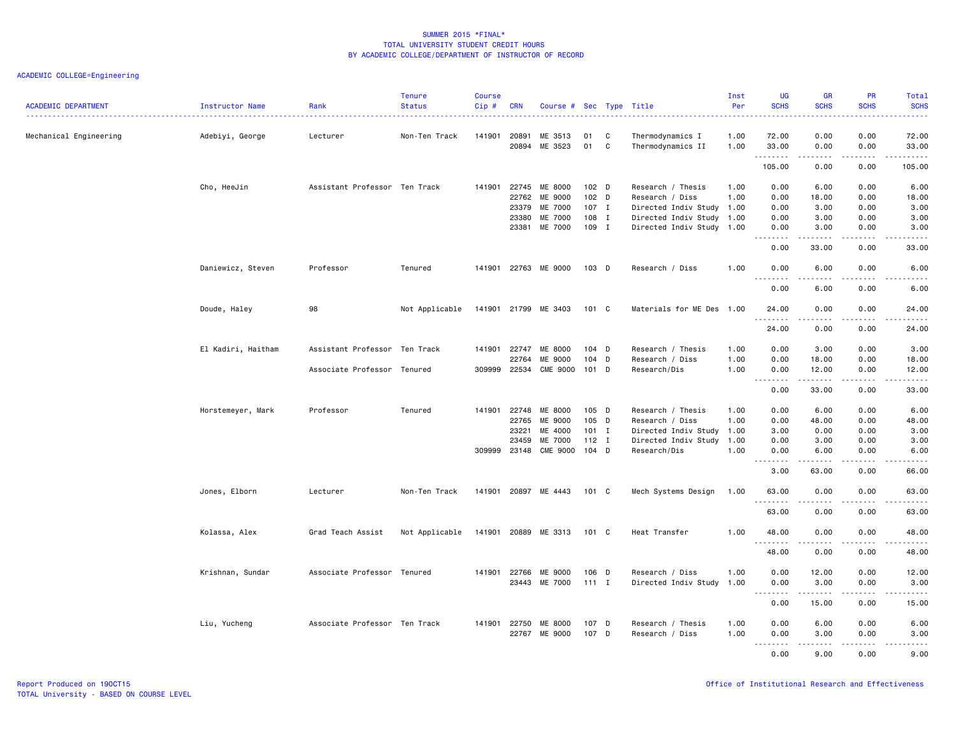| <b>ACADEMIC DEPARTMENT</b> | Instructor Name    | Rank                          | <b>Tenure</b><br><b>Status</b> | <b>Course</b><br>Cip# | <b>CRN</b>                                | Course # Sec Type Title                                                  |                                                      |        |                                                                                                                             | Inst<br>Per                  | <b>UG</b><br><b>SCHS</b>                                                                                                                                                             | <b>GR</b><br><b>SCHS</b>                                                                                                                                                                      | PR<br><b>SCHS</b>                         | Total<br><b>SCHS</b>                                                                                                                                                  |
|----------------------------|--------------------|-------------------------------|--------------------------------|-----------------------|-------------------------------------------|--------------------------------------------------------------------------|------------------------------------------------------|--------|-----------------------------------------------------------------------------------------------------------------------------|------------------------------|--------------------------------------------------------------------------------------------------------------------------------------------------------------------------------------|-----------------------------------------------------------------------------------------------------------------------------------------------------------------------------------------------|-------------------------------------------|-----------------------------------------------------------------------------------------------------------------------------------------------------------------------|
| Mechanical Engineering     | Adebiyi, George    | Lecturer                      | Non-Ten Track                  | 141901                | 20891<br>20894                            | ME 3513<br>ME 3523                                                       | 01<br>01                                             | C<br>C | Thermodynamics I<br>Thermodynamics II                                                                                       | 1.00<br>1.00                 | 72.00<br>33.00                                                                                                                                                                       | 0.00<br>0.00                                                                                                                                                                                  | 0.00<br>0.00                              | 72.00<br>33.00                                                                                                                                                        |
|                            |                    |                               |                                |                       |                                           |                                                                          |                                                      |        |                                                                                                                             |                              | .<br>105.00                                                                                                                                                                          | -----<br>0.00                                                                                                                                                                                 | الأعامات<br>0.00                          | .<br>105.00                                                                                                                                                           |
|                            | Cho, HeeJin        | Assistant Professor Ten Track |                                | 141901                | 22745<br>22762<br>23379<br>23380<br>23381 | ME 8000<br>ME 9000<br>ME 7000<br>ME 7000<br>ME 7000                      | 102 <sub>D</sub><br>102 D<br>107 I<br>108 I<br>109 I |        | Research / Thesis<br>Research / Diss<br>Directed Indiv Study 1.00<br>Directed Indiv Study 1.00<br>Directed Indiv Study 1.00 | 1.00<br>1.00                 | 0.00<br>0.00<br>0.00<br>0.00<br>0.00                                                                                                                                                 | 6.00<br>18.00<br>3.00<br>3.00<br>3.00                                                                                                                                                         | 0.00<br>0.00<br>0.00<br>0.00<br>0.00      | 6.00<br>18.00<br>3.00<br>3.00<br>3.00                                                                                                                                 |
|                            |                    |                               |                                |                       |                                           |                                                                          |                                                      |        |                                                                                                                             |                              | 0.00                                                                                                                                                                                 | $- - - - -$<br>33.00                                                                                                                                                                          | .<br>0.00                                 | -----<br>33.00                                                                                                                                                        |
|                            | Daniewicz, Steven  | Professor                     | Tenured                        |                       |                                           | 141901 22763 ME 9000                                                     | $103$ D                                              |        | Research / Diss                                                                                                             | 1.00                         | 0.00                                                                                                                                                                                 | 6.00                                                                                                                                                                                          | 0.00                                      | 6.00                                                                                                                                                                  |
|                            |                    |                               |                                |                       |                                           |                                                                          |                                                      |        |                                                                                                                             |                              | $\omega$ is a $\omega$<br>0.00                                                                                                                                                       | .<br>6.00                                                                                                                                                                                     | $\sim$ $\sim$ $\sim$ $\sim$<br>0.00       | .<br>6.00                                                                                                                                                             |
|                            | Doude, Haley       | 98                            | Not Applicable                 |                       |                                           | 141901 21799 ME 3403                                                     | 101 C                                                |        | Materials for ME Des 1.00                                                                                                   |                              | 24.00<br>.                                                                                                                                                                           | 0.00<br>-----                                                                                                                                                                                 | 0.00<br>.                                 | 24.00<br>.                                                                                                                                                            |
|                            |                    |                               |                                |                       |                                           |                                                                          |                                                      |        |                                                                                                                             |                              | 24.00                                                                                                                                                                                | 0.00                                                                                                                                                                                          | 0.00                                      | 24.00                                                                                                                                                                 |
|                            | El Kadiri, Haitham | Assistant Professor           | Ten Track                      | 141901                | 22747<br>22764                            | ME 8000<br>ME 9000                                                       | $104$ D<br>104 D                                     |        | Research / Thesis<br>Research / Diss                                                                                        | 1.00<br>1.00                 | 0.00<br>0.00                                                                                                                                                                         | 3.00<br>18.00                                                                                                                                                                                 | 0.00<br>0.00                              | 3.00<br>18.00                                                                                                                                                         |
|                            |                    | Associate Professor           | Tenured                        |                       | 309999 22534                              | <b>CME 9000</b>                                                          | $101$ D                                              |        | Research/Dis                                                                                                                | 1.00                         | 0.00<br>$\sim$ $\sim$ $\sim$<br>$\frac{1}{2} \left( \frac{1}{2} \right) \left( \frac{1}{2} \right) \left( \frac{1}{2} \right) \left( \frac{1}{2} \right) \left( \frac{1}{2} \right)$ | 12.00                                                                                                                                                                                         | 0.00<br>د د د د                           | 12.00<br>$\frac{1}{2} \left( \frac{1}{2} \right) \left( \frac{1}{2} \right) \left( \frac{1}{2} \right) \left( \frac{1}{2} \right) \left( \frac{1}{2} \right)$         |
|                            |                    |                               |                                |                       |                                           |                                                                          |                                                      |        |                                                                                                                             |                              | 0.00                                                                                                                                                                                 | 33.00                                                                                                                                                                                         | 0.00                                      | 33.00                                                                                                                                                                 |
|                            | Horstemeyer, Mark  | Professor                     | Tenured                        | 141901                | 22748<br>22765<br>23221<br>23459          | ME 8000<br>ME 9000<br>ME 4000<br><b>ME 7000</b><br>309999 23148 CME 9000 | $105$ D<br>105 D<br>$101$ I<br>$112$ I<br>$104$ D    |        | Research / Thesis<br>Research / Diss<br>Directed Indiv Study<br>Directed Indiv Study 1.00<br>Research/Dis                   | 1.00<br>1.00<br>1.00<br>1.00 | 0.00<br>0.00<br>3.00<br>0.00<br>0.00<br>.                                                                                                                                            | 6.00<br>48.00<br>0.00<br>3.00<br>6.00<br>$\frac{1}{2} \left( \frac{1}{2} \right) \left( \frac{1}{2} \right) \left( \frac{1}{2} \right) \left( \frac{1}{2} \right) \left( \frac{1}{2} \right)$ | 0.00<br>0.00<br>0.00<br>0.00<br>0.00<br>. | 6.00<br>48.00<br>3.00<br>3.00<br>6.00<br>$\frac{1}{2}$                                                                                                                |
|                            |                    |                               |                                |                       |                                           |                                                                          |                                                      |        |                                                                                                                             |                              | 3.00                                                                                                                                                                                 | 63.00                                                                                                                                                                                         | 0.00                                      | 66.00                                                                                                                                                                 |
|                            | Jones, Elborn      | Lecturer                      | Non-Ten Track                  | 141901                |                                           | 20897 ME 4443                                                            | 101 C                                                |        | Mech Systems Design                                                                                                         | 1.00                         | 63.00<br>$\sim$ $\sim$ $\sim$                                                                                                                                                        | 0.00                                                                                                                                                                                          | 0.00                                      | 63.00                                                                                                                                                                 |
|                            | Kolassa, Alex      | Grad Teach Assist             | Not Applicable                 |                       |                                           | 141901 20889 ME 3313                                                     | 101 C                                                |        | Heat Transfer                                                                                                               | 1.00                         | 63.00<br>48.00                                                                                                                                                                       | 0.00<br>0.00                                                                                                                                                                                  | 0.00<br>0.00                              | 63.00<br>48.00                                                                                                                                                        |
|                            |                    |                               |                                |                       |                                           |                                                                          |                                                      |        |                                                                                                                             |                              | 48.00                                                                                                                                                                                | .<br>0.00                                                                                                                                                                                     | .<br>0.00                                 | .<br>48.00                                                                                                                                                            |
|                            | Krishnan, Sundar   | Associate Professor Tenured   |                                |                       | 141901 22766<br>23443                     | ME 9000<br>ME 7000                                                       | 106 D<br>$111$ I                                     |        | Research / Diss<br>Directed Indiv Study                                                                                     | 1.00<br>1.00                 | 0.00<br>0.00<br>$\sim$ $\sim$ $\sim$<br>.                                                                                                                                            | 12.00<br>3.00                                                                                                                                                                                 | 0.00<br>0.00<br>$\sim$ $\sim$ $\sim$      | 12.00<br>3.00<br>$\frac{1}{2} \left( \frac{1}{2} \right) \left( \frac{1}{2} \right) \left( \frac{1}{2} \right) \left( \frac{1}{2} \right) \left( \frac{1}{2} \right)$ |
|                            |                    |                               |                                |                       |                                           |                                                                          |                                                      |        |                                                                                                                             |                              | 0.00                                                                                                                                                                                 | 15.00                                                                                                                                                                                         | 0.00                                      | 15.00                                                                                                                                                                 |
|                            | Liu, Yucheng       | Associate Professor Ten Track |                                |                       | 141901 22750                              | ME 8000<br>22767 ME 9000                                                 | 107 D<br>107 D                                       |        | Research / Thesis<br>Research / Diss                                                                                        | 1.00<br>1.00                 | 0.00<br>0.00<br>.                                                                                                                                                                    | 6.00<br>3.00<br><u>.</u>                                                                                                                                                                      | 0.00<br>0.00<br>.                         | 6.00<br>3.00<br>$- - - - -$                                                                                                                                           |
|                            |                    |                               |                                |                       |                                           |                                                                          |                                                      |        |                                                                                                                             |                              | $- - -$<br>0.00                                                                                                                                                                      | 9.00                                                                                                                                                                                          | 0.00                                      | 9.00                                                                                                                                                                  |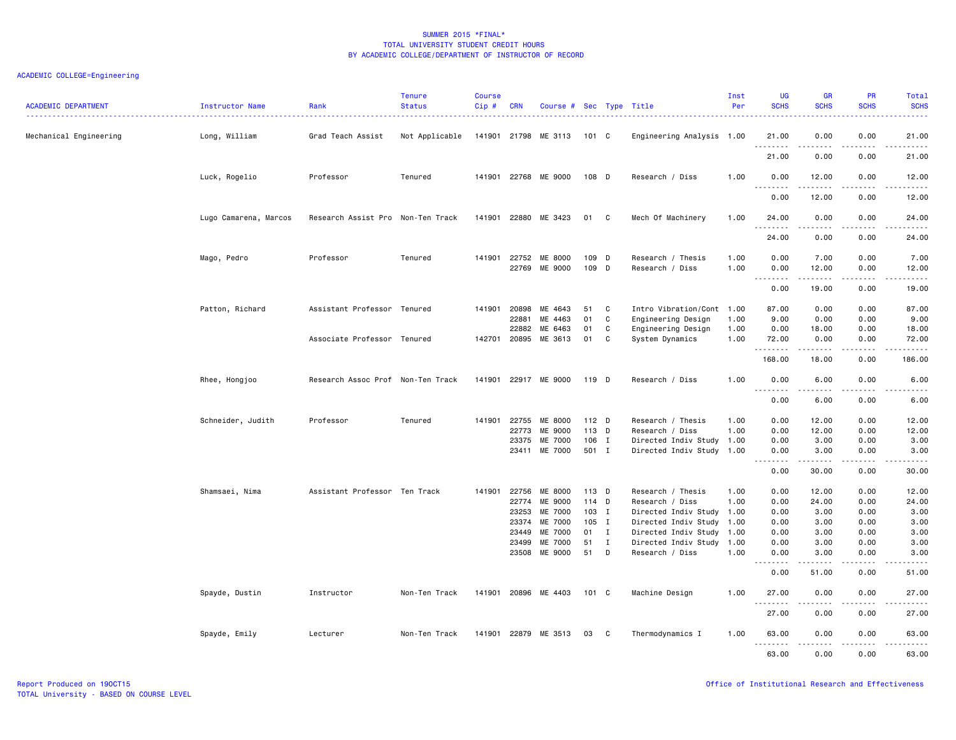| <b>ACADEMIC DEPARTMENT</b> | Instructor Name       | Rank                              | <b>Tenure</b><br><b>Status</b> | <b>Course</b><br>Cip# | <b>CRN</b>                                                  | Course # Sec Type Title                                                   |                                                    |                               |                                                                                                                                                                        | Inst<br>Per                  | <b>UG</b><br><b>SCHS</b>                                                                  | <b>GR</b><br><b>SCHS</b>                                        | <b>PR</b><br><b>SCHS</b>                                     | <b>Total</b><br><b>SCHS</b>                                                                                                                                                                                             |
|----------------------------|-----------------------|-----------------------------------|--------------------------------|-----------------------|-------------------------------------------------------------|---------------------------------------------------------------------------|----------------------------------------------------|-------------------------------|------------------------------------------------------------------------------------------------------------------------------------------------------------------------|------------------------------|-------------------------------------------------------------------------------------------|-----------------------------------------------------------------|--------------------------------------------------------------|-------------------------------------------------------------------------------------------------------------------------------------------------------------------------------------------------------------------------|
| Mechanical Engineering     | Long, William         | Grad Teach Assist                 | Not Applicable                 |                       |                                                             | 141901 21798 ME 3113                                                      | 101 C                                              |                               | Engineering Analysis 1.00                                                                                                                                              |                              | 21.00<br>.                                                                                | 0.00                                                            | 0.00                                                         | 21.00<br>المتماما                                                                                                                                                                                                       |
|                            |                       |                                   |                                |                       |                                                             |                                                                           |                                                    |                               |                                                                                                                                                                        |                              | 21.00                                                                                     | 0.00                                                            | 0.00                                                         | 21.00                                                                                                                                                                                                                   |
|                            | Luck, Rogelio         | Professor                         | Tenured                        | 141901                |                                                             | 22768 ME 9000                                                             | 108 D                                              |                               | Research / Diss                                                                                                                                                        | 1.00                         | 0.00<br>.<br>.                                                                            | 12.00<br>.                                                      | 0.00<br>$\sim$ $\sim$ $\sim$                                 | 12.00<br>.                                                                                                                                                                                                              |
|                            |                       |                                   |                                |                       |                                                             |                                                                           |                                                    |                               |                                                                                                                                                                        |                              | 0.00                                                                                      | 12.00                                                           | 0.00                                                         | 12.00                                                                                                                                                                                                                   |
|                            | Lugo Camarena, Marcos | Research Assist Pro Non-Ten Track |                                | 141901                | 22880                                                       | ME 3423                                                                   | 01 C                                               |                               | Mech Of Machinery                                                                                                                                                      | 1.00                         | 24.00                                                                                     | 0.00                                                            | 0.00                                                         | 24.00                                                                                                                                                                                                                   |
|                            |                       |                                   |                                |                       |                                                             |                                                                           |                                                    |                               |                                                                                                                                                                        |                              | 24.00                                                                                     | 0.00                                                            | 0.00                                                         | 24.00                                                                                                                                                                                                                   |
|                            | Mago, Pedro           | Professor                         | Tenured                        | 141901                | 22752<br>22769                                              | ME 8000<br>ME 9000                                                        | 109<br>109 D                                       | D                             | Research / Thesis<br>Research / Diss                                                                                                                                   | 1.00<br>1.00                 | 0.00<br>0.00<br>.                                                                         | 7.00<br>12.00<br>.                                              | 0.00<br>0.00<br>.                                            | 7.00<br>12.00<br>د د د د د .                                                                                                                                                                                            |
|                            |                       |                                   |                                |                       |                                                             |                                                                           |                                                    |                               |                                                                                                                                                                        |                              | 0.00                                                                                      | 19.00                                                           | 0.00                                                         | 19.00                                                                                                                                                                                                                   |
|                            | Patton, Richard       | Assistant Professor Tenured       |                                | 141901                | 20898<br>22881<br>22882                                     | ME 4643<br>ME 4463<br>ME 6463                                             | 51<br>01<br>01                                     | C<br>$\mathbf{C}$<br>C        | Intro Vibration/Cont 1.00<br>Engineering Design<br>Engineering Design                                                                                                  | 1.00<br>1.00                 | 87.00<br>9.00<br>0.00                                                                     | 0.00<br>0.00<br>18.00                                           | 0.00<br>0.00<br>0.00                                         | 87.00<br>9.00<br>18.00                                                                                                                                                                                                  |
|                            |                       | Associate Professor Tenured       |                                |                       | 142701 20895                                                | ME 3613                                                                   | 01                                                 | C                             | System Dynamics                                                                                                                                                        | 1.00                         | 72.00<br>.                                                                                | 0.00<br>.                                                       | 0.00<br>.                                                    | 72.00<br>.                                                                                                                                                                                                              |
|                            |                       |                                   |                                |                       |                                                             |                                                                           |                                                    |                               |                                                                                                                                                                        |                              | 168.00                                                                                    | 18.00                                                           | 0.00                                                         | 186.00                                                                                                                                                                                                                  |
|                            | Rhee, Hongjoo         | Research Assoc Prof Non-Ten Track |                                | 141901                |                                                             | 22917 ME 9000                                                             | 119 D                                              |                               | Research / Diss                                                                                                                                                        | 1.00                         | 0.00<br>$\omega$ $\omega$                                                                 | 6.00                                                            | 0.00                                                         | 6.00                                                                                                                                                                                                                    |
|                            |                       |                                   |                                |                       |                                                             |                                                                           |                                                    |                               |                                                                                                                                                                        |                              | 0.00                                                                                      | 6.00                                                            | 0.00                                                         | 6.00                                                                                                                                                                                                                    |
|                            | Schneider, Judith     | Professor                         | Tenured                        | 141901                | 22755<br>22773<br>23375<br>23411                            | ME 8000<br>ME 9000<br>ME 7000<br>ME 7000                                  | $112$ D<br>113 D<br>106 I<br>501 I                 |                               | Research / Thesis<br>Research / Diss<br>Directed Indiv Study 1.00<br>Directed Indiv Study 1.00                                                                         | 1.00<br>1.00                 | 0.00<br>0.00<br>0.00<br>0.00<br>.<br>0.00                                                 | 12.00<br>12.00<br>3.00<br>3.00<br>.<br>30.00                    | 0.00<br>0.00<br>0.00<br>0.00<br>.<br>0.00                    | 12.00<br>12.00<br>3.00<br>3.00<br>$\frac{1}{2} \left( \frac{1}{2} \right) \left( \frac{1}{2} \right) \left( \frac{1}{2} \right) \left( \frac{1}{2} \right) \left( \frac{1}{2} \right)$<br>30.00                         |
|                            | Shamsaei, Nima        | Assistant Professor Ten Track     |                                | 141901                | 22756<br>22774<br>23253<br>23374<br>23449<br>23499<br>23508 | ME 8000<br>ME 9000<br>ME 7000<br>ME 7000<br>ME 7000<br>ME 7000<br>ME 9000 | 113 D<br>114 D<br>103 I<br>105 I<br>01<br>51<br>51 | $\mathbf{I}$<br>$\bf{I}$<br>D | Research / Thesis<br>Research / Diss<br>Directed Indiv Study 1.00<br>Directed Indiv Study 1.00<br>Directed Indiv Study 1.00<br>Directed Indiv Study<br>Research / Diss | 1.00<br>1.00<br>1.00<br>1.00 | 0.00<br>0.00<br>0.00<br>0.00<br>0.00<br>0.00<br>0.00<br>.<br>$\sim$ $\sim$ $\sim$<br>0.00 | 12.00<br>24.00<br>3.00<br>3.00<br>3.00<br>3.00<br>3.00<br>51.00 | 0.00<br>0.00<br>0.00<br>0.00<br>0.00<br>0.00<br>0.00<br>0.00 | 12.00<br>24.00<br>3.00<br>3.00<br>3.00<br>3.00<br>3.00<br>$\frac{1}{2} \left( \frac{1}{2} \right) \left( \frac{1}{2} \right) \left( \frac{1}{2} \right) \left( \frac{1}{2} \right) \left( \frac{1}{2} \right)$<br>51.00 |
|                            | Spayde, Dustin        | Instructor                        | Non-Ten Track                  | 141901                |                                                             | 20896 ME 4403                                                             | 101 C                                              |                               | Machine Design                                                                                                                                                         | 1.00                         | 27.00<br><u>.</u>                                                                         | 0.00                                                            | 0.00                                                         | 27.00                                                                                                                                                                                                                   |
|                            |                       |                                   |                                |                       |                                                             |                                                                           |                                                    |                               |                                                                                                                                                                        |                              | 27.00                                                                                     | 0.00                                                            | 0.00                                                         | 27.00                                                                                                                                                                                                                   |
|                            | Spayde, Emily         | Lecturer                          | Non-Ten Track                  |                       |                                                             | 141901 22879 ME 3513                                                      | 03                                                 | C                             | Thermodynamics I                                                                                                                                                       | 1.00                         | 63.00<br>.                                                                                | 0.00<br>.                                                       | 0.00<br>د د د د                                              | 63.00<br>.                                                                                                                                                                                                              |
|                            |                       |                                   |                                |                       |                                                             |                                                                           |                                                    |                               |                                                                                                                                                                        |                              | 63.00                                                                                     | 0.00                                                            | 0.00                                                         | 63.00                                                                                                                                                                                                                   |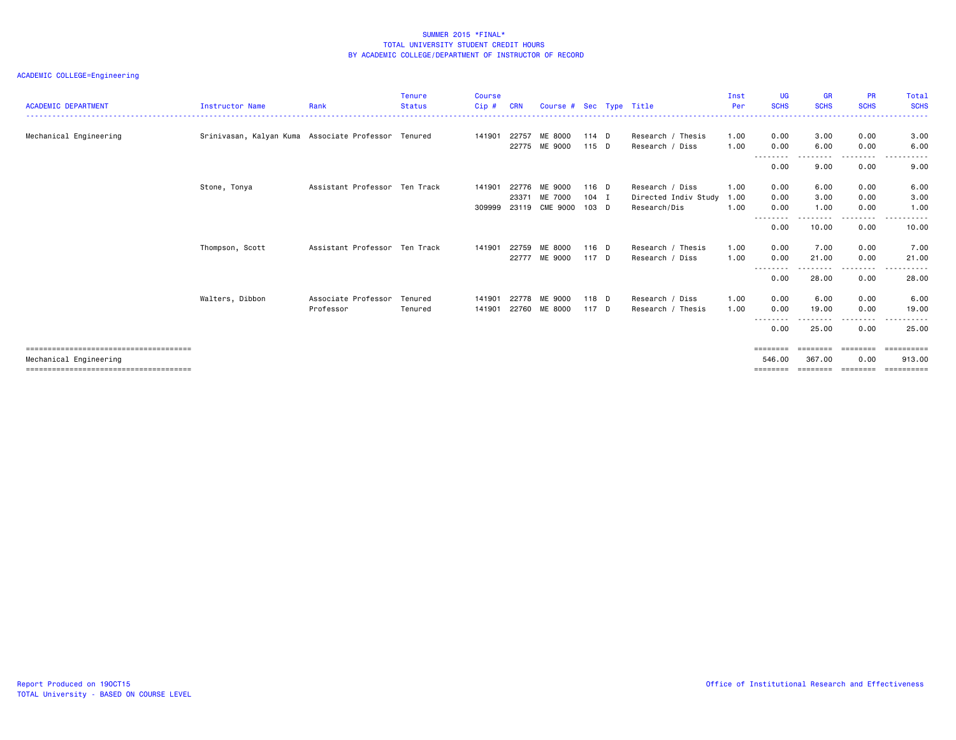# ACADEMIC COLLEGE=Engineering

| <b>ACADEMIC DEPARTMENT</b> | <b>Instructor Name</b>                              | Rank                          | Tenure<br><b>Status</b> | <b>Course</b><br>Cip# | <b>CRN</b> | Course # Sec Type Title |         |                      | Inst<br>Per | UG<br><b>SCHS</b> | <b>GR</b><br><b>SCHS</b> | <b>PR</b><br><b>SCHS</b> | Total<br><b>SCHS</b>           |
|----------------------------|-----------------------------------------------------|-------------------------------|-------------------------|-----------------------|------------|-------------------------|---------|----------------------|-------------|-------------------|--------------------------|--------------------------|--------------------------------|
|                            |                                                     |                               |                         |                       |            |                         |         |                      |             |                   |                          |                          | .                              |
| Mechanical Engineering     | Srinivasan, Kalyan Kuma Associate Professor Tenured |                               |                         | 141901                | 22757      | ME 8000                 | 114 D   | Research / Thesis    | 1.00        | 0.00              | 3.00                     | 0.00                     | 3.00                           |
|                            |                                                     |                               |                         |                       |            | 22775 ME 9000           | $115$ D | Research / Diss      | 1.00        | 0.00              | 6.00                     | 0.00                     | 6.00                           |
|                            |                                                     |                               |                         |                       |            |                         |         |                      |             | --------<br>0.00  | 9.00                     | .<br>0.00                | $\frac{1}{2}$<br>-----<br>9.00 |
|                            | Stone, Tonya                                        | Assistant Professor Ten Track |                         | 141901                |            | 22776 ME 9000           | $116$ D | Research / Diss      | 1.00        | 0.00              | 6.00                     | 0.00                     | 6.00                           |
|                            |                                                     |                               |                         |                       | 23371      | ME 7000                 | $104$ I | Directed Indiv Study | 1.00        | 0.00              | 3.00                     | 0.00                     | 3.00                           |
|                            |                                                     |                               |                         |                       |            | 309999 23119 CME 9000   | 103 D   | Research/Dis         | 1.00        | 0.00              | 1.00                     | 0.00                     | 1.00                           |
|                            |                                                     |                               |                         |                       |            |                         |         |                      |             | ---------<br>0.00 | --------<br>10.00        | -----<br>0.00            | .<br>10.00                     |
|                            | Thompson, Scott                                     | Assistant Professor Ten Track |                         | 141901                | 22759      | ME 8000                 | 116 D   | Research / Thesis    | 1.00        | 0.00              | 7.00                     | 0.00                     | 7.00                           |
|                            |                                                     |                               |                         |                       |            | 22777 ME 9000           | 117 D   | Research / Diss      | 1.00        | 0.00              | 21.00                    | 0.00                     | 21.00                          |
|                            |                                                     |                               |                         |                       |            |                         |         |                      |             | --------<br>0.00  | .<br>28.00               | ---------<br>0.00        | .<br>.<br>28.00                |
|                            | Walters, Dibbon                                     | Associate Professor           | Tenured                 | 141901                | 22778      | ME 9000                 | 118 D   | Research / Diss      | 1.00        | 0.00              | 6.00                     | 0.00                     | 6.00                           |
|                            |                                                     | Professor                     | Tenured                 | 141901                |            | 22760 ME 8000           | 117 D   | Research / Thesis    | 1.00        | 0.00              | 19.00                    | 0.00                     | 19,00                          |
|                            |                                                     |                               |                         |                       |            |                         |         |                      |             | ---------<br>0.00 | .<br>25.00               | --------<br>0.00         | - - - - - -<br>25.00           |
|                            |                                                     |                               |                         |                       |            |                         |         |                      |             |                   |                          |                          |                                |
|                            |                                                     |                               |                         |                       |            |                         |         |                      |             | ========          | ========                 | ========                 | $= 22222222222$                |
| Mechanical Engineering     |                                                     |                               |                         |                       |            |                         |         |                      |             | 546.00            | 367,00                   | 0.00                     | 913.00                         |
|                            |                                                     |                               |                         |                       |            |                         |         |                      |             |                   |                          |                          | ==========                     |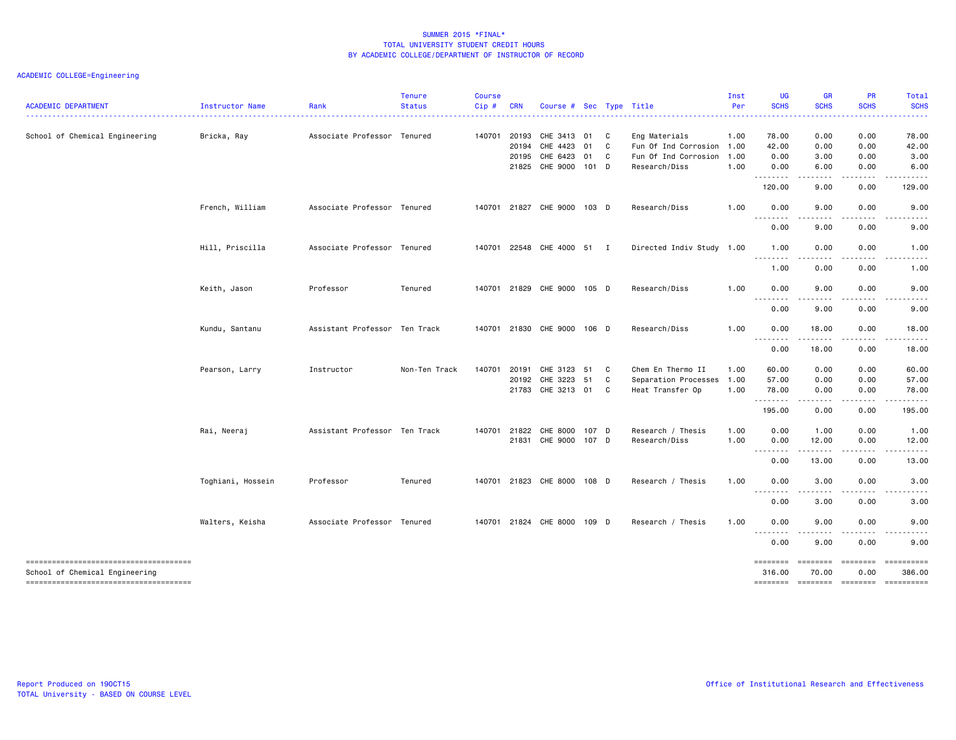# ACADEMIC COLLEGE=Engineering

| <b>ACADEMIC DEPARTMENT</b>                                              | Instructor Name   | Rank                          | <b>Tenure</b><br><b>Status</b> | <b>Course</b><br>Cip# | <b>CRN</b>     | Course #                    |            |    | Sec Type Title                        | Inst<br>Per  | UG<br><b>SCHS</b>            | <b>GR</b><br><b>SCHS</b> | PR<br><b>SCHS</b> | Total<br><b>SCHS</b> |
|-------------------------------------------------------------------------|-------------------|-------------------------------|--------------------------------|-----------------------|----------------|-----------------------------|------------|----|---------------------------------------|--------------|------------------------------|--------------------------|-------------------|----------------------|
|                                                                         |                   |                               |                                |                       |                |                             |            |    |                                       |              |                              |                          |                   |                      |
| School of Chemical Engineering                                          | Bricka, Ray       | Associate Professor Tenured   |                                | 140701                | 20193<br>20194 | CHE 3413<br>CHE 4423        | 01 C<br>01 | C. | Eng Materials<br>Fun Of Ind Corrosion | 1.00<br>1.00 | 78.00<br>42.00               | 0.00<br>0.00             | 0.00<br>0.00      | 78.00<br>42.00       |
|                                                                         |                   |                               |                                |                       | 20195          | CHE 6423                    | 01         | C. | Fun Of Ind Corrosion                  | 1.00         | 0.00                         | 3.00                     | 0.00              | 3.00                 |
|                                                                         |                   |                               |                                |                       |                | 21825 CHE 9000 101 D        |            |    | Research/Diss                         | 1.00         | 0.00                         | 6.00                     | 0.00              | 6.00                 |
|                                                                         |                   |                               |                                |                       |                |                             |            |    |                                       |              | .<br>120.00                  | 9.00                     | 0.00              | 129.00               |
|                                                                         | French, William   | Associate Professor Tenured   |                                |                       |                | 140701 21827 CHE 9000 103 D |            |    | Research/Diss                         | 1.00         | 0.00                         | 9.00                     | 0.00              | 9.00                 |
|                                                                         |                   |                               |                                |                       |                |                             |            |    |                                       |              | <u>.</u><br>0.00             | 9.00                     | 0.00              | 9.00                 |
|                                                                         | Hill, Priscilla   | Associate Professor Tenured   |                                |                       |                | 140701 22548 CHE 4000 51 I  |            |    | Directed Indiv Study 1.00             |              | 1.00                         | 0.00                     | 0.00              | 1.00                 |
|                                                                         |                   |                               |                                |                       |                |                             |            |    |                                       |              | .<br>1.00                    | 0.00                     | 0.00              | 1.00                 |
|                                                                         | Keith, Jason      | Professor                     | Tenured                        |                       |                | 140701 21829 CHE 9000 105 D |            |    | Research/Diss                         | 1.00         | 0.00                         | 9.00                     | 0.00              | 9.00                 |
|                                                                         |                   |                               |                                |                       |                |                             |            |    |                                       |              | $\sim$ $\sim$ $\sim$<br>0.00 | . <b>. .</b> .<br>9.00   | 0.00              | 9.00                 |
|                                                                         | Kundu, Santanu    | Assistant Professor Ten Track |                                |                       |                | 140701 21830 CHE 9000 106 D |            |    | Research/Diss                         | 1.00         | 0.00                         | 18.00                    | 0.00              | 18.00                |
|                                                                         |                   |                               |                                |                       |                |                             |            |    |                                       |              | 0.00                         | . <b>.</b><br>18.00      | -----<br>0.00     | .<br>18.00           |
|                                                                         | Pearson, Larry    | Instructor                    | Non-Ten Track                  | 140701                | 20191          | CHE 3123                    | 51         | C  | Chem En Thermo II                     | 1.00         | 60.00                        | 0.00                     | 0.00              | 60.00                |
|                                                                         |                   |                               |                                |                       |                | 20192 CHE 3223 51           |            | C  | Separation Processes                  | 1.00         | 57.00                        | 0.00                     | 0.00              | 57.00                |
|                                                                         |                   |                               |                                |                       |                | 21783 CHE 3213 01           |            | C  | Heat Transfer Op                      | 1.00         | 78.00<br>.                   | 0.00<br>$\frac{1}{2}$    | 0.00<br>.         | 78.00<br>. <u>.</u>  |
|                                                                         |                   |                               |                                |                       |                |                             |            |    |                                       |              | 195.00                       | 0.00                     | 0.00              | 195.00               |
|                                                                         | Rai, Neeraj       | Assistant Professor Ten Track |                                | 140701                | 21822          | CHE 8000 107 D              |            |    | Research / Thesis                     | 1.00         | 0.00                         | 1.00                     | 0.00              | 1.00                 |
|                                                                         |                   |                               |                                |                       |                | 21831 CHE 9000 107 D        |            |    | Research/Diss                         | 1.00         | 0.00                         | 12.00                    | 0.00              | 12.00                |
|                                                                         |                   |                               |                                |                       |                |                             |            |    |                                       |              | 0.00                         | 13.00                    | 0.00              | 13.00                |
|                                                                         | Toghiani, Hossein | Professor                     | Tenured                        |                       |                | 140701 21823 CHE 8000 108 D |            |    | Research / Thesis                     | 1.00         | 0.00                         | 3.00                     | 0.00              | 3.00<br>. <b>.</b>   |
|                                                                         |                   |                               |                                |                       |                |                             |            |    |                                       |              | --------<br>0.00             | ----<br>3.00             | 0.00              | 3.00                 |
|                                                                         | Walters, Keisha   | Associate Professor Tenured   |                                |                       |                | 140701 21824 CHE 8000 109 D |            |    | Research / Thesis                     | 1.00         | 0.00                         | 9.00                     | 0.00              | 9.00                 |
|                                                                         |                   |                               |                                |                       |                |                             |            |    |                                       |              | .<br>0.00                    | .<br>9.00                | 0.00              | -----<br>9.00        |
| -------------------------------------<br>School of Chemical Engineering |                   |                               |                                |                       |                |                             |            |    |                                       |              | ========<br>316.00           | ========<br>70.00        | ========<br>0.00  | ==========<br>386.00 |
| ------------------------------------                                    |                   |                               |                                |                       |                |                             |            |    |                                       |              | ========                     | $=$ ========             | ========          | ==========           |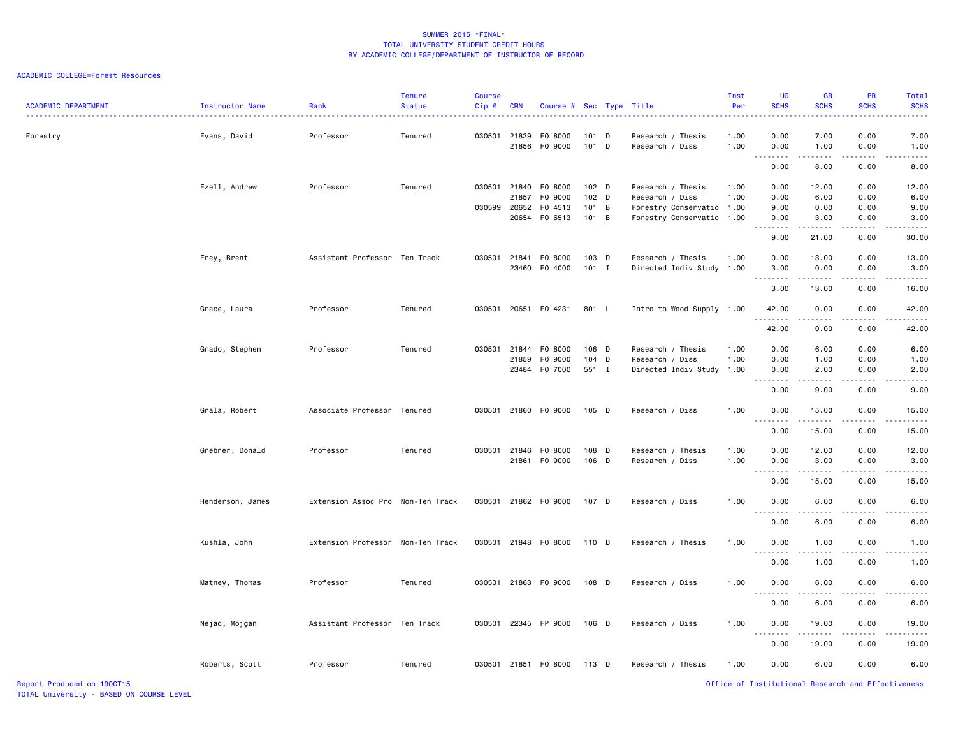| <b>ACADEMIC DEPARTMENT</b> | Instructor Name  | Rank                              | <b>Tenure</b><br><b>Status</b> | <b>Course</b><br>Cip# | <b>CRN</b> | Course # Sec Type Title               |                    | <u>.</u>                                     | Inst<br>Per  | <b>UG</b><br><b>SCHS</b>            | <b>GR</b><br><b>SCHS</b>                                                                                                          | PR<br><b>SCHS</b>                                  | Total<br><b>SCHS</b> |
|----------------------------|------------------|-----------------------------------|--------------------------------|-----------------------|------------|---------------------------------------|--------------------|----------------------------------------------|--------------|-------------------------------------|-----------------------------------------------------------------------------------------------------------------------------------|----------------------------------------------------|----------------------|
| Forestry                   | Evans, David     | Professor                         | Tenured                        |                       |            | 030501 21839 F0 8000<br>21856 FO 9000 | $101$ D<br>101 D   | Research / Thesis<br>Research / Diss         | 1.00<br>1.00 | 0.00<br>0.00                        | 7.00<br>1.00                                                                                                                      | 0.00<br>0.00                                       | 7.00<br>1.00         |
|                            |                  |                                   |                                |                       |            |                                       |                    |                                              |              | <u>.</u><br>0.00                    | <u>.</u><br>8.00                                                                                                                  | .<br>0.00                                          | -----<br>8.00        |
|                            |                  |                                   |                                |                       |            |                                       |                    |                                              |              |                                     |                                                                                                                                   |                                                    |                      |
|                            | Ezell, Andrew    | Professor                         | Tenured                        | 030501                | 21857      | 21840 FO 8000<br>F0 9000              | $102$ D<br>$102$ D | Research / Thesis                            | 1.00         | 0.00                                | 12.00<br>6.00                                                                                                                     | 0.00<br>0.00                                       | 12.00<br>6.00        |
|                            |                  |                                   |                                | 030599                | 20652      | F0 4513                               | 101 B              | Research / Diss<br>Forestry Conservatio 1.00 | 1.00         | 0.00<br>9.00                        | 0.00                                                                                                                              | 0.00                                               | 9.00                 |
|                            |                  |                                   |                                |                       |            | 20654 FO 6513                         | 101 B              | Forestry Conservatio 1.00                    |              | 0.00                                | 3.00                                                                                                                              | 0.00                                               | 3.00                 |
|                            |                  |                                   |                                |                       |            |                                       |                    |                                              |              | .                                   | .                                                                                                                                 |                                                    |                      |
|                            |                  |                                   |                                |                       |            |                                       |                    |                                              |              | 9.00                                | 21.00                                                                                                                             | 0.00                                               | 30.00                |
|                            | Frey, Brent      | Assistant Professor Ten Track     |                                |                       |            | 030501 21841 F0 8000                  | 103 D              | Research / Thesis                            | 1.00         | 0.00                                | 13.00                                                                                                                             | 0.00                                               | 13.00                |
|                            |                  |                                   |                                |                       |            | 23460 FO 4000                         | $101$ I            | Directed Indiv Study 1.00                    |              | 3.00<br>.                           | 0.00<br>.                                                                                                                         | 0.00<br>-----                                      | 3.00                 |
|                            |                  |                                   |                                |                       |            |                                       |                    |                                              |              | 3.00                                | 13.00                                                                                                                             | 0.00                                               | 16.00                |
|                            | Grace, Laura     | Professor                         | Tenured                        |                       |            | 030501 20651 F0 4231                  | 801 L              | Intro to Wood Supply 1.00                    |              | 42.00                               | 0.00                                                                                                                              | 0.00                                               | 42.00                |
|                            |                  |                                   |                                |                       |            |                                       |                    |                                              |              | .<br>42.00                          | .<br>0.00                                                                                                                         | -----<br>0.00                                      | .<br>42.00           |
|                            | Grado, Stephen   | Professor                         | Tenured                        | 030501                | 21844      | F0 8000                               | 106 D              | Research / Thesis                            | 1.00         | 0.00                                | 6.00                                                                                                                              | 0.00                                               | 6.00                 |
|                            |                  |                                   |                                |                       | 21859      | F0 9000                               | 104 D              | Research / Diss                              | 1.00         | 0.00                                | 1.00                                                                                                                              | 0.00                                               | 1.00                 |
|                            |                  |                                   |                                |                       |            | 23484 F0 7000                         | 551 I              | Directed Indiv Study 1.00                    |              | 0.00                                | 2.00                                                                                                                              | 0.00                                               | 2.00                 |
|                            |                  |                                   |                                |                       |            |                                       |                    |                                              |              |                                     | .                                                                                                                                 |                                                    |                      |
|                            |                  |                                   |                                |                       |            |                                       |                    |                                              |              | 0.00                                | 9.00                                                                                                                              | 0.00                                               | 9.00                 |
|                            | Grala, Robert    | Associate Professor Tenured       |                                |                       |            | 030501 21860 F0 9000                  | $105$ D            | Research / Diss                              | 1.00         | 0.00<br>.                           | 15.00<br>.                                                                                                                        | 0.00<br>.                                          | 15.00                |
|                            |                  |                                   |                                |                       |            |                                       |                    |                                              |              | 0.00                                | 15.00                                                                                                                             | 0.00                                               | 15.00                |
|                            | Grebner, Donald  | Professor                         | Tenured                        |                       |            | 030501 21846 F0 8000                  | 108 D              | Research / Thesis                            | 1.00         | 0.00                                | 12.00                                                                                                                             | 0.00                                               | 12.00                |
|                            |                  |                                   |                                |                       |            | 21861 FO 9000                         | 106 D              | Research / Diss                              | 1.00         | 0.00                                | 3.00                                                                                                                              | 0.00                                               | 3.00                 |
|                            |                  |                                   |                                |                       |            |                                       |                    |                                              |              | .<br>0.00                           | $   -$<br>15.00                                                                                                                   | .<br>0.00                                          | .<br>15.00           |
|                            | Henderson, James | Extension Assoc Pro Non-Ten Track |                                |                       |            | 030501 21862 FO 9000                  | 107 D              | Research / Diss                              | 1.00         | 0.00                                | 6.00                                                                                                                              | 0.00                                               | 6.00                 |
|                            |                  |                                   |                                |                       |            |                                       |                    |                                              |              | <u>.</u><br>0.00                    | .<br>6.00                                                                                                                         | .<br>0.00                                          | <u>.</u><br>6.00     |
|                            |                  |                                   |                                |                       |            |                                       |                    |                                              |              |                                     |                                                                                                                                   |                                                    |                      |
|                            | Kushla, John     | Extension Professor Non-Ten Track |                                |                       |            | 030501 21848 F0 8000                  | 110 D              | Research / Thesis                            | 1.00         | 0.00<br>$\sim$ $\sim$ $\sim$ $\sim$ | 1.00<br>$\sim$ $\sim$ $\sim$ $\sim$                                                                                               | 0.00                                               | 1.00                 |
|                            |                  |                                   |                                |                       |            |                                       |                    |                                              |              | 0.00                                | 1.00                                                                                                                              | 0.00                                               | 1.00                 |
|                            | Matney, Thomas   | Professor                         | Tenured                        |                       |            | 030501 21863 FO 9000                  | 108 D              | Research / Diss                              | 1.00         | 0.00<br>.                           | 6.00<br>$\frac{1}{2} \left( \frac{1}{2} \right) \left( \frac{1}{2} \right) \left( \frac{1}{2} \right) \left( \frac{1}{2} \right)$ | 0.00<br>.                                          | 6.00<br>.            |
|                            |                  |                                   |                                |                       |            |                                       |                    |                                              |              | 0.00                                | 6.00                                                                                                                              | 0.00                                               | 6.00                 |
|                            | Nejad, Mojgan    | Assistant Professor Ten Track     |                                | 030501                |            | 22345 FP 9000                         | 106 D              | Research / Diss                              | 1.00         | 0.00                                | 19.00                                                                                                                             | 0.00                                               | 19.00                |
|                            |                  |                                   |                                |                       |            |                                       |                    |                                              |              | .<br>0.00                           | .<br>19.00                                                                                                                        | 0.00                                               | 19.00                |
|                            | Roberts, Scott   | Professor                         | Tenured                        | 030501                |            | 21851 FO 8000                         | 113 D              | Research / Thesis                            | 1.00         | 0.00                                | 6.00                                                                                                                              | 0.00                                               | 6.00                 |
| Report Produced on 190CT15 |                  |                                   |                                |                       |            |                                       |                    |                                              |              |                                     |                                                                                                                                   | Office of Institutional Research and Effectiveness |                      |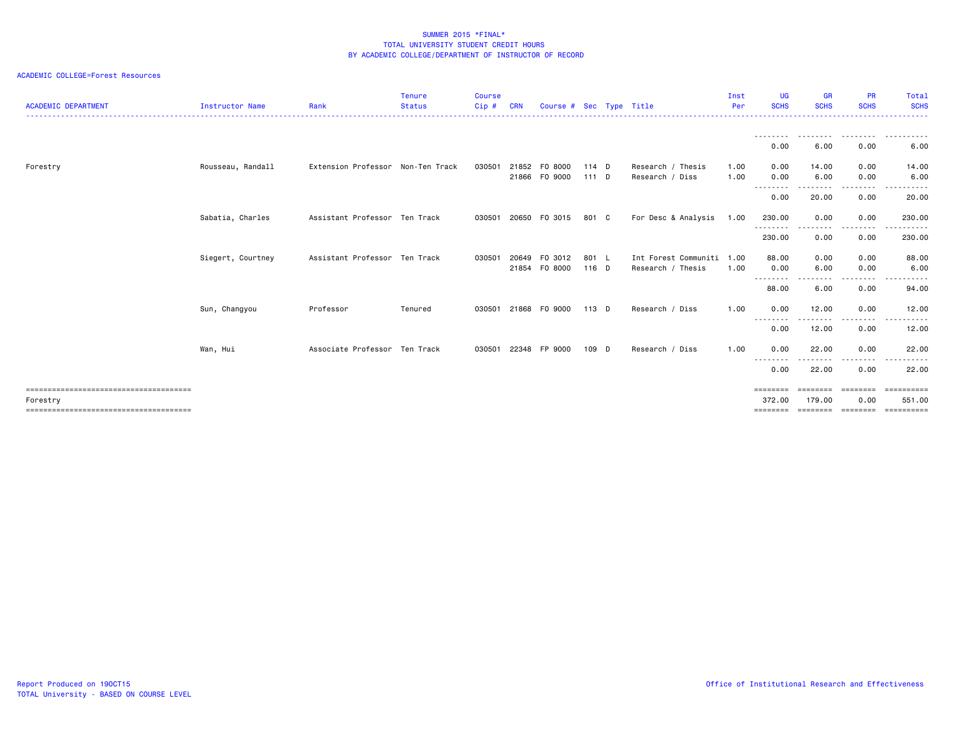| <b>ACADEMIC DEPARTMENT</b> | Instructor Name   | Rank                              | <b>Tenure</b><br><b>Status</b> | <b>Course</b><br>Cip# | <b>CRN</b>     | Course # Sec Type Title |                    |                                                | Inst<br>Per  | <b>UG</b><br><b>SCHS</b>       | <b>GR</b><br><b>SCHS</b> | <b>PR</b><br><b>SCHS</b> | Total<br><b>SCHS</b>               |
|----------------------------|-------------------|-----------------------------------|--------------------------------|-----------------------|----------------|-------------------------|--------------------|------------------------------------------------|--------------|--------------------------------|--------------------------|--------------------------|------------------------------------|
|                            |                   |                                   |                                |                       |                |                         |                    |                                                |              | ---------<br>0.00              | .<br>6.00                | . <i>.</i><br>0.00       | .<br>6.00                          |
| Forestry                   | Rousseau, Randall | Extension Professor Non-Ten Track |                                | 030501                | 21852<br>21866 | FO 8000<br>F0 9000      | $114$ D<br>$111$ D | Research / Thesis<br>Research / Diss           | 1.00<br>1.00 | 0.00<br>0.00                   | 14.00<br>6.00            | 0.00<br>0.00             | 14.00<br>6.00                      |
|                            |                   |                                   |                                |                       |                |                         |                    |                                                |              | --------<br>0.00               | --------<br>20.00        | .<br>0.00                | .<br>20.00                         |
|                            | Sabatia, Charles  | Assistant Professor Ten Track     |                                | 030501                |                | 20650 FO 3015           | 801 C              | For Desc & Analysis                            | 1.00         | 230.00<br>--------             | 0.00                     | 0.00<br>----             | 230.00                             |
|                            |                   |                                   |                                |                       |                |                         |                    |                                                |              | 230.00                         | 0.00                     | 0.00                     | 230.00                             |
|                            | Siegert, Courtney | Assistant Professor Ten Track     |                                | 030501                | 20649<br>21854 | F0 3012<br>F0 8000      | 801 L<br>116 D     | Int Forest Communiti 1.00<br>Research / Thesis | 1.00         | 88.00<br>0.00                  | 0.00<br>6.00             | 0.00<br>0.00             | 88.00<br>6.00                      |
|                            |                   |                                   |                                |                       |                |                         |                    |                                                |              | --------<br>88.00              | .<br>6.00                | .<br>0.00                | . <b>.</b> .<br>94.00              |
|                            | Sun, Changyou     | Professor                         | Tenured                        | 030501                | 21868          | F0 9000                 | $113$ D            | Research / Diss                                | 1.00         | 0.00<br>$\cdots$               | 12.00                    | 0.00                     | 12.00                              |
|                            |                   |                                   |                                |                       |                |                         |                    |                                                |              | 0.00                           | 12.00                    | 0.00                     | 12.00                              |
|                            | Wan, Hui          | Associate Professor Ten Track     |                                | 030501                | 22348          | FP 9000                 | 109 D              | Research / Diss                                | 1.00         | 0.00<br>.                      | 22.00                    | 0.00                     | 22.00                              |
|                            |                   |                                   |                                |                       |                |                         |                    |                                                |              | 0.00                           | 22.00                    | 0.00                     | 22.00                              |
| Forestry                   |                   |                                   |                                |                       |                |                         |                    |                                                |              | ========<br>372.00<br>======== | 179.00                   | 0.00                     | essessess<br>551.00<br>----------- |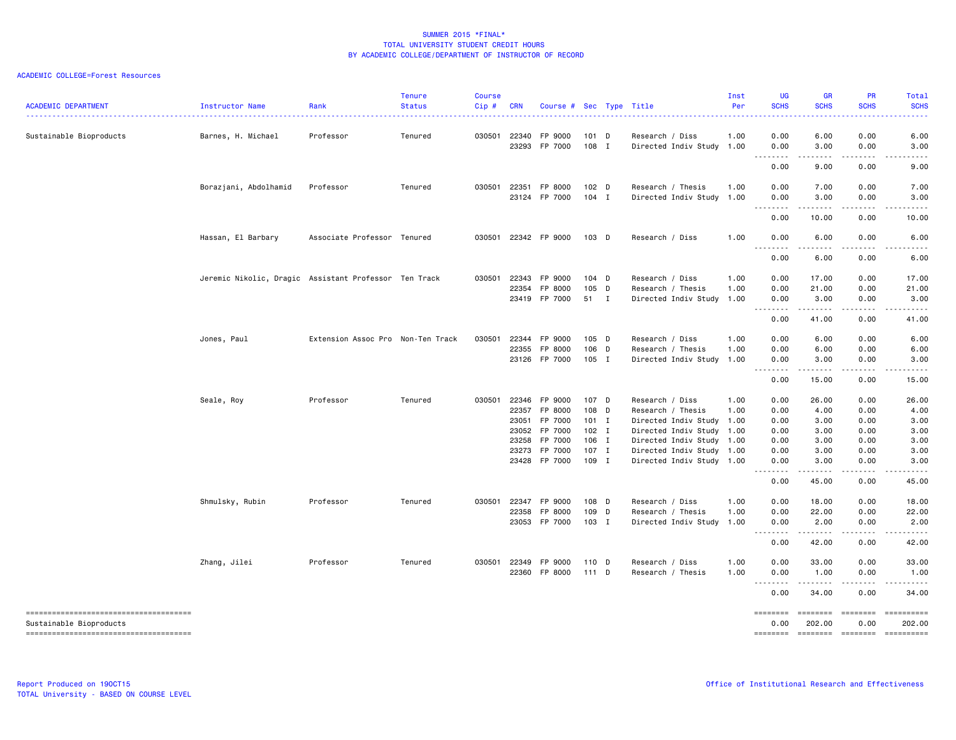| <b>ACADEMIC DEPARTMENT</b>                                      | Instructor Name                                       | Rank                              | <b>Tenure</b><br><b>Status</b> | <b>Course</b><br>$Cip$ # | <b>CRN</b>     | Course # Sec Type Title                         |                           |              |                                                                   | Inst<br>Per  | <b>UG</b><br><b>SCHS</b>                                                                                                                                     | <b>GR</b><br><b>SCHS</b>                    | <b>PR</b><br><b>SCHS</b>      | Total<br><b>SCHS</b>               |
|-----------------------------------------------------------------|-------------------------------------------------------|-----------------------------------|--------------------------------|--------------------------|----------------|-------------------------------------------------|---------------------------|--------------|-------------------------------------------------------------------|--------------|--------------------------------------------------------------------------------------------------------------------------------------------------------------|---------------------------------------------|-------------------------------|------------------------------------|
| Sustainable Bioproducts                                         | Barnes, H. Michael                                    | Professor                         | Tenured                        | 030501                   | 22340<br>23293 | FP 9000<br>FP 7000                              | 101 D<br>108              | $\mathbf{I}$ | Research / Diss<br>Directed Indiv Study 1.00                      | 1.00         | 0.00<br>0.00                                                                                                                                                 | 6.00<br>3.00                                | 0.00<br>0.00                  | 6.00<br>3.00                       |
|                                                                 |                                                       |                                   |                                |                          |                |                                                 |                           |              |                                                                   |              | .<br>0.00                                                                                                                                                    | 9.00                                        | 0.00                          | 9.00                               |
|                                                                 | Borazjani, Abdolhamid                                 | Professor                         | Tenured                        | 030501                   | 22351          | FP 8000<br>23124 FP 7000                        | 102 D<br>$104$ I          |              | Research / Thesis<br>Directed Indiv Study 1.00                    | 1.00         | 0.00<br>0.00<br>الدامات بالمر                                                                                                                                | 7.00<br>3.00<br>.                           | 0.00<br>0.00<br>.             | 7.00<br>3.00                       |
|                                                                 |                                                       |                                   |                                |                          |                |                                                 |                           |              |                                                                   |              | 0.00                                                                                                                                                         | 10.00                                       | 0.00                          | 10.00                              |
|                                                                 | Hassan, El Barbary                                    | Associate Professor Tenured       |                                |                          |                | 030501 22342 FP 9000                            | 103 D                     |              | Research / Diss                                                   | 1.00         | 0.00<br>$\sim$ $\sim$ $\sim$                                                                                                                                 | 6.00<br>.                                   | 0.00                          | 6.00                               |
|                                                                 |                                                       |                                   |                                |                          |                |                                                 |                           |              |                                                                   |              | 0.00                                                                                                                                                         | 6.00                                        | 0.00                          | 6.00                               |
|                                                                 | Jeremic Nikolic, Dragic Assistant Professor Ten Track |                                   |                                | 030501                   | 22343<br>22354 | FP 9000<br>FP 8000<br>23419 FP 7000             | 104 D<br>105 D<br>51 I    |              | Research / Diss<br>Research / Thesis<br>Directed Indiv Study 1.00 | 1.00<br>1.00 | 0.00<br>0.00<br>0.00<br><u>.</u>                                                                                                                             | 17.00<br>21.00<br>3.00<br>.                 | 0.00<br>0.00<br>0.00<br>.     | 17.00<br>21.00<br>3.00<br>.        |
|                                                                 |                                                       |                                   |                                |                          |                |                                                 |                           |              |                                                                   |              | 0.00                                                                                                                                                         | 41.00                                       | 0.00                          | 41.00                              |
|                                                                 | Jones, Paul                                           | Extension Assoc Pro Non-Ten Track |                                | 030501                   | 22344<br>22355 | FP 9000<br>FP 8000<br>23126 FP 7000             | 105 D<br>106 D<br>105 I   |              | Research / Diss<br>Research / Thesis<br>Directed Indiv Study 1.00 | 1.00<br>1.00 | 0.00<br>0.00<br>0.00                                                                                                                                         | 6.00<br>6.00<br>3.00                        | 0.00<br>0.00<br>0.00          | 6.00<br>6.00<br>3.00               |
|                                                                 |                                                       |                                   |                                |                          |                |                                                 |                           |              |                                                                   |              | .<br>0.00                                                                                                                                                    | $\sim$ $\sim$ $\sim$ $\sim$ $\sim$<br>15.00 | .<br>0.00                     | 15.00                              |
|                                                                 | Seale, Roy                                            | Professor                         | Tenured                        | 030501                   |                | 22346 FP 9000<br>22357 FP 8000<br>23051 FP 7000 | 107 D<br>108 D<br>$101$ I |              | Research / Diss<br>Research / Thesis<br>Directed Indiv Study 1.00 | 1.00<br>1.00 | 0.00<br>0.00<br>0.00                                                                                                                                         | 26.00<br>4.00<br>3.00                       | 0.00<br>0.00<br>0.00          | 26.00<br>4.00<br>3.00              |
|                                                                 |                                                       |                                   |                                |                          | 23052<br>23258 | FP 7000<br>FP 7000                              | $102$ I<br>106 I          |              | Directed Indiv Study<br>Directed Indiv Study 1.00                 | 1.00         | 0.00<br>0.00                                                                                                                                                 | 3.00<br>3.00                                | 0.00<br>0.00                  | 3.00<br>3.00                       |
|                                                                 |                                                       |                                   |                                |                          |                | 23273 FP 7000<br>23428 FP 7000                  | 107 I<br>109 I            |              | Directed Indiv Study 1.00<br>Directed Indiv Study 1.00            |              | 0.00<br>0.00                                                                                                                                                 | 3.00<br>3.00                                | 0.00<br>0.00                  | 3.00<br>3.00                       |
|                                                                 |                                                       |                                   |                                |                          |                |                                                 |                           |              |                                                                   |              | $\frac{1}{2} \left( \frac{1}{2} \right) \left( \frac{1}{2} \right) \left( \frac{1}{2} \right) \left( \frac{1}{2} \right) \left( \frac{1}{2} \right)$<br>0.00 | .<br>45.00                                  | .<br>0.00                     | .<br>45.00                         |
|                                                                 | Shmulsky, Rubin                                       | Professor                         | Tenured                        | 030501                   | 22347<br>22358 | FP 9000<br>FP 8000<br>23053 FP 7000             | 108 D<br>109 D<br>103 I   |              | Research / Diss<br>Research / Thesis<br>Directed Indiv Study 1.00 | 1.00<br>1.00 | 0.00<br>0.00<br>0.00                                                                                                                                         | 18.00<br>22.00<br>2.00                      | 0.00<br>0.00<br>0.00          | 18.00<br>22.00<br>2.00             |
|                                                                 |                                                       |                                   |                                |                          |                |                                                 |                           |              |                                                                   |              | .<br>0.00                                                                                                                                                    | .<br>42.00                                  | .<br>0.00                     | .<br>42.00                         |
|                                                                 | Zhang, Jilei                                          | Professor                         | Tenured                        | 030501                   | 22349<br>22360 | FP 9000<br>FP 8000                              | 110 D<br>111 D            |              | Research / Diss<br>Research / Thesis                              | 1.00<br>1.00 | 0.00<br>0.00                                                                                                                                                 | 33.00<br>1.00                               | 0.00<br>0.00                  | 33.00<br>1.00                      |
|                                                                 |                                                       |                                   |                                |                          |                |                                                 |                           |              |                                                                   |              | .<br>0.00                                                                                                                                                    | <u>.</u><br>34.00                           | .<br>0.00                     | $\cdots$<br>34.00                  |
| Sustainable Bioproducts<br>------------------------------------ |                                                       |                                   |                                |                          |                |                                                 |                           |              |                                                                   |              | ========<br>0.00<br>========                                                                                                                                 | <b>ESSESSE</b><br>202.00<br>========        | ---------<br>0.00<br>======== | ==========<br>202.00<br>========== |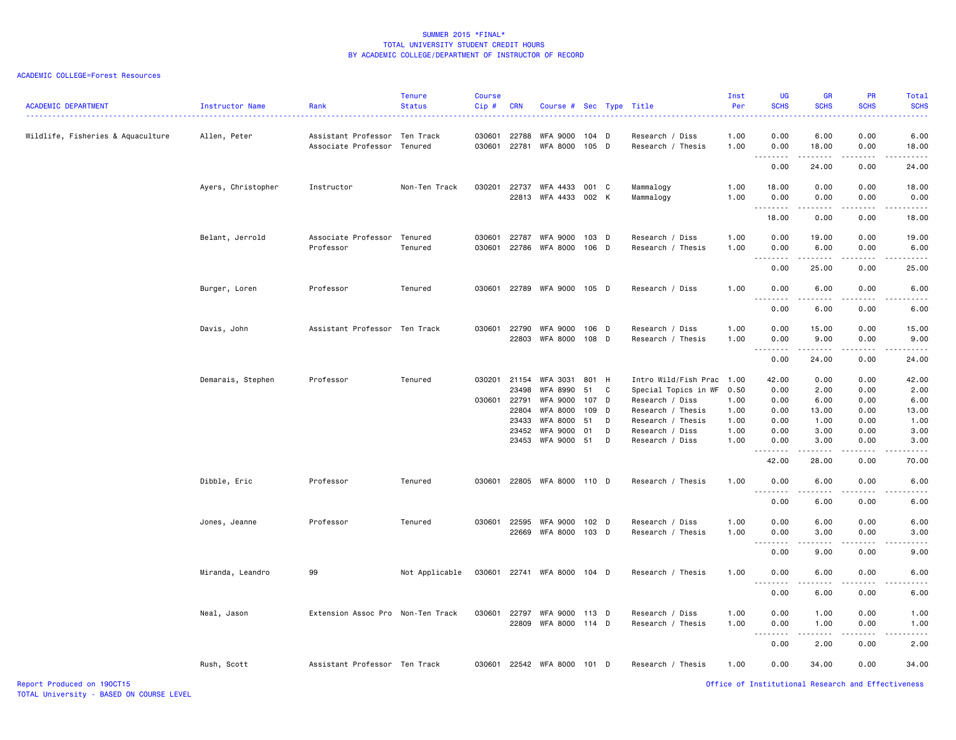#### ACADEMIC COLLEGE=Forest Resources

| <b>ACADEMIC DEPARTMENT</b>        | Instructor Name    | Rank                                                         | <b>Tenure</b><br><b>Status</b> | <b>Course</b><br>Cip# | <b>CRN</b>     | Course # Sec Type Title           |                |   |                                      | Inst<br>Per  | <b>UG</b><br><b>SCHS</b>                                                                                                                                                                     | <b>GR</b><br><b>SCHS</b> | <b>PR</b><br><b>SCHS</b>            | Total<br><b>SCHS</b> |
|-----------------------------------|--------------------|--------------------------------------------------------------|--------------------------------|-----------------------|----------------|-----------------------------------|----------------|---|--------------------------------------|--------------|----------------------------------------------------------------------------------------------------------------------------------------------------------------------------------------------|--------------------------|-------------------------------------|----------------------|
| Wildlife, Fisheries & Aquaculture | Allen, Peter       | Assistant Professor Ten Track<br>Associate Professor Tenured |                                | 030601<br>030601      | 22788<br>22781 | WFA 9000<br>WFA 8000              | 104 D<br>105 D |   | Research / Diss<br>Research / Thesis | 1.00<br>1.00 | 0.00<br>0.00<br>$\frac{1}{2} \left( \frac{1}{2} \right) \left( \frac{1}{2} \right) \left( \frac{1}{2} \right) \left( \frac{1}{2} \right) \left( \frac{1}{2} \right)$<br>$\sim$ $\sim$ $\sim$ | 6.00<br>18.00<br>.       | 0.00<br>0.00<br>.                   | 6.00<br>18.00<br>.   |
|                                   |                    |                                                              |                                |                       |                |                                   |                |   |                                      |              | 0.00                                                                                                                                                                                         | 24.00                    | 0.00                                | 24.00                |
|                                   |                    |                                                              |                                |                       |                |                                   |                |   |                                      |              |                                                                                                                                                                                              |                          |                                     |                      |
|                                   | Ayers, Christopher | Instructor                                                   | Non-Ten Track                  | 030201                | 22737<br>22813 | WFA 4433<br>WFA 4433 002 K        | 001 C          |   | Mammalogy<br>Mammalogy               | 1.00<br>1.00 | 18.00<br>0.00<br><u>.</u>                                                                                                                                                                    | 0.00<br>0.00             | 0.00<br>0.00                        | 18.00<br>0.00        |
|                                   |                    |                                                              |                                |                       |                |                                   |                |   |                                      |              | 18.00                                                                                                                                                                                        | 0.00                     | 0.00                                | 18.00                |
|                                   | Belant, Jerrold    | Associate Professor Tenured<br>Professor                     | Tenured                        | 030601<br>030601      | 22787          | <b>WFA 9000</b><br>22786 WFA 8000 | 103 D<br>106 D |   | Research / Diss<br>Research / Thesis | 1.00<br>1.00 | 0.00<br>0.00                                                                                                                                                                                 | 19.00<br>6.00            | 0.00<br>0.00                        | 19.00<br>6.00        |
|                                   |                    |                                                              |                                |                       |                |                                   |                |   |                                      |              | $\sim$ $\sim$<br>$\sim$ $\sim$ $\sim$ $\sim$<br>0.00                                                                                                                                         | 25.00                    | $\sim$ $\sim$ $\sim$ $\sim$<br>0.00 | 25.00                |
|                                   | Burger, Loren      | Professor                                                    | Tenured                        |                       |                | 030601 22789 WFA 9000 105 D       |                |   | Research / Diss                      | 1.00         | 0.00<br>$\sim$ $\sim$ $\sim$ $\sim$                                                                                                                                                          | 6.00<br>-----            | 0.00<br>.                           | 6.00<br>$   -$       |
|                                   |                    |                                                              |                                |                       |                |                                   |                |   |                                      |              | 0.00                                                                                                                                                                                         | 6.00                     | 0.00                                | 6.00                 |
|                                   |                    |                                                              |                                |                       | 22790          |                                   |                |   |                                      |              |                                                                                                                                                                                              |                          |                                     |                      |
|                                   | Davis, John        | Assistant Professor Ten Track                                |                                | 030601                | 22803          | WFA 9000<br>WFA 8000              | 106 D<br>108 D |   | Research / Diss<br>Research / Thesis | 1.00<br>1.00 | 0.00<br>0.00                                                                                                                                                                                 | 15.00<br>9.00            | 0.00<br>0.00                        | 15.00<br>9.00        |
|                                   |                    |                                                              |                                |                       |                |                                   |                |   |                                      |              | $\sim$ $\sim$ $\sim$<br>.                                                                                                                                                                    |                          |                                     |                      |
|                                   |                    |                                                              |                                |                       |                |                                   |                |   |                                      |              | 0.00                                                                                                                                                                                         | 24.00                    | 0.00                                | 24.00                |
|                                   | Demarais, Stephen  | Professor                                                    | Tenured                        | 030201                | 21154          | WFA 3031                          | 801 H          |   | Intro Wild/Fish Prac 1.00            |              | 42.00                                                                                                                                                                                        | 0.00                     | 0.00                                | 42.00                |
|                                   |                    |                                                              |                                |                       | 23498          | <b>WFA 8990</b>                   | 51             | C | Special Topics in WF                 | 0.50         | 0.00                                                                                                                                                                                         | 2.00                     | 0.00                                | 2.00                 |
|                                   |                    |                                                              |                                | 030601 22791          |                | <b>WFA 9000</b>                   | 107            | D | Research / Diss                      | 1.00         | 0.00                                                                                                                                                                                         | 6.00                     | 0.00                                | 6.00                 |
|                                   |                    |                                                              |                                |                       | 22804          | <b>WFA 8000</b>                   | 109            | D | Research / Thesis                    | 1.00         | 0.00                                                                                                                                                                                         | 13.00                    | 0.00                                | 13.00                |
|                                   |                    |                                                              |                                |                       | 23433          | <b>WFA 8000</b>                   | 51             | D | Research / Thesis                    | 1.00         | 0.00                                                                                                                                                                                         | 1.00                     | 0.00                                | 1.00                 |
|                                   |                    |                                                              |                                |                       | 23452          | <b>WFA 9000</b>                   | 01             | D | Research / Diss                      | 1.00         | 0.00                                                                                                                                                                                         | 3.00                     | 0.00                                | 3.00                 |
|                                   |                    |                                                              |                                |                       |                | 23453 WFA 9000                    | 51             | D | Research / Diss                      | 1.00         | 0.00                                                                                                                                                                                         | 3.00                     | 0.00                                | 3.00                 |
|                                   |                    |                                                              |                                |                       |                |                                   |                |   |                                      |              | .<br>42.00                                                                                                                                                                                   | .<br>28.00               | .<br>0.00                           | .<br>70.00           |
|                                   | Dibble, Eric       | Professor                                                    | Tenured                        | 030601                |                | 22805 WFA 8000 110 D              |                |   | Research / Thesis                    | 1.00         | 0.00                                                                                                                                                                                         | 6.00                     | 0.00                                | 6.00                 |
|                                   |                    |                                                              |                                |                       |                |                                   |                |   |                                      |              | $ -$<br>.<br>0.00                                                                                                                                                                            | 6.00                     | 0.00                                | 6.00                 |
|                                   | Jones, Jeanne      | Professor                                                    | Tenured                        | 030601                | 22595          | WFA 9000                          | 102 D          |   | Research / Diss                      | 1.00         | 0.00                                                                                                                                                                                         | 6.00                     | 0.00                                | 6.00                 |
|                                   |                    |                                                              |                                |                       | 22669          | WFA 8000                          | $103$ D        |   | Research / Thesis                    | 1.00         | 0.00                                                                                                                                                                                         | 3.00                     | 0.00                                | 3.00                 |
|                                   |                    |                                                              |                                |                       |                |                                   |                |   |                                      |              | .<br>$ -$                                                                                                                                                                                    | .                        | .                                   | .                    |
|                                   |                    |                                                              |                                |                       |                |                                   |                |   |                                      |              | 0.00                                                                                                                                                                                         | 9.00                     | 0.00                                | 9.00                 |
|                                   | Miranda, Leandro   | 99                                                           | Not Applicable                 |                       |                | 030601 22741 WFA 8000 104 D       |                |   | Research / Thesis                    | 1.00         | 0.00                                                                                                                                                                                         | 6.00                     | 0.00                                | 6.00                 |
|                                   |                    |                                                              |                                |                       |                |                                   |                |   |                                      |              | 0.00                                                                                                                                                                                         | 6.00                     | 0.00                                | 6.00                 |
|                                   | Neal, Jason        | Extension Assoc Pro Non-Ten Track                            |                                | 030601 22797          |                | WFA 9000                          | 113 D          |   | Research / Diss                      | 1.00         | 0.00                                                                                                                                                                                         | 1.00                     | 0.00                                | 1.00                 |
|                                   |                    |                                                              |                                |                       | 22809          | WFA 8000 114 D                    |                |   | Research / Thesis                    | 1.00         | 0.00                                                                                                                                                                                         | 1.00                     | 0.00                                | 1.00                 |
|                                   |                    |                                                              |                                |                       |                |                                   |                |   |                                      |              | .<br>$  -$                                                                                                                                                                                   | .                        | .                                   | $\frac{1}{2}$        |
|                                   |                    |                                                              |                                |                       |                |                                   |                |   |                                      |              | 0.00                                                                                                                                                                                         | 2.00                     | 0.00                                | 2.00                 |
|                                   | Rush, Scott        | Assistant Professor Ten Track                                |                                | 030601                |                | 22542 WFA 8000                    | 101 D          |   | Research / Thesis                    | 1.00         | 0.00                                                                                                                                                                                         | 34.00                    | 0.00                                | 34.00                |

Report Produced on 19OCT15 Office of Institutional Research and Effectiveness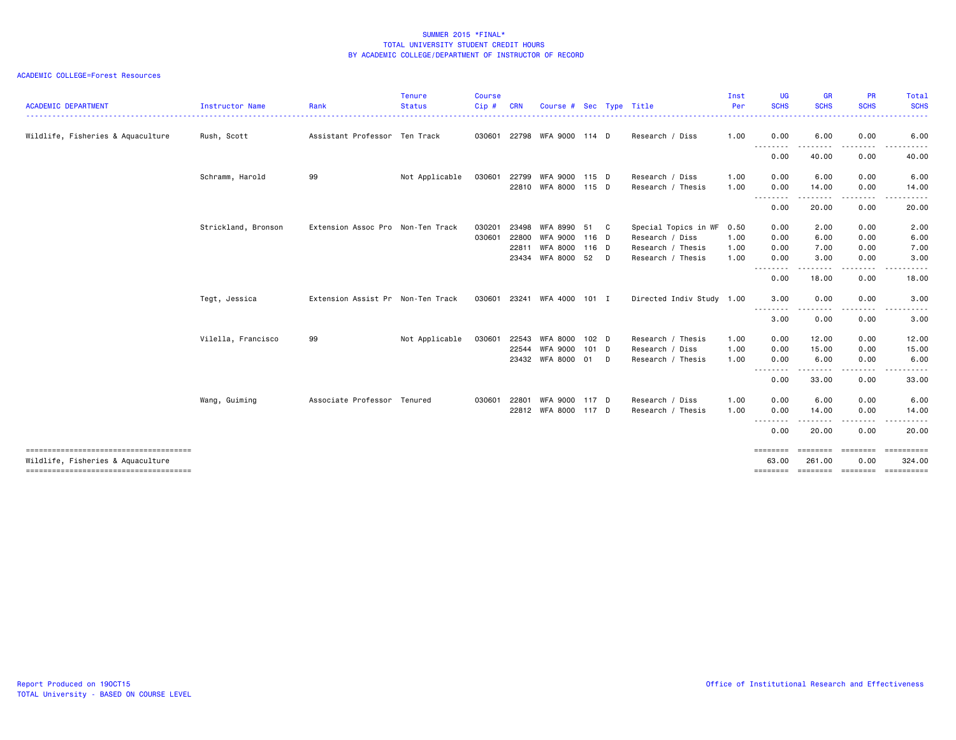| <b>ACADEMIC DEPARTMENT</b>                                                  | <b>Instructor Name</b> | Rank                              | <b>Tenure</b><br><b>Status</b> | <b>Course</b><br>$Cip$ # | <b>CRN</b> | Course # Sec Type Title |                  |    |                           | Inst<br>Per | <b>UG</b><br><b>SCHS</b><br>$\frac{1}{2} \left( \frac{1}{2} \right) \left( \frac{1}{2} \right) \left( \frac{1}{2} \right) \left( \frac{1}{2} \right)$ | <b>GR</b><br><b>SCHS</b> | <b>PR</b><br><b>SCHS</b>                                                                                                                                     | Total<br><b>SCHS</b><br>المتمام المار |
|-----------------------------------------------------------------------------|------------------------|-----------------------------------|--------------------------------|--------------------------|------------|-------------------------|------------------|----|---------------------------|-------------|-------------------------------------------------------------------------------------------------------------------------------------------------------|--------------------------|--------------------------------------------------------------------------------------------------------------------------------------------------------------|---------------------------------------|
| Wildlife, Fisheries & Aquaculture                                           | Rush, Scott            | Assistant Professor Ten Track     |                                | 030601                   |            | 22798 WFA 9000 114 D    |                  |    | Research / Diss           | 1.00        | 0.00                                                                                                                                                  | 6.00                     | 0.00                                                                                                                                                         | 6.00                                  |
|                                                                             |                        |                                   |                                |                          |            |                         |                  |    |                           |             | $- - -$<br>.<br>0.00                                                                                                                                  | 40.00                    | 0.00                                                                                                                                                         | 40.00                                 |
|                                                                             | Schramm, Harold        | 99                                | Not Applicable                 | 030601                   | 22799      | WFA 9000                | 115 D            |    | Research / Diss           | 1.00        | 0.00                                                                                                                                                  | 6.00                     | 0.00                                                                                                                                                         | 6.00                                  |
|                                                                             |                        |                                   |                                |                          |            | 22810 WFA 8000          | 115 D            |    | Research / Thesis         | 1.00        | 0.00                                                                                                                                                  | 14.00                    | 0.00                                                                                                                                                         | 14.00                                 |
|                                                                             |                        |                                   |                                |                          |            |                         |                  |    |                           |             | .<br>0.00                                                                                                                                             | . <b>.</b> .<br>20.00    | $\frac{1}{2} \left( \frac{1}{2} \right) \left( \frac{1}{2} \right) \left( \frac{1}{2} \right) \left( \frac{1}{2} \right) \left( \frac{1}{2} \right)$<br>0.00 | .<br>20.00                            |
|                                                                             | Strickland, Bronson    | Extension Assoc Pro Non-Ten Track |                                | 030201                   | 23498      | WFA 8990                | 51               | C. | Special Topics in WF      | 0.50        | 0.00                                                                                                                                                  | 2.00                     | 0.00                                                                                                                                                         | 2.00                                  |
|                                                                             |                        |                                   |                                | 030601                   | 22800      | WFA 9000                | 116 D            |    | Research / Diss           | 1.00        | 0.00                                                                                                                                                  | 6.00                     | 0.00                                                                                                                                                         | 6.00                                  |
|                                                                             |                        |                                   |                                |                          | 22811      | WFA 8000                | 116 D            |    | Research / Thesis         | 1.00        | 0.00                                                                                                                                                  | 7.00                     | 0.00                                                                                                                                                         | 7.00                                  |
|                                                                             |                        |                                   |                                |                          | 23434      | WFA 8000                | 52 D             |    | Research / Thesis         | 1.00        | 0.00                                                                                                                                                  | 3.00                     | 0.00                                                                                                                                                         | 3.00                                  |
|                                                                             |                        |                                   |                                |                          |            |                         |                  |    |                           |             | <u> - - - - - - - -</u><br>0.00                                                                                                                       | 18.00                    | 0.00                                                                                                                                                         | 18.00                                 |
|                                                                             | Tegt, Jessica          | Extension Assist Pr Non-Ten Track |                                | 030601                   |            | 23241 WFA 4000          | 101 I            |    | Directed Indiv Study 1.00 |             | 3.00                                                                                                                                                  | 0.00                     | 0.00                                                                                                                                                         | 3.00                                  |
|                                                                             |                        |                                   |                                |                          |            |                         |                  |    |                           |             | .<br>3.00                                                                                                                                             | ------<br>0.00           | <u>.</u><br>0.00                                                                                                                                             | .<br>3.00                             |
|                                                                             | Vilella, Francisco     | 99                                | Not Applicable                 | 030601                   | 22543      | WFA 8000                | 102 <sub>D</sub> |    | Research / Thesis         | 1.00        | 0.00                                                                                                                                                  | 12.00                    | 0.00                                                                                                                                                         | 12.00                                 |
|                                                                             |                        |                                   |                                |                          | 22544      | WFA 9000                | $101$ D          |    | Research / Diss           | 1.00        | 0.00                                                                                                                                                  | 15.00                    | 0.00                                                                                                                                                         | 15.00                                 |
|                                                                             |                        |                                   |                                |                          |            | 23432 WFA 8000 01 D     |                  |    | Research / Thesis         | 1.00        | 0.00                                                                                                                                                  | 6.00                     | 0.00                                                                                                                                                         | 6.00                                  |
|                                                                             |                        |                                   |                                |                          |            |                         |                  |    |                           |             | .<br>0.00                                                                                                                                             | 33.00                    | <u>.</u><br>0.00                                                                                                                                             | 33.00                                 |
|                                                                             | Wang, Guiming          | Associate Professor Tenured       |                                | 030601                   | 22801      | <b>WFA 9000</b>         | 117 D            |    | Research / Diss           | 1.00        | 0.00                                                                                                                                                  | 6.00                     | 0.00                                                                                                                                                         | 6.00                                  |
|                                                                             |                        |                                   |                                |                          |            | 22812 WFA 8000          | 117 D            |    | Research / Thesis         | 1.00        | 0.00                                                                                                                                                  | 14.00                    | 0.00                                                                                                                                                         | 14.00                                 |
|                                                                             |                        |                                   |                                |                          |            |                         |                  |    |                           |             | $\frac{1}{2}$<br>.<br>0.00                                                                                                                            | $\cdots$<br>20.00        | .<br>0.00                                                                                                                                                    | 20.00                                 |
| ======================================<br>Wildlife, Fisheries & Aquaculture |                        |                                   |                                |                          |            |                         |                  |    |                           |             | ========<br>63.00                                                                                                                                     | ========<br>261.00       | ========<br>0.00                                                                                                                                             | -----------<br>324.00                 |
| -------------------------------------                                       |                        |                                   |                                |                          |            |                         |                  |    |                           |             |                                                                                                                                                       |                          |                                                                                                                                                              | -------- ------- ------- ---------    |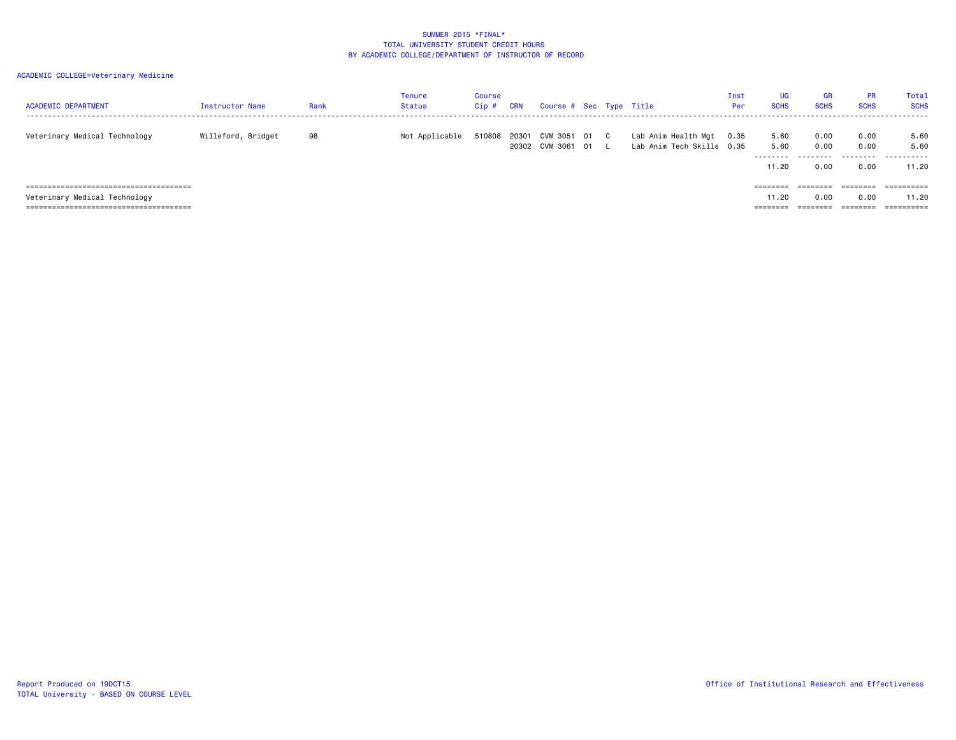| <b>ACADEMIC DEPARTMENT</b>    | Instructor Name    | Rank | Tenure<br><b>Status</b> | Course<br>Cip# | <b>CRN</b> | Course # Sec Type Title                           |  |                                                       | Inst<br>Per | <b>UG</b><br><b>SCHS</b> | <b>GR</b><br><b>SCHS</b> | <b>PR</b><br><b>SCHS</b>     | Total<br><b>SCHS</b>                   |
|-------------------------------|--------------------|------|-------------------------|----------------|------------|---------------------------------------------------|--|-------------------------------------------------------|-------------|--------------------------|--------------------------|------------------------------|----------------------------------------|
| Veterinary Medical Technology | Willeford, Bridget | 98   | Not Applicable          |                |            | 510808 20301 CVM 3051 01 C<br>20302 CVM 3061 01 L |  | Lab Anim Health Mgt 0.35<br>Lab Anim Tech Skills 0.35 |             | 5.60<br>5.60<br>11.20    | 0.00<br>0.00<br>0.00     | 0.00<br>0.00<br>0.00         | 5.60<br>5.60<br>- - - - - - ·<br>11.20 |
| Veterinary Medical Technology |                    |      |                         |                |            |                                                   |  |                                                       |             | ========<br>11.20        | ========<br>0.00         | ========<br>0.00<br>======== | ==========<br>11.20<br>==========      |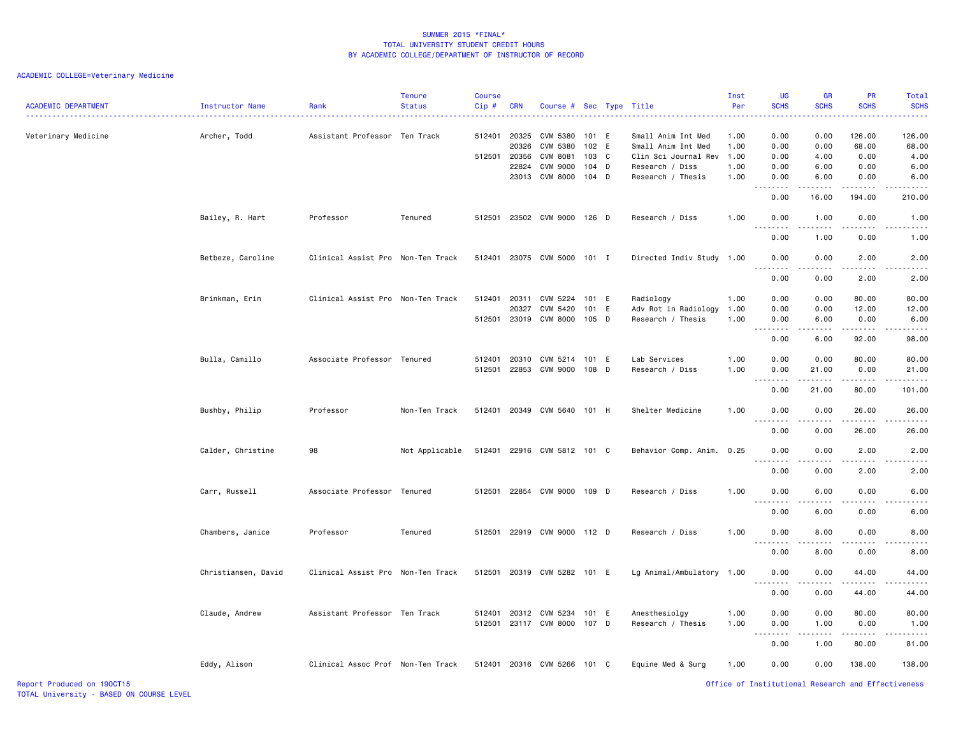| <b>ACADEMIC DEPARTMENT</b> | <b>Instructor Name</b> | Rank                              | <b>Tenure</b><br><b>Status</b> | <b>Course</b><br>Cip#        | <b>CRN</b>                     | Course # Sec Type Title                                                              |                                           |   |                                                                                                          | Inst<br>Per                          | <b>UG</b><br><b>SCHS</b><br>.                         | GR<br><b>SCHS</b>                    | <b>PR</b><br><b>SCHS</b>                                                                                                                  | Total<br><b>SCHS</b>                                                                                                                                                           |
|----------------------------|------------------------|-----------------------------------|--------------------------------|------------------------------|--------------------------------|--------------------------------------------------------------------------------------|-------------------------------------------|---|----------------------------------------------------------------------------------------------------------|--------------------------------------|-------------------------------------------------------|--------------------------------------|-------------------------------------------------------------------------------------------------------------------------------------------|--------------------------------------------------------------------------------------------------------------------------------------------------------------------------------|
| Veterinary Medicine        | Archer, Todd           | Assistant Professor Ten Track     |                                | 512401 20325<br>512501 20356 | 20326<br>22824<br>23013        | <b>CVM 5380</b><br><b>CVM 5380</b><br>CVM 8081<br><b>CVM 9000</b><br><b>CVM 8000</b> | 101 E<br>102 E<br>103<br>104 D<br>$104$ D | C | Small Anim Int Med<br>Small Anim Int Med<br>Clin Sci Journal Rev<br>Research / Diss<br>Research / Thesis | 1.00<br>1.00<br>1.00<br>1.00<br>1.00 | 0.00<br>0.00<br>0.00<br>0.00<br>0.00                  | 0.00<br>0.00<br>4.00<br>6.00<br>6.00 | 126.00<br>68.00<br>0.00<br>0.00<br>0.00                                                                                                   | 126.00<br>68.00<br>4.00<br>6.00<br>6.00                                                                                                                                        |
|                            |                        |                                   |                                |                              |                                |                                                                                      |                                           |   |                                                                                                          |                                      | $\sim$<br>.<br>0.00                                   | 16.00                                | 194.00                                                                                                                                    | 210.00                                                                                                                                                                         |
|                            | Bailey, R. Hart        | Professor                         | Tenured                        |                              |                                | 512501 23502 CVM 9000 126 D                                                          |                                           |   | Research / Diss                                                                                          | 1.00                                 | 0.00<br>$- - -$<br>.<br>0.00                          | 1.00<br>.<br>1.00                    | 0.00<br><u>.</u><br>0.00                                                                                                                  | 1.00<br>$\frac{1}{2} \left( \frac{1}{2} \right) \left( \frac{1}{2} \right) \left( \frac{1}{2} \right) \left( \frac{1}{2} \right) \left( \frac{1}{2} \right)$<br>1.00           |
|                            | Betbeze, Caroline      | Clinical Assist Pro Non-Ten Track |                                |                              |                                | 512401 23075 CVM 5000 101 I                                                          |                                           |   | Directed Indiv Study 1.00                                                                                |                                      | 0.00                                                  | 0.00                                 | 2.00                                                                                                                                      | 2.00                                                                                                                                                                           |
|                            |                        |                                   |                                |                              |                                |                                                                                      |                                           |   |                                                                                                          |                                      | .<br>0.00                                             | د د د د<br>0.00                      | .<br>2.00                                                                                                                                 | 2.00                                                                                                                                                                           |
|                            | Brinkman, Erin         | Clinical Assist Pro Non-Ten Track |                                | 512401                       | 20311<br>20327<br>512501 23019 | CVM 5224<br>CVM 5420<br>CVM 8000 105 D                                               | 101 E<br>101 E                            |   | Radiology<br>Adv Rot in Radiology<br>Research / Thesis                                                   | 1.00<br>1.00<br>1.00                 | 0.00<br>0.00<br>0.00<br>.<br>$\overline{\phantom{a}}$ | 0.00<br>0.00<br>6.00<br>د د د د      | 80.00<br>12.00<br>0.00<br>$\begin{array}{cccccccccccccc} \bullet & \bullet & \bullet & \bullet & \bullet & \bullet & \bullet \end{array}$ | 80.00<br>12.00<br>6.00<br>$\frac{1}{2} \left( \frac{1}{2} \right) \left( \frac{1}{2} \right) \left( \frac{1}{2} \right) \left( \frac{1}{2} \right) \left( \frac{1}{2} \right)$ |
|                            | Bulla, Camillo         | Associate Professor Tenured       |                                | 512401<br>512501             | 20310<br>22853                 | CVM 5214<br>CVM 9000                                                                 | 101 E<br>108 D                            |   | Lab Services<br>Research / Diss                                                                          | 1.00<br>1.00                         | 0.00<br>0.00<br>0.00<br>.                             | 6.00<br>0.00<br>21.00<br>.           | 92.00<br>80.00<br>0.00<br>-----                                                                                                           | 98.00<br>80.00<br>21.00<br>.                                                                                                                                                   |
|                            |                        |                                   |                                |                              |                                |                                                                                      |                                           |   |                                                                                                          |                                      | 0.00                                                  | 21.00                                | 80.00                                                                                                                                     | 101.00                                                                                                                                                                         |
|                            | Bushby, Philip         | Professor                         | Non-Ten Track                  | 512401                       | 20349                          | CVM 5640 101 H                                                                       |                                           |   | Shelter Medicine                                                                                         | 1.00                                 | 0.00<br>.,<br>.                                       | 0.00                                 | 26.00                                                                                                                                     | 26.00                                                                                                                                                                          |
|                            | Calder, Christine      | 98                                | Not Applicable                 |                              |                                | 512401 22916 CVM 5812 101 C                                                          |                                           |   | Behavior Comp. Anim. 0.25                                                                                |                                      | 0.00<br>0.00                                          | 0.00<br>0.00                         | 26.00<br>2.00                                                                                                                             | 26.00<br>2.00                                                                                                                                                                  |
|                            |                        |                                   |                                |                              |                                |                                                                                      |                                           |   |                                                                                                          |                                      | $\sim$ $\sim$ $\sim$<br>0.00                          | 0.00                                 | 2.00                                                                                                                                      | 2.00                                                                                                                                                                           |
|                            | Carr, Russell          | Associate Professor Tenured       |                                |                              |                                | 512501 22854 CVM 9000 109 D                                                          |                                           |   | Research / Diss                                                                                          | 1.00                                 | 0.00<br>.                                             | 6.00                                 | 0.00                                                                                                                                      | 6.00                                                                                                                                                                           |
|                            |                        |                                   |                                |                              |                                |                                                                                      |                                           |   |                                                                                                          |                                      | 0.00                                                  | 6.00                                 | 0.00                                                                                                                                      | 6.00                                                                                                                                                                           |
|                            | Chambers, Janice       | Professor                         | Tenured                        |                              |                                | 512501 22919 CVM 9000 112 D                                                          |                                           |   | Research / Diss                                                                                          | 1.00                                 | 0.00<br>$\sim$ $\sim$                                 | 8.00                                 | 0.00                                                                                                                                      | 8.00                                                                                                                                                                           |
|                            | Christiansen, David    | Clinical Assist Pro Non-Ten Track |                                |                              |                                | 512501 20319 CVM 5282 101 E                                                          |                                           |   | Lg Animal/Ambulatory 1.00                                                                                |                                      | 0.00<br>0.00                                          | 8.00<br>0.00                         | 0.00<br>44.00                                                                                                                             | 8.00<br>44.00                                                                                                                                                                  |
|                            |                        |                                   |                                |                              |                                |                                                                                      |                                           |   |                                                                                                          |                                      | $\frac{1}{2}$<br>0.00                                 | 0.00                                 | .<br>44.00                                                                                                                                | 44.00                                                                                                                                                                          |
|                            | Claude, Andrew         | Assistant Professor Ten Track     |                                | 512401                       |                                | 20312 CVM 5234<br>512501 23117 CVM 8000                                              | 101 E<br>107 D                            |   | Anesthesiolgy<br>Research / Thesis                                                                       | 1.00<br>1.00                         | 0.00<br>0.00                                          | 0.00<br>1.00                         | 80.00<br>0.00                                                                                                                             | 80.00<br>1.00                                                                                                                                                                  |
|                            |                        |                                   |                                |                              |                                |                                                                                      |                                           |   |                                                                                                          |                                      | $\sim$ $\sim$ $\sim$<br>.<br>0.00                     | 1.00                                 | 80.00                                                                                                                                     | 81.00                                                                                                                                                                          |
|                            | Eddy, Alison           | Clinical Assoc Prof Non-Ten Track |                                |                              |                                | 512401 20316 CVM 5266 101 C                                                          |                                           |   | Equine Med & Surg                                                                                        | 1.00                                 | 0.00                                                  | 0.00                                 | 138.00                                                                                                                                    | 138.00                                                                                                                                                                         |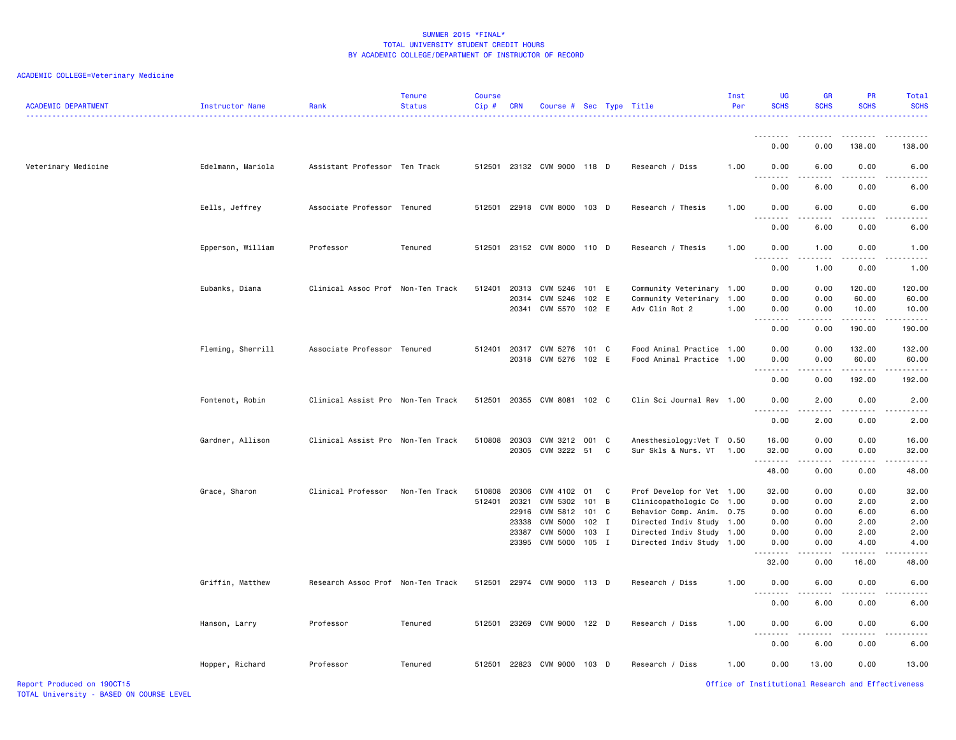| <b>ACADEMIC DEPARTMENT</b> | <b>Instructor Name</b> | Rank                              | <b>Tenure</b><br><b>Status</b> | <b>Course</b><br>Cip# | CRN   | Course # Sec Type Title     |         |                            | Inst<br>Per | <b>UG</b><br><b>SCHS</b> | <b>GR</b><br><b>SCHS</b>     | PR<br><b>SCHS</b>                                  | Total<br><b>SCHS</b> |
|----------------------------|------------------------|-----------------------------------|--------------------------------|-----------------------|-------|-----------------------------|---------|----------------------------|-------------|--------------------------|------------------------------|----------------------------------------------------|----------------------|
|                            |                        |                                   |                                |                       |       |                             |         |                            |             | <u>.</u>                 |                              |                                                    |                      |
|                            |                        |                                   |                                |                       |       |                             |         |                            |             | 0.00                     | 0.00                         | 138.00                                             | 138.00               |
| Veterinary Medicine        | Edelmann, Mariola      | Assistant Professor Ten Track     |                                |                       |       | 512501 23132 CVM 9000 118 D |         | Research / Diss            | 1.00        | 0.00<br>$\frac{1}{2}$    | 6.00                         | 0.00                                               | 6.00                 |
|                            |                        |                                   |                                |                       |       |                             |         |                            |             | 0.00                     | 6.00                         | 0.00                                               | 6.00                 |
|                            | Eells, Jeffrey         | Associate Professor Tenured       |                                | 512501                |       | 22918 CVM 8000 103 D        |         | Research / Thesis          | 1.00        | 0.00                     | 6.00                         | 0.00                                               | 6.00                 |
|                            |                        |                                   |                                |                       |       |                             |         |                            |             | 0.00                     | 6.00                         | 0.00                                               | 6.00                 |
|                            | Epperson, William      | Professor                         | Tenured                        |                       |       | 512501 23152 CVM 8000 110 D |         | Research / Thesis          | 1.00        | 0.00<br>.                | 1.00                         | 0.00                                               | 1.00                 |
|                            |                        |                                   |                                |                       |       |                             |         |                            |             | 0.00                     | 1.00                         | 0.00                                               | 1.00                 |
|                            | Eubanks, Diana         | Clinical Assoc Prof Non-Ten Track |                                | 512401                |       | 20313 CVM 5246              | 101 E   | Community Veterinary 1.00  |             | 0.00                     | 0.00                         | 120.00                                             | 120.00               |
|                            |                        |                                   |                                |                       | 20314 | CVM 5246                    | 102 E   | Community Veterinary       | 1.00        | 0.00                     | 0.00                         | 60.00                                              | 60.00                |
|                            |                        |                                   |                                |                       |       | 20341 CVM 5570 102 E        |         | Adv Clin Rot 2             | 1.00        | 0.00<br>.                | 0.00<br>.                    | 10.00<br>.                                         | 10.00<br><u>.</u>    |
|                            |                        |                                   |                                |                       |       |                             |         |                            |             | 0.00                     | 0.00                         | 190.00                                             | 190.00               |
|                            | Fleming, Sherrill      | Associate Professor Tenured       |                                | 512401                |       | 20317 CVM 5276 101 C        |         | Food Animal Practice       | 1.00        | 0.00                     | 0.00                         | 132.00                                             | 132.00               |
|                            |                        |                                   |                                |                       |       | 20318 CVM 5276 102 E        |         | Food Animal Practice       | 1.00        | 0.00<br>.                | 0.00                         | 60.00                                              | 60.00                |
|                            |                        |                                   |                                |                       |       |                             |         |                            |             | 0.00                     | 0.00                         | 192.00                                             | 192.00               |
|                            | Fontenot, Robin        | Clinical Assist Pro Non-Ten Track |                                | 512501                |       | 20355 CVM 8081 102 C        |         | Clin Sci Journal Rev 1.00  |             | 0.00                     | 2.00                         | 0.00                                               | 2.00                 |
|                            |                        |                                   |                                |                       |       |                             |         |                            |             | 0.00                     | 2.00                         | 0.00                                               | 2.00                 |
|                            | Gardner, Allison       | Clinical Assist Pro Non-Ten Track |                                | 510808                |       | 20303 CVM 3212 001 C        |         | Anesthesiology: Vet T 0.50 |             | 16.00                    | 0.00                         | 0.00                                               | 16.00                |
|                            |                        |                                   |                                |                       |       | 20305 CVM 3222 51           | C       | Sur Skls & Nurs. VT        | 1.00        | 32.00                    | 0.00                         | 0.00                                               | 32.00                |
|                            |                        |                                   |                                |                       |       |                             |         |                            |             | <u>.</u><br>48.00        | .<br>0.00                    | .<br>0.00                                          | 48.00                |
|                            | Grace, Sharon          | Clinical Professor                | Non-Ten Track                  | 510808                | 20306 | CVM 4102                    | 01<br>C | Prof Develop for Vet 1.00  |             | 32.00                    | 0.00                         | 0.00                                               | 32.00                |
|                            |                        |                                   |                                | 512401                | 20321 | CVM 5302                    | 101 B   | Clinicopathologic Co       | 1.00        | 0.00                     | 0.00                         | 2.00                                               | 2.00                 |
|                            |                        |                                   |                                |                       | 22916 | CVM 5812                    | 101 C   | Behavior Comp. Anim.       | 0.75        | 0.00                     | 0.00                         | 6.00                                               | 6.00                 |
|                            |                        |                                   |                                |                       | 23338 | <b>CVM 5000</b>             | $102$ I | Directed Indiv Study 1.00  |             | 0.00                     | 0.00                         | 2.00                                               | 2.00                 |
|                            |                        |                                   |                                |                       |       | 23387 CVM 5000              | 103 I   | Directed Indiv Study 1.00  |             | 0.00                     | 0.00                         | 2.00                                               | 2.00                 |
|                            |                        |                                   |                                |                       |       | 23395 CVM 5000              | $105$ I | Directed Indiv Study 1.00  |             | 0.00<br>.                | 0.00<br>د د د د              | 4.00                                               | 4.00                 |
|                            |                        |                                   |                                |                       |       |                             |         |                            |             | 32.00                    | 0.00                         | 16.00                                              | 48.00                |
|                            | Griffin, Matthew       | Research Assoc Prof Non-Ten Track |                                | 512501                |       | 22974 CVM 9000 113 D        |         | Research / Diss            | 1.00        | 0.00<br>.                | 6.00<br>$\sim$ $\sim$ $\sim$ | 0.00<br>.                                          | 6.00                 |
|                            |                        |                                   |                                |                       |       |                             |         |                            |             | 0.00                     | 6.00                         | 0.00                                               | 6.00                 |
|                            | Hanson, Larry          | Professor                         | Tenured                        | 512501                |       | 23269 CVM 9000 122 D        |         | Research / Diss            | 1.00        | 0.00<br>$\frac{1}{2}$    | 6.00<br>$ -$                 | 0.00                                               | 6.00                 |
|                            |                        |                                   |                                |                       |       |                             |         |                            |             | 0.00                     | 6.00                         | 0.00                                               | 6.00                 |
|                            | Hopper, Richard        | Professor                         | Tenured                        | 512501                |       | 22823 CVM 9000              | 103 D   | Research / Diss            | 1.00        | 0.00                     | 13.00                        | 0.00                                               | 13.00                |
| Report Produced on 190CT15 |                        |                                   |                                |                       |       |                             |         |                            |             |                          |                              | Office of Institutional Research and Effectiveness |                      |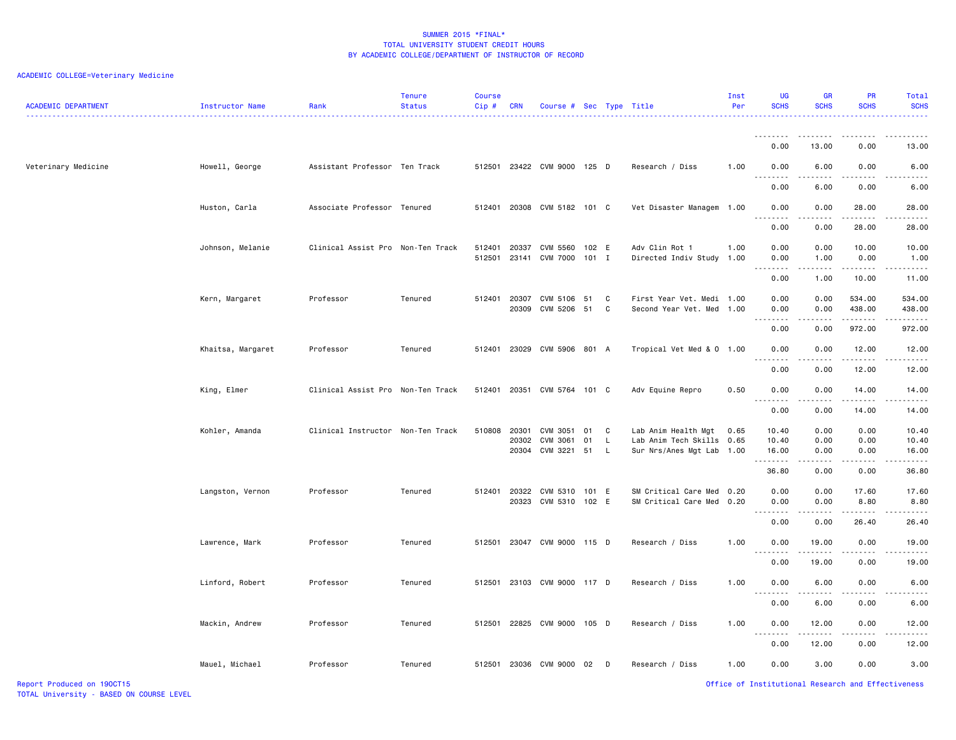| <b>ACADEMIC DEPARTMENT</b> | Instructor Name   | Rank                              | <b>Tenure</b><br><b>Status</b> | <b>Course</b><br>Cip# | <b>CRN</b> | Course # Sec Type Title          |     |          |                                                   | Inst<br>Per  | <b>UG</b><br><b>SCHS</b>                           | <b>GR</b><br><b>SCHS</b>                                                                                                                                      | <b>PR</b><br><b>SCHS</b>                                                                                                                                      | Total<br><b>SCHS</b>  |
|----------------------------|-------------------|-----------------------------------|--------------------------------|-----------------------|------------|----------------------------------|-----|----------|---------------------------------------------------|--------------|----------------------------------------------------|---------------------------------------------------------------------------------------------------------------------------------------------------------------|---------------------------------------------------------------------------------------------------------------------------------------------------------------|-----------------------|
|                            |                   |                                   |                                |                       |            |                                  |     |          |                                                   |              | <b></b>                                            | .                                                                                                                                                             | .                                                                                                                                                             | .                     |
|                            |                   |                                   |                                |                       |            |                                  |     |          |                                                   |              | 0.00                                               | 13.00                                                                                                                                                         | 0.00                                                                                                                                                          | 13.00                 |
| Veterinary Medicine        | Howell, George    | Assistant Professor Ten Track     |                                | 512501                |            | 23422 CVM 9000 125 D             |     |          | Research / Diss                                   | 1.00         | 0.00<br>الدامات ب                                  | 6.00<br>الماليات المالية                                                                                                                                      | 0.00<br>.                                                                                                                                                     | 6.00                  |
|                            |                   |                                   |                                |                       |            |                                  |     |          |                                                   |              | 0.00                                               | 6.00                                                                                                                                                          | 0.00                                                                                                                                                          | 6.00                  |
|                            | Huston, Carla     | Associate Professor Tenured       |                                | 512401                | 20308      | CVM 5182 101 C                   |     |          | Vet Disaster Managem                              | 1.00         | 0.00                                               | 0.00                                                                                                                                                          | 28.00                                                                                                                                                         | 28.00                 |
|                            |                   |                                   |                                |                       |            |                                  |     |          |                                                   |              | 0.00                                               | 0.00                                                                                                                                                          | 28.00                                                                                                                                                         | 28.00                 |
|                            | Johnson, Melanie  | Clinical Assist Pro Non-Ten Track |                                | 512401                | 20337      | CVM 5560 102 E                   |     |          | Adv Clin Rot 1                                    | 1.00         | 0.00                                               | 0.00                                                                                                                                                          | 10.00                                                                                                                                                         | 10.00                 |
|                            |                   |                                   |                                | 512501                |            | 23141 CVM 7000 101 I             |     |          | Directed Indiv Study                              | 1.00         | 0.00                                               | 1.00<br>.                                                                                                                                                     | 0.00<br>-----                                                                                                                                                 | 1.00<br>.             |
|                            |                   |                                   |                                |                       |            |                                  |     |          |                                                   |              | 0.00                                               | 1.00                                                                                                                                                          | 10.00                                                                                                                                                         | 11.00                 |
|                            | Kern, Margaret    | Professor                         | Tenured                        | 512401                | 20307      | CVM 5106                         | 51  | C        | First Year Vet. Medi 1.00                         |              | 0.00                                               | 0.00                                                                                                                                                          | 534.00                                                                                                                                                        | 534.00                |
|                            |                   |                                   |                                |                       |            | 20309 CVM 5206 51                |     | C        | Second Year Vet. Med 1.00                         |              | 0.00<br>.                                          | 0.00<br>.                                                                                                                                                     | 438.00<br>.                                                                                                                                                   | 438.00<br>$- - - - -$ |
|                            |                   |                                   |                                |                       |            |                                  |     |          |                                                   |              | 0.00                                               | 0.00                                                                                                                                                          | 972.00                                                                                                                                                        | 972.00                |
|                            | Khaitsa, Margaret | Professor                         | Tenured                        | 512401                |            | 23029 CVM 5906 801 A             |     |          | Tropical Vet Med & 0 1.00                         |              | 0.00<br>.                                          | 0.00<br>.                                                                                                                                                     | 12.00<br>.                                                                                                                                                    | 12.00<br>.            |
|                            |                   |                                   |                                |                       |            |                                  |     |          |                                                   |              | 0.00                                               | 0.00                                                                                                                                                          | 12.00                                                                                                                                                         | 12.00                 |
|                            | King, Elmer       | Clinical Assist Pro Non-Ten Track |                                | 512401                |            | 20351 CVM 5764 101 C             |     |          | Adv Equine Repro                                  | 0.50         | 0.00                                               | 0.00                                                                                                                                                          | 14.00                                                                                                                                                         | 14.00                 |
|                            |                   |                                   |                                |                       |            |                                  |     |          |                                                   |              | $\sim$ $\sim$<br>0.00                              | .<br>0.00                                                                                                                                                     | $\frac{1}{2} \left( \frac{1}{2} \right) \left( \frac{1}{2} \right) \left( \frac{1}{2} \right) \left( \frac{1}{2} \right) \left( \frac{1}{2} \right)$<br>14.00 | .<br>14.00            |
|                            | Kohler, Amanda    | Clinical Instructor Non-Ten Track |                                | 510808                | 20301      | CVM 3051                         | 01  | C        | Lab Anim Health Mgt                               | 0.65         | 10.40                                              | 0.00                                                                                                                                                          | 0.00                                                                                                                                                          | 10.40                 |
|                            |                   |                                   |                                |                       | 20302      | CVM 3061<br>20304 CVM 3221 51    | 01  | L.<br>L. | Lab Anim Tech Skills<br>Sur Nrs/Anes Mgt Lab      | 0.65<br>1.00 | 10.40<br>16.00                                     | 0.00<br>0.00                                                                                                                                                  | 0.00<br>0.00                                                                                                                                                  | 10.40<br>16.00        |
|                            |                   |                                   |                                |                       |            |                                  |     |          |                                                   |              | .                                                  | $\frac{1}{2} \left( \frac{1}{2} \right) \left( \frac{1}{2} \right) \left( \frac{1}{2} \right) \left( \frac{1}{2} \right) \left( \frac{1}{2} \right)$          | -----                                                                                                                                                         | .                     |
|                            |                   |                                   |                                |                       |            |                                  |     |          |                                                   |              | 36.80                                              | 0.00                                                                                                                                                          | 0.00                                                                                                                                                          | 36.80                 |
|                            | Langston, Vernon  | Professor                         | Tenured                        | 512401                | 20322      | CVM 5310<br>20323 CVM 5310 102 E | 101 | E        | SM Critical Care Med<br>SM Critical Care Med 0.20 | 0.20         | 0.00<br>0.00                                       | 0.00<br>0.00                                                                                                                                                  | 17.60<br>8.80                                                                                                                                                 | 17.60<br>8.80         |
|                            |                   |                                   |                                |                       |            |                                  |     |          |                                                   |              | د د د د                                            | $\frac{1}{2} \left( \frac{1}{2} \right) \left( \frac{1}{2} \right) \left( \frac{1}{2} \right) \left( \frac{1}{2} \right)$                                     | .                                                                                                                                                             | $\frac{1}{2}$         |
|                            |                   |                                   |                                |                       |            |                                  |     |          |                                                   |              | 0.00                                               | 0.00                                                                                                                                                          | 26.40                                                                                                                                                         | 26.40                 |
|                            | Lawrence, Mark    | Professor                         | Tenured                        | 512501                |            | 23047 CVM 9000 115 D             |     |          | Research / Diss                                   | 1.00         | 0.00<br>$\sim$ $\sim$                              | 19.00<br>.                                                                                                                                                    | 0.00<br>.                                                                                                                                                     | 19.00                 |
|                            |                   |                                   |                                |                       |            |                                  |     |          |                                                   |              | 0.00                                               | 19.00                                                                                                                                                         | 0.00                                                                                                                                                          | 19.00                 |
|                            | Linford, Robert   | Professor                         | Tenured                        | 512501                |            | 23103 CVM 9000 117 D             |     |          | Research / Diss                                   | 1.00         | 0.00<br>$\sim$ $\sim$ $\sim$<br>.                  | 6.00<br>.                                                                                                                                                     | 0.00<br>.                                                                                                                                                     | 6.00<br>$- - - -$     |
|                            |                   |                                   |                                |                       |            |                                  |     |          |                                                   |              | 0.00                                               | 6.00                                                                                                                                                          | 0.00                                                                                                                                                          | 6.00                  |
|                            | Mackin, Andrew    | Professor                         | Tenured                        | 512501                |            | 22825 CVM 9000 105 D             |     |          | Research / Diss                                   | 1.00         | 0.00                                               | 12.00                                                                                                                                                         | 0.00                                                                                                                                                          | 12.00                 |
|                            |                   |                                   |                                |                       |            |                                  |     |          |                                                   |              | $\sim$ $\sim$<br>$\frac{1}{2}$<br>0.00             | $\frac{1}{2} \left( \frac{1}{2} \right) \left( \frac{1}{2} \right) \left( \frac{1}{2} \right) \left( \frac{1}{2} \right) \left( \frac{1}{2} \right)$<br>12.00 | .<br>0.00                                                                                                                                                     | .<br>12.00            |
|                            | Mauel, Michael    | Professor                         | Tenured                        | 512501                | 23036      | CVM 9000                         | 02  | D        | Research / Diss                                   | 1.00         | 0.00                                               | 3.00                                                                                                                                                          | 0.00                                                                                                                                                          | 3.00                  |
| Report Produced on 190CT15 |                   |                                   |                                |                       |            |                                  |     |          |                                                   |              | Office of Institutional Research and Effectiveness |                                                                                                                                                               |                                                                                                                                                               |                       |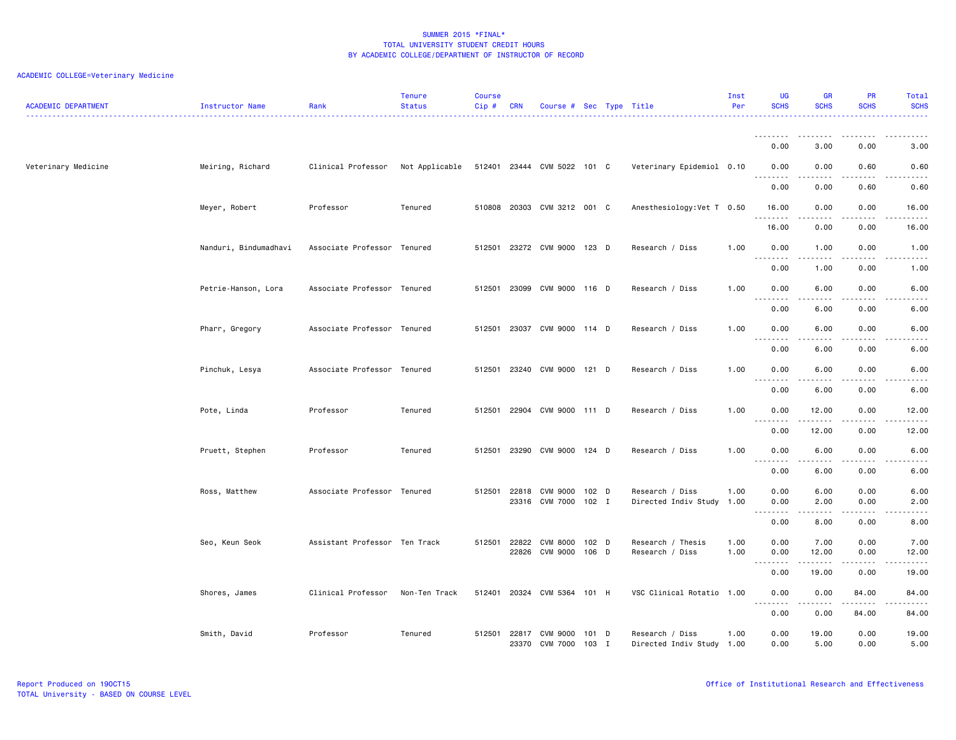| <b>ACADEMIC DEPARTMENT</b> | Instructor Name       | Rank                              | <b>Tenure</b><br><b>Status</b> | <b>Course</b><br>Cip# | <b>CRN</b>     | Course # Sec Type Title           |                  |                                              | Inst<br>Per  | <b>UG</b><br><b>SCHS</b> | <b>GR</b><br><b>SCHS</b> | <b>PR</b><br><b>SCHS</b>            | Total<br><b>SCHS</b>                                                                                                                                                  |
|----------------------------|-----------------------|-----------------------------------|--------------------------------|-----------------------|----------------|-----------------------------------|------------------|----------------------------------------------|--------------|--------------------------|--------------------------|-------------------------------------|-----------------------------------------------------------------------------------------------------------------------------------------------------------------------|
|                            |                       |                                   |                                |                       |                |                                   |                  |                                              |              | <u>.</u><br>0.00         | .<br>3.00                | .<br>0.00                           | 3.00                                                                                                                                                                  |
| Veterinary Medicine        | Meiring, Richard      | Clinical Professor Not Applicable |                                |                       |                | 512401 23444 CVM 5022 101 C       |                  | Veterinary Epidemiol 0.10                    |              | 0.00                     | 0.00                     | 0.60                                | 0.60                                                                                                                                                                  |
|                            |                       |                                   |                                |                       |                |                                   |                  |                                              |              | .<br>.<br>0.00           | 0.00                     | 0.60                                | 0.60                                                                                                                                                                  |
|                            | Meyer, Robert         | Professor                         | Tenured                        |                       |                | 510808 20303 CVM 3212 001 C       |                  | Anesthesiology: Vet T 0.50                   |              | 16.00                    | 0.00                     | 0.00                                | 16.00                                                                                                                                                                 |
|                            |                       |                                   |                                |                       |                |                                   |                  |                                              |              | .<br>16.00               | 0.00                     | $\sim$ $\sim$ $\sim$ $\sim$<br>0.00 | $\frac{1}{2}$<br>16.00                                                                                                                                                |
|                            | Nanduri, Bindumadhavi | Associate Professor Tenured       |                                |                       |                | 512501 23272 CVM 9000 123 D       |                  | Research / Diss                              | 1.00         | 0.00<br>.                | 1.00<br>.                | 0.00<br>$- - - -$                   | 1.00<br>.                                                                                                                                                             |
|                            |                       |                                   |                                |                       |                |                                   |                  |                                              |              | 0.00                     | 1.00                     | 0.00                                | 1.00                                                                                                                                                                  |
|                            | Petrie-Hanson, Lora   | Associate Professor Tenured       |                                | 512501                |                | 23099 CVM 9000 116 D              |                  | Research / Diss                              | 1.00         | 0.00<br>.                | 6.00<br>.                | 0.00<br>.                           | 6.00<br>.                                                                                                                                                             |
|                            |                       |                                   |                                |                       |                |                                   |                  |                                              |              | 0.00                     | 6.00                     | 0.00                                | 6.00                                                                                                                                                                  |
|                            | Pharr, Gregory        | Associate Professor Tenured       |                                |                       |                | 512501 23037 CVM 9000 114 D       |                  | Research / Diss                              | 1.00         | 0.00<br>.                | 6.00                     | 0.00                                | 6.00<br><u>.</u>                                                                                                                                                      |
|                            |                       |                                   |                                |                       |                |                                   |                  |                                              |              | 0.00                     | 6.00                     | 0.00                                | 6.00                                                                                                                                                                  |
|                            | Pinchuk, Lesya        | Associate Professor Tenured       |                                | 512501                |                | 23240 CVM 9000 121 D              |                  | Research / Diss                              | 1.00         | 0.00<br>.                | 6.00<br>.                | 0.00<br>$- - -$                     | 6.00<br>.                                                                                                                                                             |
|                            |                       |                                   |                                |                       |                |                                   |                  |                                              |              | 0.00                     | 6.00                     | 0.00                                | 6.00                                                                                                                                                                  |
|                            | Pote, Linda           | Professor                         | Tenured                        | 512501                |                | 22904 CVM 9000 111 D              |                  | Research / Diss                              | 1.00         | 0.00<br>.                | 12.00                    | 0.00<br>.                           | 12.00<br>.                                                                                                                                                            |
|                            |                       |                                   |                                |                       |                |                                   |                  |                                              |              | 0.00                     | 12.00                    | 0.00                                | 12.00                                                                                                                                                                 |
|                            | Pruett, Stephen       | Professor                         | Tenured                        | 512501                |                | 23290 CVM 9000 124 D              |                  | Research / Diss                              | 1.00         | 0.00<br><u>.</u>         | 6.00<br>.                | 0.00<br>$\frac{1}{2}$               | 6.00<br>.                                                                                                                                                             |
|                            |                       |                                   |                                |                       |                |                                   |                  |                                              |              | 0.00                     | 6.00                     | 0.00                                | 6.00                                                                                                                                                                  |
|                            | Ross, Matthew         | Associate Professor Tenured       |                                | 512501                | 22818          | CVM 9000<br>23316 CVM 7000 102 I  | 102 D            | Research / Diss<br>Directed Indiv Study      | 1.00<br>1.00 | 0.00<br>0.00             | 6.00<br>2.00             | 0.00<br>0.00                        | 6.00<br>2.00                                                                                                                                                          |
|                            |                       |                                   |                                |                       |                |                                   |                  |                                              |              | .<br>0.00                | .<br>8.00                | .<br>0.00                           | $\frac{1}{2} \left( \frac{1}{2} \right) \left( \frac{1}{2} \right) \left( \frac{1}{2} \right) \left( \frac{1}{2} \right) \left( \frac{1}{2} \right)$<br>8.00          |
|                            | Seo, Keun Seok        | Assistant Professor Ten Track     |                                | 512501                | 22822<br>22826 | <b>CVM 8000</b><br>CVM 9000 106 D | $102$ D          | Research / Thesis<br>Research / Diss         | 1.00<br>1.00 | 0.00<br>0.00<br>.        | 7.00<br>12.00<br>.       | 0.00<br>0.00<br>$- - - -$           | 7.00<br>12.00<br>$\frac{1}{2} \left( \frac{1}{2} \right) \left( \frac{1}{2} \right) \left( \frac{1}{2} \right) \left( \frac{1}{2} \right) \left( \frac{1}{2} \right)$ |
|                            |                       |                                   |                                |                       |                |                                   |                  |                                              |              | 0.00                     | 19.00                    | 0.00                                | 19.00                                                                                                                                                                 |
|                            | Shores, James         | Clinical Professor                | Non-Ten Track                  |                       |                | 512401 20324 CVM 5364 101 H       |                  | VSC Clinical Rotatio 1.00                    |              | 0.00<br>.                | 0.00<br>.                | 84.00<br>.                          | 84.00<br>$\frac{1}{2} \left( \frac{1}{2} \right) \left( \frac{1}{2} \right) \left( \frac{1}{2} \right) \left( \frac{1}{2} \right) \left( \frac{1}{2} \right)$         |
|                            |                       |                                   |                                |                       |                |                                   |                  |                                              |              | 0.00                     | 0.00                     | 84.00                               | 84.00                                                                                                                                                                 |
|                            | Smith, David          | Professor                         | Tenured                        | 512501                |                | 22817 CVM 9000<br>23370 CVM 7000  | $101$ D<br>103 I | Research / Diss<br>Directed Indiv Study 1.00 | 1.00         | 0.00<br>0.00             | 19.00<br>5.00            | 0.00<br>0.00                        | 19.00<br>5.00                                                                                                                                                         |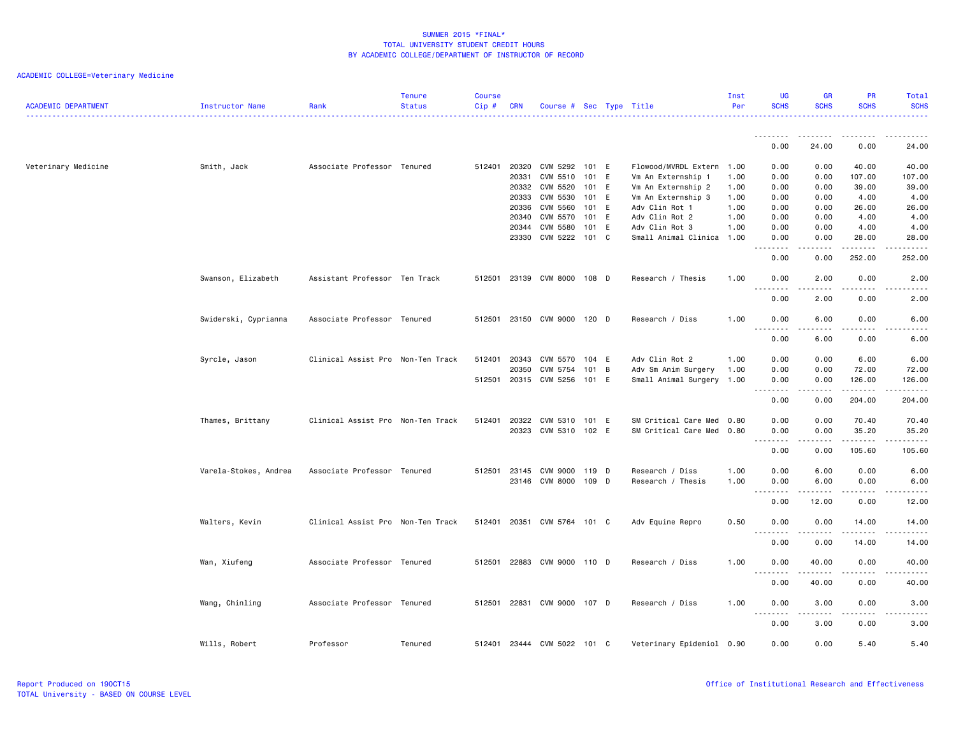| <b>ACADEMIC DEPARTMENT</b> | Instructor Name       | Rank                              | <b>Tenure</b><br><b>Status</b> | <b>Course</b><br>Cip# | <b>CRN</b>   | Course # Sec Type Title     |       |                           | Inst<br>Per | <b>UG</b><br><b>SCHS</b>                      | <b>GR</b><br><b>SCHS</b>       | <b>PR</b><br><b>SCHS</b>            | Total<br><b>SCHS</b>   |
|----------------------------|-----------------------|-----------------------------------|--------------------------------|-----------------------|--------------|-----------------------------|-------|---------------------------|-------------|-----------------------------------------------|--------------------------------|-------------------------------------|------------------------|
|                            |                       |                                   |                                |                       |              |                             |       |                           |             | .                                             |                                |                                     |                        |
|                            |                       |                                   |                                |                       |              |                             |       |                           |             | 0.00                                          | 24.00                          | 0.00                                | 24.00                  |
| Veterinary Medicine        | Smith, Jack           | Associate Professor Tenured       |                                |                       | 512401 20320 | CVM 5292                    | 101 E | Flowood/MVRDL Extern 1.00 |             | 0.00                                          | 0.00                           | 40.00                               | 40.00                  |
|                            |                       |                                   |                                |                       | 20331        | CVM 5510                    | 101 E | Vm An Externship 1        | 1.00        | 0.00                                          | 0.00                           | 107.00                              | 107.00                 |
|                            |                       |                                   |                                |                       | 20332        | CVM 5520                    | 101 E | Vm An Externship 2        | 1.00        | 0.00                                          | 0.00                           | 39.00                               | 39.00                  |
|                            |                       |                                   |                                |                       | 20333        | CVM 5530                    | 101 E | Vm An Externship 3        | 1.00        | 0.00                                          | 0.00                           | 4.00                                | 4.00                   |
|                            |                       |                                   |                                |                       | 20336        | CVM 5560                    | 101 E | Adv Clin Rot 1            | 1.00        | 0.00                                          | 0.00                           | 26.00                               | 26.00                  |
|                            |                       |                                   |                                |                       | 20340        | CVM 5570                    | 101 E | Adv Clin Rot 2            | 1.00        | 0.00                                          | 0.00                           | 4.00                                | 4.00                   |
|                            |                       |                                   |                                |                       | 20344        | CVM 5580                    | 101 E | Adv Clin Rot 3            | 1.00        | 0.00                                          | 0.00                           | 4.00                                | 4.00                   |
|                            |                       |                                   |                                |                       | 23330        | CVM 5222                    | 101 C | Small Animal Clinica      | 1.00        | 0.00<br>$ -$                                  | 0.00                           | 28.00                               | 28,00                  |
|                            |                       |                                   |                                |                       |              |                             |       |                           |             | 0.00                                          | 0.00                           | 252.00                              | 252.00                 |
|                            | Swanson, Elizabeth    | Assistant Professor Ten Track     |                                |                       |              | 512501 23139 CVM 8000 108 D |       | Research / Thesis         | 1.00        | 0.00<br>$\sim$ $\sim$<br>.                    | 2.00                           | 0.00<br>$\sim$ $\sim$ $\sim$ $\sim$ | 2.00                   |
|                            |                       |                                   |                                |                       |              |                             |       |                           |             | 0.00                                          | 2.00                           | 0.00                                | 2.00                   |
|                            | Swiderski, Cyprianna  | Associate Professor Tenured       |                                |                       |              | 512501 23150 CVM 9000 120 D |       | Research / Diss           | 1.00        | 0.00<br>.<br>.                                | 6.00<br>.                      | 0.00<br>$- - - -$                   | 6.00<br>.              |
|                            |                       |                                   |                                |                       |              |                             |       |                           |             | 0.00                                          | 6.00                           | 0.00                                | 6.00                   |
|                            | Syrcle, Jason         | Clinical Assist Pro Non-Ten Track |                                | 512401                | 20343        | CVM 5570                    | 104 E | Adv Clin Rot 2            | 1.00        | 0.00                                          | 0.00                           | 6.00                                | 6.00                   |
|                            |                       |                                   |                                |                       | 20350        | CVM 5754                    | 101 B | Adv Sm Anim Surgery       | 1.00        | 0.00                                          | 0.00                           | 72.00                               | 72.00                  |
|                            |                       |                                   |                                |                       |              | 512501 20315 CVM 5256       | 101 E | Small Animal Surgery 1.00 |             | 0.00                                          | 0.00                           | 126.00                              | 126.00                 |
|                            |                       |                                   |                                |                       |              |                             |       |                           |             | $\sim$ $\sim$ $\sim$<br>-----<br>0.00         | 0.00                           | .<br>204.00                         | .<br>204.00            |
|                            |                       | Clinical Assist Pro Non-Ten Track |                                | 512401                | 20322        | CVM 5310                    | 101 E | SM Critical Care Med      | 0.80        | 0.00                                          | 0.00                           | 70.40                               | 70.40                  |
|                            | Thames, Brittany      |                                   |                                |                       |              | 20323 CVM 5310 102 E        |       | SM Critical Care Med 0.80 |             | 0.00                                          | 0.00                           | 35.20                               | 35.20                  |
|                            |                       |                                   |                                |                       |              |                             |       |                           |             | 0.00                                          | $\cdots \cdots \cdots$<br>0.00 | .<br>105.60                         | .<br>105.60            |
|                            |                       |                                   |                                |                       |              |                             |       |                           |             |                                               |                                |                                     |                        |
|                            | Varela-Stokes, Andrea | Associate Professor Tenured       |                                |                       | 512501 23145 | CVM 9000                    | 119 D | Research / Diss           | 1.00        | 0.00                                          | 6.00                           | 0.00                                | 6.00                   |
|                            |                       |                                   |                                |                       |              | 23146 CVM 8000 109 D        |       | Research / Thesis         | 1.00        | 0.00                                          | 6.00                           | 0.00                                | 6.00                   |
|                            |                       |                                   |                                |                       |              |                             |       |                           |             | $\sim$ $\sim$ $\sim$<br>.<br>0.00             | $- - - - -$<br>12.00           | .<br>0.00                           | $\frac{1}{2}$<br>12.00 |
|                            |                       |                                   |                                |                       |              |                             |       |                           |             |                                               |                                |                                     |                        |
|                            | Walters, Kevin        | Clinical Assist Pro Non-Ten Track |                                |                       |              | 512401 20351 CVM 5764 101 C |       | Adv Equine Repro          | 0.50        | 0.00<br>$\sim$ $\sim$                         | 0.00                           | 14.00                               | 14.00                  |
|                            |                       |                                   |                                |                       |              |                             |       |                           |             | 0.00                                          | 0.00                           | 14.00                               | 14.00                  |
|                            | Wan, Xiufeng          | Associate Professor Tenured       |                                |                       |              | 512501 22883 CVM 9000 110 D |       | Research / Diss           | 1.00        | 0.00<br>$\sim$ $\sim$<br>$\sim$ $\sim$ $\sim$ | 40.00                          | 0.00                                | 40.00                  |
|                            |                       |                                   |                                |                       |              |                             |       |                           |             | 0.00                                          | 40.00                          | 0.00                                | 40.00                  |
|                            | Wang, Chinling        | Associate Professor Tenured       |                                |                       |              | 512501 22831 CVM 9000 107 D |       | Research / Diss           | 1.00        | 0.00<br>.<br>$- - -$                          | 3.00<br>$- - - - -$            | 0.00<br>.                           | 3.00<br>$- - - - -$    |
|                            |                       |                                   |                                |                       |              |                             |       |                           |             | 0.00                                          | 3.00                           | 0.00                                | 3.00                   |
|                            | Wills, Robert         | Professor                         | Tenured                        |                       |              | 512401 23444 CVM 5022 101 C |       | Veterinary Epidemiol 0.90 |             | 0.00                                          | 0.00                           | 5.40                                | 5.40                   |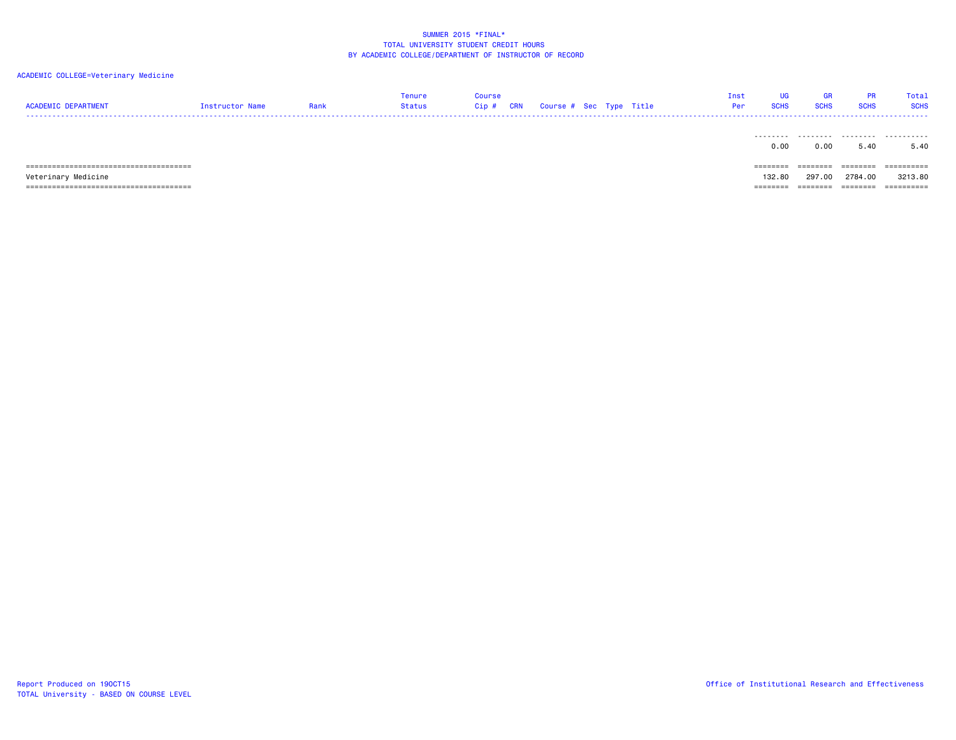| <b>ACADEMIC DEPARTMENT</b> | Instructor Name | Rank | Tenure<br>Status | <b>Course</b><br>Cip# | CRN | Course # Sec Type Title |  | Inst<br>Per | <b>UG</b><br><b>SCHS</b> | GR<br><b>SCHS</b> | <b>PR</b><br><b>SCHS</b> | Total<br><b>SCHS</b> |
|----------------------------|-----------------|------|------------------|-----------------------|-----|-------------------------|--|-------------|--------------------------|-------------------|--------------------------|----------------------|
|                            |                 |      |                  |                       |     |                         |  |             | 0.00                     | 0.00              | 5.40                     | 5.40                 |
|                            |                 |      |                  |                       |     |                         |  |             | ========                 | ========          | ========                 | ==========           |
| Veterinary Medicine        |                 |      |                  |                       |     |                         |  |             | 132.80                   | 297,00            | 2784.00                  | 3213.80              |
|                            |                 |      |                  |                       |     |                         |  |             | =====                    |                   | ======                   | ==========           |